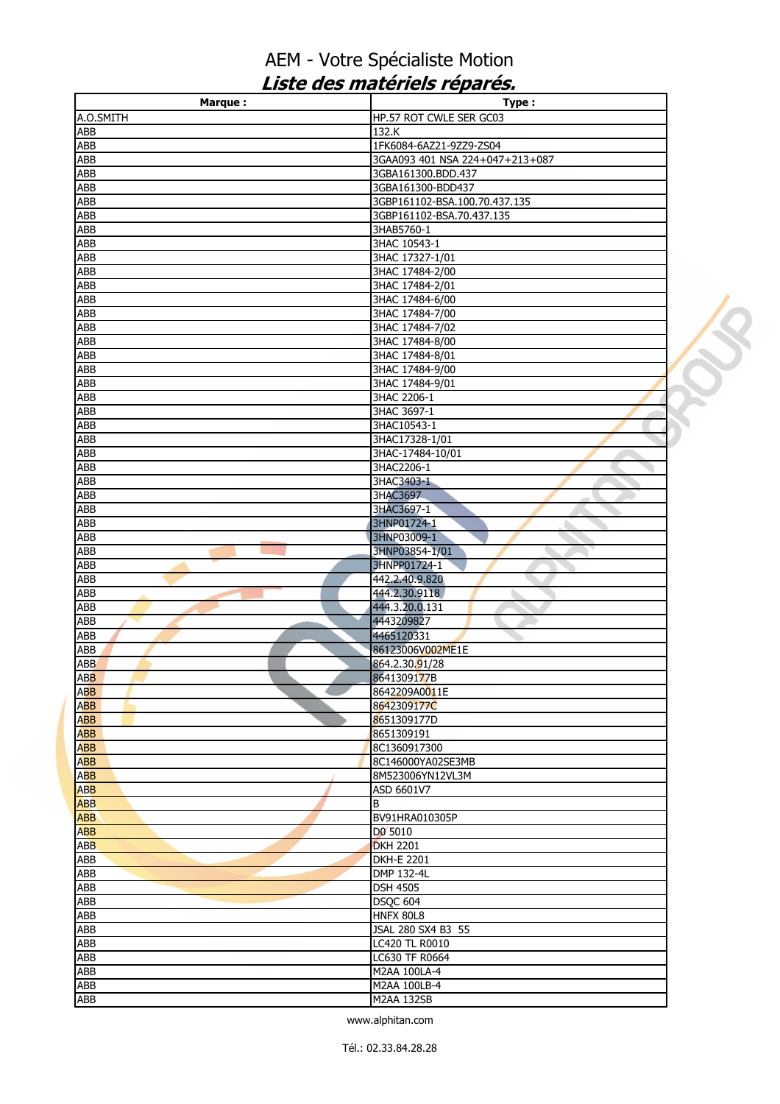| <b>Marque:</b>    | Type:                           |  |
|-------------------|---------------------------------|--|
| A.O.SMITH         | HP.57 ROT CWLE SER GC03         |  |
| ABB               | 132.K                           |  |
| ABB               | 1FK6084-6AZ21-9ZZ9-ZS04         |  |
| ABB               | 3GAA093 401 NSA 224+047+213+087 |  |
| <b>ABB</b>        | 3GBA161300.BDD.437              |  |
| <b>ABB</b>        | 3GBA161300-BDD437               |  |
| ABB               | 3GBP161102-BSA.100.70.437.135   |  |
| ABB               | 3GBP161102-BSA.70.437.135       |  |
| <b>ABB</b>        | 3HAB5760-1                      |  |
| <b>ABB</b>        | 3HAC 10543-1                    |  |
| <b>ABB</b>        | 3HAC 17327-1/01                 |  |
| ABB               | 3HAC 17484-2/00                 |  |
| ABB               | 3HAC 17484-2/01                 |  |
| ABB               | 3HAC 17484-6/00                 |  |
| <b>ABB</b>        | 3HAC 17484-7/00                 |  |
| ABB               | 3HAC 17484-7/02                 |  |
| ABB               | 3HAC 17484-8/00                 |  |
| ABB               | 3HAC 17484-8/01                 |  |
| <b>ABB</b>        | 3HAC 17484-9/00                 |  |
| <b>ABB</b>        | 3HAC 17484-9/01                 |  |
| ABB               | 3HAC 2206-1                     |  |
| ABB               | 3HAC 3697-1                     |  |
| <b>ABB</b>        | 3HAC10543-1                     |  |
| ABB               | 3HAC17328-1/01                  |  |
| ABB               | 3HAC-17484-10/01                |  |
| ABB               | 3HAC2206-1                      |  |
| ABB<br><b>ABB</b> | 3HAC3403-1<br>3HAC3697          |  |
| ABB               | 3HAC3697-1                      |  |
| ABB               | 3HNP01724-1                     |  |
| ABB               | 3HNP03009-1                     |  |
| ABB               | 3HNP03854-1/01                  |  |
| <b>ABB</b>        | 3HNPP01724-1                    |  |
| ABB               | 442.2.40.9.820                  |  |
| ABB               | 444.2.30.9118                   |  |
| <b>ABB</b>        | 444.3.20.0.131                  |  |
| ABB               | 4443209827                      |  |
| ABB               | 4465120331                      |  |
| ABB               | 86123006V002ME1E                |  |
| ABB               | 864.2.30.91/28                  |  |
| <b>ABB</b>        | 8641309177B                     |  |
| <b>ABB</b>        | 8642209A0011E                   |  |
| <b>ABB</b>        | 8642309177C                     |  |
| <b>ABB</b>        | 8651309177D                     |  |
| <b>ABB</b>        | 8651309191                      |  |
| <b>ABB</b>        | 8C1360917300                    |  |
| <b>ABB</b>        | 8C146000YA02SE3MB               |  |
| <b>ABB</b>        | 8M523006YN12VL3M                |  |
| ABB               | ASD 6601V7                      |  |
| <b>ABB</b>        | B                               |  |
| <b>ABB</b>        | BV91HRA010305P                  |  |
| <b>ABB</b>        | DO 5010                         |  |
| <b>ABB</b>        | <b>DKH 2201</b>                 |  |
| ABB               | <b>DKH-E 2201</b>               |  |
| ABB               | DMP 132-4L                      |  |
| ABB               | <b>DSH 4505</b>                 |  |
| ABB               | <b>DSQC 604</b>                 |  |
| ABB               | <b>HNFX 80L8</b>                |  |
| ABB               | JSAL 280 SX4 B3 55              |  |
| <b>ABB</b>        | <b>LC420 TL R0010</b>           |  |
| ABB               | LC630 TF R0664                  |  |
| ABB               | M2AA 100LA-4                    |  |
| ABB               | M2AA 100LB-4                    |  |
| ABB               | <b>M2AA 132SB</b>               |  |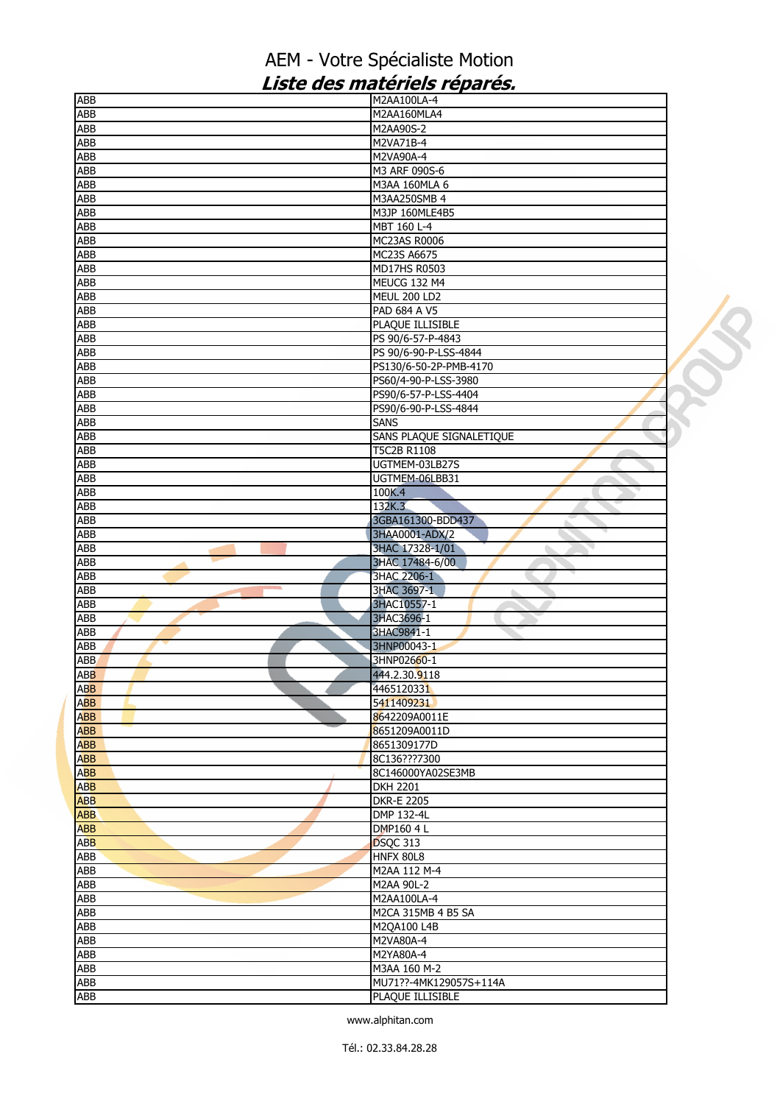| ABB                      | M2AA100LA-4                     |  |
|--------------------------|---------------------------------|--|
| ABB                      | M2AA160MLA4                     |  |
| ABB                      | M2AA90S-2                       |  |
| ABB                      | M2VA71B-4                       |  |
| <b>ABB</b>               | M2VA90A-4                       |  |
| ABB                      | M3 ARF 090S-6                   |  |
| ABB                      | M3AA 160MLA 6                   |  |
| ABB                      | M3AA250SMB 4                    |  |
| ABB                      | M3JP 160MLE4B5                  |  |
| <b>ABB</b>               | MBT 160 L-4                     |  |
| ABB                      | <b>MC23AS R0006</b>             |  |
| ABB                      | MC23S A6675                     |  |
| ABB                      | MD17HS R0503                    |  |
| ABB                      | MEUCG 132 M4                    |  |
| ABB                      | MEUL 200 LD2                    |  |
| ABB                      | PAD 684 A V5                    |  |
| ABB                      | PLAQUE ILLISIBLE                |  |
| ABB                      | PS 90/6-57-P-4843               |  |
| <b>ABB</b>               | PS 90/6-90-P-LSS-4844           |  |
| <b>ABB</b>               | PS130/6-50-2P-PMB-4170          |  |
| ABB                      | PS60/4-90-P-LSS-3980            |  |
| ABB                      | PS90/6-57-P-LSS-4404            |  |
| <b>ABB</b>               | PS90/6-90-P-LSS-4844            |  |
| ABB                      | <b>SANS</b>                     |  |
| ABB                      | SANS PLAQUE SIGNALETIQUE        |  |
| ABB                      | T5C2B R1108                     |  |
| ABB                      | UGTMEM-03LB27S                  |  |
| ABB                      | UGTMEM-06LBB31                  |  |
| <b>ABB</b>               | 100K.4                          |  |
| ABB                      | 132K.3                          |  |
| ABB                      | 3GBA161300-BDD437               |  |
| ABB                      | 3HAA0001-ADX/2                  |  |
| <b>ABB</b>               | 3HAC 17328-1/01                 |  |
| ABB                      | 3HAC 17484-6/00                 |  |
| ABB                      | 3HAC 2206-1                     |  |
| ABB                      | 3HAC 3697-1                     |  |
| ABB                      | à.<br>3HAC10557-1               |  |
| ABB                      | 3HAC3696-1                      |  |
| ABB                      | 3HAC9841-1                      |  |
|                          | 3HNP00043-1                     |  |
| ABB<br>ABB               | 3HNP02660-1                     |  |
| ABB                      | 444.2.30.9118                   |  |
|                          | 4465120331                      |  |
| <b>ABB</b><br><b>ABB</b> | 5411409231                      |  |
|                          |                                 |  |
| <b>ABB</b><br><b>ABB</b> | 8642209A0011E<br>8651209A0011D  |  |
| <b>ABB</b>               | 8651309177D                     |  |
| <b>ABB</b>               | 8C136???7300                    |  |
| <b>ABB</b>               | 8C146000YA02SE3MB               |  |
| <b>ABB</b>               | <b>DKH 2201</b>                 |  |
| <b>ABB</b>               |                                 |  |
| <b>ABB</b>               | <b>DKR-E 2205</b><br>DMP 132-4L |  |
| <b>ABB</b>               |                                 |  |
| <b>ABB</b>               | DMP160 4 L<br>DSQC 313          |  |
|                          |                                 |  |
| ABB                      | <b>HNFX 80L8</b>                |  |
| ABB                      | M2AA 112 M-4                    |  |
| <b>ABB</b>               | M2AA 90L-2                      |  |
| ABB                      | M2AA100LA-4                     |  |
| ABB                      | M2CA 315MB 4 B5 SA              |  |
| <b>ABB</b>               | M2QA100 L4B                     |  |
| ABB                      | M2VA80A-4                       |  |
| ABB                      | M2YA80A-4                       |  |
| ABB                      | M3AA 160 M-2                    |  |
| ABB                      | MU71??-4MK129057S+114A          |  |
| ABB                      | PLAQUE ILLISIBLE                |  |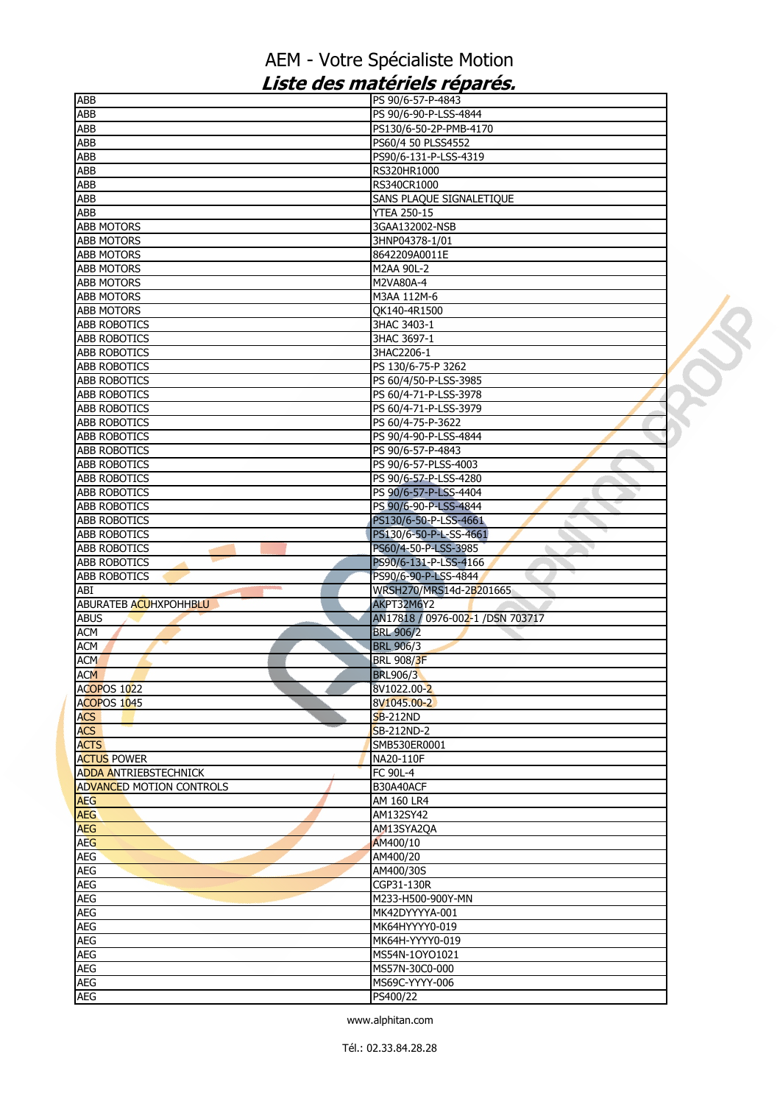| <b>ABB</b>                      | PS 90/6-57-P-4843                |  |
|---------------------------------|----------------------------------|--|
| ABB                             | PS 90/6-90-P-LSS-4844            |  |
| ABB                             | PS130/6-50-2P-PMB-4170           |  |
| ABB                             | PS60/4 50 PLSS4552               |  |
| <b>ABB</b>                      | PS90/6-131-P-LSS-4319            |  |
| <b>ABB</b>                      | RS320HR1000                      |  |
| ABB                             | RS340CR1000                      |  |
| <b>ABB</b>                      | SANS PLAQUE SIGNALETIQUE         |  |
| ABB                             | <b>YTEA 250-15</b>               |  |
| <b>ABB MOTORS</b>               | 3GAA132002-NSB                   |  |
| <b>ABB MOTORS</b>               | 3HNP04378-1/01                   |  |
| <b>ABB MOTORS</b>               | 8642209A0011E                    |  |
| <b>ABB MOTORS</b>               | M2AA 90L-2                       |  |
| <b>ABB MOTORS</b>               | M2VA80A-4                        |  |
| <b>ABB MOTORS</b>               | M3AA 112M-6                      |  |
| <b>ABB MOTORS</b>               | QK140-4R1500                     |  |
| <b>ABB ROBOTICS</b>             | 3HAC 3403-1                      |  |
| <b>ABB ROBOTICS</b>             |                                  |  |
| <b>ABB ROBOTICS</b>             | 3HAC 3697-1<br>3HAC2206-1        |  |
|                                 |                                  |  |
| <b>ABB ROBOTICS</b>             | PS 130/6-75-P 3262               |  |
| <b>ABB ROBOTICS</b>             | PS 60/4/50-P-LSS-3985            |  |
| <b>ABB ROBOTICS</b>             | PS 60/4-71-P-LSS-3978            |  |
| <b>ABB ROBOTICS</b>             | PS 60/4-71-P-LSS-3979            |  |
| <b>ABB ROBOTICS</b>             | PS 60/4-75-P-3622                |  |
| <b>ABB ROBOTICS</b>             | PS 90/4-90-P-LSS-4844            |  |
| <b>ABB ROBOTICS</b>             | PS 90/6-57-P-4843                |  |
| <b>ABB ROBOTICS</b>             | PS 90/6-57-PLSS-4003             |  |
| <b>ABB ROBOTICS</b>             | PS 90/6-57-P-LSS-4280            |  |
| <b>ABB ROBOTICS</b>             | PS 90/6-57-P-LSS-4404            |  |
| <b>ABB ROBOTICS</b>             | PS 90/6-90-P-LSS-4844            |  |
| ABB ROBOTICS                    | PS130/6-50-P-LSS-4661            |  |
| <b>ABB ROBOTICS</b>             | PS130/6-50-P-L-SS-4661           |  |
| <b>ABB ROBOTICS</b>             | PS60/4-50-P-LSS-3985             |  |
| <b>ABB ROBOTICS</b>             | PS90/6-131-P-LSS-4166            |  |
| <b>ABB ROBOTICS</b>             | PS90/6-90-P-LSS-4844             |  |
| ABI                             | WRSH270/MRS14d-2B201665          |  |
| ABURATEB ACUHXPOHHBLU           | AKPT32M6Y2                       |  |
| <b>ABUS</b>                     | AN17818 / 0976-002-1 /DSN 703717 |  |
| <b>ACM</b>                      | <b>BRL 906/2</b>                 |  |
| <b>ACM</b>                      | <b>BRL 906/3</b>                 |  |
| <b>ACM</b>                      | <b>BRL 908/3F</b>                |  |
| <b>ACM</b>                      | <b>BRL906/3</b>                  |  |
| <b>ACOPOS 1022</b>              | 8V1022.00-2                      |  |
| ACOPOS 1045                     | 8V1045.00-2                      |  |
|                                 | <b>SB-212ND</b>                  |  |
| <b>ACS</b><br><b>ACS</b>        | SB-212ND-2                       |  |
| <b>ACTS</b>                     | SMB530ER0001                     |  |
| <b>ACTUS POWER</b>              |                                  |  |
| <b>ADDA ANTRIEBSTECHNICK</b>    | NA20-110F                        |  |
|                                 | FC 90L-4                         |  |
| <b>ADVANCED MOTION CONTROLS</b> | B30A40ACF                        |  |
| <b>AEG</b>                      | AM 160 LR4                       |  |
| <b>AEG</b>                      | AM132SY42                        |  |
| <b>AEG</b>                      | AM13SYA2QA                       |  |
| <b>AEG</b>                      | AM400/10                         |  |
| <b>AEG</b>                      | AM400/20                         |  |
| AEG                             | AM400/30S                        |  |
| <b>AEG</b>                      | CGP31-130R                       |  |
| AEG                             |                                  |  |
|                                 | M233-H500-900Y-MN                |  |
| <b>AEG</b>                      | MK42DYYYYA-001                   |  |
| <b>AEG</b>                      | MK64HYYYY0-019                   |  |
| <b>AEG</b>                      | MK64H-YYYY0-019                  |  |
| <b>AEG</b>                      | MS54N-1OYO1021                   |  |
| AEG                             | MS57N-30C0-000                   |  |
| <b>AEG</b>                      | MS69C-YYYY-006                   |  |
| <b>AEG</b>                      | PS400/22                         |  |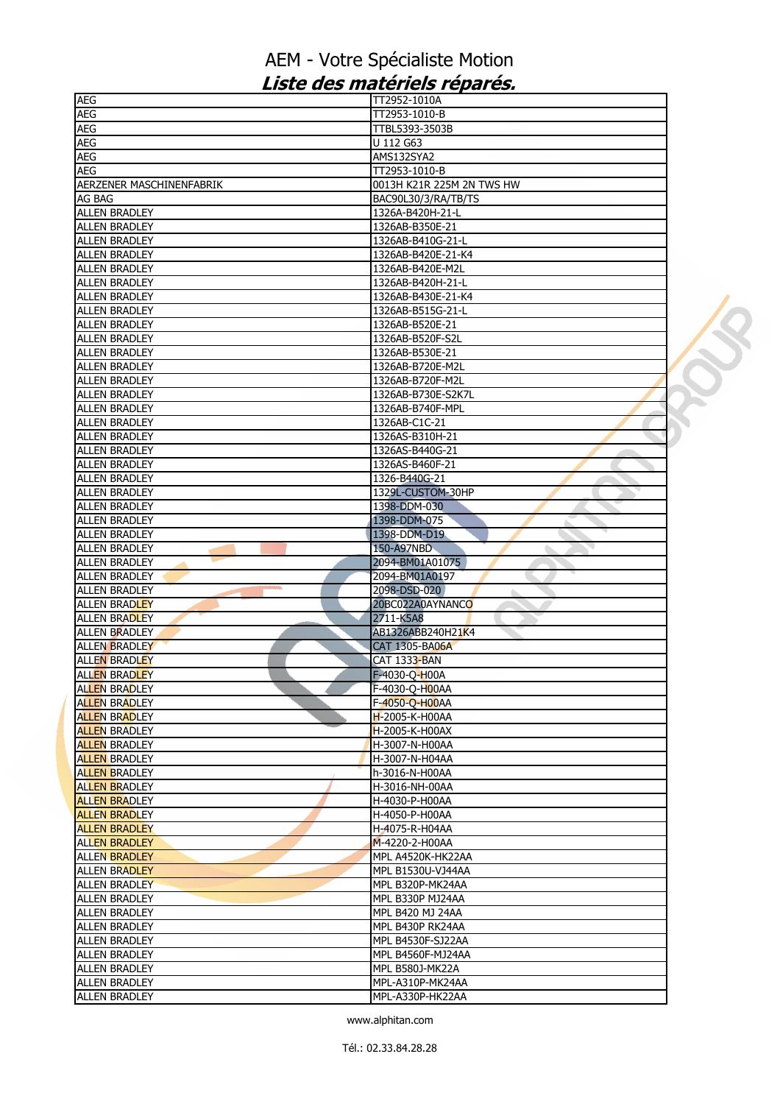| <b>AEG</b>                             | TT2952-1010A              |  |
|----------------------------------------|---------------------------|--|
| <b>AEG</b>                             | TT2953-1010-B             |  |
| AEG                                    | TTBL5393-3503B            |  |
| <b>AEG</b>                             | U 112 G63                 |  |
| AEG                                    | AMS132SYA2                |  |
| <b>AEG</b>                             | TT2953-1010-B             |  |
| AERZENER MASCHINENFABRIK               | 0013H K21R 225M 2N TWS HW |  |
| AG BAG                                 | BAC90L30/3/RA/TB/TS       |  |
| <b>ALLEN BRADLEY</b>                   | 1326A-B420H-21-L          |  |
| <b>ALLEN BRADLEY</b>                   | 1326AB-B350E-21           |  |
| <b>ALLEN BRADLEY</b>                   | 1326AB-B410G-21-L         |  |
| <b>ALLEN BRADLEY</b>                   | 1326AB-B420E-21-K4        |  |
| <b>ALLEN BRADLEY</b>                   | 1326AB-B420E-M2L          |  |
| <b>ALLEN BRADLEY</b>                   | 1326AB-B420H-21-L         |  |
| <b>ALLEN BRADLEY</b>                   | 1326AB-B430E-21-K4        |  |
|                                        |                           |  |
| <b>ALLEN BRADLEY</b>                   | 1326AB-B515G-21-L         |  |
| <b>ALLEN BRADLEY</b>                   | 1326AB-B520E-21           |  |
| <b>ALLEN BRADLEY</b>                   | 1326AB-B520F-S2L          |  |
| <b>ALLEN BRADLEY</b>                   | 1326AB-B530E-21           |  |
| <b>ALLEN BRADLEY</b>                   | 1326AB-B720E-M2L          |  |
| <b>ALLEN BRADLEY</b>                   | 1326AB-B720F-M2L          |  |
| <b>ALLEN BRADLEY</b>                   | 1326AB-B730E-S2K7L        |  |
| <b>ALLEN BRADLEY</b>                   | 1326AB-B740F-MPL          |  |
| <b>ALLEN BRADLEY</b>                   | 1326AB-C1C-21             |  |
| <b>ALLEN BRADLEY</b>                   | 1326AS-B310H-21           |  |
| <b>ALLEN BRADLEY</b>                   | 1326AS-B440G-21           |  |
| <b>ALLEN BRADLEY</b>                   | 1326AS-B460F-21           |  |
| <b>ALLEN BRADLEY</b>                   | 1326-B440G-21             |  |
| <b>ALLEN BRADLEY</b>                   | 1329L-CUSTOM-30HP         |  |
| <b>ALLEN BRADLEY</b>                   | 1398-DDM-030              |  |
| <b>ALLEN BRADLEY</b>                   | 1398-DDM-075              |  |
| <b>ALLEN BRADLEY</b>                   | 1398-DDM-D19              |  |
| <b>ALLEN BRADLEY</b>                   | 150-A97NBD                |  |
| <b>ALLEN BRADLEY</b>                   | 2094-BM01A01075           |  |
| <b>ALLEN BRADLEY</b>                   | 2094-BM01A0197            |  |
| <b>College</b><br><b>ALLEN BRADLEY</b> | 2098-DSD-020              |  |
| <b>ALLEN BRADLEY</b>                   | 20BC022A0AYNANCO          |  |
|                                        |                           |  |
| <b>ALLEN BRADLEY</b>                   | 2711-K5A8                 |  |
| ALLEN BRADLEY                          | AB1326ABB240H21K4         |  |
| <b>ALLEN BRADLEY</b>                   | <b>CAT 1305-BA06A</b>     |  |
| <b>ALLEN BRADLEY</b>                   | <b>CAT 1333-BAN</b>       |  |
| <b>ALLEN BRADLEY</b>                   | F-4030-Q-H00A             |  |
| <b>ALLEN BRADLEY</b>                   | F-4030-O-H00AA            |  |
| <b>ALLEN BRADLEY</b>                   | F-4050-Q-H00AA            |  |
| <b>ALLEN BRADLEY</b>                   | H-2005-K-H00AA            |  |
| <b>ALLEN BRADLEY</b>                   | H-2005-K-H00AX            |  |
| <b>ALLEN BRADLEY</b>                   | H-3007-N-H00AA            |  |
| <b>ALLEN BRADLEY</b>                   | H-3007-N-H04AA            |  |
| <b>ALLEN BRADLEY</b>                   | h-3016-N-H00AA            |  |
| <b>ALLEN BRADLEY</b>                   | H-3016-NH-00AA            |  |
| <b>ALLEN BRADLEY</b>                   | H-4030-P-H00AA            |  |
| <b>ALLEN BRADLEY</b>                   | H-4050-P-H00AA            |  |
| <b>ALLEN BRADLEY</b>                   | H-4075-R-H04AA            |  |
| <b>ALLEN BRADLEY</b>                   | M-4220-2-H00AA            |  |
| <b>ALLEN BRADLEY</b>                   | MPL A4520K-HK22AA         |  |
| <b>ALLEN BRADLEY</b>                   | MPL B1530U-VJ44AA         |  |
| <b>ALLEN BRADLEY</b>                   | MPL B320P-MK24AA          |  |
|                                        |                           |  |
| <b>ALLEN BRADLEY</b>                   | MPL B330P MJ24AA          |  |
| <b>ALLEN BRADLEY</b>                   | MPL B420 MJ 24AA          |  |
| <b>ALLEN BRADLEY</b>                   | MPL B430P RK24AA          |  |
| <b>ALLEN BRADLEY</b>                   | MPL B4530F-SJ22AA         |  |
| <b>ALLEN BRADLEY</b>                   | MPL B4560F-MJ24AA         |  |
| <b>ALLEN BRADLEY</b>                   | <b>MPL B580J-MK22A</b>    |  |
| <b>ALLEN BRADLEY</b>                   | MPL-A310P-MK24AA          |  |
| <b>ALLEN BRADLEY</b>                   | MPL-A330P-HK22AA          |  |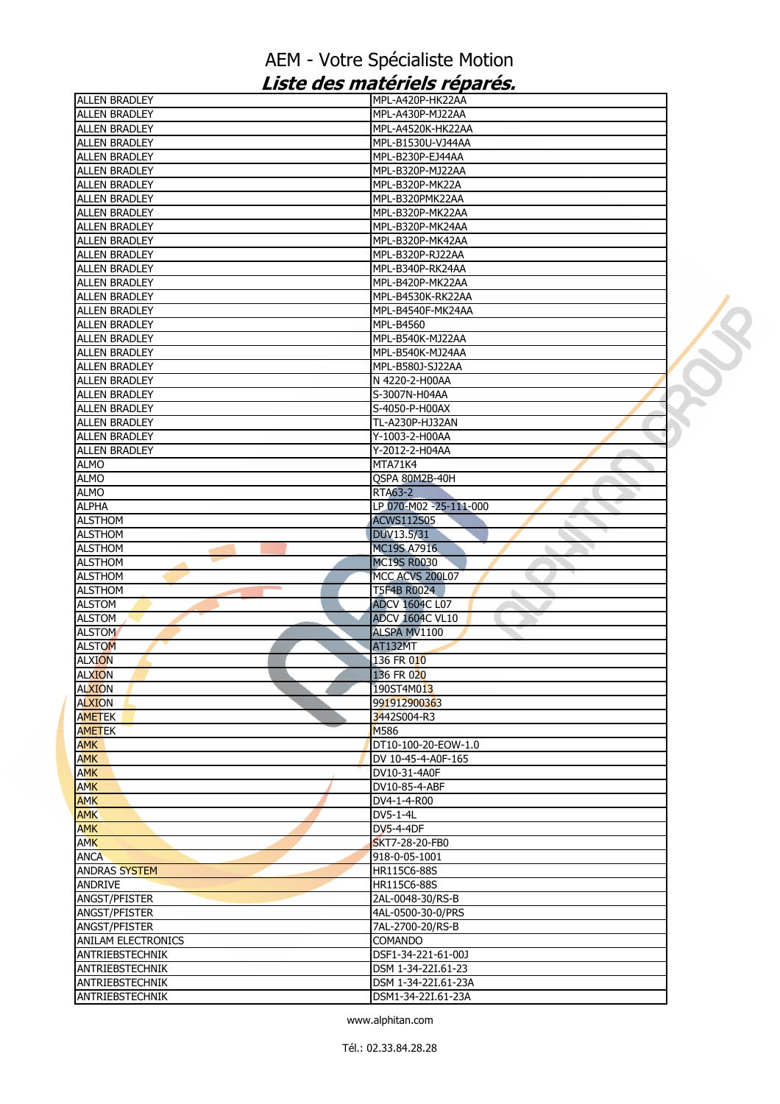| <b>ALLEN BRADLEY</b>      | MPL-A420P-HK22AA        |  |
|---------------------------|-------------------------|--|
| <b>ALLEN BRADLEY</b>      | MPL-A430P-MJ22AA        |  |
| <b>ALLEN BRADLEY</b>      | MPL-A4520K-HK22AA       |  |
| <b>ALLEN BRADLEY</b>      | MPL-B1530U-VJ44AA       |  |
| <b>ALLEN BRADLEY</b>      | MPL-B230P-EJ44AA        |  |
| <b>ALLEN BRADLEY</b>      | MPL-B320P-MJ22AA        |  |
| <b>ALLEN BRADLEY</b>      | MPL-B320P-MK22A         |  |
| <b>ALLEN BRADLEY</b>      | MPL-B320PMK22AA         |  |
| <b>ALLEN BRADLEY</b>      | MPL-B320P-MK22AA        |  |
| <b>ALLEN BRADLEY</b>      | MPL-B320P-MK24AA        |  |
| <b>ALLEN BRADLEY</b>      | MPL-B320P-MK42AA        |  |
| <b>ALLEN BRADLEY</b>      | MPL-B320P-RJ22AA        |  |
| <b>ALLEN BRADLEY</b>      | MPL-B340P-RK24AA        |  |
| <b>ALLEN BRADLEY</b>      | MPL-B420P-MK22AA        |  |
|                           | MPL-B4530K-RK22AA       |  |
| <b>ALLEN BRADLEY</b>      |                         |  |
| <b>ALLEN BRADLEY</b>      | MPL-B4540F-MK24AA       |  |
| <b>ALLEN BRADLEY</b>      | <b>MPL-B4560</b>        |  |
| <b>ALLEN BRADLEY</b>      | MPL-B540K-MJ22AA        |  |
| <b>ALLEN BRADLEY</b>      | MPL-B540K-MJ24AA        |  |
| <b>ALLEN BRADLEY</b>      | MPL-B580J-SJ22AA        |  |
| <b>ALLEN BRADLEY</b>      | N 4220-2-H00AA          |  |
| <b>ALLEN BRADLEY</b>      | S-3007N-H04AA           |  |
| <b>ALLEN BRADLEY</b>      | S-4050-P-H00AX          |  |
| <b>ALLEN BRADLEY</b>      | TL-A230P-HJ32AN         |  |
| <b>ALLEN BRADLEY</b>      | Y-1003-2-H00AA          |  |
| <b>ALLEN BRADLEY</b>      | Y-2012-2-H04AA          |  |
| <b>ALMO</b>               | MTA71K4                 |  |
| <b>ALMO</b>               | QSPA 80M2B-40H          |  |
| <b>ALMO</b>               | <b>RTA63-2</b>          |  |
| <b>ALPHA</b>              | LP 070-M02 -25-111-000  |  |
| <b>ALSTHOM</b>            | <b>ACWS112S05</b>       |  |
| <b>ALSTHOM</b>            | DUV13.5/31              |  |
| <b>ALSTHOM</b>            | <b>MC19S A7916</b><br>◥ |  |
| <b>ALSTHOM</b>            | <b>MC19S R0030</b>      |  |
| <b>ALSTHOM</b>            | MCC ACVS 200L07         |  |
| <b>ALSTHOM</b>            | <b>T5F4B R0024</b>      |  |
|                           |                         |  |
| <b>ALSTOM</b>             | <b>ADCV 1604C L07</b>   |  |
| <b>ALSTOM</b>             | <b>ADCV 1604C VL10</b>  |  |
| <b>ALSTOM</b>             | ALSPA MV1100            |  |
| <b>ALSTOM</b>             | AT132MT                 |  |
| <b>ALXION</b>             | 136 FR 010              |  |
| <b>ALXION</b>             | 136 FR 020              |  |
| <b>ALXION</b>             | [190ST4M013             |  |
| <b>ALXION</b>             | 991912900363            |  |
| <b>AMETEK</b>             | 3442S004-R3             |  |
| <b>AMETEK</b>             | M586                    |  |
| <b>AMK</b>                | DT10-100-20-EOW-1.0     |  |
| <b>AMK</b>                | DV 10-45-4-A0F-165      |  |
| <b>AMK</b>                | DV10-31-4A0F            |  |
| <b>AMK</b>                | DV10-85-4-ABF           |  |
| <b>AMK</b>                | DV4-1-4-R00             |  |
| <b>AMK</b>                | DV5-1-4L                |  |
| <b>AMK</b>                | <b>DV5-4-4DF</b>        |  |
| <b>AMK</b>                | SKT7-28-20-FB0          |  |
| <b>ANCA</b>               | 918-0-05-1001           |  |
| <b>ANDRAS SYSTEM</b>      | HR115C6-88S             |  |
|                           |                         |  |
| <b>ANDRIVE</b>            | HR115C6-88S             |  |
| ANGST/PFISTER             | 2AL-0048-30/RS-B        |  |
| ANGST/PFISTER             | 4AL-0500-30-0/PRS       |  |
| ANGST/PFISTER             | 7AL-2700-20/RS-B        |  |
| <b>ANILAM ELECTRONICS</b> | <b>COMANDO</b>          |  |
| ANTRIEBSTECHNIK           | DSF1-34-221-61-00J      |  |
| ANTRIEBSTECHNIK           | DSM 1-34-22I.61-23      |  |
| ANTRIEBSTECHNIK           | DSM 1-34-22I.61-23A     |  |
| ANTRIEBSTECHNIK           | DSM1-34-22I.61-23A      |  |
|                           |                         |  |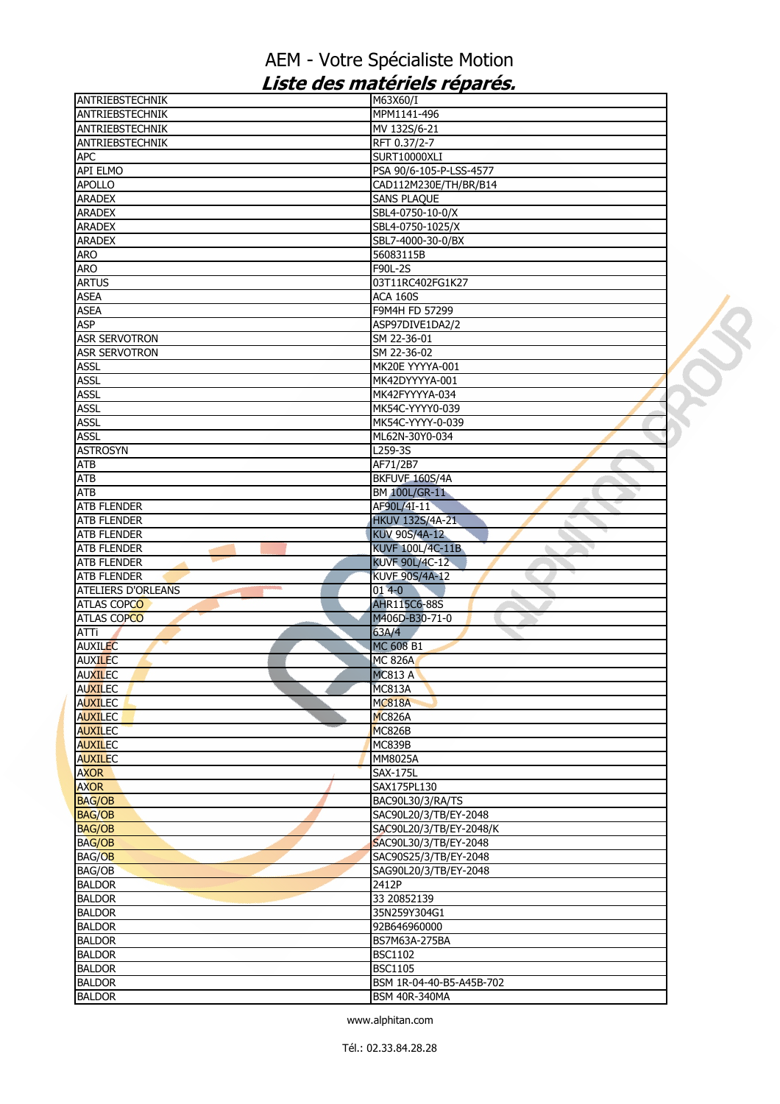| ANTRIEBSTECHNIK                                                   | M63X60/I                 |  |
|-------------------------------------------------------------------|--------------------------|--|
| ANTRIEBSTECHNIK                                                   | MPM1141-496              |  |
| <b>ANTRIEBSTECHNIK</b>                                            | MV 132S/6-21             |  |
| ANTRIEBSTECHNIK                                                   | RFT 0.37/2-7             |  |
| <b>APC</b>                                                        | SURT10000XLI             |  |
| <b>API ELMO</b>                                                   | PSA 90/6-105-P-LSS-4577  |  |
| <b>APOLLO</b>                                                     | CAD112M230E/TH/BR/B14    |  |
| <b>ARADEX</b>                                                     | <b>SANS PLAQUE</b>       |  |
| <b>ARADEX</b>                                                     | SBL4-0750-10-0/X         |  |
| <b>ARADEX</b>                                                     | SBL4-0750-1025/X         |  |
| <b>ARADEX</b>                                                     | SBL7-4000-30-0/BX        |  |
| <b>ARO</b>                                                        | 56083115B                |  |
| <b>ARO</b>                                                        | F90L-2S                  |  |
| <b>ARTUS</b>                                                      | 03T11RC402FG1K27         |  |
| <b>ASEA</b>                                                       | <b>ACA 160S</b>          |  |
|                                                                   |                          |  |
| <b>ASEA</b>                                                       | F9M4H FD 57299           |  |
| <b>ASP</b>                                                        | ASP97DIVE1DA2/2          |  |
| <b>ASR SERVOTRON</b>                                              | SM 22-36-01              |  |
| <b>ASR SERVOTRON</b>                                              | SM 22-36-02              |  |
| <b>ASSL</b>                                                       | MK20E YYYYA-001          |  |
| <b>ASSL</b>                                                       | MK42DYYYYA-001           |  |
| <b>ASSL</b>                                                       | MK42FYYYYA-034           |  |
| <b>ASSL</b>                                                       | MK54C-YYYY0-039          |  |
| <b>ASSL</b>                                                       | MK54C-YYYY-0-039         |  |
| <b>ASSL</b>                                                       | ML62N-30Y0-034           |  |
| <b>ASTROSYN</b>                                                   | L259-3S                  |  |
| <b>ATB</b>                                                        | AF71/2B7                 |  |
| <b>ATB</b>                                                        | BKFUVF 160S/4A           |  |
| <b>ATB</b>                                                        | BM 100L/GR-11            |  |
| <b>ATB FLENDER</b>                                                | AF90L/4I-11              |  |
| <b>ATB FLENDER</b>                                                | <b>HKUV 132S/4A-21</b>   |  |
| <b>ATB FLENDER</b>                                                | KUV 90S/4A-12            |  |
| <b>ATB FLENDER</b>                                                | KUVF 100L/4C-11B         |  |
| <b>ATB FLENDER</b>                                                | <b>KUVF 90L/4C-12</b>    |  |
|                                                                   | <b>KUVF 90S/4A-12</b>    |  |
| <b>ATB FLENDER</b><br><b>ATELIERS D'ORLEANS</b><br><b>College</b> | $014-0$                  |  |
| <b>ATLAS COPCO</b>                                                | ۵<br><b>AHR115C6-88S</b> |  |
|                                                                   |                          |  |
| <b>ATLAS COPCO</b>                                                | M406D-B30-71-0           |  |
| ATTi                                                              | 63A/4                    |  |
|                                                                   |                          |  |
| <b>AUXILEC</b>                                                    | MC 608 B1                |  |
| <b>AUXILEC</b>                                                    | <b>MC 826A</b>           |  |
| <b>AUXILEC</b>                                                    | <b>MC813 A</b>           |  |
| <b>AUXILEC</b>                                                    | MC813A                   |  |
| <b>AUXILEC</b>                                                    | <b>MC818A</b>            |  |
| <b>AUXILEC</b>                                                    | <b>MC826A</b>            |  |
| <b>AUXILEC</b>                                                    | MC826B                   |  |
|                                                                   | MC839B                   |  |
|                                                                   | MM8025A                  |  |
| <b>AUXILEC</b>                                                    | <b>SAX-175L</b>          |  |
| <b>AXOR</b>                                                       | SAX175PL130              |  |
| <b>AXOR</b>                                                       |                          |  |
| <b>BAG/OB</b>                                                     | BAC90L30/3/RA/TS         |  |
| <b>AUXILEC</b><br><b>BAG/OB</b>                                   | SAC90L20/3/TB/EY-2048    |  |
| <b>BAG/OB</b>                                                     | SAC90L20/3/TB/EY-2048/K  |  |
| <b>BAG/OB</b>                                                     | SAC90L30/3/TB/EY-2048    |  |
|                                                                   | SAC90S25/3/TB/EY-2048    |  |
| <b>BAG/OB</b>                                                     | SAG90L20/3/TB/EY-2048    |  |
| <b>BALDOR</b>                                                     | 2412P                    |  |
| <b>BALDOR</b>                                                     | 33 20852139              |  |
| <b>BALDOR</b>                                                     | 35N259Y304G1             |  |
|                                                                   | 92B646960000             |  |
| <b>BALDOR</b>                                                     | BS7M63A-275BA            |  |
| <b>BAG/OB</b><br><b>BALDOR</b><br><b>BALDOR</b>                   | <b>BSC1102</b>           |  |
| <b>BALDOR</b>                                                     | <b>BSC1105</b>           |  |
| <b>BALDOR</b><br><b>BALDOR</b>                                    | BSM 1R-04-40-B5-A45B-702 |  |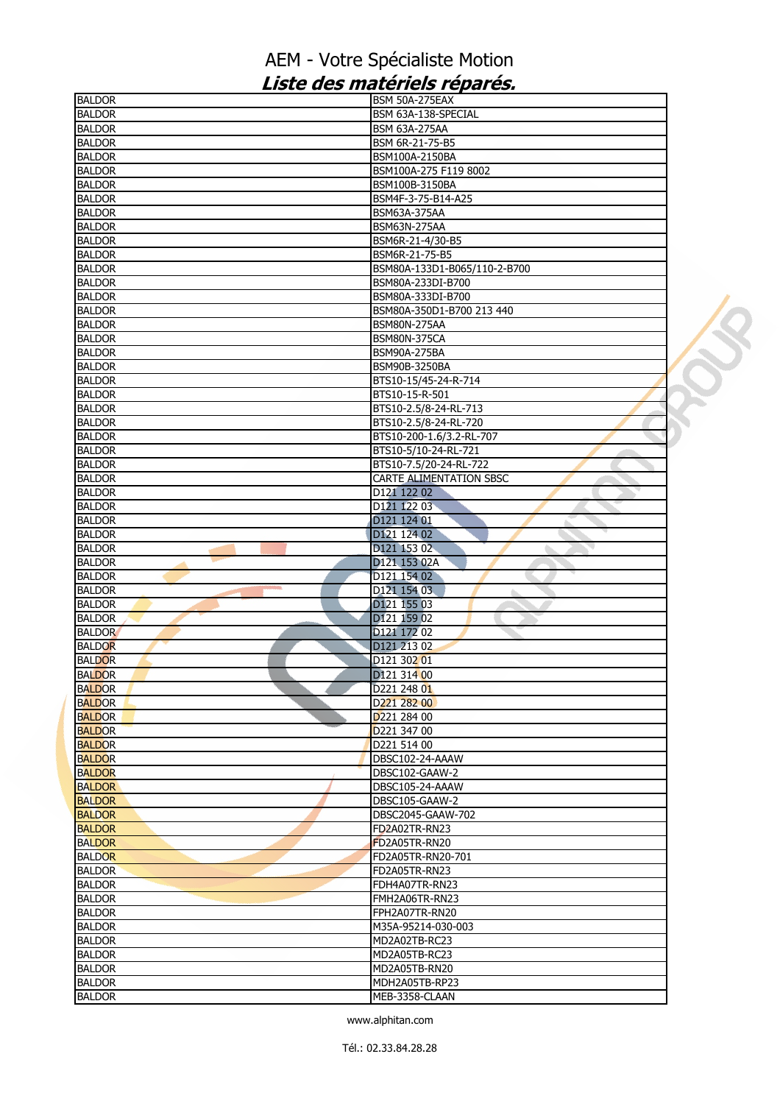| <b>BALDOR</b> | BSM 50A-275EAX                 |  |
|---------------|--------------------------------|--|
| <b>BALDOR</b> | BSM 63A-138-SPECIAL            |  |
| <b>BALDOR</b> | <b>BSM 63A-275AA</b>           |  |
| <b>BALDOR</b> | BSM 6R-21-75-B5                |  |
| <b>BALDOR</b> | BSM100A-2150BA                 |  |
| <b>BALDOR</b> | BSM100A-275 F119 8002          |  |
| <b>BALDOR</b> | BSM100B-3150BA                 |  |
| <b>BALDOR</b> | BSM4F-3-75-B14-A25             |  |
| <b>BALDOR</b> | <b>BSM63A-375AA</b>            |  |
| <b>BALDOR</b> | <b>BSM63N-275AA</b>            |  |
| <b>BALDOR</b> | BSM6R-21-4/30-B5               |  |
|               |                                |  |
| <b>BALDOR</b> | BSM6R-21-75-B5                 |  |
| <b>BALDOR</b> | BSM80A-133D1-B065/110-2-B700   |  |
| <b>BALDOR</b> | BSM80A-233DI-B700              |  |
| <b>BALDOR</b> | BSM80A-333DI-B700              |  |
| <b>BALDOR</b> | BSM80A-350D1-B700 213 440      |  |
| <b>BALDOR</b> | <b>BSM80N-275AA</b>            |  |
| <b>BALDOR</b> | <b>BSM80N-375CA</b>            |  |
| <b>BALDOR</b> | <b>BSM90A-275BA</b>            |  |
| <b>BALDOR</b> | BSM90B-3250BA                  |  |
| <b>BALDOR</b> | BTS10-15/45-24-R-714           |  |
| <b>BALDOR</b> | BTS10-15-R-501                 |  |
| <b>BALDOR</b> | BTS10-2.5/8-24-RL-713          |  |
| <b>BALDOR</b> | BTS10-2.5/8-24-RL-720          |  |
| <b>BALDOR</b> | BTS10-200-1.6/3.2-RL-707       |  |
| <b>BALDOR</b> | BTS10-5/10-24-RL-721           |  |
| <b>BALDOR</b> | BTS10-7.5/20-24-RL-722         |  |
| <b>BALDOR</b> | <b>CARTE ALIMENTATION SBSC</b> |  |
| <b>BALDOR</b> | D121 122 02                    |  |
| <b>BALDOR</b> | D121 122 03                    |  |
| <b>BALDOR</b> | D121 124 01                    |  |
| <b>BALDOR</b> | D121 124 02                    |  |
| <b>BALDOR</b> | D121 153 02<br>۰               |  |
| <b>BALDOR</b> | D121 153 02A                   |  |
| <b>BALDOR</b> | D121 154 02                    |  |
| <b>BALDOR</b> | D121 154 03                    |  |
| <b>BALDOR</b> | D121 155 03                    |  |
| <b>BALDOR</b> | D121 159 02                    |  |
| <b>BALDOR</b> | D121 172 02                    |  |
| <b>BALDOR</b> | D121 213 02                    |  |
| <b>BALDOR</b> | D121 302 01                    |  |
| <b>BALDOR</b> | D121 314 00                    |  |
| <b>BALDOR</b> | D221 248 0 <mark>1</mark>      |  |
| <b>BALDOR</b> | D221 282 00                    |  |
| <b>BALDOR</b> | D <sub>221</sub> 284 00        |  |
| <b>BALDOR</b> | D221 347 00                    |  |
| <b>BALDOR</b> | D221 514 00                    |  |
| <b>BALDOR</b> | DBSC102-24-AAAW                |  |
| <b>BALDOR</b> | DBSC102-GAAW-2                 |  |
| <b>BALDOR</b> | DBSC105-24-AAAW                |  |
| <b>BALDOR</b> | DBSC105-GAAW-2                 |  |
| <b>BALDOR</b> | DBSC2045-GAAW-702              |  |
| <b>BALDOR</b> | FD2A02TR-RN23                  |  |
| <b>BALDOR</b> | FD2A05TR-RN20                  |  |
| <b>BALDOR</b> | FD2A05TR-RN20-701              |  |
| <b>BALDOR</b> | FD2A05TR-RN23                  |  |
| <b>BALDOR</b> | FDH4A07TR-RN23                 |  |
| <b>BALDOR</b> | FMH2A06TR-RN23                 |  |
| <b>BALDOR</b> | FPH2A07TR-RN20                 |  |
| <b>BALDOR</b> | M35A-95214-030-003             |  |
| <b>BALDOR</b> | MD2A02TB-RC23                  |  |
| <b>BALDOR</b> | MD2A05TB-RC23                  |  |
|               |                                |  |
| <b>BALDOR</b> | MD2A05TB-RN20                  |  |
| <b>BALDOR</b> | MDH2A05TB-RP23                 |  |
| <b>BALDOR</b> | MEB-3358-CLAAN                 |  |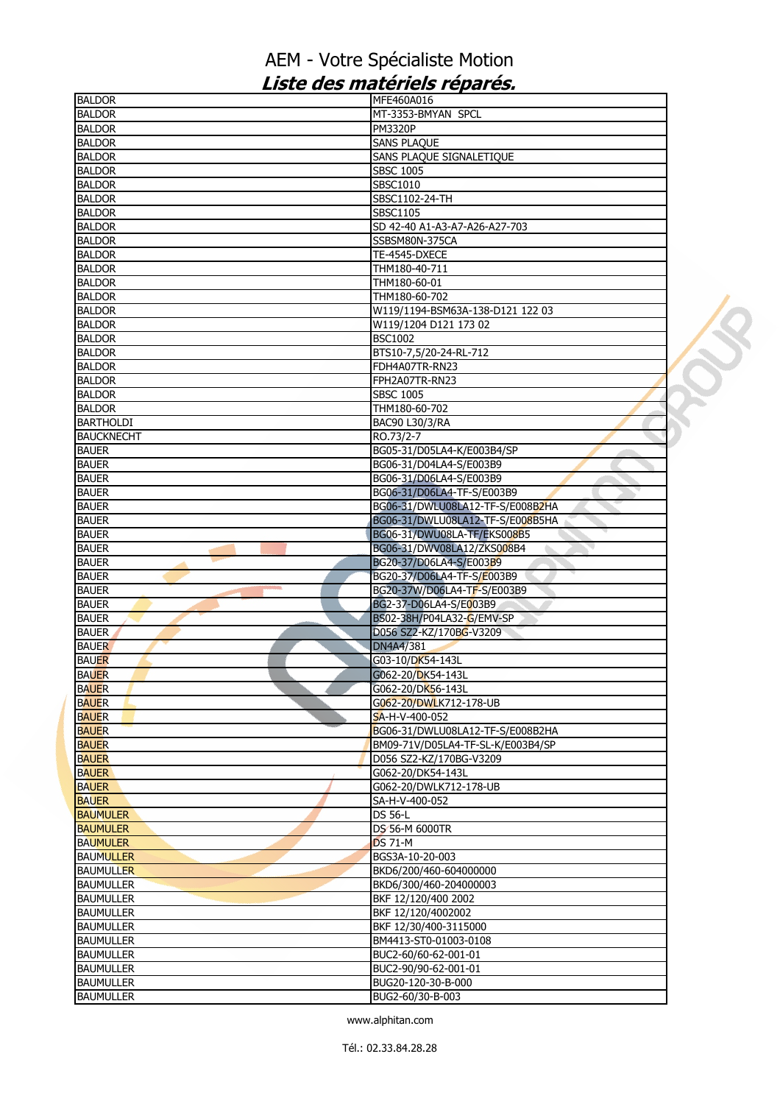| <b>BALDOR</b>     | MFE460A016                        |  |
|-------------------|-----------------------------------|--|
| <b>BALDOR</b>     | MT-3353-BMYAN SPCL                |  |
| <b>BALDOR</b>     | <b>PM3320P</b>                    |  |
| <b>BALDOR</b>     | <b>SANS PLAQUE</b>                |  |
| <b>BALDOR</b>     | SANS PLAQUE SIGNALETIQUE          |  |
| <b>BALDOR</b>     | <b>SBSC 1005</b>                  |  |
| <b>BALDOR</b>     | SBSC1010                          |  |
| <b>BALDOR</b>     | SBSC1102-24-TH                    |  |
| <b>BALDOR</b>     | SBSC1105                          |  |
|                   | SD 42-40 A1-A3-A7-A26-A27-703     |  |
| <b>BALDOR</b>     |                                   |  |
| <b>BALDOR</b>     | SSBSM80N-375CA                    |  |
| <b>BALDOR</b>     | TE-4545-DXECE                     |  |
| <b>BALDOR</b>     | THM180-40-711                     |  |
| <b>BALDOR</b>     | THM180-60-01                      |  |
| <b>BALDOR</b>     | THM180-60-702                     |  |
| <b>BALDOR</b>     | W119/1194-BSM63A-138-D121 122 03  |  |
| <b>BALDOR</b>     | W119/1204 D121 173 02             |  |
| <b>BALDOR</b>     | <b>BSC1002</b>                    |  |
| <b>BALDOR</b>     | BTS10-7,5/20-24-RL-712            |  |
| <b>BALDOR</b>     | FDH4A07TR-RN23                    |  |
| <b>BALDOR</b>     | FPH2A07TR-RN23                    |  |
| <b>BALDOR</b>     |                                   |  |
|                   | <b>SBSC 1005</b>                  |  |
| <b>BALDOR</b>     | THM180-60-702                     |  |
| <b>BARTHOLDI</b>  | BAC90 L30/3/RA                    |  |
| <b>BAUCKNECHT</b> | RO.73/2-7                         |  |
| <b>BAUER</b>      | BG05-31/D05LA4-K/E003B4/SP        |  |
| <b>BAUER</b>      | BG06-31/D04LA4-S/E003B9           |  |
| <b>BAUER</b>      | BG06-31/D06LA4-S/E003B9           |  |
| <b>BAUER</b>      | BG06-31/D06LA4-TF-S/E003B9        |  |
| <b>BAUER</b>      | BG06-31/DWLU08LA12-TF-S/E008B2HA  |  |
| <b>BAUER</b>      | BG06-31/DWLU08LA12-TF-S/E008B5HA  |  |
| <b>BAUER</b>      | BG06-31/DWU08LA-TF/EKS008B5       |  |
| <b>BAUER</b>      | BG06-31/DWV08LA12/ZKS008B4        |  |
| <b>BAUER</b>      | BG20-37/D06LA4-S/E003B9           |  |
| <b>BAUER</b>      | BG20-37/D06LA4-TF-S/E003B9        |  |
|                   |                                   |  |
| <b>BAUER</b>      | BG20-37W/D06LA4-TF-S/E003B9       |  |
| <b>BAUER</b>      | BG2-37-D06LA4-S/E003B9            |  |
| <b>BAUER</b>      | BS02-38H/P04LA32-G/EMV-SP         |  |
| <b>BAUER</b>      | D056 SZ2-KZ/170BG-V3209           |  |
| <b>BAUER</b>      | DN4A4/381                         |  |
| <b>BAUER</b>      | G03-10/DK54-143L                  |  |
| <b>BAUER</b>      | G062-20/DK54-143L                 |  |
| <b>BAUER</b>      | G062-20/DK56-143L                 |  |
| <b>BAUER</b>      | G062-20/DWLK712-178-UB            |  |
| <b>BAUER</b>      | SA-H-V-400-052                    |  |
| <b>BAUER</b>      | BG06-31/DWLU08LA12-TF-S/E008B2HA  |  |
| <b>BAUER</b>      | BM09-71V/D05LA4-TF-SL-K/E003B4/SP |  |
| <b>BAUER</b>      | D056 SZ2-KZ/170BG-V3209           |  |
| <b>BAUER</b>      | G062-20/DK54-143L                 |  |
| <b>BAUER</b>      | G062-20/DWLK712-178-UB            |  |
| <b>BAUER</b>      | SA-H-V-400-052                    |  |
| <b>BAUMULER</b>   | <b>DS 56-L</b>                    |  |
|                   | DS 56-M 6000TR                    |  |
| <b>BAUMULER</b>   |                                   |  |
| <b>BAUMULER</b>   | <b>DS 71-M</b>                    |  |
| <b>BAUMULLER</b>  | BGS3A-10-20-003                   |  |
| <b>BAUMULLER</b>  | BKD6/200/460-604000000            |  |
| <b>BAUMULLER</b>  | BKD6/300/460-204000003            |  |
| <b>BAUMULLER</b>  | BKF 12/120/400 2002               |  |
| <b>BAUMULLER</b>  | BKF 12/120/4002002                |  |
| <b>BAUMULLER</b>  | BKF 12/30/400-3115000             |  |
| <b>BAUMULLER</b>  | BM4413-ST0-01003-0108             |  |
| <b>BAUMULLER</b>  | BUC2-60/60-62-001-01              |  |
| <b>BAUMULLER</b>  | BUC2-90/90-62-001-01              |  |
| <b>BAUMULLER</b>  | BUG20-120-30-B-000                |  |
| <b>BAUMULLER</b>  | BUG2-60/30-B-003                  |  |
|                   |                                   |  |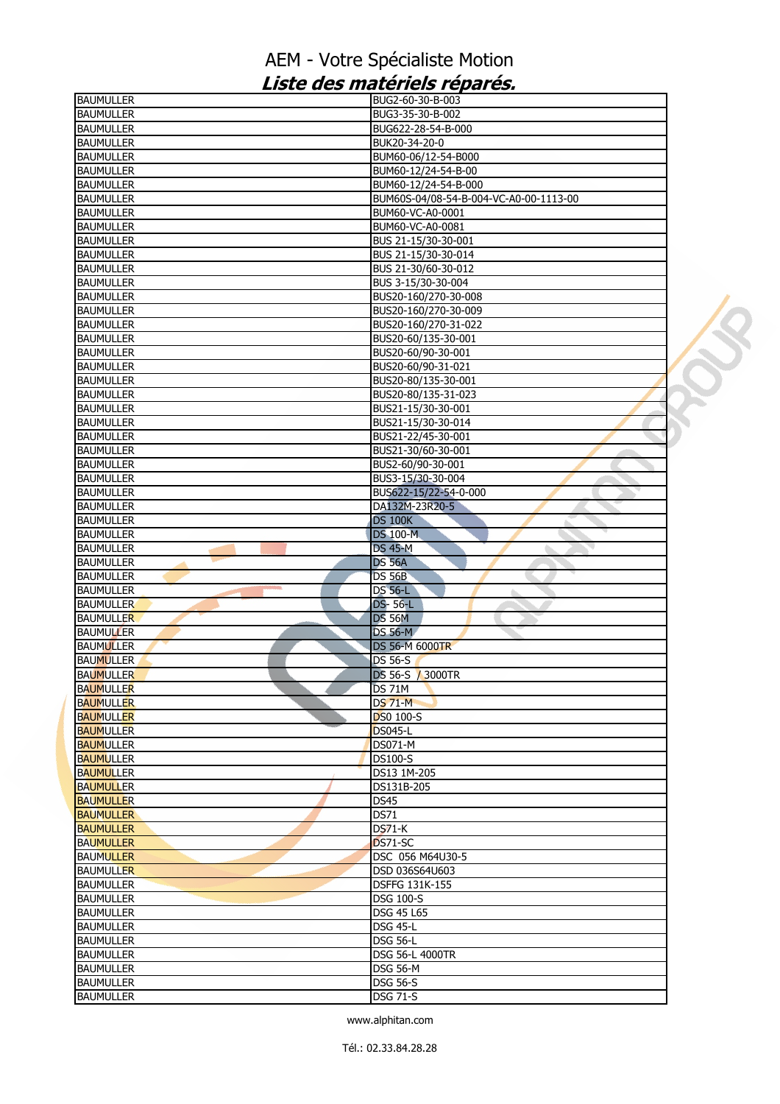| <b>BAUMULLER</b>                     | BUG2-60-30-B-003                       |  |
|--------------------------------------|----------------------------------------|--|
| <b>BAUMULLER</b>                     | BUG3-35-30-B-002                       |  |
| <b>BAUMULLER</b>                     | BUG622-28-54-B-000                     |  |
| <b>BAUMULLER</b>                     | BUK20-34-20-0                          |  |
| <b>BAUMULLER</b>                     | BUM60-06/12-54-B000                    |  |
| <b>BAUMULLER</b>                     | BUM60-12/24-54-B-00                    |  |
| <b>BAUMULLER</b>                     | BUM60-12/24-54-B-000                   |  |
| <b>BAUMULLER</b>                     | BUM60S-04/08-54-B-004-VC-A0-00-1113-00 |  |
| <b>BAUMULLER</b>                     | BUM60-VC-A0-0001                       |  |
| <b>BAUMULLER</b>                     | BUM60-VC-A0-0081                       |  |
| <b>BAUMULLER</b>                     | BUS 21-15/30-30-001                    |  |
| <b>BAUMULLER</b>                     | BUS 21-15/30-30-014                    |  |
| <b>BAUMULLER</b>                     | BUS 21-30/60-30-012                    |  |
| <b>BAUMULLER</b>                     | BUS 3-15/30-30-004                     |  |
| <b>BAUMULLER</b>                     | BUS20-160/270-30-008                   |  |
| <b>BAUMULLER</b>                     | BUS20-160/270-30-009                   |  |
| <b>BAUMULLER</b>                     | BUS20-160/270-31-022                   |  |
| <b>BAUMULLER</b>                     | BUS20-60/135-30-001                    |  |
| <b>BAUMULLER</b>                     | BUS20-60/90-30-001                     |  |
| <b>BAUMULLER</b>                     | BUS20-60/90-31-021                     |  |
| <b>BAUMULLER</b>                     | BUS20-80/135-30-001                    |  |
| <b>BAUMULLER</b>                     | BUS20-80/135-31-023                    |  |
| <b>BAUMULLER</b>                     | BUS21-15/30-30-001                     |  |
| <b>BAUMULLER</b>                     | BUS21-15/30-30-014                     |  |
| <b>BAUMULLER</b>                     | BUS21-22/45-30-001                     |  |
| <b>BAUMULLER</b>                     | BUS21-30/60-30-001                     |  |
| <b>BAUMULLER</b>                     | BUS2-60/90-30-001                      |  |
| <b>BAUMULLER</b>                     | BUS3-15/30-30-004                      |  |
| <b>BAUMULLER</b>                     | BUS622-15/22-54-0-000                  |  |
| <b>BAUMULLER</b><br><b>BAUMULLER</b> | DA132M-23R20-5                         |  |
| <b>BAUMULLER</b>                     | <b>DS 100K</b><br><b>DS 100-M</b>      |  |
| <b>BAUMULLER</b>                     | <b>DS 45-M</b>                         |  |
| <b>BAUMULLER</b>                     | <b>DS 56A</b>                          |  |
| <b>BAUMULLER</b>                     | <b>DS 56B</b>                          |  |
| <b>BAUMULLER</b>                     | <b>DS 56-L</b><br>ь                    |  |
| <b>BAUMULLER</b>                     | <b>DS-56-L</b>                         |  |
| <b>BAUMULLER</b>                     | <b>DS 56M</b>                          |  |
| <b>BAUMULLER</b>                     | <b>DS 56-M</b>                         |  |
| <b>BAUMULLER</b>                     | <b>DS 56-M 6000TR</b>                  |  |
| <b>BAUMULLER</b>                     | DS 56-S                                |  |
| <b>BAUMULLER</b>                     | DS 56-S / 3000TR                       |  |
| <b>BAUMULLER</b>                     | DS 71M                                 |  |
| <b>BAUMULLER</b>                     | <b>DS 71-M</b>                         |  |
| <b>BAUMULLER</b>                     | <b>DS0 100-S</b>                       |  |
| <b>BAUMULLER</b>                     | <b>DS045-L</b>                         |  |
| <b>BAUMULLER</b>                     | <b>DS071-M</b>                         |  |
| <b>BAUMULLER</b>                     | <b>DS100-S</b>                         |  |
| <b>BAUMULLER</b>                     | DS13 1M-205                            |  |
| <b>BAUMULLER</b>                     | DS131B-205                             |  |
| <b>BAUMULLER</b>                     | <b>DS45</b>                            |  |
| <b>BAUMULLER</b>                     | <b>DS71</b>                            |  |
| <b>BAUMULLER</b>                     | $DS71-K$                               |  |
| <b>BAUMULLER</b>                     | DS71-SC                                |  |
| <b>BAUMULLER</b>                     | DSC 056 M64U30-5                       |  |
| <b>BAUMULLER</b>                     | DSD 036S64U603                         |  |
| <b>BAUMULLER</b>                     | <b>DSFFG 131K-155</b>                  |  |
| <b>BAUMULLER</b>                     | <b>DSG 100-S</b>                       |  |
| <b>BAUMULLER</b>                     | <b>DSG 45 L65</b>                      |  |
| <b>BAUMULLER</b>                     | <b>DSG 45-L</b>                        |  |
| <b>BAUMULLER</b>                     | <b>DSG 56-L</b>                        |  |
| <b>BAUMULLER</b>                     | <b>DSG 56-L 4000TR</b>                 |  |
| <b>BAUMULLER</b>                     | <b>DSG 56-M</b>                        |  |
| <b>BAUMULLER</b>                     | <b>DSG 56-S</b>                        |  |
| <b>BAUMULLER</b>                     | <b>DSG 71-S</b>                        |  |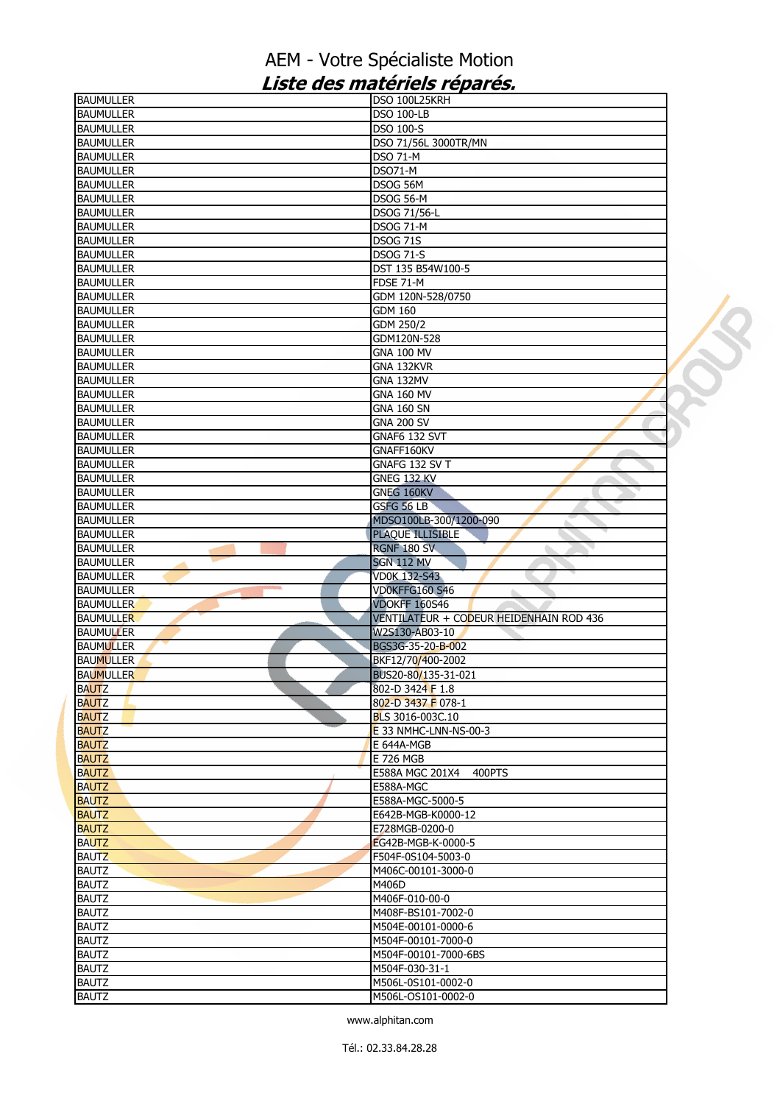| <b>BAUMULLER</b>                     | DSO 100L25KRH                           |  |
|--------------------------------------|-----------------------------------------|--|
| <b>BAUMULLER</b>                     | <b>DSO 100-LB</b>                       |  |
| <b>BAUMULLER</b>                     | <b>DSO 100-S</b>                        |  |
| <b>BAUMULLER</b>                     | DSO 71/56L 3000TR/MN                    |  |
| <b>BAUMULLER</b>                     | <b>DSO 71-M</b>                         |  |
| <b>BAUMULLER</b>                     | <b>DSO71-M</b>                          |  |
| <b>BAUMULLER</b>                     | DSOG 56M                                |  |
| <b>BAUMULLER</b>                     | DSOG 56-M                               |  |
| <b>BAUMULLER</b>                     | DSOG 71/56-L                            |  |
| <b>BAUMULLER</b>                     | <b>DSOG 71-M</b>                        |  |
| <b>BAUMULLER</b>                     | <b>DSOG 71S</b>                         |  |
| <b>BAUMULLER</b>                     | <b>DSOG 71-S</b>                        |  |
| <b>BAUMULLER</b>                     | DST 135 B54W100-5                       |  |
| <b>BAUMULLER</b>                     | <b>FDSE 71-M</b>                        |  |
| <b>BAUMULLER</b>                     | GDM 120N-528/0750                       |  |
| <b>BAUMULLER</b>                     | <b>GDM 160</b>                          |  |
| <b>BAUMULLER</b>                     | GDM 250/2                               |  |
| <b>BAUMULLER</b>                     | GDM120N-528                             |  |
| <b>BAUMULLER</b>                     | <b>GNA 100 MV</b>                       |  |
| <b>BAUMULLER</b>                     | GNA 132KVR                              |  |
| <b>BAUMULLER</b>                     | <b>GNA 132MV</b>                        |  |
| <b>BAUMULLER</b>                     | <b>GNA 160 MV</b>                       |  |
| <b>BAUMULLER</b>                     | <b>GNA 160 SN</b>                       |  |
| <b>BAUMULLER</b>                     | <b>GNA 200 SV</b>                       |  |
| <b>BAUMULLER</b><br><b>BAUMULLER</b> | GNAF6 132 SVT<br>GNAFF160KV             |  |
| <b>BAUMULLER</b>                     | GNAFG 132 SV T                          |  |
| <b>BAUMULLER</b>                     | GNEG 132 KV                             |  |
| <b>BAUMULLER</b>                     | GNEG 160KV                              |  |
| <b>BAUMULLER</b>                     | GSFG 56 LB                              |  |
| <b>BAUMULLER</b>                     | MDSO100LB-300/1200-090                  |  |
| <b>BAUMULLER</b>                     | <b>PLAQUE ILLISIBLE</b>                 |  |
| <b>BAUMULLER</b>                     | RGNF 180 SV                             |  |
| <b>BAUMULLER</b>                     | <b>SGN 112 MV</b>                       |  |
| <b>BAUMULLER</b>                     | <b>VD0K 132-S43</b>                     |  |
| <b>BAUMULLER</b>                     | VD0KFFG160 S46<br>a.                    |  |
| <b>BAUMULLER</b>                     | <b>VDOKFF 160S46</b>                    |  |
| <b>BAUMULLER</b>                     | VENTILATEUR + CODEUR HEIDENHAIN ROD 436 |  |
| <b>BAUMULLER</b>                     | W2S130-AB03-10                          |  |
| <b>BAUMULLER</b>                     | BGS3G-35-20-B-002                       |  |
| <b>BAUMULLER</b>                     | BKF12/70/400-2002                       |  |
| <b>BAUMULLER</b>                     | BUS20-80/135-31-021                     |  |
| <b>BAUTZ</b>                         | 802-D 3424 F 1.8                        |  |
| <b>BAUTZ</b>                         | 802-D 3437 F 078-1                      |  |
| <b>BAUTZ</b>                         | BLS 3016-003C.10                        |  |
| <b>BAUTZ</b>                         | E 33 NMHC-LNN-NS-00-3                   |  |
| <b>BAUTZ</b>                         | E 644A-MGB                              |  |
| <b>BAUTZ</b>                         | E 726 MGB                               |  |
| <b>BAUTZ</b>                         | E588A MGC 201X4<br>400PTS               |  |
| <b>BAUTZ</b>                         | E588A-MGC                               |  |
| <b>BAUTZ</b>                         | E588A-MGC-5000-5                        |  |
| <b>BAUTZ</b>                         | E642B-MGB-K0000-12                      |  |
| <b>BAUTZ</b>                         | E728MGB-0200-0                          |  |
| <b>BAUTZ</b>                         | EG42B-MGB-K-0000-5                      |  |
| <b>BAUTZ</b>                         | F504F-0S104-5003-0                      |  |
| <b>BAUTZ</b><br><b>BAUTZ</b>         | M406C-00101-3000-0<br>M406D             |  |
| <b>BAUTZ</b>                         | M406F-010-00-0                          |  |
| <b>BAUTZ</b>                         | M408F-BS101-7002-0                      |  |
| <b>BAUTZ</b>                         | M504E-00101-0000-6                      |  |
| <b>BAUTZ</b>                         | M504F-00101-7000-0                      |  |
| <b>BAUTZ</b>                         | M504F-00101-7000-6BS                    |  |
| <b>BAUTZ</b>                         | M504F-030-31-1                          |  |
| <b>BAUTZ</b>                         | M506L-0S101-0002-0                      |  |
| <b>BAUTZ</b>                         | M506L-OS101-0002-0                      |  |
|                                      |                                         |  |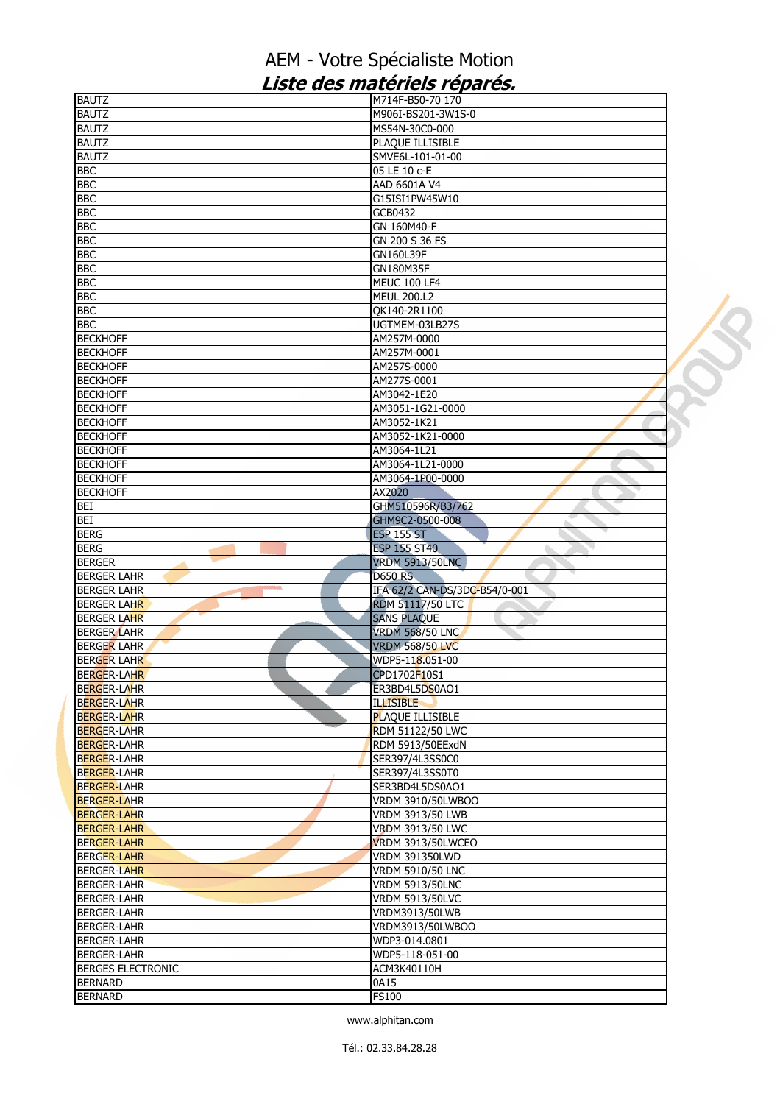| <b>BAUTZ</b>                               | M714F-B50-70 170               |  |
|--------------------------------------------|--------------------------------|--|
| <b>BAUTZ</b>                               | M906I-BS201-3W1S-0             |  |
| <b>BAUTZ</b>                               | MS54N-30C0-000                 |  |
| <b>BAUTZ</b>                               | PLAQUE ILLISIBLE               |  |
| <b>BAUTZ</b>                               | SMVE6L-101-01-00               |  |
| <b>BBC</b>                                 | 05 LE 10 c-E                   |  |
| <b>BBC</b>                                 | AAD 6601A V4                   |  |
| <b>BBC</b>                                 | G15ISI1PW45W10                 |  |
| <b>BBC</b>                                 | GCB0432                        |  |
| <b>BBC</b>                                 | GN 160M40-F                    |  |
| <b>BBC</b>                                 | GN 200 S 36 FS                 |  |
| <b>BBC</b>                                 | GN160L39F                      |  |
| <b>BBC</b>                                 | GN180M35F                      |  |
| <b>BBC</b>                                 | <b>MEUC 100 LF4</b>            |  |
| <b>BBC</b>                                 |                                |  |
|                                            | <b>MEUL 200.L2</b>             |  |
| <b>BBC</b><br><b>BBC</b>                   | QK140-2R1100<br>UGTMEM-03LB27S |  |
|                                            |                                |  |
| <b>BECKHOFF</b>                            | AM257M-0000                    |  |
| <b>BECKHOFF</b>                            | AM257M-0001                    |  |
| <b>BECKHOFF</b>                            | AM257S-0000                    |  |
| <b>BECKHOFF</b>                            | AM277S-0001                    |  |
| <b>BECKHOFF</b>                            | AM3042-1E20                    |  |
| <b>BECKHOFF</b>                            | AM3051-1G21-0000               |  |
| <b>BECKHOFF</b>                            | AM3052-1K21                    |  |
| <b>BECKHOFF</b>                            | AM3052-1K21-0000               |  |
| <b>BECKHOFF</b>                            | AM3064-1L21                    |  |
| <b>BECKHOFF</b>                            | AM3064-1L21-0000               |  |
| <b>BECKHOFF</b>                            | AM3064-1P00-0000               |  |
| <b>BECKHOFF</b>                            | AX2020                         |  |
| <b>BEI</b>                                 | GHM510596R/B3/762              |  |
| <b>BEI</b>                                 | GHM9C2-0500-008                |  |
| <b>BERG</b>                                | <b>ESP 155 ST</b>              |  |
| <b>BERG</b>                                | <b>ESP 155 ST40</b>            |  |
| <b>BERGER</b>                              | <b>VRDM 5913/50LNC</b>         |  |
| <b>BERGER LAHR</b>                         | <b>D650 RS</b>                 |  |
| <b>BERGER LAHR</b>                         | IFA 62/2 CAN-DS/3DC-B54/0-001  |  |
| <b>BERGER LAHR</b>                         | <b>RDM 51117/50 LTC</b>        |  |
| <b>BERGER LAHR</b>                         | <b>SANS PLAQUE</b>             |  |
| <b>BERGER LAHR</b>                         | <b>VRDM 568/50 LNC</b>         |  |
| <b>BERGER LAHR</b>                         | <b>VRDM 568/50 LVC</b>         |  |
| <b>BERGER LAHR</b>                         | WDP5-118.051-00                |  |
| <b>BERGER-LAHR</b>                         | CPD1702F10S1                   |  |
| <b>BERGER-LAHR</b>                         | ER3BD4L5DS0AO1                 |  |
| <b>BERGER-LAHR</b>                         | <b>ILLISIBLE</b>               |  |
| <b>BERGER-LAHR</b>                         | <b>PLAQUE ILLISIBLE</b>        |  |
| <b>BERGER-LAHR</b>                         | <b>RDM 51122/50 LWC</b>        |  |
| <b>BERGER-LAHR</b>                         | RDM 5913/50EExdN               |  |
| <b>BERGER-LAHR</b>                         | SER397/4L3SS0C0                |  |
| <b>BERGER-LAHR</b>                         | SER397/4L3SS0T0                |  |
| <b>BERGER-LAHR</b>                         | SER3BD4L5DS0AO1                |  |
| <b>BERGER-LAHR</b>                         | VRDM 3910/50LWBOO              |  |
| <b>BERGER-LAHR</b>                         | VRDM 3913/50 LWB               |  |
| <b>BERGER-LAHR</b>                         | <b>VRDM 3913/50 LWC</b>        |  |
| <b>BERGER-LAHR</b>                         | <b>VRDM 3913/50LWCEO</b>       |  |
| <b>BERGER-LAHR</b>                         | <b>VRDM 391350LWD</b>          |  |
| <b>BERGER-LAHR</b>                         | <b>VRDM 5910/50 LNC</b>        |  |
| <b>BERGER-LAHR</b>                         | <b>VRDM 5913/50LNC</b>         |  |
| <b>BERGER-LAHR</b>                         | <b>VRDM 5913/50LVC</b>         |  |
| <b>BERGER-LAHR</b>                         | VRDM3913/50LWB                 |  |
| <b>BERGER-LAHR</b>                         | VRDM3913/50LWBOO               |  |
|                                            | WDP3-014.0801                  |  |
| <b>BERGER-LAHR</b>                         |                                |  |
| <b>BERGER-LAHR</b>                         | WDP5-118-051-00                |  |
| <b>BERGES ELECTRONIC</b><br><b>BERNARD</b> | ACM3K40110H                    |  |
|                                            |                                |  |
| <b>BERNARD</b>                             | 0A15<br><b>FS100</b>           |  |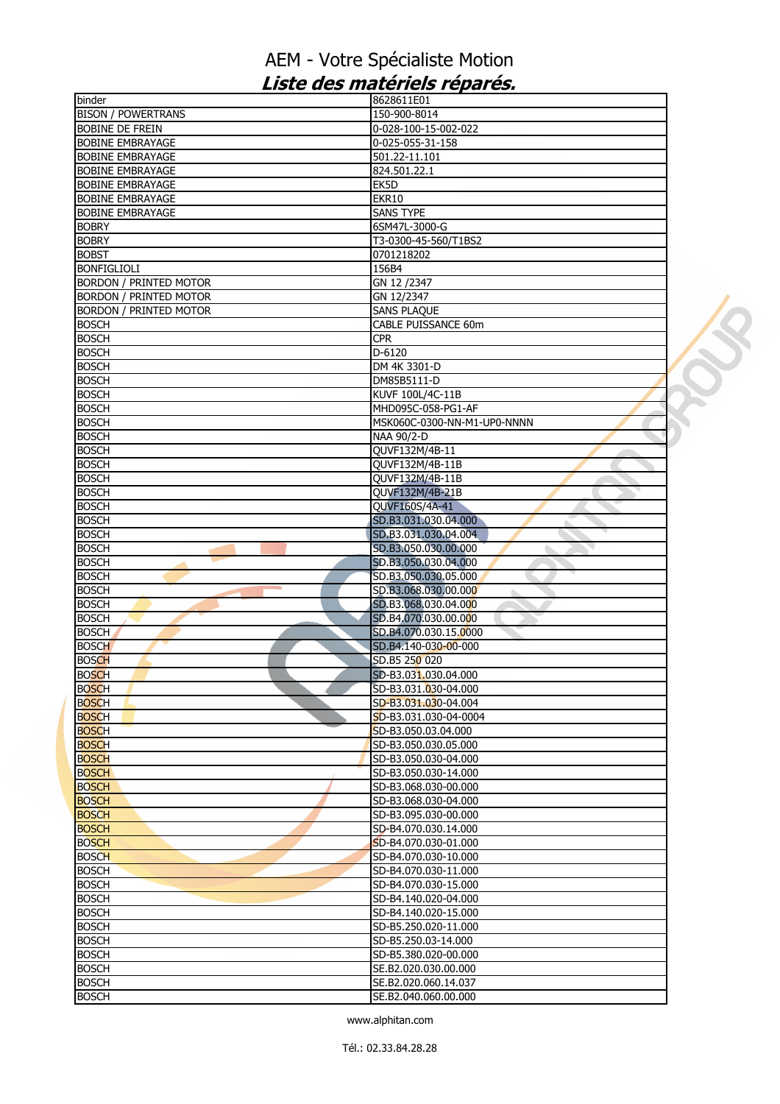| binder                        | 8628611E01                  |  |
|-------------------------------|-----------------------------|--|
| <b>BISON / POWERTRANS</b>     | 150-900-8014                |  |
| <b>BOBINE DE FREIN</b>        | 0-028-100-15-002-022        |  |
| <b>BOBINE EMBRAYAGE</b>       | 0-025-055-31-158            |  |
| <b>BOBINE EMBRAYAGE</b>       | 501.22-11.101               |  |
| <b>BOBINE EMBRAYAGE</b>       | 824.501.22.1                |  |
| <b>BOBINE EMBRAYAGE</b>       | EK5D                        |  |
| <b>BOBINE EMBRAYAGE</b>       | EKR10                       |  |
| <b>BOBINE EMBRAYAGE</b>       | <b>SANS TYPE</b>            |  |
| <b>BOBRY</b>                  | 6SM47L-3000-G               |  |
| <b>BOBRY</b>                  | T3-0300-45-560/T1BS2        |  |
| <b>BOBST</b>                  | 0701218202                  |  |
| <b>BONFIGLIOLI</b>            | 156B4                       |  |
| <b>BORDON / PRINTED MOTOR</b> | GN 12 /2347                 |  |
| <b>BORDON / PRINTED MOTOR</b> | GN 12/2347                  |  |
| <b>BORDON / PRINTED MOTOR</b> | <b>SANS PLAQUE</b>          |  |
| <b>BOSCH</b>                  | CABLE PUISSANCE 60m         |  |
| <b>BOSCH</b>                  | <b>CPR</b>                  |  |
| <b>BOSCH</b>                  | $D-6120$                    |  |
| <b>BOSCH</b>                  | DM 4K 3301-D                |  |
| <b>BOSCH</b>                  | DM85B5111-D                 |  |
| <b>BOSCH</b>                  | KUVF 100L/4C-11B            |  |
| <b>BOSCH</b>                  | MHD095C-058-PG1-AF          |  |
| <b>BOSCH</b>                  | MSK060C-0300-NN-M1-UP0-NNNN |  |
| <b>BOSCH</b>                  | NAA 90/2-D                  |  |
| <b>BOSCH</b>                  | QUVF132M/4B-11              |  |
| <b>BOSCH</b>                  | QUVF132M/4B-11B             |  |
| <b>BOSCH</b>                  | QUVF132M/4B-11B             |  |
| <b>BOSCH</b>                  | QUVF132M/4B-21B             |  |
| <b>BOSCH</b>                  | QUVF160S/4A-41              |  |
| <b>BOSCH</b>                  | SD.B3.031.030.04.000        |  |
| <b>BOSCH</b>                  | SD.B3.031.030.04.004        |  |
| <b>BOSCH</b>                  | SD.B3.050.030.00.000        |  |
| <b>BOSCH</b>                  | SD.B3.050.030.04.000        |  |
| <b>BOSCH</b>                  | SD.B3.050.030.05.000        |  |
| <b>BOSCH</b>                  | SD.B3.068.030.00.000        |  |
| <b>BOSCH</b>                  | SD.B3.068.030.04.000        |  |
| <b>BOSCH</b>                  | SD.B4.070.030.00.000        |  |
| <b>BOSCH</b>                  | SD.B4.070.030.15.0000       |  |
| <b>BOSCH</b>                  | SD.B4.140-030-00-000        |  |
| <b>BOSCH</b>                  | SD.B5 250 020               |  |
| <b>BOSCH</b>                  | SD-B3.031.030.04.000        |  |
| <b>BOSCH</b>                  | SD-B3.031.030-04.000        |  |
| <b>BOSCH</b>                  | SD-B3.031.030-04.004        |  |
| <b>BOSCH</b>                  | SD-B3.031.030-04-0004       |  |
| <b>BOSCH</b>                  | SD-B3.050.03.04.000         |  |
| <b>BOSCH</b>                  | SD-B3.050.030.05.000        |  |
| <b>BOSCH</b>                  | SD-B3.050.030-04.000        |  |
| <b>BOSCH</b>                  | SD-B3.050.030-14.000        |  |
| <b>BOSCH</b>                  | SD-B3.068.030-00.000        |  |
| <b>BOSCH</b>                  | SD-B3.068.030-04.000        |  |
| <b>BOSCH</b>                  | SD-B3.095.030-00.000        |  |
| <b>BOSCH</b>                  | SD-B4.070.030.14.000        |  |
| <b>BOSCH</b>                  | SD-B4.070.030-01.000        |  |
| <b>BOSCH</b>                  | SD-B4.070.030-10.000        |  |
| <b>BOSCH</b>                  | SD-B4.070.030-11.000        |  |
| <b>BOSCH</b>                  | SD-B4.070.030-15.000        |  |
| <b>BOSCH</b>                  | SD-B4.140.020-04.000        |  |
| <b>BOSCH</b>                  | SD-B4.140.020-15.000        |  |
| <b>BOSCH</b>                  | SD-B5.250.020-11.000        |  |
| <b>BOSCH</b>                  | SD-B5.250.03-14.000         |  |
| <b>BOSCH</b>                  | SD-B5.380.020-00.000        |  |
| <b>BOSCH</b>                  | SE.B2.020.030.00.000        |  |
| <b>BOSCH</b>                  | SE.B2.020.060.14.037        |  |
| <b>BOSCH</b>                  | SE.B2.040.060.00.000        |  |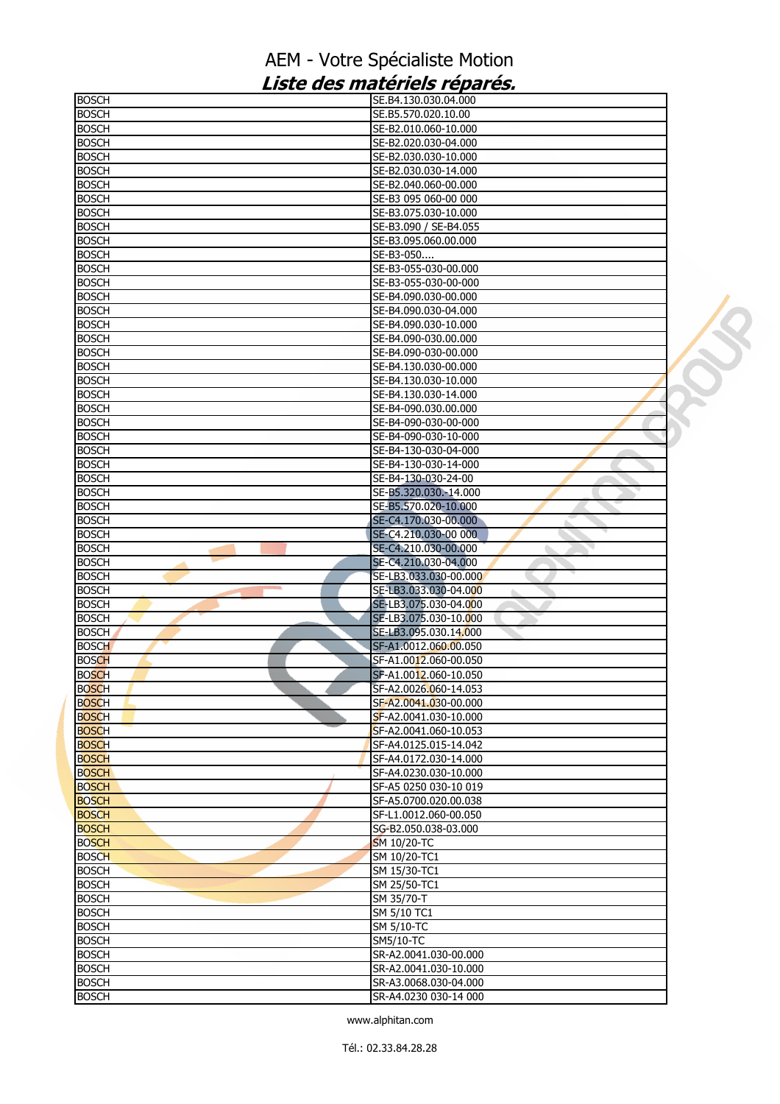| <b>BOSCH</b>                 | SE.B4.130.030.04.000                           |
|------------------------------|------------------------------------------------|
| <b>BOSCH</b>                 | SE.B5.570.020.10.00                            |
| <b>BOSCH</b>                 | SE-B2.010.060-10.000                           |
| <b>BOSCH</b>                 | SE-B2.020.030-04.000                           |
| <b>BOSCH</b>                 | SE-B2.030.030-10.000                           |
| <b>BOSCH</b>                 | SE-B2.030.030-14.000                           |
| <b>BOSCH</b>                 | SE-B2.040.060-00.000                           |
| <b>BOSCH</b>                 | SE-B3 095 060-00 000                           |
| <b>BOSCH</b>                 | SE-B3.075.030-10.000                           |
| <b>BOSCH</b>                 | SE-B3.090 / SE-B4.055                          |
| <b>BOSCH</b>                 | SE-B3.095.060.00.000                           |
| <b>BOSCH</b>                 | SE-B3-050                                      |
| <b>BOSCH</b>                 | SE-B3-055-030-00.000                           |
| <b>BOSCH</b>                 | SE-B3-055-030-00-000                           |
| <b>BOSCH</b><br><b>BOSCH</b> | SE-B4.090.030-00.000<br>SE-B4.090.030-04.000   |
| <b>BOSCH</b>                 | SE-B4.090.030-10.000                           |
| <b>BOSCH</b>                 | SE-B4.090-030.00.000                           |
| <b>BOSCH</b>                 | SE-B4.090-030-00.000                           |
| <b>BOSCH</b>                 | SE-B4.130.030-00.000                           |
| <b>BOSCH</b>                 | SE-B4.130.030-10.000                           |
| <b>BOSCH</b>                 | SE-B4.130.030-14.000                           |
| <b>BOSCH</b>                 | SE-B4-090.030.00.000                           |
| <b>BOSCH</b>                 | SE-B4-090-030-00-000                           |
| <b>BOSCH</b>                 | SE-B4-090-030-10-000                           |
| <b>BOSCH</b>                 | SE-B4-130-030-04-000                           |
| BOSCH                        | SE-B4-130-030-14-000                           |
| <b>BOSCH</b>                 | SE-B4-130-030-24-00                            |
| <b>BOSCH</b>                 | SE-B5.320.030.-14.000                          |
| <b>BOSCH</b>                 | SE-B5.570.020-10.000                           |
| <b>BOSCH</b>                 | SE-C4.170.030-00.000                           |
| <b>BOSCH</b>                 | SE-C4.210.030-00 000                           |
| <b>BOSCH</b>                 | SE-C4.210.030-00.000                           |
| BOSCH                        | SE-C4.210.030-04.000                           |
| <b>BOSCH</b>                 | SE-LB3.033.030-00.000                          |
| <b>BOSCH</b>                 | SE-LB3.033.030-04.000<br>۵                     |
| <b>BOSCH</b>                 | SE-LB3.075.030-04.000                          |
| <b>BOSCH</b>                 | SE-LB3.075.030-10.000                          |
| <b>BOSCH</b>                 | SE-LB3.095.030.14.000                          |
| <b>BOSCH</b>                 | SF-A1.0012.060.00.050                          |
| <b>BOSCH</b><br><b>BOSCH</b> | SF-A1.0012.060-00.050                          |
| <b>BOSCH</b>                 | SF-A1.0012.060-10.050<br>SF-A2.0026.060-14.053 |
| <b>BOSCH</b>                 | SF-A2.0041.030-00.000                          |
| <b>BOSCH</b>                 | SF-A2.0041.030-10.000                          |
| <b>BOSCH</b>                 | SF-A2.0041.060-10.053                          |
| <b>BOSCH</b>                 | SF-A4.0125.015-14.042                          |
| <b>BOSCH</b>                 | SF-A4.0172.030-14.000                          |
| <b>BOSCH</b>                 | SF-A4.0230.030-10.000                          |
| <b>BOSCH</b>                 |                                                |
|                              | SF-A5 0250 030-10 019                          |
| <b>BOSCH</b>                 | SF-A5.0700.020.00.038                          |
| <b>BOSCH</b>                 | SF-L1.0012.060-00.050                          |
| <b>BOSCH</b>                 | SG-B2.050.038-03.000                           |
| <b>BOSCH</b>                 | SM 10/20-TC                                    |
| <b>BOSCH</b>                 | SM 10/20-TC1                                   |
| <b>BOSCH</b>                 | SM 15/30-TC1                                   |
| <b>BOSCH</b>                 | SM 25/50-TC1                                   |
| <b>BOSCH</b>                 | SM 35/70-T                                     |
| <b>BOSCH</b>                 | SM 5/10 TC1                                    |
| <b>BOSCH</b>                 | SM 5/10-TC                                     |
| <b>BOSCH</b>                 | <b>SM5/10-TC</b>                               |
| <b>BOSCH</b>                 | SR-A2.0041.030-00.000                          |
| <b>BOSCH</b>                 | SR-A2.0041.030-10.000                          |
| <b>BOSCH</b><br><b>BOSCH</b> | SR-A3.0068.030-04.000<br>SR-A4.0230 030-14 000 |

U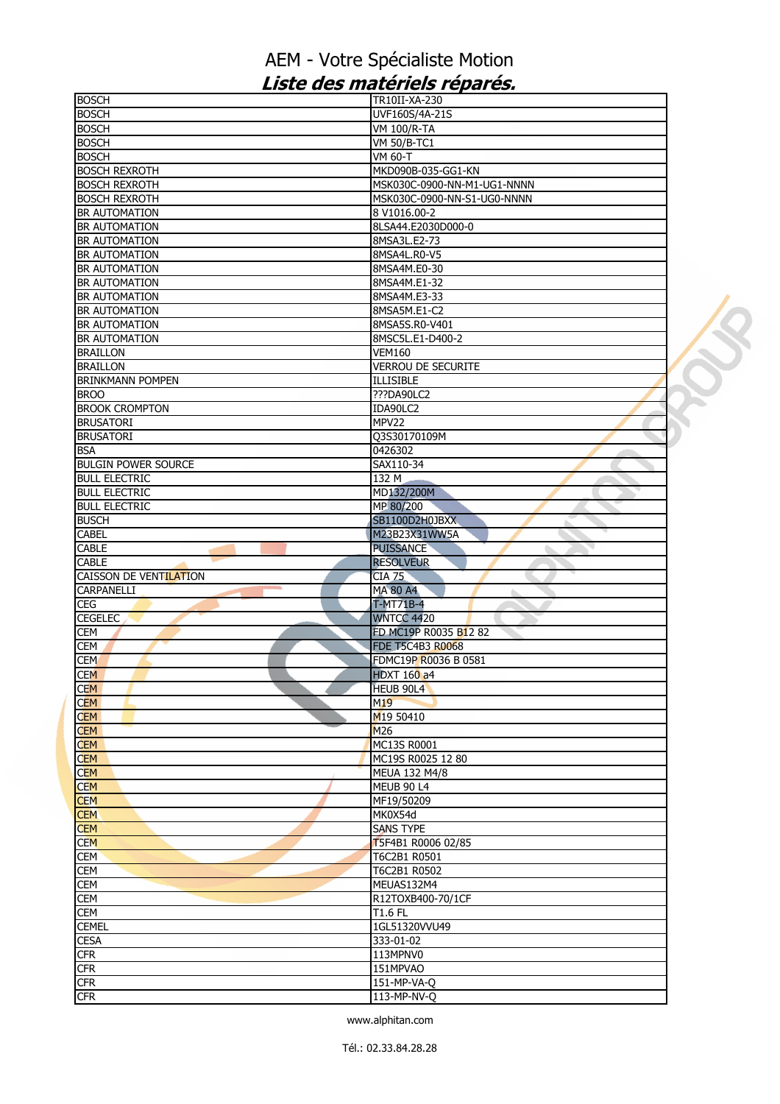| <b>BOSCH</b>               | TR10II-XA-230               |  |
|----------------------------|-----------------------------|--|
| <b>BOSCH</b>               | UVF160S/4A-21S              |  |
| <b>BOSCH</b>               | <b>VM 100/R-TA</b>          |  |
| <b>BOSCH</b>               | <b>VM 50/B-TC1</b>          |  |
| <b>BOSCH</b>               | VM 60-T                     |  |
| <b>BOSCH REXROTH</b>       | MKD090B-035-GG1-KN          |  |
| <b>BOSCH REXROTH</b>       | MSK030C-0900-NN-M1-UG1-NNNN |  |
| <b>BOSCH REXROTH</b>       | MSK030C-0900-NN-S1-UG0-NNNN |  |
| BR AUTOMATION              | 8 V1016.00-2                |  |
| BR AUTOMATION              | 8LSA44.E2030D000-0          |  |
|                            |                             |  |
| BR AUTOMATION              | 8MSA3L.E2-73                |  |
| BR AUTOMATION              | 8MSA4L.R0-V5                |  |
| BR AUTOMATION              | 8MSA4M.E0-30                |  |
| BR AUTOMATION              | 8MSA4M.E1-32                |  |
| BR AUTOMATION              | 8MSA4M.E3-33                |  |
| BR AUTOMATION              | 8MSA5M.E1-C2                |  |
| BR AUTOMATION              | 8MSA5S.R0-V401              |  |
| <b>BR AUTOMATION</b>       | 8MSC5L.E1-D400-2            |  |
| <b>BRAILLON</b>            | <b>VEM160</b>               |  |
| <b>BRAILLON</b>            | <b>VERROU DE SECURITE</b>   |  |
| <b>BRINKMANN POMPEN</b>    | <b>ILLISIBLE</b>            |  |
| <b>BROO</b>                | ???DA90LC2                  |  |
| <b>BROOK CROMPTON</b>      | IDA90LC2                    |  |
| <b>BRUSATORI</b>           | MPV22                       |  |
| <b>BRUSATORI</b>           | Q3S30170109M                |  |
|                            |                             |  |
| <b>BSA</b>                 | 0426302                     |  |
| <b>BULGIN POWER SOURCE</b> | SAX110-34                   |  |
| <b>BULL ELECTRIC</b>       | 132 M                       |  |
| <b>BULL ELECTRIC</b>       | MD132/200M                  |  |
| <b>BULL ELECTRIC</b>       | MP 80/200                   |  |
| <b>BUSCH</b>               | SB1100D2H0JBXX              |  |
| <b>CABEL</b>               | M23B23X31WW5A               |  |
| CABLE                      | <b>PUISSANCE</b>            |  |
| <b>CABLE</b>               | <b>RESOLVEUR</b>            |  |
| CAISSON DE VENTILATION     | <b>CIA 75</b>               |  |
| CARPANELLI                 | <b>MA 80 A4</b>             |  |
| CEG                        | T-MT71B-4                   |  |
| <b>CEGELEC</b>             | <b>WNTCC 4420</b>           |  |
| CEM                        | FD MC19P R0035 B12 82       |  |
| CEM                        | <b>FDE T5C4B3 R0068</b>     |  |
| <b>CEM</b>                 | FDMC19P R0036 B 0581        |  |
|                            |                             |  |
| <b>CEM</b>                 | <b>HDXT 160 a4</b>          |  |
| CEM.                       | HEUB 90L4                   |  |
| <b>CEM</b>                 | M <sub>19</sub>             |  |
| <b>CEM</b>                 | M19 50410                   |  |
| <b>CEM</b>                 | M <sub>26</sub>             |  |
| <b>CEM</b>                 | MC13S R0001                 |  |
| <b>CEM</b>                 | MC19S R0025 12 80           |  |
| <b>CEM</b>                 | MEUA 132 M4/8               |  |
| <b>CEM</b>                 | <b>MEUB 90 L4</b>           |  |
| <b>CEM</b>                 | MF19/50209                  |  |
| <b>CEM</b>                 | MK0X54d                     |  |
| <b>CEM</b>                 | <b>SANS TYPE</b>            |  |
| <b>CEM</b>                 | T5F4B1 R0006 02/85          |  |
| <b>CEM</b>                 | T6C2B1 R0501                |  |
| <b>CEM</b>                 | T6C2B1 R0502                |  |
| CEM                        | MEUAS132M4                  |  |
| CEM                        | R12TOXB400-70/1CF           |  |
|                            | $T1.6$ FL                   |  |
| <b>CEM</b>                 |                             |  |
| <b>CEMEL</b>               | 1GL51320VVU49               |  |
| <b>CESA</b>                | 333-01-02                   |  |
| <b>CFR</b>                 | 113MPNV0                    |  |
| <b>CFR</b>                 | 151MPVAO                    |  |
| <b>CFR</b>                 | 151-MP-VA-Q                 |  |
| <b>CFR</b>                 | 113-MP-NV-Q                 |  |
|                            |                             |  |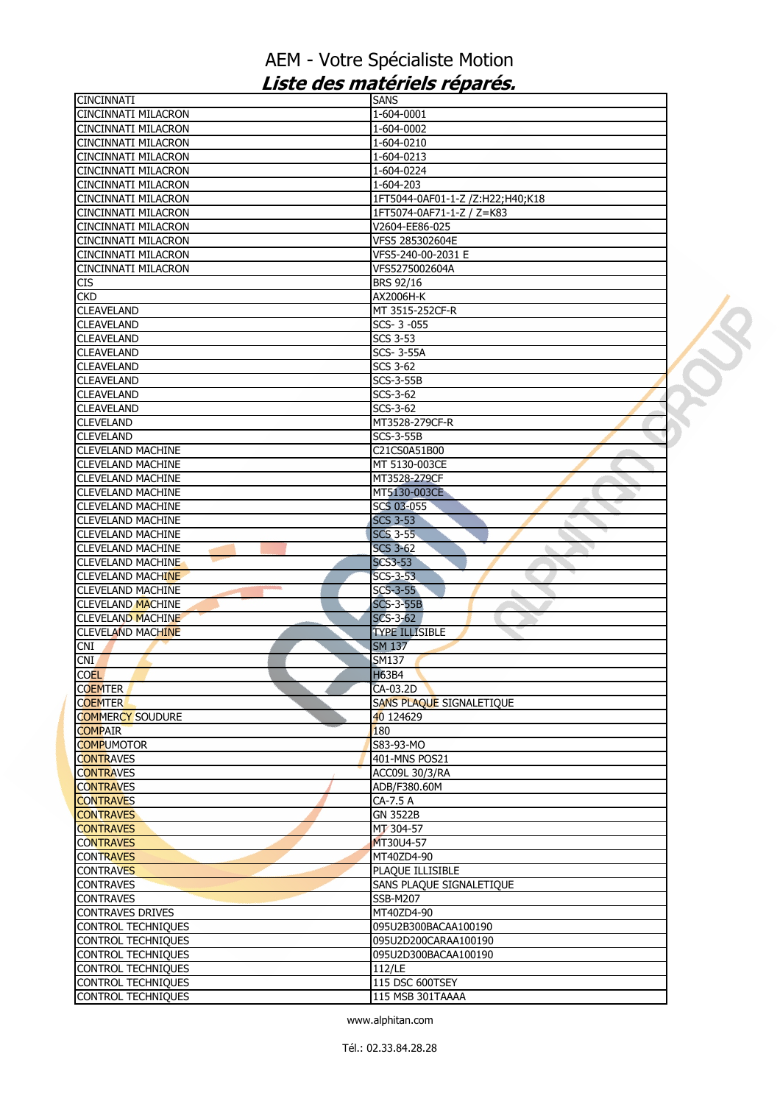| <b>CINCINNATI</b>          | <b>SANS</b>                      |  |
|----------------------------|----------------------------------|--|
| CINCINNATI MILACRON        | 1-604-0001                       |  |
| <b>CINCINNATI MILACRON</b> | 1-604-0002                       |  |
| <b>CINCINNATI MILACRON</b> | 1-604-0210                       |  |
| <b>CINCINNATI MILACRON</b> | 1-604-0213                       |  |
| <b>CINCINNATI MILACRON</b> | 1-604-0224                       |  |
| CINCINNATI MILACRON        | 1-604-203                        |  |
| <b>CINCINNATI MILACRON</b> | 1FT5044-0AF01-1-Z /Z:H22;H40;K18 |  |
|                            |                                  |  |
| <b>CINCINNATI MILACRON</b> | 1FT5074-0AF71-1-Z / Z=K83        |  |
| <b>CINCINNATI MILACRON</b> | V2604-EE86-025                   |  |
| <b>CINCINNATI MILACRON</b> | VFS5 285302604E                  |  |
| <b>CINCINNATI MILACRON</b> | VFS5-240-00-2031 E               |  |
| <b>CINCINNATI MILACRON</b> | VFS5275002604A                   |  |
| <b>CIS</b>                 | <b>BRS 92/16</b>                 |  |
| <b>CKD</b>                 | AX2006H-K                        |  |
| <b>CLEAVELAND</b>          | MT 3515-252CF-R                  |  |
| <b>CLEAVELAND</b>          | SCS-3-055                        |  |
|                            |                                  |  |
| <b>CLEAVELAND</b>          | <b>SCS 3-53</b>                  |  |
| <b>CLEAVELAND</b>          | <b>SCS-3-55A</b>                 |  |
| <b>CLEAVELAND</b>          | SCS 3-62                         |  |
| <b>CLEAVELAND</b>          | <b>SCS-3-55B</b>                 |  |
| <b>CLEAVELAND</b>          | SCS-3-62                         |  |
| <b>CLEAVELAND</b>          | SCS-3-62                         |  |
| <b>CLEVELAND</b>           | MT3528-279CF-R                   |  |
| <b>CLEVELAND</b>           | $SCS-3-55B$                      |  |
|                            | C21CS0A51B00                     |  |
| <b>CLEVELAND MACHINE</b>   |                                  |  |
| <b>CLEVELAND MACHINE</b>   | MT 5130-003CE                    |  |
| <b>CLEVELAND MACHINE</b>   | MT3528-279CF                     |  |
| <b>CLEVELAND MACHINE</b>   | MT5130-003CE                     |  |
| <b>CLEVELAND MACHINE</b>   | <b>SCS 03-055</b>                |  |
| <b>CLEVELAND MACHINE</b>   | <b>SCS 3-53</b>                  |  |
| <b>CLEVELAND MACHINE</b>   | <b>SCS 3-55</b>                  |  |
| <b>CLEVELAND MACHINE</b>   | <b>SCS 3-62</b>                  |  |
| <b>CLEVELAND MACHINE</b>   | <b>SCS3-53</b>                   |  |
| <b>CLEVELAND MACHINE</b>   | SCS-3-53                         |  |
|                            |                                  |  |
| <b>CLEVELAND MACHINE</b>   | $SCS-3-55$                       |  |
| <b>CLEVELAND MACHINE</b>   | <b>SCS-3-55B</b>                 |  |
| <b>CLEVELAND MACHINE</b>   | $SCS-3-62$                       |  |
| <b>CLEVELAND MACHINE</b>   | <b>TYPE ILLISIBLE</b>            |  |
| CNL                        | <b>SM 137</b>                    |  |
| <b>CNI</b>                 | SM137                            |  |
| <b>COEL</b>                | <b>H63B4</b>                     |  |
| <b>COEMTER</b>             | CA-03.2D                         |  |
| <b>COEMTER</b>             |                                  |  |
|                            | SANS PLAQUE SIGNALETIQUE         |  |
| <b>COMMERCY SOUDURE</b>    | 40 124629                        |  |
| <b>COMPAIR</b>             | 180                              |  |
| <b>COMPUMOTOR</b>          | S83-93-MO                        |  |
| <b>CONTRAVES</b>           | 401-MNS POS21                    |  |
| <b>CONTRAVES</b>           | ACC09L 30/3/RA                   |  |
| <b>CONTRAVES</b>           | ADB/F380.60M                     |  |
| <b>CONTRAVES</b>           | CA-7.5 A                         |  |
| <b>CONTRAVES</b>           | <b>GN 3522B</b>                  |  |
|                            |                                  |  |
| <b>CONTRAVES</b>           | MT 304-57                        |  |
| <b>CONTRAVES</b>           | MT30U4-57                        |  |
| <b>CONTRAVES</b>           | MT40ZD4-90                       |  |
| <b>CONTRAVES</b>           | PLAQUE ILLISIBLE                 |  |
| <b>CONTRAVES</b>           | SANS PLAQUE SIGNALETIQUE         |  |
| <b>CONTRAVES</b>           | <b>SSB-M207</b>                  |  |
| <b>CONTRAVES DRIVES</b>    | MT40ZD4-90                       |  |
| <b>CONTROL TECHNIQUES</b>  | 095U2B300BACAA100190             |  |
| CONTROL TECHNIQUES         | 095U2D200CARAA100190             |  |
| <b>CONTROL TECHNIQUES</b>  | 095U2D300BACAA100190             |  |
|                            |                                  |  |
| <b>CONTROL TECHNIQUES</b>  | 112/LE                           |  |
| <b>CONTROL TECHNIQUES</b>  | 115 DSC 600TSEY                  |  |
| <b>CONTROL TECHNIQUES</b>  | 115 MSB 301TAAAA                 |  |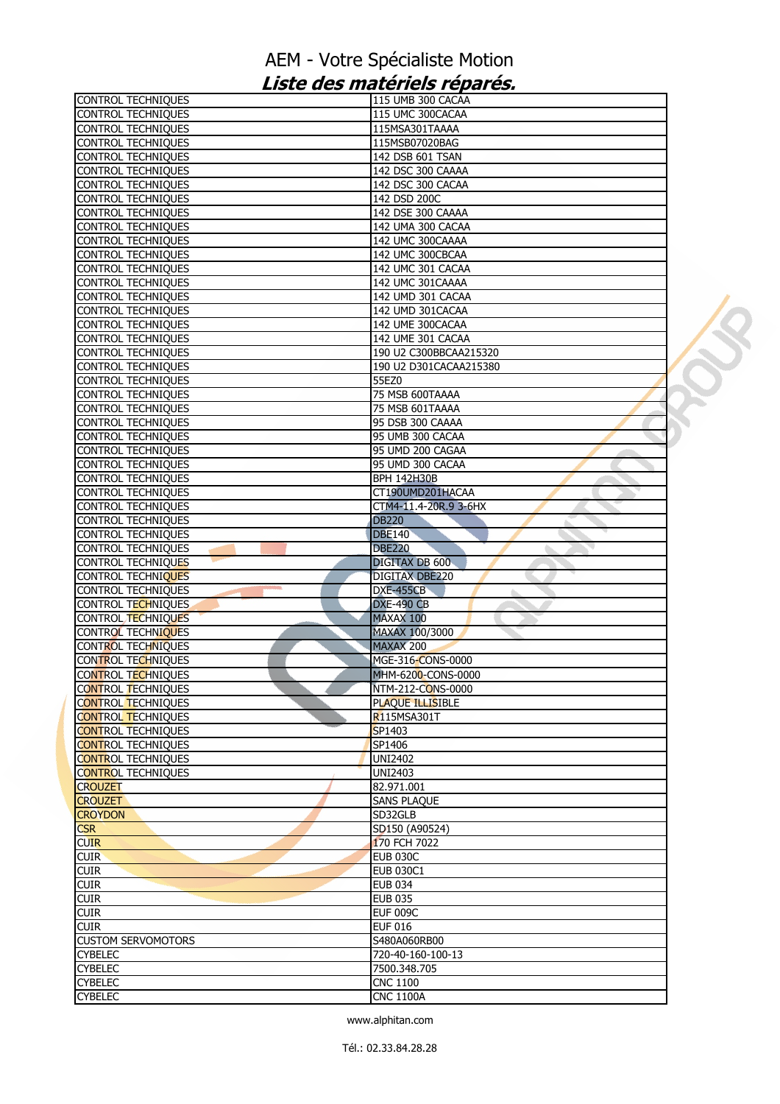| <b>CONTROL TECHNIQUES</b>                 | 115 UMB 300 CACAA      |  |
|-------------------------------------------|------------------------|--|
| <b>CONTROL TECHNIQUES</b>                 | 115 UMC 300CACAA       |  |
| <b>CONTROL TECHNIQUES</b>                 | 115MSA301TAAAA         |  |
| <b>CONTROL TECHNIQUES</b>                 | 115MSB07020BAG         |  |
| <b>CONTROL TECHNIQUES</b>                 | 142 DSB 601 TSAN       |  |
| <b>CONTROL TECHNIQUES</b>                 | 142 DSC 300 CAAAA      |  |
| <b>CONTROL TECHNIQUES</b>                 | 142 DSC 300 CACAA      |  |
| <b>CONTROL TECHNIQUES</b>                 | 142 DSD 200C           |  |
| <b>CONTROL TECHNIQUES</b>                 | 142 DSE 300 CAAAA      |  |
| <b>CONTROL TECHNIQUES</b>                 | 142 UMA 300 CACAA      |  |
| <b>CONTROL TECHNIQUES</b>                 | 142 UMC 300CAAAA       |  |
| <b>CONTROL TECHNIQUES</b>                 | 142 UMC 300CBCAA       |  |
| <b>CONTROL TECHNIQUES</b>                 | 142 UMC 301 CACAA      |  |
| <b>CONTROL TECHNIQUES</b>                 | 142 UMC 301CAAAA       |  |
| <b>CONTROL TECHNIQUES</b>                 | 142 UMD 301 CACAA      |  |
| <b>CONTROL TECHNIQUES</b>                 | 142 UMD 301CACAA       |  |
|                                           |                        |  |
| <b>CONTROL TECHNIQUES</b>                 | 142 UME 300CACAA       |  |
| <b>CONTROL TECHNIQUES</b>                 | 142 UME 301 CACAA      |  |
| <b>CONTROL TECHNIQUES</b>                 | 190 U2 C300BBCAA215320 |  |
| <b>CONTROL TECHNIQUES</b>                 | 190 U2 D301CACAA215380 |  |
| <b>CONTROL TECHNIQUES</b>                 | 55EZ0                  |  |
| <b>CONTROL TECHNIQUES</b>                 | 75 MSB 600TAAAA        |  |
| <b>CONTROL TECHNIQUES</b>                 | 75 MSB 601TAAAA        |  |
| <b>CONTROL TECHNIQUES</b>                 | 95 DSB 300 CAAAA       |  |
| <b>CONTROL TECHNIQUES</b>                 | 95 UMB 300 CACAA       |  |
| CONTROL TECHNIQUES                        | 95 UMD 200 CAGAA       |  |
| <b>CONTROL TECHNIQUES</b>                 | 95 UMD 300 CACAA       |  |
| <b>CONTROL TECHNIQUES</b>                 | <b>BPH 142H30B</b>     |  |
| <b>CONTROL TECHNIQUES</b>                 | CT190UMD201HACAA       |  |
| <b>CONTROL TECHNIQUES</b>                 | CTM4-11.4-20R.9 3-6HX  |  |
| <b>CONTROL TECHNIQUES</b>                 | <b>DB220</b>           |  |
| <b>CONTROL TECHNIQUES</b>                 | <b>DBE140</b>          |  |
| <b>CONTROL TECHNIQUES</b>                 | <b>DBE220</b>          |  |
| <b>CONTROL TECHNIQUES</b>                 | <b>DIGITAX DB 600</b>  |  |
| CONTROL TECHNIQUES                        | DIGITAX DBE220         |  |
| <b>STATE</b><br><b>CONTROL TECHNIQUES</b> | <b>DXE-455CB</b>       |  |
| CONTROL TECHNIQUES                        | <b>DXE-490 CB</b>      |  |
| CONTROL TECHNIQUES                        | MAXAX 100              |  |
| <b>CONTROL TECHNIQUES</b>                 | MAXAX 100/3000         |  |
|                                           |                        |  |
| <b>CONTROL TECHNIQUES</b>                 | <b>MAXAX 200</b>       |  |
| CONTROL TECHNIQUES                        | MGE-316-CONS-0000      |  |
| <b>CONTROL TECHNIQUES</b>                 | MHM-6200-CONS-0000     |  |
| <b>CONTROL TECHNIQUES</b>                 | NTM-212-CONS-0000      |  |
| <b>CONTROL TECHNIQUES</b>                 | PLAQUE ILLISIBLE       |  |
| <b>CONTROL TECHNIQUES</b>                 | R115MSA301T            |  |
| <b>CONTROL TECHNIQUES</b>                 | SP1403                 |  |
| <b>CONTROL TECHNIQUES</b>                 | SP1406                 |  |
| <b>CONTROL TECHNIQUES</b>                 | <b>UNI2402</b>         |  |
| <b>CONTROL TECHNIQUES</b>                 | <b>UNI2403</b>         |  |
| <b>CROUZET</b>                            | 82.971.001             |  |
| <b>CROUZET</b>                            | <b>SANS PLAQUE</b>     |  |
| <b>CROYDON</b>                            | SD32GLB                |  |
| <b>CSR</b>                                | SD150 (A90524)         |  |
| <b>CUIR</b>                               | 170 FCH 7022           |  |
| <b>CUIR</b>                               | <b>EUB 030C</b>        |  |
| <b>CUIR</b>                               | <b>EUB 030C1</b>       |  |
| <b>CUIR</b>                               | <b>EUB 034</b>         |  |
| <b>CUIR</b>                               | <b>EUB 035</b>         |  |
| <b>CUIR</b>                               | <b>EUF 009C</b>        |  |
| <b>CUIR</b>                               | <b>EUF 016</b>         |  |
| <b>CUSTOM SERVOMOTORS</b>                 | S480A060RB00           |  |
| <b>CYBELEC</b>                            | 720-40-160-100-13      |  |
|                                           |                        |  |
| <b>CYBELEC</b>                            | 7500.348.705           |  |
| <b>CYBELEC</b>                            | <b>CNC 1100</b>        |  |
| <b>CYBELEC</b>                            | <b>CNC 1100A</b>       |  |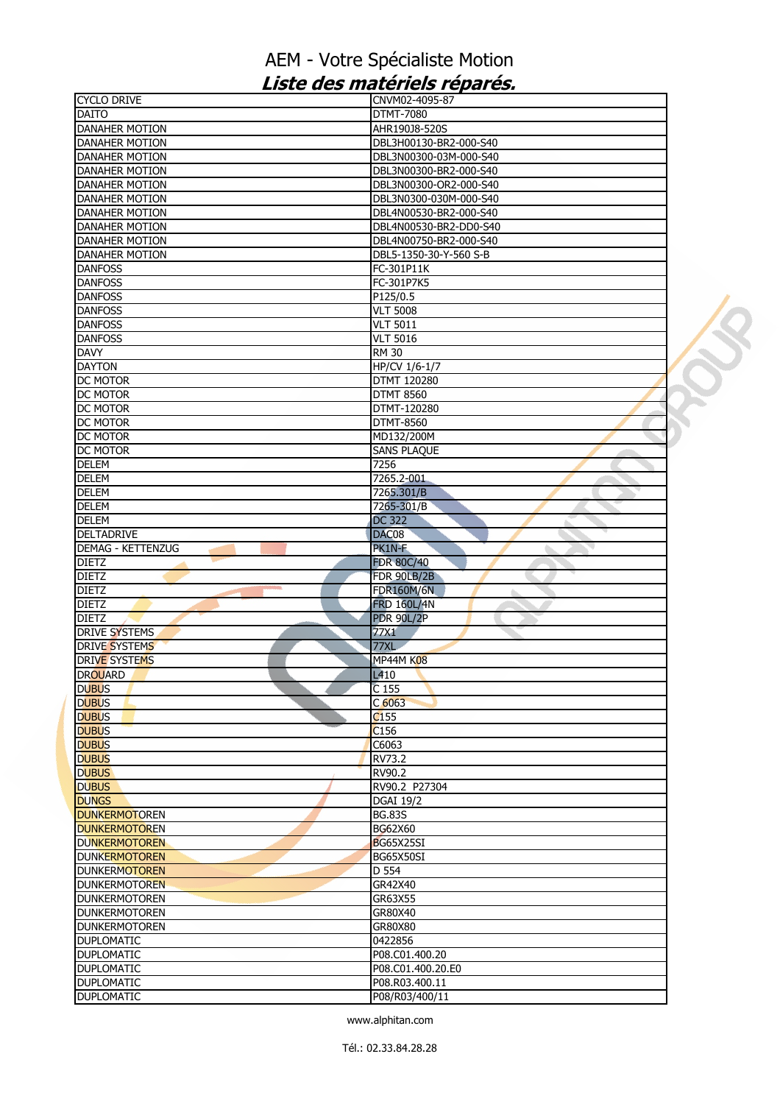| <b>CYCLO DRIVE</b>                     | CNVM02-4095-87           |  |
|----------------------------------------|--------------------------|--|
| <b>DAITO</b>                           | DTMT-7080                |  |
| DANAHER MOTION                         | AHR190J8-520S            |  |
| <b>DANAHER MOTION</b>                  | DBL3H00130-BR2-000-S40   |  |
| <b>DANAHER MOTION</b>                  | DBL3N00300-03M-000-S40   |  |
| <b>DANAHER MOTION</b>                  | DBL3N00300-BR2-000-S40   |  |
| <b>DANAHER MOTION</b>                  | DBL3N00300-OR2-000-S40   |  |
| <b>DANAHER MOTION</b>                  | DBL3N0300-030M-000-S40   |  |
| <b>DANAHER MOTION</b>                  | DBL4N00530-BR2-000-S40   |  |
| <b>DANAHER MOTION</b>                  | DBL4N00530-BR2-DD0-S40   |  |
| <b>DANAHER MOTION</b>                  | DBL4N00750-BR2-000-S40   |  |
| <b>DANAHER MOTION</b>                  | DBL5-1350-30-Y-560 S-B   |  |
| <b>DANFOSS</b>                         | FC-301P11K               |  |
| <b>DANFOSS</b>                         |                          |  |
|                                        | FC-301P7K5               |  |
| <b>DANFOSS</b>                         | P125/0.5                 |  |
| <b>DANFOSS</b>                         | <b>VLT 5008</b>          |  |
| <b>DANFOSS</b>                         | <b>VLT 5011</b>          |  |
| <b>DANFOSS</b>                         | <b>VLT 5016</b>          |  |
| <b>DAVY</b>                            | <b>RM 30</b>             |  |
| <b>DAYTON</b>                          | HP/CV 1/6-1/7            |  |
| DC MOTOR                               | DTMT 120280              |  |
| <b>DC MOTOR</b>                        | <b>DTMT 8560</b>         |  |
| DC MOTOR                               | DTMT-120280              |  |
| <b>DC MOTOR</b>                        | <b>DTMT-8560</b>         |  |
| DC MOTOR                               | MD132/200M               |  |
| DC MOTOR                               | <b>SANS PLAQUE</b>       |  |
|                                        |                          |  |
| <b>DELEM</b>                           | 7256                     |  |
| <b>DELEM</b>                           | 7265.2-001               |  |
| <b>DELEM</b>                           | 7265.301/B               |  |
| <b>DELEM</b>                           | 7265-301/B               |  |
| <b>DELEM</b>                           | <b>DC 322</b>            |  |
| <b>DELTADRIVE</b>                      | DAC08                    |  |
| <b>DEMAG - KETTENZUG</b>               | PK1N-F                   |  |
|                                        |                          |  |
|                                        |                          |  |
| <b>DIETZ</b>                           | <b>FDR 80C/40</b>        |  |
|                                        | <b>FDR 90LB/2B</b><br>a. |  |
| <b>DIETZ</b><br><b>DIETZ</b>           | <b>FDR160M/6N</b>        |  |
| <b>DIETZ</b>                           | <b>FRD 160L/4N</b>       |  |
|                                        | <b>PDR 90L/2P</b>        |  |
| <b>DIETZ</b><br><b>DRIVE SYSTEMS</b>   | 77X1                     |  |
| <b>DRIVE SYSTEMS</b>                   | <b>77XL</b>              |  |
| <b>DRIVE SYSTEMS</b>                   | <b>MP44M K08</b>         |  |
| <b>DROUARD</b>                         | L410                     |  |
| <b>DUBUS</b>                           | $C$ 155                  |  |
| <b>DUBUS</b>                           | C <sub>6063</sub>        |  |
| <b>DUBUS</b>                           | C <sub>155</sub>         |  |
| <b>DUBUS</b>                           | C156                     |  |
|                                        | C6063                    |  |
| <b>DUBUS</b>                           | RV73.2                   |  |
| <b>DUBUS</b>                           | RV90.2                   |  |
| <b>DUBUS</b>                           | RV90.2 P27304            |  |
| <b>DUBUS</b><br><b>DUNGS</b>           | <b>DGAI 19/2</b>         |  |
|                                        | <b>BG.83S</b>            |  |
| <b>DUNKERMOTOREN</b>                   | <b>BG62X60</b>           |  |
| <b>DUNKERMOTOREN</b>                   |                          |  |
| <b>DUNKERMOTOREN</b>                   | BG65X25SI                |  |
| <b>DUNKERMOTOREN</b>                   | <b>BG65X50SI</b>         |  |
| <b>DUNKERMOTOREN</b>                   | D 554                    |  |
| <b>DUNKERMOTOREN</b>                   | GR42X40                  |  |
| <b>DUNKERMOTOREN</b>                   | GR63X55                  |  |
| <b>DUNKERMOTOREN</b>                   | GR80X40                  |  |
| <b>DUNKERMOTOREN</b>                   | GR80X80                  |  |
|                                        | 0422856                  |  |
| <b>DUPLOMATIC</b><br><b>DUPLOMATIC</b> | P08.C01.400.20           |  |
| <b>DUPLOMATIC</b>                      | P08.C01.400.20.E0        |  |
| <b>DUPLOMATIC</b>                      | P08.R03.400.11           |  |
| <b>DUPLOMATIC</b>                      | P08/R03/400/11           |  |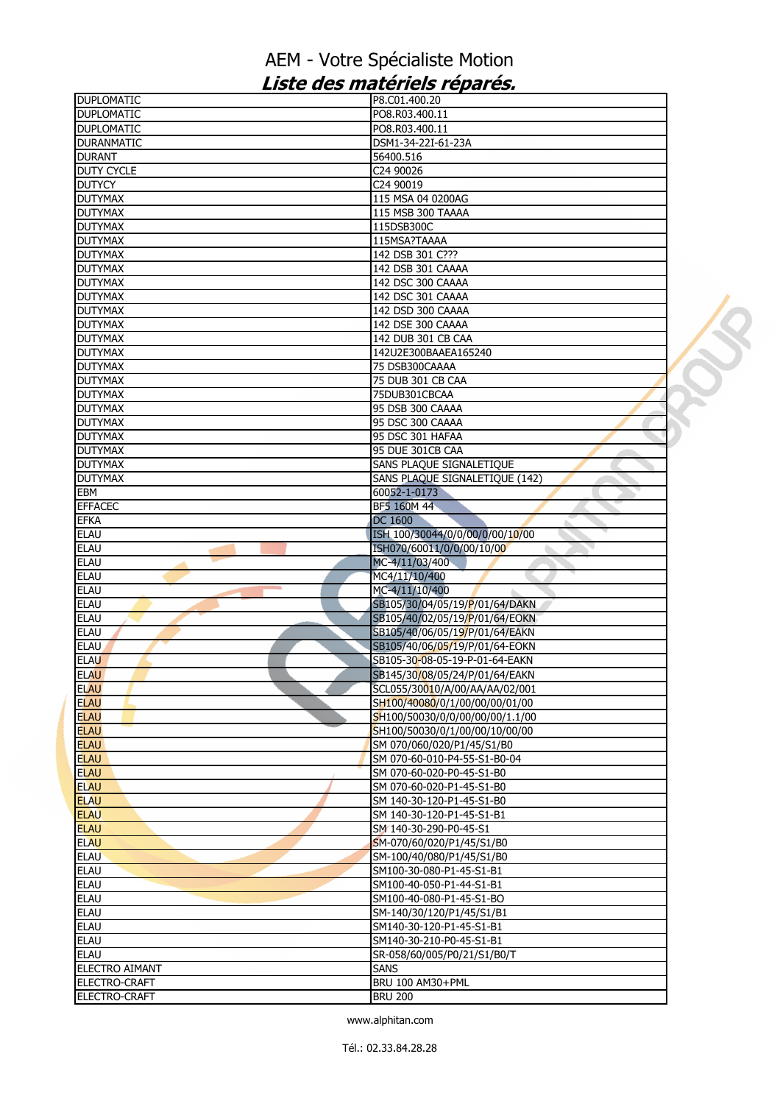| <b>DUPLOMATIC</b>          | P8.C01.400.20                                                    |  |
|----------------------------|------------------------------------------------------------------|--|
| <b>DUPLOMATIC</b>          | PO8.R03.400.11                                                   |  |
| <b>DUPLOMATIC</b>          | PO8.R03.400.11                                                   |  |
| <b>DURANMATIC</b>          | DSM1-34-22I-61-23A                                               |  |
| <b>DURANT</b>              | 56400.516                                                        |  |
| <b>DUTY CYCLE</b>          | C24 90026                                                        |  |
| <b>DUTYCY</b>              | C24 90019                                                        |  |
| <b>DUTYMAX</b>             | 115 MSA 04 0200AG                                                |  |
| <b>DUTYMAX</b>             | 115 MSB 300 TAAAA                                                |  |
| <b>DUTYMAX</b>             | 115DSB300C                                                       |  |
| <b>DUTYMAX</b>             | 115MSA?TAAAA                                                     |  |
| <b>DUTYMAX</b>             | 142 DSB 301 C???                                                 |  |
| <b>DUTYMAX</b>             | 142 DSB 301 CAAAA                                                |  |
| <b>DUTYMAX</b>             | 142 DSC 300 CAAAA                                                |  |
| <b>DUTYMAX</b>             | 142 DSC 301 CAAAA                                                |  |
| <b>DUTYMAX</b>             | 142 DSD 300 CAAAA                                                |  |
| <b>DUTYMAX</b>             | 142 DSE 300 CAAAA                                                |  |
| <b>DUTYMAX</b>             | 142 DUB 301 CB CAA                                               |  |
| <b>DUTYMAX</b>             | 142U2E300BAAEA165240                                             |  |
| <b>DUTYMAX</b>             | 75 DSB300CAAAA                                                   |  |
| <b>DUTYMAX</b>             | 75 DUB 301 CB CAA                                                |  |
| <b>DUTYMAX</b>             | 75DUB301CBCAA                                                    |  |
| <b>DUTYMAX</b>             | 95 DSB 300 CAAAA                                                 |  |
| <b>DUTYMAX</b>             | 95 DSC 300 CAAAA                                                 |  |
| <b>DUTYMAX</b>             | 95 DSC 301 HAFAA                                                 |  |
| <b>DUTYMAX</b>             | 95 DUE 301CB CAA                                                 |  |
| <b>DUTYMAX</b>             | SANS PLAQUE SIGNALETIQUE                                         |  |
| <b>DUTYMAX</b>             | SANS PLAQUE SIGNALETIQUE (142)                                   |  |
| EBM                        | 60052-1-0173                                                     |  |
| <b>EFFACEC</b>             | BF5 160M 44                                                      |  |
| <b>EFKA</b>                | DC 1600                                                          |  |
| <b>ELAU</b>                | ISH 100/30044/0/0/00/0/00/10/00                                  |  |
| <b>ELAU</b>                | ISH070/60011/0/0/00/10/00                                        |  |
| <b>ELAU</b>                | MC-4/11/03/400                                                   |  |
| <b>ELAU</b>                | MC4/11/10/400                                                    |  |
| <b>ELAU</b>                | MC-4/11/10/400                                                   |  |
| <b>ELAU</b>                | SB105/30/04/05/19/P/01/64/DAKN                                   |  |
| <b>ELAU</b>                | SB105/40/02/05/19/P/01/64/EOKN                                   |  |
| <b>ELAU</b>                | SB105/40/06/05/19/P/01/64/EAKN                                   |  |
| <b>ELAU</b><br><b>ELAU</b> | SB105/40/06/05/19/P/01/64-EOKN<br>SB105-30-08-05-19-P-01-64-EAKN |  |
| <b>ELAU</b>                | SB145/30/08/05/24/P/01/64/EAKN                                   |  |
| <b>ELAU</b>                | SCL055/30010/A/00/AA/AA/02/001                                   |  |
| <b>ELAU</b>                | SH100/40080/0/1/00/00/00/01/00                                   |  |
| <b>ELAU</b>                | SH100/50030/0/0/00/00/00/1.1/00                                  |  |
| <b>ELAU</b>                | SH100/50030/0/1/00/00/10/00/00                                   |  |
| <b>ELAU</b>                | SM 070/060/020/P1/45/S1/B0                                       |  |
| <b>ELAU</b>                | SM 070-60-010-P4-55-S1-B0-04                                     |  |
| <b>ELAU</b>                | SM 070-60-020-P0-45-S1-B0                                        |  |
| <b>ELAU</b>                | SM 070-60-020-P1-45-S1-B0                                        |  |
| <b>ELAU</b>                | SM 140-30-120-P1-45-S1-B0                                        |  |
| <b>ELAU</b>                | SM 140-30-120-P1-45-S1-B1                                        |  |
| <b>ELAU</b>                | SM 140-30-290-P0-45-S1                                           |  |
| <b>ELAU</b>                | SM-070/60/020/P1/45/S1/B0                                        |  |
| <b>ELAU</b>                | SM-100/40/080/P1/45/S1/B0                                        |  |
| <b>ELAU</b>                | SM100-30-080-P1-45-S1-B1                                         |  |
| <b>ELAU</b>                | SM100-40-050-P1-44-S1-B1                                         |  |
| <b>ELAU</b>                | SM100-40-080-P1-45-S1-BO                                         |  |
| <b>ELAU</b>                | SM-140/30/120/P1/45/S1/B1                                        |  |
| <b>ELAU</b>                | SM140-30-120-P1-45-S1-B1                                         |  |
| <b>ELAU</b>                | SM140-30-210-P0-45-S1-B1                                         |  |
| <b>ELAU</b>                | SR-058/60/005/P0/21/S1/B0/T                                      |  |
| <b>ELECTRO AIMANT</b>      | <b>SANS</b>                                                      |  |
| <b>ELECTRO-CRAFT</b>       | BRU 100 AM30+PML                                                 |  |
| ELECTRO-CRAFT              | <b>BRU 200</b>                                                   |  |
|                            |                                                                  |  |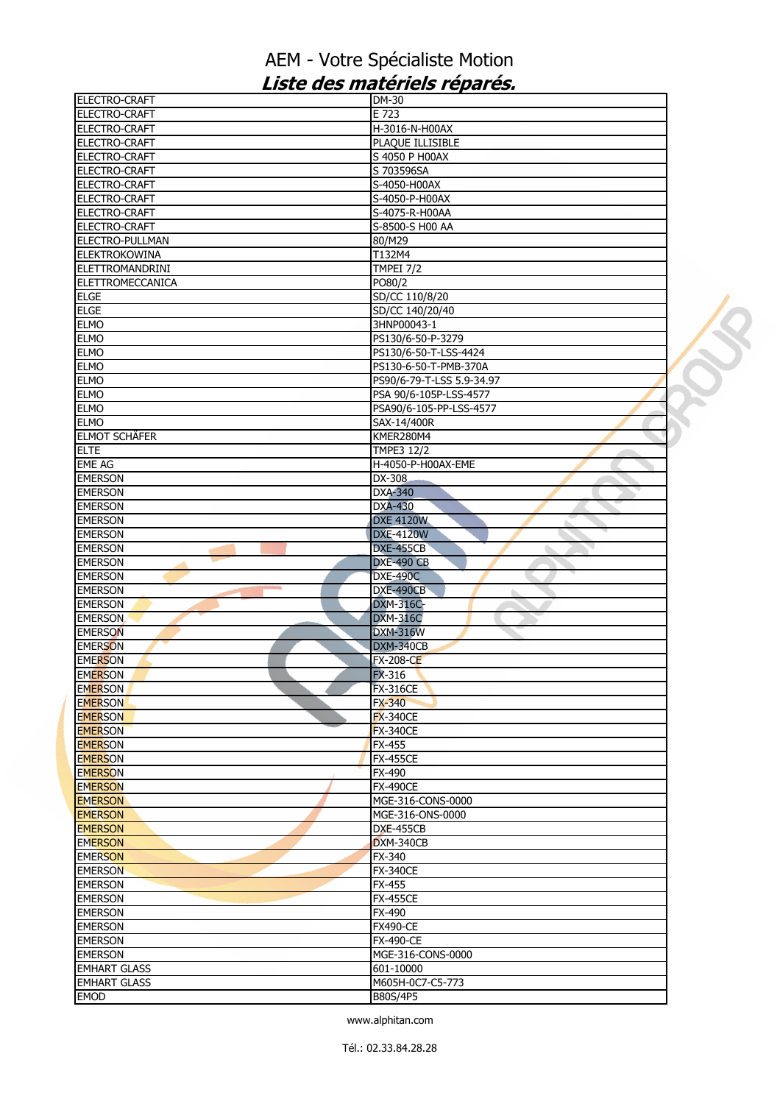| ELECTRO-CRAFT           | DM-30                     |  |
|-------------------------|---------------------------|--|
| <b>ELECTRO-CRAFT</b>    | E 723                     |  |
| <b>ELECTRO-CRAFT</b>    | H-3016-N-H00AX            |  |
| ELECTRO-CRAFT           | PLAQUE ILLISIBLE          |  |
| ELECTRO-CRAFT           | S 4050 P H00AX            |  |
| <b>ELECTRO-CRAFT</b>    | S 703596SA                |  |
| ELECTRO-CRAFT           | S-4050-H00AX              |  |
| ELECTRO-CRAFT           | S-4050-P-H00AX            |  |
| <b>ELECTRO-CRAFT</b>    | S-4075-R-H00AA            |  |
| ELECTRO-CRAFT           | S-8500-S H00 AA           |  |
| ELECTRO-PULLMAN         | 80/M29                    |  |
| <b>ELEKTROKOWINA</b>    | T132M4                    |  |
| <b>ELETTROMANDRINI</b>  | <b>TMPEI 7/2</b>          |  |
| <b>ELETTROMECCANICA</b> | PO80/2                    |  |
| <b>ELGE</b>             | SD/CC 110/8/20            |  |
| <b>ELGE</b>             | SD/CC 140/20/40           |  |
| <b>ELMO</b>             | 3HNP00043-1               |  |
| <b>ELMO</b>             | PS130/6-50-P-3279         |  |
| <b>ELMO</b>             | PS130/6-50-T-LSS-4424     |  |
|                         |                           |  |
| <b>ELMO</b>             | PS130-6-50-T-PMB-370A     |  |
| <b>ELMO</b>             | PS90/6-79-T-LSS 5.9-34.97 |  |
| <b>ELMO</b>             | PSA 90/6-105P-LSS-4577    |  |
| <b>ELMO</b>             | PSA90/6-105-PP-LSS-4577   |  |
| <b>ELMO</b>             | SAX-14/400R               |  |
| <b>ELMOT SCHÄFER</b>    | KMER280M4                 |  |
| <b>ELTE</b>             | <b>TMPE3 12/2</b>         |  |
| <b>EME AG</b>           | H-4050-P-H00AX-EME        |  |
| <b>EMERSON</b>          | DX-308                    |  |
| <b>EMERSON</b>          | <b>DXA-340</b>            |  |
| <b>EMERSON</b>          | <b>DXA-430</b>            |  |
| <b>EMERSON</b>          | <b>DXE 4120W</b>          |  |
| <b>EMERSON</b>          | <b>DXE-4120W</b>          |  |
| <b>EMERSON</b>          | DXE-455CB                 |  |
| <b>EMERSON</b>          | <b>DXE-490 CB</b>         |  |
| <b>EMERSON</b>          | <b>DXE-490C</b>           |  |
| <b>EMERSON</b>          | DXE-490CB<br>a.           |  |
| <b>EMERSON</b>          | <b>DXM-316C-</b>          |  |
| <b>EMERSON</b>          | <b>DXM-316C</b>           |  |
| <b>EMERSON</b>          | <b>DXM-316W</b>           |  |
| <b>EMERSON</b>          | DXM-340CB                 |  |
| <b>EMERSON</b>          | <b>FX-208-CE</b>          |  |
|                         |                           |  |
| <b>EMERSON</b>          | <b>FX-316</b>             |  |
| <b>EMERSON</b>          | <b>FX-316CE</b>           |  |
| <b>EMERSON</b>          | <b>FX-340</b>             |  |
| <b>EMERSON</b>          | <b>FX-340CE</b>           |  |
| <b>EMERSON</b>          | <b>FX-340CE</b>           |  |
| <b>EMERSON</b>          | <b>FX-455</b>             |  |
| <b>EMERSON</b>          | <b>FX-455CE</b>           |  |
| <b>EMERSON</b>          | FX-490                    |  |
| <b>EMERSON</b>          | <b>FX-490CE</b>           |  |
| <b>EMERSON</b>          | MGE-316-CONS-0000         |  |
| <b>EMERSON</b>          | MGE-316-ONS-0000          |  |
| <b>EMERSON</b>          | <b>DXE-455CB</b>          |  |
| <b>EMERSON</b>          | <b>DXM-340CB</b>          |  |
| <b>EMERSON</b>          | FX-340                    |  |
| <b>EMERSON</b>          | <b>FX-340CE</b>           |  |
| <b>EMERSON</b>          | <b>FX-455</b>             |  |
| <b>EMERSON</b>          | <b>FX-455CE</b>           |  |
| <b>EMERSON</b>          | FX-490                    |  |
| <b>EMERSON</b>          | <b>FX490-CE</b>           |  |
| <b>EMERSON</b>          | <b>FX-490-CE</b>          |  |
| <b>EMERSON</b>          | MGE-316-CONS-0000         |  |
| <b>EMHART GLASS</b>     | 601-10000                 |  |
| <b>EMHART GLASS</b>     | M605H-0C7-C5-773          |  |
|                         |                           |  |
| <b>EMOD</b>             | B80S/4P5                  |  |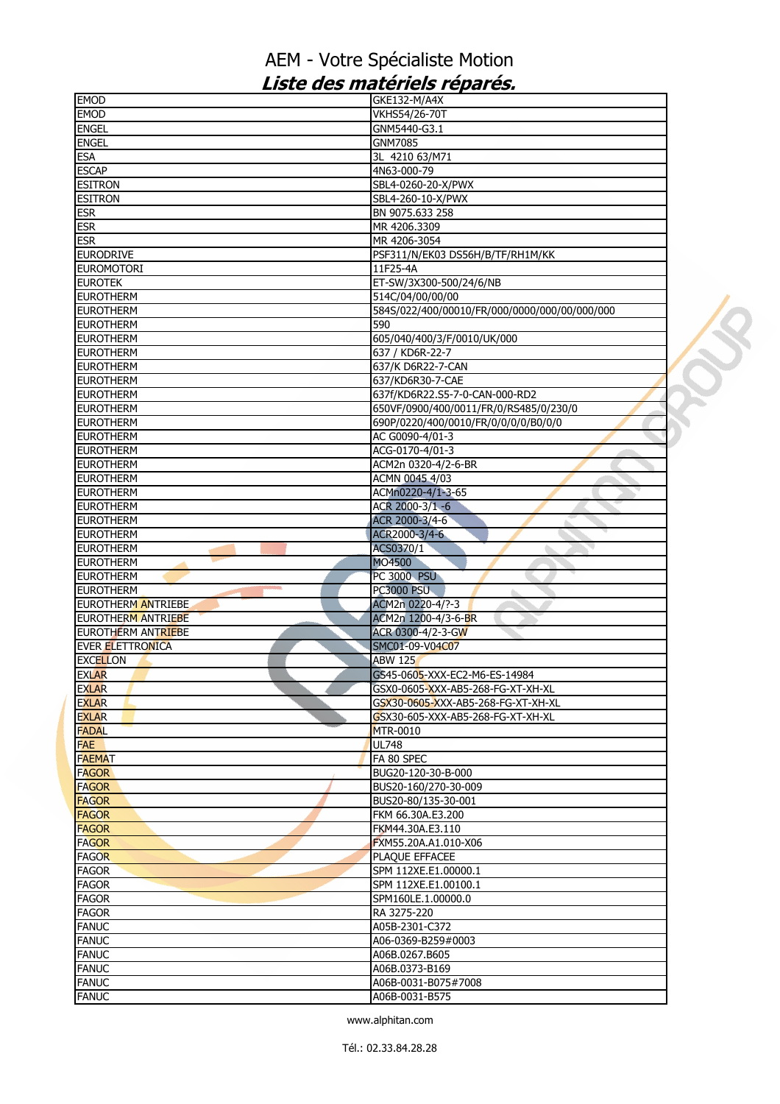| <b>EMOD</b>                          | GKE132-M/A4X                                            |  |
|--------------------------------------|---------------------------------------------------------|--|
| <b>EMOD</b>                          | VKHS54/26-70T                                           |  |
| <b>ENGEL</b>                         | GNM5440-G3.1                                            |  |
| <b>ENGEL</b>                         | <b>GNM7085</b>                                          |  |
| <b>ESA</b>                           | 3L 4210 63/M71                                          |  |
| <b>ESCAP</b>                         | 4N63-000-79                                             |  |
| <b>ESITRON</b>                       | SBL4-0260-20-X/PWX                                      |  |
| <b>ESITRON</b>                       | SBL4-260-10-X/PWX                                       |  |
| <b>ESR</b>                           | BN 9075.633 258                                         |  |
| <b>ESR</b>                           | MR 4206.3309                                            |  |
| <b>ESR</b>                           | MR 4206-3054                                            |  |
| <b>EURODRIVE</b>                     | PSF311/N/EK03 DS56H/B/TF/RH1M/KK                        |  |
| <b>EUROMOTORI</b>                    | 11F25-4A                                                |  |
| <b>EUROTEK</b>                       | ET-SW/3X300-500/24/6/NB                                 |  |
| <b>EUROTHERM</b>                     | 514C/04/00/00/00                                        |  |
| <b>EUROTHERM</b>                     | 584S/022/400/00010/FR/000/0000/000/00/000/000           |  |
| <b>EUROTHERM</b>                     | 590                                                     |  |
| <b>EUROTHERM</b>                     | 605/040/400/3/F/0010/UK/000                             |  |
| <b>EUROTHERM</b>                     | 637 / KD6R-22-7                                         |  |
| <b>EUROTHERM</b>                     | 637/K D6R22-7-CAN                                       |  |
| <b>EUROTHERM</b>                     | 637/KD6R30-7-CAE                                        |  |
| <b>EUROTHERM</b>                     | 637f/KD6R22.S5-7-0-CAN-000-RD2                          |  |
| <b>EUROTHERM</b>                     | 650VF/0900/400/0011/FR/0/RS485/0/230/0                  |  |
|                                      |                                                         |  |
| <b>EUROTHERM</b><br><b>EUROTHERM</b> | 690P/0220/400/0010/FR/0/0/0/0/B0/0/0<br>AC G0090-4/01-3 |  |
|                                      |                                                         |  |
| <b>EUROTHERM</b>                     | ACG-0170-4/01-3                                         |  |
| <b>EUROTHERM</b>                     | ACM2n 0320-4/2-6-BR                                     |  |
| <b>EUROTHERM</b>                     | ACMN 0045 4/03                                          |  |
| <b>EUROTHERM</b>                     | ACMn0220-4/1-3-65                                       |  |
| <b>EUROTHERM</b>                     | ACR 2000-3/1 -6                                         |  |
| <b>EUROTHERM</b>                     | ACR 2000-3/4-6                                          |  |
| <b>EUROTHERM</b>                     | ACR2000-3/4-6                                           |  |
| <b>EUROTHERM</b>                     | ACS0370/1<br>7                                          |  |
| <b>EUROTHERM</b>                     | MO4500                                                  |  |
| <b>EUROTHERM</b>                     | <b>PC 3000 PSU</b>                                      |  |
| <b>EUROTHERM</b>                     | <b>PC3000 PSU</b>                                       |  |
| <b>EUROTHERM ANTRIEBE</b>            | ACM2n 0220-4/?-3                                        |  |
| <b>EUROTHERM ANTRIEBE</b>            | ACM2n 1200-4/3-6-BR                                     |  |
| EUROTHERM ANTRIEBE                   | ACR 0300-4/2-3-GW                                       |  |
| <b>EVER ELETTRONICA</b>              | SMC01-09-V04C07                                         |  |
| <b>EXCELLON</b>                      | <b>ABW 125</b>                                          |  |
| <b>EXLAR</b>                         | GS45-0605-XXX-EC2-M6-ES-14984                           |  |
| <b>EXLAR</b>                         | GSX0-0605-XXX-AB5-268-FG-XT-XH-XL                       |  |
| <b>EXLAR</b>                         | GSX30-0605-XXX-AB5-268-FG-XT-XH-XL                      |  |
| <b>EXLAR</b>                         | GSX30-605-XXX-AB5-268-FG-XT-XH-XL                       |  |
| <b>FADAL</b>                         | <b>MTR-0010</b>                                         |  |
| <b>FAE</b>                           | <b>UL748</b>                                            |  |
| <b>FAEMAT</b>                        | FA 80 SPEC                                              |  |
| <b>FAGOR</b>                         | BUG20-120-30-B-000                                      |  |
| <b>FAGOR</b>                         | BUS20-160/270-30-009                                    |  |
| <b>FAGOR</b>                         | BUS20-80/135-30-001                                     |  |
| <b>FAGOR</b>                         | FKM 66.30A.E3.200                                       |  |
| <b>FAGOR</b>                         | FKM44.30A.E3.110                                        |  |
| <b>FAGOR</b>                         | FXM55.20A.A1.010-X06                                    |  |
| <b>FAGOR</b>                         | PLAQUE EFFACEE                                          |  |
| <b>FAGOR</b>                         | SPM 112XE.E1.00000.1                                    |  |
| <b>FAGOR</b>                         | SPM 112XE.E1.00100.1                                    |  |
| <b>FAGOR</b>                         | SPM160LE.1.00000.0                                      |  |
|                                      |                                                         |  |
| <b>FAGOR</b>                         | RA 3275-220                                             |  |
| <b>FANUC</b>                         | A05B-2301-C372                                          |  |
| <b>FANUC</b>                         | A06-0369-B259#0003                                      |  |
| <b>FANUC</b>                         | A06B.0267.B605                                          |  |
| <b>FANUC</b>                         | A06B.0373-B169                                          |  |
| <b>FANUC</b>                         | A06B-0031-B075#7008                                     |  |
| <b>FANUC</b>                         | A06B-0031-B575                                          |  |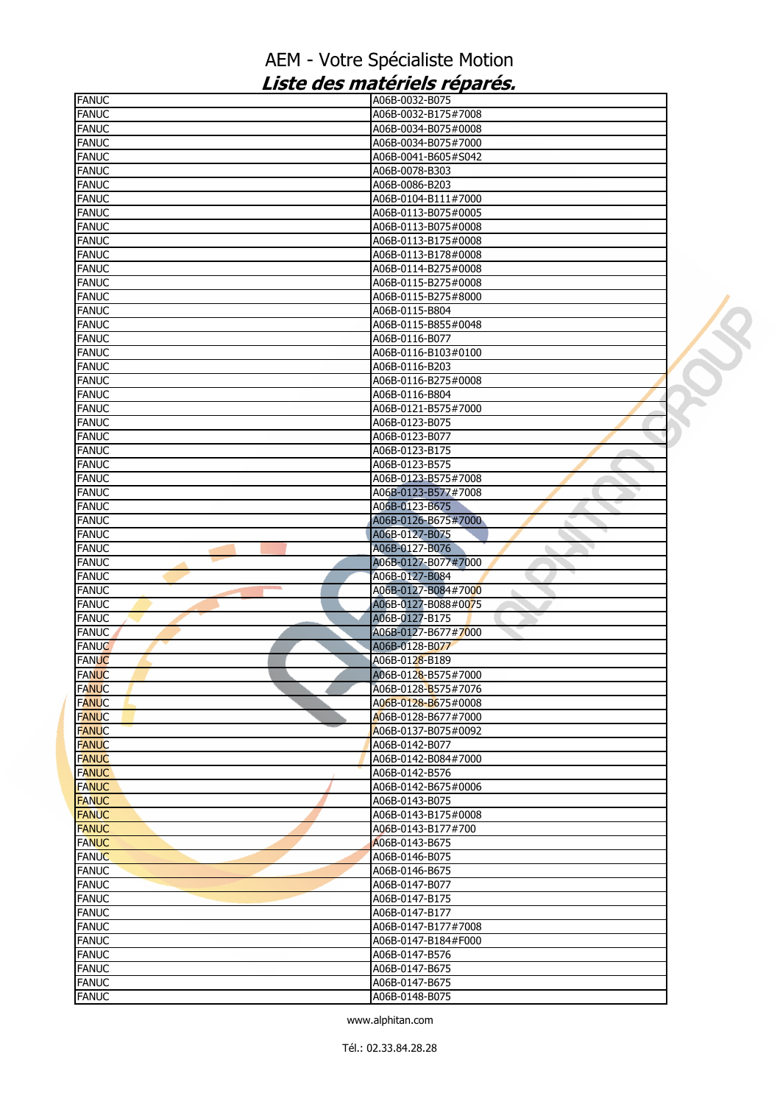| <b>FANUC</b> | A06B-0032-B075            |  |
|--------------|---------------------------|--|
| <b>FANUC</b> | A06B-0032-B175#7008       |  |
| <b>FANUC</b> | A06B-0034-B075#0008       |  |
| <b>FANUC</b> | A06B-0034-B075#7000       |  |
| <b>FANUC</b> | A06B-0041-B605#S042       |  |
| <b>FANUC</b> | A06B-0078-B303            |  |
| <b>FANUC</b> | A06B-0086-B203            |  |
| <b>FANUC</b> | A06B-0104-B111#7000       |  |
| <b>FANUC</b> | A06B-0113-B075#0005       |  |
| <b>FANUC</b> | A06B-0113-B075#0008       |  |
| <b>FANUC</b> | A06B-0113-B175#0008       |  |
| <b>FANUC</b> | A06B-0113-B178#0008       |  |
| <b>FANUC</b> | A06B-0114-B275#0008       |  |
| <b>FANUC</b> | A06B-0115-B275#0008       |  |
| <b>FANUC</b> | A06B-0115-B275#8000       |  |
| <b>FANUC</b> | A06B-0115-B804            |  |
| <b>FANUC</b> | A06B-0115-B855#0048       |  |
| <b>FANUC</b> | A06B-0116-B077            |  |
| <b>FANUC</b> | A06B-0116-B103#0100       |  |
| <b>FANUC</b> | A06B-0116-B203            |  |
| <b>FANUC</b> | A06B-0116-B275#0008       |  |
| <b>FANUC</b> | A06B-0116-B804            |  |
| <b>FANUC</b> | A06B-0121-B575#7000       |  |
| <b>FANUC</b> | A06B-0123-B075            |  |
| <b>FANUC</b> | A06B-0123-B077            |  |
| <b>FANUC</b> | A06B-0123-B175            |  |
| <b>FANUC</b> | A06B-0123-B575            |  |
| <b>FANUC</b> | A06B-0123-B575#7008       |  |
| <b>FANUC</b> | A06B-0123-B577#7008       |  |
|              |                           |  |
| <b>FANUC</b> | A06B-0123-B675            |  |
| <b>FANUC</b> | A06B-0126-B675#7000       |  |
| <b>FANUC</b> | A06B-0127-B075            |  |
| <b>FANUC</b> | A06B-0127-B076            |  |
| <b>FANUC</b> | A06B-0127-B077#7000       |  |
| <b>FANUC</b> | A06B-0127-B084            |  |
| <b>FANUC</b> | A06B-0127-B084#7000<br>à. |  |
| <b>FANUC</b> | A06B-0127-B088#0075       |  |
| <b>FANUC</b> | A06B-0127-B175            |  |
| <b>FANUC</b> | A06B-0127-B677#7000       |  |
| <b>FANUC</b> | A06B-0128-B077            |  |
| <b>FANUC</b> | A06B-0128-B189            |  |
| <b>FANUC</b> | A06B-0128-B575#7000       |  |
| <b>FANUC</b> | A06B-0128-B575#7076       |  |
| <b>FANUC</b> | A06B-0128-B675#0008       |  |
| <b>FANUC</b> | A06B-0128-B677#7000       |  |
| <b>FANUC</b> | A06B-0137-B075#0092       |  |
| <b>FANUC</b> | A06B-0142-B077            |  |
| <b>FANUC</b> | A06B-0142-B084#7000       |  |
| <b>FANUC</b> | A06B-0142-B576            |  |
| <b>FANUC</b> | A06B-0142-B675#0006       |  |
| <b>FANUC</b> | A06B-0143-B075            |  |
| <b>FANUC</b> | A06B-0143-B175#0008       |  |
| <b>FANUC</b> | A06B-0143-B177#700        |  |
| <b>FANUC</b> | A06B-0143-B675            |  |
| <b>FANUC</b> | A06B-0146-B075            |  |
| <b>FANUC</b> | A06B-0146-B675            |  |
| <b>FANUC</b> | A06B-0147-B077            |  |
| <b>FANUC</b> | A06B-0147-B175            |  |
| <b>FANUC</b> | A06B-0147-B177            |  |
| <b>FANUC</b> | A06B-0147-B177#7008       |  |
| <b>FANUC</b> | A06B-0147-B184#F000       |  |
| <b>FANUC</b> | A06B-0147-B576            |  |
| <b>FANUC</b> | A06B-0147-B675            |  |
| <b>FANUC</b> | A06B-0147-B675            |  |
| <b>FANUC</b> | A06B-0148-B075            |  |
|              |                           |  |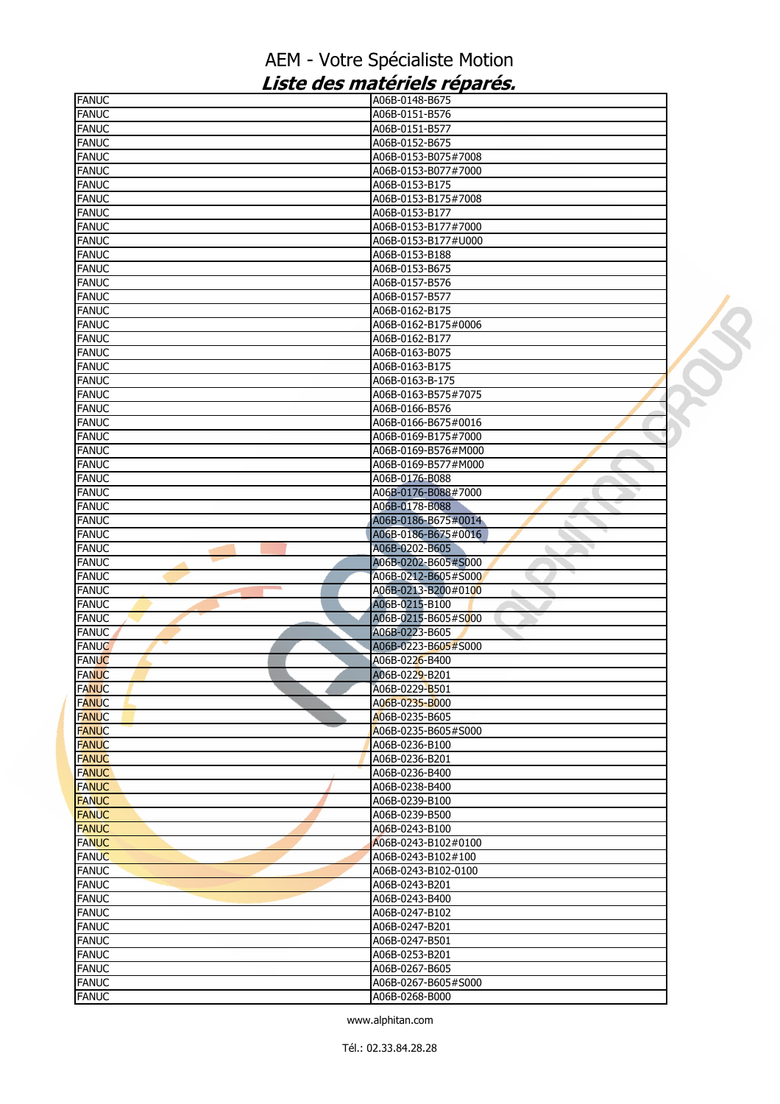| <b>FANUC</b>                 | A06B-0148-B675                        |  |
|------------------------------|---------------------------------------|--|
| <b>FANUC</b>                 | A06B-0151-B576                        |  |
| <b>FANUC</b>                 | A06B-0151-B577                        |  |
| <b>FANUC</b>                 | A06B-0152-B675                        |  |
| <b>FANUC</b>                 | A06B-0153-B075#7008                   |  |
| <b>FANUC</b>                 | A06B-0153-B077#7000                   |  |
| <b>FANUC</b>                 | A06B-0153-B175                        |  |
| <b>FANUC</b>                 | A06B-0153-B175#7008                   |  |
| <b>FANUC</b>                 | A06B-0153-B177                        |  |
| <b>FANUC</b>                 | A06B-0153-B177#7000                   |  |
| <b>FANUC</b>                 | A06B-0153-B177#U000                   |  |
| <b>FANUC</b>                 | A06B-0153-B188                        |  |
| <b>FANUC</b>                 | A06B-0153-B675                        |  |
| <b>FANUC</b>                 | A06B-0157-B576                        |  |
| <b>FANUC</b>                 | A06B-0157-B577                        |  |
| <b>FANUC</b>                 | A06B-0162-B175                        |  |
| <b>FANUC</b>                 | A06B-0162-B175#0006                   |  |
| <b>FANUC</b>                 | A06B-0162-B177                        |  |
| <b>FANUC</b>                 | A06B-0163-B075                        |  |
| <b>FANUC</b>                 | A06B-0163-B175                        |  |
| <b>FANUC</b>                 | A06B-0163-B-175                       |  |
| <b>FANUC</b>                 | A06B-0163-B575#7075                   |  |
| <b>FANUC</b>                 | A06B-0166-B576                        |  |
| <b>FANUC</b>                 | A06B-0166-B675#0016                   |  |
| <b>FANUC</b>                 | A06B-0169-B175#7000                   |  |
| <b>FANUC</b>                 | A06B-0169-B576#M000                   |  |
| <b>FANUC</b>                 | A06B-0169-B577#M000                   |  |
| <b>FANUC</b>                 | A06B-0176-B088                        |  |
| <b>FANUC</b>                 | A06B-0176-B088#7000                   |  |
| <b>FANUC</b><br><b>FANUC</b> | A06B-0178-B088<br>A06B-0186-B675#0014 |  |
| <b>FANUC</b>                 | A06B-0186-B675#0016                   |  |
| <b>FANUC</b>                 | A06B-0202-B605                        |  |
|                              |                                       |  |
|                              |                                       |  |
| <b>FANUC</b>                 | A06B-0202-B605#S000                   |  |
|                              | A06B-0212-B605#S000                   |  |
| <b>FANUC</b>                 | A06B-0213-B200#0100                   |  |
| <b>FANUC</b><br><b>FANUC</b> | A06B-0215-B100                        |  |
| <b>FANUC</b>                 | A06B-0215-B605#S000                   |  |
| <b>FANUC</b>                 | A06B-0223-B605                        |  |
| <b>FANUC</b><br><b>FANUC</b> | A06B-0223-B605#S000<br>A06B-0226-B400 |  |
| <b>FANUC</b>                 | A06B-0229-B201                        |  |
| <b>FANUC</b>                 | A06B-0229-B501                        |  |
| <b>FANUC</b>                 | A06B-0235-B000                        |  |
| <b>FANUC</b>                 | A06B-0235-B605                        |  |
| <b>FANUC</b>                 | A06B-0235-B605#S000                   |  |
| <b>FANUC</b>                 | A06B-0236-B100                        |  |
| <b>FANUC</b>                 | A06B-0236-B201                        |  |
| <b>FANUC</b>                 | A06B-0236-B400                        |  |
| <b>FANUC</b>                 | A06B-0238-B400                        |  |
| <b>FANUC</b>                 | A06B-0239-B100                        |  |
| <b>FANUC</b>                 | A06B-0239-B500                        |  |
| <b>FANUC</b>                 | A06B-0243-B100                        |  |
| <b>FANUC</b>                 | A06B-0243-B102#0100                   |  |
| <b>FANUC</b>                 | A06B-0243-B102#100                    |  |
| <b>FANUC</b>                 | A06B-0243-B102-0100                   |  |
| <b>FANUC</b>                 | A06B-0243-B201                        |  |
| <b>FANUC</b>                 | A06B-0243-B400                        |  |
| <b>FANUC</b>                 | A06B-0247-B102                        |  |
| <b>FANUC</b>                 | A06B-0247-B201                        |  |
| <b>FANUC</b>                 | A06B-0247-B501                        |  |
| <b>FANUC</b>                 | A06B-0253-B201                        |  |
| <b>FANUC</b>                 | A06B-0267-B605                        |  |
| <b>FANUC</b><br><b>FANUC</b> | A06B-0267-B605#S000<br>A06B-0268-B000 |  |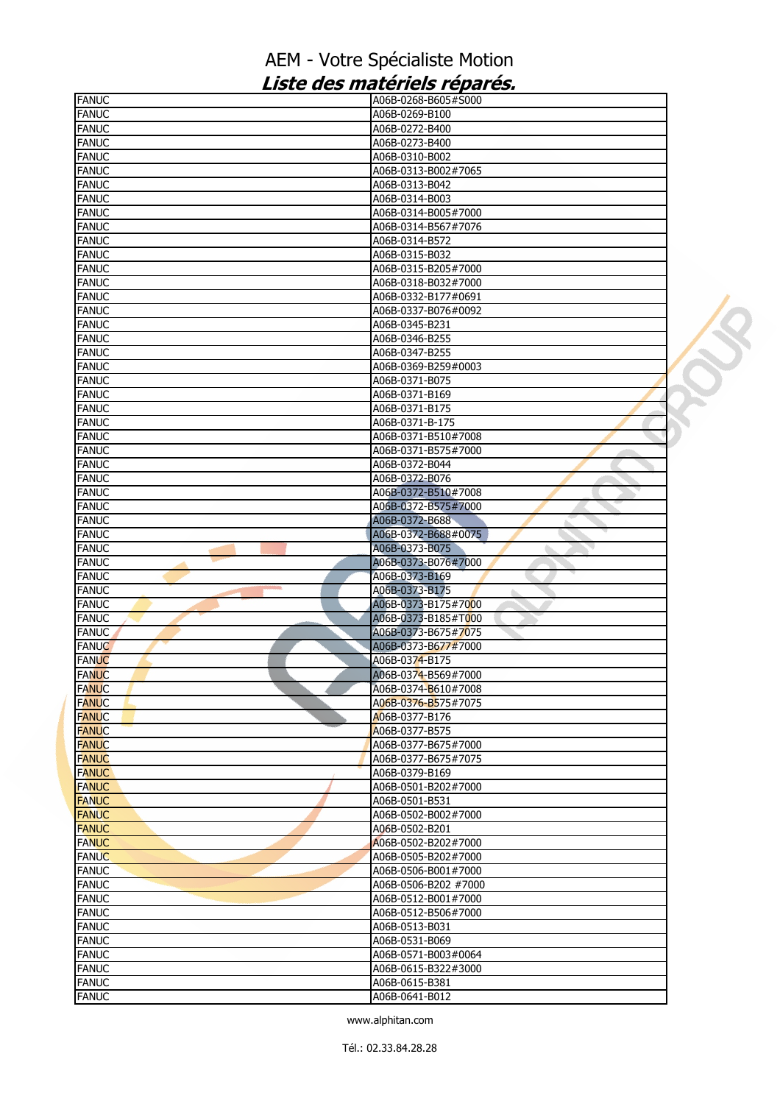| <b>FANUC</b>                 | A06B-0268-B605#S000              |  |
|------------------------------|----------------------------------|--|
| <b>FANUC</b>                 | A06B-0269-B100                   |  |
| <b>FANUC</b>                 | A06B-0272-B400                   |  |
| <b>FANUC</b>                 | A06B-0273-B400                   |  |
| <b>FANUC</b>                 | A06B-0310-B002                   |  |
| <b>FANUC</b>                 | A06B-0313-B002#7065              |  |
| <b>FANUC</b>                 | A06B-0313-B042                   |  |
| <b>FANUC</b>                 | A06B-0314-B003                   |  |
| <b>FANUC</b>                 | A06B-0314-B005#7000              |  |
| <b>FANUC</b>                 | A06B-0314-B567#7076              |  |
| <b>FANUC</b>                 | A06B-0314-B572                   |  |
| <b>FANUC</b>                 | A06B-0315-B032                   |  |
| <b>FANUC</b>                 | A06B-0315-B205#7000              |  |
| <b>FANUC</b>                 | A06B-0318-B032#7000              |  |
| <b>FANUC</b>                 | A06B-0332-B177#0691              |  |
| <b>FANUC</b>                 | A06B-0337-B076#0092              |  |
| <b>FANUC</b>                 | A06B-0345-B231                   |  |
| <b>FANUC</b>                 | A06B-0346-B255                   |  |
| <b>FANUC</b>                 | A06B-0347-B255                   |  |
| <b>FANUC</b>                 | A06B-0369-B259#0003              |  |
| <b>FANUC</b>                 | A06B-0371-B075                   |  |
| <b>FANUC</b>                 | A06B-0371-B169                   |  |
| <b>FANUC</b>                 | A06B-0371-B175                   |  |
| <b>FANUC</b>                 | A06B-0371-B-175                  |  |
| <b>FANUC</b>                 | A06B-0371-B510#7008              |  |
| <b>FANUC</b>                 | A06B-0371-B575#7000              |  |
| <b>FANUC</b>                 | A06B-0372-B044                   |  |
| <b>FANUC</b>                 | A06B-0372-B076                   |  |
| <b>FANUC</b>                 | A06B-0372-B510#7008              |  |
| <b>FANUC</b>                 | A06B-0372-B575#7000              |  |
| <b>FANUC</b>                 | A06B-0372-B688                   |  |
| <b>FANUC</b>                 | A06B-0372-B688#0075              |  |
| <b>FANUC</b>                 | A06B-0373-B075                   |  |
| <b>FANUC</b>                 | A06B-0373-B076#7000              |  |
| <b>FANUC</b>                 | A06B-0373-B169                   |  |
|                              |                                  |  |
| <b>FANUC</b>                 | A06B-0373-B175<br>ь              |  |
| <b>FANUC</b>                 | A06B-0373-B175#7000              |  |
| <b>FANUC</b>                 | A06B-0373-B185#T000              |  |
| <b>FANUC</b>                 | A06B-0373-B675#7075              |  |
| <b>FANUC</b>                 | A06B-0373-B677#7000              |  |
| <b>FANUC</b>                 | A06B-0374-B175                   |  |
| <b>FANUC</b>                 | A06B-0374-B569#7000              |  |
| <b>FANUC</b>                 | A06B-0374-B610#7008              |  |
| <b>FANUC</b>                 | A06B-0376-B575#7075              |  |
| <b>FANUC</b>                 | A06B-0377-B176                   |  |
| <b>FANUC</b>                 | A06B-0377-B575                   |  |
| <b>FANUC</b>                 | A06B-0377-B675#7000              |  |
| <b>FANUC</b>                 | A06B-0377-B675#7075              |  |
| <b>FANUC</b>                 | A06B-0379-B169                   |  |
| <b>FANUC</b>                 | A06B-0501-B202#7000              |  |
| <b>FANUC</b>                 | A06B-0501-B531                   |  |
| <b>FANUC</b>                 | A06B-0502-B002#7000              |  |
| <b>FANUC</b>                 | A06B-0502-B201                   |  |
| <b>FANUC</b>                 | A06B-0502-B202#7000              |  |
| <b>FANUC</b>                 | A06B-0505-B202#7000              |  |
| <b>FANUC</b>                 | A06B-0506-B001#7000              |  |
| <b>FANUC</b>                 | A06B-0506-B202 #7000             |  |
| <b>FANUC</b>                 | A06B-0512-B001#7000              |  |
| <b>FANUC</b>                 | A06B-0512-B506#7000              |  |
| <b>FANUC</b>                 | A06B-0513-B031                   |  |
| <b>FANUC</b>                 | A06B-0531-B069                   |  |
| <b>FANUC</b>                 | A06B-0571-B003#0064              |  |
| <b>FANUC</b>                 | A06B-0615-B322#3000              |  |
| <b>FANUC</b><br><b>FANUC</b> | A06B-0615-B381<br>A06B-0641-B012 |  |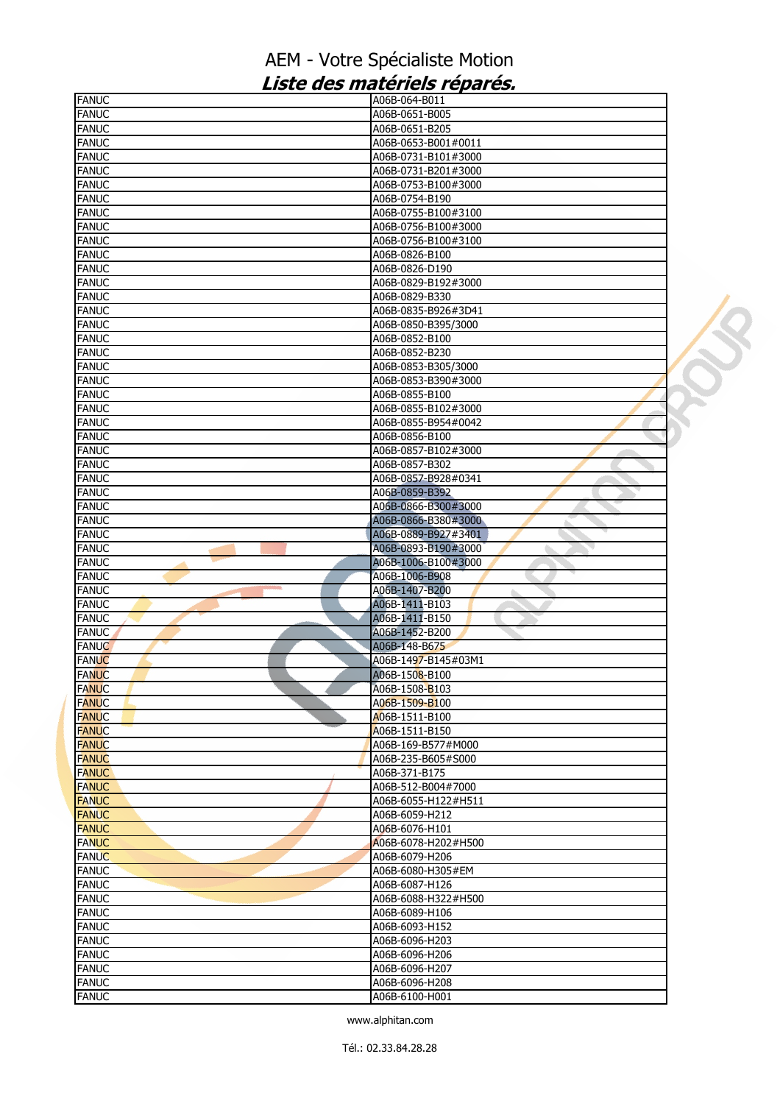| <b>FANUC</b>                 | A06B-064-B011                    |  |
|------------------------------|----------------------------------|--|
| <b>FANUC</b>                 | A06B-0651-B005                   |  |
| <b>FANUC</b>                 | A06B-0651-B205                   |  |
| <b>FANUC</b>                 | A06B-0653-B001#0011              |  |
| <b>FANUC</b>                 | A06B-0731-B101#3000              |  |
| <b>FANUC</b>                 | A06B-0731-B201#3000              |  |
| <b>FANUC</b>                 | A06B-0753-B100#3000              |  |
| <b>FANUC</b>                 | A06B-0754-B190                   |  |
| <b>FANUC</b>                 | A06B-0755-B100#3100              |  |
| <b>FANUC</b>                 | A06B-0756-B100#3000              |  |
| <b>FANUC</b>                 | A06B-0756-B100#3100              |  |
| <b>FANUC</b>                 | A06B-0826-B100                   |  |
| <b>FANUC</b>                 | A06B-0826-D190                   |  |
| <b>FANUC</b>                 | A06B-0829-B192#3000              |  |
| <b>FANUC</b>                 | A06B-0829-B330                   |  |
| <b>FANUC</b>                 | A06B-0835-B926#3D41              |  |
| <b>FANUC</b>                 | A06B-0850-B395/3000              |  |
| <b>FANUC</b>                 | A06B-0852-B100                   |  |
| <b>FANUC</b>                 | A06B-0852-B230                   |  |
| <b>FANUC</b>                 | A06B-0853-B305/3000              |  |
| <b>FANUC</b>                 | A06B-0853-B390#3000              |  |
| <b>FANUC</b>                 | A06B-0855-B100                   |  |
| <b>FANUC</b>                 | A06B-0855-B102#3000              |  |
| <b>FANUC</b>                 | A06B-0855-B954#0042              |  |
| <b>FANUC</b>                 | A06B-0856-B100                   |  |
| <b>FANUC</b>                 | A06B-0857-B102#3000              |  |
| <b>FANUC</b>                 | A06B-0857-B302                   |  |
| <b>FANUC</b>                 | A06B-0857-B928#0341              |  |
| <b>FANUC</b>                 | A06B-0859-B392                   |  |
| <b>FANUC</b>                 | A06B-0866-B300#3000              |  |
| <b>FANUC</b>                 | A06B-0866-B380#3000              |  |
| <b>FANUC</b>                 | A06B-0889-B927#3401              |  |
| <b>FANUC</b>                 | A06B-0893-B190#3000              |  |
| <b>FANUC</b>                 | A06B-1006-B100#3000              |  |
| <b>FANUC</b>                 | A06B-1006-B908                   |  |
| <b>FANUC</b>                 | A06B-1407-B200                   |  |
| <b>FANUC</b><br><b>FANUC</b> | A06B-1411-B103<br>A06B-1411-B150 |  |
| <b>FANUC</b>                 | A06B-1452-B200                   |  |
| <b>FANUC</b>                 | A06B-148-B675                    |  |
| <b>FANUC</b>                 | A06B-1497-B145#03M1              |  |
| <b>FANUC</b>                 | A06B-1508-B100                   |  |
| <b>FANUC</b>                 | A06B-1508-B103                   |  |
| <b>FANUC</b>                 | A06B-1509-B100                   |  |
| <b>FANUC</b>                 | A06B-1511-B100                   |  |
| <b>FANUC</b>                 | A06B-1511-B150                   |  |
| <b>FANUC</b>                 | A06B-169-B577#M000               |  |
| <b>FANUC</b>                 | A06B-235-B605#S000               |  |
| <b>FANUC</b>                 | A06B-371-B175                    |  |
| <b>FANUC</b>                 | A06B-512-B004#7000               |  |
| <b>FANUC</b>                 | A06B-6055-H122#H511              |  |
| <b>FANUC</b>                 | A06B-6059-H212                   |  |
| <b>FANUC</b>                 | A06B-6076-H101                   |  |
| <b>FANUC</b>                 | A06B-6078-H202#H500              |  |
| <b>FANUC</b>                 | A06B-6079-H206                   |  |
| <b>FANUC</b>                 | A06B-6080-H305#EM                |  |
| <b>FANUC</b>                 | A06B-6087-H126                   |  |
| <b>FANUC</b>                 | A06B-6088-H322#H500              |  |
| <b>FANUC</b>                 | A06B-6089-H106                   |  |
| <b>FANUC</b>                 | A06B-6093-H152                   |  |
| <b>FANUC</b>                 | A06B-6096-H203                   |  |
| <b>FANUC</b>                 | A06B-6096-H206                   |  |
| <b>FANUC</b>                 | A06B-6096-H207                   |  |
| <b>FANUC</b>                 | A06B-6096-H208                   |  |
| <b>FANUC</b>                 | A06B-6100-H001                   |  |
|                              |                                  |  |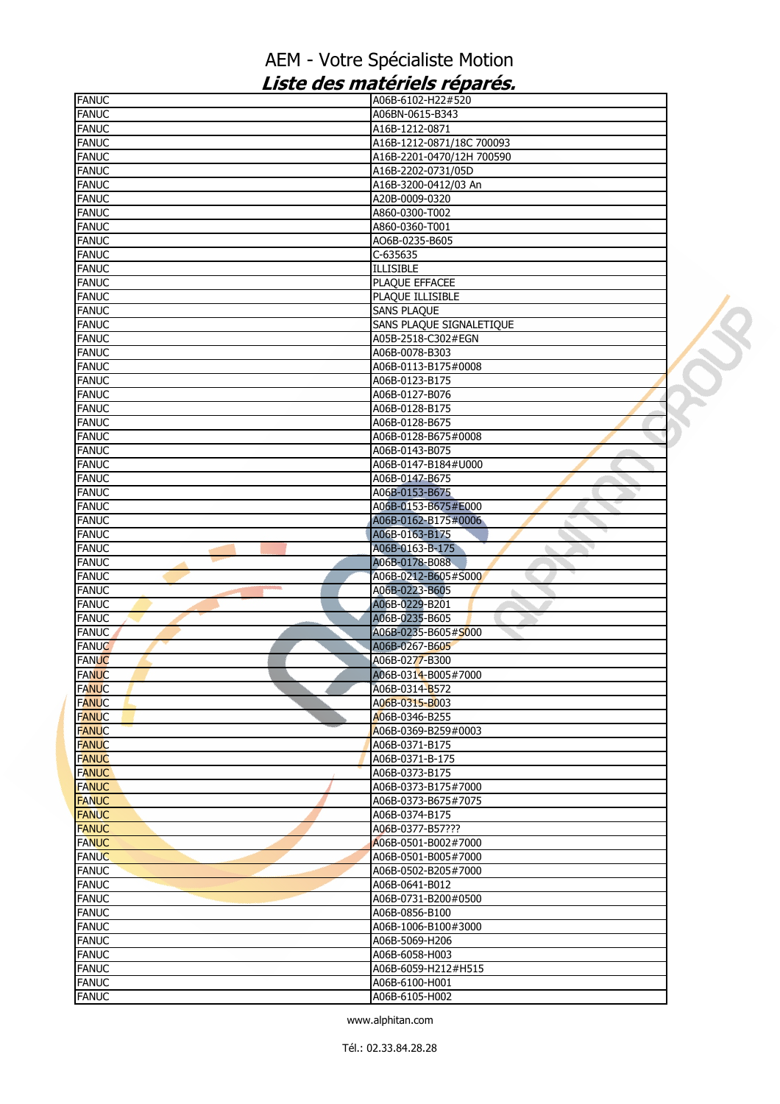| <b>FANUC</b>                 | A06B-6102-H22#520                    |  |
|------------------------------|--------------------------------------|--|
| <b>FANUC</b>                 | A06BN-0615-B343                      |  |
| <b>FANUC</b>                 | A16B-1212-0871                       |  |
| <b>FANUC</b>                 | A16B-1212-0871/18C 700093            |  |
| <b>FANUC</b>                 | A16B-2201-0470/12H 700590            |  |
| <b>FANUC</b>                 | A16B-2202-0731/05D                   |  |
| <b>FANUC</b>                 | A16B-3200-0412/03 An                 |  |
| <b>FANUC</b>                 | A20B-0009-0320                       |  |
| <b>FANUC</b>                 | A860-0300-T002                       |  |
| <b>FANUC</b>                 | A860-0360-T001                       |  |
| <b>FANUC</b>                 | AO6B-0235-B605                       |  |
| <b>FANUC</b>                 | C-635635                             |  |
| <b>FANUC</b>                 | <b>ILLISIBLE</b>                     |  |
| <b>FANUC</b>                 | PLAQUE EFFACEE                       |  |
| <b>FANUC</b>                 | PLAQUE ILLISIBLE                     |  |
| <b>FANUC</b>                 | <b>SANS PLAQUE</b>                   |  |
| <b>FANUC</b>                 | SANS PLAQUE SIGNALETIQUE             |  |
| <b>FANUC</b><br><b>FANUC</b> | A05B-2518-C302#EGN<br>A06B-0078-B303 |  |
|                              | A06B-0113-B175#0008                  |  |
| <b>FANUC</b><br><b>FANUC</b> | A06B-0123-B175                       |  |
| <b>FANUC</b>                 | A06B-0127-B076                       |  |
| <b>FANUC</b>                 | A06B-0128-B175                       |  |
| <b>FANUC</b>                 | A06B-0128-B675                       |  |
| <b>FANUC</b>                 | A06B-0128-B675#0008                  |  |
| <b>FANUC</b>                 | A06B-0143-B075                       |  |
| <b>FANUC</b>                 | A06B-0147-B184#U000                  |  |
| <b>FANUC</b>                 | A06B-0147-B675                       |  |
| <b>FANUC</b>                 | A06B-0153-B675                       |  |
| <b>FANUC</b>                 | A06B-0153-B675#E000                  |  |
| <b>FANUC</b>                 | A06B-0162-B175#0006                  |  |
| <b>FANUC</b>                 | A06B-0163-B175                       |  |
| <b>FANUC</b>                 | A06B-0163-B-175                      |  |
| <b>FANUC</b>                 | A06B-0178-B088                       |  |
| <b>FANUC</b>                 | A06B-0212-B605#S000                  |  |
| <b>FANUC</b>                 | A06B-0223-B605<br>ò.                 |  |
| <b>FANUC</b>                 | A06B-0229-B201                       |  |
| <b>FANUC</b>                 | A06B-0235-B605                       |  |
| <b>FANUC</b>                 | A06B-0235-B605#S000                  |  |
| <b>FANUC</b>                 | A06B-0267-B605                       |  |
| <b>FANUC</b>                 | A06B-0277-B300                       |  |
| <b>FANUC</b>                 | A06B-0314-B005#7000                  |  |
| <b>FANUC</b>                 | A06B-0314-B572                       |  |
| <b>FANUC</b>                 | A06B-0315-B003                       |  |
| <b>FANUC</b>                 | A06B-0346-B255                       |  |
| <b>FANUC</b>                 | A06B-0369-B259#0003                  |  |
| <b>FANUC</b>                 | A06B-0371-B175                       |  |
| <b>FANUC</b>                 | A06B-0371-B-175                      |  |
| <b>FANUC</b>                 | A06B-0373-B175                       |  |
| <b>FANUC</b>                 | A06B-0373-B175#7000                  |  |
| <b>FANUC</b>                 | A06B-0373-B675#7075                  |  |
| <b>FANUC</b>                 | A06B-0374-B175                       |  |
| <b>FANUC</b>                 | A06B-0377-B57???                     |  |
| <b>FANUC</b>                 | A06B-0501-B002#7000                  |  |
| <b>FANUC</b>                 | A06B-0501-B005#7000                  |  |
| <b>FANUC</b>                 | A06B-0502-B205#7000                  |  |
| <b>FANUC</b>                 | A06B-0641-B012                       |  |
| <b>FANUC</b>                 | A06B-0731-B200#0500                  |  |
| <b>FANUC</b>                 | A06B-0856-B100                       |  |
| <b>FANUC</b>                 | A06B-1006-B100#3000                  |  |
| <b>FANUC</b>                 | A06B-5069-H206                       |  |
| <b>FANUC</b>                 | A06B-6058-H003                       |  |
| <b>FANUC</b>                 | A06B-6059-H212#H515                  |  |
| <b>FANUC</b>                 | A06B-6100-H001                       |  |
| <b>FANUC</b>                 | A06B-6105-H002                       |  |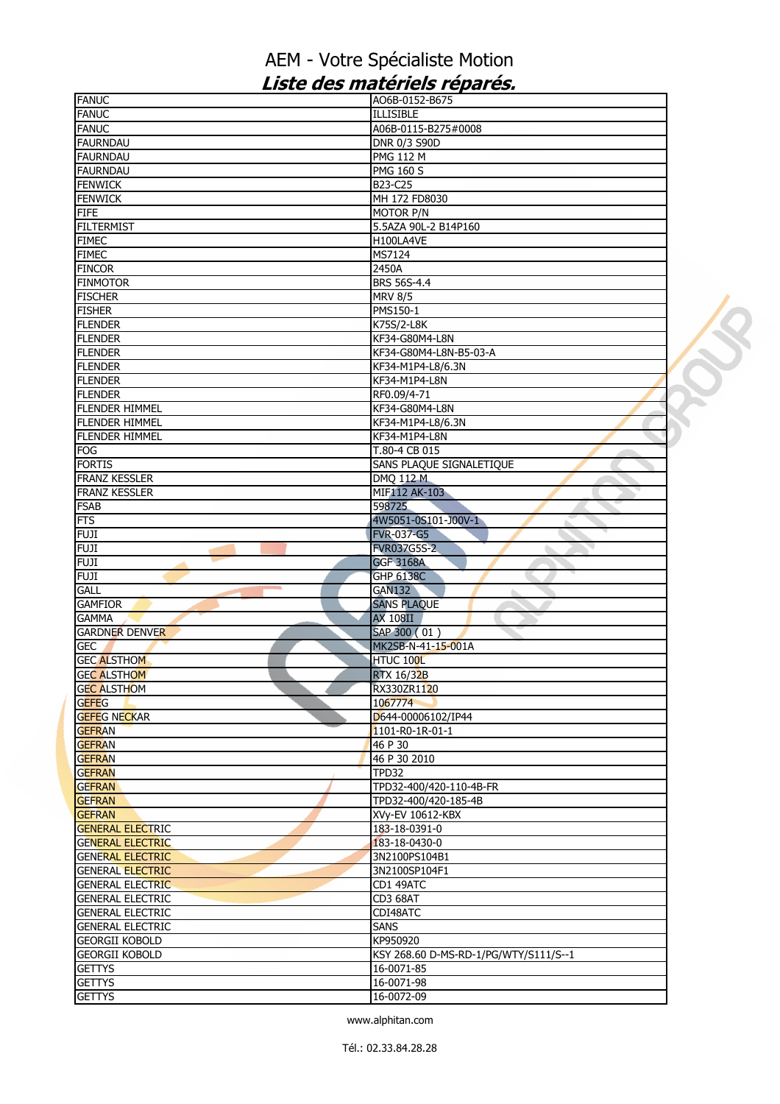| <b>FANUC</b>                                                             | AO6B-0152-B675                        |  |
|--------------------------------------------------------------------------|---------------------------------------|--|
| <b>FANUC</b>                                                             | <b>ILLISIBLE</b>                      |  |
| <b>FANUC</b>                                                             | A06B-0115-B275#0008                   |  |
| <b>FAURNDAU</b>                                                          | DNR 0/3 S90D                          |  |
| <b>FAURNDAU</b>                                                          | <b>PMG 112 M</b>                      |  |
| <b>FAURNDAU</b>                                                          | <b>PMG 160 S</b>                      |  |
| <b>FENWICK</b>                                                           | B23-C25                               |  |
| <b>FENWICK</b>                                                           | MH 172 FD8030                         |  |
| <b>FIFE</b>                                                              | MOTOR P/N                             |  |
| <b>FILTERMIST</b>                                                        | 5.5AZA 90L-2 B14P160                  |  |
| <b>FIMEC</b>                                                             | H100LA4VE                             |  |
| <b>FIMEC</b>                                                             | MS7124                                |  |
| <b>FINCOR</b>                                                            | 2450A                                 |  |
| <b>FINMOTOR</b>                                                          | BRS 56S-4.4                           |  |
| <b>FISCHER</b>                                                           |                                       |  |
|                                                                          | <b>MRV 8/5</b>                        |  |
| <b>FISHER</b>                                                            | PMS150-1                              |  |
| <b>FLENDER</b>                                                           | K75S/2-L8K                            |  |
| <b>FLENDER</b>                                                           | KF34-G80M4-L8N                        |  |
| <b>FLENDER</b>                                                           | KF34-G80M4-L8N-B5-03-A                |  |
| <b>FLENDER</b>                                                           | KF34-M1P4-L8/6.3N                     |  |
| <b>FLENDER</b>                                                           | KF34-M1P4-L8N                         |  |
| <b>FLENDER</b>                                                           | RF0.09/4-71                           |  |
| <b>FLENDER HIMMEL</b>                                                    | KF34-G80M4-L8N                        |  |
| <b>FLENDER HIMMEL</b>                                                    | KF34-M1P4-L8/6.3N                     |  |
| <b>FLENDER HIMMEL</b>                                                    | KF34-M1P4-L8N                         |  |
| <b>FOG</b>                                                               | T.80-4 CB 015                         |  |
| <b>FORTIS</b>                                                            | SANS PLAQUE SIGNALETIQUE              |  |
| <b>FRANZ KESSLER</b>                                                     | DMQ 112 M                             |  |
| <b>FRANZ KESSLER</b>                                                     | MIF112 AK-103                         |  |
| <b>FSAB</b>                                                              | 598725                                |  |
| <b>FTS</b>                                                               | 4W5051-0S101-J00V-1                   |  |
| <b>FUJI</b>                                                              | <b>FVR-037-G5</b>                     |  |
| FUJI                                                                     | <b>FVR037G5S-2</b>                    |  |
| <b>FUJI</b>                                                              | <b>GGF 3168A</b>                      |  |
| <b>FUJI</b>                                                              | <b>GHP 6138C</b>                      |  |
|                                                                          |                                       |  |
| <b>GALL</b><br><b>GAMFIOR</b>                                            | <b>GAN132</b><br>ь                    |  |
|                                                                          | <b>SANS PLAQUE</b>                    |  |
| <b>GAMMA</b>                                                             | <b>AX 108II</b>                       |  |
| <b>GARDNER DENVER</b>                                                    | SAP 300 (01)                          |  |
| <b>GEC</b>                                                               | MK2SB-N-41-15-001A                    |  |
| <b>GEC ALSTHOM</b>                                                       | HTUC 100L                             |  |
| <b>GEC ALSTHOM</b>                                                       |                                       |  |
| <b>GEC ALSTHOM</b>                                                       | <b>RTX 16/32B</b>                     |  |
|                                                                          | RX330ZR1120                           |  |
| <b>GEFEG</b>                                                             | 1067774                               |  |
| <b>GEFEG NECKAR</b>                                                      | D644-00006102/IP44                    |  |
| <b>GEFRAN</b>                                                            | 1101-R0-1R-01-1                       |  |
|                                                                          | 46 P 30                               |  |
|                                                                          |                                       |  |
| <b>GEFRAN</b>                                                            | 46 P 30 2010<br>TPD32                 |  |
| <b>GEFRAN</b>                                                            |                                       |  |
| <b>GEFRAN</b>                                                            | TPD32-400/420-110-4B-FR               |  |
|                                                                          | TPD32-400/420-185-4B                  |  |
| <b>GEFRAN</b>                                                            | XVy-EV 10612-KBX                      |  |
| <b>GENERAL ELECTRIC</b>                                                  | 183-18-0391-0                         |  |
| <b>GENERAL ELECTRIC</b>                                                  | 183-18-0430-0                         |  |
| <b>GENERAL ELECTRIC</b>                                                  | 3N2100PS104B1                         |  |
| <b>GENERAL ELECTRIC</b>                                                  | 3N2100SP104F1                         |  |
| <b>GENERAL ELECTRIC</b>                                                  | CD1 49ATC                             |  |
| <b>GENERAL ELECTRIC</b>                                                  | CD3 68AT                              |  |
| <b>GENERAL ELECTRIC</b>                                                  | CDI48ATC                              |  |
| <b>GENERAL ELECTRIC</b>                                                  | <b>SANS</b>                           |  |
| <b>GEORGII KOBOLD</b>                                                    | KP950920                              |  |
|                                                                          | KSY 268.60 D-MS-RD-1/PG/WTY/S111/S--1 |  |
| <b>GEFRAN</b><br><b>GEFRAN</b><br><b>GEORGII KOBOLD</b><br><b>GETTYS</b> | 16-0071-85                            |  |
| <b>GETTYS</b>                                                            | 16-0071-98                            |  |
| <b>GETTYS</b>                                                            | 16-0072-09                            |  |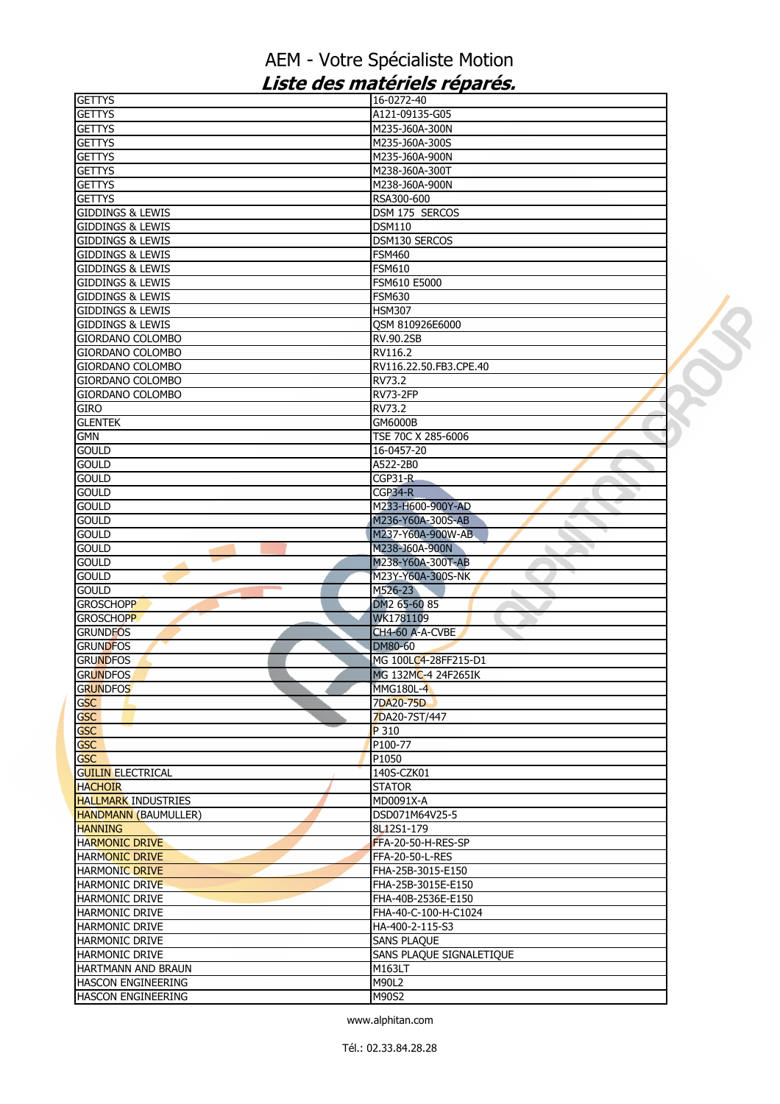| <b>GETTYS</b>               | 16-0272-40               |  |
|-----------------------------|--------------------------|--|
| <b>GETTYS</b>               | A121-09135-G05           |  |
| <b>GETTYS</b>               | M235-J60A-300N           |  |
| <b>GETTYS</b>               | M235-J60A-300S           |  |
| <b>GETTYS</b>               | M235-J60A-900N           |  |
| <b>GETTYS</b>               | M238-J60A-300T           |  |
| <b>GETTYS</b>               | M238-J60A-900N           |  |
| <b>GETTYS</b>               | RSA300-600               |  |
| <b>GIDDINGS &amp; LEWIS</b> | DSM 175 SERCOS           |  |
| <b>GIDDINGS &amp; LEWIS</b> | <b>DSM110</b>            |  |
| <b>GIDDINGS &amp; LEWIS</b> | DSM130 SERCOS            |  |
| <b>GIDDINGS &amp; LEWIS</b> | <b>FSM460</b>            |  |
| <b>GIDDINGS &amp; LEWIS</b> | <b>FSM610</b>            |  |
| <b>GIDDINGS &amp; LEWIS</b> | FSM610 E5000             |  |
| <b>GIDDINGS &amp; LEWIS</b> | <b>FSM630</b>            |  |
|                             |                          |  |
| <b>GIDDINGS &amp; LEWIS</b> | HSM307                   |  |
| <b>GIDDINGS &amp; LEWIS</b> | QSM 810926E6000          |  |
| GIORDANO COLOMBO            | RV.90.2SB                |  |
| GIORDANO COLOMBO            | RV116.2                  |  |
| <b>GIORDANO COLOMBO</b>     | RV116.22.50.FB3.CPE.40   |  |
| <b>GIORDANO COLOMBO</b>     | RV73.2                   |  |
| GIORDANO COLOMBO            | <b>RV73-2FP</b>          |  |
| GIRO                        | RV73.2                   |  |
| <b>GLENTEK</b>              | GM6000B                  |  |
| <b>GMN</b>                  | TSE 70C X 285-6006       |  |
| <b>GOULD</b>                | 16-0457-20               |  |
| <b>GOULD</b>                | A522-2B0                 |  |
| <b>GOULD</b>                | $CGP31-R$                |  |
| <b>GOULD</b>                | CGP34-R                  |  |
| <b>GOULD</b>                | M233-H600-900Y-AD        |  |
| <b>GOULD</b>                | M236-Y60A-300S-AB        |  |
| <b>GOULD</b>                | M237-Y60A-900W-AB        |  |
| <b>GOULD</b>                | M238-J60A-900N           |  |
| <b>GOULD</b>                | M238-Y60A-300T-AB        |  |
| <b>GOULD</b>                | M23Y-Y60A-300S-NK        |  |
| <b>GOULD</b>                | M526-23                  |  |
| <b>GROSCHOPP</b>            | DM2 65-60 85             |  |
| <b>GROSCHOPP</b>            | WK1781109                |  |
|                             |                          |  |
| <b>GRUNDFOS</b>             | CH4-60 A-A-CVBE          |  |
| <b>GRUNDFOS</b>             | DM80-60                  |  |
| <b>GRUNDFOS</b>             | MG 100LC4-28FF215-D1     |  |
| <b>GRUNDFOS</b>             | MG 132MC-4 24F265IK      |  |
| <b>GRUNDFOS</b>             | <b>MMG180L-4</b>         |  |
| <b>GSC</b>                  | 7DA20-75D                |  |
| <b>GSC</b>                  | 7DA20-7ST/447            |  |
| <b>GSC</b>                  | P 310                    |  |
| <b>GSC</b>                  | P100-77                  |  |
| <b>GSC</b>                  | P1050                    |  |
| <b>GUILIN ELECTRICAL</b>    | 140S-CZK01               |  |
| <b>HACHOIR</b>              | <b>STATOR</b>            |  |
| <b>HALLMARK INDUSTRIES</b>  | MD0091X-A                |  |
| <b>HANDMANN (BAUMULLER)</b> | DSD071M64V25-5           |  |
| <b>HANNING</b>              | 8L12S1-179               |  |
| <b>HARMONIC DRIVE</b>       | FFA-20-50-H-RES-SP       |  |
| <b>HARMONIC DRIVE</b>       | FFA-20-50-L-RES          |  |
| <b>HARMONIC DRIVE</b>       | FHA-25B-3015-E150        |  |
| HARMONIC DRIVE              | FHA-25B-3015E-E150       |  |
| <b>HARMONIC DRIVE</b>       | FHA-40B-2536E-E150       |  |
|                             |                          |  |
| HARMONIC DRIVE              | FHA-40-C-100-H-C1024     |  |
| <b>HARMONIC DRIVE</b>       | HA-400-2-115-S3          |  |
| <b>HARMONIC DRIVE</b>       | <b>SANS PLAQUE</b>       |  |
| HARMONIC DRIVE              | SANS PLAQUE SIGNALETIQUE |  |
| HARTMANN AND BRAUN          | M163LT                   |  |
| HASCON ENGINEERING          | M90L2                    |  |
| <b>HASCON ENGINEERING</b>   | M90S2                    |  |
|                             |                          |  |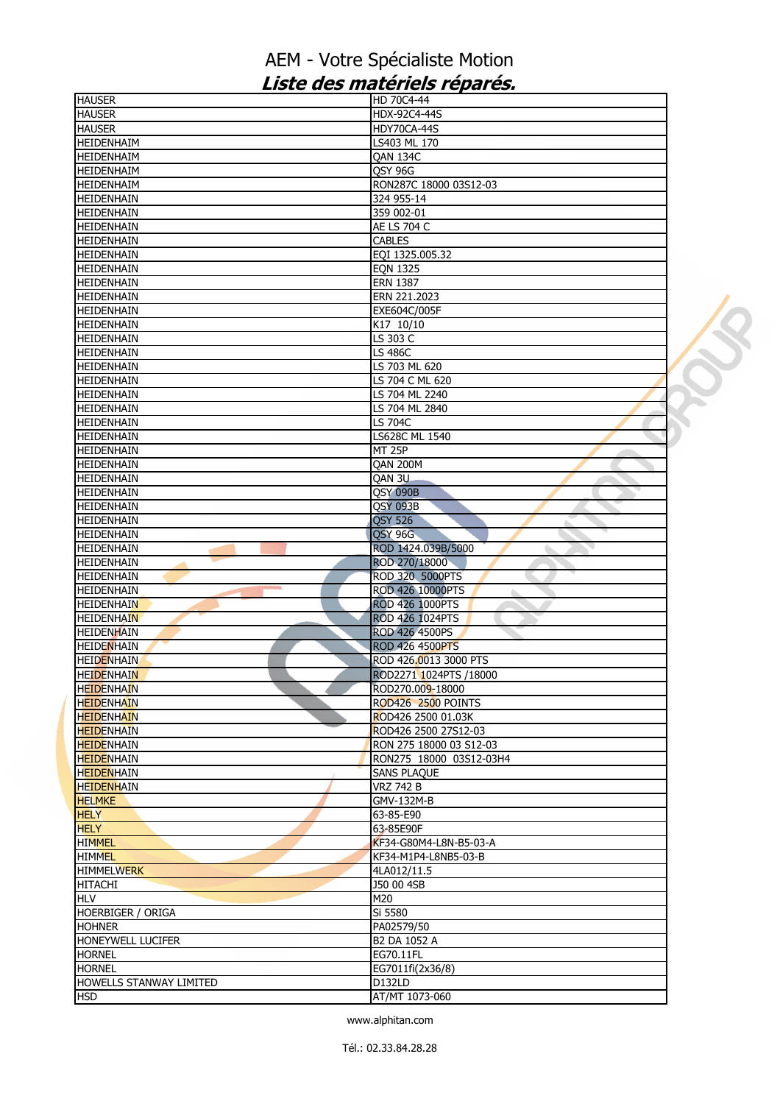| <b>HAUSER</b>            | HD 70C4-44              |  |
|--------------------------|-------------------------|--|
| <b>HAUSER</b>            | HDX-92C4-44S            |  |
| <b>HAUSER</b>            | HDY70CA-44S             |  |
| HEIDENHAIM               | LS403 ML 170            |  |
| HEIDENHAIM               | QAN 134C                |  |
| HEIDENHAIM               | QSY 96G                 |  |
| HEIDENHAIM               | RON287C 18000 03S12-03  |  |
| HEIDENHAIN               | 324 955-14              |  |
| HEIDENHAIN               | 359 002-01              |  |
| <b>HEIDENHAIN</b>        | AE LS 704 C             |  |
| <b>HEIDENHAIN</b>        | <b>CABLES</b>           |  |
| HEIDENHAIN               | EQI 1325.005.32         |  |
| HEIDENHAIN               | <b>EQN 1325</b>         |  |
| HEIDENHAIN               | <b>ERN 1387</b>         |  |
| <b>HEIDENHAIN</b>        | ERN 221.2023            |  |
| HEIDENHAIN               | EXE604C/005F            |  |
| HEIDENHAIN               | K17 10/10               |  |
| HEIDENHAIN               | LS 303 C                |  |
| <b>HEIDENHAIN</b>        |                         |  |
|                          | LS 486C                 |  |
| <b>HEIDENHAIN</b>        | LS 703 ML 620           |  |
| HEIDENHAIN               | LS 704 C ML 620         |  |
| HEIDENHAIN               | LS 704 ML 2240          |  |
| <b>HEIDENHAIN</b>        | LS 704 ML 2840          |  |
| <b>HEIDENHAIN</b>        | LS 704C                 |  |
| HEIDENHAIN               | LS628C ML 1540          |  |
| <b>HEIDENHAIN</b>        | <b>MT 25P</b>           |  |
| HEIDENHAIN               | <b>QAN 200M</b>         |  |
| <b>HEIDENHAIN</b>        | QAN 3U                  |  |
| HEIDENHAIN               | <b>QSY 090B</b>         |  |
| <b>HEIDENHAIN</b>        | QSY 093B                |  |
| HEIDENHAIN               | <b>QSY 526</b>          |  |
| HEIDENHAIN               | <b>QSY 96G</b>          |  |
| <b>HEIDENHAIN</b>        | ROD 1424.039B/5000      |  |
| HEIDENHAIN               | ROD 270/18000           |  |
| <b>HEIDENHAIN</b>        | ROD 320 5000PTS         |  |
| HEIDENHAIN               | ROD 426 10000PTS        |  |
| <b>HEIDENHAIN</b>        | <b>ROD 426 1000PTS</b>  |  |
| <b>HEIDENHAIN</b>        | ROD 426 1024PTS         |  |
| <b>HEIDENHAIN</b>        | ROD 426 4500PS          |  |
| <b>HEIDENHAIN</b>        |                         |  |
|                          | <b>ROD 426 4500PTS</b>  |  |
| <b>HEIDENHAIN</b>        | ROD 426,0013 3000 PTS   |  |
| <b>HEIDENHAIN</b>        | ROD2271 1024PTS /18000  |  |
| <b>HEIDENHAIN</b>        | ROD270.009-18000        |  |
| <b>HEIDENHAIN</b>        | ROD426 2500 POINTS      |  |
| <b>HEIDENHAIN</b>        | ROD426 2500 01.03K      |  |
| <b>HEIDENHAIN</b>        | ROD426 2500 27S12-03    |  |
| <b>HEIDENHAIN</b>        | RON 275 18000 03 S12-03 |  |
| <b>HEIDENHAIN</b>        | RON275 18000 03S12-03H4 |  |
| <b>HEIDENHAIN</b>        | <b>SANS PLAQUE</b>      |  |
| <b>HEIDENHAIN</b>        | <b>VRZ 742 B</b>        |  |
| <b>HELMKE</b>            | GMV-132M-B              |  |
| <b>HELY</b>              | 63-85-E90               |  |
| <b>HELY</b>              | 63-85E90F               |  |
| <b>HIMMEL</b>            | KF34-G80M4-L8N-B5-03-A  |  |
| <b>HIMMEL</b>            | KF34-M1P4-L8NB5-03-B    |  |
| <b>HIMMELWERK</b>        | 4LA012/11.5             |  |
| <b>HITACHI</b>           | J50 00 4SB              |  |
| <b>HLV</b>               | M20                     |  |
| <b>HOERBIGER / ORIGA</b> | Si 5580                 |  |
| <b>HOHNER</b>            | PA02579/50              |  |
|                          |                         |  |
| HONEYWELL LUCIFER        | B2 DA 1052 A            |  |
| <b>HORNEL</b>            | EG70.11FL               |  |
| <b>HORNEL</b>            | EG7011fi(2x36/8)        |  |
| HOWELLS STANWAY LIMITED  | D132LD                  |  |
| <b>HSD</b>               | AT/MT 1073-060          |  |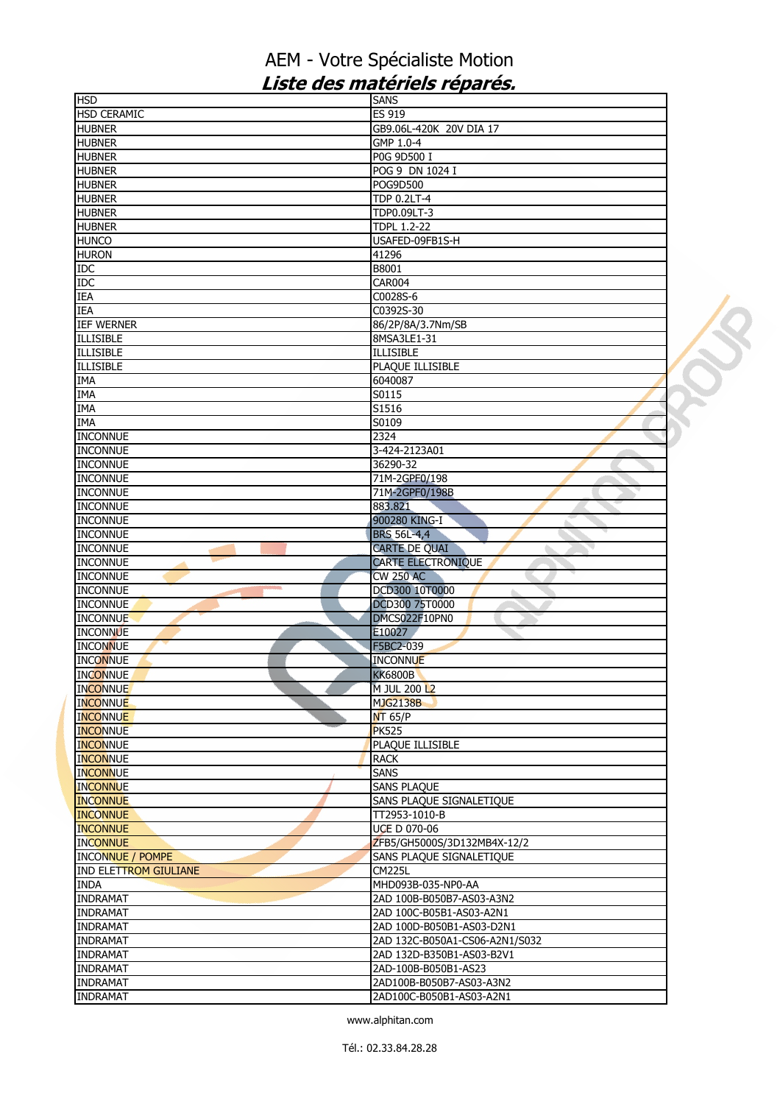| <b>HSD</b>                      | <b>SANS</b>                    |  |
|---------------------------------|--------------------------------|--|
| <b>HSD CERAMIC</b>              | ES 919                         |  |
| <b>HUBNER</b>                   | GB9.06L-420K 20V DIA 17        |  |
| <b>HUBNER</b>                   | GMP 1.0-4                      |  |
| <b>HUBNER</b>                   | P0G 9D500 I                    |  |
| <b>HUBNER</b>                   | POG 9 DN 1024 I                |  |
| <b>HUBNER</b>                   | POG9D500                       |  |
| <b>HUBNER</b>                   | <b>TDP 0.2LT-4</b>             |  |
| <b>HUBNER</b>                   | TDP0.09LT-3                    |  |
| <b>HUBNER</b>                   | <b>TDPL 1.2-22</b>             |  |
| <b>HUNCO</b>                    | USAFED-09FB1S-H                |  |
| <b>HURON</b>                    | 41296                          |  |
| <b>IDC</b>                      | B8001                          |  |
| <b>IDC</b>                      | <b>CAR004</b>                  |  |
| <b>IEA</b>                      | C0028S-6                       |  |
| <b>IEA</b>                      |                                |  |
|                                 | C0392S-30                      |  |
| <b>IEF WERNER</b>               | 86/2P/8A/3.7Nm/SB              |  |
| <b>ILLISIBLE</b>                | 8MSA3LE1-31                    |  |
| <b>ILLISIBLE</b>                | <b>ILLISIBLE</b>               |  |
| <b>ILLISIBLE</b>                | PLAQUE ILLISIBLE               |  |
| <b>IMA</b>                      | 6040087                        |  |
| <b>IMA</b>                      | S0115                          |  |
| <b>IMA</b>                      | S1516                          |  |
| <b>IMA</b>                      | S0109                          |  |
| <b>INCONNUE</b>                 | 2324                           |  |
| <b>INCONNUE</b>                 | 3-424-2123A01                  |  |
| <b>INCONNUE</b>                 | 36290-32                       |  |
| <b>INCONNUE</b>                 | 71M-2GPF0/198                  |  |
| <b>INCONNUE</b>                 | 71M-2GPF0/198B                 |  |
| <b>INCONNUE</b>                 | 883.821                        |  |
| <b>INCONNUE</b>                 | 900280 KING-I                  |  |
| <b>INCONNUE</b>                 | <b>BRS 56L-4,4</b>             |  |
| <b>INCONNUE</b>                 | CARTE DE QUAI                  |  |
| <b>INCONNUE</b>                 | <b>CARTE ELECTRONIQUE</b>      |  |
| <b>INCONNUE</b>                 | <b>CW 250 AC</b>               |  |
| <b>INCONNUE</b><br><b>STATE</b> | DCD300 10T0000                 |  |
| <b>INCONNUE</b>                 | DCD300 75T0000                 |  |
|                                 |                                |  |
| <b>INCONNUE</b>                 | DMCS022F10PN0                  |  |
| <b>INCONNUE</b>                 | E10027                         |  |
| <b>INCONNUE</b>                 | F5BC2-039                      |  |
| <b>INCONNUE</b>                 | <b>INCONNUE</b>                |  |
| <b>INCONNUE</b>                 | <b>KK6800B</b>                 |  |
| <b>INCONNUE</b>                 | M JUL 200 L2                   |  |
| <b>INCONNUE</b>                 | <b>MJG2138B</b>                |  |
| <b>INCONNUE</b>                 | NT 65/P                        |  |
| <b>INCONNUE</b>                 | <b>PK525</b>                   |  |
| <b>INCONNUE</b>                 | PLAQUE ILLISIBLE               |  |
| <b>INCONNUE</b>                 | <b>RACK</b>                    |  |
| <b>INCONNUE</b>                 | <b>SANS</b>                    |  |
| <b>INCONNUE</b>                 | <b>SANS PLAQUE</b>             |  |
| <b>INCONNUE</b>                 | SANS PLAQUE SIGNALETIQUE       |  |
| <b>INCONNUE</b>                 | TT2953-1010-B                  |  |
| <b>INCONNUE</b>                 | <b>UCE D 070-06</b>            |  |
| <b>INCONNUE</b>                 | ZFB5/GH5000S/3D132MB4X-12/2    |  |
| <b>INCONNUE / POMPE</b>         | SANS PLAQUE SIGNALETIQUE       |  |
| <b>IND ELETTROM GIULIANE</b>    | <b>CM225L</b>                  |  |
| <b>INDA</b>                     | MHD093B-035-NP0-AA             |  |
| <b>INDRAMAT</b>                 | 2AD 100B-B050B7-AS03-A3N2      |  |
| <b>INDRAMAT</b>                 | 2AD 100C-B05B1-AS03-A2N1       |  |
| <b>INDRAMAT</b>                 | 2AD 100D-B050B1-AS03-D2N1      |  |
|                                 |                                |  |
| <b>INDRAMAT</b>                 | 2AD 132C-B050A1-CS06-A2N1/S032 |  |
| <b>INDRAMAT</b>                 | 2AD 132D-B350B1-AS03-B2V1      |  |
| <b>INDRAMAT</b>                 | 2AD-100B-B050B1-AS23           |  |
| <b>INDRAMAT</b>                 | 2AD100B-B050B7-AS03-A3N2       |  |
| <b>INDRAMAT</b>                 | 2AD100C-B050B1-AS03-A2N1       |  |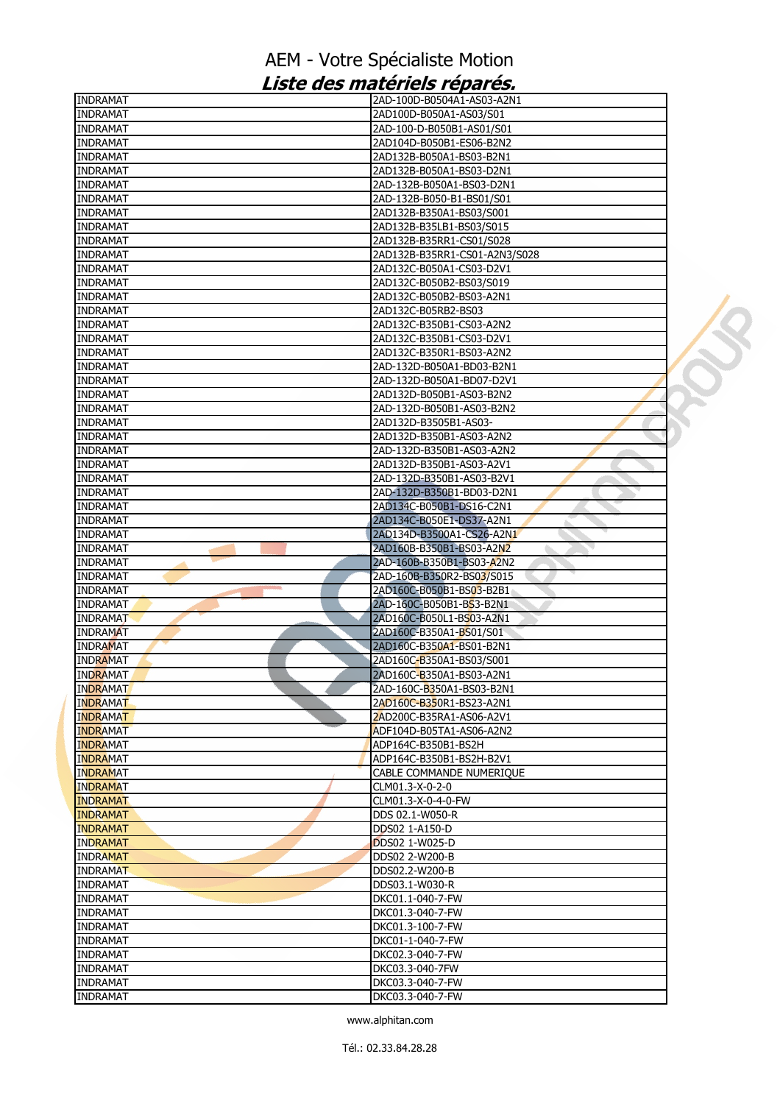| <b>INDRAMAT</b>                    | 2AD-100D-B0504A1-AS03-A2N1                                           |  |
|------------------------------------|----------------------------------------------------------------------|--|
| <b>INDRAMAT</b>                    | 2AD100D-B050A1-AS03/S01                                              |  |
| <b>INDRAMAT</b>                    | 2AD-100-D-B050B1-AS01/S01                                            |  |
| <b>INDRAMAT</b>                    | 2AD104D-B050B1-ES06-B2N2                                             |  |
| <b>INDRAMAT</b>                    | 2AD132B-B050A1-BS03-B2N1                                             |  |
| <b>INDRAMAT</b>                    | 2AD132B-B050A1-BS03-D2N1                                             |  |
| <b>INDRAMAT</b>                    | 2AD-132B-B050A1-BS03-D2N1                                            |  |
| <b>INDRAMAT</b>                    | 2AD-132B-B050-B1-BS01/S01                                            |  |
| <b>INDRAMAT</b>                    | 2AD132B-B350A1-BS03/S001                                             |  |
| <b>INDRAMAT</b>                    | 2AD132B-B35LB1-BS03/S015                                             |  |
| <b>INDRAMAT</b>                    | 2AD132B-B35RR1-CS01/S028                                             |  |
| <b>INDRAMAT</b>                    | 2AD132B-B35RR1-CS01-A2N3/S028                                        |  |
| <b>INDRAMAT</b>                    | 2AD132C-B050A1-CS03-D2V1                                             |  |
| <b>INDRAMAT</b>                    | 2AD132C-B050B2-BS03/S019                                             |  |
| <b>INDRAMAT</b>                    | 2AD132C-B050B2-BS03-A2N1                                             |  |
| <b>INDRAMAT</b>                    | 2AD132C-B05RB2-BS03                                                  |  |
| <b>INDRAMAT</b>                    | 2AD132C-B350B1-CS03-A2N2                                             |  |
| <b>INDRAMAT</b>                    | 2AD132C-B350B1-CS03-D2V1                                             |  |
| <b>INDRAMAT</b>                    | 2AD132C-B350R1-BS03-A2N2                                             |  |
| <b>INDRAMAT</b>                    | 2AD-132D-B050A1-BD03-B2N1                                            |  |
| <b>INDRAMAT</b>                    | 2AD-132D-B050A1-BD07-D2V1                                            |  |
| <b>INDRAMAT</b>                    | 2AD132D-B050B1-AS03-B2N2                                             |  |
| <b>INDRAMAT</b>                    | 2AD-132D-B050B1-AS03-B2N2                                            |  |
| <b>INDRAMAT</b>                    | 2AD132D-B3505B1-AS03-                                                |  |
| <b>INDRAMAT</b>                    | 2AD132D-B350B1-AS03-A2N2                                             |  |
| <b>INDRAMAT</b>                    | 2AD-132D-B350B1-AS03-A2N2                                            |  |
| <b>INDRAMAT</b>                    | 2AD132D-B350B1-AS03-A2V1                                             |  |
| <b>INDRAMAT</b>                    | 2AD-132D-B350B1-AS03-B2V1                                            |  |
| <b>INDRAMAT</b>                    | 2AD-132D-B350B1-BD03-D2N1                                            |  |
| <b>INDRAMAT</b>                    | 2AD134C-B050B1-DS16-C2N1                                             |  |
| <b>INDRAMAT</b>                    | 2AD134C-B050E1-DS37-A2N1                                             |  |
| <b>INDRAMAT</b>                    | 2AD134D-B3500A1-CS26-A2N1                                            |  |
| <b>INDRAMAT</b>                    | 2AD160B-B350B1-BS03-A2N2                                             |  |
| <b>INDRAMAT</b>                    | 2AD-160B-B350B1-BS03-A2N2                                            |  |
| <b>INDRAMAT</b>                    | 2AD-160B-B350R2-BS03/S015                                            |  |
| <b>INDRAMAT</b>                    | 2AD160C-B050B1-BS03-B2B1                                             |  |
| <b>INDRAMAT</b>                    | 2AD-160C-B050B1-BS3-B2N1                                             |  |
| <b>INDRAMAT</b>                    | 2AD160C-B050L1-BS03-A2N1                                             |  |
| <b>INDRAMAT</b>                    | 2AD160C-B350A1-BS01/S01                                              |  |
| <b>INDRAMAT</b>                    | 2AD160C-B350A1-BS01-B2N1                                             |  |
| <b>INDRAMAT</b>                    | 2AD160C-B350A1-BS03/S001<br>2AD160C-B350A1-BS03-A2N1                 |  |
| <b>INDRAMAT</b>                    |                                                                      |  |
| <b>INDRAMAT</b><br><b>INDRAMAT</b> | 2AD-160C- <mark>B</mark> 350A1-BS03-B2N1<br>2AD160C-B350R1-BS23-A2N1 |  |
| <b>INDRAMAT</b>                    | 2AD200C-B35RA1-AS06-A2V1                                             |  |
| <b>INDRAMAT</b>                    | ADF104D-B05TA1-AS06-A2N2                                             |  |
| <b>INDRAMAT</b>                    | ADP164C-B350B1-BS2H                                                  |  |
| <b>INDRAMAT</b>                    | ADP164C-B350B1-BS2H-B2V1                                             |  |
| <b>INDRAMAT</b>                    | CABLE COMMANDE NUMERIQUE                                             |  |
| <b>INDRAMAT</b>                    | CLM01.3-X-0-2-0                                                      |  |
| <b>INDRAMAT</b>                    | CLM01.3-X-0-4-0-FW                                                   |  |
| <b>INDRAMAT</b>                    | DDS 02.1-W050-R                                                      |  |
| <b>INDRAMAT</b>                    | DDS02 1-A150-D                                                       |  |
| <b>INDRAMAT</b>                    | DDS02 1-W025-D                                                       |  |
| <b>INDRAMAT</b>                    | DDS02 2-W200-B                                                       |  |
| <b>INDRAMAT</b>                    | DDS02.2-W200-B                                                       |  |
| <b>INDRAMAT</b>                    | DDS03.1-W030-R                                                       |  |
| <b>INDRAMAT</b>                    | DKC01.1-040-7-FW                                                     |  |
| <b>INDRAMAT</b>                    | DKC01.3-040-7-FW                                                     |  |
| <b>INDRAMAT</b>                    | DKC01.3-100-7-FW                                                     |  |
| <b>INDRAMAT</b>                    | DKC01-1-040-7-FW                                                     |  |
| <b>INDRAMAT</b>                    | DKC02.3-040-7-FW                                                     |  |
| <b>INDRAMAT</b>                    | DKC03.3-040-7FW                                                      |  |
| <b>INDRAMAT</b>                    | DKC03.3-040-7-FW                                                     |  |
| <b>INDRAMAT</b>                    | DKC03.3-040-7-FW                                                     |  |
|                                    |                                                                      |  |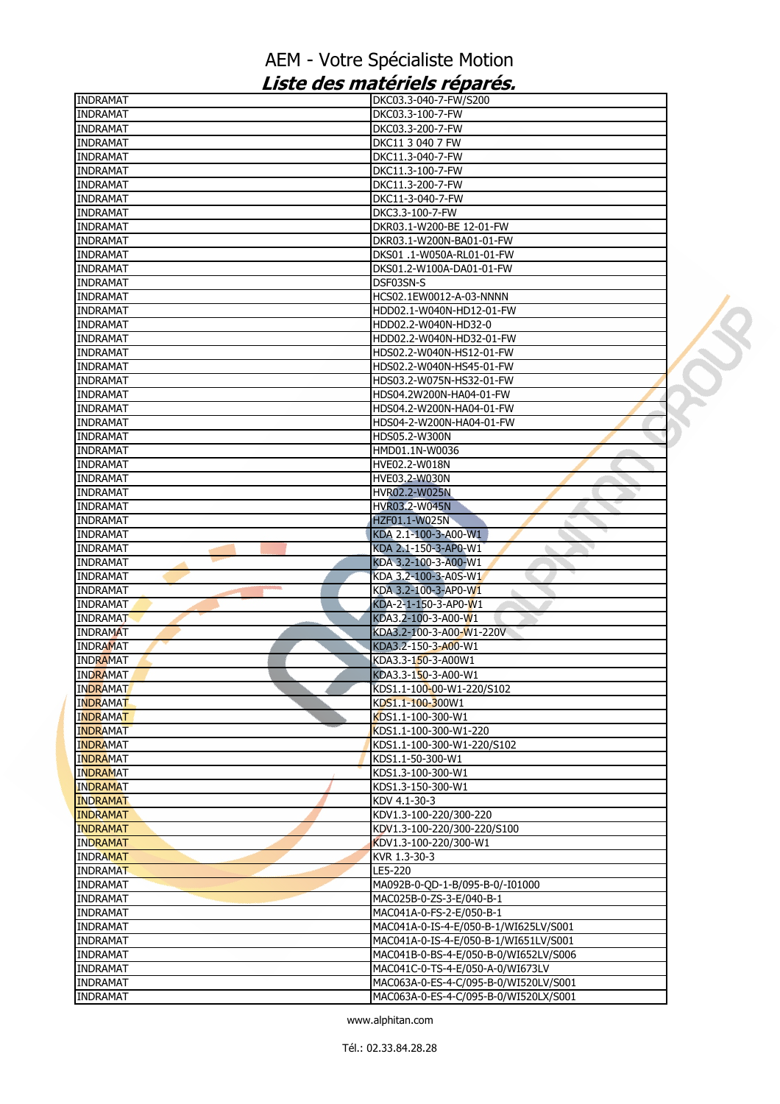| <b>INDRAMAT</b>                    | DKC03.3-040-7-FW/S200                 |  |
|------------------------------------|---------------------------------------|--|
| <b>INDRAMAT</b>                    | DKC03.3-100-7-FW                      |  |
| <b>INDRAMAT</b>                    | DKC03.3-200-7-FW                      |  |
| <b>INDRAMAT</b>                    | DKC11 3 040 7 FW                      |  |
| <b>INDRAMAT</b>                    | DKC11.3-040-7-FW                      |  |
| <b>INDRAMAT</b>                    | DKC11.3-100-7-FW                      |  |
| <b>INDRAMAT</b>                    | DKC11.3-200-7-FW                      |  |
| <b>INDRAMAT</b>                    | DKC11-3-040-7-FW                      |  |
| <b>INDRAMAT</b>                    | DKC3.3-100-7-FW                       |  |
| <b>INDRAMAT</b>                    | DKR03.1-W200-BE 12-01-FW              |  |
| <b>INDRAMAT</b>                    | DKR03.1-W200N-BA01-01-FW              |  |
| <b>INDRAMAT</b>                    | DKS01 .1-W050A-RL01-01-FW             |  |
| <b>INDRAMAT</b>                    | DKS01.2-W100A-DA01-01-FW              |  |
| <b>INDRAMAT</b>                    | DSF03SN-S                             |  |
| <b>INDRAMAT</b>                    | HCS02.1EW0012-A-03-NNNN               |  |
| <b>INDRAMAT</b>                    | HDD02.1-W040N-HD12-01-FW              |  |
| <b>INDRAMAT</b>                    | HDD02.2-W040N-HD32-0                  |  |
| <b>INDRAMAT</b>                    | HDD02.2-W040N-HD32-01-FW              |  |
| <b>INDRAMAT</b>                    | HDS02.2-W040N-HS12-01-FW              |  |
| <b>INDRAMAT</b>                    | HDS02.2-W040N-HS45-01-FW              |  |
| <b>INDRAMAT</b>                    | HDS03.2-W075N-HS32-01-FW              |  |
| <b>INDRAMAT</b>                    | HDS04.2W200N-HA04-01-FW               |  |
| <b>INDRAMAT</b>                    | HDS04.2-W200N-HA04-01-FW              |  |
| <b>INDRAMAT</b>                    | HDS04-2-W200N-HA04-01-FW              |  |
| <b>INDRAMAT</b>                    | HDS05.2-W300N                         |  |
|                                    |                                       |  |
| <b>INDRAMAT</b><br><b>INDRAMAT</b> | HMD01.1N-W0036<br>HVE02.2-W018N       |  |
|                                    |                                       |  |
| <b>INDRAMAT</b>                    | <b>HVE03.2-W030N</b>                  |  |
| <b>INDRAMAT</b>                    | <b>HVR02.2-W025N</b>                  |  |
| <b>INDRAMAT</b>                    | <b>HVR03.2-W045N</b>                  |  |
| <b>INDRAMAT</b>                    | <b>HZF01.1-W025N</b>                  |  |
| <b>INDRAMAT</b>                    | KDA 2.1-100-3-A00-W1                  |  |
| <b>INDRAMAT</b>                    | KDA 2.1-150-3-AP0-W1                  |  |
| <b>INDRAMAT</b>                    | KDA 3.2-100-3-A00-W1                  |  |
| <b>INDRAMAT</b>                    | KDA 3.2-100-3-A0S-W1                  |  |
| <b>INDRAMAT</b>                    | KDA 3.2-100-3-AP0-W1                  |  |
| <b>INDRAMAT</b>                    | KDA-2-1-150-3-AP0-W1                  |  |
| <b>INDRAMAT</b>                    | KDA3.2-100-3-A00-W1                   |  |
| <b>INDRAMAT</b>                    | KDA3.2-100-3-A00-W1-220V              |  |
| <b>INDRAMAT</b>                    | KDA3.2-150-3-A00-W1                   |  |
| <b>INDRAMAT</b>                    | KDA3.3-150-3-A00W1                    |  |
| <b>INDRAMAT</b>                    | KDA3.3-150-3-A00-W1                   |  |
| <b>INDRAMAT</b>                    | KDS1.1-100-00-W1-220/S102             |  |
| <b>INDRAMAT</b>                    | KDS1.1-100-300W1                      |  |
| <b>INDRAMAT</b>                    | $KDS1.1 - 100 - 300 - W1$             |  |
| <b>INDRAMAT</b>                    | KDS1.1-100-300-W1-220                 |  |
| <b>INDRAMAT</b>                    | KDS1.1-100-300-W1-220/S102            |  |
| <b>INDRAMAT</b>                    | KDS1.1-50-300-W1                      |  |
| <b>INDRAMAT</b>                    | KDS1.3-100-300-W1                     |  |
| <b>INDRAMAT</b>                    | KDS1.3-150-300-W1                     |  |
| <b>INDRAMAT</b>                    | KDV 4.1-30-3                          |  |
| <b>INDRAMAT</b>                    | KDV1.3-100-220/300-220                |  |
| <b>INDRAMAT</b>                    | KDV1.3-100-220/300-220/S100           |  |
| <b>INDRAMAT</b>                    | KDV1.3-100-220/300-W1                 |  |
| <b>INDRAMAT</b>                    | KVR 1.3-30-3                          |  |
| <b>INDRAMAT</b>                    | LE5-220                               |  |
| <b>INDRAMAT</b>                    | MA092B-0-QD-1-B/095-B-0/-I01000       |  |
| <b>INDRAMAT</b>                    | MAC025B-0-ZS-3-E/040-B-1              |  |
| <b>INDRAMAT</b>                    | MAC041A-0-FS-2-E/050-B-1              |  |
| <b>INDRAMAT</b>                    | MAC041A-0-IS-4-E/050-B-1/WI625LV/S001 |  |
| <b>INDRAMAT</b>                    | MAC041A-0-IS-4-E/050-B-1/WI651LV/S001 |  |
| <b>INDRAMAT</b>                    | MAC041B-0-BS-4-E/050-B-0/WI652LV/S006 |  |
| <b>INDRAMAT</b>                    | MAC041C-0-TS-4-E/050-A-0/WI673LV      |  |
| <b>INDRAMAT</b>                    | MAC063A-0-ES-4-C/095-B-0/WI520LV/S001 |  |
| <b>INDRAMAT</b>                    | MAC063A-0-ES-4-C/095-B-0/WI520LX/S001 |  |
|                                    |                                       |  |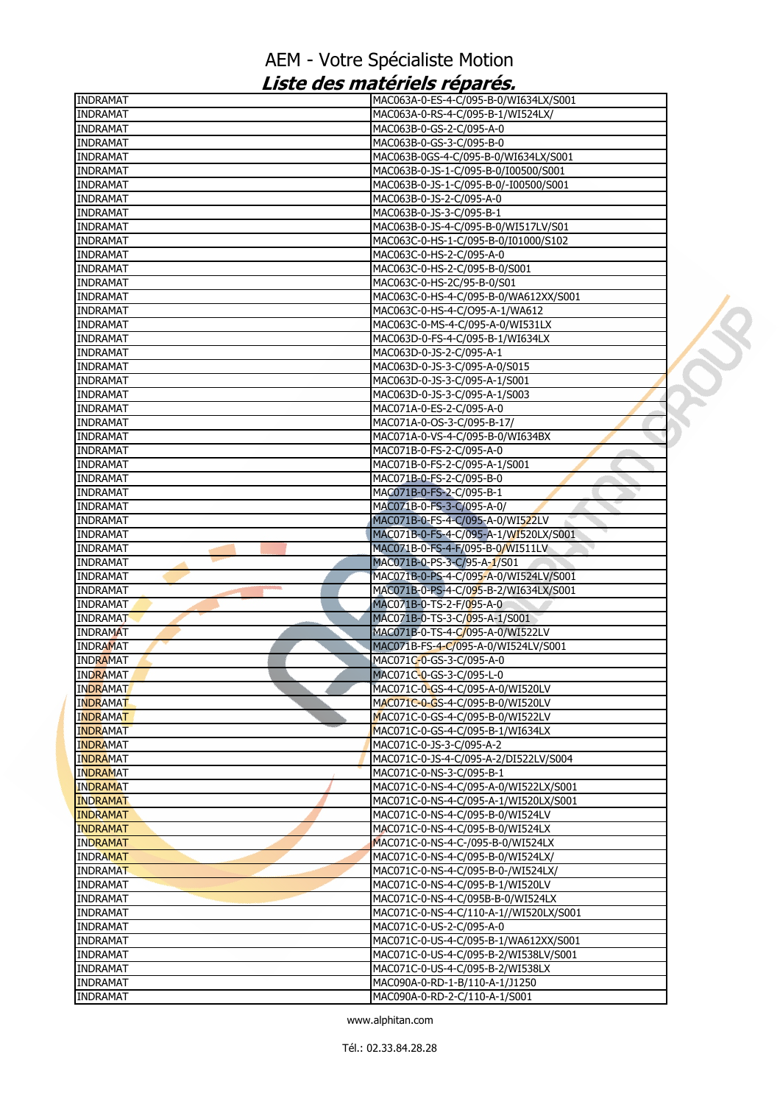| <b>INDRAMAT</b>                    | MAC063A-0-ES-4-C/095-B-0/WI634LX/S001  |  |
|------------------------------------|----------------------------------------|--|
| <b>INDRAMAT</b>                    | MAC063A-0-RS-4-C/095-B-1/WI524LX/      |  |
| <b>INDRAMAT</b>                    | MAC063B-0-GS-2-C/095-A-0               |  |
| <b>INDRAMAT</b>                    | MAC063B-0-GS-3-C/095-B-0               |  |
| <b>INDRAMAT</b>                    | MAC063B-0GS-4-C/095-B-0/WI634LX/S001   |  |
| <b>INDRAMAT</b>                    | MAC063B-0-JS-1-C/095-B-0/I00500/S001   |  |
| <b>INDRAMAT</b>                    | MAC063B-0-JS-1-C/095-B-0/-I00500/S001  |  |
| <b>INDRAMAT</b>                    | MAC063B-0-JS-2-C/095-A-0               |  |
| <b>INDRAMAT</b>                    | MAC063B-0-JS-3-C/095-B-1               |  |
| <b>INDRAMAT</b>                    | MAC063B-0-JS-4-C/095-B-0/WI517LV/S01   |  |
| <b>INDRAMAT</b>                    | MAC063C-0-HS-1-C/095-B-0/I01000/S102   |  |
| <b>INDRAMAT</b>                    | MAC063C-0-HS-2-C/095-A-0               |  |
| <b>INDRAMAT</b>                    | MAC063C-0-HS-2-C/095-B-0/S001          |  |
| <b>INDRAMAT</b>                    |                                        |  |
|                                    | MAC063C-0-HS-2C/95-B-0/S01             |  |
| <b>INDRAMAT</b>                    | MAC063C-0-HS-4-C/095-B-0/WA612XX/S001  |  |
| <b>INDRAMAT</b>                    | MAC063C-0-HS-4-C/O95-A-1/WA612         |  |
| <b>INDRAMAT</b>                    | MAC063C-0-MS-4-C/095-A-0/WI531LX       |  |
| <b>INDRAMAT</b>                    | MAC063D-0-FS-4-C/095-B-1/WI634LX       |  |
| <b>INDRAMAT</b>                    | MAC063D-0-JS-2-C/095-A-1               |  |
| <b>INDRAMAT</b>                    | MAC063D-0-JS-3-C/095-A-0/S015          |  |
| <b>INDRAMAT</b>                    | MAC063D-0-JS-3-C/095-A-1/S001          |  |
| <b>INDRAMAT</b>                    | MAC063D-0-JS-3-C/095-A-1/S003          |  |
| <b>INDRAMAT</b>                    | MAC071A-0-ES-2-C/095-A-0               |  |
| <b>INDRAMAT</b>                    | MAC071A-0-OS-3-C/095-B-17/             |  |
| <b>INDRAMAT</b>                    | MAC071A-0-VS-4-C/095-B-0/WI634BX       |  |
| <b>INDRAMAT</b>                    | MAC071B-0-FS-2-C/095-A-0               |  |
| <b>INDRAMAT</b>                    | MAC071B-0-FS-2-C/095-A-1/S001          |  |
| <b>INDRAMAT</b>                    | MAC071B-0-FS-2-C/095-B-0               |  |
| <b>INDRAMAT</b>                    | MAC071B-0-FS-2-C/095-B-1               |  |
| <b>INDRAMAT</b>                    | MAC071B-0-FS-3-C/095-A-0/              |  |
| <b>INDRAMAT</b>                    | MAC071B-0-FS-4-C/095-A-0/WI522LV       |  |
| <b>INDRAMAT</b>                    | MAC071B-0-FS-4-C/095-A-1/WI520LX/S001  |  |
| <b>INDRAMAT</b>                    | MAC071B-0-FS-4-F/095-B-0/WI511LV       |  |
| <b>INDRAMAT</b>                    | MAC071B-0-PS-3-C/95-A-1/S01            |  |
| <b>INDRAMAT</b>                    | MAC071B-0-PS-4-C/095-A-0/WI524LV/S001  |  |
|                                    |                                        |  |
| <b>INDRAMAT</b>                    | MAC071B-0-PS-4-C/095-B-2/WI634LX/S001  |  |
| <b>INDRAMAT</b>                    | MAC071B-0-TS-2-F/095-A-0               |  |
| <b>INDRAMAT</b>                    | MAC071B-0-TS-3-C/095-A-1/S001          |  |
| <b>INDRAMAT</b>                    | MAC071B-0-TS-4-C/095-A-0/WI522LV       |  |
| <b>INDRAMAT</b>                    | MAC071B-FS-4-C/095-A-0/WI524LV/S001    |  |
| <b>INDRAMAT</b>                    | MAC071C-0-GS-3-C/095-A-0               |  |
| <b>INDRAMAT</b>                    | MAC071C-0-GS-3-C/095-L-0               |  |
| <b>INDRAMAT</b>                    | MAC071C-0-GS-4-C/095-A-0/WI520LV       |  |
| <b>INDRAMAT</b>                    | MAC071C-0-GS-4-C/095-B-0/WI520LV       |  |
| <b>INDRAMAT</b>                    | MAC071C-0-GS-4-C/095-B-0/WI522LV       |  |
| <b>INDRAMAT</b>                    | MAC071C-0-GS-4-C/095-B-1/WI634LX       |  |
| <b>INDRAMAT</b>                    | MAC071C-0-JS-3-C/095-A-2               |  |
| <b>INDRAMAT</b>                    | MAC071C-0-JS-4-C/095-A-2/DI522LV/S004  |  |
| <b>INDRAMAT</b>                    | MAC071C-0-NS-3-C/095-B-1               |  |
| <b>INDRAMAT</b>                    | MAC071C-0-NS-4-C/095-A-0/WI522LX/S001  |  |
| <b>INDRAMAT</b>                    | MAC071C-0-NS-4-C/095-A-1/WI520LX/S001  |  |
| <b>INDRAMAT</b>                    | MAC071C-0-NS-4-C/095-B-0/WI524LV       |  |
| <b>INDRAMAT</b>                    | MAC071C-0-NS-4-C/095-B-0/WI524LX       |  |
| <b>INDRAMAT</b>                    | MAC071C-0-NS-4-C-/095-B-0/WI524LX      |  |
|                                    |                                        |  |
| <b>INDRAMAT</b><br><b>INDRAMAT</b> | MAC071C-0-NS-4-C/095-B-0/WI524LX/      |  |
|                                    | MAC071C-0-NS-4-C/095-B-0-/WI524LX/     |  |
| <b>INDRAMAT</b>                    | MAC071C-0-NS-4-C/095-B-1/WI520LV       |  |
| <b>INDRAMAT</b>                    | MAC071C-0-NS-4-C/095B-B-0/WI524LX      |  |
| <b>INDRAMAT</b>                    | MAC071C-0-NS-4-C/110-A-1//WI520LX/S001 |  |
| <b>INDRAMAT</b>                    | MAC071C-0-US-2-C/095-A-0               |  |
| <b>INDRAMAT</b>                    | MAC071C-0-US-4-C/095-B-1/WA612XX/S001  |  |
| <b>INDRAMAT</b>                    | MAC071C-0-US-4-C/095-B-2/WI538LV/S001  |  |
| <b>INDRAMAT</b>                    | MAC071C-0-US-4-C/095-B-2/WI538LX       |  |
| <b>INDRAMAT</b>                    | MAC090A-0-RD-1-B/110-A-1/J1250         |  |
| <b>INDRAMAT</b>                    | MAC090A-0-RD-2-C/110-A-1/S001          |  |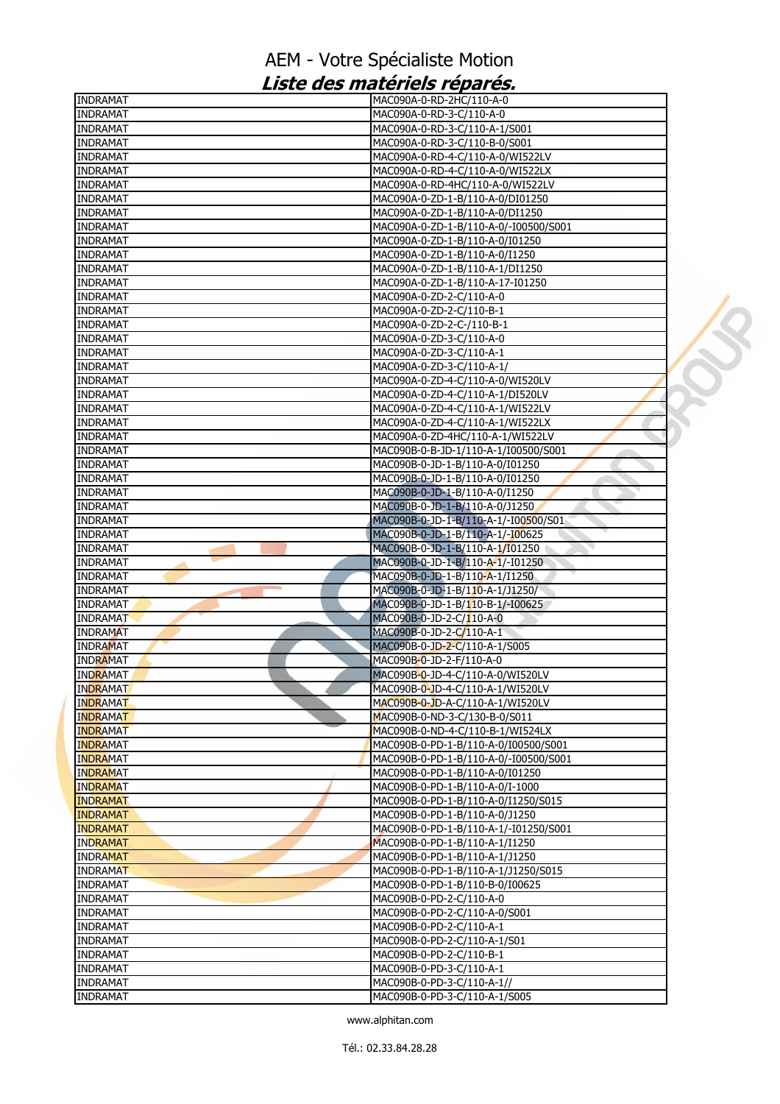| <b>INDRAMAT</b>                    | MAC090A-0-RD-2HC/110-A-0                                          |  |
|------------------------------------|-------------------------------------------------------------------|--|
| <b>INDRAMAT</b>                    | MAC090A-0-RD-3-C/110-A-0                                          |  |
| <b>INDRAMAT</b>                    | MAC090A-0-RD-3-C/110-A-1/S001                                     |  |
| <b>INDRAMAT</b>                    | MAC090A-0-RD-3-C/110-B-0/S001                                     |  |
| <b>INDRAMAT</b>                    | MAC090A-0-RD-4-C/110-A-0/WI522LV                                  |  |
| <b>INDRAMAT</b>                    | MAC090A-0-RD-4-C/110-A-0/WI522LX                                  |  |
| <b>INDRAMAT</b>                    | MAC090A-0-RD-4HC/110-A-0/WI522LV                                  |  |
| <b>INDRAMAT</b>                    | MAC090A-0-ZD-1-B/110-A-0/DI01250                                  |  |
| <b>INDRAMAT</b>                    | MAC090A-0-ZD-1-B/110-A-0/DI1250                                   |  |
| <b>INDRAMAT</b>                    | MAC090A-0-ZD-1-B/110-A-0/-I00500/S001                             |  |
| <b>INDRAMAT</b>                    | MAC090A-0-ZD-1-B/110-A-0/I01250                                   |  |
| <b>INDRAMAT</b>                    | MAC090A-0-ZD-1-B/110-A-0/I1250                                    |  |
| <b>INDRAMAT</b>                    | MAC090A-0-ZD-1-B/110-A-1/DI1250                                   |  |
| <b>INDRAMAT</b>                    | MAC090A-0-ZD-1-B/110-A-17-I01250                                  |  |
| <b>INDRAMAT</b>                    | MAC090A-0-ZD-2-C/110-A-0                                          |  |
| <b>INDRAMAT</b>                    | MAC090A-0-ZD-2-C/110-B-1                                          |  |
| <b>INDRAMAT</b>                    | MAC090A-0-ZD-2-C-/110-B-1                                         |  |
| <b>INDRAMAT</b>                    | MAC090A-0-ZD-3-C/110-A-0                                          |  |
| <b>INDRAMAT</b>                    | MAC090A-0-ZD-3-C/110-A-1                                          |  |
| <b>INDRAMAT</b>                    | MAC090A-0-ZD-3-C/110-A-1/                                         |  |
| <b>INDRAMAT</b>                    | MAC090A-0-ZD-4-C/110-A-0/WI520LV                                  |  |
| <b>INDRAMAT</b>                    | MAC090A-0-ZD-4-C/110-A-1/DI520LV                                  |  |
| <b>INDRAMAT</b>                    | MAC090A-0-ZD-4-C/110-A-1/WI522LV                                  |  |
| <b>INDRAMAT</b>                    | MAC090A-0-ZD-4-C/110-A-1/WI522LX                                  |  |
| <b>INDRAMAT</b>                    | MAC090A-0-ZD-4HC/110-A-1/WI522LV                                  |  |
| <b>INDRAMAT</b>                    | MAC090B-0-B-JD-1/110-A-1/I00500/S001<br><b>All Districts</b>      |  |
| <b>INDRAMAT</b>                    | MAC090B-0-JD-1-B/110-A-0/I01250                                   |  |
| <b>INDRAMAT</b><br><b>INDRAMAT</b> | MAC090B-0-JD-1-B/110-A-0/I01250<br>MAC090B-0-JD-1-B/110-A-0/I1250 |  |
| <b>INDRAMAT</b>                    | MAC090B-0-JD-1-B/110-A-0/J1250                                    |  |
| <b>INDRAMAT</b>                    | MAC090B-0-JD-1-B/110-A-1/-I00500/S01                              |  |
| <b>INDRAMAT</b>                    | MAC090B-0-JD-1-B/110-A-1/-I00625                                  |  |
| <b>INDRAMAT</b>                    | MAC090B-0-JD-1-B/110-A-1/I01250                                   |  |
| <b>INDRAMAT</b>                    | MAC090B-0-JD-1-B/110-A-1/-I01250                                  |  |
| <b>INDRAMAT</b>                    | MAC090B-0-JD-1-B/110-A-1/I1250                                    |  |
| <b>INDRAMAT</b>                    | MAC090B-0-JD-1-B/110-A-1/J1250/                                   |  |
| <b>INDRAMAT</b>                    | MAC090B-0-JD-1-B/110-B-1/-I00625                                  |  |
| <b>INDRAMAT</b>                    | MAC090B-0-JD-2-C/110-A-0                                          |  |
| <b>INDRAMAT</b>                    | MAC090B-0-JD-2-C/110-A-1                                          |  |
| <b>INDRAMAT</b>                    | MAC090B-0-JD-2-C/110-A-1/S005                                     |  |
| <b>INDRAMAT</b>                    | MAC090B-0-JD-2-F/110-A-0                                          |  |
| <b>INDRAMAT</b>                    | MAC090B-0-JD-4-C/110-A-0/WI520LV                                  |  |
| <b>INDRAMAT</b>                    | MAC090B-0-JD-4-C/110-A-1/WI520LV                                  |  |
| <b>INDRAMAT</b>                    | MAC090B-0-JD-A-C/110-A-1/WI520LV                                  |  |
| <b>INDRAMAT</b>                    | MAC090B-0-ND-3-C/130-B-0/S011                                     |  |
| <b>INDRAMAT</b>                    | MAC090B-0-ND-4-C/110-B-1/WI524LX                                  |  |
| <b>INDRAMAT</b>                    | MAC090B-0-PD-1-B/110-A-0/I00500/S001                              |  |
| <b>INDRAMAT</b>                    | MAC090B-0-PD-1-B/110-A-0/-I00500/S001                             |  |
| <b>INDRAMAT</b>                    | MAC090B-0-PD-1-B/110-A-0/I01250                                   |  |
| <b>INDRAMAT</b>                    | MAC090B-0-PD-1-B/110-A-0/I-1000                                   |  |
| <b>INDRAMAT</b>                    | MAC090B-0-PD-1-B/110-A-0/I1250/S015                               |  |
| <b>INDRAMAT</b>                    | MAC090B-0-PD-1-B/110-A-0/J1250                                    |  |
| <b>INDRAMAT</b>                    | MAC090B-0-PD-1-B/110-A-1/-I01250/S001                             |  |
| <b>INDRAMAT</b>                    | MAC090B-0-PD-1-B/110-A-1/I1250                                    |  |
| <b>INDRAMAT</b>                    | MAC090B-0-PD-1-B/110-A-1/J1250                                    |  |
| <b>INDRAMAT</b>                    | MAC090B-0-PD-1-B/110-A-1/J1250/S015                               |  |
| <b>INDRAMAT</b>                    | MAC090B-0-PD-1-B/110-B-0/I00625                                   |  |
| <b>INDRAMAT</b>                    | MAC090B-0-PD-2-C/110-A-0                                          |  |
| <b>INDRAMAT</b>                    | MAC090B-0-PD-2-C/110-A-0/S001                                     |  |
| <b>INDRAMAT</b>                    | MAC090B-0-PD-2-C/110-A-1                                          |  |
| <b>INDRAMAT</b>                    | MAC090B-0-PD-2-C/110-A-1/S01                                      |  |
| <b>INDRAMAT</b>                    | MAC090B-0-PD-2-C/110-B-1                                          |  |
| <b>INDRAMAT</b>                    | MAC090B-0-PD-3-C/110-A-1                                          |  |
| <b>INDRAMAT</b>                    | MAC090B-0-PD-3-C/110-A-1//                                        |  |
| <b>INDRAMAT</b>                    | MAC090B-0-PD-3-C/110-A-1/S005                                     |  |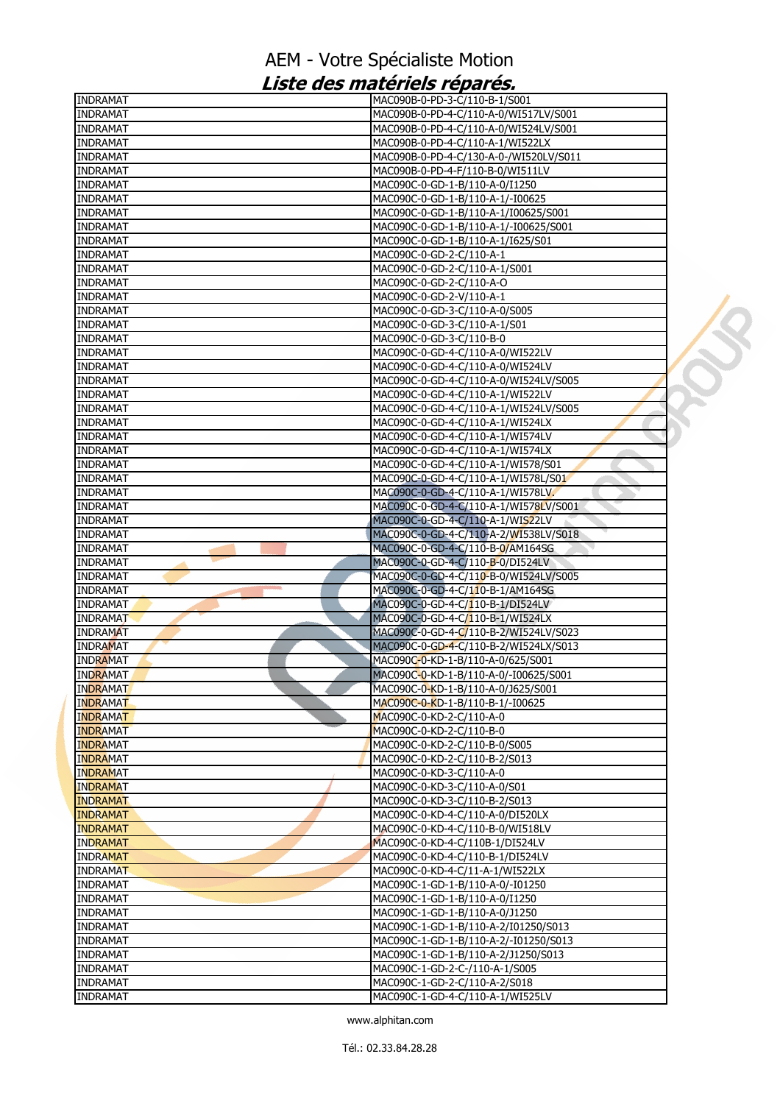| <b>INDRAMAT</b>                    | MAC090B-0-PD-3-C/110-B-1/S001                                        |  |
|------------------------------------|----------------------------------------------------------------------|--|
| <b>INDRAMAT</b>                    | MAC090B-0-PD-4-C/110-A-0/WI517LV/S001                                |  |
| <b>INDRAMAT</b>                    | MAC090B-0-PD-4-C/110-A-0/WI524LV/S001                                |  |
| <b>INDRAMAT</b>                    | MAC090B-0-PD-4-C/110-A-1/WI522LX                                     |  |
| <b>INDRAMAT</b>                    | MAC090B-0-PD-4-C/130-A-0-/WI520LV/S011                               |  |
| <b>INDRAMAT</b>                    | MAC090B-0-PD-4-F/110-B-0/WI511LV                                     |  |
| <b>INDRAMAT</b>                    | MAC090C-0-GD-1-B/110-A-0/I1250                                       |  |
| <b>INDRAMAT</b>                    | MAC090C-0-GD-1-B/110-A-1/-I00625                                     |  |
| <b>INDRAMAT</b>                    | MAC090C-0-GD-1-B/110-A-1/I00625/S001                                 |  |
| <b>INDRAMAT</b>                    | MAC090C-0-GD-1-B/110-A-1/-I00625/S001                                |  |
| <b>INDRAMAT</b>                    | MAC090C-0-GD-1-B/110-A-1/I625/S01                                    |  |
| <b>INDRAMAT</b>                    | MAC090C-0-GD-2-C/110-A-1                                             |  |
| <b>INDRAMAT</b>                    | MAC090C-0-GD-2-C/110-A-1/S001                                        |  |
| <b>INDRAMAT</b>                    | MAC090C-0-GD-2-C/110-A-O                                             |  |
| <b>INDRAMAT</b>                    | MAC090C-0-GD-2-V/110-A-1                                             |  |
| <b>INDRAMAT</b>                    | MAC090C-0-GD-3-C/110-A-0/S005                                        |  |
| <b>INDRAMAT</b>                    | MAC090C-0-GD-3-C/110-A-1/S01                                         |  |
| <b>INDRAMAT</b>                    | MAC090C-0-GD-3-C/110-B-0                                             |  |
| <b>INDRAMAT</b>                    | MAC090C-0-GD-4-C/110-A-0/WI522LV                                     |  |
| <b>INDRAMAT</b>                    | MAC090C-0-GD-4-C/110-A-0/WI524LV                                     |  |
| <b>INDRAMAT</b>                    | MAC090C-0-GD-4-C/110-A-0/WI524LV/S005                                |  |
| <b>INDRAMAT</b>                    | MAC090C-0-GD-4-C/110-A-1/WI522LV                                     |  |
| <b>INDRAMAT</b>                    | MAC090C-0-GD-4-C/110-A-1/WI524LV/S005                                |  |
| <b>INDRAMAT</b>                    | MAC090C-0-GD-4-C/110-A-1/WI524LX                                     |  |
| <b>INDRAMAT</b>                    | MAC090C-0-GD-4-C/110-A-1/WI574LV                                     |  |
| <b>INDRAMAT</b>                    | MAC090C-0-GD-4-C/110-A-1/WI574LX                                     |  |
| <b>INDRAMAT</b>                    | MAC090C-0-GD-4-C/110-A-1/WI578/S01                                   |  |
| <b>INDRAMAT</b>                    | MAC090C-0-GD-4-C/110-A-1/WI578L/S01                                  |  |
| <b>INDRAMAT</b>                    | MAC090C-0-GD-4-C/110-A-1/WI578LV.                                    |  |
| <b>INDRAMAT</b>                    | MAC090C-0-GD-4-C/110-A-1/WI578LV/S001                                |  |
| <b>INDRAMAT</b>                    | MAC090C-0-GD-4-C/110-A-1/WIS22LV                                     |  |
| <b>INDRAMAT</b>                    | MAC090C-0-GD-4-C/110-A-2/WI538LV/S018                                |  |
| <b>INDRAMAT</b>                    | MAC090C-0-GD-4-C/110-B-0/AM164SG                                     |  |
| <b>INDRAMAT</b>                    | MAC090C-0-GD-4-C/110-B-0/DI524LV                                     |  |
|                                    |                                                                      |  |
| <b>INDRAMAT</b>                    | MAC090C-0-GD-4-C/110-B-0/WI524LV/S005                                |  |
| <b>INDRAMAT</b><br><b>INDRAMAT</b> | MAC090C-0-GD-4-C/110-B-1/AM164SG<br>MAC090C-0-GD-4-C/110-B-1/DI524LV |  |
|                                    |                                                                      |  |
| <b>INDRAMAT</b>                    | MAC090C-0-GD-4-C/110-B-1/WI524LX                                     |  |
| <b>INDRAMAT</b>                    | MAC090C-0-GD-4-C/110-B-2/WI524LV/S023                                |  |
| <b>INDRAMAT</b>                    | MAC090C-0-GD-4-C/110-B-2/WI524LX/S013                                |  |
| <b>INDRAMAT</b>                    | MAC090C-0-KD-1-B/110-A-0/625/S001                                    |  |
| <b>INDRAMAT</b>                    | MAC090C-0-KD-1-B/110-A-0/-I00625/S001                                |  |
| <b>INDRAMAT</b>                    | MAC090C-0-KD-1-B/110-A-0/J625/S001                                   |  |
| <b>INDRAMAT</b>                    | MAC090C-0-KD-1-B/110-B-1/-I00625                                     |  |
| <b>INDRAMAT</b>                    | MAC090C-0-KD-2-C/110-A-0                                             |  |
| <b>INDRAMAT</b>                    | MAC090C-0-KD-2-C/110-B-0                                             |  |
| <b>INDRAMAT</b>                    | MAC090C-0-KD-2-C/110-B-0/S005                                        |  |
| <b>INDRAMAT</b>                    | MAC090C-0-KD-2-C/110-B-2/S013                                        |  |
| <b>INDRAMAT</b>                    | MAC090C-0-KD-3-C/110-A-0                                             |  |
| <b>INDRAMAT</b>                    | MAC090C-0-KD-3-C/110-A-0/S01                                         |  |
| <b>INDRAMAT</b>                    | MAC090C-0-KD-3-C/110-B-2/S013                                        |  |
| <b>INDRAMAT</b>                    | MAC090C-0-KD-4-C/110-A-0/DI520LX                                     |  |
| <b>INDRAMAT</b>                    | MAC090C-0-KD-4-C/110-B-0/WI518LV                                     |  |
| <b>INDRAMAT</b>                    | MAC090C-0-KD-4-C/110B-1/DI524LV                                      |  |
| <b>INDRAMAT</b>                    | MAC090C-0-KD-4-C/110-B-1/DI524LV                                     |  |
| <b>INDRAMAT</b>                    | MAC090C-0-KD-4-C/11-A-1/WI522LX                                      |  |
| <b>INDRAMAT</b>                    | MAC090C-1-GD-1-B/110-A-0/-I01250                                     |  |
| <b>INDRAMAT</b>                    | MAC090C-1-GD-1-B/110-A-0/I1250                                       |  |
| <b>INDRAMAT</b>                    | MAC090C-1-GD-1-B/110-A-0/J1250                                       |  |
| <b>INDRAMAT</b>                    | MAC090C-1-GD-1-B/110-A-2/I01250/S013                                 |  |
| <b>INDRAMAT</b>                    | MAC090C-1-GD-1-B/110-A-2/-I01250/S013                                |  |
| <b>INDRAMAT</b>                    | MAC090C-1-GD-1-B/110-A-2/J1250/S013                                  |  |
| <b>INDRAMAT</b>                    | MAC090C-1-GD-2-C-/110-A-1/S005                                       |  |
| <b>INDRAMAT</b>                    | MAC090C-1-GD-2-C/110-A-2/S018                                        |  |
| <b>INDRAMAT</b>                    | MAC090C-1-GD-4-C/110-A-1/WI525LV                                     |  |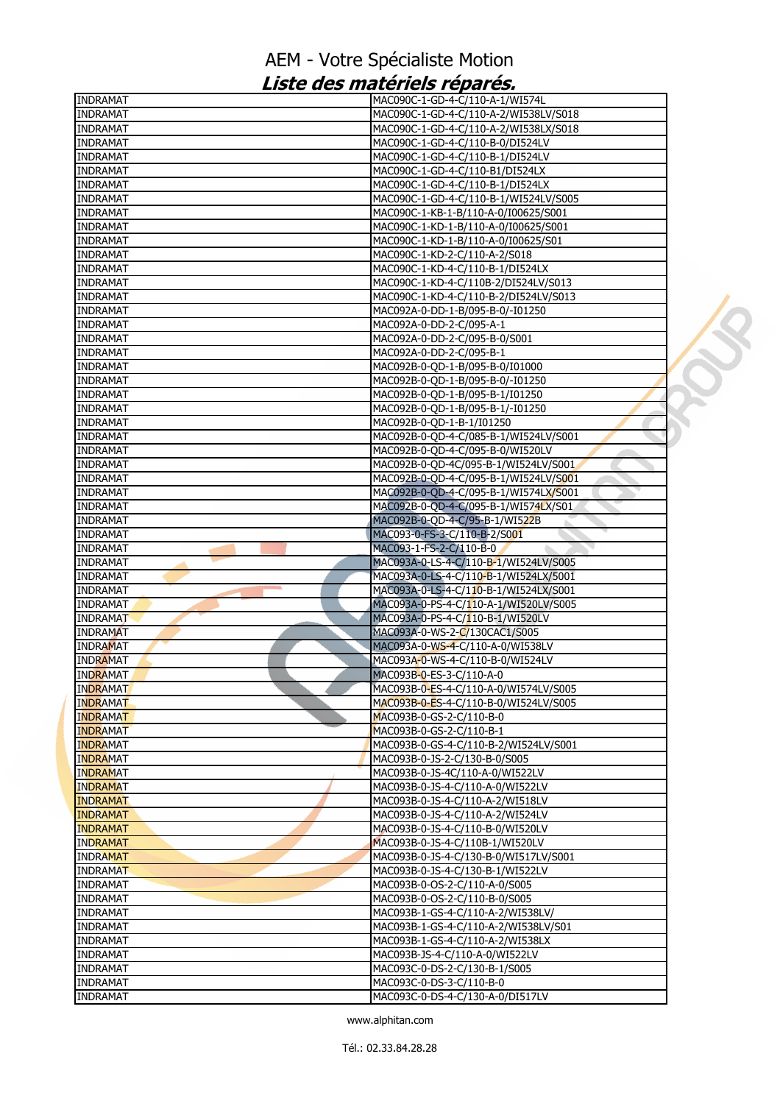| <b>INDRAMAT</b> | MAC090C-1-GD-4-C/110-A-1/WI574L       |  |
|-----------------|---------------------------------------|--|
| <b>INDRAMAT</b> | MAC090C-1-GD-4-C/110-A-2/WI538LV/S018 |  |
| <b>INDRAMAT</b> | MAC090C-1-GD-4-C/110-A-2/WI538LX/S018 |  |
| <b>INDRAMAT</b> | MAC090C-1-GD-4-C/110-B-0/DI524LV      |  |
| <b>INDRAMAT</b> | MAC090C-1-GD-4-C/110-B-1/DI524LV      |  |
| <b>INDRAMAT</b> | MAC090C-1-GD-4-C/110-B1/DI524LX       |  |
| <b>INDRAMAT</b> | MAC090C-1-GD-4-C/110-B-1/DI524LX      |  |
| <b>INDRAMAT</b> | MAC090C-1-GD-4-C/110-B-1/WI524LV/S005 |  |
| <b>INDRAMAT</b> | MAC090C-1-KB-1-B/110-A-0/I00625/S001  |  |
| <b>INDRAMAT</b> | MAC090C-1-KD-1-B/110-A-0/I00625/S001  |  |
| <b>INDRAMAT</b> | MAC090C-1-KD-1-B/110-A-0/I00625/S01   |  |
| <b>INDRAMAT</b> | MAC090C-1-KD-2-C/110-A-2/S018         |  |
| <b>INDRAMAT</b> | MAC090C-1-KD-4-C/110-B-1/DI524LX      |  |
| <b>INDRAMAT</b> | MAC090C-1-KD-4-C/110B-2/DI524LV/S013  |  |
| <b>INDRAMAT</b> | MAC090C-1-KD-4-C/110-B-2/DI524LV/S013 |  |
| <b>INDRAMAT</b> | MAC092A-0-DD-1-B/095-B-0/-I01250      |  |
| <b>INDRAMAT</b> | MAC092A-0-DD-2-C/095-A-1              |  |
|                 |                                       |  |
| <b>INDRAMAT</b> | MAC092A-0-DD-2-C/095-B-0/S001         |  |
| <b>INDRAMAT</b> | MAC092A-0-DD-2-C/095-B-1              |  |
| <b>INDRAMAT</b> | MAC092B-0-QD-1-B/095-B-0/I01000       |  |
| <b>INDRAMAT</b> | MAC092B-0-QD-1-B/095-B-0/-I01250      |  |
| <b>INDRAMAT</b> | MAC092B-0-QD-1-B/095-B-1/I01250       |  |
| <b>INDRAMAT</b> | MAC092B-0-QD-1-B/095-B-1/-I01250      |  |
| <b>INDRAMAT</b> | MAC092B-0-QD-1-B-1/I01250             |  |
| <b>INDRAMAT</b> | MAC092B-0-QD-4-C/085-B-1/WI524LV/S001 |  |
| <b>INDRAMAT</b> | MAC092B-0-QD-4-C/095-B-0/WI520LV      |  |
| <b>INDRAMAT</b> | MAC092B-0-OD-4C/095-B-1/WI524LV/S001  |  |
| <b>INDRAMAT</b> | MAC092B-0-QD-4-C/095-B-1/WI524LV/S001 |  |
| <b>INDRAMAT</b> | MAC092B-0-QD-4-C/095-B-1/WI574LX/S001 |  |
| <b>INDRAMAT</b> | MAC092B-0-QD-4-C/095-B-1/WI574LX/S01  |  |
| <b>INDRAMAT</b> | MAC092B-0-QD-4-C/95-B-1/WI522B        |  |
| <b>INDRAMAT</b> | MAC093-0-FS-3-C/110-B-2/S001          |  |
| <b>INDRAMAT</b> | MAC093-1-FS-2-C/110-B-0               |  |
| <b>INDRAMAT</b> | MAC093A-0-LS-4-C/110-B-1/WI524LV/S005 |  |
| <b>INDRAMAT</b> | MAC093A-0-LS-4-C/110-B-1/WI524LX/5001 |  |
| <b>INDRAMAT</b> | MAC093A-0-LS-4-C/110-B-1/WI524LX/S001 |  |
| <b>INDRAMAT</b> | MAC093A-0-PS-4-C/110-A-1/WI520LV/S005 |  |
| <b>INDRAMAT</b> | MAC093A-0-PS-4-C/110-B-1/WI520LV      |  |
|                 |                                       |  |
| <b>INDRAMAT</b> | MAC093A-0-WS-2-C/130CAC1/S005         |  |
| <b>INDRAMAT</b> | MAC093A-0-WS-4-C/110-A-0/WI538LV      |  |
| <b>INDRAMAT</b> | MAC093A-0-WS-4-C/110-B-0/WI524LV      |  |
| <b>INDRAMAT</b> | MAC093B-0-ES-3-C/110-A-0              |  |
| <b>INDRAMAT</b> | MAC093B-0-ES-4-C/110-A-0/WI574LV/S005 |  |
| <b>INDRAMAT</b> | MAC093B-0-ES-4-C/110-B-0/WI524LV/S005 |  |
| <b>INDRAMAT</b> | MAC093B-0-GS-2-C/110-B-0              |  |
| <b>INDRAMAT</b> | MAC093B-0-GS-2-C/110-B-1              |  |
| <b>INDRAMAT</b> | MAC093B-0-GS-4-C/110-B-2/WI524LV/S001 |  |
| <b>INDRAMAT</b> | MAC093B-0-JS-2-C/130-B-0/S005         |  |
| <b>INDRAMAT</b> | MAC093B-0-JS-4C/110-A-0/WI522LV       |  |
| <b>INDRAMAT</b> | MAC093B-0-JS-4-C/110-A-0/WI522LV      |  |
| <b>INDRAMAT</b> | MAC093B-0-JS-4-C/110-A-2/WI518LV      |  |
| <b>INDRAMAT</b> | MAC093B-0-JS-4-C/110-A-2/WI524LV      |  |
| <b>INDRAMAT</b> | MAC093B-0-JS-4-C/110-B-0/WI520LV      |  |
| <b>INDRAMAT</b> | MAC093B-0-JS-4-C/110B-1/WI520LV       |  |
| <b>INDRAMAT</b> | MAC093B-0-JS-4-C/130-B-0/WI517LV/S001 |  |
| <b>INDRAMAT</b> | MAC093B-0-JS-4-C/130-B-1/WI522LV      |  |
| <b>INDRAMAT</b> | MAC093B-0-OS-2-C/110-A-0/S005         |  |
| <b>INDRAMAT</b> | MAC093B-0-OS-2-C/110-B-0/S005         |  |
|                 |                                       |  |
| <b>INDRAMAT</b> | MAC093B-1-GS-4-C/110-A-2/WI538LV/     |  |
| <b>INDRAMAT</b> | MAC093B-1-GS-4-C/110-A-2/WI538LV/S01  |  |
| <b>INDRAMAT</b> | MAC093B-1-GS-4-C/110-A-2/WI538LX      |  |
| <b>INDRAMAT</b> | MAC093B-JS-4-C/110-A-0/WI522LV        |  |
| <b>INDRAMAT</b> | MAC093C-0-DS-2-C/130-B-1/S005         |  |
| <b>INDRAMAT</b> | MAC093C-0-DS-3-C/110-B-0              |  |
| <b>INDRAMAT</b> | MAC093C-0-DS-4-C/130-A-0/DI517LV      |  |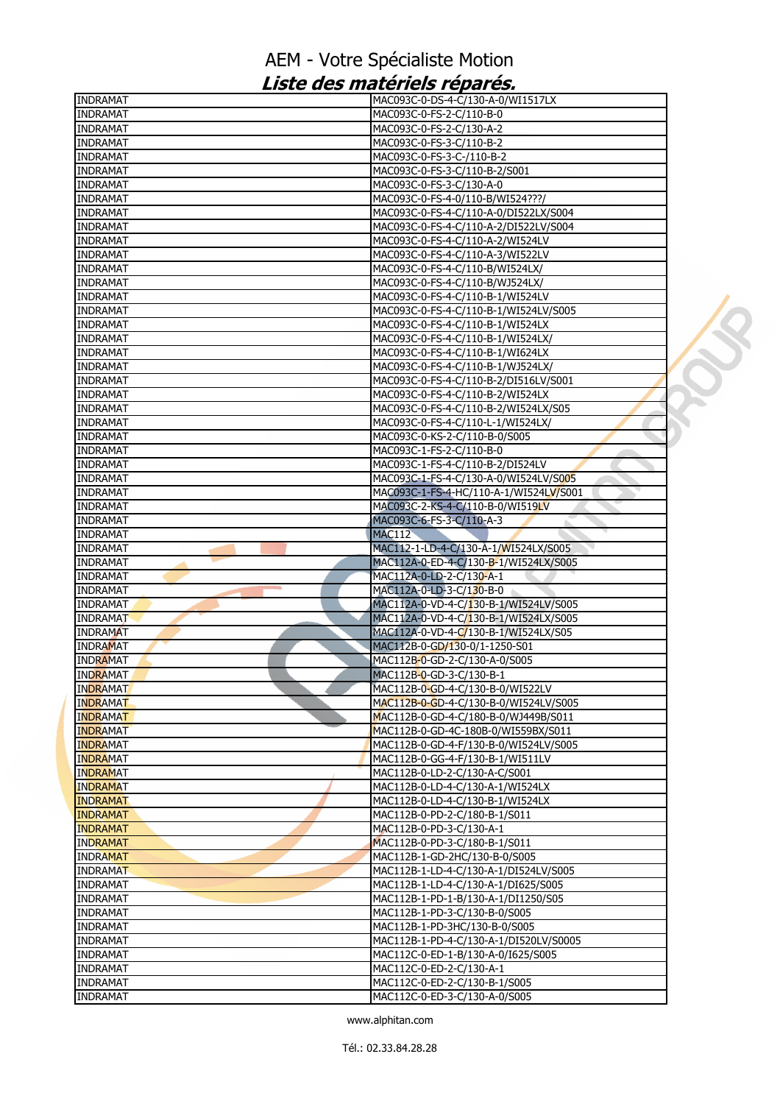| <b>INDRAMAT</b> | MAC093C-0-DS-4-C/130-A-0/WI1517LX                                  |  |
|-----------------|--------------------------------------------------------------------|--|
| <b>INDRAMAT</b> | MAC093C-0-FS-2-C/110-B-0                                           |  |
| <b>INDRAMAT</b> | MAC093C-0-FS-2-C/130-A-2                                           |  |
| <b>INDRAMAT</b> | MAC093C-0-FS-3-C/110-B-2                                           |  |
| <b>INDRAMAT</b> | MAC093C-0-FS-3-C-/110-B-2                                          |  |
| <b>INDRAMAT</b> | MAC093C-0-FS-3-C/110-B-2/S001                                      |  |
| <b>INDRAMAT</b> | MAC093C-0-FS-3-C/130-A-0                                           |  |
| <b>INDRAMAT</b> | MAC093C-0-FS-4-0/110-B/WI524???/                                   |  |
| <b>INDRAMAT</b> | MAC093C-0-FS-4-C/110-A-0/DI522LX/S004                              |  |
| <b>INDRAMAT</b> | MAC093C-0-FS-4-C/110-A-2/DI522LV/S004                              |  |
| <b>INDRAMAT</b> | MAC093C-0-FS-4-C/110-A-2/WI524LV                                   |  |
| <b>INDRAMAT</b> | MAC093C-0-FS-4-C/110-A-3/WI522LV                                   |  |
| <b>INDRAMAT</b> | MAC093C-0-FS-4-C/110-B/WI524LX/                                    |  |
| <b>INDRAMAT</b> | MAC093C-0-FS-4-C/110-B/WJ524LX/                                    |  |
| <b>INDRAMAT</b> | MAC093C-0-FS-4-C/110-B-1/WI524LV                                   |  |
| <b>INDRAMAT</b> | MAC093C-0-FS-4-C/110-B-1/WI524LV/S005                              |  |
| <b>INDRAMAT</b> | MAC093C-0-FS-4-C/110-B-1/WI524LX                                   |  |
| <b>INDRAMAT</b> | MAC093C-0-FS-4-C/110-B-1/WI524LX/                                  |  |
| <b>INDRAMAT</b> | MAC093C-0-FS-4-C/110-B-1/WI624LX                                   |  |
| <b>INDRAMAT</b> | MAC093C-0-FS-4-C/110-B-1/WJ524LX/                                  |  |
| <b>INDRAMAT</b> | MAC093C-0-FS-4-C/110-B-2/DI516LV/S001                              |  |
| <b>INDRAMAT</b> | MAC093C-0-FS-4-C/110-B-2/WI524LX                                   |  |
| <b>INDRAMAT</b> |                                                                    |  |
| <b>INDRAMAT</b> | MAC093C-0-FS-4-C/110-B-2/WI524LX/S05                               |  |
| <b>INDRAMAT</b> | MAC093C-0-FS-4-C/110-L-1/WI524LX/<br>MAC093C-0-KS-2-C/110-B-0/S005 |  |
|                 |                                                                    |  |
| <b>INDRAMAT</b> | MAC093C-1-FS-2-C/110-B-0                                           |  |
| <b>INDRAMAT</b> | MAC093C-1-FS-4-C/110-B-2/DI524LV                                   |  |
| <b>INDRAMAT</b> | MAC093C-1-FS-4-C/130-A-0/WI524LV/S005                              |  |
| <b>INDRAMAT</b> | MAC093C-1-FS-4-HC/110-A-1/WI524LV/S001                             |  |
| <b>INDRAMAT</b> | MAC093C-2-KS-4-C/110-B-0/WI519LV                                   |  |
| <b>INDRAMAT</b> | MAC093C-6-FS-3-C/110-A-3                                           |  |
| <b>INDRAMAT</b> | <b>MAC112</b>                                                      |  |
| <b>INDRAMAT</b> | MAC112-1-LD-4-C/130-A-1/WI524LX/S005                               |  |
| <b>INDRAMAT</b> | MAC112A-0-ED-4-C/130-B-1/WI524LX/S005                              |  |
| <b>INDRAMAT</b> | MAC112A-0-LD-2-C/130-A-1                                           |  |
| <b>INDRAMAT</b> | MAC112A-0-LD-3-C/130-B-0                                           |  |
| <b>INDRAMAT</b> | MAC112A-0-VD-4-C/130-B-1/WI524LV/S005                              |  |
| <b>INDRAMAT</b> | MAC112A-0-VD-4-C/130-B-1/WI524LX/S005                              |  |
| <b>INDRAMAT</b> | MAC112A-0-VD-4-C/130-B-1/WI524LX/S05                               |  |
| <b>INDRAMAT</b> | MAC112B-0-GD/130-0/1-1250-S01                                      |  |
| <b>INDRAMAT</b> | MAC112B-0-GD-2-C/130-A-0/S005                                      |  |
| <b>INDRAMAT</b> | MAC112B-0-GD-3-C/130-B-1                                           |  |
| <b>INDRAMAT</b> | MAC112B-0-GD-4-C/130-B-0/WI522LV                                   |  |
| <b>INDRAMAT</b> | MAC112B-0-GD-4-C/130-B-0/WI524LV/S005                              |  |
| <b>INDRAMAT</b> | MAC112B-0-GD-4-C/180-B-0/WJ449B/S011                               |  |
| <b>INDRAMAT</b> | MAC112B-0-GD-4C-180B-0/WI559BX/S011                                |  |
| <b>INDRAMAT</b> | MAC112B-0-GD-4-F/130-B-0/WI524LV/S005                              |  |
| <b>INDRAMAT</b> | MAC112B-0-GG-4-F/130-B-1/WI511LV                                   |  |
| <b>INDRAMAT</b> | MAC112B-0-LD-2-C/130-A-C/S001                                      |  |
| <b>INDRAMAT</b> | MAC112B-0-LD-4-C/130-A-1/WI524LX                                   |  |
| <b>INDRAMAT</b> | MAC112B-0-LD-4-C/130-B-1/WI524LX                                   |  |
| <b>INDRAMAT</b> | MAC112B-0-PD-2-C/180-B-1/S011                                      |  |
| <b>INDRAMAT</b> | MAC112B-0-PD-3-C/130-A-1                                           |  |
| <b>INDRAMAT</b> | MAC112B-0-PD-3-C/180-B-1/S011                                      |  |
| <b>INDRAMAT</b> | MAC112B-1-GD-2HC/130-B-0/S005                                      |  |
| <b>INDRAMAT</b> | MAC112B-1-LD-4-C/130-A-1/DI524LV/S005                              |  |
| <b>INDRAMAT</b> | MAC112B-1-LD-4-C/130-A-1/DI625/S005                                |  |
| <b>INDRAMAT</b> | MAC112B-1-PD-1-B/130-A-1/DI1250/S05                                |  |
| <b>INDRAMAT</b> | MAC112B-1-PD-3-C/130-B-0/S005                                      |  |
| <b>INDRAMAT</b> | MAC112B-1-PD-3HC/130-B-0/S005                                      |  |
| <b>INDRAMAT</b> | MAC112B-1-PD-4-C/130-A-1/DI520LV/S0005                             |  |
| <b>INDRAMAT</b> | MAC112C-0-ED-1-B/130-A-0/I625/S005                                 |  |
| <b>INDRAMAT</b> | MAC112C-0-ED-2-C/130-A-1                                           |  |
| <b>INDRAMAT</b> | MAC112C-0-ED-2-C/130-B-1/S005                                      |  |
| <b>INDRAMAT</b> | MAC112C-0-ED-3-C/130-A-0/S005                                      |  |
|                 |                                                                    |  |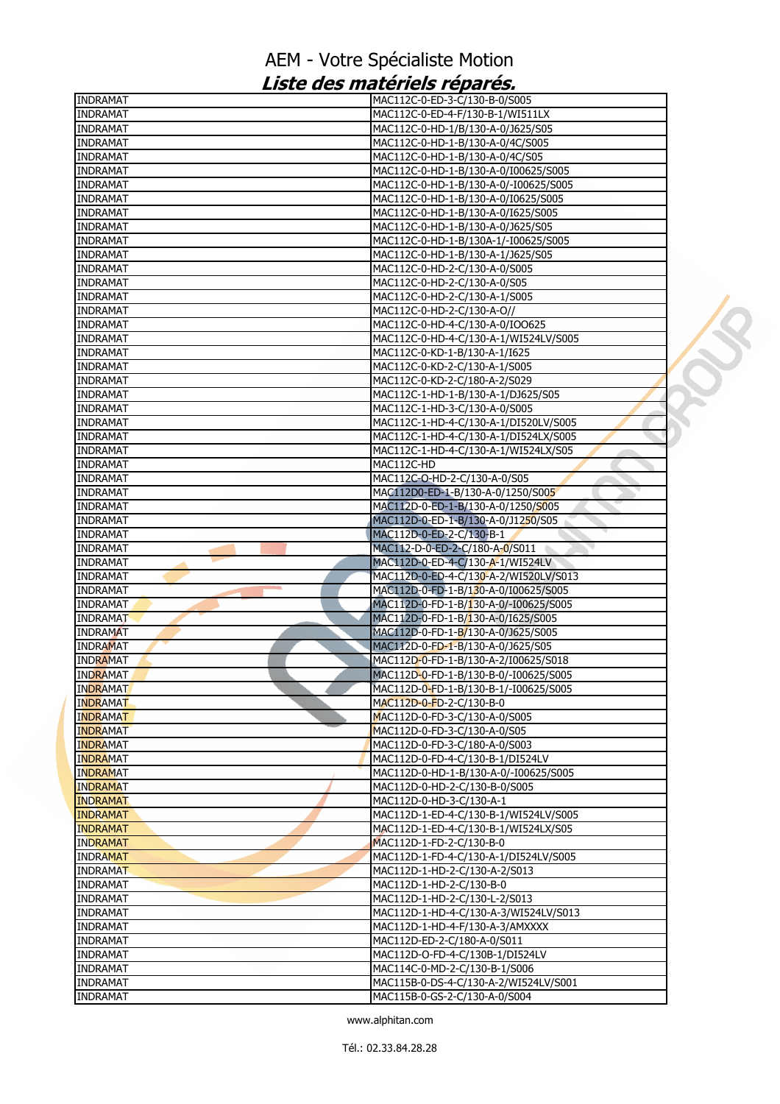| <b>INDRAMAT</b> | MAC112C-0-ED-3-C/130-B-0/S005         |  |
|-----------------|---------------------------------------|--|
| <b>INDRAMAT</b> | MAC112C-0-ED-4-F/130-B-1/WI511LX      |  |
| <b>INDRAMAT</b> | MAC112C-0-HD-1/B/130-A-0/J625/S05     |  |
| INDRAMAT        | MAC112C-0-HD-1-B/130-A-0/4C/S005      |  |
| <b>INDRAMAT</b> | MAC112C-0-HD-1-B/130-A-0/4C/S05       |  |
| <b>INDRAMAT</b> | MAC112C-0-HD-1-B/130-A-0/I00625/S005  |  |
| <b>INDRAMAT</b> | MAC112C-0-HD-1-B/130-A-0/-I00625/S005 |  |
| INDRAMAT        | MAC112C-0-HD-1-B/130-A-0/I0625/S005   |  |
| <b>INDRAMAT</b> | MAC112C-0-HD-1-B/130-A-0/I625/S005    |  |
| <b>INDRAMAT</b> | MAC112C-0-HD-1-B/130-A-0/J625/S05     |  |
| <b>INDRAMAT</b> | MAC112C-0-HD-1-B/130A-1/-I00625/S005  |  |
| <b>INDRAMAT</b> | MAC112C-0-HD-1-B/130-A-1/J625/S05     |  |
| INDRAMAT        | MAC112C-0-HD-2-C/130-A-0/S005         |  |
| <b>INDRAMAT</b> | MAC112C-0-HD-2-C/130-A-0/S05          |  |
| <b>INDRAMAT</b> | MAC112C-0-HD-2-C/130-A-1/S005         |  |
| <b>INDRAMAT</b> | MAC112C-0-HD-2-C/130-A-O//            |  |
| INDRAMAT        | MAC112C-0-HD-4-C/130-A-0/IOO625       |  |
| <b>INDRAMAT</b> | MAC112C-0-HD-4-C/130-A-1/WI524LV/S005 |  |
| <b>INDRAMAT</b> | MAC112C-0-KD-1-B/130-A-1/I625         |  |
|                 |                                       |  |
| <b>INDRAMAT</b> | MAC112C-0-KD-2-C/130-A-1/S005         |  |
| <b>INDRAMAT</b> | MAC112C-0-KD-2-C/180-A-2/S029         |  |
| <b>INDRAMAT</b> | MAC112C-1-HD-1-B/130-A-1/DJ625/S05    |  |
| <b>INDRAMAT</b> | MAC112C-1-HD-3-C/130-A-0/S005         |  |
| <b>INDRAMAT</b> | MAC112C-1-HD-4-C/130-A-1/DI520LV/S005 |  |
| <b>INDRAMAT</b> | MAC112C-1-HD-4-C/130-A-1/DI524LX/S005 |  |
| <b>INDRAMAT</b> | MAC112C-1-HD-4-C/130-A-1/WI524LX/S05  |  |
| <b>INDRAMAT</b> | MAC112C-HD                            |  |
| <b>INDRAMAT</b> | MAC112C-O-HD-2-C/130-A-0/S05          |  |
| <b>INDRAMAT</b> | MAC112D0-ED-1-B/130-A-0/1250/S005     |  |
| <b>INDRAMAT</b> | MAC112D-0-ED-1-B/130-A-0/1250/S005    |  |
| INDRAMAT        | MAC112D-0-ED-1-B/130-A-0/J1250/S05    |  |
| <b>INDRAMAT</b> | MAC112D-0-ED-2-C/130-B-1              |  |
| <b>INDRAMAT</b> | MAC112-D-0-ED-2-C/180-A-0/S011        |  |
| <b>INDRAMAT</b> | MAC112D-0-ED-4-C/130-A-1/WI524LV      |  |
| <b>INDRAMAT</b> | MAC112D-0-ED-4-C/130-A-2/WI520LV/S013 |  |
| INDRAMAT        | MAC112D-0-FD-1-B/130-A-0/I00625/S005  |  |
| <b>INDRAMAT</b> | MAC112D-0-FD-1-B/130-A-0/-I00625/S005 |  |
| <b>INDRAMAT</b> | MAC112D-0-FD-1-B/130-A-0/I625/S005    |  |
| <b>INDRAMAT</b> | MAC112D-0-FD-1-B/130-A-0/J625/S005    |  |
| <b>INDRAMAT</b> | MAC112D-0-FD-1-B/130-A-0/J625/S05     |  |
| <b>INDRAMAT</b> | MAC112D-0-FD-1-B/130-A-2/I00625/S018  |  |
| <b>INDRAMAT</b> | MAC112D-0-FD-1-B/130-B-0/-I00625/S005 |  |
|                 |                                       |  |
| <b>INDRAMAT</b> | MAC112D-0-FD-1-B/130-B-1/-I00625/S005 |  |
| <b>INDRAMAT</b> | MAC112D-0-FD-2-C/130-B-0              |  |
| <b>INDRAMAT</b> | MAC112D-0-FD-3-C/130-A-0/S005         |  |
| <b>INDRAMAT</b> | MAC112D-0-FD-3-C/130-A-0/S05          |  |
| <b>INDRAMAT</b> | MAC112D-0-FD-3-C/180-A-0/S003         |  |
| <b>INDRAMAT</b> | MAC112D-0-FD-4-C/130-B-1/DI524LV      |  |
| <b>INDRAMAT</b> | MAC112D-0-HD-1-B/130-A-0/-I00625/S005 |  |
| <b>INDRAMAT</b> | MAC112D-0-HD-2-C/130-B-0/S005         |  |
| <b>INDRAMAT</b> | MAC112D-0-HD-3-C/130-A-1              |  |
| <b>INDRAMAT</b> | MAC112D-1-ED-4-C/130-B-1/WI524LV/S005 |  |
| <b>INDRAMAT</b> | MAC112D-1-ED-4-C/130-B-1/WI524LX/S05  |  |
| <b>INDRAMAT</b> | MAC112D-1-FD-2-C/130-B-0              |  |
| <b>INDRAMAT</b> | MAC112D-1-FD-4-C/130-A-1/DI524LV/S005 |  |
| <b>INDRAMAT</b> | MAC112D-1-HD-2-C/130-A-2/S013         |  |
| <b>INDRAMAT</b> | MAC112D-1-HD-2-C/130-B-0              |  |
| <b>INDRAMAT</b> | MAC112D-1-HD-2-C/130-L-2/S013         |  |
| <b>INDRAMAT</b> | MAC112D-1-HD-4-C/130-A-3/WI524LV/S013 |  |
| <b>INDRAMAT</b> | MAC112D-1-HD-4-F/130-A-3/AMXXXX       |  |
| <b>INDRAMAT</b> | MAC112D-ED-2-C/180-A-0/S011           |  |
| <b>INDRAMAT</b> | MAC112D-O-FD-4-C/130B-1/DI524LV       |  |
| <b>INDRAMAT</b> | MAC114C-0-MD-2-C/130-B-1/S006         |  |
| <b>INDRAMAT</b> | MAC115B-0-DS-4-C/130-A-2/WI524LV/S001 |  |
| <b>INDRAMAT</b> | MAC115B-0-GS-2-C/130-A-0/S004         |  |
|                 |                                       |  |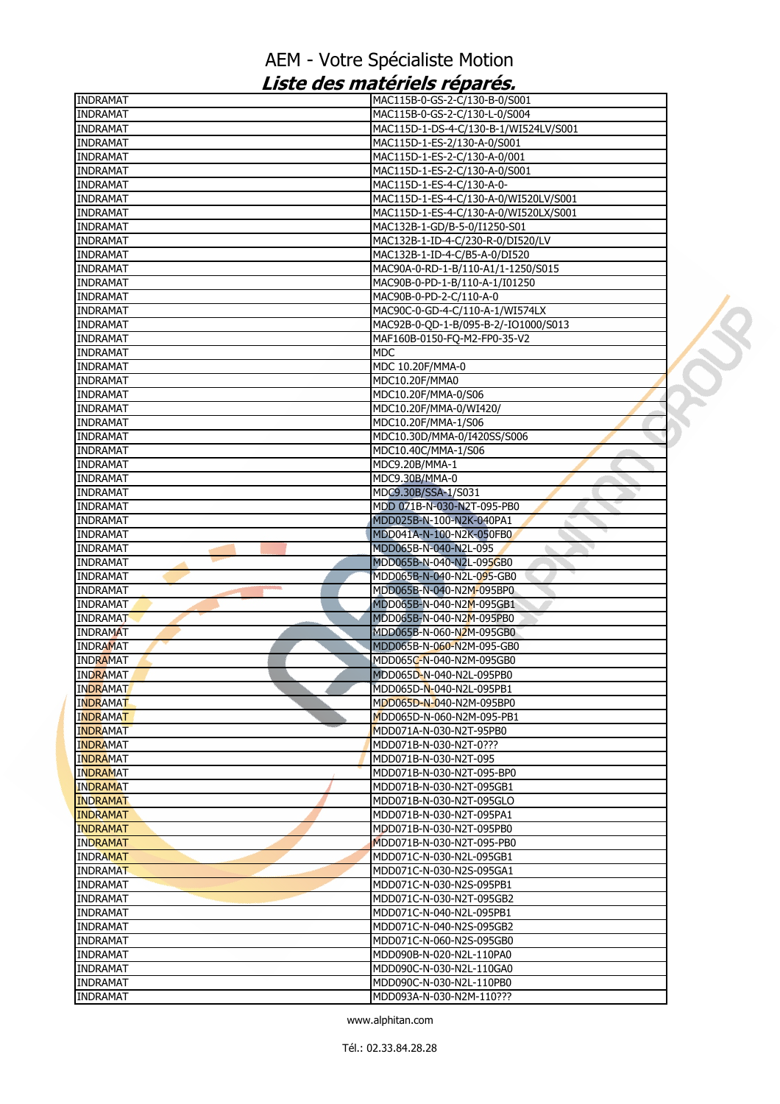| <b>INDRAMAT</b> | MAC115B-0-GS-2-C/130-B-0/S001         |  |
|-----------------|---------------------------------------|--|
| <b>INDRAMAT</b> | MAC115B-0-GS-2-C/130-L-0/S004         |  |
| <b>INDRAMAT</b> | MAC115D-1-DS-4-C/130-B-1/WI524LV/S001 |  |
| <b>INDRAMAT</b> | MAC115D-1-ES-2/130-A-0/S001           |  |
| <b>INDRAMAT</b> | MAC115D-1-ES-2-C/130-A-0/001          |  |
| <b>INDRAMAT</b> | MAC115D-1-ES-2-C/130-A-0/S001         |  |
| <b>INDRAMAT</b> | MAC115D-1-ES-4-C/130-A-0-             |  |
| <b>INDRAMAT</b> | MAC115D-1-ES-4-C/130-A-0/WI520LV/S001 |  |
| <b>INDRAMAT</b> | MAC115D-1-ES-4-C/130-A-0/WI520LX/S001 |  |
| <b>INDRAMAT</b> | MAC132B-1-GD/B-5-0/I1250-S01          |  |
| <b>INDRAMAT</b> | MAC132B-1-ID-4-C/230-R-0/DI520/LV     |  |
| <b>INDRAMAT</b> | MAC132B-1-ID-4-C/B5-A-0/DI520         |  |
| <b>INDRAMAT</b> | MAC90A-0-RD-1-B/110-A1/1-1250/S015    |  |
| <b>INDRAMAT</b> | MAC90B-0-PD-1-B/110-A-1/I01250        |  |
| <b>INDRAMAT</b> | MAC90B-0-PD-2-C/110-A-0               |  |
| <b>INDRAMAT</b> | MAC90C-0-GD-4-C/110-A-1/WI574LX       |  |
| <b>INDRAMAT</b> | MAC92B-0-QD-1-B/095-B-2/-IO1000/S013  |  |
| <b>INDRAMAT</b> | MAF160B-0150-FQ-M2-FP0-35-V2          |  |
| <b>INDRAMAT</b> | <b>MDC</b>                            |  |
| <b>INDRAMAT</b> | MDC 10.20F/MMA-0                      |  |
| <b>INDRAMAT</b> | MDC10.20F/MMA0                        |  |
| <b>INDRAMAT</b> | MDC10.20F/MMA-0/S06                   |  |
| <b>INDRAMAT</b> | MDC10.20F/MMA-0/WI420/                |  |
| <b>INDRAMAT</b> | MDC10.20F/MMA-1/S06                   |  |
| <b>INDRAMAT</b> | MDC10.30D/MMA-0/I420SS/S006           |  |
| <b>INDRAMAT</b> | MDC10.40C/MMA-1/S06                   |  |
| <b>INDRAMAT</b> | MDC9.20B/MMA-1                        |  |
| <b>INDRAMAT</b> | MDC9.30B/MMA-0                        |  |
| <b>INDRAMAT</b> | MDC9.30B/SSA-1/S031                   |  |
| <b>INDRAMAT</b> | MDD 071B-N-030-N2T-095-PB0            |  |
| <b>INDRAMAT</b> | MDD025B-N-100-N2K-040PA1              |  |
| <b>INDRAMAT</b> | MDD041A-N-100-N2K-050FB0              |  |
| <b>INDRAMAT</b> | MDD065B-N-040-N2L-095                 |  |
| <b>INDRAMAT</b> | MDD065B-N-040-N2L-095GB0              |  |
| <b>INDRAMAT</b> | MDD065B-N-040-N2L-095-GB0             |  |
| <b>INDRAMAT</b> | MDD065B-N-040-N2M-095BP0              |  |
| <b>INDRAMAT</b> | MDD065B-N-040-N2M-095GB1              |  |
| <b>INDRAMAT</b> | MDD065B-N-040-N2M-095PB0              |  |
| <b>INDRAMAT</b> | MDD065B-N-060-N2M-095GB0              |  |
| <b>INDRAMAT</b> | MDD065B-N-060-N2M-095-GB0             |  |
| <b>INDRAMAT</b> | MDD065C-N-040-N2M-095GB0              |  |
| <b>INDRAMAT</b> | MDD065D-N-040-N2L-095PB0              |  |
| <b>INDRAMAT</b> | MDD065D-N-040-N2L-095PB1              |  |
| <b>INDRAMAT</b> | MDD065D-N-040-N2M-095BP0              |  |
| <b>INDRAMAT</b> | MDD065D-N-060-N2M-095-PB1             |  |
| <b>INDRAMAT</b> | MDD071A-N-030-N2T-95PB0               |  |
| <b>INDRAMAT</b> | MDD071B-N-030-N2T-0???                |  |
| <b>INDRAMAT</b> | MDD071B-N-030-N2T-095                 |  |
| <b>INDRAMAT</b> | MDD071B-N-030-N2T-095-BP0             |  |
| <b>INDRAMAT</b> | MDD071B-N-030-N2T-095GB1              |  |
| <b>INDRAMAT</b> | MDD071B-N-030-N2T-095GLO              |  |
| <b>INDRAMAT</b> | MDD071B-N-030-N2T-095PA1              |  |
| <b>INDRAMAT</b> | MDD071B-N-030-N2T-095PB0              |  |
| <b>INDRAMAT</b> | MDD071B-N-030-N2T-095-PB0             |  |
| <b>INDRAMAT</b> | MDD071C-N-030-N2L-095GB1              |  |
| INDRAMAT        | MDD071C-N-030-N2S-095GA1              |  |
| <b>INDRAMAT</b> | MDD071C-N-030-N2S-095PB1              |  |
| <b>INDRAMAT</b> | MDD071C-N-030-N2T-095GB2              |  |
| <b>INDRAMAT</b> | MDD071C-N-040-N2L-095PB1              |  |
| <b>INDRAMAT</b> | MDD071C-N-040-N2S-095GB2              |  |
| <b>INDRAMAT</b> | MDD071C-N-060-N2S-095GB0              |  |
| <b>INDRAMAT</b> | MDD090B-N-020-N2L-110PA0              |  |
| <b>INDRAMAT</b> | MDD090C-N-030-N2L-110GA0              |  |
| <b>INDRAMAT</b> | MDD090C-N-030-N2L-110PB0              |  |
| <b>INDRAMAT</b> | MDD093A-N-030-N2M-110???              |  |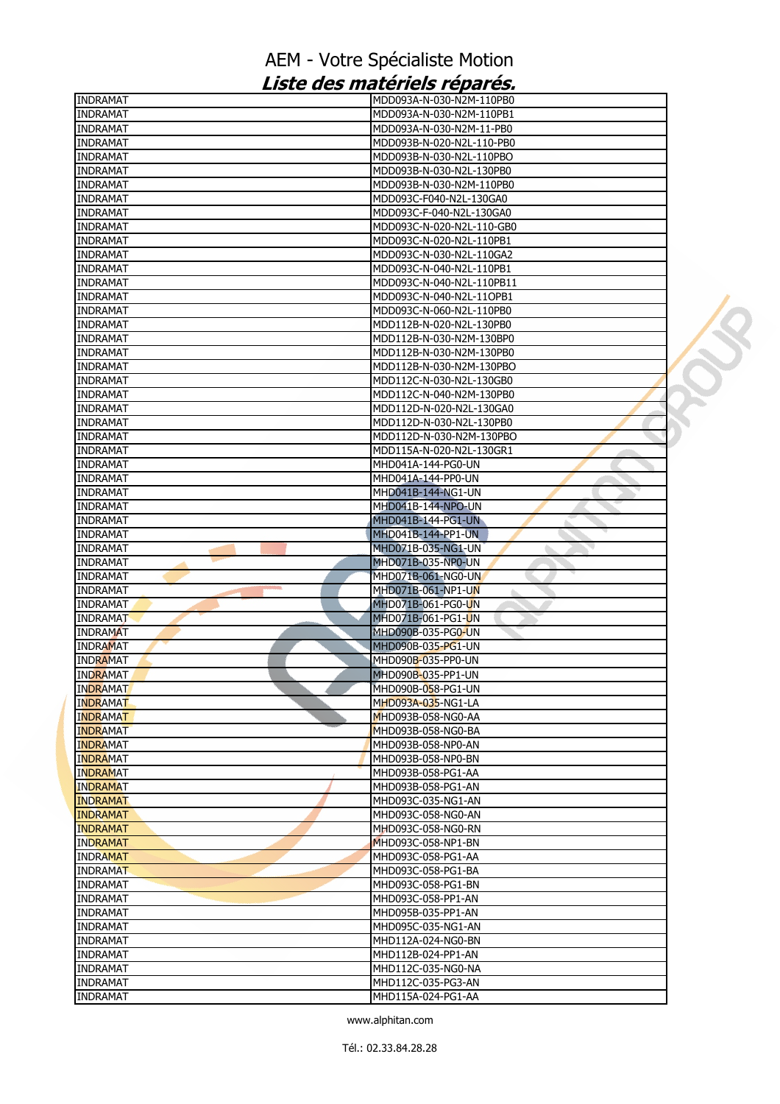| <b>INDRAMAT</b>      | MDD093A-N-030-N2M-110PB0                 |
|----------------------|------------------------------------------|
| <b>INDRAMAT</b>      | MDD093A-N-030-N2M-110PB1                 |
| <b>INDRAMAT</b>      | MDD093A-N-030-N2M-11-PB0                 |
| <b>INDRAMAT</b>      | MDD093B-N-020-N2L-110-PB0                |
| INDRAMAT             | MDD093B-N-030-N2L-110PBO                 |
| INDRAMAT             | MDD093B-N-030-N2L-130PB0                 |
| <b>INDRAMAT</b>      | MDD093B-N-030-N2M-110PB0                 |
| <b>INDRAMAT</b>      | MDD093C-F040-N2L-130GA0                  |
| INDRAMAT             | MDD093C-F-040-N2L-130GA0                 |
| <b>INDRAMAT</b>      | MDD093C-N-020-N2L-110-GB0                |
| INDRAMAT             | MDD093C-N-020-N2L-110PB1                 |
| <b>INDRAMAT</b>      | MDD093C-N-030-N2L-110GA2                 |
| INDRAMAT             | MDD093C-N-040-N2L-110PB1                 |
| INDRAMAT             | MDD093C-N-040-N2L-110PB11                |
| INDRAMAT             | MDD093C-N-040-N2L-11OPB1                 |
| <b>INDRAMAT</b>      | MDD093C-N-060-N2L-110PB0                 |
| <b>INDRAMAT</b>      | MDD112B-N-020-N2L-130PB0                 |
| INDRAMAT             | MDD112B-N-030-N2M-130BP0                 |
| INDRAMAT             | MDD112B-N-030-N2M-130PB0                 |
| <b>INDRAMAT</b>      | MDD112B-N-030-N2M-130PBO                 |
| <b>INDRAMAT</b>      | MDD112C-N-030-N2L-130GB0                 |
| <b>INDRAMAT</b>      | MDD112C-N-040-N2M-130PB0                 |
| INDRAMAT             | MDD112D-N-020-N2L-130GA0                 |
| INDRAMAT             | MDD112D-N-030-N2L-130PB0                 |
| <b>INDRAMAT</b>      | MDD112D-N-030-N2M-130PBO                 |
| <b>INDRAMAT</b>      | MDD115A-N-020-N2L-130GR1                 |
| INDRAMAT             | MHD041A-144-PG0-UN                       |
| INDRAMAT             | MHD041A-144-PP0-UN                       |
| <b>INDRAMAT</b>      | MHD041B-144-NG1-UN                       |
| <b>INDRAMAT</b>      | MHD041B-144-NPO-UN                       |
| <b>INDRAMAT</b>      | MHD041B-144-PG1-UN                       |
| INDRAMAT             | MHD041B-144-PP1-UN                       |
| <b>INDRAMAT</b>      | MHD071B-035-NG1-UN                       |
| INDRAMAT             | MHD071B-035-NP0-UN                       |
| <b>INDRAMAT</b>      | MHD071B-061-NG0-UN                       |
| <b>INDRAMAT</b>      | MHD071B-061-NP1-UN<br>ò.                 |
| <b>INDRAMAT</b>      | MHD071B-061-PG0-UN                       |
|                      |                                          |
| INDRAMAT             | MHD071B-061-PG1-UN                       |
| <b>INDRAMAT</b>      | MHD090B-035-PG0-UN                       |
| <b>INDRAMAT</b>      | MHD090B-035-PG1-UN                       |
| INDRAMAT             | MHD090 <b>B</b> -035-PP0-UN              |
| INDRAMAT             | MHD090B-035-PP1-UN                       |
| <b>INDRAMAT</b>      | MHD090B- <mark>05</mark> 8-PG1-UN        |
| <b>INDRAMAT</b>      | MHD093A-035-NG1-LA                       |
| <b>INDRAMAT</b>      | MHD093B-058-NG0-AA                       |
| <b>INDRAMAT</b>      | MHD093B-058-NG0-BA                       |
| <b>INDRAMAT</b>      | MHD093B-058-NP0-AN                       |
| <b>INDRAMAT</b>      | MHD093B-058-NP0-BN                       |
| <b>INDRAMAT</b>      | MHD093B-058-PG1-AA                       |
| <b>INDRAMAT</b>      | MHD093B-058-PG1-AN                       |
| <b>INDRAMAT</b>      | MHD093C-035-NG1-AN                       |
| <b>INDRAMAT</b>      | MHD093C-058-NG0-AN                       |
| <b>INDRAMAT</b>      | MHD093C-058-NG0-RN                       |
| <b>INDRAMAT</b>      | MHD093C-058-NP1-BN                       |
| <b>INDRAMAT</b>      | MHD093C-058-PG1-AA                       |
| INDRAMAT             | MHD093C-058-PG1-BA                       |
| INDRAMAT             | MHD093C-058-PG1-BN                       |
| <b>INDRAMAT</b>      | MHD093C-058-PP1-AN                       |
| INDRAMAT             | MHD095B-035-PP1-AN                       |
| INDRAMAT             | MHD095C-035-NG1-AN                       |
| <b>INDRAMAT</b>      | MHD112A-024-NG0-BN                       |
| <b>INDRAMAT</b>      | MHD112B-024-PP1-AN                       |
| <b>INDRAMAT</b>      | MHD112C-035-NG0-NA                       |
| INDRAMAT<br>INDRAMAT | MHD112C-035-PG3-AN<br>MHD115A-024-PG1-AA |

 $\mathcal{L}$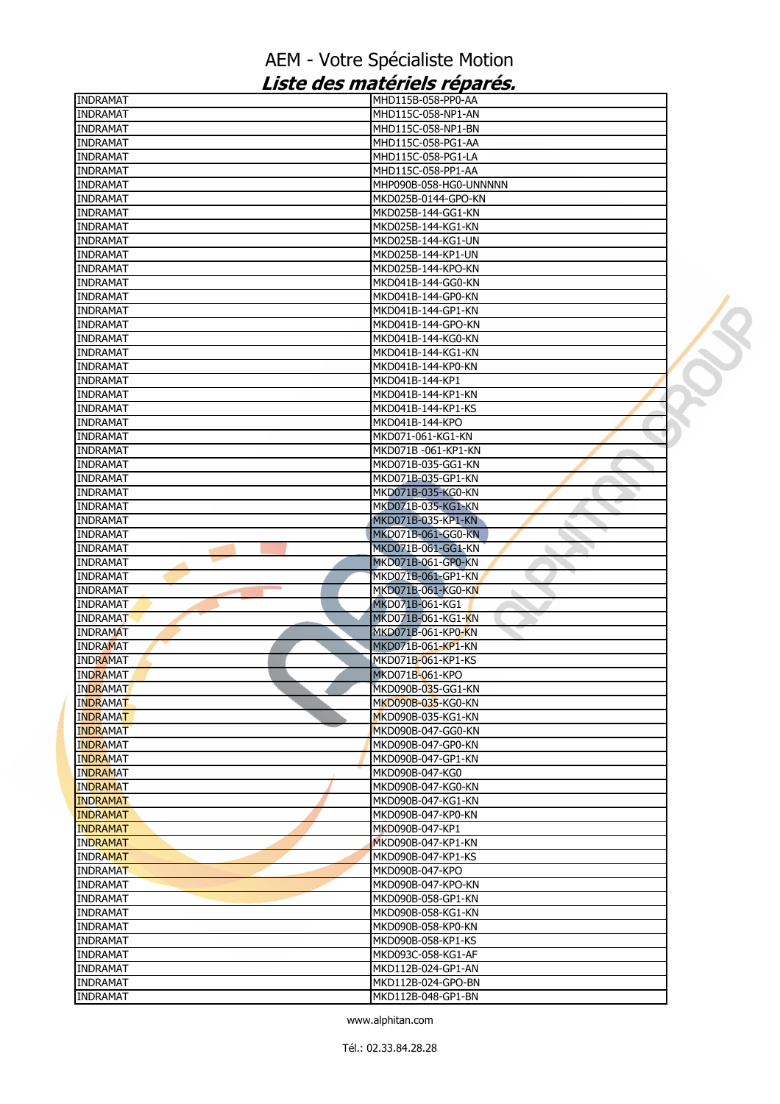| INDRAMAT                           | MHD115B-058-PP0-AA                       |  |
|------------------------------------|------------------------------------------|--|
| <b>INDRAMAT</b>                    | MHD115C-058-NP1-AN                       |  |
| <b>INDRAMAT</b>                    | MHD115C-058-NP1-BN                       |  |
| INDRAMAT                           | MHD115C-058-PG1-AA                       |  |
| <b>INDRAMAT</b>                    | MHD115C-058-PG1-LA                       |  |
| <b>INDRAMAT</b>                    | MHD115C-058-PP1-AA                       |  |
| <b>INDRAMAT</b>                    | MHP090B-058-HG0-UNNNNN                   |  |
| INDRAMAT                           | MKD025B-0144-GPO-KN                      |  |
| INDRAMAT                           | MKD025B-144-GG1-KN                       |  |
| <b>INDRAMAT</b>                    | MKD025B-144-KG1-KN                       |  |
| <b>INDRAMAT</b>                    | MKD025B-144-KG1-UN                       |  |
| <b>INDRAMAT</b>                    | MKD025B-144-KP1-UN                       |  |
| INDRAMAT                           | MKD025B-144-KPO-KN                       |  |
| <b>INDRAMAT</b>                    | MKD041B-144-GG0-KN                       |  |
| <b>INDRAMAT</b>                    | MKD041B-144-GP0-KN                       |  |
| <b>INDRAMAT</b>                    | MKD041B-144-GP1-KN                       |  |
| <b>INDRAMAT</b>                    | MKD041B-144-GPO-KN                       |  |
|                                    |                                          |  |
| INDRAMAT                           | MKD041B-144-KG0-KN                       |  |
| <b>INDRAMAT</b>                    | MKD041B-144-KG1-KN                       |  |
| <b>INDRAMAT</b>                    | MKD041B-144-KP0-KN                       |  |
| <b>INDRAMAT</b>                    | MKD041B-144-KP1                          |  |
| <b>INDRAMAT</b>                    | MKD041B-144-KP1-KN                       |  |
| <b>INDRAMAT</b>                    | MKD041B-144-KP1-KS                       |  |
| <b>INDRAMAT</b>                    | MKD041B-144-KPO                          |  |
| <b>INDRAMAT</b>                    | MKD071-061-KG1-KN                        |  |
| <b>INDRAMAT</b>                    | MKD071B -061-KP1-KN                      |  |
| INDRAMAT                           | MKD071B-035-GG1-KN                       |  |
| <b>INDRAMAT</b>                    | MKD071B-035-GP1-KN                       |  |
| <b>INDRAMAT</b>                    | MKD071B-035-KG0-KN                       |  |
| <b>INDRAMAT</b>                    | MKD071B-035-KG1-KN                       |  |
| INDRAMAT                           | MKD071B-035-KP1-KN                       |  |
| <b>INDRAMAT</b>                    | MKD071B-061-GG0-KN                       |  |
| <b>INDRAMAT</b>                    | MKD071B-061-GG1-KN                       |  |
| <b>INDRAMAT</b>                    | MKD071B-061-GP0-KN                       |  |
| INDRAMAT                           | MKD071B-061-GP1-KN                       |  |
|                                    |                                          |  |
|                                    |                                          |  |
| INDRAMAT                           | MKD071B-061-KG0-KN                       |  |
| <b>INDRAMAT</b>                    | MKD071B-061-KG1                          |  |
| <b>INDRAMAT</b>                    | MKD071B-061-KG1-KN                       |  |
| <b>INDRAMAT</b>                    | MKD071B-061-KP0-KN                       |  |
| <b>INDRAMAT</b>                    | MKD071B-061-KP1-KN                       |  |
| <b>INDRAMAT</b>                    | MKD071B-061-KP1-KS                       |  |
| <b>INDRAMAT</b>                    | MKD071B-061-KPO                          |  |
| <b>INDRAMAT</b>                    | MKD090B- <mark>03</mark> 5-GG1-KN        |  |
| <b>INDRAMAT</b>                    | MKD090B-035-KG0-KN                       |  |
| <b>INDRAMAT</b>                    | MKD090B-035-KG1-KN                       |  |
| <b>INDRAMAT</b>                    | MKD090B-047-GG0-KN                       |  |
| INDRAMAT                           | MKD090B-047-GP0-KN                       |  |
| <b>INDRAMAT</b>                    | MKD090B-047-GP1-KN                       |  |
| <b>INDRAMAT</b>                    | MKD090B-047-KG0                          |  |
| <b>INDRAMAT</b>                    | MKD090B-047-KG0-KN                       |  |
| <b>INDRAMAT</b>                    | MKD090B-047-KG1-KN                       |  |
| <b>INDRAMAT</b>                    | MKD090B-047-KP0-KN                       |  |
| <b>INDRAMAT</b>                    | MKD090B-047-KP1                          |  |
| <b>INDRAMAT</b>                    | MKD090B-047-KP1-KN                       |  |
| <b>INDRAMAT</b>                    | MKD090B-047-KP1-KS                       |  |
| <b>INDRAMAT</b>                    | MKD090B-047-KPO                          |  |
|                                    |                                          |  |
| <b>INDRAMAT</b>                    | MKD090B-047-KPO-KN                       |  |
| INDRAMAT                           | MKD090B-058-GP1-KN                       |  |
| <b>INDRAMAT</b>                    | MKD090B-058-KG1-KN                       |  |
| <b>INDRAMAT</b>                    | MKD090B-058-KP0-KN                       |  |
| <b>INDRAMAT</b>                    | MKD090B-058-KP1-KS                       |  |
| <b>INDRAMAT</b>                    | MKD093C-058-KG1-AF                       |  |
| INDRAMAT                           | MKD112B-024-GP1-AN                       |  |
| <b>INDRAMAT</b><br><b>INDRAMAT</b> | MKD112B-024-GPO-BN<br>MKD112B-048-GP1-BN |  |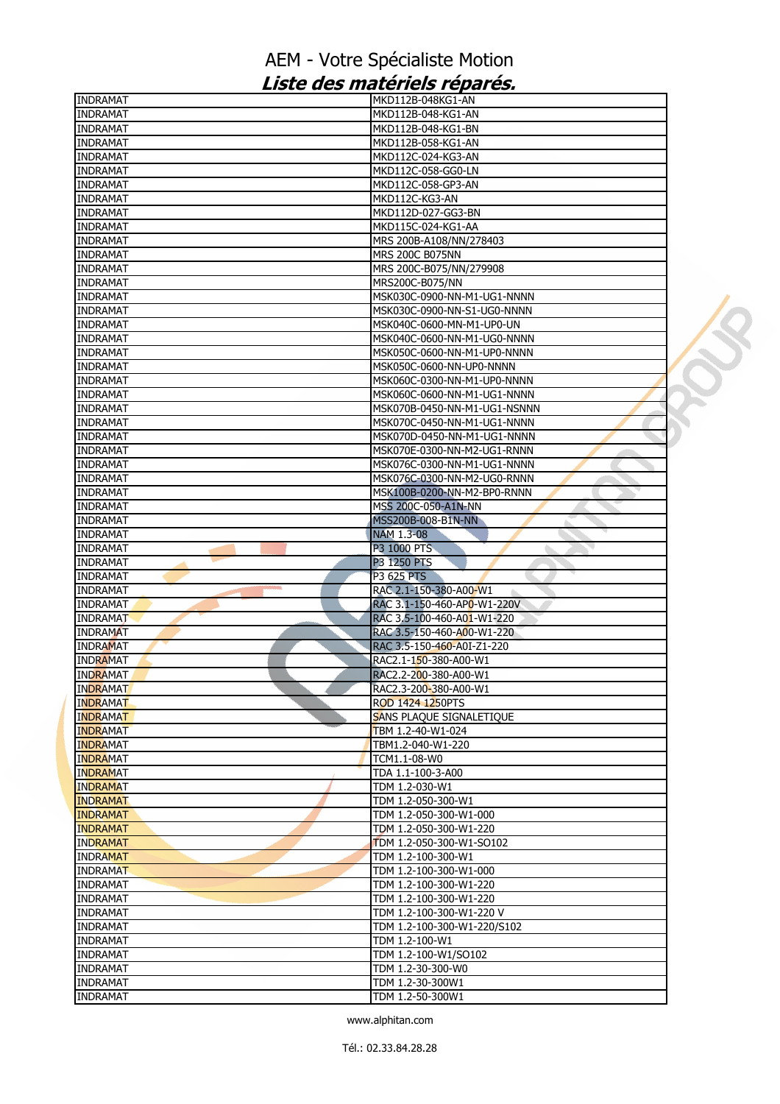| INDRAMAT        | MKD112B-048KG1-AN                                 |  |
|-----------------|---------------------------------------------------|--|
| <b>INDRAMAT</b> | MKD112B-048-KG1-AN                                |  |
| <b>INDRAMAT</b> | MKD112B-048-KG1-BN                                |  |
| <b>INDRAMAT</b> | MKD112B-058-KG1-AN                                |  |
| INDRAMAT        | MKD112C-024-KG3-AN                                |  |
| <b>INDRAMAT</b> | MKD112C-058-GG0-LN                                |  |
| INDRAMAT        | MKD112C-058-GP3-AN                                |  |
| <b>INDRAMAT</b> | MKD112C-KG3-AN                                    |  |
| <b>INDRAMAT</b> | MKD112D-027-GG3-BN                                |  |
| <b>INDRAMAT</b> | MKD115C-024-KG1-AA                                |  |
| INDRAMAT        |                                                   |  |
|                 | MRS 200B-A108/NN/278403<br><b>MRS 200C B075NN</b> |  |
| INDRAMAT        |                                                   |  |
| <b>INDRAMAT</b> | MRS 200C-B075/NN/279908                           |  |
| <b>INDRAMAT</b> | MRS200C-B075/NN                                   |  |
| <b>INDRAMAT</b> | MSK030C-0900-NN-M1-UG1-NNNN                       |  |
| INDRAMAT        | MSK030C-0900-NN-S1-UG0-NNNN                       |  |
| INDRAMAT        | MSK040C-0600-MN-M1-UP0-UN                         |  |
| <b>INDRAMAT</b> | MSK040C-0600-NN-M1-UG0-NNNN                       |  |
| <b>INDRAMAT</b> | MSK050C-0600-NN-M1-UP0-NNNN                       |  |
| <b>INDRAMAT</b> | MSK050C-0600-NN-UP0-NNNN                          |  |
| INDRAMAT        | MSK060C-0300-NN-M1-UP0-NNNN                       |  |
| <b>INDRAMAT</b> | MSK060C-0600-NN-M1-UG1-NNNN                       |  |
| <b>INDRAMAT</b> | MSK070B-0450-NN-M1-UG1-NSNNN                      |  |
| <b>INDRAMAT</b> | MSK070C-0450-NN-M1-UG1-NNNN                       |  |
| INDRAMAT        | MSK070D-0450-NN-M1-UG1-NNNN                       |  |
| <b>INDRAMAT</b> | MSK070E-0300-NN-M2-UG1-RNNN                       |  |
| <b>INDRAMAT</b> | MSK076C-0300-NN-M1-UG1-NNNN                       |  |
| <b>INDRAMAT</b> | MSK076C-0300-NN-M2-UG0-RNNN                       |  |
| <b>INDRAMAT</b> | MSK100B-0200-NN-M2-BP0-RNNN                       |  |
| INDRAMAT        | MSS 200C-050-A1N-NN                               |  |
| <b>INDRAMAT</b> | MSS200B-008-B1N-NN                                |  |
| <b>INDRAMAT</b> | <b>NAM 1.3-08</b>                                 |  |
| <b>INDRAMAT</b> | P3 1000 PTS<br>۰,                                 |  |
| <b>INDRAMAT</b> | P3 1250 PTS                                       |  |
| INDRAMAT        | P3 625 PTS                                        |  |
| <b>INDRAMAT</b> | RAC 2.1-150-380-A00-W1                            |  |
| <b>INDRAMAT</b> | RAC 3.1-150-460-AP0-W1-220V                       |  |
| <b>INDRAMAT</b> | RAC 3.5-100-460-A01-W1-220                        |  |
| <b>INDRAMAT</b> | RAC 3.5-150-460-A00-W1-220                        |  |
| <b>INDRAMAT</b> | RAC 3.5-150-460-A0I-Z1-220                        |  |
| <b>INDRAMAT</b> | RAC2.1-150-380-A00-W1                             |  |
| <b>INDRAMAT</b> | RAC2.2-200-380-A00-W1                             |  |
| INDRAMAT        | RAC2.3-200-380-A00-W1                             |  |
| <b>INDRAMAT</b> | ROD 1424 1250PTS                                  |  |
| <b>INDRAMAT</b> | SANS PLAQUE SIGNALETIQUE                          |  |
| <b>INDRAMAT</b> | TBM 1.2-40-W1-024                                 |  |
| <b>INDRAMAT</b> | TBM1.2-040-W1-220                                 |  |
| <b>INDRAMAT</b> | TCM1.1-08-W0                                      |  |
| <b>INDRAMAT</b> | TDA 1.1-100-3-A00                                 |  |
| <b>INDRAMAT</b> | TDM 1.2-030-W1                                    |  |
| <b>INDRAMAT</b> | TDM 1.2-050-300-W1                                |  |
| <b>INDRAMAT</b> | TDM 1.2-050-300-W1-000                            |  |
| <b>INDRAMAT</b> | TDM 1.2-050-300-W1-220                            |  |
| <b>INDRAMAT</b> | TDM 1.2-050-300-W1-SO102                          |  |
| <b>INDRAMAT</b> | TDM 1.2-100-300-W1                                |  |
| <b>INDRAMAT</b> | TDM 1.2-100-300-W1-000                            |  |
| <b>INDRAMAT</b> | TDM 1.2-100-300-W1-220                            |  |
| <b>INDRAMAT</b> | TDM 1.2-100-300-W1-220                            |  |
| <b>INDRAMAT</b> | TDM 1.2-100-300-W1-220 V                          |  |
| <b>INDRAMAT</b> | TDM 1.2-100-300-W1-220/S102                       |  |
| <b>INDRAMAT</b> | TDM 1.2-100-W1                                    |  |
| INDRAMAT        | TDM 1.2-100-W1/SO102                              |  |
| <b>INDRAMAT</b> | TDM 1.2-30-300-W0                                 |  |
| <b>INDRAMAT</b> | TDM 1.2-30-300W1                                  |  |
| <b>INDRAMAT</b> | TDM 1.2-50-300W1                                  |  |
|                 |                                                   |  |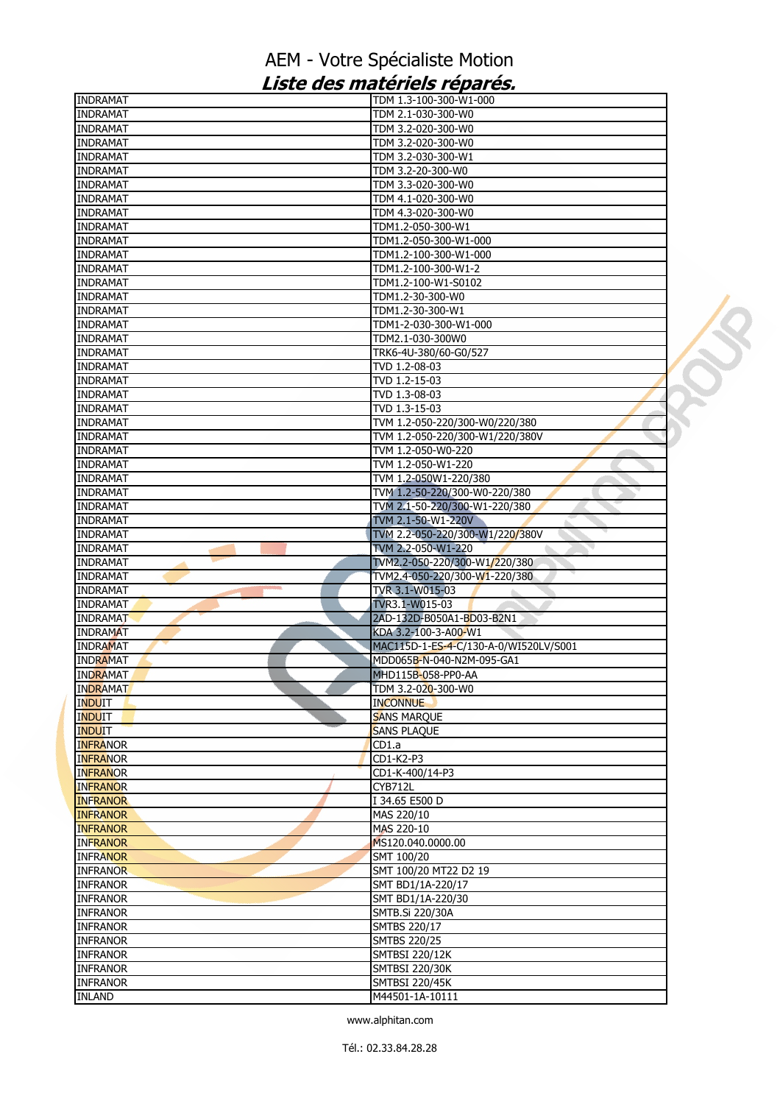| <b>INDRAMAT</b> | TDM 1.3-100-300-W1-000                |  |
|-----------------|---------------------------------------|--|
| <b>INDRAMAT</b> | TDM 2.1-030-300-W0                    |  |
| <b>INDRAMAT</b> | TDM 3.2-020-300-W0                    |  |
| <b>INDRAMAT</b> | TDM 3.2-020-300-W0                    |  |
| <b>INDRAMAT</b> | TDM 3.2-030-300-W1                    |  |
| <b>INDRAMAT</b> | TDM 3.2-20-300-W0                     |  |
| <b>INDRAMAT</b> | TDM 3.3-020-300-W0                    |  |
| <b>INDRAMAT</b> | TDM 4.1-020-300-W0                    |  |
| <b>INDRAMAT</b> | TDM 4.3-020-300-W0                    |  |
| <b>INDRAMAT</b> | TDM1.2-050-300-W1                     |  |
| <b>INDRAMAT</b> | TDM1.2-050-300-W1-000                 |  |
| <b>INDRAMAT</b> | TDM1.2-100-300-W1-000                 |  |
| <b>INDRAMAT</b> | TDM1.2-100-300-W1-2                   |  |
| <b>INDRAMAT</b> | TDM1.2-100-W1-S0102                   |  |
| <b>INDRAMAT</b> | TDM1.2-30-300-W0                      |  |
| <b>INDRAMAT</b> | TDM1.2-30-300-W1                      |  |
| <b>INDRAMAT</b> | TDM1-2-030-300-W1-000                 |  |
| <b>INDRAMAT</b> | TDM2.1-030-300W0                      |  |
| <b>INDRAMAT</b> | TRK6-4U-380/60-G0/527                 |  |
|                 |                                       |  |
| <b>INDRAMAT</b> | TVD 1.2-08-03                         |  |
| <b>INDRAMAT</b> | TVD 1.2-15-03                         |  |
| <b>INDRAMAT</b> | TVD 1.3-08-03                         |  |
| <b>INDRAMAT</b> | TVD 1.3-15-03                         |  |
| <b>INDRAMAT</b> | TVM 1.2-050-220/300-W0/220/380        |  |
| <b>INDRAMAT</b> | TVM 1.2-050-220/300-W1/220/380V       |  |
| <b>INDRAMAT</b> | TVM 1.2-050-W0-220                    |  |
| <b>INDRAMAT</b> | TVM 1.2-050-W1-220                    |  |
| <b>INDRAMAT</b> | TVM 1.2-050W1-220/380                 |  |
| <b>INDRAMAT</b> | TVM 1.2-50-220/300-W0-220/380         |  |
| <b>INDRAMAT</b> | TVM 2.1-50-220/300-W1-220/380         |  |
| <b>INDRAMAT</b> | TVM 2.1-50-W1-220V                    |  |
| <b>INDRAMAT</b> | TVM 2.2-050-220/300-W1/220/380V       |  |
| <b>INDRAMAT</b> | TVM 2.2-050-W1-220                    |  |
| <b>INDRAMAT</b> | TVM2.2-050-220/300-W1/220/380         |  |
| <b>INDRAMAT</b> | TVM2.4-050-220/300-W1-220/380         |  |
| <b>INDRAMAT</b> | TVR 3.1-W015-03                       |  |
| <b>INDRAMAT</b> | TVR3.1-W015-03                        |  |
| <b>INDRAMAT</b> | 2AD-132D-B050A1-BD03-B2N1             |  |
| <b>INDRAMAT</b> | KDA 3.2-100-3-A00-W1                  |  |
| <b>INDRAMAT</b> | MAC115D-1-ES-4-C/130-A-0/WI520LV/S001 |  |
| <b>INDRAMAT</b> | MDD065B-N-040-N2M-095-GA1             |  |
|                 | MHD115B-058-PP0-AA                    |  |
| <b>INDRAMAT</b> |                                       |  |
| <b>INDRAMAT</b> | TDM 3.2-020-300-W0                    |  |
| <b>INDUIT</b>   | <b>INCONNUE</b>                       |  |
| <b>INDUIT</b>   | <b>SANS MARQUE</b>                    |  |
| <b>INDUIT</b>   | <b>SANS PLAQUE</b>                    |  |
| <b>INFRANOR</b> | CD1.a                                 |  |
| <b>INFRANOR</b> | CD1-K2-P3                             |  |
| <b>INFRANOR</b> | CD1-K-400/14-P3                       |  |
| <b>INFRANOR</b> | CYB712L                               |  |
| <b>INFRANOR</b> | I 34.65 E500 D                        |  |
| <b>INFRANOR</b> | MAS 220/10                            |  |
| <b>INFRANOR</b> | MAS 220-10                            |  |
| <b>INFRANOR</b> | MS120.040.0000.00                     |  |
| <b>INFRANOR</b> | SMT 100/20                            |  |
| <b>INFRANOR</b> | SMT 100/20 MT22 D2 19                 |  |
| <b>INFRANOR</b> | SMT BD1/1A-220/17                     |  |
| <b>INFRANOR</b> | SMT BD1/1A-220/30                     |  |
| <b>INFRANOR</b> | SMTB.Si 220/30A                       |  |
| <b>INFRANOR</b> | SMTBS 220/17                          |  |
| <b>INFRANOR</b> | <b>SMTBS 220/25</b>                   |  |
| <b>INFRANOR</b> | <b>SMTBSI 220/12K</b>                 |  |
| <b>INFRANOR</b> | <b>SMTBSI 220/30K</b>                 |  |
| <b>INFRANOR</b> | <b>SMTBSI 220/45K</b>                 |  |
| <b>INLAND</b>   | M44501-1A-10111                       |  |
|                 |                                       |  |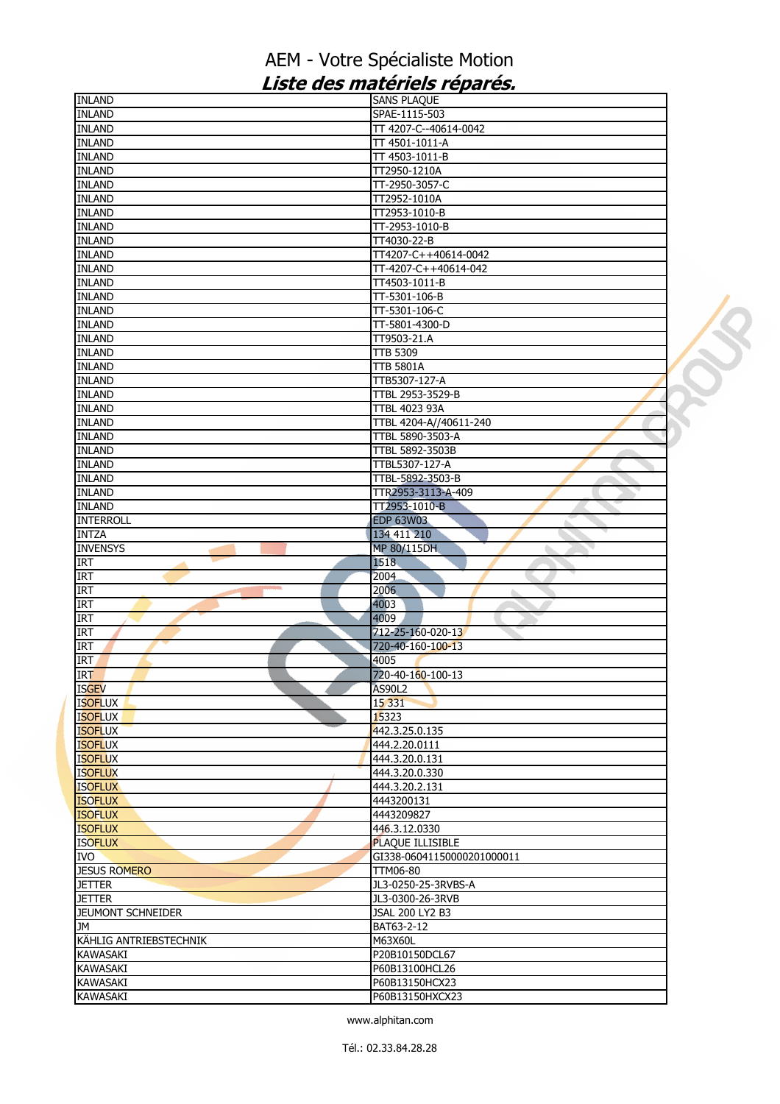| <b>INLAND</b>            | <b>SANS PLAQUE</b>         |
|--------------------------|----------------------------|
| <b>INLAND</b>            | SPAE-1115-503              |
| <b>INLAND</b>            | TT 4207-C--40614-0042      |
| <b>INLAND</b>            | TT 4501-1011-A             |
| <b>INLAND</b>            | TT 4503-1011-B             |
| <b>INLAND</b>            | TT2950-1210A               |
| <b>INLAND</b>            | TT-2950-3057-C             |
| <b>INLAND</b>            | TT2952-1010A               |
| <b>INLAND</b>            | TT2953-1010-B              |
| <b>INLAND</b>            | TT-2953-1010-B             |
| <b>INLAND</b>            | TT4030-22-B                |
| <b>INLAND</b>            | TT4207-C++40614-0042       |
| <b>INLAND</b>            | TT-4207-C++40614-042       |
| <b>INLAND</b>            | TT4503-1011-B              |
| <b>INLAND</b>            | TT-5301-106-B              |
| <b>INLAND</b>            | TT-5301-106-C              |
| <b>INLAND</b>            | TT-5801-4300-D             |
| <b>INLAND</b>            | TT9503-21.A                |
| <b>INLAND</b>            | <b>TTB 5309</b>            |
| <b>INLAND</b>            | <b>TTB 5801A</b>           |
| <b>INLAND</b>            | TTB5307-127-A              |
| <b>INLAND</b>            | TTBL 2953-3529-B           |
| <b>INLAND</b>            | <b>TTBL 4023 93A</b>       |
| <b>INLAND</b>            | TTBL 4204-A//40611-240     |
| <b>INLAND</b>            | TTBL 5890-3503-A           |
| <b>INLAND</b>            | <b>TTBL 5892-3503B</b>     |
| <b>INLAND</b>            | TTBL5307-127-A             |
| <b>INLAND</b>            | TTBL-5892-3503-B           |
| <b>INLAND</b>            | TTR2953-3113-A-409         |
| <b>INLAND</b>            | TT2953-1010-B              |
| <b>INTERROLL</b>         | <b>EDP 63W03</b>           |
| <b>INTZA</b>             | 134 411 210                |
| <b>INVENSYS</b>          | MP 80/115DH                |
| <b>IRT</b>               | 1518                       |
| <b>IRT</b>               | 2004                       |
| <b>IRT</b>               | 2006<br>ò.                 |
| <b>IRT</b>               | 4003                       |
| <b>IRT</b>               | 4009                       |
| <b>IRT</b>               | 712-25-160-020-13          |
| <b>IRT</b>               | 720-40-160-100-13          |
| <b>IRT</b>               | 4005                       |
| <b>IRT</b>               | 720-40-160-100-13          |
| <b>ISGEV</b>             | AS90L2                     |
| <b>ISOFLUX</b>           | 15 3 3 1                   |
| <b>ISOFLUX</b>           | 15323                      |
| <b>ISOFLUX</b>           | 442.3.25.0.135             |
| <b>ISOFLUX</b>           | 444.2.20.0111              |
| <b>ISOFLUX</b>           | 444.3.20.0.131             |
| <b>ISOFLUX</b>           | 444.3.20.0.330             |
| <b>ISOFLUX</b>           | 444.3.20.2.131             |
| <b>ISOFLUX</b>           | 4443200131                 |
| <b>ISOFLUX</b>           | 4443209827                 |
| <b>ISOFLUX</b>           | 446.3.12.0330              |
| <b>ISOFLUX</b>           | <b>PLAQUE ILLISIBLE</b>    |
| IVO.                     | GI338-06041150000201000011 |
| <b>JESUS ROMERO</b>      | <b>TTM06-80</b>            |
| <b>JETTER</b>            | JL3-0250-25-3RVBS-A        |
| <b>JETTER</b>            | JL3-0300-26-3RVB           |
| <b>JEUMONT SCHNEIDER</b> | JSAL 200 LY2 B3            |
| JМ                       | BAT63-2-12                 |
| KÄHLIG ANTRIEBSTECHNIK   | M63X60L                    |
| KAWASAKI                 | P20B10150DCL67             |
| <b>KAWASAKI</b>          | P60B13100HCL26             |
| <b>KAWASAKI</b>          | P60B13150HCX23             |
| KAWASAKI                 | P60B13150HXCX23            |
|                          |                            |

 $\mathcal{O}$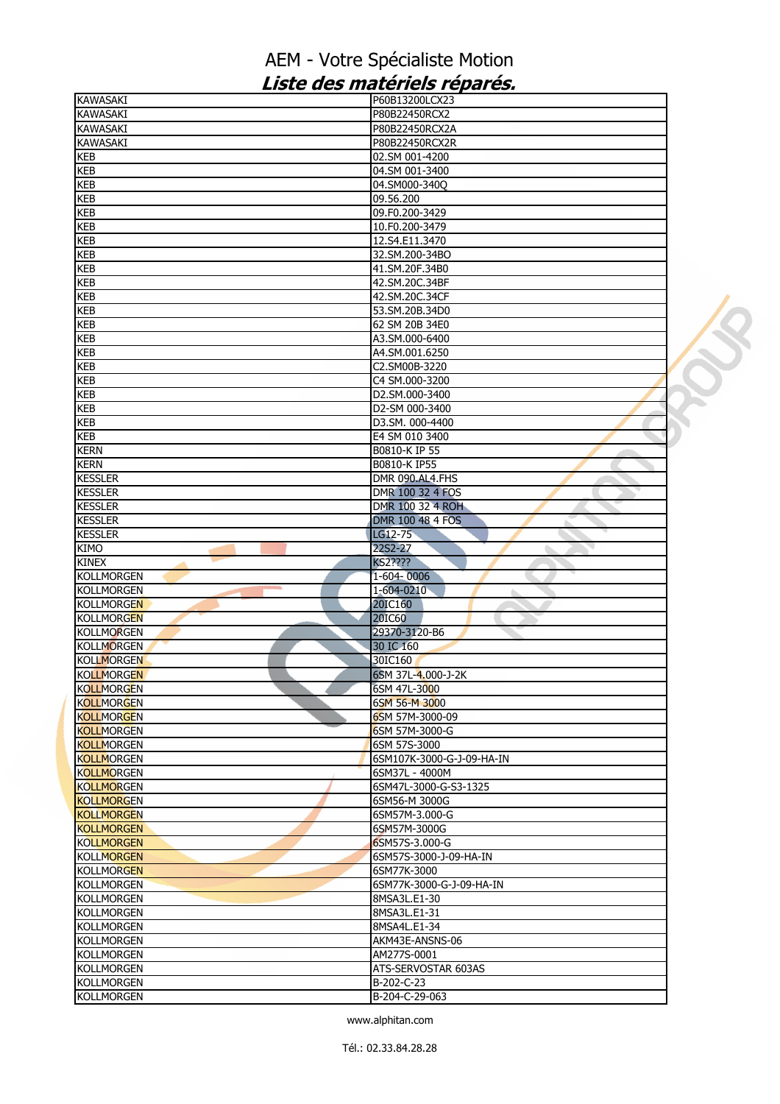| <b>KAWASAKI</b>                                                                  | P60B13200LCX23               |  |
|----------------------------------------------------------------------------------|------------------------------|--|
| <b>KAWASAKI</b>                                                                  | P80B22450RCX2                |  |
| <b>KAWASAKI</b>                                                                  | P80B22450RCX2A               |  |
| KAWASAKI                                                                         | P80B22450RCX2R               |  |
| <b>KEB</b>                                                                       | 02.SM 001-4200               |  |
| KEB                                                                              | 04.SM 001-3400               |  |
| <b>KEB</b>                                                                       | 04.SM000-340Q                |  |
| <b>KEB</b>                                                                       | 09.56.200                    |  |
| <b>KEB</b>                                                                       | 09.F0.200-3429               |  |
| KEB                                                                              | 10.F0.200-3479               |  |
| KEB                                                                              | 12.S4.E11.3470               |  |
| <b>KEB</b>                                                                       | 32.SM.200-34BO               |  |
| <b>KEB</b>                                                                       | 41.SM.20F.34B0               |  |
| <b>KEB</b>                                                                       | 42.SM.20C.34BF               |  |
| KEB                                                                              | 42.SM.20C.34CF               |  |
|                                                                                  | 53.SM.20B.34D0               |  |
| <b>KEB</b><br><b>KEB</b>                                                         | 62 SM 20B 34E0               |  |
|                                                                                  |                              |  |
| KEB                                                                              | A3.SM.000-6400               |  |
| KEB                                                                              | A4.SM.001.6250               |  |
| <b>KEB</b>                                                                       | C2.SM00B-3220                |  |
| <b>KEB</b>                                                                       | C4 SM.000-3200               |  |
| <b>KEB</b>                                                                       | D2.SM.000-3400               |  |
| <b>KEB</b>                                                                       | D2-SM 000-3400               |  |
| <b>KEB</b>                                                                       | D3.SM. 000-4400              |  |
| <b>KEB</b>                                                                       | E4 SM 010 3400               |  |
| <b>KERN</b>                                                                      | B0810-K IP 55                |  |
| <b>KERN</b>                                                                      | B0810-K IP55                 |  |
| <b>KESSLER</b>                                                                   | DMR 090.AL4.FHS              |  |
| <b>KESSLER</b>                                                                   | DMR 100 32 4 FOS             |  |
| <b>KESSLER</b>                                                                   | DMR 100 32 4 ROH             |  |
| <b>KESSLER</b>                                                                   | DMR 100 48 4 FOS             |  |
| <b>KESSLER</b>                                                                   | LG12-75                      |  |
| <b>KIMO</b>                                                                      | 22S2-27                      |  |
| <b>KINEX</b>                                                                     | KS2????                      |  |
| <b>KOLLMORGEN</b>                                                                | 1-604-0006                   |  |
| <b>KOLLMORGEN</b>                                                                | 1-604-0210<br>à.             |  |
| <b>KOLLMORGEN</b>                                                                | 20IC160                      |  |
| <b>KOLLMORGEN</b>                                                                | <b>20IC60</b>                |  |
| <b>KOLLMORGEN</b>                                                                | 29370-3120-B6                |  |
|                                                                                  |                              |  |
| <b>KOLLMORGEN</b>                                                                | 30 IC 160                    |  |
| <b>KOLLMORGEN</b>                                                                | 30IC160                      |  |
| <b>KOLLMORGEN</b>                                                                | 6SM 37L-4.000-J-2K           |  |
| <b>KOLLMORGEN</b>                                                                | 6SM 47L-3000                 |  |
| <b>KOLLMORGEN</b>                                                                | 6SM 56-M 3000                |  |
| <b>KOLLMORGEN</b>                                                                | 6SM 57M-3000-09              |  |
| <b>KOLLMORGEN</b>                                                                | 6SM 57M-3000-G               |  |
| <b>KOLLMORGEN</b>                                                                |                              |  |
|                                                                                  | 6SM 57S-3000                 |  |
| <b>KOLLMORGEN</b>                                                                | 6SM107K-3000-G-J-09-HA-IN    |  |
| <b>KOLLMORGEN</b>                                                                | 6SM37L - 4000M               |  |
| <b>KOLLMORGEN</b>                                                                | 6SM47L-3000-G-S3-1325        |  |
| <b>KOLLMORGEN</b>                                                                | 6SM56-M 3000G                |  |
| <b>KOLLMORGEN</b>                                                                | 6SM57M-3.000-G               |  |
| <b>KOLLMORGEN</b>                                                                |                              |  |
|                                                                                  | 6SM57M-3000G                 |  |
|                                                                                  | 6SM57S-3.000-G               |  |
|                                                                                  | 6SM57S-3000-J-09-HA-IN       |  |
| <b>KOLLMORGEN</b>                                                                | 6SM77K-3000                  |  |
|                                                                                  | 6SM77K-3000-G-J-09-HA-IN     |  |
| <b>KOLLMORGEN</b>                                                                | 8MSA3L.E1-30                 |  |
| <b>KOLLMORGEN</b>                                                                | 8MSA3L.E1-31                 |  |
| <b>KOLLMORGEN</b>                                                                | 8MSA4L.E1-34                 |  |
| <b>KOLLMORGEN</b>                                                                | AKM43E-ANSNS-06              |  |
| <b>KOLLMORGEN</b><br><b>KOLLMORGEN</b><br><b>KOLLMORGEN</b><br><b>KOLLMORGEN</b> | AM277S-0001                  |  |
| <b>KOLLMORGEN</b>                                                                | ATS-SERVOSTAR 603AS          |  |
| <b>KOLLMORGEN</b><br><b>KOLLMORGEN</b>                                           | B-202-C-23<br>B-204-C-29-063 |  |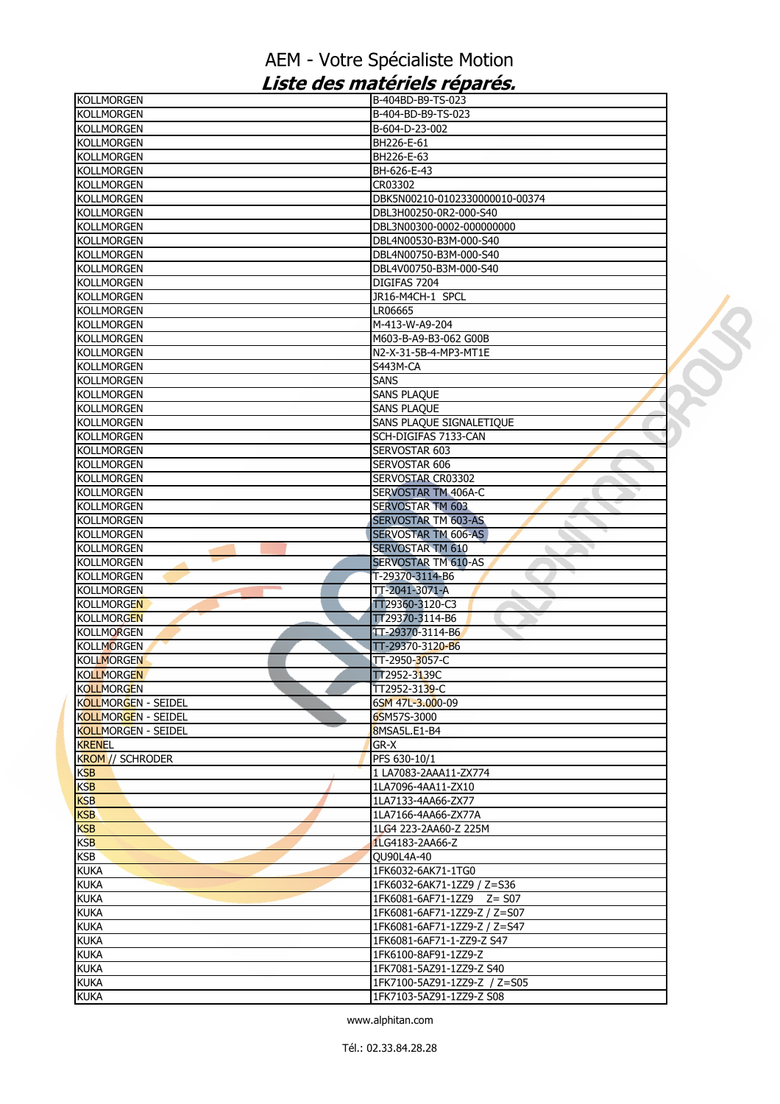| KOLLMORGEN                 | B-404BD-B9-TS-023              |  |
|----------------------------|--------------------------------|--|
| <b>KOLLMORGEN</b>          | B-404-BD-B9-TS-023             |  |
| KOLLMORGEN                 | B-604-D-23-002                 |  |
| <b>KOLLMORGEN</b>          | BH226-E-61                     |  |
| <b>KOLLMORGEN</b>          | BH226-E-63                     |  |
| <b>KOLLMORGEN</b>          | BH-626-E-43                    |  |
| <b>KOLLMORGEN</b>          | CR03302                        |  |
| KOLLMORGEN                 | DBK5N00210-0102330000010-00374 |  |
| Kollmorgen                 | DBL3H00250-0R2-000-S40         |  |
| <b>KOLLMORGEN</b>          | DBL3N00300-0002-000000000      |  |
| <b>KOLLMORGEN</b>          | DBL4N00530-B3M-000-S40         |  |
| <b>KOLLMORGEN</b>          | DBL4N00750-B3M-000-S40         |  |
| <b>KOLLMORGEN</b>          | DBL4V00750-B3M-000-S40         |  |
| <b>KOLLMORGEN</b>          | DIGIFAS 7204                   |  |
| <b>KOLLMORGEN</b>          | JR16-M4CH-1 SPCL               |  |
| <b>KOLLMORGEN</b>          | LR06665                        |  |
| KOLLMORGEN                 | M-413-W-A9-204                 |  |
| KOLLMORGEN                 | M603-B-A9-B3-062 G00B          |  |
| <b>KOLLMORGEN</b>          | N2-X-31-5B-4-MP3-MT1E          |  |
| <b>KOLLMORGEN</b>          | S443M-CA                       |  |
| <b>KOLLMORGEN</b>          | <b>SANS</b>                    |  |
| <b>KOLLMORGEN</b>          | SANS PLAQUE                    |  |
| <b>KOLLMORGEN</b>          | <b>SANS PLAQUE</b>             |  |
| KOLLMORGEN                 | SANS PLAQUE SIGNALETIQUE       |  |
| <b>KOLLMORGEN</b>          | SCH-DIGIFAS 7133-CAN           |  |
| <b>KOLLMORGEN</b>          | SERVOSTAR 603                  |  |
| <b>KOLLMORGEN</b>          | SERVOSTAR 606                  |  |
| <b>KOLLMORGEN</b>          |                                |  |
| <b>KOLLMORGEN</b>          | SERVOSTAR CR03302              |  |
|                            | SERVOSTAR TM 406A-C            |  |
| <b>KOLLMORGEN</b>          | <b>SERVOSTAR TM 603</b>        |  |
| <b>KOLLMORGEN</b>          | <b>SERVOSTAR TM 603-AS</b>     |  |
| <b>KOLLMORGEN</b>          | <b>SERVOSTAR TM 606-AS</b>     |  |
| <b>KOLLMORGEN</b>          | <b>SERVOSTAR TM 610</b>        |  |
| <b>KOLLMORGEN</b>          | <b>SERVOSTAR TM 610-AS</b>     |  |
| KOLLMORGEN                 | T-29370-3114-B6                |  |
| <b>KOLLMORGEN</b>          | TT-2041-3071-A<br>ò.           |  |
| <b>KOLLMORGEN</b>          | TT29360-3120-C3                |  |
| <b>KOLLMORGEN</b>          | TT29370-3114-B6                |  |
| <b>KOLLMORGEN</b>          | TT-29370-3114-B6               |  |
| <b>KOLLMORGEN</b>          | TT-29370-3120-B6               |  |
| <b>KOLLMORGEN</b>          | TT-2950-3057-C                 |  |
| <b>KOLLMORGEN</b>          | TT2952-3139C                   |  |
| <b>KOLLMORGEN</b>          | TT2952-3139-C                  |  |
| KOLLMORGEN - SEIDEL        | 6SM 47L-3.000-09               |  |
| <b>KOLLMORGEN - SEIDEL</b> | 6SM57S-3000                    |  |
| <b>KOLLMORGEN - SEIDEL</b> | 8MSA5L.E1-B4                   |  |
| <b>KRENEL</b>              | GR-X                           |  |
| <b>KROM // SCHRODER</b>    | PFS 630-10/1                   |  |
| <b>KSB</b>                 | 1 LA7083-2AAA11-ZX774          |  |
| <b>KSB</b>                 | 1LA7096-4AA11-ZX10             |  |
| <b>KSB</b>                 | 1LA7133-4AA66-ZX77             |  |
| <b>KSB</b>                 | 1LA7166-4AA66-ZX77A            |  |
| <b>KSB</b>                 | 1LG4 223-2AA60-Z 225M          |  |
| <b>KSB</b>                 | 1LG4183-2AA66-Z                |  |
| <b>KSB</b>                 | QU90L4A-40                     |  |
| <b>KUKA</b>                | 1FK6032-6AK71-1TG0             |  |
| <b>KUKA</b>                | 1FK6032-6AK71-1ZZ9 / Z=S36     |  |
| <b>KUKA</b>                | 1FK6081-6AF71-1ZZ9 Z= S07      |  |
| <b>KUKA</b>                | 1FK6081-6AF71-1ZZ9-Z / Z=S07   |  |
| <b>KUKA</b>                | 1FK6081-6AF71-1ZZ9-Z / Z=S47   |  |
| <b>KUKA</b>                | 1FK6081-6AF71-1-ZZ9-Z S47      |  |
| <b>KUKA</b>                | 1FK6100-8AF91-1ZZ9-Z           |  |
| <b>KUKA</b>                | 1FK7081-5AZ91-1ZZ9-Z S40       |  |
| <b>KUKA</b>                | 1FK7100-5AZ91-1ZZ9-Z / Z=S05   |  |
| Kuka                       | 1FK7103-5AZ91-1ZZ9-Z S08       |  |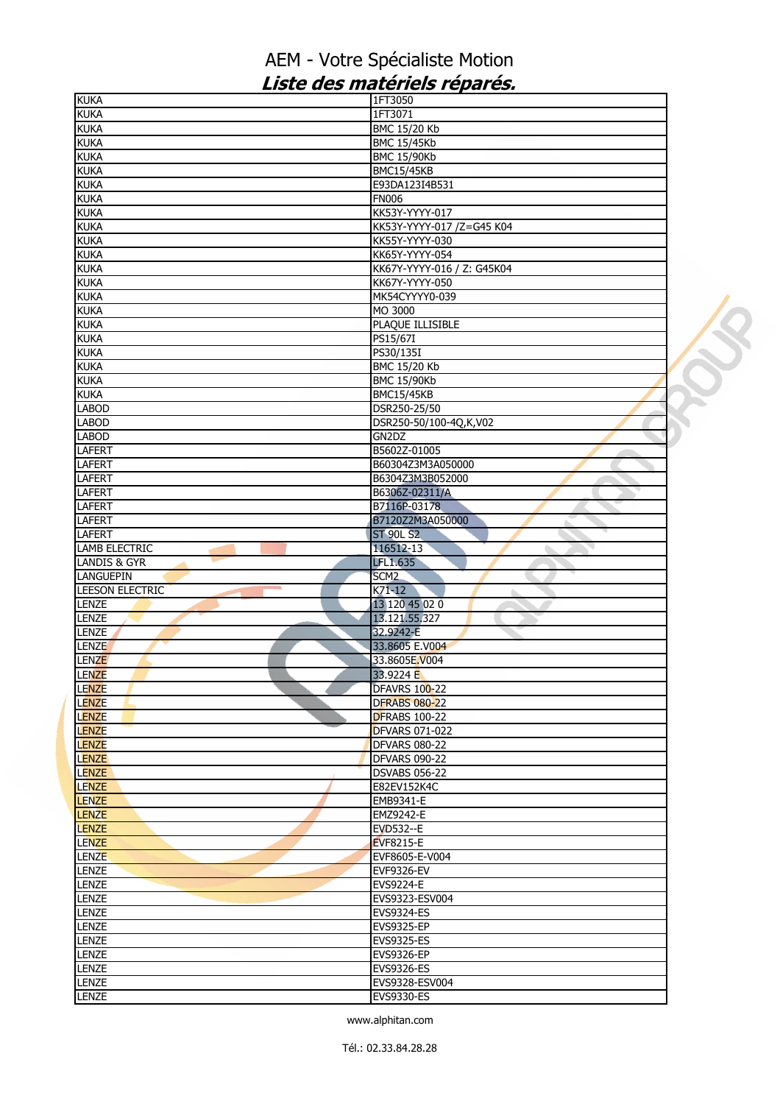| <b>KUKA</b>                | 1FT3050                    |  |
|----------------------------|----------------------------|--|
| <b>KUKA</b>                | 1FT3071                    |  |
| <b>KUKA</b>                | BMC 15/20 Kb               |  |
| <b>KUKA</b>                | <b>BMC 15/45Kb</b>         |  |
| <b>KUKA</b>                | <b>BMC 15/90Kb</b>         |  |
| <b>KUKA</b>                | <b>BMC15/45KB</b>          |  |
| <b>KUKA</b>                | E93DA123I4B531             |  |
| <b>KUKA</b>                | <b>FN006</b>               |  |
| <b>KUKA</b>                | KK53Y-YYYY-017             |  |
| <b>KUKA</b>                | KK53Y-YYYY-017 /Z=G45 K04  |  |
| <b>KUKA</b>                | KK55Y-YYYY-030             |  |
| <b>KUKA</b>                | KK65Y-YYYY-054             |  |
| <b>KUKA</b>                | KK67Y-YYYY-016 / Z: G45K04 |  |
| <b>KUKA</b>                | KK67Y-YYYY-050             |  |
| <b>KUKA</b>                | MK54CYYYY0-039             |  |
|                            | MO 3000                    |  |
| <b>KUKA</b><br><b>KUKA</b> | PLAQUE ILLISIBLE           |  |
|                            |                            |  |
| <b>KUKA</b>                | PS15/67I                   |  |
| <b>KUKA</b>                | PS30/135I                  |  |
| <b>KUKA</b>                | BMC 15/20 Kb               |  |
| <b>KUKA</b>                | <b>BMC 15/90Kb</b>         |  |
| <b>KUKA</b>                | <b>BMC15/45KB</b>          |  |
| <b>LABOD</b>               | DSR250-25/50               |  |
| <b>LABOD</b>               | DSR250-50/100-4Q,K,V02     |  |
| LABOD                      | GN2DZ                      |  |
| LAFERT                     | B5602Z-01005               |  |
| <b>LAFERT</b>              | B60304Z3M3A050000          |  |
| <b>LAFERT</b>              | B6304Z3M3B052000           |  |
| <b>LAFERT</b>              | B6306Z-02311/A             |  |
| <b>LAFERT</b>              | B7116P-03178               |  |
| <b>LAFERT</b>              | B7120Z2M3A050000           |  |
| LAFERT                     | <b>ST 90L S2</b>           |  |
| <b>LAMB ELECTRIC</b>       | 116512-13                  |  |
| LANDIS & GYR               | LFL1.635                   |  |
| LANGUEPIN                  | SCM <sub>2</sub>           |  |
| LEESON ELECTRIC            | $K71-12$<br>à.             |  |
| LENZE                      | 13 120 45 02 0             |  |
| LENZE                      | 13.121.55.327              |  |
| LENZE                      |                            |  |
|                            | 32.9242-E                  |  |
| <b>LENZE</b>               | 33.8605 E.V004             |  |
| <b>LENZE</b>               | 33.8605E.V004              |  |
| <b>LENZE</b>               | 33.9224 E                  |  |
| LENZE                      | DFAVRS 100-22              |  |
| <b>LENZE</b>               | <b>DFRABS 080-22</b>       |  |
| <b>LENZE</b>               | <b>DFRABS 100-22</b>       |  |
| <b>LENZE</b>               | <b>DFVARS 071-022</b>      |  |
| <b>LENZE</b>               | <b>DFVARS 080-22</b>       |  |
| <b>LENZE</b>               | <b>DFVARS 090-22</b>       |  |
| <b>LENZE</b>               | <b>DSVABS 056-22</b>       |  |
| <b>LENZE</b>               | E82EV152K4C                |  |
| <b>LENZE</b>               | EMB9341-E                  |  |
| <b>LENZE</b>               | EMZ9242-E                  |  |
| <b>LENZE</b>               | EVD532--E                  |  |
| <b>LENZE</b>               | <b>EVF8215-E</b>           |  |
| <b>LENZE</b>               | EVF8605-E-V004             |  |
| LENZE                      | <b>EVF9326-EV</b>          |  |
| <b>LENZE</b>               | EVS9224-E                  |  |
| LENZE                      | EVS9323-ESV004             |  |
| <b>LENZE</b>               | EVS9324-ES                 |  |
|                            |                            |  |
| <b>LENZE</b>               | <b>EVS9325-EP</b>          |  |
| LENZE                      | EVS9325-ES                 |  |
| LENZE                      | EVS9326-EP                 |  |
| LENZE                      | EVS9326-ES                 |  |
| <b>LENZE</b>               | EVS9328-ESV004             |  |
| <b>LENZE</b>               | EVS9330-ES                 |  |
|                            |                            |  |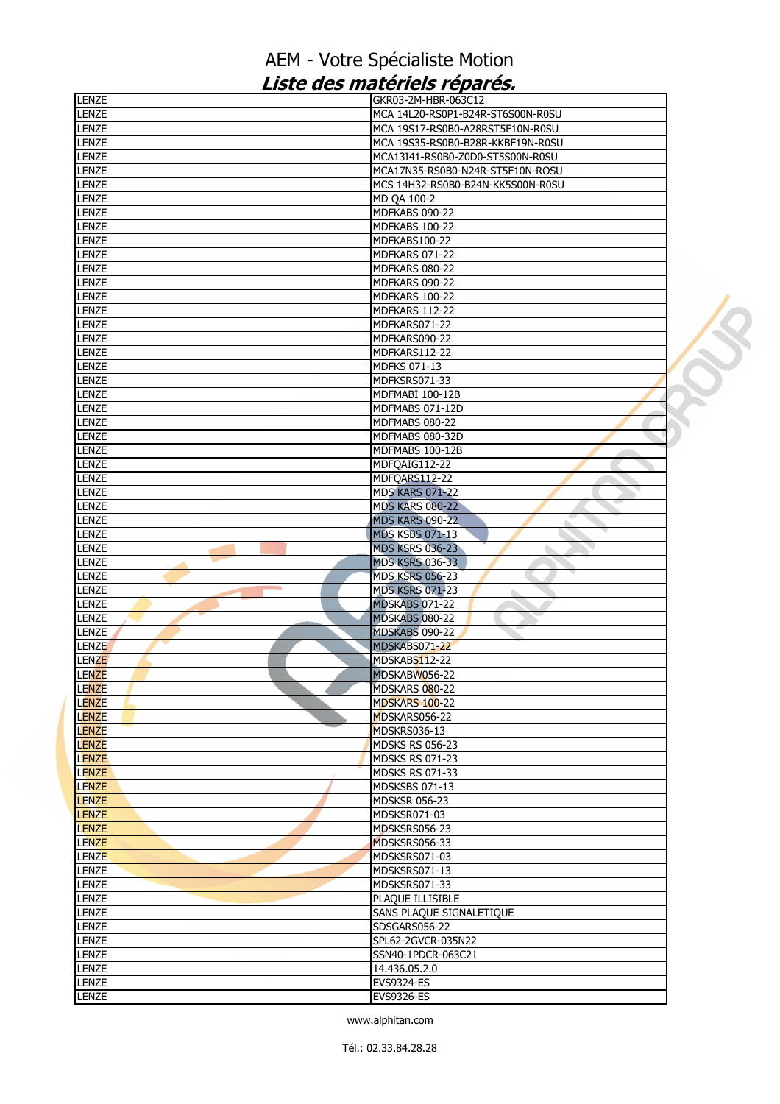| LENZE                 | GKR03-2M-HBR-063C12                 |  |
|-----------------------|-------------------------------------|--|
| <b>LENZE</b>          | MCA 14L20-RS0P1-B24R-ST6S00N-R0SU   |  |
| <b>LENZE</b>          | MCA 19S17-RS0B0-A28RST5F10N-R0SU    |  |
| <b>LENZE</b>          | MCA 19S35-RS0B0-B28R-KKBF19N-R0SU   |  |
| <b>LENZE</b>          | MCA13I41-RS0B0-Z0D0-ST5S00N-R0SU    |  |
| <b>LENZE</b>          | MCA17N35-RS0B0-N24R-ST5F10N-ROSU    |  |
| LENZE                 | MCS 14H32-RS0B0-B24N-KK5S00N-R0SU   |  |
| <b>LENZE</b>          | MD OA 100-2                         |  |
| LENZE                 | MDFKABS 090-22                      |  |
| LENZE                 | MDFKABS 100-22                      |  |
| <b>LENZE</b>          | MDFKABS100-22                       |  |
| <b>LENZE</b>          | <b>MDFKARS 071-22</b>               |  |
| <b>LENZE</b>          | MDFKARS 080-22                      |  |
| LENZE                 | MDFKARS 090-22                      |  |
| <b>LENZE</b>          | MDFKARS 100-22                      |  |
| <b>LENZE</b>          | MDFKARS 112-22                      |  |
| <b>LENZE</b>          | MDFKARS071-22                       |  |
| <b>LENZE</b>          | MDFKARS090-22                       |  |
| LENZE                 | MDFKARS112-22                       |  |
| <b>LENZE</b>          | MDFKS 071-13                        |  |
| <b>LENZE</b>          | MDFKSRS071-33                       |  |
| <b>LENZE</b>          | MDFMABI 100-12B                     |  |
| <b>LENZE</b>          | MDFMABS 071-12D                     |  |
| LENZE                 | MDFMABS 080-22                      |  |
| <b>LENZE</b>          | MDFMABS 080-32D                     |  |
|                       |                                     |  |
| LENZE                 | MDFMABS 100-12B                     |  |
| <b>LENZE</b>          | MDFQAIG112-22                       |  |
| LENZE                 | MDFQARS112-22                       |  |
| <b>LENZE</b>          | <b>MDS KARS 071-22</b>              |  |
| LENZE                 | <b>MDS KARS 080-22</b>              |  |
| <b>LENZE</b>          | <b>MDS KARS 090-22</b>              |  |
| LENZE                 | <b>MDS KSBS 071-13</b>              |  |
| <b>LENZE</b>          | <b>MDS KSRS 036-23</b><br>٠         |  |
| <b>LENZE</b>          | <b>MDS KSRS 036-33</b>              |  |
| <b>LENZE</b>          | <b>MDS KSRS 056-23</b>              |  |
| LENZE                 | <b>MDS KSRS 071-23</b><br>ь         |  |
| LENZE                 | MDSKABS 071-22                      |  |
| LENZE                 | MDSKABS 080-22                      |  |
| <b>LENZE</b>          | MDSKABS 090-22                      |  |
| <b>LENZE</b>          | MDSKABS071-22                       |  |
| <b>LENZE</b>          | MDSKABS112-22                       |  |
| <b>LENZE</b>          | MDSKABW056-22                       |  |
| LENZE                 | MDSKARS 080-22                      |  |
| <b>LENZE</b>          | <b>MDSKARS 100-22</b>               |  |
| LENZE                 | MDSKARS056-22                       |  |
| LENZE                 | MDSKRS036-13                        |  |
| <b>LENZE</b>          | <b>MDSKS RS 056-23</b>              |  |
| <b>LENZE</b>          | <b>MDSKS RS 071-23</b>              |  |
| <b>LENZE</b>          | <b>MDSKS RS 071-33</b>              |  |
| <b>LENZE</b>          | MDSKSBS 071-13                      |  |
| <b>LENZE</b>          | <b>MDSKSR 056-23</b>                |  |
| <b>LENZE</b>          | MDSKSR071-03                        |  |
| <b>LENZE</b>          | MDSKSRS056-23                       |  |
| <b>LENZE</b>          | MDSKSRS056-33                       |  |
| <b>LENZE</b>          | MDSKSRS071-03                       |  |
| LENZE                 |                                     |  |
|                       | MDSKSRS071-13                       |  |
| LENZE                 | MDSKSRS071-33                       |  |
| <b>LENZE</b>          | PLAQUE ILLISIBLE                    |  |
|                       |                                     |  |
| <b>LENZE</b><br>LENZE | SANS PLAQUE SIGNALETIQUE            |  |
|                       | SDSGARS056-22<br>SPL62-2GVCR-035N22 |  |
| <b>LENZE</b>          | SSN40-1PDCR-063C21                  |  |
| LENZE                 | 14.436.05.2.0                       |  |
| LENZE                 |                                     |  |
| LENZE<br><b>LENZE</b> | <b>EVS9324-ES</b><br>EVS9326-ES     |  |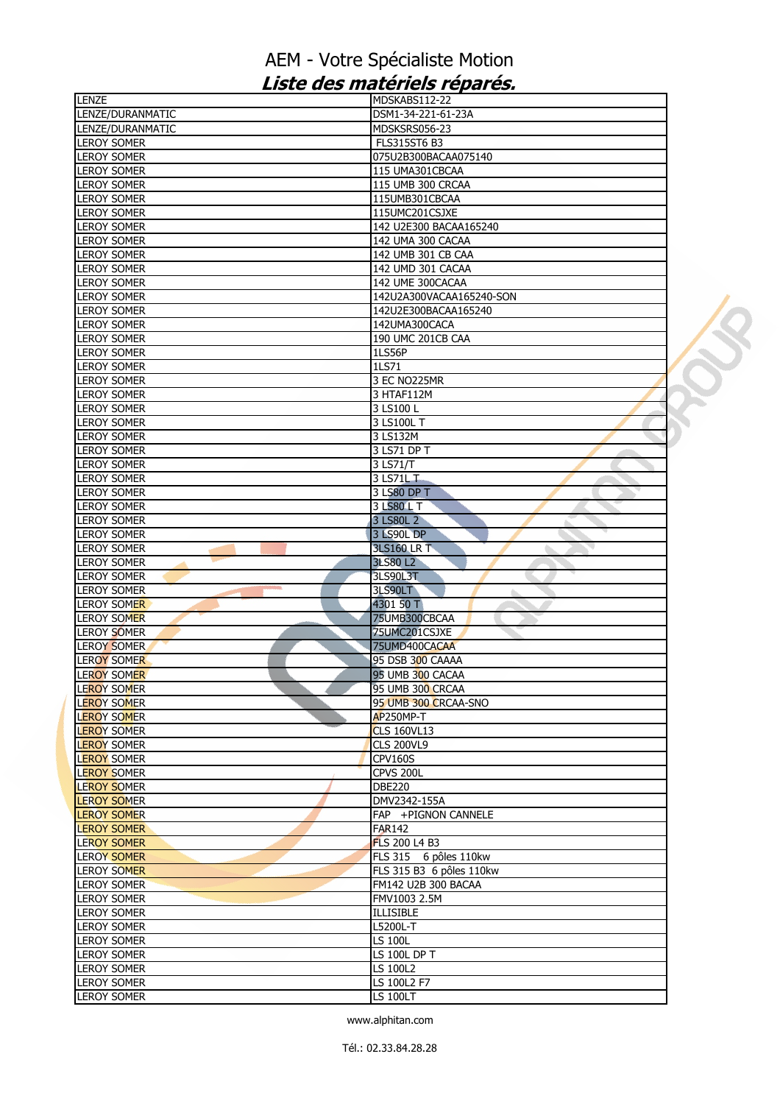| LENZE                                    | MDSKABS112-22                  |  |
|------------------------------------------|--------------------------------|--|
| LENZE/DURANMATIC                         | DSM1-34-221-61-23A             |  |
| LENZE/DURANMATIC                         | MDSKSRS056-23                  |  |
| <b>LEROY SOMER</b>                       | <b>FLS315ST6 B3</b>            |  |
| <b>LEROY SOMER</b>                       | 075U2B300BACAA075140           |  |
| <b>LEROY SOMER</b>                       | 115 UMA301CBCAA                |  |
| <b>LEROY SOMER</b>                       | 115 UMB 300 CRCAA              |  |
| <b>LEROY SOMER</b>                       |                                |  |
|                                          | 115UMB301CBCAA                 |  |
| <b>LEROY SOMER</b>                       | 115UMC201CSJXE                 |  |
| <b>LEROY SOMER</b>                       | 142 U2E300 BACAA165240         |  |
| <b>LEROY SOMER</b>                       | 142 UMA 300 CACAA              |  |
| <b>LEROY SOMER</b>                       | 142 UMB 301 CB CAA             |  |
| <b>LEROY SOMER</b>                       | 142 UMD 301 CACAA              |  |
| <b>LEROY SOMER</b>                       | 142 UME 300CACAA               |  |
| <b>LEROY SOMER</b>                       | 142U2A300VACAA165240-SON       |  |
| <b>LEROY SOMER</b>                       | 142U2E300BACAA165240           |  |
| <b>LEROY SOMER</b>                       | 142UMA300CACA                  |  |
| <b>LEROY SOMER</b>                       | 190 UMC 201CB CAA              |  |
| <b>LEROY SOMER</b>                       | <b>1LS56P</b>                  |  |
|                                          |                                |  |
| <b>LEROY SOMER</b>                       | 1LS71                          |  |
| <b>LEROY SOMER</b>                       | 3 EC NO225MR                   |  |
| <b>LEROY SOMER</b>                       | 3 HTAF112M                     |  |
| <b>LEROY SOMER</b>                       | 3 LS100 L                      |  |
| <b>LEROY SOMER</b>                       | 3 LS100L T                     |  |
| <b>LEROY SOMER</b>                       | 3 LS132M                       |  |
| <b>LEROY SOMER</b>                       | 3 LS71 DP T                    |  |
| <b>LEROY SOMER</b>                       | 3 LS71/T                       |  |
| <b>LEROY SOMER</b>                       | 3 LS71L T                      |  |
| <b>LEROY SOMER</b>                       | 3 LS80 DP T                    |  |
| <b>LEROY SOMER</b>                       | 3 LS80 L T                     |  |
| <b>LEROY SOMER</b>                       | 3 LS80L 2                      |  |
| LEROY SOMER                              | <b>3 LS90L DP</b>              |  |
|                                          |                                |  |
| <b>LEROY SOMER</b>                       | <b>3LS160 LR T</b>             |  |
| <b>LEROY SOMER</b>                       | <b>3LS80 L2</b>                |  |
| <b>LEROY SOMER</b>                       | 3LS90L3T                       |  |
| <b>LEROY SOMER</b>                       | <b>3LS90LT</b>                 |  |
| LEROY SOMER                              | 4301 50 T                      |  |
| <b>LEROY SOMER</b>                       | 75UMB300CBCAA                  |  |
| <b>LEROY SOMER</b>                       | 75UMC201CSJXE                  |  |
| LEROY SOMER                              | 75UMD400CACAA                  |  |
| LEROY SOMER                              | 95 DSB 300 CAAAA               |  |
| <b>LEROY SOMER</b>                       | 95 UMB 300 CACAA               |  |
| <b>LEROY SOMER</b>                       | 95 UMB 300 CRCAA               |  |
| <b>LEROY SOMER</b>                       | 95 UMB 300 CRCAA-SNO           |  |
| <b>LEROY SOMER</b>                       | AP250MP-T                      |  |
| <b>LEROY SOMER</b>                       | <b>CLS 160VL13</b>             |  |
| <b>LEROY SOMER</b>                       | <b>CLS 200VL9</b>              |  |
|                                          |                                |  |
| <b>LEROY SOMER</b>                       | <b>CPV160S</b>                 |  |
| <b>LEROY SOMER</b>                       | CPVS 200L                      |  |
| <b>LEROY SOMER</b>                       | <b>DBE220</b>                  |  |
| <b>LEROY SOMER</b>                       | DMV2342-155A                   |  |
| <b>LEROY SOMER</b>                       | FAP +PIGNON CANNELE            |  |
| <b>LEROY SOMER</b>                       | <b>FAR142</b>                  |  |
| <b>LEROY SOMER</b>                       | <b>FLS 200 L4 B3</b>           |  |
| LEROY SOMER                              | FLS 315 6 pôles 110kw          |  |
| <b>LEROY SOMER</b>                       | FLS 315 B3 6 pôles 110kw       |  |
| <b>LEROY SOMER</b>                       | FM142 U2B 300 BACAA            |  |
| <b>LEROY SOMER</b>                       | FMV1003 2.5M                   |  |
| <b>LEROY SOMER</b>                       | <b>ILLISIBLE</b>               |  |
| <b>LEROY SOMER</b>                       | L5200L-T                       |  |
| <b>LEROY SOMER</b>                       | <b>LS 100L</b>                 |  |
|                                          |                                |  |
| <b>LEROY SOMER</b>                       |                                |  |
|                                          | <b>LS 100L DP T</b>            |  |
| <b>LEROY SOMER</b>                       | <b>LS 100L2</b>                |  |
| <b>LEROY SOMER</b><br><b>LEROY SOMER</b> | LS 100L2 F7<br><b>LS 100LT</b> |  |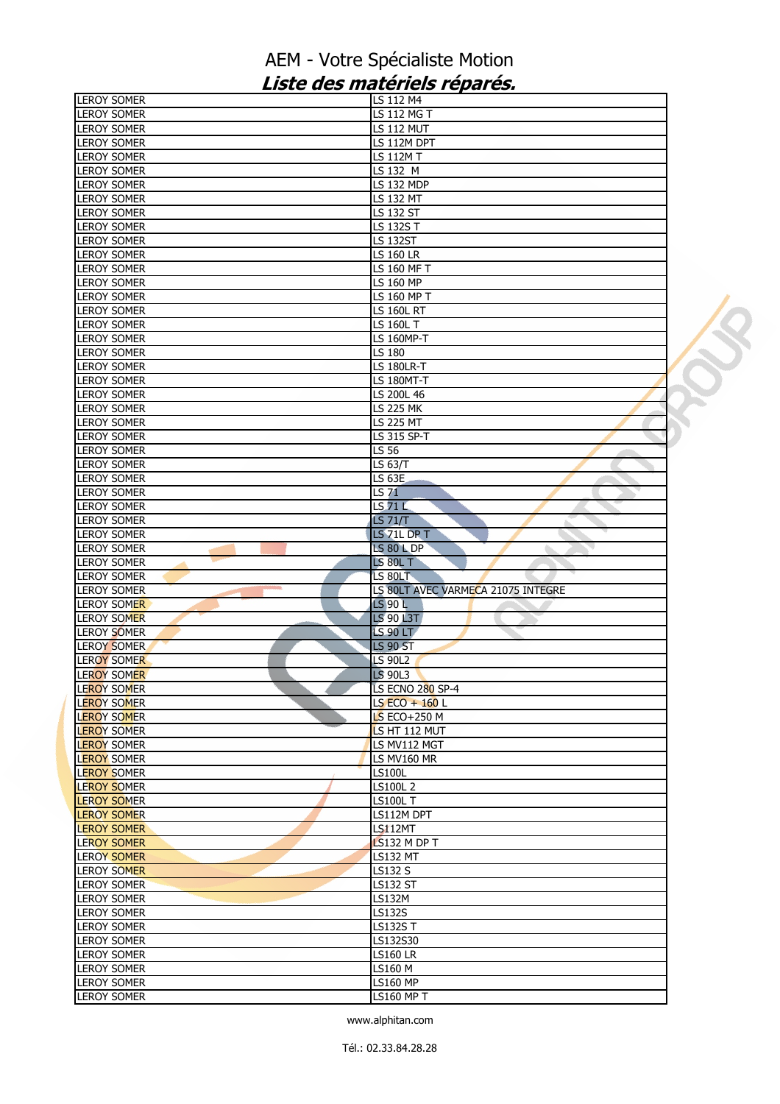| <b>LEROY SOMER</b>                                             | LS 112 M4                            |  |
|----------------------------------------------------------------|--------------------------------------|--|
| <b>LEROY SOMER</b>                                             | LS 112 MG T                          |  |
| <b>LEROY SOMER</b>                                             | <b>LS 112 MUT</b>                    |  |
| <b>LEROY SOMER</b>                                             | LS 112M DPT                          |  |
| <b>LEROY SOMER</b>                                             | <b>LS 112M T</b>                     |  |
| <b>LEROY SOMER</b>                                             | LS 132 M                             |  |
| <b>LEROY SOMER</b>                                             | <b>LS 132 MDP</b>                    |  |
| <b>LEROY SOMER</b>                                             | LS 132 MT                            |  |
| <b>LEROY SOMER</b>                                             | LS 132 ST                            |  |
| <b>LEROY SOMER</b>                                             | LS 132S T                            |  |
| <b>LEROY SOMER</b>                                             | <b>LS 132ST</b>                      |  |
| <b>LEROY SOMER</b>                                             | <b>LS 160 LR</b>                     |  |
| <b>LEROY SOMER</b>                                             | LS 160 MF T                          |  |
| <b>LEROY SOMER</b>                                             | LS 160 MP                            |  |
| <b>LEROY SOMER</b>                                             | LS 160 MP T                          |  |
| <b>LEROY SOMER</b>                                             | <b>LS 160L RT</b>                    |  |
| <b>LEROY SOMER</b>                                             | LS 160L T                            |  |
| <b>LEROY SOMER</b>                                             | LS 160MP-T                           |  |
| <b>LEROY SOMER</b>                                             | LS 180                               |  |
| <b>LEROY SOMER</b>                                             | <b>LS 180LR-T</b>                    |  |
| <b>LEROY SOMER</b>                                             | <b>LS 180MT-T</b>                    |  |
| <b>LEROY SOMER</b>                                             | LS 200L 46                           |  |
| <b>LEROY SOMER</b>                                             | <b>LS 225 MK</b>                     |  |
| <b>LEROY SOMER</b>                                             | <b>LS 225 MT</b>                     |  |
| <b>LEROY SOMER</b>                                             | LS 315 SP-T                          |  |
| <b>LEROY SOMER</b>                                             | LS 56                                |  |
| <b>LEROY SOMER</b>                                             | LS 63/T                              |  |
| <b>LEROY SOMER</b>                                             | <b>LS 63E</b>                        |  |
| <b>LEROY SOMER</b>                                             | <b>LS 71</b>                         |  |
| <b>LEROY SOMER</b>                                             | LS 71 L                              |  |
| <b>LEROY SOMER</b>                                             | <b>LS 71/T</b>                       |  |
| <b>LEROY SOMER</b>                                             | LS 71L DP T                          |  |
| <b>LEROY SOMER</b>                                             | <b>LS 80 L DP</b>                    |  |
|                                                                |                                      |  |
| LEROY SOMER                                                    | <b>LS 80L T</b>                      |  |
| <b>LEROY SOMER</b>                                             | LS 80LT                              |  |
| <b>LEROY SOMER</b>                                             | LS 80LT AVEC VARMECA 21075 INTEGRE   |  |
| <b>LEROY SOMER</b>                                             | <b>LS 90 L</b>                       |  |
| <b>LEROY SOMER</b>                                             | <b>LS 90 L3T</b>                     |  |
| LEROY SOMER                                                    | <b>LS 90 LT</b>                      |  |
| <b>LEROY SOMER</b>                                             | <b>LS 90 ST</b>                      |  |
| <b>LEROY SOMER</b>                                             | <b>LS 90L2</b>                       |  |
| LEROY SOMER                                                    | LS 90L3                              |  |
|                                                                | LS ECNO 280 SP-4                     |  |
|                                                                | LS $ECO + 160$ L                     |  |
| <b>LEROY SOMER</b><br><b>LEROY SOMER</b><br><b>LEROY SOMER</b> | LS ECO+250 M                         |  |
| <b>LEROY SOMER</b>                                             | LS HT 112 MUT                        |  |
|                                                                | LS MV112 MGT                         |  |
| <b>LEROY SOMER</b>                                             | LS MV160 MR                          |  |
| <b>LEROY SOMER</b>                                             | <b>LS100L</b>                        |  |
| <b>LEROY SOMER</b>                                             | LS100L 2                             |  |
| <b>LEROY SOMER</b>                                             | <b>LS100L T</b>                      |  |
| <b>LEROY SOMER</b>                                             | LS112M DPT                           |  |
| <b>LEROY SOMER</b>                                             | <b>LS112MT</b>                       |  |
| <b>LEROY SOMER</b><br><b>LEROY SOMER</b>                       | LS132 M DP T                         |  |
| <b>LEROY SOMER</b>                                             | <b>LS132 MT</b>                      |  |
| <b>LEROY SOMER</b>                                             | <b>LS132 S</b>                       |  |
| <b>LEROY SOMER</b>                                             | <b>LS132 ST</b>                      |  |
| <b>LEROY SOMER</b>                                             | LS132M                               |  |
| <b>LEROY SOMER</b>                                             | LS132S                               |  |
| <b>LEROY SOMER</b>                                             | <b>LS132ST</b>                       |  |
| <b>LEROY SOMER</b>                                             | LS132S30                             |  |
| <b>LEROY SOMER</b>                                             | <b>LS160 LR</b>                      |  |
| <b>LEROY SOMER</b>                                             | <b>LS160 M</b>                       |  |
| <b>LEROY SOMER</b><br><b>LEROY SOMER</b>                       | <b>LS160 MP</b><br><b>LS160 MP T</b> |  |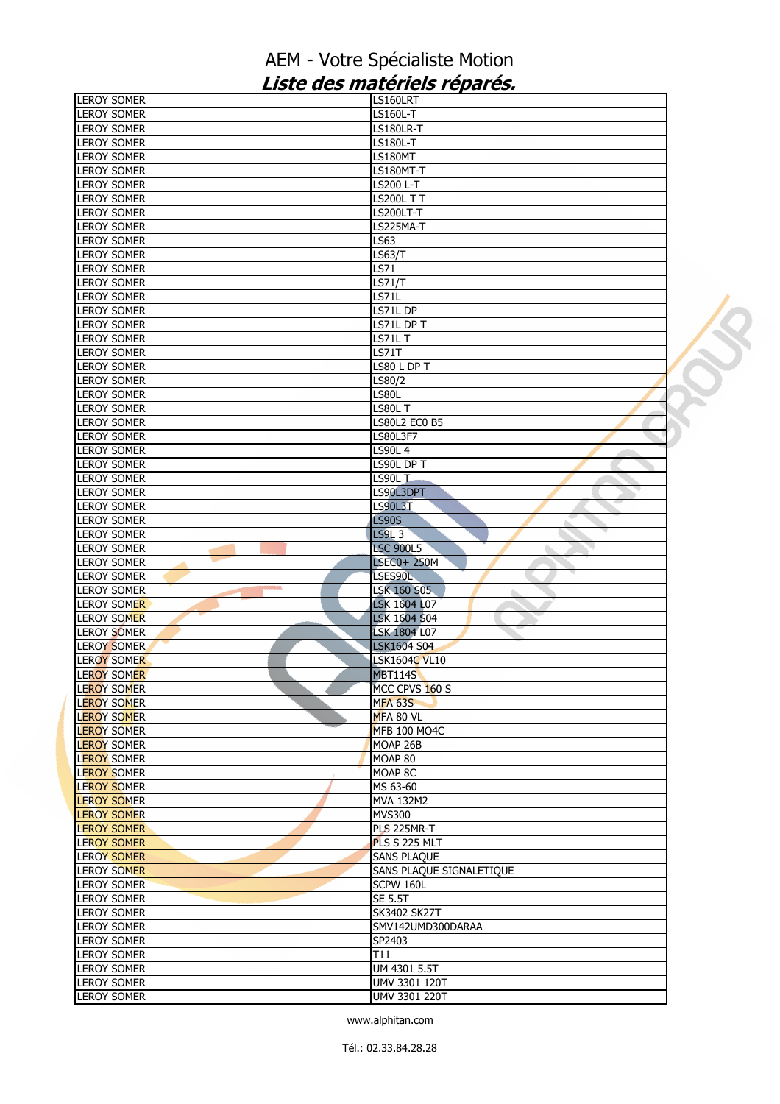| <b>LEROY SOMER</b>                       | LS160LRT                               |  |
|------------------------------------------|----------------------------------------|--|
| <b>LEROY SOMER</b>                       | <b>LS160L-T</b>                        |  |
| <b>LEROY SOMER</b>                       | <b>LS180LR-T</b>                       |  |
| <b>LEROY SOMER</b>                       | <b>LS180L-T</b>                        |  |
| <b>LEROY SOMER</b>                       | <b>LS180MT</b>                         |  |
| <b>LEROY SOMER</b>                       | LS180MT-T                              |  |
| <b>LEROY SOMER</b>                       | LS200 L-T                              |  |
| <b>LEROY SOMER</b>                       | <b>LS200L T T</b>                      |  |
| <b>LEROY SOMER</b>                       | <b>LS200LT-T</b>                       |  |
| <b>LEROY SOMER</b>                       | LS225MA-T                              |  |
| <b>LEROY SOMER</b>                       | <b>LS63</b>                            |  |
| <b>LEROY SOMER</b>                       | <b>LS63/T</b>                          |  |
| <b>LEROY SOMER</b>                       | LS71                                   |  |
| <b>LEROY SOMER</b>                       | <b>LS71/T</b>                          |  |
| <b>LEROY SOMER</b>                       | <b>LS71L</b>                           |  |
| <b>LEROY SOMER</b>                       | LS71L DP                               |  |
| <b>LEROY SOMER</b>                       | LS71L DP T                             |  |
| <b>LEROY SOMER</b>                       | LS71LT                                 |  |
| <b>LEROY SOMER</b>                       | <b>LS71T</b>                           |  |
| <b>LEROY SOMER</b>                       | LS80 L DP T                            |  |
| <b>LEROY SOMER</b>                       | LS80/2                                 |  |
| <b>LEROY SOMER</b>                       | LS80L                                  |  |
| <b>LEROY SOMER</b>                       | LS80L T                                |  |
| <b>LEROY SOMER</b>                       | <b>LS80L2 EC0 B5</b>                   |  |
| <b>LEROY SOMER</b>                       | LS80L3F7                               |  |
| <b>LEROY SOMER</b>                       | <b>LS90L4</b>                          |  |
| <b>LEROY SOMER</b>                       | LS90L DP T                             |  |
| <b>LEROY SOMER</b>                       | LS90L T                                |  |
| <b>LEROY SOMER</b>                       | LS90L3DPT                              |  |
| <b>LEROY SOMER</b>                       | <b>LS90L3T</b>                         |  |
| <b>LEROY SOMER</b>                       | <b>LS90S</b>                           |  |
| <b>LEROY SOMER</b>                       | <b>LS9L3</b>                           |  |
| <b>LEROY SOMER</b><br><b>LEROY SOMER</b> | <b>LSC 900L5</b><br><b>LSEC0+ 250M</b> |  |
| <b>LEROY SOMER</b>                       | LSES90L                                |  |
| <b>LEROY SOMER</b>                       | <b>LSK 160 S05</b>                     |  |
| <b>LEROY SOMER</b>                       | ò.<br>LSK 1604 L07                     |  |
| <b>LEROY SOMER</b>                       | LSK 1604 S04                           |  |
| LEROY SOMER                              | <b>LSK 1804 L07</b>                    |  |
| <b>LEROY SOMER</b>                       | <b>LSK1604 S04</b>                     |  |
| <b>LEROY SOMER</b>                       | <b>LSK1604C VL10</b>                   |  |
| <b>LEROY SOMER</b>                       | <b>MBT114S</b>                         |  |
| <b>LEROY SOMER</b>                       | MCC CPVS 160 S                         |  |
| <b>LEROY SOMER</b>                       | <b>MFA 63S</b>                         |  |
| <b>LEROY SOMER</b>                       | MFA 80 VL                              |  |
| <b>LEROY SOMER</b>                       | <b>MFB 100 MO4C</b>                    |  |
| <b>LEROY SOMER</b>                       | MOAP 26B                               |  |
| <b>LEROY SOMER</b>                       | MOAP 80                                |  |
| <b>LEROY SOMER</b>                       | MOAP 8C                                |  |
| <b>LEROY SOMER</b>                       | MS 63-60                               |  |
| <b>LEROY SOMER</b>                       | MVA 132M2                              |  |
| <b>LEROY SOMER</b>                       | <b>MVS300</b>                          |  |
| <b>LEROY SOMER</b>                       | <b>PLS 225MR-T</b>                     |  |
| <b>LEROY SOMER</b>                       | PLS S 225 MLT                          |  |
| <b>LEROY SOMER</b>                       | <b>SANS PLAQUE</b>                     |  |
| <b>LEROY SOMER</b>                       | SANS PLAQUE SIGNALETIQUE               |  |
| LEROY SOMER                              | SCPW 160L                              |  |
| <b>LEROY SOMER</b>                       | <b>SE 5.5T</b>                         |  |
| <b>LEROY SOMER</b>                       | SK3402 SK27T                           |  |
| <b>LEROY SOMER</b>                       | SMV142UMD300DARAA                      |  |
| <b>LEROY SOMER</b>                       | SP2403                                 |  |
| <b>LEROY SOMER</b>                       | T11                                    |  |
| <b>LEROY SOMER</b>                       | UM 4301 5.5T                           |  |
| <b>LEROY SOMER</b>                       | UMV 3301 120T                          |  |
| <b>LEROY SOMER</b>                       | UMV 3301 220T                          |  |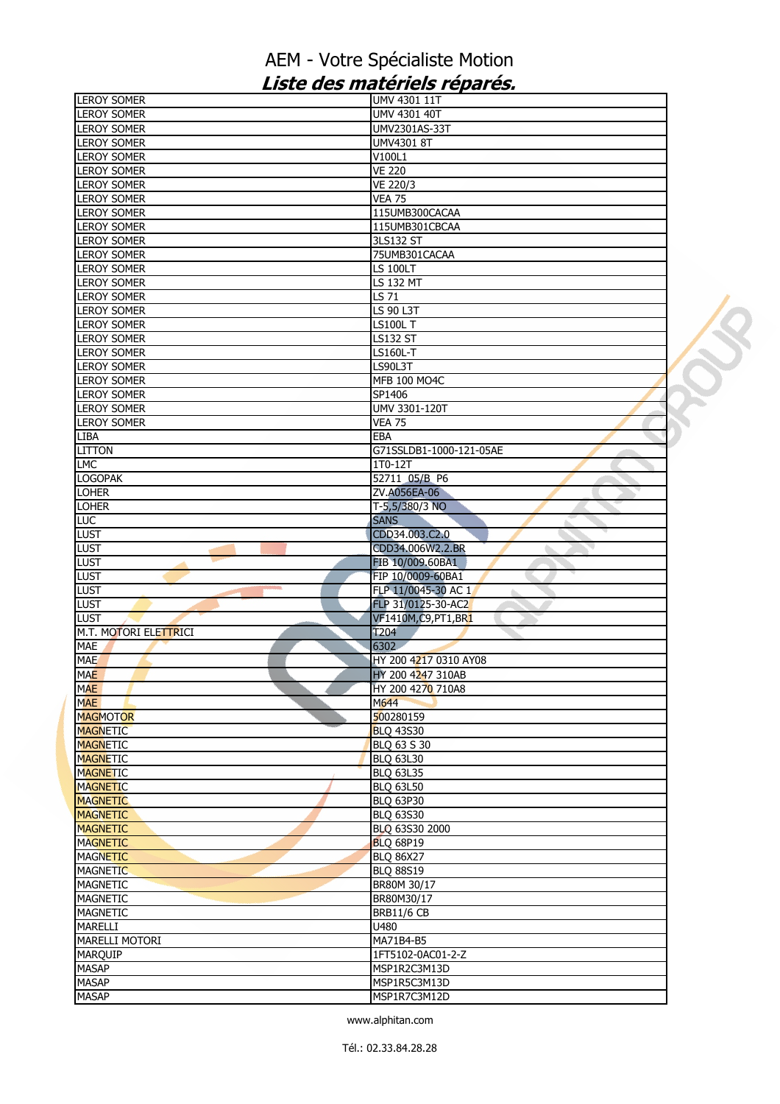| <b>LEROY SOMER</b>           | UMV 4301 11T                 |  |
|------------------------------|------------------------------|--|
| <b>LEROY SOMER</b>           | UMV 4301 40T                 |  |
| <b>LEROY SOMER</b>           | UMV2301AS-33T                |  |
| <b>LEROY SOMER</b>           | UMV4301 8T                   |  |
| <b>LEROY SOMER</b>           | V100L1                       |  |
| <b>LEROY SOMER</b>           | <b>VE 220</b>                |  |
| <b>LEROY SOMER</b>           | VE 220/3                     |  |
| <b>LEROY SOMER</b>           | <b>VEA 75</b>                |  |
| <b>LEROY SOMER</b>           | 115UMB300CACAA               |  |
| <b>LEROY SOMER</b>           | 115UMB301CBCAA               |  |
| <b>LEROY SOMER</b>           | 3LS132 ST                    |  |
| <b>LEROY SOMER</b>           | 75UMB301CACAA                |  |
| <b>LEROY SOMER</b>           | <b>LS 100LT</b>              |  |
| <b>LEROY SOMER</b>           | $\overline{LS}$ 132 MT       |  |
| <b>LEROY SOMER</b>           | LS 71                        |  |
| <b>LEROY SOMER</b>           | LS 90 L3T                    |  |
| <b>LEROY SOMER</b>           | LS100L T                     |  |
| <b>LEROY SOMER</b>           | LS132 ST                     |  |
| <b>LEROY SOMER</b>           | LS160L-T                     |  |
| <b>LEROY SOMER</b>           | LS90L3T                      |  |
| <b>LEROY SOMER</b>           | MFB 100 MO4C                 |  |
| <b>LEROY SOMER</b>           | SP1406                       |  |
| <b>LEROY SOMER</b>           | UMV 3301-120T                |  |
| <b>LEROY SOMER</b>           | <b>VEA 75</b>                |  |
| <b>LIBA</b>                  | <b>EBA</b>                   |  |
| <b>LITTON</b>                | G71SSLDB1-1000-121-05AE      |  |
| <b>LMC</b>                   | 1T0-12T                      |  |
| <b>LOGOPAK</b>               | 52711 05/B P6                |  |
| <b>LOHER</b>                 | ZV.A056EA-06                 |  |
| <b>LOHER</b>                 | T-5,5/380/3 NO               |  |
| LUC                          | <b>SANS</b>                  |  |
| <b>LUST</b>                  | CDD34.003.C2.0               |  |
| <b>LUST</b>                  | CDD34.006W2.2.BR             |  |
|                              |                              |  |
|                              | FIB 10/009.60BA1             |  |
| <b>LUST</b><br><b>LUST</b>   | FIP 10/0009-60BA1            |  |
| <b>LUST</b>                  | FLP 11/0045-30 AC 1          |  |
| <b>LUST</b>                  | FLP 31/0125-30-AC2           |  |
| <b>LUST</b>                  | VF1410M, C9, PT1, BR1        |  |
| M.T. MOTORI ELETTRICI        | <b>T204</b>                  |  |
| <b>MAE</b>                   | 6302                         |  |
| <b>MAE</b>                   | HY 200 4217 0310 AY08        |  |
| <b>MAE</b>                   | HY 200 4247 310AB            |  |
| <b>MAE</b>                   | HY 200 4270 710A8            |  |
| <b>MAE</b>                   | M644                         |  |
| <b>MAGMOTOR</b>              | 500280159                    |  |
| <b>MAGNETIC</b>              | <b>BLQ 43S30</b>             |  |
| <b>MAGNETIC</b>              | BLQ 63 S 30                  |  |
| <b>MAGNETIC</b>              | <b>BLQ 63L30</b>             |  |
| <b>MAGNETIC</b>              | <b>BLQ 63L35</b>             |  |
| <b>MAGNETIC</b>              | <b>BLQ 63L50</b>             |  |
| <b>MAGNETIC</b>              | <b>BLQ 63P30</b>             |  |
| <b>MAGNETIC</b>              | <b>BLQ 63S30</b>             |  |
| <b>MAGNETIC</b>              | BLQ 63S30 2000               |  |
| <b>MAGNETIC</b>              | <b>BLQ 68P19</b>             |  |
| <b>MAGNETIC</b>              | <b>BLQ 86X27</b>             |  |
| <b>MAGNETIC</b>              | <b>BLQ 88S19</b>             |  |
| <b>MAGNETIC</b>              | BR80M 30/17                  |  |
| <b>MAGNETIC</b>              | BR80M30/17                   |  |
| <b>MAGNETIC</b>              | <b>BRB11/6 CB</b>            |  |
| <b>MARELLI</b>               | U480                         |  |
| <b>MARELLI MOTORI</b>        | MA71B4-B5                    |  |
| <b>MARQUIP</b>               | 1FT5102-0AC01-2-Z            |  |
| <b>MASAP</b>                 | MSP1R2C3M13D                 |  |
| <b>MASAP</b><br><b>MASAP</b> | MSP1R5C3M13D<br>MSP1R7C3M12D |  |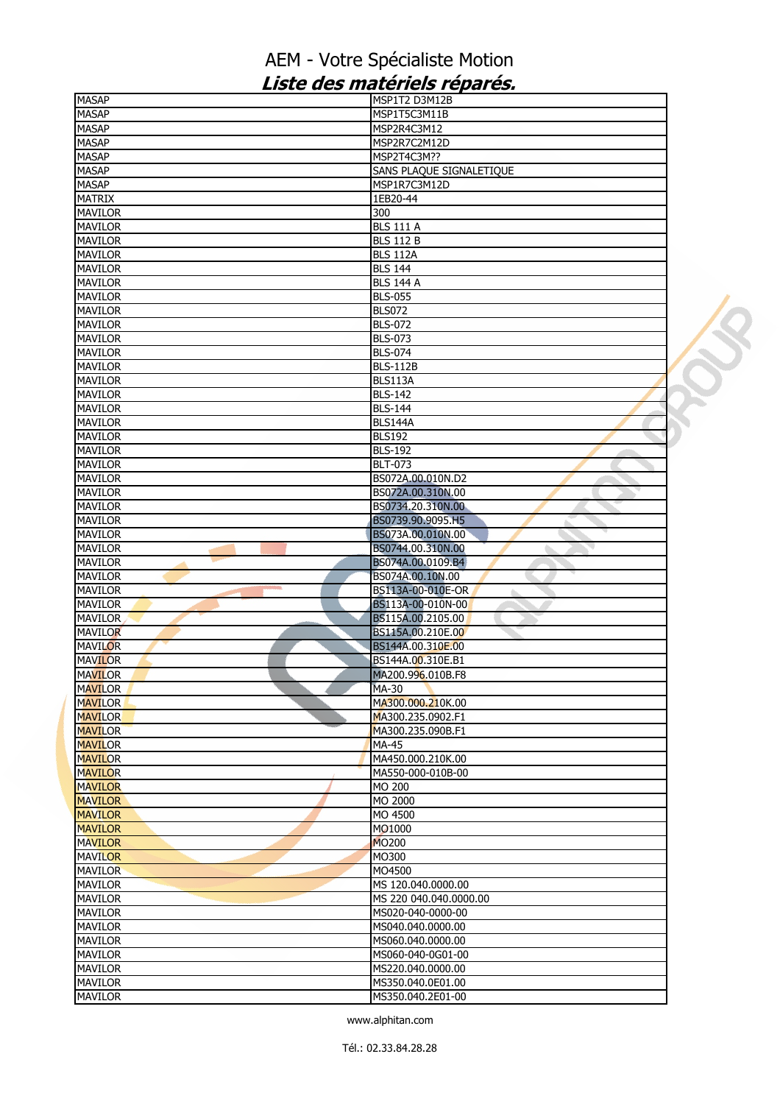| <b>MASAP</b>   | MSP1T2 D3M12B            |  |
|----------------|--------------------------|--|
| <b>MASAP</b>   | MSP1T5C3M11B             |  |
| MASAP          | MSP2R4C3M12              |  |
| <b>MASAP</b>   | MSP2R7C2M12D             |  |
| <b>MASAP</b>   | MSP2T4C3M??              |  |
| <b>MASAP</b>   | SANS PLAQUE SIGNALETIQUE |  |
| <b>MASAP</b>   | MSP1R7C3M12D             |  |
| <b>MATRIX</b>  | 1EB20-44                 |  |
| <b>MAVILOR</b> | 300                      |  |
| <b>MAVILOR</b> | <b>BLS 111 A</b>         |  |
| <b>MAVILOR</b> | <b>BLS 112 B</b>         |  |
| <b>MAVILOR</b> | <b>BLS 112A</b>          |  |
| <b>MAVILOR</b> | <b>BLS 144</b>           |  |
| <b>MAVILOR</b> | <b>BLS 144 A</b>         |  |
| <b>MAVILOR</b> | <b>BLS-055</b>           |  |
|                |                          |  |
| <b>MAVILOR</b> | <b>BLS072</b>            |  |
| <b>MAVILOR</b> | <b>BLS-072</b>           |  |
| <b>MAVILOR</b> | <b>BLS-073</b>           |  |
| <b>MAVILOR</b> | <b>BLS-074</b>           |  |
| <b>MAVILOR</b> | <b>BLS-112B</b>          |  |
| <b>MAVILOR</b> | BLS113A                  |  |
| <b>MAVILOR</b> | <b>BLS-142</b>           |  |
| <b>MAVILOR</b> | <b>BLS-144</b>           |  |
| <b>MAVILOR</b> | BLS144A                  |  |
| <b>MAVILOR</b> | <b>BLS192</b>            |  |
| <b>MAVILOR</b> | <b>BLS-192</b>           |  |
| <b>MAVILOR</b> | <b>BLT-073</b>           |  |
| <b>MAVILOR</b> | BS072A.00.010N.D2        |  |
| <b>MAVILOR</b> | BS072A.00.310N.00        |  |
| <b>MAVILOR</b> | BS0734.20.310N.00        |  |
| <b>MAVILOR</b> | BS0739.90.9095.H5        |  |
| <b>MAVILOR</b> | BS073A.00.010N.00        |  |
| <b>MAVILOR</b> | BS0744.00.310N.00        |  |
| <b>MAVILOR</b> | BS074A.00.0109.B4        |  |
| <b>MAVILOR</b> | BS074A.00.10N.00         |  |
| <b>MAVILOR</b> | BS113A-00-010E-OR        |  |
| <b>MAVILOR</b> | a.                       |  |
|                | BS113A-00-010N-00        |  |
| <b>MAVILOR</b> | BS115A.00.2105.00        |  |
| <b>MAVILOR</b> | BS115A.00.210E.00        |  |
| <b>MAVILOR</b> | BS144A.00.310E.00        |  |
| <b>MAVILOR</b> | BS144A.00.310E.B1        |  |
| <b>MAVILOR</b> | MA200.996.010B.F8        |  |
| <b>MAVILOR</b> | MA-30                    |  |
| <b>MAVILOR</b> | MA300.000.210K.00        |  |
| <b>MAVILOR</b> | MA300.235.0902.F1        |  |
| <b>MAVILOR</b> | MA300.235.090B.F1        |  |
| <b>MAVILOR</b> | MA-45                    |  |
| <b>MAVILOR</b> | MA450.000.210K.00        |  |
| <b>MAVILOR</b> | MA550-000-010B-00        |  |
| <b>MAVILOR</b> | MO 200                   |  |
| <b>MAVILOR</b> | MO 2000                  |  |
| <b>MAVILOR</b> | MO 4500                  |  |
| <b>MAVILOR</b> | MO1000                   |  |
| <b>MAVILOR</b> | <b>MO200</b>             |  |
| <b>MAVILOR</b> | MO300                    |  |
| <b>MAVILOR</b> | MO4500                   |  |
| <b>MAVILOR</b> | MS 120.040.0000.00       |  |
| <b>MAVILOR</b> | MS 220 040.040.0000.00   |  |
| <b>MAVILOR</b> | MS020-040-0000-00        |  |
| <b>MAVILOR</b> | MS040.040.0000.00        |  |
|                |                          |  |
| <b>MAVILOR</b> | MS060.040.0000.00        |  |
| <b>MAVILOR</b> | MS060-040-0G01-00        |  |
| <b>MAVILOR</b> | MS220.040.0000.00        |  |
| <b>MAVILOR</b> | MS350.040.0E01.00        |  |
| <b>MAVILOR</b> | MS350.040.2E01-00        |  |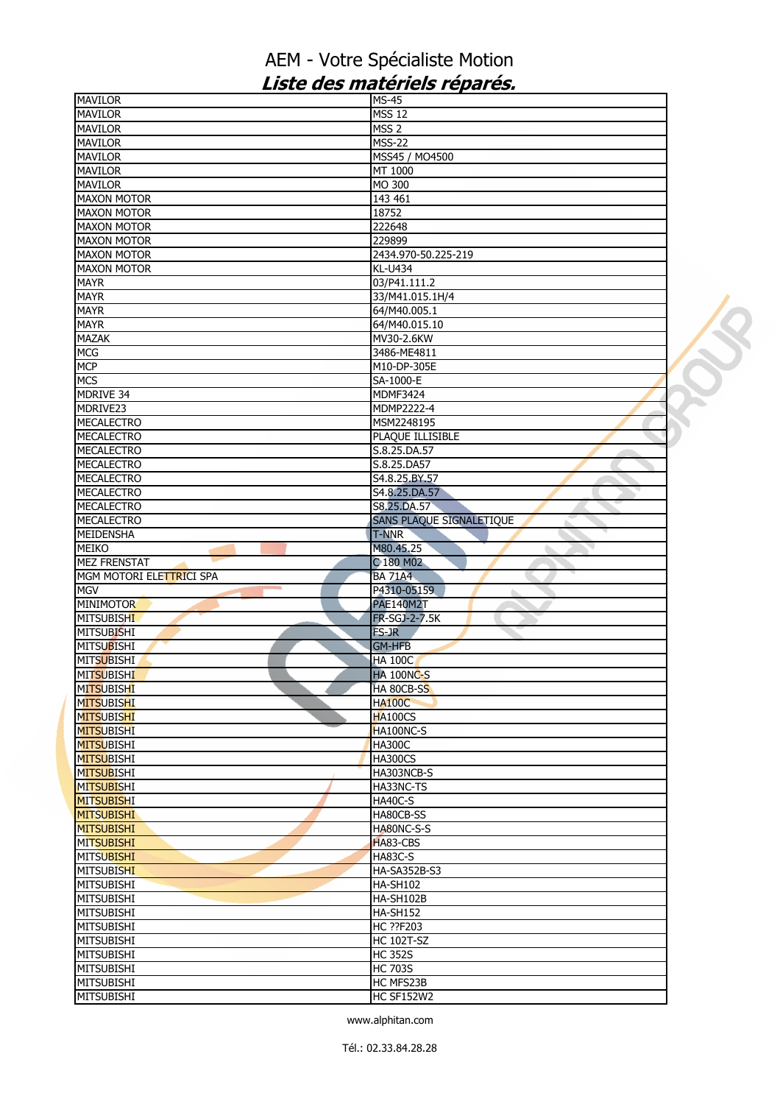| <b>MAVILOR</b>                                                                                                                                  | <b>MS-45</b>                   |  |
|-------------------------------------------------------------------------------------------------------------------------------------------------|--------------------------------|--|
| <b>MAVILOR</b>                                                                                                                                  | <b>MSS 12</b>                  |  |
| <b>MAVILOR</b>                                                                                                                                  | MSS <sub>2</sub>               |  |
| <b>MAVILOR</b>                                                                                                                                  | <b>MSS-22</b>                  |  |
| <b>MAVILOR</b>                                                                                                                                  | MSS45 / MO4500                 |  |
|                                                                                                                                                 |                                |  |
| <b>MAVILOR</b>                                                                                                                                  | MT 1000                        |  |
| <b>MAVILOR</b>                                                                                                                                  | MO 300                         |  |
| <b>MAXON MOTOR</b>                                                                                                                              | 143 461                        |  |
| <b>MAXON MOTOR</b>                                                                                                                              | 18752                          |  |
| <b>MAXON MOTOR</b>                                                                                                                              | 222648                         |  |
| <b>MAXON MOTOR</b>                                                                                                                              | 229899                         |  |
| <b>MAXON MOTOR</b>                                                                                                                              | 2434.970-50.225-219            |  |
| <b>MAXON MOTOR</b>                                                                                                                              | <b>KL-U434</b>                 |  |
| <b>MAYR</b>                                                                                                                                     | 03/P41.111.2                   |  |
|                                                                                                                                                 |                                |  |
| <b>MAYR</b>                                                                                                                                     | 33/M41.015.1H/4                |  |
| <b>MAYR</b>                                                                                                                                     | 64/M40.005.1                   |  |
| <b>MAYR</b>                                                                                                                                     | 64/M40.015.10                  |  |
| <b>MAZAK</b>                                                                                                                                    | MV30-2.6KW                     |  |
| <b>MCG</b>                                                                                                                                      | 3486-ME4811                    |  |
| <b>MCP</b>                                                                                                                                      | M10-DP-305E                    |  |
| <b>MCS</b>                                                                                                                                      | SA-1000-E                      |  |
| MDRIVE 34                                                                                                                                       | MDMF3424                       |  |
| MDRIVE <sub>23</sub>                                                                                                                            | MDMP2222-4                     |  |
| <b>MECALECTRO</b>                                                                                                                               | MSM2248195                     |  |
|                                                                                                                                                 |                                |  |
| <b>MECALECTRO</b>                                                                                                                               | PLAQUE ILLISIBLE               |  |
| <b>MECALECTRO</b>                                                                                                                               | S.8.25.DA.57                   |  |
| <b>MECALECTRO</b>                                                                                                                               | S.8.25.DA57                    |  |
| <b>MECALECTRO</b>                                                                                                                               | S4.8.25.BY.57                  |  |
| <b>MECALECTRO</b>                                                                                                                               | S4.8.25.DA.57                  |  |
| <b>MECALECTRO</b>                                                                                                                               | S8.25.DA.57                    |  |
| <b>MECALECTRO</b>                                                                                                                               | SANS PLAQUE SIGNALETIQUE       |  |
| MEIDENSHA                                                                                                                                       | <b>T-NNR</b>                   |  |
| <b>MEIKO</b>                                                                                                                                    | M80.45.25                      |  |
|                                                                                                                                                 |                                |  |
|                                                                                                                                                 |                                |  |
| <b>MEZ FRENSTAT</b>                                                                                                                             | C 180 M02                      |  |
| MGM MOTORI ELETTRICI SPA                                                                                                                        | <b>BA 71A4</b>                 |  |
|                                                                                                                                                 | P4310-05159<br>ь               |  |
|                                                                                                                                                 | <b>PAE140M2T</b>               |  |
| <b>MITSUBISHI</b>                                                                                                                               | FR-SGJ-2-7.5K                  |  |
| <b>MGV</b><br><b>MINIMOTOR</b><br><b>MITSUBISHI</b>                                                                                             | FS-JR                          |  |
| <b>MITSUBISHI</b>                                                                                                                               | <b>GM-HFB</b>                  |  |
|                                                                                                                                                 |                                |  |
| <b>MITSUBISHI</b>                                                                                                                               | <b>HA 100C</b>                 |  |
| <b>MITSUBISHI</b>                                                                                                                               | <b>HA 100NC-S</b>              |  |
| <b>MITSUBISHI</b>                                                                                                                               | <b>HA 80CB-SS</b>              |  |
| <b>MITSUBISHI</b>                                                                                                                               | <b>HA100C</b>                  |  |
|                                                                                                                                                 | <b>HA100CS</b>                 |  |
|                                                                                                                                                 | HA100NC-S                      |  |
| <b>MITSUBISHI</b>                                                                                                                               | <b>HA300C</b>                  |  |
|                                                                                                                                                 | <b>HA300CS</b>                 |  |
| <b>MITSUBISHI</b>                                                                                                                               | HA303NCB-S                     |  |
| <b>MITSUBISHI</b>                                                                                                                               | HA33NC-TS                      |  |
|                                                                                                                                                 | <b>HA40C-S</b>                 |  |
| <b>MITSUBISHI</b>                                                                                                                               | HA80CB-SS                      |  |
|                                                                                                                                                 |                                |  |
| <b>MITSUBISHI</b>                                                                                                                               | HA80NC-S-S                     |  |
|                                                                                                                                                 | HA83-CBS                       |  |
| <b>MITSUBISHI</b>                                                                                                                               | HA83C-S                        |  |
| <b>MITSUBISHI</b>                                                                                                                               | <b>HA-SA352B-S3</b>            |  |
|                                                                                                                                                 | <b>HA-SH102</b>                |  |
| <b>MITSUBISHI</b>                                                                                                                               | HA-SH102B                      |  |
| <b>MITSUBISHI</b>                                                                                                                               | HA-SH152                       |  |
|                                                                                                                                                 | HC ??F203                      |  |
| <b>MITSUBISHI</b>                                                                                                                               | <b>HC 102T-SZ</b>              |  |
| <b>MITSUBISHI</b>                                                                                                                               | <b>HC 352S</b>                 |  |
| <b>MITSUBISHI</b><br><b>MITSUBISHI</b><br><b>MITSUBISHI</b><br><b>MITSUBISHI</b><br><b>MITSUBISHI</b><br><b>MITSUBISHI</b><br><b>MITSUBISHI</b> |                                |  |
| <b>MITSUBISHI</b>                                                                                                                               | <b>HC 703S</b>                 |  |
| <b>MITSUBISHI</b><br><b>MITSUBISHI</b>                                                                                                          | HC MFS23B<br><b>HC SF152W2</b> |  |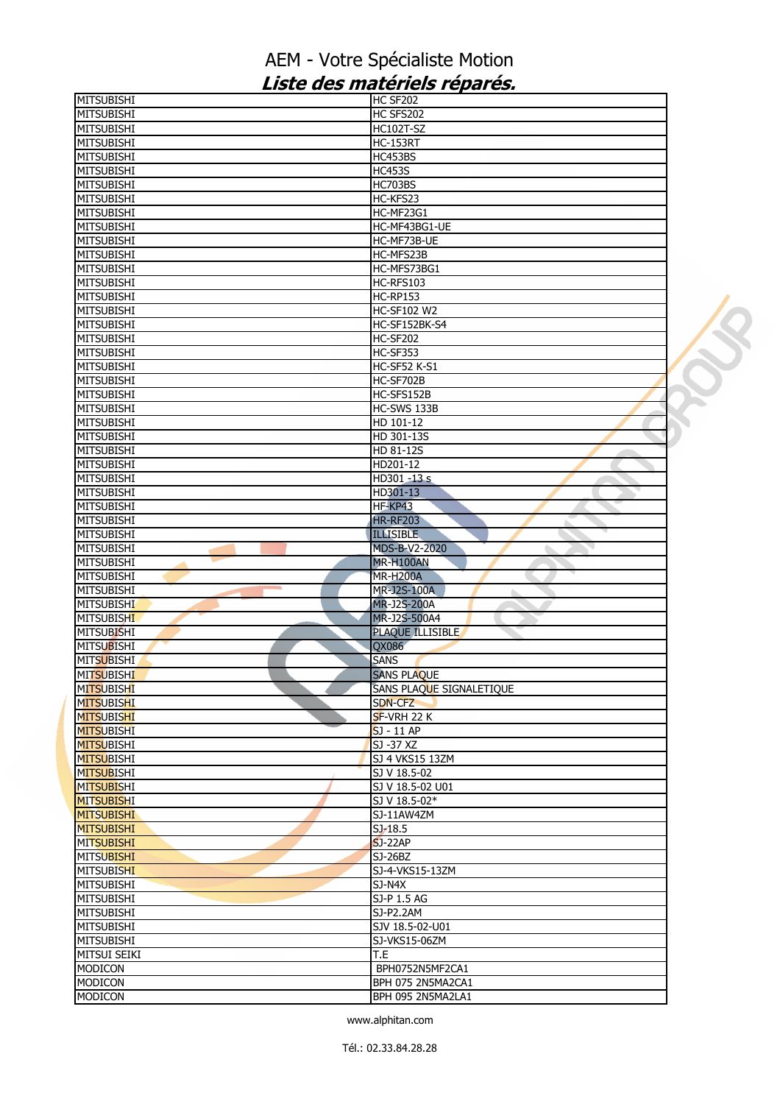| <b>MITSUBISHI</b> | HC SF202                 |  |
|-------------------|--------------------------|--|
| <b>MITSUBISHI</b> | HC SFS202                |  |
| <b>MITSUBISHI</b> | <b>HC102T-SZ</b>         |  |
| <b>MITSUBISHI</b> | <b>HC-153RT</b>          |  |
| <b>MITSUBISHI</b> | HC453BS                  |  |
| <b>MITSUBISHI</b> | <b>HC453S</b>            |  |
| <b>MITSUBISHI</b> | HC703BS                  |  |
|                   |                          |  |
| <b>MITSUBISHI</b> | HC-KFS23                 |  |
| <b>MITSUBISHI</b> | HC-MF23G1                |  |
| <b>MITSUBISHI</b> | HC-MF43BG1-UE            |  |
| <b>MITSUBISHI</b> | HC-MF73B-UE              |  |
| <b>MITSUBISHI</b> | HC-MFS23B                |  |
| <b>MITSUBISHI</b> | HC-MFS73BG1              |  |
| <b>MITSUBISHI</b> | HC-RFS103                |  |
| <b>MITSUBISHI</b> | <b>HC-RP153</b>          |  |
|                   |                          |  |
| MITSUBISHI        | <b>HC-SF102 W2</b>       |  |
| <b>MITSUBISHI</b> | HC-SF152BK-S4            |  |
| <b>MITSUBISHI</b> | HC-SF202                 |  |
| <b>MITSUBISHI</b> | HC-SF353                 |  |
| <b>MITSUBISHI</b> | <b>HC-SF52 K-S1</b>      |  |
| <b>MITSUBISHI</b> | HC-SF702B                |  |
| <b>MITSUBISHI</b> | HC-SFS152B               |  |
| <b>MITSUBISHI</b> | HC-SWS 133B              |  |
|                   |                          |  |
| <b>MITSUBISHI</b> | HD 101-12                |  |
| <b>MITSUBISHI</b> | HD 301-13S               |  |
| <b>MITSUBISHI</b> | HD 81-12S                |  |
| <b>MITSUBISHI</b> | HD201-12                 |  |
| <b>MITSUBISHI</b> | HD301 -13 s              |  |
| <b>MITSUBISHI</b> | HD301-13                 |  |
| <b>MITSUBISHI</b> | HF-KP43                  |  |
| <b>MITSUBISHI</b> | <b>HR-RF203</b>          |  |
|                   |                          |  |
| <b>MITSUBISHI</b> | <b>ILLISIBLE</b>         |  |
| <b>MITSUBISHI</b> | <b>MDS-B-V2-2020</b>     |  |
| <b>MITSUBISHI</b> | MR-H100AN                |  |
| <b>MITSUBISHI</b> | <b>MR-H200A</b>          |  |
| <b>MITSUBISHI</b> | MR-J2S-100A              |  |
| <b>MITSUBISHI</b> | <b>MR-J2S-200A</b>       |  |
| <b>MITSUBISHI</b> | MR-J2S-500A4             |  |
| <b>MITSUBISHI</b> | PLAQUE ILLISIBLE         |  |
|                   |                          |  |
| <b>MITSUBISHI</b> | QX086                    |  |
| <b>MITSUBISHI</b> | <b>SANS</b>              |  |
| <b>MITSUBISHI</b> | <b>SANS PLAQUE</b>       |  |
| MITSUBISHI        | SANS PLAQUE SIGNALETIQUE |  |
| <b>MITSUBISHI</b> | SDN-CFZ                  |  |
| <b>MITSUBISHI</b> | SF-VRH 22 K              |  |
| <b>MITSUBISHI</b> | SJ - 11 AP               |  |
| <b>MITSUBISHI</b> | SJ -37 XZ                |  |
|                   |                          |  |
| <b>MITSUBISHI</b> | SJ 4 VKS15 13ZM          |  |
| <b>MITSUBISHI</b> | SJ V 18.5-02             |  |
| <b>MITSUBISHI</b> | SJ V 18.5-02 U01         |  |
| <b>MITSUBISHI</b> | SJ V 18.5-02*            |  |
| <b>MITSUBISHI</b> | SJ-11AW4ZM               |  |
| <b>MITSUBISHI</b> | $SJ-18.5$                |  |
| <b>MITSUBISHI</b> | $SJ-22AP$                |  |
| <b>MITSUBISHI</b> | $SJ-26BZ$                |  |
| <b>MITSUBISHI</b> | SJ-4-VKS15-13ZM          |  |
|                   |                          |  |
| MITSUBISHI        | SJ-N4X                   |  |
| MITSUBISHI        | SJ-P 1.5 AG              |  |
| <b>MITSUBISHI</b> | SJ-P2.2AM                |  |
| <b>MITSUBISHI</b> | SJV 18.5-02-U01          |  |
| <b>MITSUBISHI</b> | SJ-VKS15-06ZM            |  |
| MITSUI SEIKI      | T.E                      |  |
| MODICON           | BPH0752N5MF2CA1          |  |
| MODICON           |                          |  |
|                   | BPH 075 2N5MA2CA1        |  |
| MODICON           | BPH 095 2N5MA2LA1        |  |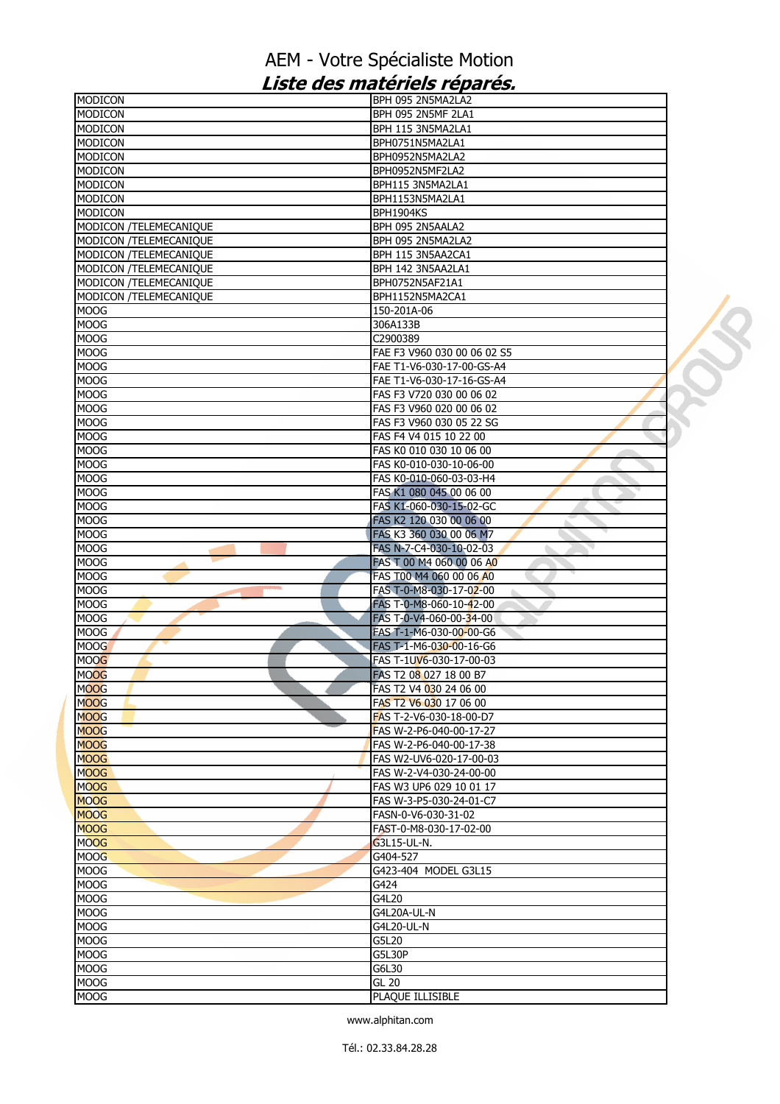| <b>MODICON</b>                | BPH 095 2N5MA2LA2             |  |
|-------------------------------|-------------------------------|--|
| <b>MODICON</b>                | BPH 095 2N5MF 2LA1            |  |
| <b>MODICON</b>                | BPH 115 3N5MA2LA1             |  |
| <b>MODICON</b>                | BPH0751N5MA2LA1               |  |
| <b>MODICON</b>                | BPH0952N5MA2LA2               |  |
| <b>MODICON</b>                | BPH0952N5MF2LA2               |  |
| <b>MODICON</b>                | BPH115 3N5MA2LA1              |  |
| <b>MODICON</b>                | BPH1153N5MA2LA1               |  |
| <b>MODICON</b>                | BPH1904KS                     |  |
| MODICON /TELEMECANIQUE        | BPH 095 2N5AALA2              |  |
| MODICON /TELEMECANIQUE        | BPH 095 2N5MA2LA2             |  |
| MODICON /TELEMECANIQUE        | BPH 115 3N5AA2CA1             |  |
| <b>MODICON /TELEMECANIQUE</b> | BPH 142 3N5AA2LA1             |  |
| MODICON /TELEMECANIQUE        | BPH0752N5AF21A1               |  |
| MODICON /TELEMECANIQUE        | BPH1152N5MA2CA1               |  |
| <b>MOOG</b>                   | 150-201A-06                   |  |
| <b>MOOG</b>                   | 306A133B                      |  |
| <b>MOOG</b>                   | C2900389                      |  |
| <b>MOOG</b>                   | FAE F3 V960 030 00 06 02 S5   |  |
| <b>MOOG</b>                   | FAE T1-V6-030-17-00-GS-A4     |  |
| <b>MOOG</b>                   | FAE T1-V6-030-17-16-GS-A4     |  |
| MOOG                          | FAS F3 V720 030 00 06 02      |  |
| MOOG                          | FAS F3 V960 020 00 06 02      |  |
| <b>MOOG</b>                   | FAS F3 V960 030 05 22 SG      |  |
| <b>MOOG</b>                   | FAS F4 V4 015 10 22 00        |  |
| <b>MOOG</b>                   | FAS K0 010 030 10 06 00       |  |
| <b>MOOG</b>                   | FAS K0-010-030-10-06-00       |  |
| <b>MOOG</b>                   | FAS K0-010-060-03-03-H4       |  |
| <b>MOOG</b>                   | FAS K1 080 045 00 06 00       |  |
| <b>MOOG</b>                   | FAS K1-060-030-15-02-GC       |  |
| MOOG                          | FAS K2 120 030 00 06 00       |  |
| MOOG                          | FAS K3 360 030 00 06 M7       |  |
| <b>MOOG</b>                   | FAS N-7-C4-030-10-02-03<br>ò. |  |
| <b>MOOG</b>                   | FAS T 00 M4 060 00 06 AO      |  |
| MOOG                          | FAS T00 M4 060 00 06 A0       |  |
| MOOG                          | FAS T-0-M8-030-17-02-00       |  |
| <b>MOOG</b>                   | FAS T-0-M8-060-10-42-00       |  |
| <b>MOOG</b>                   | FAS T-0-V4-060-00-34-00       |  |
| <b>MOOG</b>                   | FAS T-1-M6-030-00-00-G6       |  |
| <b>MOOG</b>                   | FAS T-1-M6-030-00-16-G6       |  |
| <b>MOOG</b>                   | FAS T-1UV6-030-17-00-03       |  |
| <b>MOOG</b>                   | FAS T2 08 027 18 00 B7        |  |
| <b>MOOG</b>                   | FAS T2 V4 030 24 06 00        |  |
| <b>MOOG</b>                   | FAS T2 V6 030 17 06 00        |  |
| <b>MOOG</b>                   | FAS T-2-V6-030-18-00-D7       |  |
| <b>MOOG</b>                   | FAS W-2-P6-040-00-17-27       |  |
| <b>MOOG</b>                   | FAS W-2-P6-040-00-17-38       |  |
| <b>MOOG</b>                   | FAS W2-UV6-020-17-00-03       |  |
| <b>MOOG</b>                   | FAS W-2-V4-030-24-00-00       |  |
| <b>MOOG</b>                   | FAS W3 UP6 029 10 01 17       |  |
| <b>MOOG</b>                   | FAS W-3-P5-030-24-01-C7       |  |
| <b>MOOG</b>                   | FASN-0-V6-030-31-02           |  |
| <b>MOOG</b>                   | FAST-0-M8-030-17-02-00        |  |
| <b>MOOG</b>                   | G3L15-UL-N.                   |  |
| <b>MOOG</b>                   | G404-527                      |  |
| <b>MOOG</b>                   | G423-404 MODEL G3L15          |  |
| <b>MOOG</b>                   | G424                          |  |
| <b>MOOG</b>                   | G4L20                         |  |
| MOOG                          | G4L20A-UL-N                   |  |
| <b>MOOG</b>                   | G4L20-UL-N                    |  |
| <b>MOOG</b>                   | G5L20<br>G5L30P               |  |
| MOOG                          |                               |  |
| MOOG                          | G6L30                         |  |
| <b>MOOG</b>                   | <b>GL 20</b>                  |  |
| MOOG                          | PLAQUE ILLISIBLE              |  |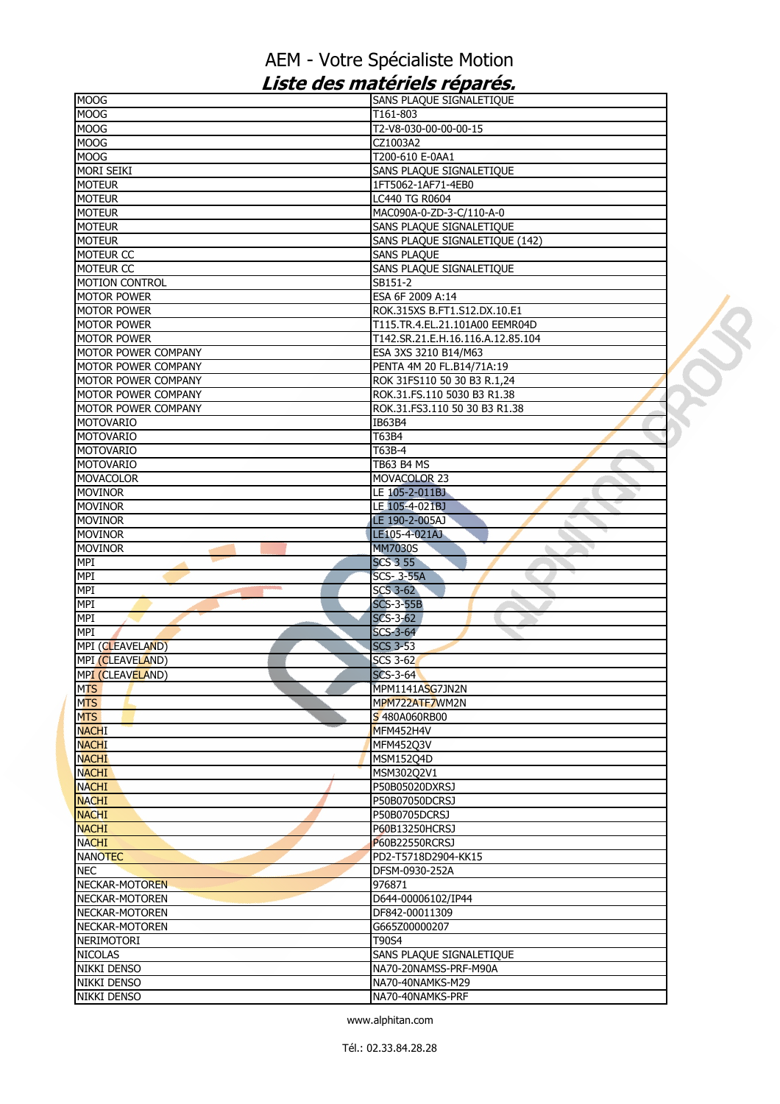| <b>MOOG</b>           | SANS PLAQUE SIGNALETIQUE          |  |
|-----------------------|-----------------------------------|--|
| <b>MOOG</b>           | T161-803                          |  |
| <b>MOOG</b>           | T2-V8-030-00-00-00-15             |  |
| <b>MOOG</b>           | CZ1003A2                          |  |
| <b>MOOG</b>           | T200-610 E-0AA1                   |  |
| <b>MORI SEIKI</b>     | SANS PLAQUE SIGNALETIQUE          |  |
| <b>MOTEUR</b>         | 1FT5062-1AF71-4EB0                |  |
| <b>MOTEUR</b>         | LC440 TG R0604                    |  |
| <b>MOTEUR</b>         | MAC090A-0-ZD-3-C/110-A-0          |  |
| <b>MOTEUR</b>         | SANS PLAQUE SIGNALETIQUE          |  |
| <b>MOTEUR</b>         | SANS PLAQUE SIGNALETIQUE (142)    |  |
| MOTEUR CC             | <b>SANS PLAQUE</b>                |  |
| MOTEUR CC             | SANS PLAQUE SIGNALETIQUE          |  |
| <b>MOTION CONTROL</b> | SB151-2                           |  |
| <b>MOTOR POWER</b>    | ESA 6F 2009 A:14                  |  |
| <b>MOTOR POWER</b>    | ROK.315XS B.FT1.S12.DX.10.E1      |  |
|                       |                                   |  |
| <b>MOTOR POWER</b>    | T115.TR.4.EL.21.101A00 EEMR04D    |  |
| <b>MOTOR POWER</b>    | T142.SR.21.E.H.16.116.A.12.85.104 |  |
| MOTOR POWER COMPANY   | ESA 3XS 3210 B14/M63              |  |
| MOTOR POWER COMPANY   | PENTA 4M 20 FL.B14/71A:19         |  |
| MOTOR POWER COMPANY   | ROK 31FS110 50 30 B3 R.1,24       |  |
| MOTOR POWER COMPANY   | ROK.31.FS.110 5030 B3 R1.38       |  |
| MOTOR POWER COMPANY   | ROK.31.FS3.110 50 30 B3 R1.38     |  |
| <b>MOTOVARIO</b>      | IB63B4                            |  |
| MOTOVARIO             | T63B4                             |  |
| <b>MOTOVARIO</b>      | T63B-4                            |  |
| <b>MOTOVARIO</b>      | <b>TB63 B4 MS</b>                 |  |
| <b>MOVACOLOR</b>      | MOVACOLOR 23                      |  |
| <b>MOVINOR</b>        | LE 105-2-011BJ                    |  |
| <b>MOVINOR</b>        | LE 105-4-021BJ                    |  |
| <b>MOVINOR</b>        | LE 190-2-005AJ                    |  |
| <b>MOVINOR</b>        | LE105-4-021AJ                     |  |
| <b>MOVINOR</b>        | <b>MM7030S</b>                    |  |
| MPI                   | <b>SCS 3 55</b>                   |  |
| MPI                   | <b>SCS-3-55A</b>                  |  |
| <b>MPI</b>            | <b>SCS 3-62</b>                   |  |
| <b>MPI</b>            | <b>SCS-3-55B</b>                  |  |
| MPI                   | $SCS-3-62$                        |  |
|                       |                                   |  |
| MPI                   | <b>SCS-3-64</b>                   |  |
| MPI (CLEAVELAND)      | <b>SCS 3-53</b>                   |  |
| MPI (CLEAVELAND)      | <b>SCS 3-62</b>                   |  |
| MPI (CLEAVELAND)      | $SCS-3-64$                        |  |
| <b>MTS</b>            | MPM1141ASG7JN2N                   |  |
| <b>MTS</b>            | MPM722ATF7WM2N                    |  |
| <b>MTS</b>            | S 480A060RB00                     |  |
| <b>NACHI</b>          | MFM452H4V                         |  |
| <b>NACHI</b>          | MFM45203V                         |  |
| <b>NACHI</b>          | <b>MSM152Q4D</b>                  |  |
| <b>NACHI</b>          | MSM302Q2V1                        |  |
| <b>NACHI</b>          | P50B05020DXRSJ                    |  |
| <b>NACHI</b>          | P50B07050DCRSJ                    |  |
| <b>NACHI</b>          | P50B0705DCRSJ                     |  |
| <b>NACHI</b>          | P60B13250HCRSJ                    |  |
| <b>NACHI</b>          | P60B22550RCRSJ                    |  |
| <b>NANOTEC</b>        | PD2-T5718D2904-KK15               |  |
| <b>NEC</b>            | DFSM-0930-252A                    |  |
| NECKAR-MOTOREN        | 976871                            |  |
| NECKAR-MOTOREN        | D644-00006102/IP44                |  |
|                       |                                   |  |
| NECKAR-MOTOREN        | DF842-00011309                    |  |
| NECKAR-MOTOREN        | G665Z00000207                     |  |
| <b>NERIMOTORI</b>     | T90S4                             |  |
| <b>NICOLAS</b>        | SANS PLAQUE SIGNALETIQUE          |  |
| NIKKI DENSO           | NA70-20NAMSS-PRF-M90A             |  |
| NIKKI DENSO           | NA70-40NAMKS-M29                  |  |
| NIKKI DENSO           | NA70-40NAMKS-PRF                  |  |
|                       |                                   |  |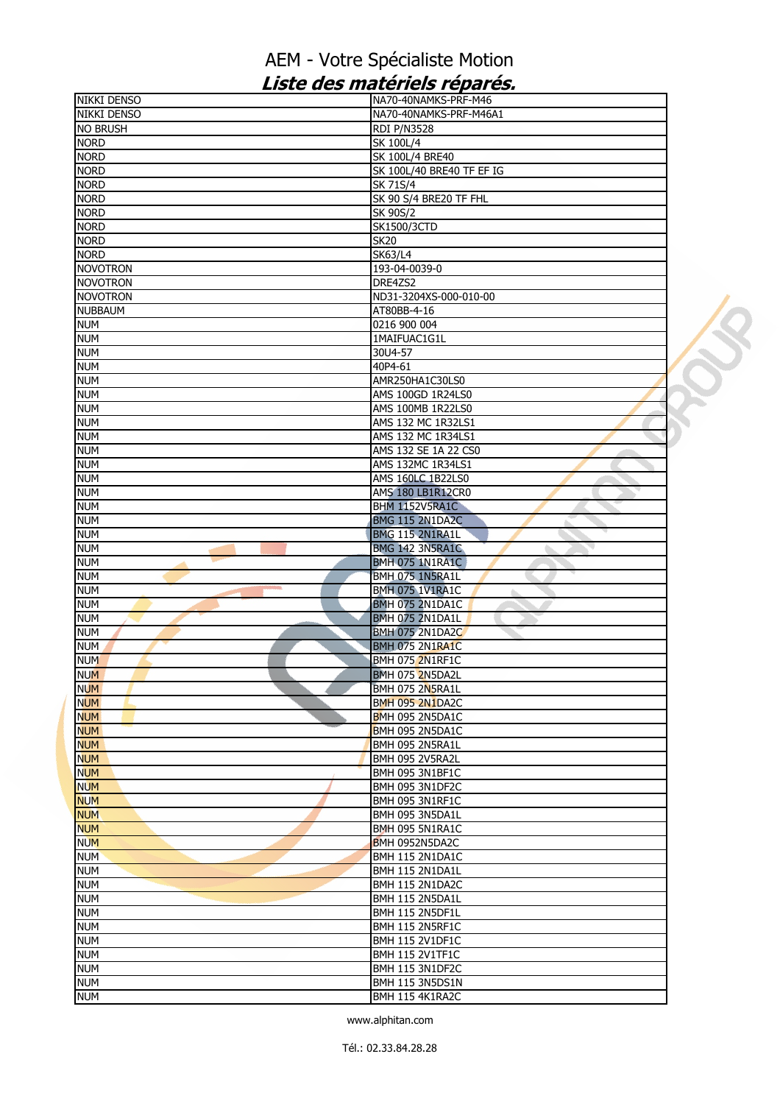| <b>NIKKI DENSO</b>       | NA70-40NAMKS-PRF-M46               |  |
|--------------------------|------------------------------------|--|
| <b>NIKKI DENSO</b>       | NA70-40NAMKS-PRF-M46A1             |  |
| <b>NO BRUSH</b>          | <b>RDI P/N3528</b>                 |  |
| <b>NORD</b>              | SK 100L/4                          |  |
| <b>NORD</b>              | <b>SK 100L/4 BRE40</b>             |  |
| <b>NORD</b>              | SK 100L/40 BRE40 TF EF IG          |  |
| <b>NORD</b>              | SK 71S/4                           |  |
| <b>NORD</b>              | SK 90 S/4 BRE20 TF FHL             |  |
| <b>NORD</b>              | <b>SK 90S/2</b>                    |  |
| <b>NORD</b>              | <b>SK1500/3CTD</b>                 |  |
| <b>NORD</b>              | <b>SK20</b>                        |  |
| <b>NORD</b>              | <b>SK63/L4</b>                     |  |
| <b>NOVOTRON</b>          | 193-04-0039-0                      |  |
| <b>NOVOTRON</b>          | DRE4ZS2                            |  |
| <b>NOVOTRON</b>          | ND31-3204XS-000-010-00             |  |
| <b>NUBBAUM</b>           | AT80BB-4-16                        |  |
| <b>NUM</b>               | 0216 900 004                       |  |
| <b>NUM</b>               | 1MAIFUAC1G1L                       |  |
| <b>NUM</b>               | 30U4-57                            |  |
| <b>NUM</b>               | 40P4-61                            |  |
| <b>NUM</b>               | AMR250HA1C30LS0                    |  |
| <b>NUM</b>               | AMS 100GD 1R24LS0                  |  |
| <b>NUM</b>               | AMS 100MB 1R22LS0                  |  |
|                          |                                    |  |
| <b>NUM</b>               | AMS 132 MC 1R32LS1                 |  |
| <b>NUM</b>               | AMS 132 MC 1R34LS1                 |  |
| <b>NUM</b>               | AMS 132 SE 1A 22 CS0               |  |
| <b>NUM</b>               | AMS 132MC 1R34LS1                  |  |
| <b>NUM</b>               | <b>AMS 160LC 1B22LS0</b>           |  |
| <b>NUM</b>               | AMS 180 LB1R12CR0                  |  |
| <b>NUM</b>               | BHM 1152V5RA1C                     |  |
| <b>NUM</b>               | BMG 115 2N1DA2C                    |  |
| <b>NUM</b>               | <b>BMG 115 2N1RA1L</b>             |  |
| <b>NUM</b>               | BMG 142 3N5RA1C                    |  |
| <b>NUM</b>               | <b>BMH 075 1N1RA1C</b>             |  |
| <b>NUM</b>               | BMH 075 1N5RA1L                    |  |
|                          |                                    |  |
| <b>NUM</b>               | <b>BMH 075 1V1RA1C</b><br>ь        |  |
| <b>NUM</b>               | <b>BMH 075 2N1DA1C</b>             |  |
| <b>NUM</b>               | <b>BMH 075 2N1DA1L</b>             |  |
| <b>NUM</b>               | <b>BMH 075 2N1DA2C</b>             |  |
| <b>NUM</b>               | <b>BMH 075 2N1RA1C</b>             |  |
| <b>NUM</b>               | BMH 075 2N1RF1C                    |  |
| <b>NUM</b>               | <b>BMH 075 2N5DA2L</b>             |  |
| <b>NUM</b>               | BMH 075 2N5RA1L                    |  |
| <b>NUM</b>               | <b>BMH 095 2N1DA2C</b>             |  |
| <b>NUM</b>               | BMH 095 2N5DA1C                    |  |
|                          | BMH 095 2N5DA1C                    |  |
| <b>NUM</b>               | BMH 095 2N5RA1L                    |  |
| <b>NUM</b>               | BMH 095 2V5RA2L                    |  |
| <b>NUM</b><br><b>NUM</b> | BMH 095 3N1BF1C                    |  |
|                          |                                    |  |
| <b>NUM</b>               | BMH 095 3N1DF2C<br>BMH 095 3N1RF1C |  |
| <b>NUM</b>               | BMH 095 3N5DA1L                    |  |
| <b>NUM</b>               |                                    |  |
| <b>NUM</b>               | BMH 095 5N1RA1C                    |  |
| <b>NUM</b>               | BMH 0952N5DA2C                     |  |
| <b>NUM</b>               | <b>BMH 115 2N1DA1C</b>             |  |
| <b>NUM</b>               | BMH 115 2N1DA1L                    |  |
| <b>NUM</b>               | BMH 115 2N1DA2C                    |  |
| <b>NUM</b>               | BMH 115 2N5DA1L                    |  |
| <b>NUM</b>               | BMH 115 2N5DF1L                    |  |
| <b>NUM</b>               | BMH 115 2N5RF1C                    |  |
| <b>NUM</b>               | <b>BMH 115 2V1DF1C</b>             |  |
| <b>NUM</b>               | <b>BMH 115 2V1TF1C</b>             |  |
| <b>NUM</b>               | BMH 115 3N1DF2C                    |  |
| <b>NUM</b><br><b>NUM</b> | BMH 115 3N5DS1N<br>BMH 115 4K1RA2C |  |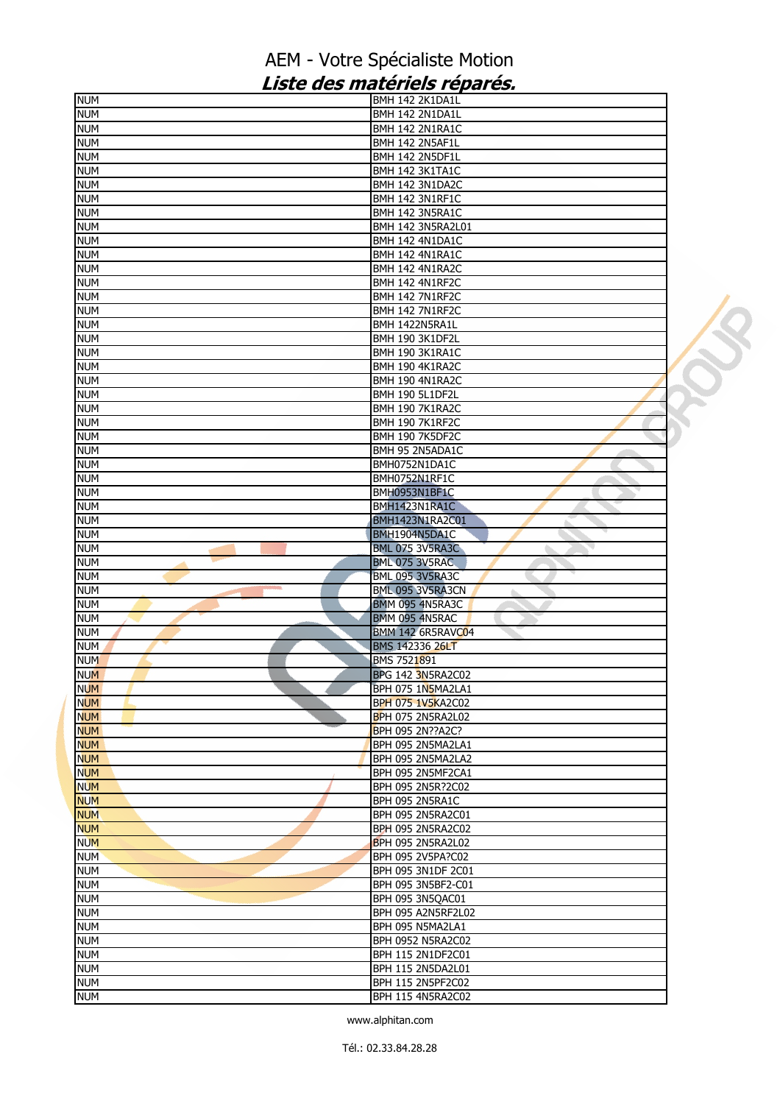| <b>NUM</b> | BMH 142 2K1DA1L          |  |
|------------|--------------------------|--|
| <b>NUM</b> | BMH 142 2N1DA1L          |  |
| num        | BMH 142 2N1RA1C          |  |
| <b>NUM</b> | BMH 142 2N5AF1L          |  |
| <b>NUM</b> | BMH 142 2N5DF1L          |  |
| <b>NUM</b> | BMH 142 3K1TA1C          |  |
| <b>NUM</b> | BMH 142 3N1DA2C          |  |
| <b>NUM</b> | BMH 142 3N1RF1C          |  |
| <b>NUM</b> | BMH 142 3N5RA1C          |  |
| <b>NUM</b> | <b>BMH 142 3N5RA2L01</b> |  |
| <b>NUM</b> | BMH 142 4N1DA1C          |  |
| <b>NUM</b> | BMH 142 4N1RA1C          |  |
| <b>NUM</b> | BMH 142 4N1RA2C          |  |
|            | BMH 142 4N1RF2C          |  |
| <b>NUM</b> |                          |  |
| <b>NUM</b> | BMH 142 7N1RF2C          |  |
| <b>NUM</b> | BMH 142 7N1RF2C          |  |
| <b>NUM</b> | BMH 1422N5RA1L           |  |
| <b>NUM</b> | <b>BMH 190 3K1DF2L</b>   |  |
| <b>NUM</b> | BMH 190 3K1RA1C          |  |
| <b>NUM</b> | BMH 190 4K1RA2C          |  |
| <b>NUM</b> | BMH 190 4N1RA2C          |  |
| <b>NUM</b> | <b>BMH 190 5L1DF2L</b>   |  |
| <b>NUM</b> | <b>BMH 190 7K1RA2C</b>   |  |
| <b>NUM</b> | <b>BMH 190 7K1RF2C</b>   |  |
| <b>NUM</b> | <b>BMH 190 7K5DF2C</b>   |  |
| <b>NUM</b> | BMH 95 2N5ADA1C          |  |
| <b>NUM</b> | BMH0752N1DA1C            |  |
| <b>NUM</b> | BMH0752N1RF1C            |  |
| <b>NUM</b> | BMH0953N1BF1C            |  |
| <b>NUM</b> | BMH1423N1RA1C            |  |
| <b>NUM</b> | BMH1423N1RA2C01          |  |
| <b>NUM</b> | BMH1904N5DA1C            |  |
| <b>NUM</b> | BML 075 3V5RA3C          |  |
| <b>NUM</b> | BML 075 3V5RAC           |  |
| <b>NUM</b> | <b>BML 095 3V5RA3C</b>   |  |
| <b>NUM</b> | BML 095 3V5RA3CN         |  |
| <b>NUM</b> | BMM 095 4N5RA3C          |  |
|            |                          |  |
| <b>NUM</b> | BMM 095 4N5RAC           |  |
| <b>NUM</b> | BMM 142 6R5RAVC04        |  |
| <b>NUM</b> | <b>BMS 142336 26LT</b>   |  |
| <b>NUM</b> | BMS 7521891              |  |
| <b>NUM</b> | <b>BPG 142 3N5RA2C02</b> |  |
| NUM.       | BPH 075 1N5MA2LA1        |  |
| <b>NUM</b> | <b>BPH 075 1V5KA2C02</b> |  |
| <b>NUM</b> | <b>BPH 075 2N5RA2L02</b> |  |
| <b>NUM</b> | BPH 095 2N??A2C?         |  |
| <b>NUM</b> | BPH 095 2N5MA2LA1        |  |
| <b>NUM</b> | BPH 095 2N5MA2LA2        |  |
| <b>NUM</b> | BPH 095 2N5MF2CA1        |  |
| <b>NUM</b> | BPH 095 2N5R?2C02        |  |
| <b>NUM</b> | BPH 095 2N5RA1C          |  |
| <b>NUM</b> | BPH 095 2N5RA2C01        |  |
| <b>NUM</b> | <b>BPH 095 2N5RA2C02</b> |  |
| <b>NUM</b> | BPH 095 2N5RA2L02        |  |
| <b>NUM</b> | BPH 095 2V5PA?C02        |  |
| <b>NUM</b> | BPH 095 3N1DF 2C01       |  |
| <b>NUM</b> | BPH 095 3N5BF2-C01       |  |
| <b>NUM</b> | BPH 095 3N5QAC01         |  |
|            |                          |  |
| <b>NUM</b> | BPH 095 A2N5RF2L02       |  |
| <b>NUM</b> | BPH 095 N5MA2LA1         |  |
| <b>NUM</b> | <b>BPH 0952 N5RA2C02</b> |  |
| num        | <b>BPH 115 2N1DF2C01</b> |  |
| <b>NUM</b> | <b>BPH 115 2N5DA2L01</b> |  |
| <b>NUM</b> | BPH 115 2N5PF2C02        |  |
| <b>NUM</b> | BPH 115 4N5RA2C02        |  |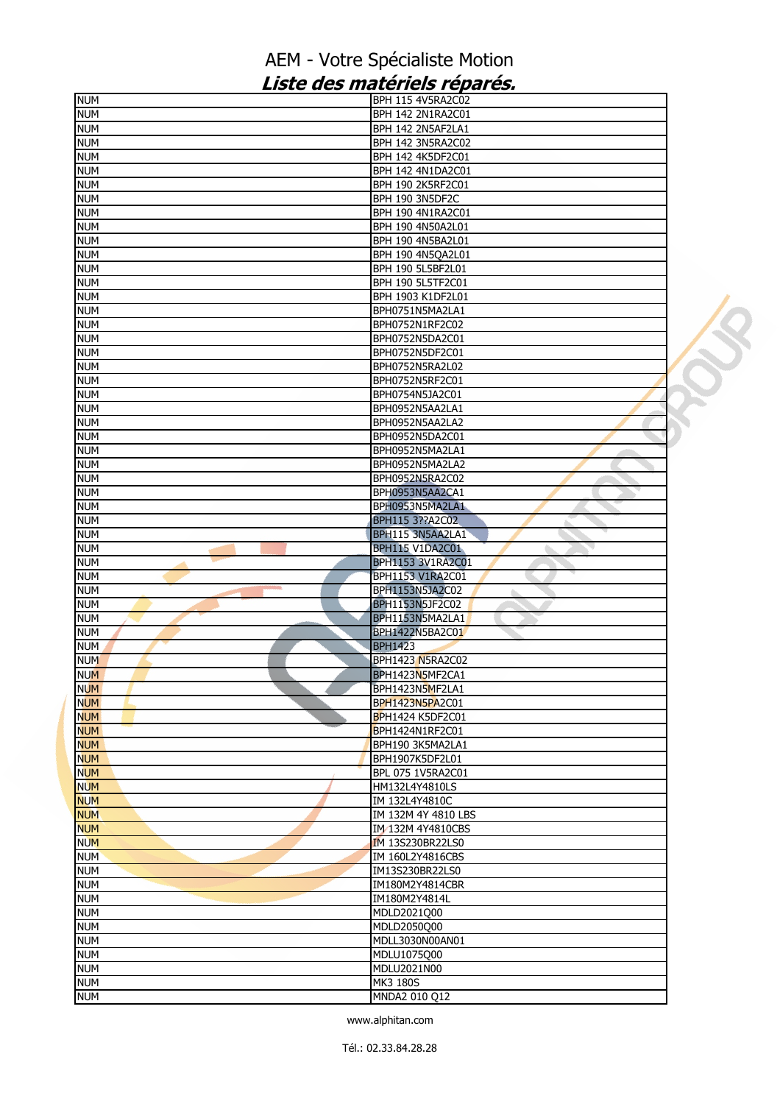| <b>NUM</b>               | <b>BPH 115 4V5RA2C02</b>  |  |
|--------------------------|---------------------------|--|
| <b>NUM</b>               | <b>BPH 142 2N1RA2C01</b>  |  |
| <b>NUM</b>               | BPH 142 2N5AF2LA1         |  |
| <b>NUM</b>               | <b>BPH 142 3N5RA2C02</b>  |  |
| <b>NUM</b>               | BPH 142 4K5DF2C01         |  |
| <b>NUM</b>               | BPH 142 4N1DA2C01         |  |
| <b>NUM</b>               | BPH 190 2K5RF2C01         |  |
| <b>NUM</b>               | BPH 190 3N5DF2C           |  |
| <b>NUM</b>               | <b>BPH 190 4N1RA2C01</b>  |  |
| <b>NUM</b>               | BPH 190 4N50A2L01         |  |
| <b>NUM</b>               | BPH 190 4N5BA2L01         |  |
| <b>NUM</b>               | BPH 190 4N5QA2L01         |  |
| <b>NUM</b>               | BPH 190 5L5BF2L01         |  |
|                          | <b>BPH 190 5L5TF2C01</b>  |  |
| <b>NUM</b>               |                           |  |
| <b>NUM</b>               | BPH 1903 K1DF2L01         |  |
| <b>NUM</b>               | BPH0751N5MA2LA1           |  |
| <b>NUM</b>               | BPH0752N1RF2C02           |  |
| <b>NUM</b>               | BPH0752N5DA2C01           |  |
| <b>NUM</b>               | BPH0752N5DF2C01           |  |
| <b>NUM</b>               | BPH0752N5RA2L02           |  |
| <b>NUM</b>               | BPH0752N5RF2C01           |  |
| <b>NUM</b>               | BPH0754N5JA2C01           |  |
| <b>NUM</b>               | BPH0952N5AA2LA1           |  |
| <b>NUM</b>               | BPH0952N5AA2LA2           |  |
| <b>NUM</b>               | BPH0952N5DA2C01           |  |
| <b>NUM</b>               | BPH0952N5MA2LA1           |  |
| <b>NUM</b>               | BPH0952N5MA2LA2           |  |
| <b>NUM</b>               | BPH0952N5RA2C02           |  |
| <b>NUM</b>               | BPH0953N5AA2CA1           |  |
| <b>NUM</b>               | BPH0953N5MA2LA1           |  |
| <b>NUM</b>               | BPH115 3??A2C02           |  |
| <b>NUM</b>               | BPH115 3N5AA2LA1          |  |
| <b>NUM</b>               | BPH115 V1DA2C01           |  |
| <b>NUM</b>               | BPH1153 3V1RA2C01         |  |
| <b>NUM</b>               | BPH1153 V1RA2C01          |  |
|                          |                           |  |
| <b>NUM</b>               | BPH1153N5JA2C02           |  |
| <b>NUM</b>               | BPH1153N5JF2C02           |  |
| <b>NUM</b>               | BPH1153N5MA2LA1           |  |
|                          |                           |  |
| <b>NUM</b>               | BPH1422N5BA2C01           |  |
| <b>NUM</b>               | <b>BPH1423</b>            |  |
| <b>NUM</b>               | BPH1423 N5RA2C02          |  |
| <b>NUM</b>               | BPH1423N5MF2CA1           |  |
| <b>NUM</b>               | BPH1423N5MF2LA1           |  |
| <b>NUM</b>               | BPH1423N5PA2C01           |  |
| <b>NUM</b>               | <b>BPH1424 K5DF2C01</b>   |  |
| <b>NUM</b>               | BPH1424N1RF2C01           |  |
| <b>NUM</b>               | BPH190 3K5MA2LA1          |  |
| <b>NUM</b>               | BPH1907K5DF2L01           |  |
| <b>NUM</b>               | BPL 075 1V5RA2C01         |  |
| <b>NUM</b>               | HM132L4Y4810LS            |  |
|                          |                           |  |
| <b>NUM</b>               | IM 132L4Y4810C            |  |
| <b>NUM</b>               | IM 132M 4Y 4810 LBS       |  |
| <b>NUM</b>               | IM 132M 4Y4810CBS         |  |
| <b>NUM</b>               | <b>IM 13S230BR22LS0</b>   |  |
| <b>NUM</b>               | IM 160L2Y4816CBS          |  |
| <b>NUM</b>               | IM13S230BR22LS0           |  |
| <b>NUM</b>               | IM180M2Y4814CBR           |  |
| <b>NUM</b>               | IM180M2Y4814L             |  |
| <b>NUM</b>               | MDLD2021Q00               |  |
| <b>NUM</b>               | MDLD2050Q00               |  |
| <b>NUM</b>               | MDLL3030N00AN01           |  |
| <b>NUM</b>               | MDLU1075Q00               |  |
| <b>NUM</b>               | MDLU2021N00               |  |
| <b>NUM</b><br><b>NUM</b> | MK3 180S<br>MNDA2 010 Q12 |  |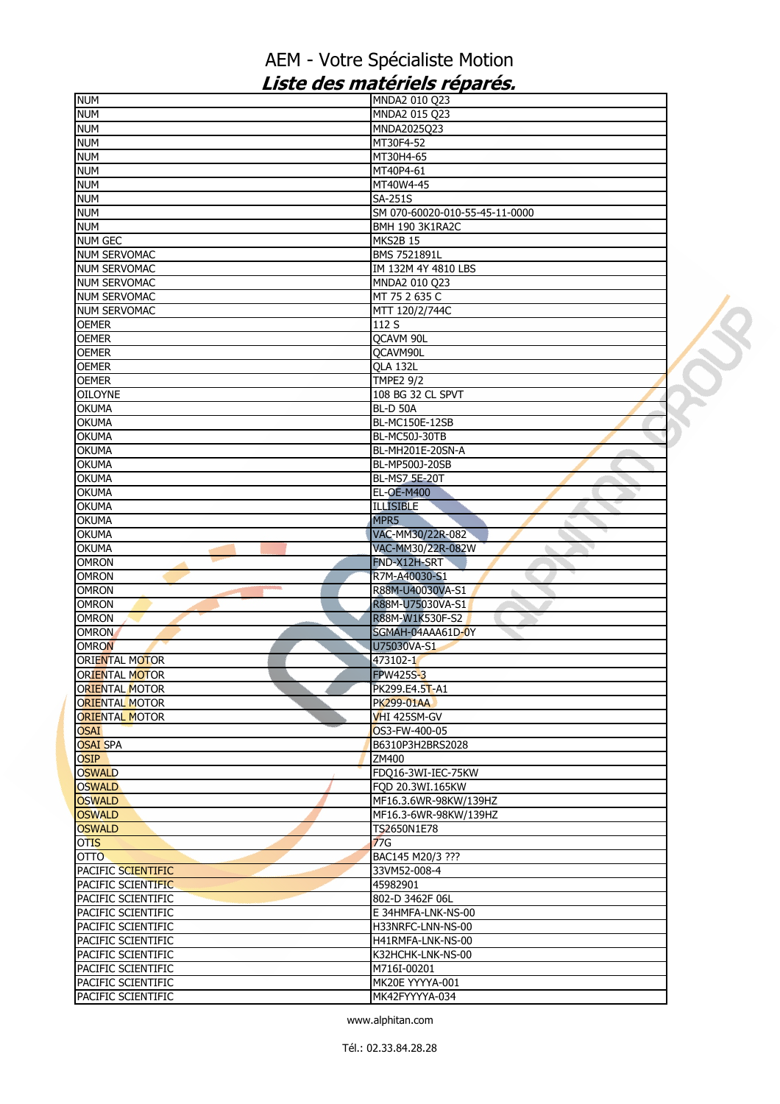| <b>NUM</b>                                                             | MNDA2 010 Q23                  |  |
|------------------------------------------------------------------------|--------------------------------|--|
| <b>NUM</b>                                                             | MNDA2 015 Q23                  |  |
| <b>NUM</b>                                                             | MNDA2025Q23                    |  |
| <b>NUM</b>                                                             | MT30F4-52                      |  |
| <b>NUM</b>                                                             | MT30H4-65                      |  |
| <b>NUM</b>                                                             | MT40P4-61                      |  |
| <b>NUM</b>                                                             | MT40W4-45                      |  |
|                                                                        |                                |  |
| <b>NUM</b>                                                             | <b>SA-251S</b>                 |  |
| <b>NUM</b>                                                             | SM 070-60020-010-55-45-11-0000 |  |
| <b>NUM</b>                                                             | <b>BMH 190 3K1RA2C</b>         |  |
| <b>NUM GEC</b>                                                         | <b>MKS2B 15</b>                |  |
| <b>NUM SERVOMAC</b>                                                    | BMS 7521891L                   |  |
| <b>NUM SERVOMAC</b>                                                    | IM 132M 4Y 4810 LBS            |  |
| <b>NUM SERVOMAC</b>                                                    | MNDA2 010 Q23                  |  |
| <b>NUM SERVOMAC</b>                                                    | MT 75 2 635 C                  |  |
| <b>NUM SERVOMAC</b>                                                    | MTT 120/2/744C                 |  |
| <b>OEMER</b>                                                           | 112 S                          |  |
|                                                                        |                                |  |
| <b>OEMER</b>                                                           | QCAVM 90L                      |  |
| <b>OEMER</b>                                                           | QCAVM90L                       |  |
| <b>OEMER</b>                                                           | <b>QLA 132L</b>                |  |
| <b>OEMER</b>                                                           | <b>TMPE2 9/2</b>               |  |
| <b>OILOYNE</b>                                                         | 108 BG 32 CL SPVT              |  |
| <b>OKUMA</b>                                                           | <b>BL-D 50A</b>                |  |
| <b>OKUMA</b>                                                           | BL-MC150E-12SB                 |  |
| <b>OKUMA</b>                                                           | <b>BL-MC50J-30TB</b>           |  |
| <b>OKUMA</b>                                                           | BL-MH201E-20SN-A               |  |
| OKUMA                                                                  | BL-MP500J-20SB                 |  |
|                                                                        |                                |  |
| <b>OKUMA</b>                                                           | BL-MS7 5E-20T                  |  |
| <b>OKUMA</b>                                                           | <b>EL-OE-M400</b>              |  |
| <b>OKUMA</b>                                                           | <b>ILLISIBLE</b>               |  |
| <b>OKUMA</b>                                                           | MPR <sub>5</sub>               |  |
| <b>OKUMA</b>                                                           | VAC-MM30/22R-082               |  |
|                                                                        |                                |  |
|                                                                        | VAC-MM30/22R-082W              |  |
| <b>OKUMA</b>                                                           |                                |  |
| <b>OMRON</b>                                                           | FND-X12H-SRT                   |  |
| <b>OMRON</b><br><b>CONTRACTOR</b>                                      | R7M-A40030-S1                  |  |
| <b>OMRON</b>                                                           | R88M-U40030VA-S1               |  |
| <b>OMRON</b>                                                           | R88M-U75030VA-S1               |  |
| <b>OMRON</b>                                                           | R88M-W1K530F-S2                |  |
| <b>OMRON</b>                                                           | SGMAH-04AAA61D-0Y              |  |
| <b>OMRON</b>                                                           | U75030VA-S1                    |  |
| <b>ORIENTAL MOTOR</b>                                                  | 473102-1                       |  |
| <b>ORIENTAL MOTOR</b>                                                  | <b>FPW425S-3</b>               |  |
| <b>ORIENTAL MOTOR</b>                                                  | PK299.E4.5T-A1                 |  |
|                                                                        | PK299-01AA                     |  |
|                                                                        | VHI 425SM-GV                   |  |
| <b>ORIENTAL MOTOR</b>                                                  |                                |  |
|                                                                        | OS3-FW-400-05                  |  |
|                                                                        | B6310P3H2BRS2028               |  |
| <b>ORIENTAL MOTOR</b><br><b>OSAI</b><br><b>OSAI SPA</b><br><b>OSIP</b> | ZM400                          |  |
| <b>OSWALD</b>                                                          | FDQ16-3WI-IEC-75KW             |  |
| <b>OSWALD</b>                                                          | FOD 20.3WI.165KW               |  |
|                                                                        | MF16.3.6WR-98KW/139HZ          |  |
| <b>OSWALD</b><br><b>OSWALD</b>                                         | MF16.3-6WR-98KW/139HZ          |  |
| <b>OSWALD</b>                                                          | TS2650N1E78                    |  |
| <b>OTIS</b>                                                            | 77G                            |  |
|                                                                        | BAC145 M20/3 ???               |  |
| <b>OTTO</b>                                                            |                                |  |
| PACIFIC SCIENTIFIC                                                     | 33VM52-008-4                   |  |
| PACIFIC SCIENTIFIC                                                     | 45982901                       |  |
| PACIFIC SCIENTIFIC                                                     | 802-D 3462F 06L                |  |
| PACIFIC SCIENTIFIC                                                     | E 34HMFA-LNK-NS-00             |  |
| PACIFIC SCIENTIFIC                                                     | H33NRFC-LNN-NS-00              |  |
| PACIFIC SCIENTIFIC                                                     | H41RMFA-LNK-NS-00              |  |
| PACIFIC SCIENTIFIC                                                     | K32HCHK-LNK-NS-00              |  |
| PACIFIC SCIENTIFIC                                                     | M716I-00201                    |  |
| PACIFIC SCIENTIFIC                                                     | MK20E YYYYA-001                |  |
| PACIFIC SCIENTIFIC                                                     | MK42FYYYYA-034                 |  |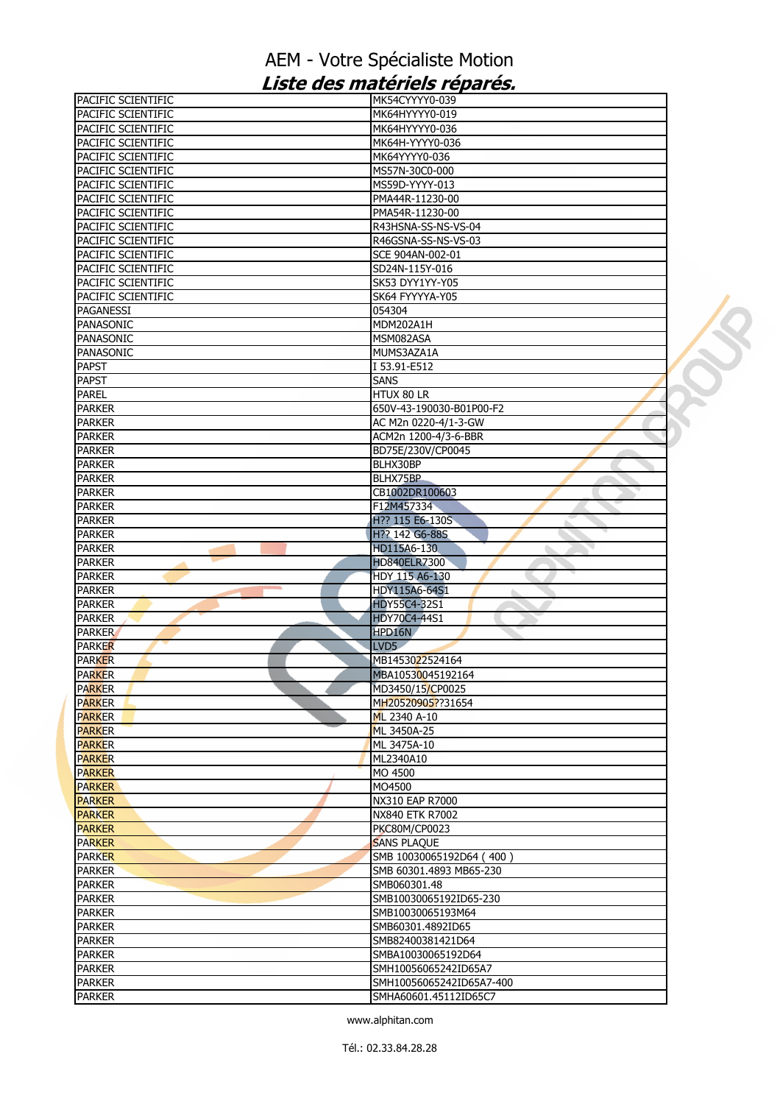| PACIFIC SCIENTIFIC             | MK54CYYYY0-039                                    |  |
|--------------------------------|---------------------------------------------------|--|
| PACIFIC SCIENTIFIC             | MK64HYYYY0-019                                    |  |
| PACIFIC SCIENTIFIC             | MK64HYYYY0-036                                    |  |
| PACIFIC SCIENTIFIC             | MK64H-YYYY0-036                                   |  |
| PACIFIC SCIENTIFIC             | MK64YYYY0-036                                     |  |
| PACIFIC SCIENTIFIC             | MS57N-30C0-000                                    |  |
| PACIFIC SCIENTIFIC             | MS59D-YYYY-013                                    |  |
| PACIFIC SCIENTIFIC             | PMA44R-11230-00                                   |  |
| PACIFIC SCIENTIFIC             | PMA54R-11230-00                                   |  |
|                                |                                                   |  |
| PACIFIC SCIENTIFIC             | R43HSNA-SS-NS-VS-04                               |  |
| PACIFIC SCIENTIFIC             | R46GSNA-SS-NS-VS-03                               |  |
| PACIFIC SCIENTIFIC             | SCE 904AN-002-01                                  |  |
| PACIFIC SCIENTIFIC             | SD24N-115Y-016                                    |  |
| PACIFIC SCIENTIFIC             | SK53 DYY1YY-Y05                                   |  |
| PACIFIC SCIENTIFIC             | SK64 FYYYYA-Y05                                   |  |
| <b>PAGANESSI</b>               | 054304                                            |  |
| PANASONIC                      | MDM202A1H                                         |  |
| <b>PANASONIC</b>               | MSM082ASA                                         |  |
| PANASONIC                      | MUMS3AZA1A                                        |  |
| <b>PAPST</b>                   | I 53.91-E512                                      |  |
| <b>PAPST</b>                   | <b>SANS</b>                                       |  |
|                                |                                                   |  |
| <b>PAREL</b>                   | HTUX 80 LR                                        |  |
| <b>PARKER</b>                  | 650V-43-190030-B01P00-F2                          |  |
| <b>PARKER</b>                  | AC M2n 0220-4/1-3-GW                              |  |
| <b>PARKER</b>                  | ACM2n 1200-4/3-6-BBR                              |  |
| <b>PARKER</b>                  | BD75E/230V/CP0045                                 |  |
| <b>PARKER</b>                  | BLHX30BP                                          |  |
| <b>PARKER</b>                  | BLHX75BP                                          |  |
| <b>PARKER</b>                  | CB1002DR100603                                    |  |
| <b>PARKER</b>                  | F12M457334                                        |  |
| <b>PARKER</b>                  | H?? 115 E6-130S                                   |  |
| <b>PARKER</b>                  | H?? 142 G6-88S                                    |  |
| <b>PARKER</b>                  | HD115A6-130                                       |  |
| <b>PARKER</b>                  | <b>HD840ELR7300</b>                               |  |
| <b>PARKER</b>                  | HDY 115 A6-130                                    |  |
|                                |                                                   |  |
| <b>PARKER</b>                  | HDY115A6-64S1                                     |  |
| <b>PARKER</b>                  | <b>HDY55C4-32S1</b>                               |  |
| <b>PARKER</b>                  | <b>HDY70C4-44S1</b>                               |  |
| <b>PARKER</b>                  | HPD16N                                            |  |
| <b>PARKER</b>                  | LVD <sub>5</sub>                                  |  |
| <b>PARKER</b>                  |                                                   |  |
|                                | MB1453022524164                                   |  |
| <b>PARKER</b>                  | MBA10530045192164                                 |  |
| <b>PARKER</b>                  |                                                   |  |
|                                | MD3450/15/CP0025<br>MH20520905??31654             |  |
| <b>PARKER</b>                  |                                                   |  |
| <b>PARKER</b>                  | ML 2340 A-10                                      |  |
| <b>PARKER</b>                  | ML 3450A-25                                       |  |
| <b>PARKER</b>                  | ML 3475A-10                                       |  |
| <b>PARKER</b>                  | ML2340A10                                         |  |
| <b>PARKER</b>                  | MO 4500                                           |  |
| <b>PARKER</b>                  | MO4500                                            |  |
| <b>PARKER</b>                  | NX310 EAP R7000                                   |  |
| <b>PARKER</b>                  | NX840 ETK R7002                                   |  |
| <b>PARKER</b>                  | <b>PKC80M/CP0023</b>                              |  |
| <b>PARKER</b>                  | <b>SANS PLAQUE</b>                                |  |
| <b>PARKER</b>                  | SMB 10030065192D64 (400)                          |  |
| <b>PARKER</b>                  | SMB 60301.4893 MB65-230                           |  |
| <b>PARKER</b>                  | SMB060301.48                                      |  |
| <b>PARKER</b>                  | SMB10030065192ID65-230                            |  |
| <b>PARKER</b>                  | SMB10030065193M64                                 |  |
| <b>PARKER</b>                  | SMB60301.4892ID65                                 |  |
|                                |                                                   |  |
| <b>PARKER</b>                  | SMB82400381421D64                                 |  |
| <b>PARKER</b>                  | SMBA10030065192D64                                |  |
| <b>PARKER</b>                  | SMH10056065242ID65A7                              |  |
| <b>PARKER</b><br><b>PARKER</b> | SMH10056065242ID65A7-400<br>SMHA60601.45112ID65C7 |  |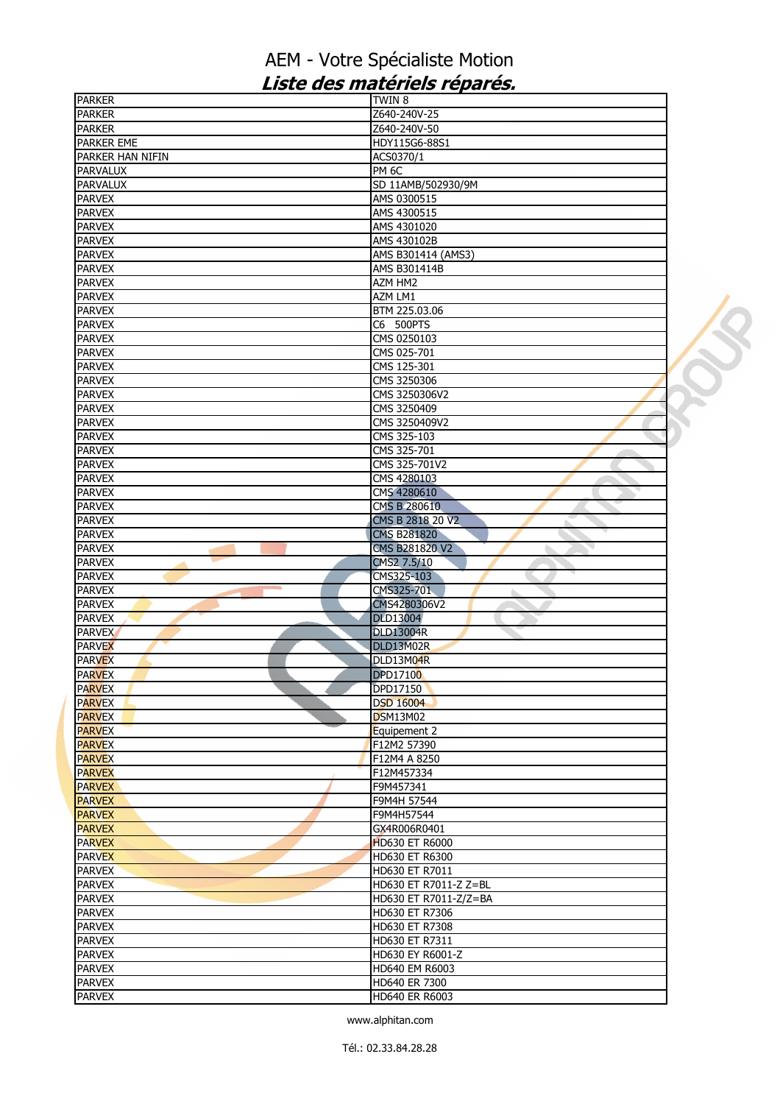| <b>PARKER</b>     | <b>TWIN 8</b>         |  |
|-------------------|-----------------------|--|
| <b>PARKER</b>     | Z640-240V-25          |  |
| <b>PARKER</b>     | Z640-240V-50          |  |
| <b>PARKER EME</b> | HDY115G6-88S1         |  |
| PARKER HAN NIFIN  | ACS0370/1             |  |
| <b>PARVALUX</b>   | PM <sub>6C</sub>      |  |
| <b>PARVALUX</b>   | SD 11AMB/502930/9M    |  |
| <b>PARVEX</b>     | AMS 0300515           |  |
|                   |                       |  |
| <b>PARVEX</b>     | AMS 4300515           |  |
| <b>PARVEX</b>     | AMS 4301020           |  |
| <b>PARVEX</b>     | AMS 430102B           |  |
| <b>PARVEX</b>     | AMS B301414 (AMS3)    |  |
| <b>PARVEX</b>     | AMS B301414B          |  |
| <b>PARVEX</b>     | AZM HM2               |  |
| <b>PARVEX</b>     | AZM LM1               |  |
| <b>PARVEX</b>     | BTM 225.03.06         |  |
| <b>PARVEX</b>     | C6 500PTS             |  |
| <b>PARVEX</b>     | CMS 0250103           |  |
| <b>PARVEX</b>     | CMS 025-701           |  |
|                   |                       |  |
| <b>PARVEX</b>     | CMS 125-301           |  |
| <b>PARVEX</b>     | CMS 3250306           |  |
| <b>PARVEX</b>     | CMS 3250306V2         |  |
| <b>PARVEX</b>     | CMS 3250409           |  |
| <b>PARVEX</b>     | CMS 3250409V2         |  |
| <b>PARVEX</b>     | CMS 325-103           |  |
| <b>PARVEX</b>     | CMS 325-701           |  |
| <b>PARVEX</b>     | CMS 325-701V2         |  |
| <b>PARVEX</b>     | CMS 4280103           |  |
| <b>PARVEX</b>     | CMS 4280610           |  |
| <b>PARVEX</b>     | CMS B 280610          |  |
| <b>PARVEX</b>     | CMS B 2818 20 V2      |  |
|                   |                       |  |
| <b>PARVEX</b>     | <b>CMS B281820</b>    |  |
| <b>PARVEX</b>     | CMS B281820 V2        |  |
| <b>PARVEX</b>     | CMS2 7.5/10           |  |
| <b>PARVEX</b>     | CMS325-103            |  |
| <b>PARVEX</b>     | CMS325-701<br>à.      |  |
| <b>PARVEX</b>     | CMS4280306V2          |  |
| <b>PARVEX</b>     | <b>DLD13004</b>       |  |
| <b>PARVEX</b>     | <b>DLD13004R</b>      |  |
| <b>PARVEX</b>     | DLD13M02R             |  |
| <b>PARVEX</b>     | DLD13M04R             |  |
| <b>PARVEX</b>     | <b>DPD17100</b>       |  |
|                   |                       |  |
| <b>PARVEX</b>     | DPD17150              |  |
| <b>PARVEX</b>     | <b>DSD 16004</b>      |  |
| <b>PARVEX</b>     | <b>DSM13M02</b>       |  |
| <b>PARVEX</b>     | Equipement 2          |  |
| <b>PARVEX</b>     | F12M2 57390           |  |
| <b>PARVEX</b>     | F12M4 A 8250          |  |
| <b>PARVEX</b>     | F12M457334            |  |
| <b>PARVEX</b>     | F9M457341             |  |
| <b>PARVEX</b>     | F9M4H 57544           |  |
| <b>PARVEX</b>     | F9M4H57544            |  |
| <b>PARVEX</b>     | GX4R006R0401          |  |
| <b>PARVEX</b>     | <b>HD630 ET R6000</b> |  |
| <b>PARVEX</b>     | HD630 ET R6300        |  |
|                   |                       |  |
| <b>PARVEX</b>     | HD630 ET R7011        |  |
| <b>PARVEX</b>     | HD630 ET R7011-Z Z=BL |  |
| <b>PARVEX</b>     | HD630 ET R7011-Z/Z=BA |  |
| <b>PARVEX</b>     | HD630 ET R7306        |  |
| <b>PARVEX</b>     | HD630 ET R7308        |  |
| <b>PARVEX</b>     | HD630 ET R7311        |  |
| <b>PARVEX</b>     | HD630 EY R6001-Z      |  |
| <b>PARVEX</b>     | HD640 EM R6003        |  |
| <b>PARVEX</b>     | HD640 ER 7300         |  |
| <b>PARVEX</b>     | HD640 ER R6003        |  |
|                   |                       |  |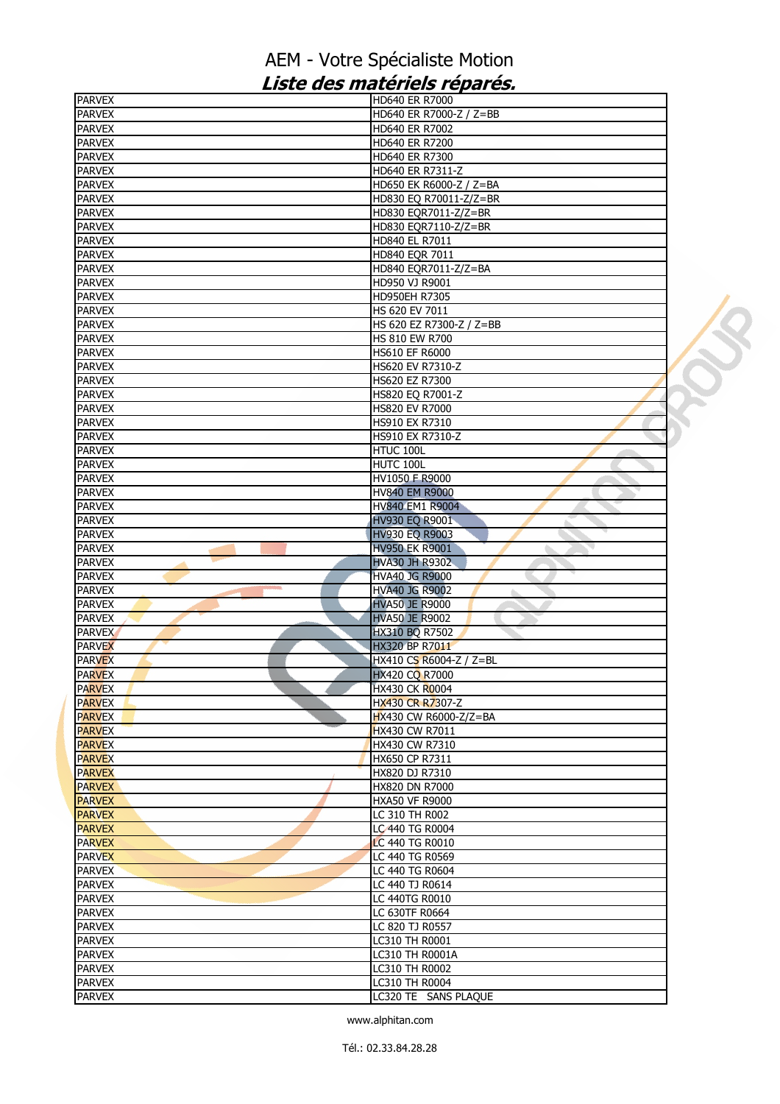| <b>PARVEX</b>                   | HD640 ER R7000                    |  |
|---------------------------------|-----------------------------------|--|
| <b>PARVEX</b>                   | HD640 ER R7000-Z / Z=BB           |  |
| <b>PARVEX</b>                   | HD640 ER R7002                    |  |
| <b>PARVEX</b>                   | HD640 ER R7200                    |  |
| <b>PARVEX</b>                   | HD640 ER R7300                    |  |
| <b>PARVEX</b>                   | HD640 ER R7311-Z                  |  |
| <b>PARVEX</b>                   | HD650 EK R6000-Z / Z=BA           |  |
| <b>PARVEX</b>                   | HD830 EQ R70011-Z/Z=BR            |  |
| <b>PARVEX</b>                   | HD830 EQR7011-Z/Z=BR              |  |
| <b>PARVEX</b>                   | HD830 EQR7110-Z/Z=BR              |  |
| <b>PARVEX</b>                   | HD840 EL R7011                    |  |
| <b>PARVEX</b>                   | HD840 EQR 7011                    |  |
| <b>PARVEX</b>                   | HD840 EQR7011-Z/Z=BA              |  |
| <b>PARVEX</b>                   | HD950 VJ R9001                    |  |
| <b>PARVEX</b>                   | HD950EH R7305                     |  |
| <b>PARVEX</b>                   | HS 620 EV 7011                    |  |
| <b>PARVEX</b>                   | HS 620 EZ R7300-Z / Z=BB          |  |
| <b>PARVEX</b>                   | HS 810 EW R700                    |  |
| <b>PARVEX</b>                   | HS610 EF R6000                    |  |
| <b>PARVEX</b>                   | HS620 EV R7310-Z                  |  |
| <b>PARVEX</b>                   | HS620 EZ R7300                    |  |
| <b>PARVEX</b>                   | HS820 EQ R7001-Z                  |  |
| <b>PARVEX</b>                   | HS820 EV R7000                    |  |
| <b>PARVEX</b>                   | HS910 EX R7310                    |  |
| <b>PARVEX</b>                   | HS910 EX R7310-Z                  |  |
| <b>PARVEX</b>                   | HTUC 100L                         |  |
| <b>PARVEX</b>                   | HUTC 100L                         |  |
| <b>PARVEX</b>                   | HV1050 F R9000                    |  |
| <b>PARVEX</b>                   | <b>HV840 EM R9000</b>             |  |
| <b>PARVEX</b>                   | HV840 EM1 R9004                   |  |
| <b>PARVEX</b>                   | HV930 EQ R9001                    |  |
| <b>PARVEX</b>                   | <b>HV930 EQ R9003</b>             |  |
| <b>PARVEX</b>                   | <b>HV950 EK R9001</b>             |  |
| <b>PARVEX</b>                   | <b>HVA30 JH R9302</b>             |  |
| <b>PARVEX</b>                   | <b>HVA40 JG R9000</b>             |  |
| <b>College</b><br><b>PARVEX</b> | <b>HVA40 JG R9002</b>             |  |
| <b>PARVEX</b>                   | <b>HVA50 JE R9000</b>             |  |
| <b>PARVEX</b>                   |                                   |  |
| <b>PARVEX</b>                   | <b>HVA50 JE R9002</b>             |  |
| <b>PARVEX</b>                   | HX310 BQ R7502                    |  |
|                                 | HX320 BP R7011                    |  |
| <b>PARVEX</b>                   | HX410 CS R6004-Z / Z=BL           |  |
| <b>PARVEX</b>                   | <b>HX420 CO R7000</b>             |  |
| <b>PARVEX</b>                   | <b>HX430 CK R0004</b>             |  |
| <b>PARVEX</b><br><b>PARVEX</b>  | HX430 CR R7307-Z                  |  |
|                                 | HX430 CW R6000-Z/Z=BA             |  |
| <b>PARVEX</b>                   | HX430 CW R7011                    |  |
| <b>PARVEX</b>                   | HX430 CW R7310                    |  |
| <b>PARVEX</b><br><b>PARVEX</b>  | HX650 CP R7311<br>HX820 DJ R7310  |  |
|                                 |                                   |  |
| <b>PARVEX</b>                   | HX820 DN R7000                    |  |
| <b>PARVEX</b><br><b>PARVEX</b>  | <b>HXA50 VF R9000</b>             |  |
|                                 | LC 310 TH R002<br>LC 440 TG R0004 |  |
| <b>PARVEX</b>                   |                                   |  |
| <b>PARVEX</b>                   | LC 440 TG R0010                   |  |
| <b>PARVEX</b>                   | LC 440 TG R0569                   |  |
| <b>PARVEX</b>                   | LC 440 TG R0604                   |  |
| <b>PARVEX</b>                   | LC 440 TJ R0614                   |  |
| <b>PARVEX</b>                   | LC 440TG R0010                    |  |
| <b>PARVEX</b>                   | LC 630TF R0664                    |  |
| <b>PARVEX</b>                   | LC 820 TJ R0557                   |  |
| <b>PARVEX</b>                   | LC310 TH R0001                    |  |
| <b>PARVEX</b>                   | LC310 TH R0001A                   |  |
| <b>PARVEX</b>                   | LC310 TH R0002                    |  |
| <b>PARVEX</b>                   | LC310 TH R0004                    |  |
| <b>PARVEX</b>                   | LC320 TE SANS PLAQUE              |  |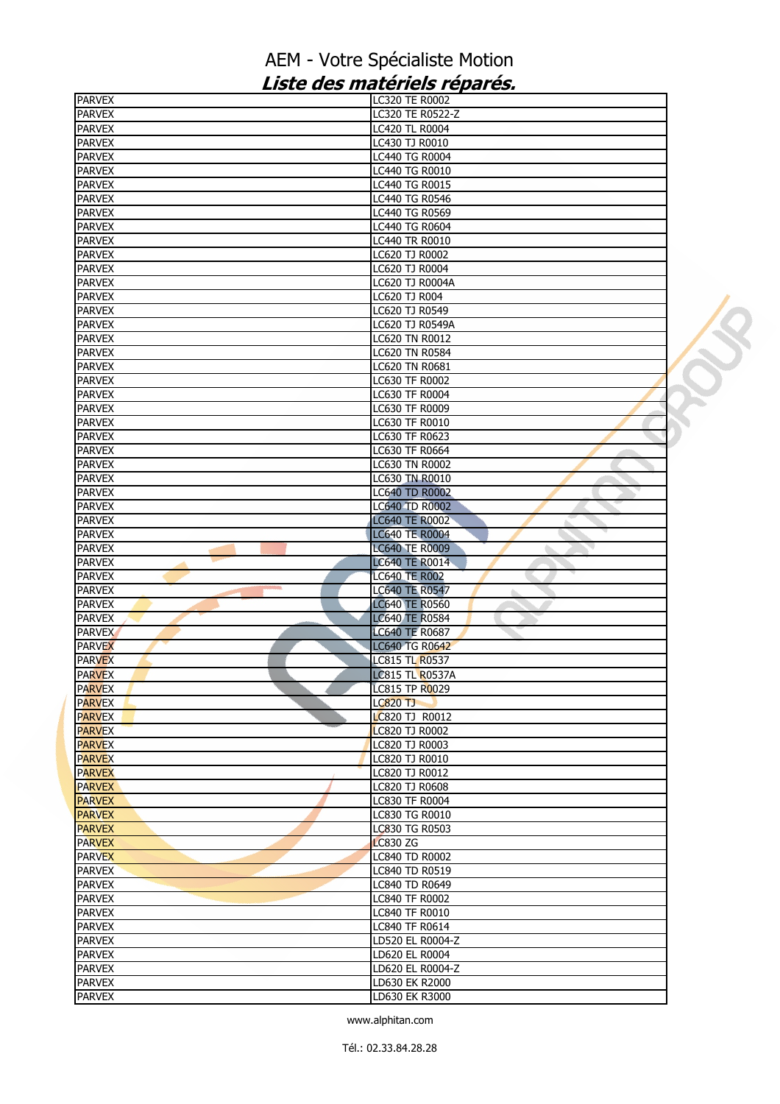| <b>PARVEX</b>                  | LC320 TE R0002                                 |  |
|--------------------------------|------------------------------------------------|--|
| <b>PARVEX</b>                  | LC320 TE R0522-Z                               |  |
| <b>PARVEX</b>                  | LC420 TL R0004                                 |  |
| <b>PARVEX</b>                  | LC430 TJ R0010                                 |  |
| <b>PARVEX</b>                  | LC440 TG R0004                                 |  |
| <b>PARVEX</b>                  | LC440 TG R0010                                 |  |
| <b>PARVEX</b>                  | <b>LC440 TG R0015</b>                          |  |
| <b>PARVEX</b>                  | LC440 TG R0546                                 |  |
| <b>PARVEX</b>                  | <b>LC440 TG R0569</b>                          |  |
| <b>PARVEX</b>                  | LC440 TG R0604                                 |  |
| <b>PARVEX</b>                  | <b>LC440 TR R0010</b>                          |  |
| <b>PARVEX</b>                  | LC620 TJ R0002                                 |  |
| <b>PARVEX</b>                  | LC620 TJ R0004                                 |  |
| <b>PARVEX</b>                  | LC620 TJ R0004A                                |  |
| <b>PARVEX</b>                  | LC620 TJ R004                                  |  |
| <b>PARVEX</b>                  | LC620 TJ R0549                                 |  |
| <b>PARVEX</b>                  | LC620 TJ R0549A                                |  |
| <b>PARVEX</b>                  | LC620 TN R0012                                 |  |
| <b>PARVEX</b>                  | LC620 TN R0584                                 |  |
| <b>PARVEX</b>                  | LC620 TN R0681                                 |  |
| <b>PARVEX</b>                  | LC630 TF R0002                                 |  |
| <b>PARVEX</b>                  | LC630 TF R0004                                 |  |
| <b>PARVEX</b>                  | LC630 TF R0009                                 |  |
| <b>PARVEX</b>                  | LC630 TF R0010                                 |  |
| <b>PARVEX</b>                  | LC630 TF R0623                                 |  |
| <b>PARVEX</b>                  | LC630 TF R0664                                 |  |
| <b>PARVEX</b>                  | LC630 TN R0002                                 |  |
| <b>PARVEX</b>                  | LC630 TN R0010                                 |  |
| <b>PARVEX</b><br><b>PARVEX</b> | <b>LC640 TD R0002</b><br><b>LC640 TD R0002</b> |  |
| <b>PARVEX</b>                  | <b>LC640 TE R0002</b>                          |  |
| <b>PARVEX</b>                  | <b>LC640 TE R0004</b>                          |  |
| <b>PARVEX</b>                  | <b>LC640 TE R0009</b><br>o.                    |  |
| <b>PARVEX</b>                  | <b>LC640 TE R0014</b>                          |  |
| <b>PARVEX</b>                  | <b>LC640 TE R002</b>                           |  |
| <b>PARVEX</b>                  | <b>LC640 TE R0547</b>                          |  |
| <b>PARVEX</b>                  | <b>LC640 TE R0560</b>                          |  |
| <b>PARVEX</b>                  | <b>LC640 TE R0584</b>                          |  |
| <b>PARVEX</b>                  | <b>LC640 TE R0687</b>                          |  |
| <b>PARVEX</b>                  | <b>LC640 TG R0642</b>                          |  |
| <b>PARVEX</b>                  | <b>LC815 TL R0537</b>                          |  |
| <b>PARVEX</b>                  | <b>LC815 TL R0537A</b>                         |  |
| <b>PARVEX</b>                  | LC815 TP R0029                                 |  |
| <b>PARVEX</b>                  | <b>LC820 TJ</b>                                |  |
| <b>PARVEX</b>                  | LC820 TJ R0012                                 |  |
| <b>PARVEX</b>                  | LC820 TJ R0002                                 |  |
| <b>PARVEX</b>                  | LC820 TJ R0003                                 |  |
| <b>PARVEX</b>                  | LC820 TJ R0010                                 |  |
| <b>PARVEX</b>                  | LC820 TJ R0012                                 |  |
| <b>PARVEX</b>                  | LC820 TJ R0608                                 |  |
| <b>PARVEX</b>                  | <b>LC830 TF R0004</b>                          |  |
| <b>PARVEX</b>                  | LC830 TG R0010                                 |  |
| <b>PARVEX</b>                  | LC830 TG R0503                                 |  |
| <b>PARVEX</b>                  | <b>LC830 ZG</b>                                |  |
| <b>PARVEX</b>                  | LC840 TD R0002                                 |  |
| <b>PARVEX</b>                  | LC840 TD R0519                                 |  |
| <b>PARVEX</b>                  | LC840 TD R0649                                 |  |
| <b>PARVEX</b>                  | LC840 TF R0002                                 |  |
| <b>PARVEX</b>                  | LC840 TF R0010                                 |  |
| <b>PARVEX</b>                  | LC840 TF R0614                                 |  |
| <b>PARVEX</b><br><b>PARVEX</b> | LD520 EL R0004-Z<br>LD620 EL R0004             |  |
| <b>PARVEX</b>                  | LD620 EL R0004-Z                               |  |
| <b>PARVEX</b>                  | LD630 EK R2000                                 |  |
| <b>PARVEX</b>                  | LD630 EK R3000                                 |  |
|                                |                                                |  |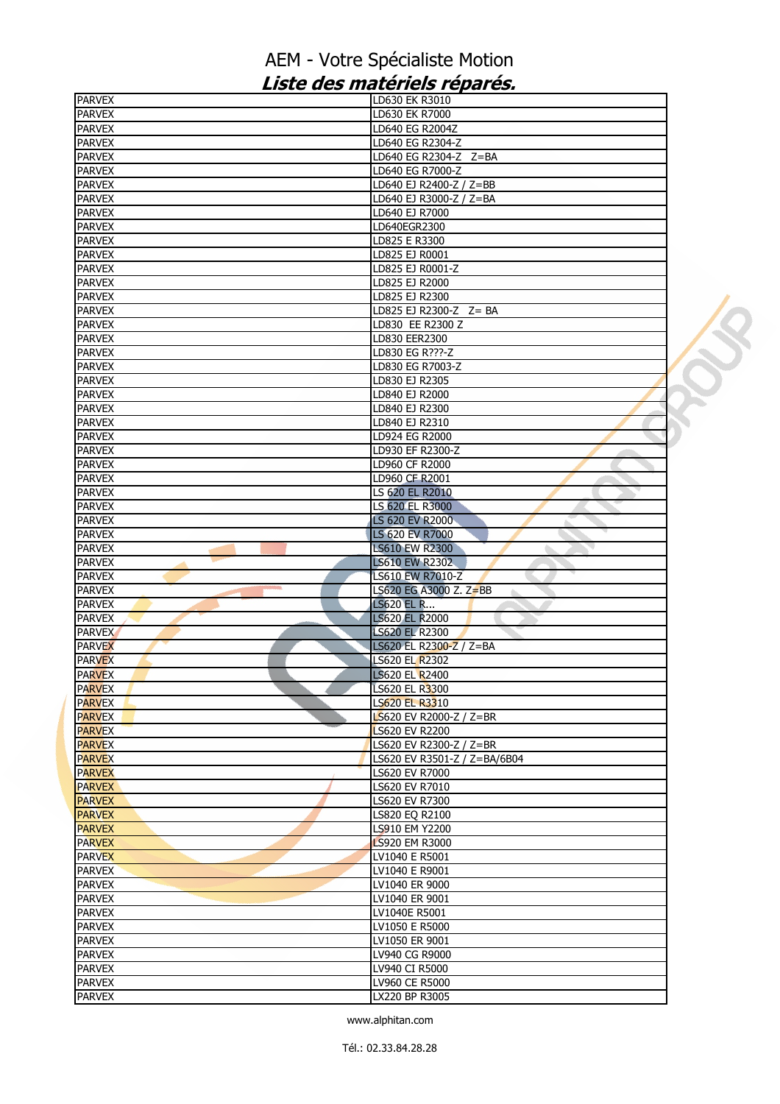| <b>PARVEX</b>                  | LD630 EK R3010                   |  |
|--------------------------------|----------------------------------|--|
| <b>PARVEX</b>                  | LD630 EK R7000                   |  |
| <b>PARVEX</b>                  | LD640 EG R2004Z                  |  |
| <b>PARVEX</b>                  | LD640 EG R2304-Z                 |  |
| <b>PARVEX</b>                  | LD640 EG R2304-Z Z=BA            |  |
| <b>PARVEX</b>                  | LD640 EG R7000-Z                 |  |
| <b>PARVEX</b>                  | LD640 EJ R2400-Z / Z=BB          |  |
| <b>PARVEX</b>                  | LD640 EJ R3000-Z / Z=BA          |  |
| <b>PARVEX</b>                  | LD640 EJ R7000                   |  |
| <b>PARVEX</b>                  | LD640EGR2300                     |  |
| <b>PARVEX</b>                  | LD825 E R3300                    |  |
| <b>PARVEX</b>                  | LD825 EJ R0001                   |  |
| <b>PARVEX</b>                  | LD825 EJ R0001-Z                 |  |
| <b>PARVEX</b>                  | LD825 EJ R2000                   |  |
| <b>PARVEX</b>                  | LD825 EJ R2300                   |  |
| <b>PARVEX</b>                  | LD825 EJ R2300-Z Z= BA           |  |
| <b>PARVEX</b>                  | LD830 EE R2300 Z                 |  |
| <b>PARVEX</b>                  | LD830 EER2300                    |  |
| <b>PARVEX</b>                  | LD830 EG R???-Z                  |  |
| <b>PARVEX</b>                  | LD830 EG R7003-Z                 |  |
| <b>PARVEX</b>                  | LD830 EJ R2305                   |  |
| <b>PARVEX</b>                  | LD840 EJ R2000                   |  |
| <b>PARVEX</b>                  | LD840 EJ R2300                   |  |
|                                |                                  |  |
| <b>PARVEX</b>                  | LD840 EJ R2310                   |  |
| <b>PARVEX</b>                  | LD924 EG R2000                   |  |
| <b>PARVEX</b>                  | LD930 EF R2300-Z                 |  |
| <b>PARVEX</b>                  | LD960 CF R2000                   |  |
| <b>PARVEX</b>                  | LD960 CF R2001                   |  |
| <b>PARVEX</b>                  | LS 620 EL R2010                  |  |
| <b>PARVEX</b>                  | LS 620 EL R3000                  |  |
| <b>PARVEX</b>                  | LS 620 EV R2000                  |  |
| <b>PARVEX</b>                  | LS 620 EV R7000                  |  |
|                                |                                  |  |
| <b>PARVEX</b>                  | <b>LS610 EW R2300</b>            |  |
| <b>PARVEX</b>                  | <b>LS610 EW R2302</b>            |  |
| <b>PARVEX</b>                  | LS610 EW R7010-Z                 |  |
| <b>COLOR</b><br><b>PARVEX</b>  | LS620 EG A3000 Z. Z=BB           |  |
| <b>PARVEX</b>                  | <b>LS620 EL R</b>                |  |
| <b>PARVEX</b>                  | <b>LS620 EL R2000</b>            |  |
| <b>PARVEX</b>                  | <b>LS620 EL R2300</b>            |  |
| <b>PARVEX</b>                  | LS620 EL R2300-Z / Z=BA          |  |
| <b>PARVEX</b>                  | LS620 EL R2302                   |  |
|                                | <b>LS620 EL R2400</b>            |  |
| <b>PARVEX</b>                  | <b>LS620 EL R3300</b>            |  |
| <b>PARVEX</b>                  |                                  |  |
| <b>PARVEX</b><br><b>PARVEX</b> | LS620 EL R3310                   |  |
|                                | <b>LS620 EV R2000-Z / Z=BR</b>   |  |
| <b>PARVEX</b>                  | <b>LS620 EV R2200</b>            |  |
| <b>PARVEX</b>                  | LS620 EV R2300-Z / Z=BR          |  |
| <b>PARVEX</b>                  | LS620 EV R3501-Z / Z=BA/6B04     |  |
| <b>PARVEX</b>                  | LS620 EV R7000                   |  |
| <b>PARVEX</b>                  | LS620 EV R7010                   |  |
| <b>PARVEX</b>                  | LS620 EV R7300                   |  |
| <b>PARVEX</b>                  | LS820 EQ R2100                   |  |
| <b>PARVEX</b>                  | LS910 EM Y2200                   |  |
| <b>PARVEX</b>                  | LS920 EM R3000                   |  |
| <b>PARVEX</b>                  | LV1040 E R5001                   |  |
| <b>PARVEX</b>                  | LV1040 E R9001                   |  |
| <b>PARVEX</b>                  | LV1040 ER 9000                   |  |
| <b>PARVEX</b>                  | LV1040 ER 9001                   |  |
| <b>PARVEX</b>                  | LV1040E R5001                    |  |
| <b>PARVEX</b>                  | LV1050 E R5000                   |  |
| <b>PARVEX</b>                  | LV1050 ER 9001                   |  |
| <b>PARVEX</b>                  | LV940 CG R9000                   |  |
| <b>PARVEX</b>                  | LV940 CI R5000                   |  |
| <b>PARVEX</b><br><b>PARVEX</b> | LV960 CE R5000<br>LX220 BP R3005 |  |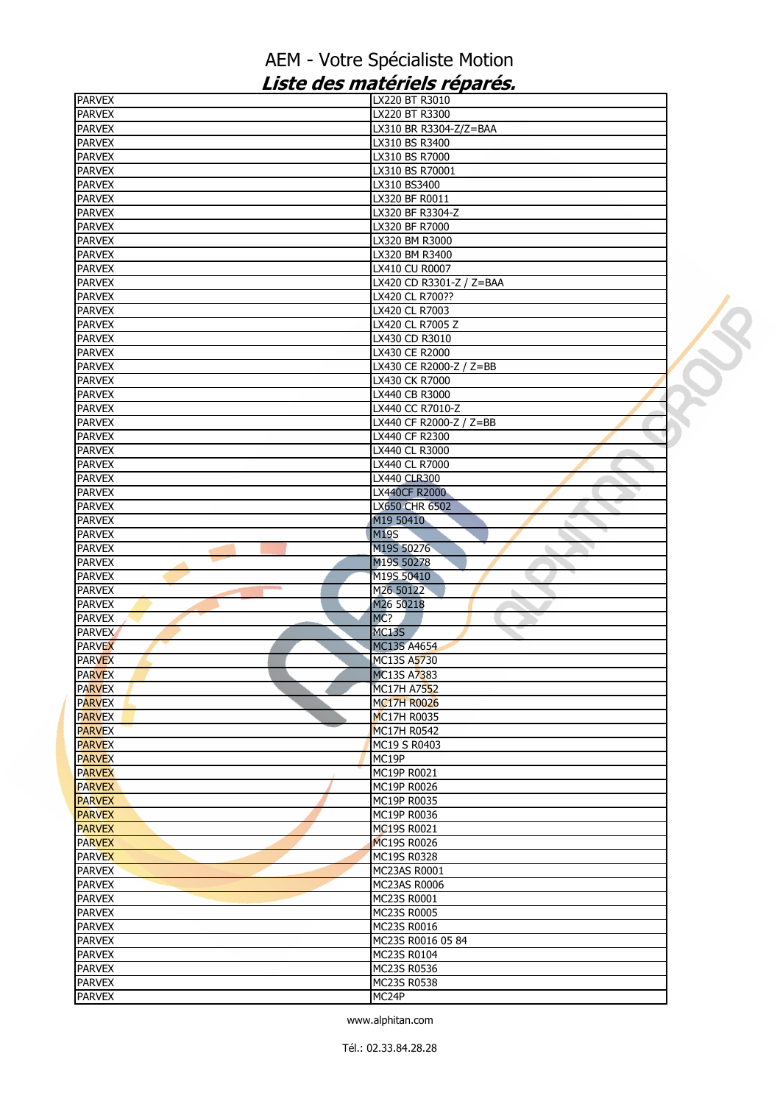| <b>PARVEX</b>                  | LX220 BT R3010             |  |
|--------------------------------|----------------------------|--|
| <b>PARVEX</b>                  | LX220 BT R3300             |  |
| <b>PARVEX</b>                  | LX310 BR R3304-Z/Z=BAA     |  |
| <b>PARVEX</b>                  | LX310 BS R3400             |  |
| <b>PARVEX</b>                  | LX310 BS R7000             |  |
| <b>PARVEX</b>                  | LX310 BS R70001            |  |
| <b>PARVEX</b>                  | LX310 BS3400               |  |
| <b>PARVEX</b>                  | LX320 BF R0011             |  |
| <b>PARVEX</b>                  | LX320 BF R3304-Z           |  |
| <b>PARVEX</b>                  | LX320 BF R7000             |  |
| <b>PARVEX</b>                  | LX320 BM R3000             |  |
| <b>PARVEX</b>                  | LX320 BM R3400             |  |
| <b>PARVEX</b>                  | LX410 CU R0007             |  |
| <b>PARVEX</b>                  | LX420 CD R3301-Z / Z=BAA   |  |
| <b>PARVEX</b>                  | LX420 CL R700??            |  |
| <b>PARVEX</b>                  | LX420 CL R7003             |  |
| <b>PARVEX</b>                  | LX420 CL R7005 Z           |  |
| <b>PARVEX</b>                  | LX430 CD R3010             |  |
| <b>PARVEX</b>                  | LX430 CE R2000             |  |
| <b>PARVEX</b>                  | LX430 CE R2000-Z / Z=BB    |  |
| <b>PARVEX</b>                  | LX430 CK R7000             |  |
| <b>PARVEX</b>                  | LX440 CB R3000             |  |
| <b>PARVEX</b>                  | LX440 CC R7010-Z           |  |
| <b>PARVEX</b>                  | LX440 CF R2000-Z / Z=BB    |  |
| <b>PARVEX</b>                  | LX440 CF R2300             |  |
| <b>PARVEX</b>                  | LX440 CL R3000             |  |
| <b>PARVEX</b>                  | LX440 CL R7000             |  |
| <b>PARVEX</b>                  | LX440 CLR300               |  |
| <b>PARVEX</b>                  | <b>LX440CF R2000</b>       |  |
| <b>PARVEX</b>                  | LX650 CHR 6502             |  |
| <b>PARVEX</b><br><b>PARVEX</b> | M19 50410<br><b>M19S</b>   |  |
| <b>PARVEX</b>                  | M19S 50276                 |  |
| <b>PARVEX</b>                  | M19S 50278                 |  |
| <b>PARVEX</b>                  | M19S 50410                 |  |
| <b>PARVEX</b>                  | M26 50122                  |  |
| <b>PARVEX</b>                  | M26 50218                  |  |
| <b>PARVEX</b>                  | MC?                        |  |
| <b>PARVEX</b>                  | MC <sub>13</sub> S         |  |
| <b>PARVEX</b>                  | <b>MC13S A4654</b>         |  |
| <b>PARVEX</b>                  | MC13S A5730                |  |
| <b>PARVEX</b>                  | <b>MC13S A7383</b>         |  |
| <b>PARVEX</b>                  | MC17H A7552                |  |
| <b>PARVEX</b>                  | <b>MC17H R0026</b>         |  |
| <b>PARVEX</b>                  | <b>MC17H R0035</b>         |  |
| <b>PARVEX</b>                  | <b>MC17H R0542</b>         |  |
| <b>PARVEX</b>                  | MC19 S R0403               |  |
| <b>PARVEX</b>                  | MC19P                      |  |
| <b>PARVEX</b>                  | MC19P R0021                |  |
| <b>PARVEX</b>                  | MC19P R0026                |  |
| <b>PARVEX</b>                  | MC19P R0035                |  |
| <b>PARVEX</b>                  | MC19P R0036                |  |
| <b>PARVEX</b>                  | MC19S R0021                |  |
| <b>PARVEX</b>                  | <b>MC19S R0026</b>         |  |
| <b>PARVEX</b>                  | MC19S R0328                |  |
| <b>PARVEX</b>                  | MC23AS R0001               |  |
| <b>PARVEX</b>                  | MC23AS R0006               |  |
| <b>PARVEX</b>                  | MC23S R0001                |  |
| <b>PARVEX</b>                  | MC23S R0005                |  |
| <b>PARVEX</b>                  | MC23S R0016                |  |
| <b>PARVEX</b>                  | MC23S R0016 05 84          |  |
| <b>PARVEX</b>                  | MC23S R0104                |  |
| <b>PARVEX</b>                  | MC23S R0536<br>MC23S R0538 |  |
| <b>PARVEX</b><br><b>PARVEX</b> | MC24P                      |  |
|                                |                            |  |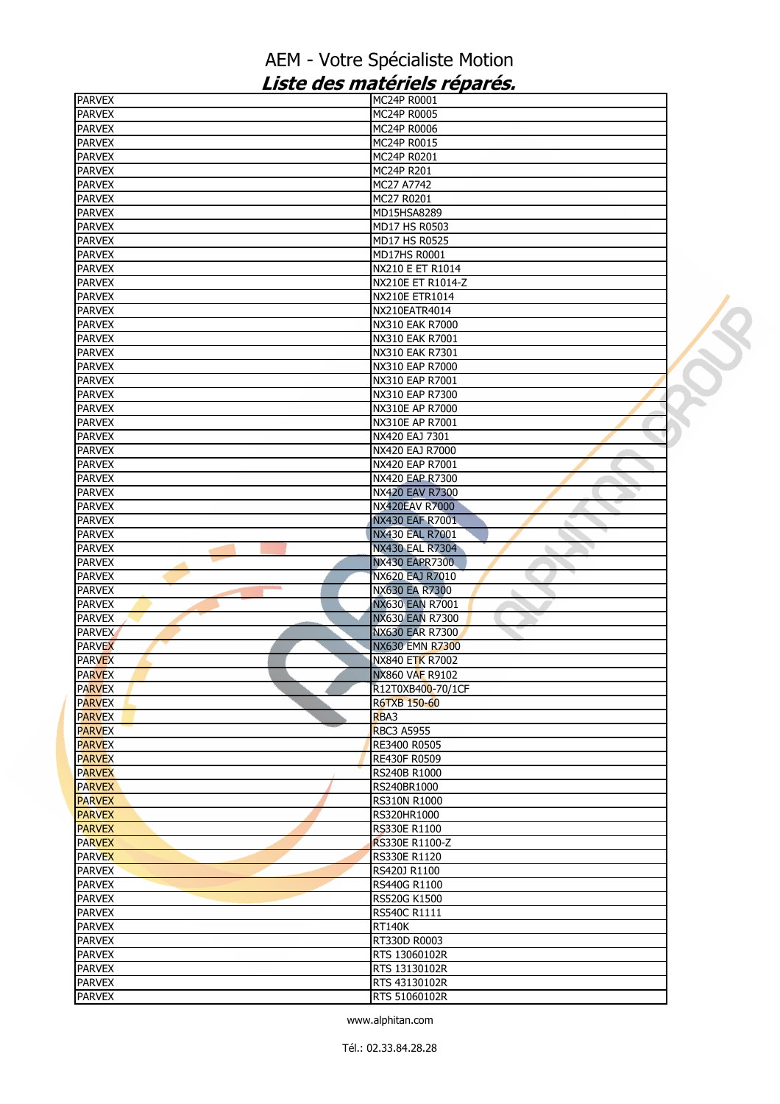| <b>PARVEX</b>                  | MC24P R0001                               |  |
|--------------------------------|-------------------------------------------|--|
| <b>PARVEX</b>                  | MC24P R0005                               |  |
| <b>PARVEX</b>                  | MC24P R0006                               |  |
| <b>PARVEX</b>                  | MC24P R0015                               |  |
| <b>PARVEX</b>                  | MC24P R0201                               |  |
| <b>PARVEX</b>                  | MC24P R201                                |  |
| <b>PARVEX</b>                  | MC27 A7742                                |  |
| <b>PARVEX</b>                  | MC27 R0201                                |  |
| <b>PARVEX</b>                  | MD15HSA8289                               |  |
| <b>PARVEX</b>                  | MD17 HS R0503                             |  |
| <b>PARVEX</b>                  | MD17 HS R0525                             |  |
| <b>PARVEX</b>                  | MD17HS R0001                              |  |
| <b>PARVEX</b>                  | NX210 E ET R1014                          |  |
| <b>PARVEX</b>                  | NX210E ET R1014-Z                         |  |
| <b>PARVEX</b>                  | NX210E ETR1014                            |  |
| <b>PARVEX</b>                  | NX210EATR4014                             |  |
| <b>PARVEX</b>                  | NX310 EAK R7000                           |  |
| <b>PARVEX</b>                  | NX310 EAK R7001                           |  |
| <b>PARVEX</b>                  | NX310 EAK R7301                           |  |
| <b>PARVEX</b>                  | NX310 EAP R7000                           |  |
| <b>PARVEX</b>                  | NX310 EAP R7001                           |  |
| <b>PARVEX</b>                  | NX310 EAP R7300                           |  |
| <b>PARVEX</b>                  | NX310E AP R7000                           |  |
| <b>PARVEX</b>                  | NX310E AP R7001                           |  |
| <b>PARVEX</b>                  | NX420 EAJ 7301                            |  |
| <b>PARVEX</b>                  | NX420 EAJ R7000                           |  |
| <b>PARVEX</b>                  | NX420 EAP R7001                           |  |
| <b>PARVEX</b>                  | NX420 EAP R7300                           |  |
| <b>PARVEX</b>                  | NX420 EAV R7300                           |  |
| <b>PARVEX</b>                  | <b>NX420EAV R7000</b>                     |  |
| <b>PARVEX</b><br><b>PARVEX</b> | NX430 EAF R7001<br><b>NX430 EAL R7001</b> |  |
| <b>PARVEX</b>                  | <b>NX430 EAL R7304</b>                    |  |
| <b>PARVEX</b>                  | <b>NX430 EAPR7300</b>                     |  |
| <b>PARVEX</b>                  | NX620 EAJ R7010                           |  |
| <b>PARVEX</b>                  | NX630 EA R7300                            |  |
| <b>PARVEX</b>                  | <b>NX630 EAN R7001</b>                    |  |
| <b>PARVEX</b>                  | <b>NX630 EAN R7300</b>                    |  |
| <b>PARVEX</b>                  | NX630 EAR R7300                           |  |
| <b>PARVEX</b>                  | NX630 EMN R7300                           |  |
| <b>PARVEX</b>                  | <b>NX840 ETK R7002</b>                    |  |
| <b>PARVEX</b>                  | <b>NX860 VAF R9102</b>                    |  |
| <b>PARVEX</b>                  | R12T0XB400-70/1CF                         |  |
| <b>PARVEX</b>                  | <b>R6TXB 150-60</b>                       |  |
| <b>PARVEX</b>                  | RBA3                                      |  |
| <b>PARVEX</b>                  | <b>RBC3 A5955</b>                         |  |
| <b>PARVEX</b>                  | RE3400 R0505                              |  |
| <b>PARVEX</b>                  | RE430F R0509                              |  |
| <b>PARVEX</b>                  | RS240B R1000                              |  |
| <b>PARVEX</b>                  | RS240BR1000                               |  |
| <b>PARVEX</b>                  | <b>RS310N R1000</b>                       |  |
| <b>PARVEX</b>                  | RS320HR1000                               |  |
| <b>PARVEX</b>                  | <b>RS330E R1100</b>                       |  |
| <b>PARVEX</b>                  | RS330E R1100-Z                            |  |
| <b>PARVEX</b>                  | RS330E R1120                              |  |
| <b>PARVEX</b>                  | RS420J R1100                              |  |
| <b>PARVEX</b>                  | RS440G R1100                              |  |
| <b>PARVEX</b>                  | RS520G K1500                              |  |
| <b>PARVEX</b>                  | RS540C R1111                              |  |
| <b>PARVEX</b>                  | <b>RT140K</b>                             |  |
| <b>PARVEX</b>                  | RT330D R0003                              |  |
| <b>PARVEX</b>                  | RTS 13060102R                             |  |
| <b>PARVEX</b>                  | RTS 13130102R                             |  |
| <b>PARVEX</b>                  | RTS 43130102R                             |  |
| <b>PARVEX</b>                  | RTS 51060102R                             |  |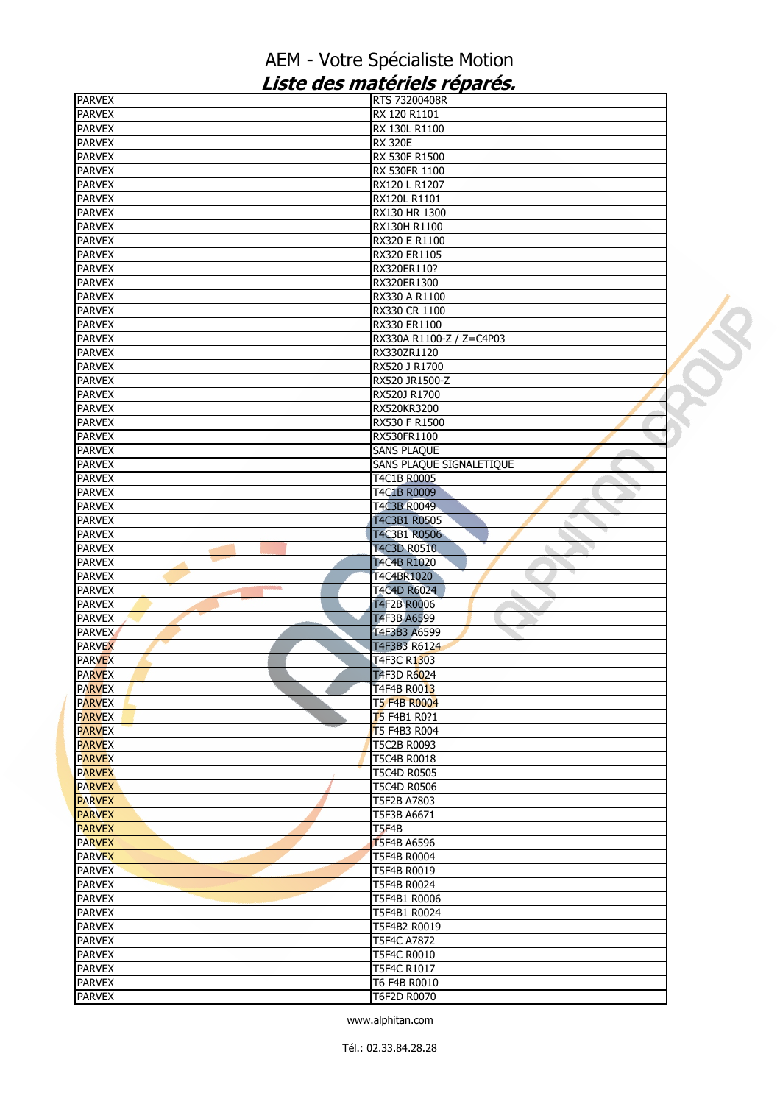| <b>PARVEX</b>                  | RTS 73200408R               |  |
|--------------------------------|-----------------------------|--|
| <b>PARVEX</b>                  | RX 120 R1101                |  |
| <b>PARVEX</b>                  | RX 130L R1100               |  |
| <b>PARVEX</b>                  | <b>RX 320E</b>              |  |
| <b>PARVEX</b>                  | RX 530F R1500               |  |
| <b>PARVEX</b>                  | RX 530FR 1100               |  |
| <b>PARVEX</b>                  | RX120 L R1207               |  |
| <b>PARVEX</b>                  | RX120L R1101                |  |
| <b>PARVEX</b>                  | RX130 HR 1300               |  |
| <b>PARVEX</b>                  | RX130H R1100                |  |
| <b>PARVEX</b>                  | RX320 E R1100               |  |
| <b>PARVEX</b>                  | RX320 ER1105                |  |
| <b>PARVEX</b>                  | RX320ER110?                 |  |
| <b>PARVEX</b>                  | RX320ER1300                 |  |
| <b>PARVEX</b>                  | RX330 A R1100               |  |
| <b>PARVEX</b>                  | RX330 CR 1100               |  |
| <b>PARVEX</b>                  | RX330 ER1100                |  |
| <b>PARVEX</b>                  | RX330A R1100-Z / Z=C4P03    |  |
| <b>PARVEX</b>                  | RX330ZR1120                 |  |
| <b>PARVEX</b>                  | RX520 J R1700               |  |
| <b>PARVEX</b>                  | RX520 JR1500-Z              |  |
| <b>PARVEX</b>                  | RX520J R1700                |  |
| <b>PARVEX</b>                  | RX520KR3200                 |  |
| <b>PARVEX</b>                  | RX530 F R1500               |  |
| <b>PARVEX</b>                  | RX530FR1100                 |  |
| <b>PARVEX</b>                  | <b>SANS PLAQUE</b>          |  |
| <b>PARVEX</b>                  | SANS PLAQUE SIGNALETIQUE    |  |
| <b>PARVEX</b>                  | T4C1B R0005                 |  |
| <b>PARVEX</b>                  | T4C1B R0009                 |  |
| <b>PARVEX</b>                  | T4C3B R0049                 |  |
| <b>PARVEX</b>                  | T4C3B1 R0505                |  |
| <b>PARVEX</b><br><b>PARVEX</b> | T4C3B1 R0506<br>T4C3D R0510 |  |
| <b>PARVEX</b>                  | T4C4B R1020                 |  |
| <b>PARVEX</b>                  | T4C4BR1020                  |  |
| <b>PARVEX</b>                  | T4C4D R6024                 |  |
| <b>PARVEX</b>                  | T4F2B R0006                 |  |
| <b>PARVEX</b>                  | T4F3B A6599                 |  |
| <b>PARVEX</b>                  | T4F3B3 A6599                |  |
| <b>PARVEX</b>                  | T4F3B3 R6124                |  |
| <b>PARVEX</b>                  | T4F3C R1303                 |  |
| <b>PARVEX</b>                  | T4F3D R6024                 |  |
| <b>PARVEX</b>                  | T4F4B R0013                 |  |
| <b>PARVEX</b>                  | <b>T5 F4B R0004</b>         |  |
| <b>PARVEX</b>                  | <b>T</b> 5 F4B1 R0?1        |  |
| <b>PARVEX</b>                  | T5 F4B3 R004                |  |
| <b>PARVEX</b>                  | T5C2B R0093                 |  |
| <b>PARVEX</b>                  | T5C4B R0018                 |  |
| <b>PARVEX</b>                  | <b>T5C4D R0505</b>          |  |
| <b>PARVEX</b>                  | T5C4D R0506                 |  |
| <b>PARVEX</b>                  | T5F2B A7803                 |  |
| <b>PARVEX</b>                  | T5F3B A6671                 |  |
| <b>PARVEX</b>                  | T <sub>5F4B</sub>           |  |
| <b>PARVEX</b>                  | <b>T5F4B A6596</b>          |  |
| <b>PARVEX</b>                  | T5F4B R0004                 |  |
| <b>PARVEX</b>                  | T5F4B R0019                 |  |
| <b>PARVEX</b>                  | T5F4B R0024                 |  |
| <b>PARVEX</b>                  | T5F4B1 R0006                |  |
| <b>PARVEX</b>                  | T5F4B1 R0024                |  |
| <b>PARVEX</b>                  | T5F4B2 R0019                |  |
| <b>PARVEX</b>                  | T5F4C A7872                 |  |
| <b>PARVEX</b>                  | <b>T5F4C R0010</b>          |  |
| <b>PARVEX</b>                  | T5F4C R1017                 |  |
| <b>PARVEX</b>                  | T6 F4B R0010                |  |
| <b>PARVEX</b>                  | T6F2D R0070                 |  |
|                                |                             |  |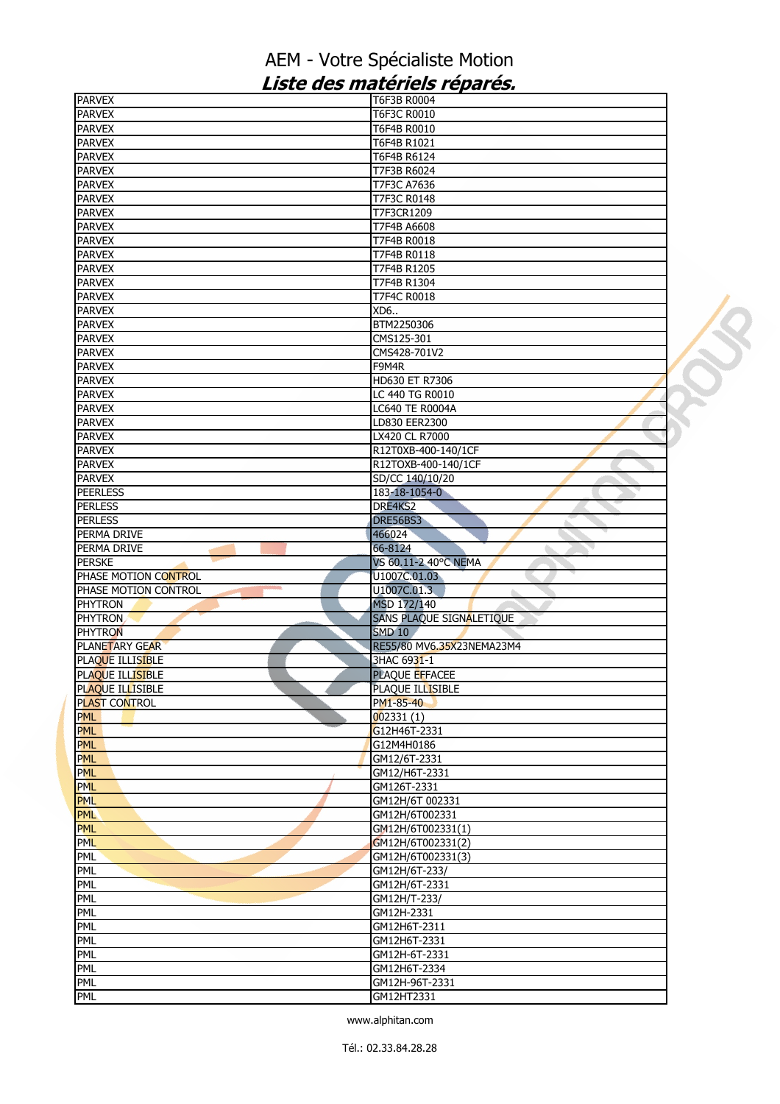| <b>PARVEX</b>         | T6F3B R0004               |  |
|-----------------------|---------------------------|--|
| <b>PARVEX</b>         | T6F3C R0010               |  |
| <b>PARVEX</b>         | T6F4B R0010               |  |
| <b>PARVEX</b>         | T6F4B R1021               |  |
| <b>PARVEX</b>         | T6F4B R6124               |  |
| <b>PARVEX</b>         | T7F3B R6024               |  |
| <b>PARVEX</b>         | T7F3C A7636               |  |
| <b>PARVEX</b>         | T7F3C R0148               |  |
| <b>PARVEX</b>         | T7F3CR1209                |  |
| <b>PARVEX</b>         | T7F4B A6608               |  |
| <b>PARVEX</b>         | T7F4B R0018               |  |
| <b>PARVEX</b>         | T7F4B R0118               |  |
| <b>PARVEX</b>         | T7F4B R1205               |  |
| <b>PARVEX</b>         | T7F4B R1304               |  |
| <b>PARVEX</b>         | T7F4C R0018               |  |
| <b>PARVEX</b>         | XD6                       |  |
| <b>PARVEX</b>         | BTM2250306                |  |
| <b>PARVEX</b>         | CMS125-301                |  |
| <b>PARVEX</b>         | CMS428-701V2              |  |
| <b>PARVEX</b>         | F9M4R                     |  |
| <b>PARVEX</b>         | HD630 ET R7306            |  |
| <b>PARVEX</b>         | LC 440 TG R0010           |  |
| <b>PARVEX</b>         | LC640 TE R0004A           |  |
| <b>PARVEX</b>         | LD830 EER2300             |  |
| <b>PARVEX</b>         | LX420 CL R7000            |  |
| <b>PARVEX</b>         | R12T0XB-400-140/1CF       |  |
| <b>PARVEX</b>         | R12TOXB-400-140/1CF       |  |
| <b>PARVEX</b>         | SD/CC 140/10/20           |  |
| <b>PEERLESS</b>       | 183-18-1054-0             |  |
| <b>PERLESS</b>        | DRE4KS2                   |  |
| <b>PERLESS</b>        | DRE56BS3                  |  |
| PERMA DRIVE           | 466024                    |  |
| PERMA DRIVE           | 66-8124                   |  |
| <b>PERSKE</b>         | VS 60.11-2 40°C NEMA      |  |
| PHASE MOTION CONTROL  | U1007C.01.03              |  |
| PHASE MOTION CONTROL  | U1007C.01.3<br>ь          |  |
| <b>PHYTRON</b>        | MSD 172/140               |  |
| <b>PHYTRON</b>        | SANS PLAQUE SIGNALETIQUE  |  |
| <b>PHYTRON</b>        | <b>SMD 10</b>             |  |
| <b>PLANETARY GEAR</b> | RE55/80 MV6.35X23NEMA23M4 |  |
| PLAQUE ILLISIBLE      | 3HAC 6931-1               |  |
| PLAQUE ILLISIBLE      | <b>PLAQUE EFFACEE</b>     |  |
| PLAQUE ILLISIBLE      | PLAQUE ILLISIBLE          |  |
| PLAST CONTROL         | PM1-85-40                 |  |
| <b>PML</b>            | 002331(1)                 |  |
| <b>PML</b>            | G12H46T-2331              |  |
| <b>PML</b>            | G12M4H0186                |  |
| <b>PML</b>            | GM12/6T-2331              |  |
| <b>PML</b>            | GM12/H6T-2331             |  |
| PML                   | GM126T-2331               |  |
| <b>PML</b>            | GM12H/6T 002331           |  |
| <b>PML</b>            | GM12H/6T002331            |  |
| <b>PML</b>            | GM12H/6T002331(1)         |  |
| <b>PML</b>            | GM12H/6T002331(2)         |  |
| PML                   | GM12H/6T002331(3)         |  |
| <b>PML</b>            | GM12H/6T-233/             |  |
| <b>PML</b>            | GM12H/6T-2331             |  |
| PML                   | GM12H/T-233/              |  |
| PML                   | GM12H-2331                |  |
| <b>PML</b>            | GM12H6T-2311              |  |
| PML                   | GM12H6T-2331              |  |
| PML                   | GM12H-6T-2331             |  |
| PML                   | GM12H6T-2334              |  |
| PML                   | GM12H-96T-2331            |  |
| <b>PML</b>            | GM12HT2331                |  |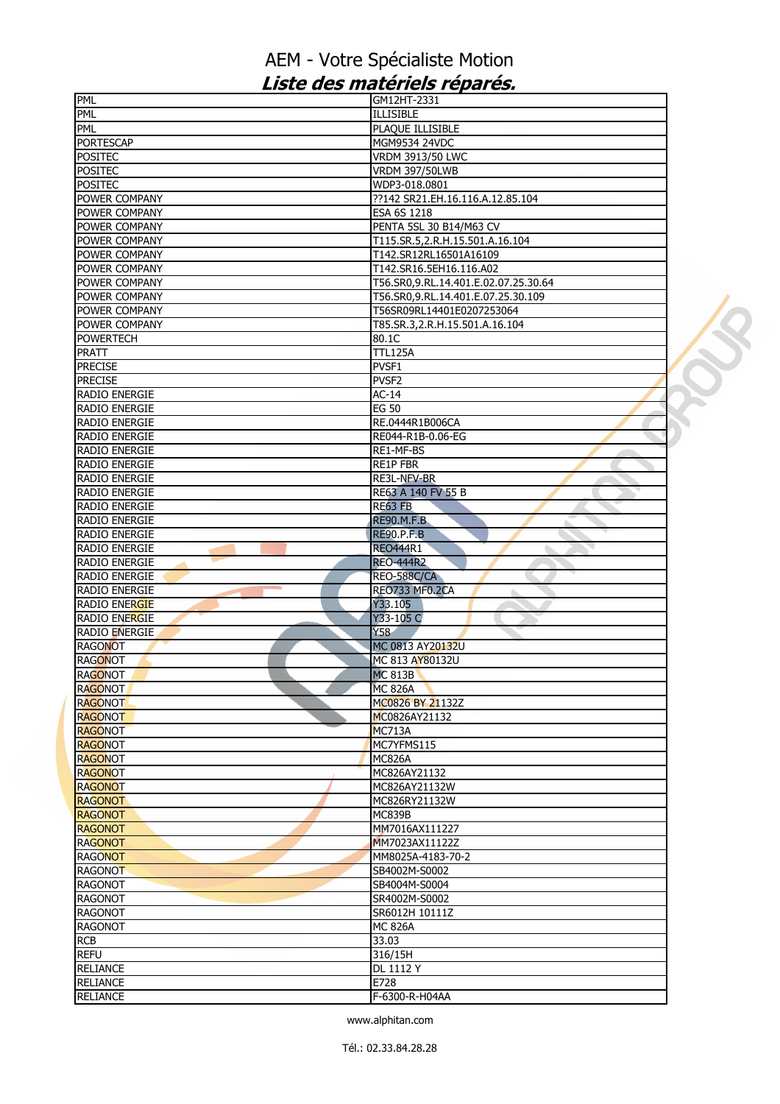| PML                  | GM12HT-2331                          |  |
|----------------------|--------------------------------------|--|
| PML                  | <b>ILLISIBLE</b>                     |  |
| PML                  | PLAQUE ILLISIBLE                     |  |
| <b>PORTESCAP</b>     | MGM9534 24VDC                        |  |
| <b>POSITEC</b>       | VRDM 3913/50 LWC                     |  |
| <b>POSITEC</b>       | <b>VRDM 397/50LWB</b>                |  |
| <b>POSITEC</b>       | WDP3-018.0801                        |  |
| POWER COMPANY        | ??142 SR21.EH.16.116.A.12.85.104     |  |
| POWER COMPANY        | ESA 6S 1218                          |  |
| POWER COMPANY        | PENTA 5SL 30 B14/M63 CV              |  |
| POWER COMPANY        | T115.SR.5,2.R.H.15.501.A.16.104      |  |
| POWER COMPANY        |                                      |  |
|                      | T142.SR12RL16501A16109               |  |
| POWER COMPANY        | T142.SR16.5EH16.116.A02              |  |
| POWER COMPANY        | T56.SR0,9.RL.14.401.E.02.07.25.30.64 |  |
| POWER COMPANY        | T56.SR0, 9.RL.14.401.E.07.25.30.109  |  |
| POWER COMPANY        | T56SR09RL14401E0207253064            |  |
| POWER COMPANY        | T85.SR.3,2.R.H.15.501.A.16.104       |  |
| <b>POWERTECH</b>     | 80.1C                                |  |
| PRATT                | <b>TTL125A</b>                       |  |
| <b>PRECISE</b>       | PVSF1                                |  |
| <b>PRECISE</b>       | PVSF2                                |  |
| <b>RADIO ENERGIE</b> | $AC-14$                              |  |
| <b>RADIO ENERGIE</b> | <b>EG 50</b>                         |  |
| <b>RADIO ENERGIE</b> | RE.0444R1B006CA                      |  |
| <b>RADIO ENERGIE</b> | RE044-R1B-0.06-EG                    |  |
|                      |                                      |  |
| <b>RADIO ENERGIE</b> | RE1-MF-BS                            |  |
| RADIO ENERGIE        | <b>RE1P FBR</b>                      |  |
| RADIO ENERGIE        | RE3L-NFV-BR                          |  |
| RADIO ENERGIE        | RE63 A 140 FV 55 B                   |  |
| <b>RADIO ENERGIE</b> | RE63 FB                              |  |
| <b>RADIO ENERGIE</b> | <b>RE90.M.F.B</b>                    |  |
| RADIO ENERGIE        | <b>RE90.P.F.B</b>                    |  |
| <b>RADIO ENERGIE</b> | RE0444R1                             |  |
| RADIO ENERGIE        | <b>REO-444R2</b>                     |  |
| RADIO ENERGIE        | REO-588C/CA                          |  |
| RADIO ENERGIE        | REO733 MF0.2CA                       |  |
| <b>RADIO ENERGIE</b> | Y33.105                              |  |
| <b>RADIO ENERGIE</b> | Y33-105 C                            |  |
| <b>RADIO ENERGIE</b> | Y58                                  |  |
| <b>RAGONOT</b>       | MC 0813 AY20132U                     |  |
| <b>RAGONOT</b>       | MC 813 AY80132U                      |  |
|                      |                                      |  |
| <b>RAGONOT</b>       | <b>MC 813B</b>                       |  |
| <b>RAGONOT</b>       | <b>MC 826A</b>                       |  |
| <b>RAGONOT</b>       | MC0826 BY 21132Z                     |  |
| <b>RAGONOT</b>       | MC0826AY21132                        |  |
| <b>RAGONOT</b>       | <b>MC713A</b>                        |  |
| <b>RAGONOT</b>       | MC7YFMS115                           |  |
| <b>RAGONOT</b>       | <b>MC826A</b>                        |  |
| <b>RAGONOT</b>       | MC826AY21132                         |  |
| <b>RAGONOT</b>       | MC826AY21132W                        |  |
| <b>RAGONOT</b>       | MC826RY21132W                        |  |
| <b>RAGONOT</b>       | <b>MC839B</b>                        |  |
| <b>RAGONOT</b>       | MM7016AX111227                       |  |
| <b>RAGONOT</b>       | MM7023AX11122Z                       |  |
| <b>RAGONOT</b>       | MM8025A-4183-70-2                    |  |
| <b>RAGONOT</b>       | SB4002M-S0002                        |  |
| <b>RAGONOT</b>       | SB4004M-S0004                        |  |
| <b>RAGONOT</b>       | SR4002M-S0002                        |  |
|                      |                                      |  |
| <b>RAGONOT</b>       | SR6012H 10111Z                       |  |
| <b>RAGONOT</b>       | <b>MC 826A</b>                       |  |
| <b>RCB</b>           | 33.03                                |  |
| <b>REFU</b>          | 316/15H                              |  |
| <b>RELIANCE</b>      | DL 1112 Y                            |  |
| <b>RELIANCE</b>      | E728                                 |  |
| <b>RELIANCE</b>      | F-6300-R-H04AA                       |  |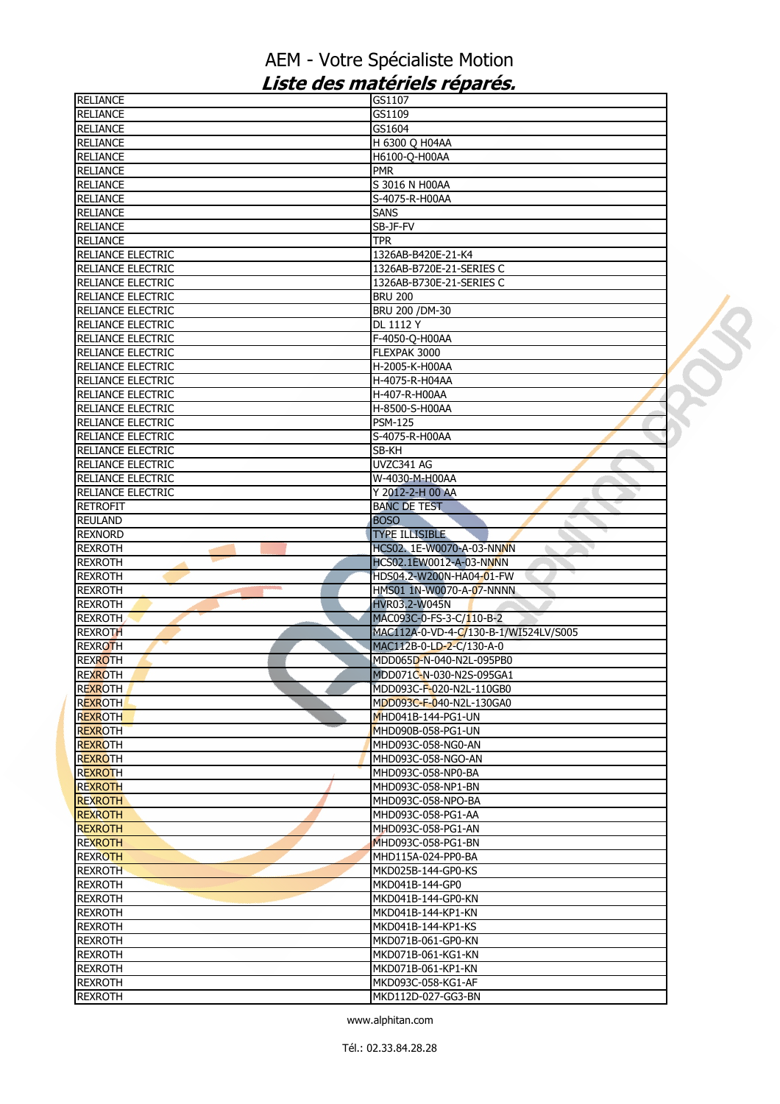| <b>RELIANCE</b>          | GS1107                                |  |
|--------------------------|---------------------------------------|--|
| <b>RELIANCE</b>          | GS1109                                |  |
| <b>RELIANCE</b>          | GS1604                                |  |
| <b>RELIANCE</b>          | H 6300 Q H04AA                        |  |
| <b>RELIANCE</b>          | H6100-O-H00AA                         |  |
| <b>RELIANCE</b>          | <b>PMR</b>                            |  |
| <b>RELIANCE</b>          | S 3016 N H00AA                        |  |
| <b>RELIANCE</b>          | S-4075-R-H00AA                        |  |
| <b>RELIANCE</b>          | <b>SANS</b>                           |  |
| <b>RELIANCE</b>          | SB-JF-FV                              |  |
|                          |                                       |  |
| <b>RELIANCE</b>          | <b>TPR</b>                            |  |
| RELIANCE ELECTRIC        | 1326AB-B420E-21-K4                    |  |
| RELIANCE ELECTRIC        | 1326AB-B720E-21-SERIES C              |  |
| RELIANCE ELECTRIC        | 1326AB-B730E-21-SERIES C              |  |
| <b>RELIANCE ELECTRIC</b> | <b>BRU 200</b>                        |  |
| <b>RELIANCE ELECTRIC</b> | BRU 200 / DM-30                       |  |
| <b>RELIANCE ELECTRIC</b> | <b>DL 1112 Y</b>                      |  |
| RELIANCE ELECTRIC        | F-4050-Q-H00AA                        |  |
| RELIANCE ELECTRIC        | FLEXPAK 3000                          |  |
| <b>RELIANCE ELECTRIC</b> | H-2005-K-H00AA                        |  |
| RELIANCE ELECTRIC        | H-4075-R-H04AA                        |  |
| <b>RELIANCE ELECTRIC</b> | H-407-R-H00AA                         |  |
| RELIANCE ELECTRIC        | H-8500-S-H00AA                        |  |
| RELIANCE ELECTRIC        | <b>PSM-125</b>                        |  |
| <b>RELIANCE ELECTRIC</b> | S-4075-R-H00AA                        |  |
| <b>RELIANCE ELECTRIC</b> | SB-KH                                 |  |
| RELIANCE ELECTRIC        | UVZC341 AG                            |  |
| RELIANCE ELECTRIC        | W-4030-M-H00AA                        |  |
| RELIANCE ELECTRIC        | Y 2012-2-H 00 AA                      |  |
| <b>RETROFIT</b>          | <b>BANC DE TEST</b>                   |  |
| <b>REULAND</b>           | <b>BOSO</b>                           |  |
| <b>REXNORD</b>           | <b>TYPE ILLISIBLE</b>                 |  |
| <b>REXROTH</b>           | HCS02. 1E-W0070-A-03-NNNN<br>۰,       |  |
|                          | HCS02.1EW0012-A-03-NNNN               |  |
| <b>REXROTH</b>           |                                       |  |
| <b>REXROTH</b>           | HDS04.2-W200N-HA04-01-FW              |  |
| <b>REXROTH</b>           | HMS01 1N-W0070-A-07-NNNN              |  |
| <b>REXROTH</b>           | <b>HVR03.2-W045N</b>                  |  |
| <b>REXROTH</b>           | MAC093C-0-FS-3-C/110-B-2              |  |
| <b>REXROTH</b>           | MAC112A-0-VD-4-C/130-B-1/WI524LV/S005 |  |
| <b>REXROTH</b>           | MAC112B-0-LD-2-C/130-A-0              |  |
| <b>REXROTH</b>           | MDD065D-N-040-N2L-095PB0              |  |
| <b>REXROTH</b>           | MDD071C-N-030-N2S-095GA1              |  |
| <b>REXROTH</b>           | MDD093C-F-020-N2L-110GB0              |  |
| <b>REXROTH</b>           | MDD093C-F-040-N2L-130GA0              |  |
| <b>REXROTH</b>           | MHD041B-144-PG1-UN                    |  |
| <b>REXROTH</b>           | MHD090B-058-PG1-UN                    |  |
| <b>REXROTH</b>           | MHD093C-058-NG0-AN                    |  |
| <b>REXROTH</b>           | MHD093C-058-NGO-AN                    |  |
| <b>REXROTH</b>           | MHD093C-058-NP0-BA                    |  |
| <b>REXROTH</b>           | MHD093C-058-NP1-BN                    |  |
| <b>REXROTH</b>           | MHD093C-058-NPO-BA                    |  |
| <b>REXROTH</b>           | MHD093C-058-PG1-AA                    |  |
| <b>REXROTH</b>           | MHD093C-058-PG1-AN                    |  |
| <b>REXROTH</b>           | MHD093C-058-PG1-BN                    |  |
| <b>REXROTH</b>           | MHD115A-024-PP0-BA                    |  |
| <b>REXROTH</b>           | MKD025B-144-GP0-KS                    |  |
| <b>REXROTH</b>           | MKD041B-144-GP0                       |  |
| <b>REXROTH</b>           | MKD041B-144-GP0-KN                    |  |
| <b>REXROTH</b>           | MKD041B-144-KP1-KN                    |  |
| <b>REXROTH</b>           | MKD041B-144-KP1-KS                    |  |
| <b>REXROTH</b>           | MKD071B-061-GP0-KN                    |  |
| <b>REXROTH</b>           | MKD071B-061-KG1-KN                    |  |
| <b>REXROTH</b>           | MKD071B-061-KP1-KN                    |  |
| REXROTH                  | MKD093C-058-KG1-AF                    |  |
| <b>REXROTH</b>           | MKD112D-027-GG3-BN                    |  |
|                          |                                       |  |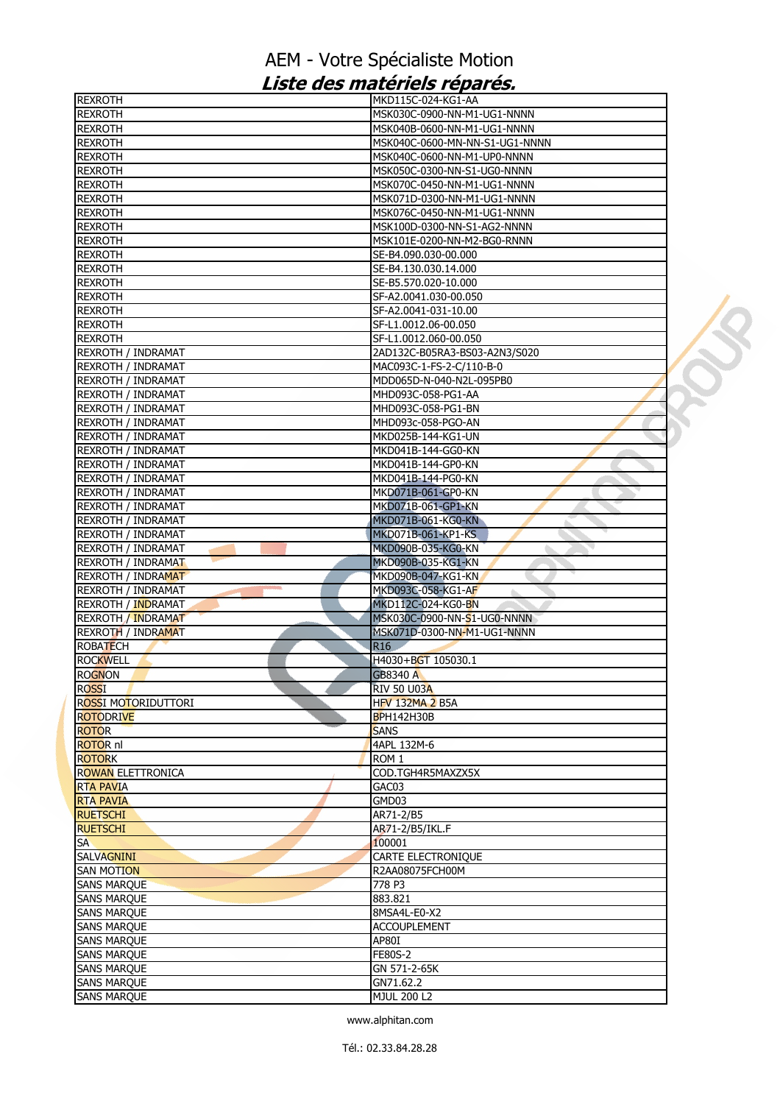| <b>REXROTH</b>            | MKD115C-024-KG1-AA             |  |
|---------------------------|--------------------------------|--|
| <b>REXROTH</b>            | IMSK030C-0900-NN-M1-UG1-NNNN   |  |
| <b>REXROTH</b>            | MSK040B-0600-NN-M1-UG1-NNNN    |  |
| <b>REXROTH</b>            | MSK040C-0600-MN-NN-S1-UG1-NNNN |  |
| <b>REXROTH</b>            | MSK040C-0600-NN-M1-UP0-NNNN    |  |
| <b>REXROTH</b>            | MSK050C-0300-NN-S1-UG0-NNNN    |  |
| <b>REXROTH</b>            | MSK070C-0450-NN-M1-UG1-NNNN    |  |
| <b>REXROTH</b>            | MSK071D-0300-NN-M1-UG1-NNNN    |  |
| <b>REXROTH</b>            | MSK076C-0450-NN-M1-UG1-NNNN    |  |
| <b>REXROTH</b>            | MSK100D-0300-NN-S1-AG2-NNNN    |  |
| <b>REXROTH</b>            | MSK101E-0200-NN-M2-BG0-RNNN    |  |
| <b>REXROTH</b>            | SE-B4.090.030-00.000           |  |
| <b>REXROTH</b>            | SE-B4.130.030.14.000           |  |
| <b>REXROTH</b>            | SE-B5.570.020-10.000           |  |
| <b>REXROTH</b>            | SF-A2.0041.030-00.050          |  |
| <b>REXROTH</b>            | SF-A2.0041-031-10.00           |  |
| <b>REXROTH</b>            | SF-L1.0012.06-00.050           |  |
| <b>REXROTH</b>            | SF-L1.0012.060-00.050          |  |
| <b>REXROTH / INDRAMAT</b> | 2AD132C-B05RA3-BS03-A2N3/S020  |  |
|                           |                                |  |
| REXROTH / INDRAMAT        | MAC093C-1-FS-2-C/110-B-0       |  |
| REXROTH / INDRAMAT        | MDD065D-N-040-N2L-095PB0       |  |
| <b>REXROTH / INDRAMAT</b> | MHD093C-058-PG1-AA             |  |
| REXROTH / INDRAMAT        | MHD093C-058-PG1-BN             |  |
| <b>REXROTH / INDRAMAT</b> | MHD093c-058-PGO-AN             |  |
| REXROTH / INDRAMAT        | MKD025B-144-KG1-UN             |  |
| <b>REXROTH / INDRAMAT</b> | MKD041B-144-GG0-KN             |  |
| <b>REXROTH / INDRAMAT</b> | MKD041B-144-GP0-KN             |  |
| REXROTH / INDRAMAT        | MKD041B-144-PG0-KN             |  |
| REXROTH / INDRAMAT        | MKD071B-061-GP0-KN             |  |
| <b>REXROTH / INDRAMAT</b> | MKD071B-061-GP1-KN             |  |
| <b>REXROTH / INDRAMAT</b> | MKD071B-061-KG0-KN             |  |
| REXROTH / INDRAMAT        | MKD071B-061-KP1-KS             |  |
| <b>REXROTH / INDRAMAT</b> | MKD090B-035-KG0-KN<br>◥        |  |
| <b>REXROTH / INDRAMAT</b> | MKD090B-035-KG1-KN             |  |
| <b>REXROTH / INDRAMAT</b> | MKD090B-047-KG1-KN             |  |
| <b>REXROTH / INDRAMAT</b> | MKD093C-058-KG1-AF             |  |
| REXROTH / INDRAMAT        | MKD112C-024-KG0-BN             |  |
| <b>REXROTH / INDRAMAT</b> | MSK030C-0900-NN-S1-UG0-NNNN    |  |
| <b>REXROTH / INDRAMAT</b> | MSK071D-0300-NN-M1-UG1-NNNN    |  |
|                           |                                |  |
| <b>ROBATECH</b>           | R <sub>16</sub>                |  |
| <b>ROCKWELL</b>           | H4030+BGT 105030.1             |  |
| <b>ROGNON</b>             | <b>GB8340 A</b>                |  |
| ROSSI                     | <b>RIV 50 U03A</b>             |  |
| ROSSI MOTORIDUTTORI       | <b>HFV 132MA 2 B5A</b>         |  |
| <b>ROTODRIVE</b>          | <b>BPH142H30B</b>              |  |
| <b>ROTOR</b>              | <b>SANS</b>                    |  |
| <b>ROTOR nl</b>           | 4APL 132M-6                    |  |
| <b>ROTORK</b>             | ROM <sub>1</sub>               |  |
| <b>ROWAN ELETTRONICA</b>  | COD.TGH4R5MAXZX5X              |  |
| <b>RTA PAVIA</b>          | GAC03                          |  |
| <b>RTA PAVIA</b>          | GMD03                          |  |
| <b>RUETSCHI</b>           | AR71-2/B5                      |  |
| <b>RUETSCHI</b>           | AR71-2/B5/IKL.F                |  |
| <b>SA</b>                 | 100001                         |  |
| <b>SALVAGNINI</b>         | CARTE ELECTRONIQUE             |  |
| <b>SAN MOTION</b>         | R2AA08075FCH00M                |  |
| <b>SANS MARQUE</b>        | 778 P3                         |  |
| <b>SANS MARQUE</b>        | 883.821                        |  |
| <b>SANS MARQUE</b>        | 8MSA4L-E0-X2                   |  |
| <b>SANS MARQUE</b>        | <b>ACCOUPLEMENT</b>            |  |
|                           |                                |  |
| <b>SANS MARQUE</b>        | AP80I                          |  |
| <b>SANS MARQUE</b>        | <b>FE80S-2</b>                 |  |
| <b>SANS MARQUE</b>        | GN 571-2-65K                   |  |
| <b>SANS MARQUE</b>        | GN71.62.2                      |  |
| <b>SANS MARQUE</b>        | <b>MJUL 200 L2</b>             |  |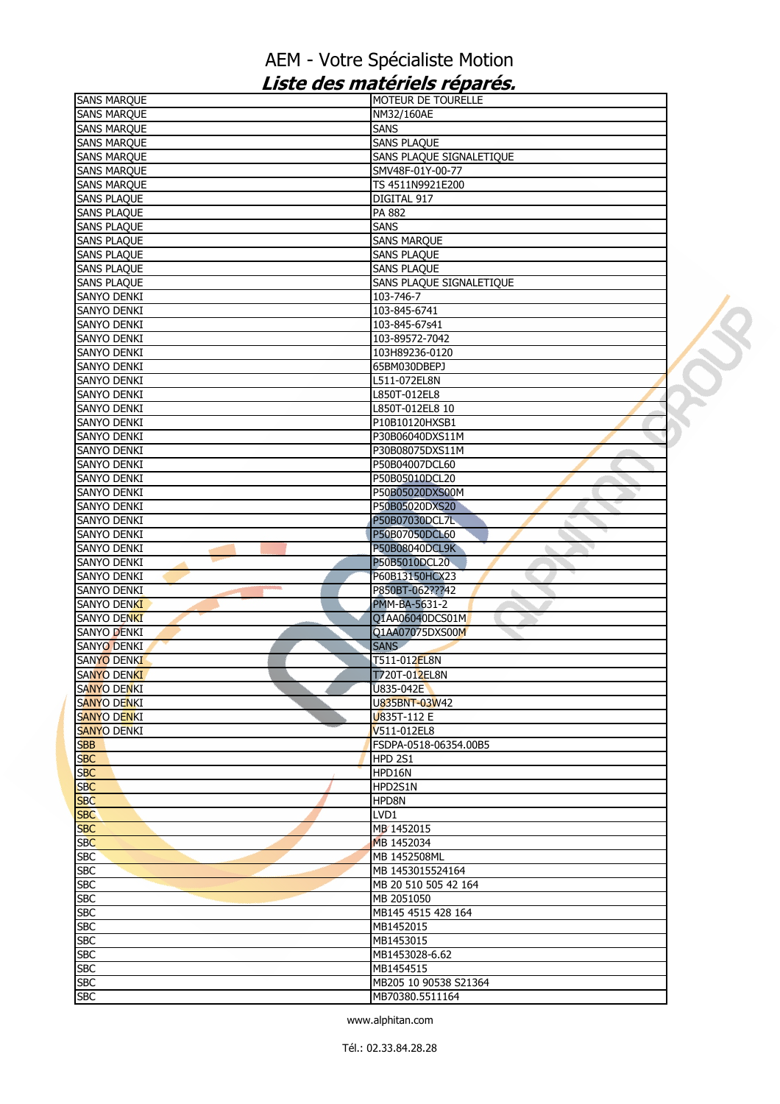| <b>SANS MARQUE</b>               | MOTEUR DE TOURELLE       |  |
|----------------------------------|--------------------------|--|
| <b>SANS MARQUE</b>               | NM32/160AE               |  |
| <b>SANS MARQUE</b>               | <b>SANS</b>              |  |
| <b>SANS MARQUE</b>               | <b>SANS PLAQUE</b>       |  |
| <b>SANS MARQUE</b>               | SANS PLAQUE SIGNALETIQUE |  |
| <b>SANS MARQUE</b>               | SMV48F-01Y-00-77         |  |
| <b>SANS MARQUE</b>               | TS 4511N9921E200         |  |
| <b>SANS PLAQUE</b>               | DIGITAL 917              |  |
| <b>SANS PLAQUE</b>               | PA 882                   |  |
| <b>SANS PLAQUE</b>               | <b>SANS</b>              |  |
| <b>SANS PLAQUE</b>               | <b>SANS MARQUE</b>       |  |
| <b>SANS PLAQUE</b>               | <b>SANS PLAQUE</b>       |  |
| <b>SANS PLAQUE</b>               | <b>SANS PLAQUE</b>       |  |
| <b>SANS PLAQUE</b>               | SANS PLAQUE SIGNALETIQUE |  |
| SANYO DENKI                      | 103-746-7                |  |
|                                  |                          |  |
| SANYO DENKI                      | 103-845-6741             |  |
| <b>SANYO DENKI</b>               | 103-845-67s41            |  |
| SANYO DENKI                      | 103-89572-7042           |  |
| SANYO DENKI                      | 103H89236-0120           |  |
| <b>SANYO DENKI</b>               | 65BM030DBEPJ             |  |
| <b>SANYO DENKI</b>               | L511-072EL8N             |  |
| SANYO DENKI                      | L850T-012EL8             |  |
| SANYO DENKI                      | L850T-012EL8 10          |  |
| SANYO DENKI                      | P10B10120HXSB1           |  |
| SANYO DENKI                      | P30B06040DXS11M          |  |
| SANYO DENKI                      | P30B08075DXS11M          |  |
| <b>SANYO DENKI</b>               | P50B04007DCL60           |  |
| SANYO DENKI                      | P50B05010DCL20           |  |
| SANYO DENKI                      | P50B05020DXS00M          |  |
| SANYO DENKI                      | P50B05020DXS20           |  |
| SANYO DENKI                      | P50B07030DCL7L           |  |
| SANYO DENKI                      | P50B07050DCL60           |  |
| SANYO DENKI                      | P50B08040DCL9K           |  |
| SANYO DENKI                      | P50B5010DCL20            |  |
| <b>SANYO DENKI</b>               | P60B13150HCX23           |  |
| <b>CONTRACTOR</b><br>SANYO DENKI | P850BT-062???42          |  |
| <b>SANYO DENKI</b>               |                          |  |
|                                  | PMM-BA-5631-2            |  |
| <b>SANYO DENKI</b>               | Q1AA06040DCS01M          |  |
| <b>SANYO DENKI</b>               | Q1AA07075DXS00M          |  |
| SANYO DENKI                      | <b>SANS</b>              |  |
| SANYO DENKI                      | T511-012EL8N             |  |
| SANYO DENKI                      | T720T-012EL8N            |  |
| <b>SANYO DENKI</b>               | U835-042E                |  |
| <b>SANYO DENKI</b>               | U835BNT-03W42            |  |
| <b>SANYO DENKI</b>               | U835T-112 E              |  |
| <b>SANYO DENKI</b>               | V511-012EL8              |  |
| <b>SBB</b>                       | FSDPA-0518-06354.00B5    |  |
| <b>SBC</b>                       | <b>HPD 2S1</b>           |  |
| <b>SBC</b>                       | HPD16N                   |  |
| <b>SBC</b>                       | HPD2S1N                  |  |
| <b>SBC</b>                       | HPD8N                    |  |
| <b>SBC</b>                       | LVD1                     |  |
| <b>SBC</b>                       | MB 1452015               |  |
| <b>SBC</b>                       | MB 1452034               |  |
| <b>SBC</b>                       | MB 1452508ML             |  |
| <b>SBC</b>                       | MB 1453015524164         |  |
| <b>SBC</b>                       | MB 20 510 505 42 164     |  |
|                                  |                          |  |
| <b>SBC</b>                       | MB 2051050               |  |
| <b>SBC</b>                       | MB145 4515 428 164       |  |
| <b>SBC</b>                       | MB1452015                |  |
| <b>SBC</b>                       | MB1453015                |  |
| <b>SBC</b>                       | MB1453028-6.62           |  |
| <b>SBC</b>                       | MB1454515                |  |
| <b>SBC</b>                       | MB205 10 90538 S21364    |  |
| <b>SBC</b>                       | MB70380.5511164          |  |
|                                  |                          |  |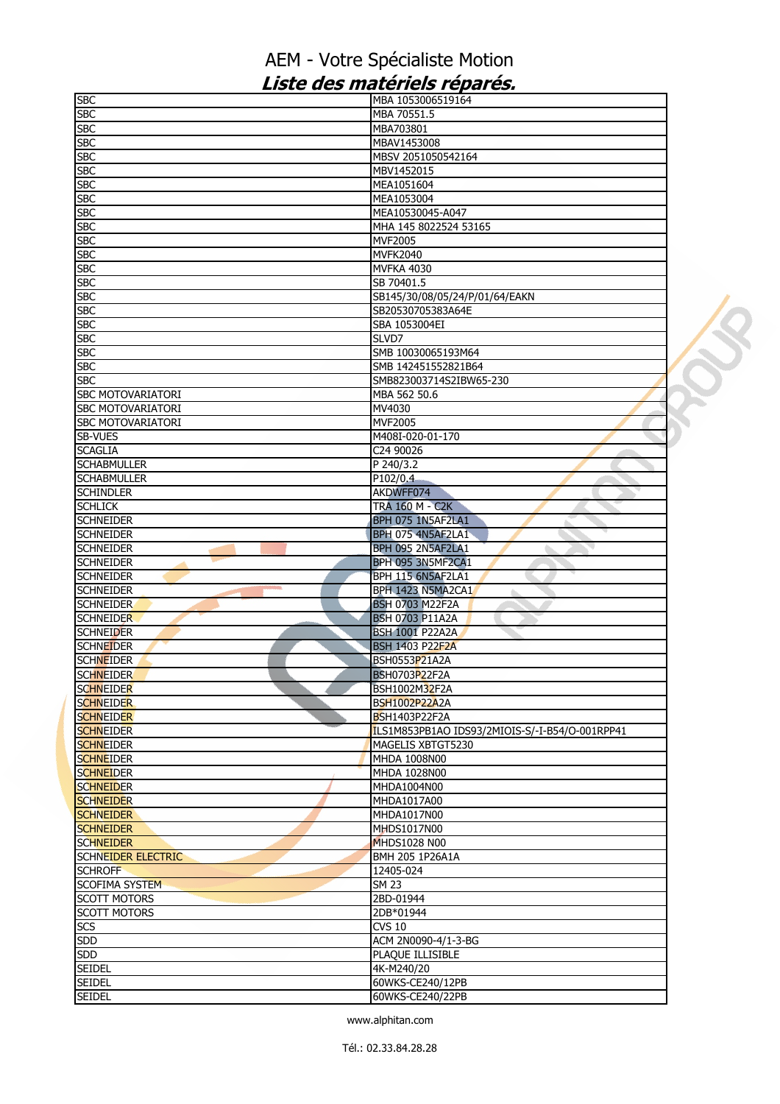| <b>SBC</b>                           | MBA 1053006519164                              |  |
|--------------------------------------|------------------------------------------------|--|
| <b>SBC</b>                           | MBA 70551.5                                    |  |
| <b>SBC</b>                           | MBA703801                                      |  |
| <b>SBC</b>                           | MBAV1453008                                    |  |
| <b>SBC</b>                           | MBSV 2051050542164                             |  |
| <b>SBC</b>                           | MBV1452015                                     |  |
| <b>SBC</b>                           | MEA1051604                                     |  |
| <b>SBC</b>                           | MEA1053004                                     |  |
| <b>SBC</b>                           | MEA10530045-A047                               |  |
| <b>SBC</b>                           | MHA 145 8022524 53165                          |  |
| <b>SBC</b>                           | <b>MVF2005</b>                                 |  |
| <b>SBC</b>                           | <b>MVFK2040</b>                                |  |
| <b>SBC</b>                           | <b>MVFKA 4030</b>                              |  |
| <b>SBC</b>                           | SB 70401.5                                     |  |
| <b>SBC</b>                           | SB145/30/08/05/24/P/01/64/EAKN                 |  |
| <b>SBC</b>                           | SB20530705383A64E                              |  |
| <b>SBC</b>                           | SBA 1053004EI                                  |  |
| <b>SBC</b>                           | SLVD7                                          |  |
| <b>SBC</b>                           | SMB 10030065193M64                             |  |
|                                      |                                                |  |
| <b>SBC</b>                           | SMB 142451552821B64                            |  |
| <b>SBC</b>                           | SMB823003714S2IBW65-230                        |  |
| SBC MOTOVARIATORI                    | MBA 562 50.6                                   |  |
| <b>SBC MOTOVARIATORI</b>             | MV4030                                         |  |
| <b>SBC MOTOVARIATORI</b>             | <b>MVF2005</b>                                 |  |
| SB-VUES                              | M408I-020-01-170                               |  |
| <b>SCAGLIA</b>                       | C24 90026                                      |  |
| <b>SCHABMULLER</b>                   | P 240/3.2                                      |  |
| <b>SCHABMULLER</b>                   | P102/0.4                                       |  |
| <b>SCHINDLER</b>                     | AKDWFF074                                      |  |
| <b>SCHLICK</b>                       | <b>TRA 160 M - C2K</b>                         |  |
| <b>SCHNEIDER</b>                     | BPH 075 1N5AF2LA1                              |  |
| <b>SCHNEIDER</b>                     | BPH 075 4N5AF2LA1                              |  |
| <b>SCHNEIDER</b>                     | BPH 095 2N5AF2LA1<br>ı.                        |  |
| <b>SCHNEIDER</b>                     | BPH 095 3N5MF2CA1                              |  |
| <b>SCHNEIDER</b>                     | BPH 115 6N5AF2LA1                              |  |
| <b>SCHNEIDER</b>                     | BPH 1423 N5MA2CA1                              |  |
| <b>SCHNEIDER</b>                     | <b>BSH 0703 M22F2A</b>                         |  |
| <b>SCHNEIDER</b>                     | <b>BSH 0703 P11A2A</b>                         |  |
| <b>SCHNEIDER</b>                     | <b>BSH 1001 P22A2A</b>                         |  |
|                                      | <b>BSH 1403 P22F2A</b>                         |  |
| <b>SCHNEIDER</b><br><b>SCHNEIDER</b> | BSH0553P21A2A                                  |  |
|                                      |                                                |  |
| <b>SCHNEIDER</b>                     | <b>BSH0703P22F2A</b>                           |  |
| <b>SCHNEIDER</b>                     | <b>BSH1002M32F2A</b>                           |  |
| <b>SCHNEIDER</b>                     | <b>BSH1002P22A2A</b>                           |  |
| <b>SCHNEIDER</b>                     | <b>BSH1403P22F2A</b>                           |  |
| <b>SCHNEIDER</b>                     | ILS1M853PB1AO IDS93/2MIOIS-S/-I-B54/O-001RPP41 |  |
| <b>SCHNEIDER</b>                     | MAGELIS XBTGT5230                              |  |
| <b>SCHNEIDER</b>                     | MHDA 1008N00                                   |  |
| <b>SCHNEIDER</b>                     | MHDA 1028N00                                   |  |
| <b>SCHNEIDER</b>                     | MHDA1004N00                                    |  |
| <b>SCHNEIDER</b>                     | MHDA1017A00                                    |  |
| <b>SCHNEIDER</b>                     | MHDA1017N00                                    |  |
| <b>SCHNEIDER</b>                     | <b>MHDS1017N00</b>                             |  |
| <b>SCHNEIDER</b>                     | <b>MHDS1028 N00</b>                            |  |
| <b>SCHNEIDER ELECTRIC</b>            | <b>BMH 205 1P26A1A</b>                         |  |
| <b>SCHROFF</b>                       | 12405-024                                      |  |
| <b>SCOFIMA SYSTEM</b>                | <b>SM 23</b>                                   |  |
| <b>SCOTT MOTORS</b>                  | 2BD-01944                                      |  |
| <b>SCOTT MOTORS</b>                  | 2DB*01944                                      |  |
| SCS                                  | <b>CVS 10</b>                                  |  |
| <b>SDD</b>                           | ACM 2N0090-4/1-3-BG                            |  |
| <b>SDD</b>                           | PLAQUE ILLISIBLE                               |  |
|                                      |                                                |  |
| <b>SEIDEL</b><br><b>SEIDEL</b>       | 4K-M240/20                                     |  |
|                                      | 60WKS-CE240/12PB                               |  |
| <b>SEIDEL</b>                        | 60WKS-CE240/22PB                               |  |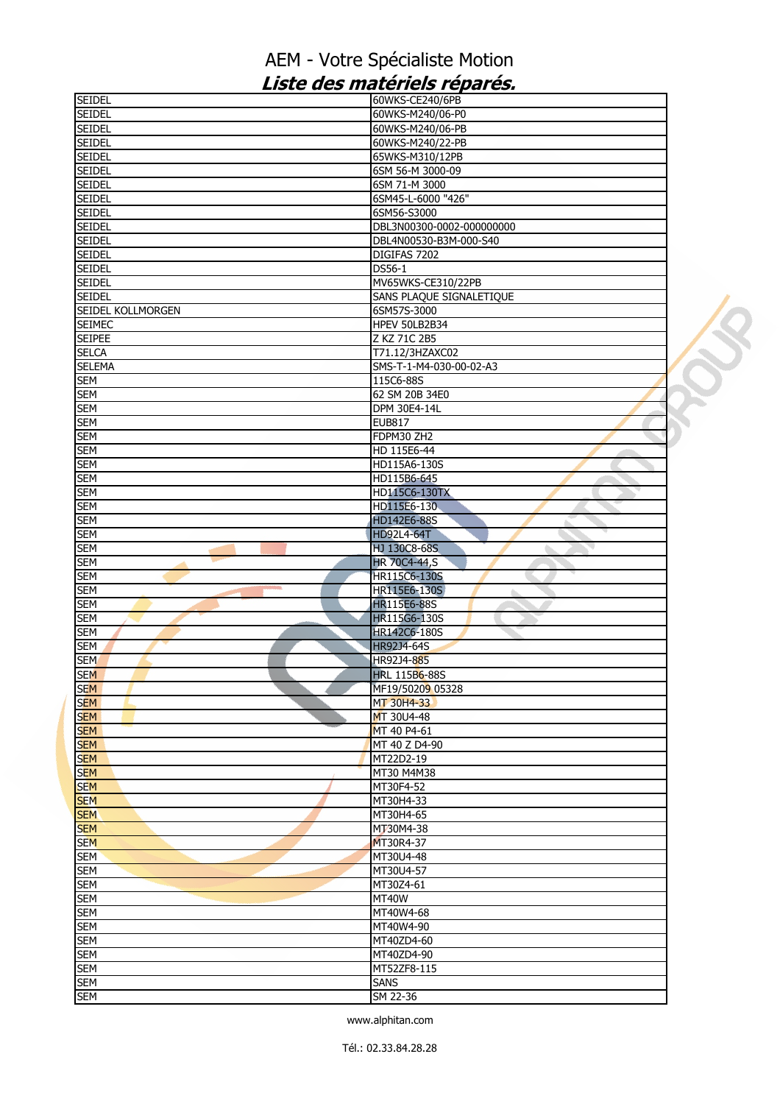| <b>SEIDEL</b>            | 60WKS-CE240/6PB           |  |
|--------------------------|---------------------------|--|
| <b>SEIDEL</b>            | 60WKS-M240/06-P0          |  |
| <b>SEIDEL</b>            | 60WKS-M240/06-PB          |  |
| <b>SEIDEL</b>            | 60WKS-M240/22-PB          |  |
| <b>SEIDEL</b>            | 65WKS-M310/12PB           |  |
| <b>SEIDEL</b>            | 6SM 56-M 3000-09          |  |
| <b>SEIDEL</b>            | 6SM 71-M 3000             |  |
| <b>SEIDEL</b>            | 6SM45-L-6000 "426"        |  |
| <b>SEIDEL</b>            | 6SM56-S3000               |  |
| <b>SEIDEL</b>            |                           |  |
|                          | DBL3N00300-0002-000000000 |  |
| <b>SEIDEL</b>            | DBL4N00530-B3M-000-S40    |  |
| <b>SEIDEL</b>            | DIGIFAS 7202              |  |
| <b>SEIDEL</b>            | DS56-1                    |  |
| <b>SEIDEL</b>            | MV65WKS-CE310/22PB        |  |
| <b>SEIDEL</b>            | SANS PLAQUE SIGNALETIQUE  |  |
| SEIDEL KOLLMORGEN        | 6SM57S-3000               |  |
| <b>SEIMEC</b>            | HPEV 50LB2B34             |  |
| <b>SEIPEE</b>            | Z KZ 71C 2B5              |  |
| <b>SELCA</b>             | T71.12/3HZAXC02           |  |
| <b>SELEMA</b>            | SMS-T-1-M4-030-00-02-A3   |  |
| <b>SEM</b>               | 115C6-88S                 |  |
| <b>SEM</b>               | 62 SM 20B 34E0            |  |
| <b>SEM</b>               | DPM 30E4-14L              |  |
|                          |                           |  |
| <b>SEM</b>               | <b>EUB817</b>             |  |
| <b>SEM</b>               | FDPM30 ZH2                |  |
| <b>SEM</b>               | HD 115E6-44               |  |
| <b>SEM</b>               | HD115A6-130S              |  |
| <b>SEM</b>               | HD115B6-645               |  |
| <b>SEM</b>               | HD115C6-130TX             |  |
| <b>SEM</b>               | HD115E6-130               |  |
| <b>SEM</b>               | HD142E6-88S               |  |
| <b>SEM</b>               | <b>HD92L4-64T</b>         |  |
| <b>SEM</b>               | HJ 130C8-68S              |  |
| <b>SEM</b>               | <b>HR 70C4-44,S</b>       |  |
| <b>SEM</b>               | HR115C6-130S              |  |
| <b>SEM</b>               | HR115E6-130S              |  |
|                          |                           |  |
|                          |                           |  |
| <b>SEM</b>               | <b>HR115E6-88S</b>        |  |
| <b>SEM</b>               | HR115G6-130S              |  |
| <b>SEM</b>               | HR142C6-180S              |  |
| <b>SEM</b>               | HR92J4-64S                |  |
| <b>SEM</b>               | HR92J4-885                |  |
| <b>SEM</b>               | <b>HRL 115B6-88S</b>      |  |
| <b>SEM</b>               | MF19/50209 05328          |  |
| <b>SEM</b>               | MT 30H4-33                |  |
| <b>SEM</b>               | MT 30U4-48                |  |
| <b>SEM</b>               | MT 40 P4-61               |  |
| <b>SEM</b>               | MT 40 Z D4-90             |  |
|                          | MT22D2-19                 |  |
| <b>SEM</b>               | MT30 M4M38                |  |
| <b>SEM</b>               |                           |  |
| <b>SEM</b>               | MT30F4-52                 |  |
| <b>SEM</b>               | MT30H4-33                 |  |
| <b>SEM</b>               | MT30H4-65                 |  |
| <b>SEM</b>               | MT30M4-38                 |  |
| <b>SEM</b>               | MT30R4-37                 |  |
| <b>SEM</b>               | MT30U4-48                 |  |
| <b>SEM</b>               | MT30U4-57                 |  |
| <b>SEM</b>               | MT30Z4-61                 |  |
| <b>SEM</b>               | MT40W                     |  |
| <b>SEM</b>               | MT40W4-68                 |  |
| <b>SEM</b>               | MT40W4-90                 |  |
| <b>SEM</b>               | MT40ZD4-60                |  |
| <b>SEM</b>               | MT40ZD4-90                |  |
| <b>SEM</b>               | MT52ZF8-115               |  |
|                          |                           |  |
| <b>SEM</b><br><b>SEM</b> | <b>SANS</b><br>SM 22-36   |  |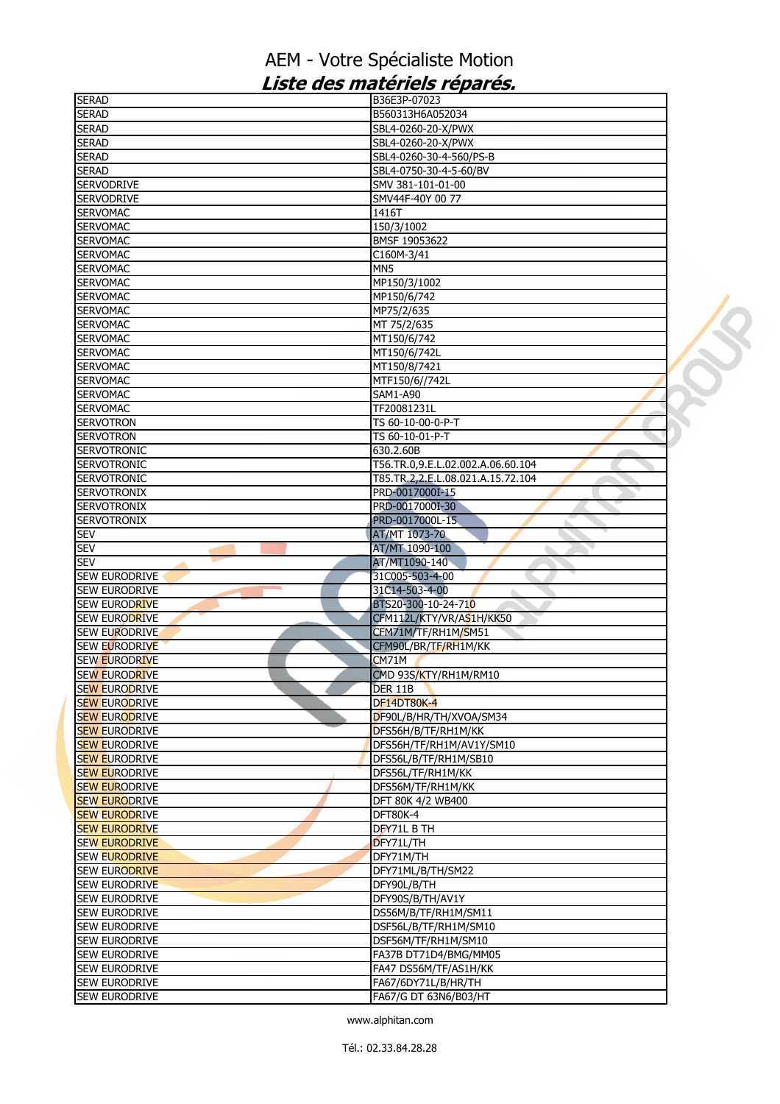| <b>SERAD</b>                          | B36E3P-07023                                 |  |
|---------------------------------------|----------------------------------------------|--|
| <b>SERAD</b>                          | B560313H6A052034                             |  |
| <b>SERAD</b>                          | SBL4-0260-20-X/PWX                           |  |
| <b>SERAD</b>                          | SBL4-0260-20-X/PWX                           |  |
| <b>SERAD</b>                          | SBL4-0260-30-4-560/PS-B                      |  |
| <b>SERAD</b>                          | SBL4-0750-30-4-5-60/BV                       |  |
| <b>SERVODRIVE</b>                     | SMV 381-101-01-00                            |  |
| <b>SERVODRIVE</b>                     | SMV44F-40Y 00 77                             |  |
|                                       |                                              |  |
| <b>SERVOMAC</b>                       | 1416T                                        |  |
| <b>SERVOMAC</b>                       | 150/3/1002                                   |  |
| <b>SERVOMAC</b>                       | BMSF 19053622                                |  |
| <b>SERVOMAC</b>                       | C160M-3/41                                   |  |
| <b>SERVOMAC</b>                       | MN5                                          |  |
| <b>SERVOMAC</b>                       | MP150/3/1002                                 |  |
| <b>SERVOMAC</b>                       | MP150/6/742                                  |  |
| <b>SERVOMAC</b>                       | MP75/2/635                                   |  |
| <b>SERVOMAC</b>                       | MT 75/2/635                                  |  |
| <b>SERVOMAC</b>                       | MT150/6/742                                  |  |
|                                       |                                              |  |
| <b>SERVOMAC</b>                       | MT150/6/742L                                 |  |
| <b>SERVOMAC</b>                       | MT150/8/7421                                 |  |
| <b>SERVOMAC</b>                       | MTF150/6//742L                               |  |
| <b>SERVOMAC</b>                       | SAM1-A90                                     |  |
| <b>SERVOMAC</b>                       | TF20081231L                                  |  |
| <b>SERVOTRON</b>                      | TS 60-10-00-0-P-T                            |  |
| <b>SERVOTRON</b>                      | TS 60-10-01-P-T                              |  |
| <b>SERVOTRONIC</b>                    | 630.2.60B                                    |  |
| <b>SERVOTRONIC</b>                    | T56.TR.0.9.E.L.02.002.A.06.60.104            |  |
| <b>SERVOTRONIC</b>                    | T85.TR.2,2.E.L.08.021.A.15.72.104            |  |
| <b>SERVOTRONIX</b>                    | PRD-0017000I-15                              |  |
|                                       |                                              |  |
| <b>SERVOTRONIX</b>                    | PRD-0017000I-30                              |  |
| <b>SERVOTRONIX</b>                    | PRD-0017000L-15                              |  |
| <b>SEV</b>                            | AT/MT 1073-70                                |  |
| <b>SEV</b>                            | AT/MT 1090-100                               |  |
|                                       |                                              |  |
| <b>SEV</b>                            | AT/MT1090-140                                |  |
| <b>SEW EURODRIVE</b>                  | 31C005-503-4-00                              |  |
| <b>SEW EURODRIVE</b>                  | 31C14-503-4-00<br>à.                         |  |
|                                       |                                              |  |
| <b>SEW EURODRIVE</b>                  | BTS20-300-10-24-710                          |  |
| <b>SEW EURODRIVE</b>                  | CFM112L/KTY/VR/AS1H/KK50                     |  |
| <b>SEW EURODRIVE</b>                  | CFM71M/TF/RH1M/SM51                          |  |
| SEW EURODRIVE                         | CFM90L/BR/TF/RH1M/KK                         |  |
| <b>SEW EURODRIVE</b>                  | CM71M                                        |  |
| <b>SEW EURODRIVE</b>                  | CMD 93S/KTY/RH1M/RM10                        |  |
| <b>SEW EURODRIVE</b>                  | 'DER 11B                                     |  |
| <b>SEW EURODRIVE</b>                  | <b>DF14DT80K-4</b>                           |  |
| <b>SEW EURODRIVE</b>                  | DF90L/B/HR/TH/XVOA/SM34                      |  |
| <b>SEW EURODRIVE</b>                  | DFS56H/B/TF/RH1M/KK                          |  |
| <b>SEW EURODRIVE</b>                  | DFS56H/TF/RH1M/AV1Y/SM10                     |  |
| <b>SEW EURODRIVE</b>                  | DFS56L/B/TF/RH1M/SB10                        |  |
| <b>SEW EURODRIVE</b>                  |                                              |  |
|                                       | DFS56L/TF/RH1M/KK                            |  |
| <b>SEW EURODRIVE</b>                  | DFS56M/TF/RH1M/KK                            |  |
| <b>SEW EURODRIVE</b>                  | DFT 80K 4/2 WB400                            |  |
| <b>SEW EURODRIVE</b>                  | DFT80K-4                                     |  |
| <b>SEW EURODRIVE</b>                  | DFY71L B TH                                  |  |
| <b>SEW EURODRIVE</b>                  | DFY71L/TH                                    |  |
| <b>SEW EURODRIVE</b>                  | DFY71M/TH                                    |  |
| <b>SEW EURODRIVE</b>                  | DFY71ML/B/TH/SM22                            |  |
| <b>SEW EURODRIVE</b>                  | DFY90L/B/TH                                  |  |
| <b>SEW EURODRIVE</b>                  | DFY90S/B/TH/AV1Y                             |  |
| <b>SEW EURODRIVE</b>                  | DS56M/B/TF/RH1M/SM11                         |  |
| SEW EURODRIVE                         | DSF56L/B/TF/RH1M/SM10                        |  |
|                                       |                                              |  |
| <b>SEW EURODRIVE</b>                  | DSF56M/TF/RH1M/SM10                          |  |
| SEW EURODRIVE                         | FA37B DT71D4/BMG/MM05                        |  |
| SEW EURODRIVE                         | FA47 DS56M/TF/AS1H/KK                        |  |
| SEW EURODRIVE<br><b>SEW EURODRIVE</b> | FA67/6DY71L/B/HR/TH<br>FA67/G DT 63N6/B03/HT |  |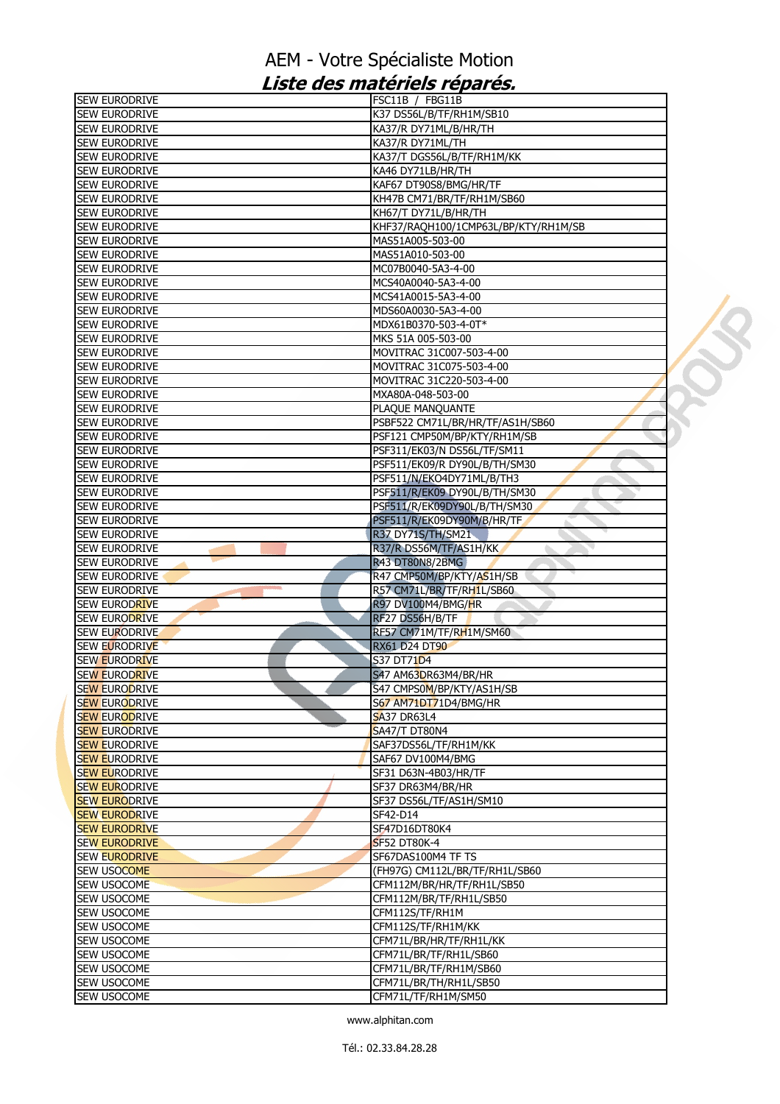| <b>SEW EURODRIVE</b> | FSC11B / FBG11B                                                  |  |
|----------------------|------------------------------------------------------------------|--|
| <b>SEW EURODRIVE</b> | K37 DS56L/B/TF/RH1M/SB10                                         |  |
| <b>SEW EURODRIVE</b> | KA37/R DY71ML/B/HR/TH                                            |  |
| SEW EURODRIVE        | KA37/R DY71ML/TH                                                 |  |
| <b>SEW EURODRIVE</b> | KA37/T DGS56L/B/TF/RH1M/KK                                       |  |
| <b>SEW EURODRIVE</b> | KA46 DY71LB/HR/TH                                                |  |
| <b>SEW EURODRIVE</b> | KAF67 DT90S8/BMG/HR/TF                                           |  |
| sew Eurodrive        | KH47B CM71/BR/TF/RH1M/SB60                                       |  |
| <b>SEW EURODRIVE</b> | KH67/T DY71L/B/HR/TH                                             |  |
| <b>SEW EURODRIVE</b> | KHF37/RAQH100/1CMP63L/BP/KTY/RH1M/SB                             |  |
| <b>SEW EURODRIVE</b> | MAS51A005-503-00                                                 |  |
| SEW EURODRIVE        | MAS51A010-503-00                                                 |  |
| SEW EURODRIVE        | MC07B0040-5A3-4-00                                               |  |
| <b>SEW EURODRIVE</b> | MCS40A0040-5A3-4-00                                              |  |
| <b>SEW EURODRIVE</b> | MCS41A0015-5A3-4-00                                              |  |
| SEW EURODRIVE        | MDS60A0030-5A3-4-00                                              |  |
| <b>SEW EURODRIVE</b> | MDX61B0370-503-4-0T*                                             |  |
| <b>SEW EURODRIVE</b> | MKS 51A 005-503-00                                               |  |
| <b>SEW EURODRIVE</b> | MOVITRAC 31C007-503-4-00                                         |  |
| <b>SEW EURODRIVE</b> | MOVITRAC 31C075-503-4-00                                         |  |
| SEW EURODRIVE        | MOVITRAC 31C220-503-4-00                                         |  |
| SEW EURODRIVE        | MXA80A-048-503-00                                                |  |
| SEW EURODRIVE        | PLAQUE MANQUANTE                                                 |  |
| SEW EURODRIVE        |                                                                  |  |
| SEW EURODRIVE        | PSBF522 CM71L/BR/HR/TF/AS1H/SB60<br>PSF121 CMP50M/BP/KTY/RH1M/SB |  |
|                      |                                                                  |  |
| <b>SEW EURODRIVE</b> | PSF311/EK03/N DS56L/TF/SM11                                      |  |
| <b>SEW EURODRIVE</b> | PSF511/EK09/R DY90L/B/TH/SM30                                    |  |
| SEW EURODRIVE        | PSF511/N/EKO4DY71ML/B/TH3                                        |  |
| <b>SEW EURODRIVE</b> | PSF511/R/EK09 DY90L/B/TH/SM30                                    |  |
| SEW EURODRIVE        | PSF511/R/EK09DY90L/B/TH/SM30                                     |  |
| SEW EURODRIVE        | PSF511/R/EK09DY90M/B/HR/TF                                       |  |
| SEW EURODRIVE        | R37 DY71S/TH/SM21                                                |  |
| <b>SEW EURODRIVE</b> | R37/R DS56M/TF/AS1H/KK                                           |  |
| <b>SEW EURODRIVE</b> | R43 DT80N8/2BMG                                                  |  |
| <b>SEW EURODRIVE</b> | R47 CMP50M/BP/KTY/AS1H/SB                                        |  |
| <b>SEW EURODRIVE</b> | R57 CM71L/BR/TF/RH1L/SB60                                        |  |
| <b>SEW EURODRIVE</b> | R97 DV100M4/BMG/HR                                               |  |
| SEW EURODRIVE        | RF27 DS56H/B/TF                                                  |  |
| <b>SEW EURODRIVE</b> | RF57 CM71M/TF/RH1M/SM60                                          |  |
| SEW EURODRIVE        | <b>RX61 D24 DT90</b>                                             |  |
| <b>SEW EURODRIVE</b> | S37 DT71D4                                                       |  |
| <b>SEW EURODRIVE</b> | S47 AM63DR63M4/BR/HR                                             |  |
| <b>SEW EURODRIVE</b> | S47 CMPS0M/BP/KTY/AS1H/SB                                        |  |
| <b>SEW EURODRIVE</b> | S67 AM71DT71D4/BMG/HR                                            |  |
| <b>SEW EURODRIVE</b> | <b>SA37 DR63L4</b>                                               |  |
| <b>SEW EURODRIVE</b> | <b>SA47/T DT80N4</b>                                             |  |
| <b>SEW EURODRIVE</b> | SAF37DS56L/TF/RH1M/KK                                            |  |
| <b>SEW EURODRIVE</b> | SAF67 DV100M4/BMG                                                |  |
| <b>SEW EURODRIVE</b> | SF31 D63N-4B03/HR/TF                                             |  |
| <b>SEW EURODRIVE</b> | SF37 DR63M4/BR/HR                                                |  |
| <b>SEW EURODRIVE</b> | SF37 DS56L/TF/AS1H/SM10                                          |  |
| <b>SEW EURODRIVE</b> | SF42-D14                                                         |  |
| <b>SEW EURODRIVE</b> | SF47D16DT80K4                                                    |  |
| <b>SEW EURODRIVE</b> | <b>SF52 DT80K-4</b>                                              |  |
| <b>SEW EURODRIVE</b> | SF67DAS100M4 TF TS                                               |  |
| <b>SEW USOCOME</b>   | (FH97G) CM112L/BR/TF/RH1L/SB60                                   |  |
| <b>SEW USOCOME</b>   | CFM112M/BR/HR/TF/RH1L/SB50                                       |  |
| SEW USOCOME          | CFM112M/BR/TF/RH1L/SB50                                          |  |
| SEW USOCOME          | CFM112S/TF/RH1M                                                  |  |
| SEW USOCOME          | CFM112S/TF/RH1M/KK                                               |  |
| SEW USOCOME          | CFM71L/BR/HR/TF/RH1L/KK                                          |  |
| SEW USOCOME          | CFM71L/BR/TF/RH1L/SB60                                           |  |
| SEW USOCOME          | CFM71L/BR/TF/RH1M/SB60                                           |  |
| SEW USOCOME          | CFM71L/BR/TH/RH1L/SB50                                           |  |
| SEW USOCOME          | CFM71L/TF/RH1M/SM50                                              |  |
|                      |                                                                  |  |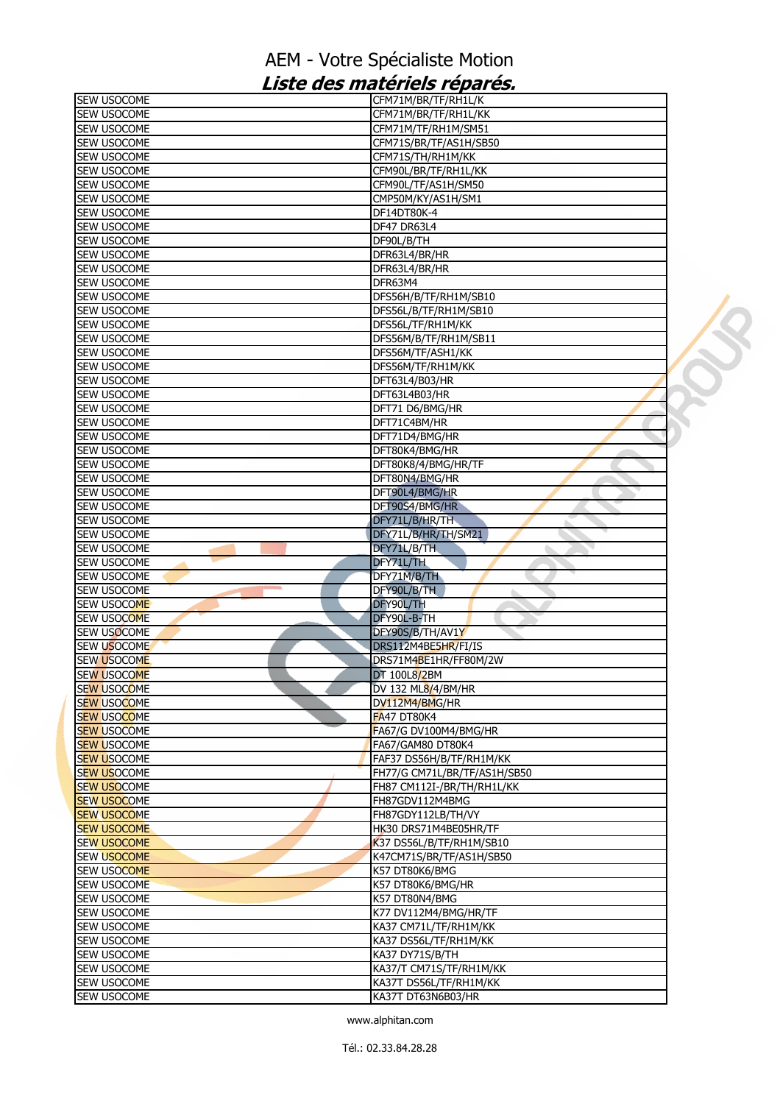| SEW USOCOME        | CFM71M/BR/TF/RH1L/K          |  |
|--------------------|------------------------------|--|
| SEW USOCOME        | CFM71M/BR/TF/RH1L/KK         |  |
| <b>SEW USOCOME</b> | CFM71M/TF/RH1M/SM51          |  |
| SEW USOCOME        | CFM71S/BR/TF/AS1H/SB50       |  |
| SEW USOCOME        | CFM71S/TH/RH1M/KK            |  |
| SEW USOCOME        | CFM90L/BR/TF/RH1L/KK         |  |
| <b>SEW USOCOME</b> | CFM90L/TF/AS1H/SM50          |  |
| SEW USOCOME        | CMP50M/KY/AS1H/SM1           |  |
| SEW USOCOME        | DF14DT80K-4                  |  |
| SEW USOCOME        | DF47 DR63L4                  |  |
| SEW USOCOME        | DF90L/B/TH                   |  |
| SEW USOCOME        | DFR63L4/BR/HR                |  |
| SEW USOCOME        | DFR63L4/BR/HR                |  |
| <b>SEW USOCOME</b> | DFR63M4                      |  |
|                    |                              |  |
| SEW USOCOME        | DFS56H/B/TF/RH1M/SB10        |  |
| SEW USOCOME        | DFS56L/B/TF/RH1M/SB10        |  |
| SEW USOCOME        | DFS56L/TF/RH1M/KK            |  |
| SEW USOCOME        | DFS56M/B/TF/RH1M/SB11        |  |
| SEW USOCOME        | DFS56M/TF/ASH1/KK            |  |
| SEW USOCOME        | DFS56M/TF/RH1M/KK            |  |
| SEW USOCOME        | DFT63L4/B03/HR               |  |
| SEW USOCOME        | DFT63L4B03/HR                |  |
| SEW USOCOME        | DFT71 D6/BMG/HR              |  |
| SEW USOCOME        | DFT71C4BM/HR                 |  |
| SEW USOCOME        | DFT71D4/BMG/HR               |  |
| SEW USOCOME        | DFT80K4/BMG/HR               |  |
| SEW USOCOME        | DFT80K8/4/BMG/HR/TF          |  |
| SEW USOCOME        | DFT80N4/BMG/HR               |  |
| SEW USOCOME        | DFT90L4/BMG/HR               |  |
| SEW USOCOME        | DFT90S4/BMG/HR               |  |
| SEW USOCOME        | DFY71L/B/HR/TH               |  |
| SEW USOCOME        | DFY71L/B/HR/TH/SM21          |  |
| SEW USOCOME        | DFY71L/B/TH                  |  |
| SEW USOCOME        | DFY71L/TH                    |  |
| SEW USOCOME        | DFY71M/B/TH                  |  |
| SEW USOCOME        | DFY90L/B/TH<br>ь             |  |
| <b>SEW USOCOME</b> | DFY90L/TH                    |  |
| <b>SEW USOCOME</b> | DFY90L-B-TH                  |  |
|                    | DFY90S/B/TH/AV1Y             |  |
| <b>SEW USOCOME</b> |                              |  |
| <b>SEW USOCOME</b> | DRS112M4BE5HR/FI/IS          |  |
| SEW USOCOME        | DRS71M4BE1HR/FF80M/2W        |  |
| <b>SEW USOCOME</b> | <b>DT 100L8/2BM</b>          |  |
| <b>SEW USOCOME</b> | DV 132 ML8/4/BM/HR           |  |
| <b>SEW USOCOME</b> | DV112M4/BMG/HR               |  |
| <b>SEW USOCOME</b> | FA47 DT80K4                  |  |
| <b>SEW USOCOME</b> | FA67/G DV100M4/BMG/HR        |  |
| <b>SEW USOCOME</b> | FA67/GAM80 DT80K4            |  |
| <b>SEW USOCOME</b> | FAF37 DS56H/B/TF/RH1M/KK     |  |
| <b>SEW USOCOME</b> | FH77/G CM71L/BR/TF/AS1H/SB50 |  |
| <b>SEW USOCOME</b> | FH87 CM112I-/BR/TH/RH1L/KK   |  |
| <b>SEW USOCOME</b> | FH87GDV112M4BMG              |  |
| <b>SEW USOCOME</b> | FH87GDY112LB/TH/VY           |  |
| <b>SEW USOCOME</b> | HK30 DRS71M4BE05HR/TF        |  |
| <b>SEW USOCOME</b> | K37 DS56L/B/TF/RH1M/SB10     |  |
| <b>SEW USOCOME</b> | K47CM71S/BR/TF/AS1H/SB50     |  |
| <b>SEW USOCOME</b> | K57 DT80K6/BMG               |  |
| SEW USOCOME        | K57 DT80K6/BMG/HR            |  |
| SEW USOCOME        | K57 DT80N4/BMG               |  |
| SEW USOCOME        | K77 DV112M4/BMG/HR/TF        |  |
|                    |                              |  |
| SEW USOCOME        | KA37 CM71L/TF/RH1M/KK        |  |
| SEW USOCOME        | KA37 DS56L/TF/RH1M/KK        |  |
| SEW USOCOME        | KA37 DY71S/B/TH              |  |
| <b>SEW USOCOME</b> | KA37/T CM71S/TF/RH1M/KK      |  |
| SEW USOCOME        | KA37T DS56L/TF/RH1M/KK       |  |
| SEW USOCOME        | KA37T DT63N6B03/HR           |  |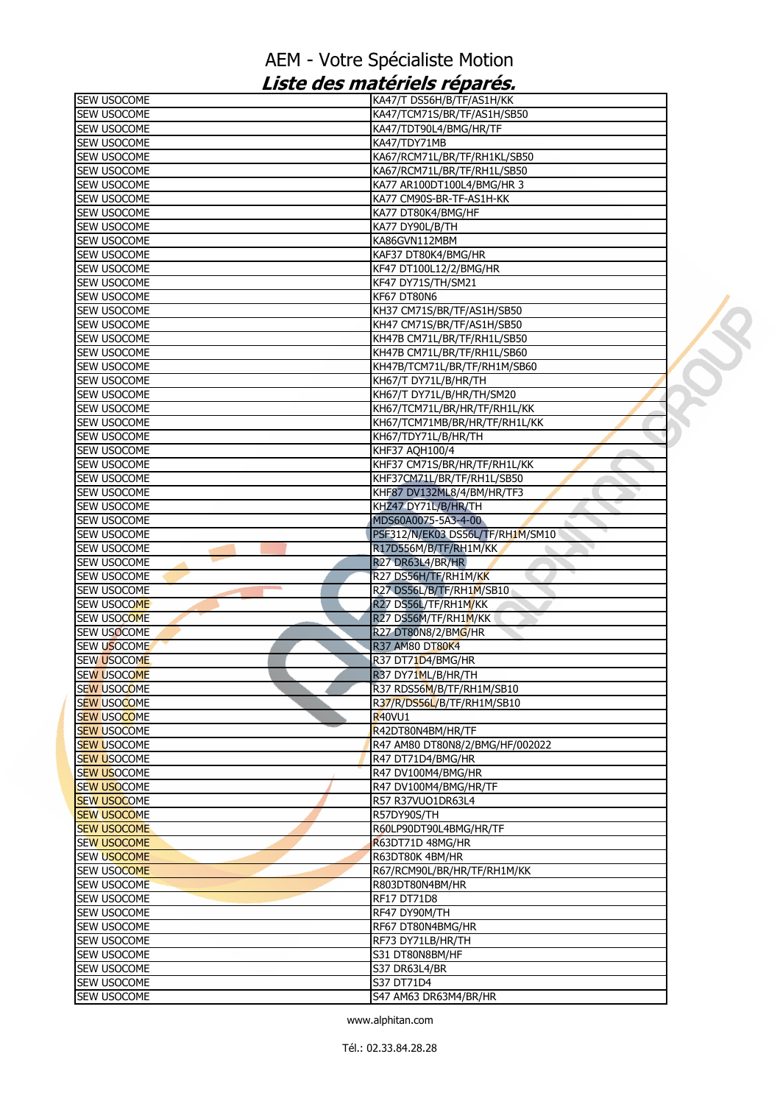| SEW USOCOME                       | KA47/T DS56H/B/TF/AS1H/KK             |  |
|-----------------------------------|---------------------------------------|--|
| SEW USOCOME                       | KA47/TCM71S/BR/TF/AS1H/SB50           |  |
| SEW USOCOME                       | KA47/TDT90L4/BMG/HR/TF                |  |
| SEW USOCOME                       | KA47/TDY71MB                          |  |
| SEW USOCOME                       | KA67/RCM71L/BR/TF/RH1KL/SB50          |  |
| SEW USOCOME                       | KA67/RCM71L/BR/TF/RH1L/SB50           |  |
| SEW USOCOME                       | KA77 AR100DT100L4/BMG/HR 3            |  |
| SEW USOCOME                       | KA77 CM90S-BR-TF-AS1H-KK              |  |
| <b>SEW USOCOME</b>                | KA77 DT80K4/BMG/HF                    |  |
| SEW USOCOME                       | KA77 DY90L/B/TH                       |  |
| SEW USOCOME                       | KA86GVN112MBM                         |  |
| SEW USOCOME                       | KAF37 DT80K4/BMG/HR                   |  |
| SEW USOCOME                       | KF47 DT100L12/2/BMG/HR                |  |
| SEW USOCOME                       | KF47 DY71S/TH/SM21                    |  |
| <b>SEW USOCOME</b>                | KF67 DT80N6                           |  |
| SEW USOCOME                       | KH37 CM71S/BR/TF/AS1H/SB50            |  |
| SEW USOCOME                       | KH47 CM71S/BR/TF/AS1H/SB50            |  |
| <b>SEW USOCOME</b>                | KH47B CM71L/BR/TF/RH1L/SB50           |  |
| SEW USOCOME                       | KH47B CM71L/BR/TF/RH1L/SB60           |  |
| <b>SEW USOCOME</b>                | KH47B/TCM71L/BR/TF/RH1M/SB60          |  |
| SEW USOCOME                       | KH67/T DY71L/B/HR/TH                  |  |
| SEW USOCOME                       | KH67/T DY71L/B/HR/TH/SM20             |  |
| SEW USOCOME                       | KH67/TCM71L/BR/HR/TF/RH1L/KK          |  |
| SEW USOCOME                       | KH67/TCM71MB/BR/HR/TF/RH1L/KK         |  |
| SEW USOCOME                       | KH67/TDY71L/B/HR/TH<br>KHF37 AQH100/4 |  |
| <b>SEW USOCOME</b><br>SEW USOCOME | KHF37 CM71S/BR/HR/TF/RH1L/KK          |  |
| SEW USOCOME                       | KHF37CM71L/BR/TF/RH1L/SB50            |  |
| SEW USOCOME                       | KHF87 DV132ML8/4/BM/HR/TF3            |  |
| SEW USOCOME                       | KHZ47 DY71L/B/HR/TH                   |  |
| SEW USOCOME                       | MDS60A0075-5A3-4-00                   |  |
| SEW USOCOME                       | PSF312/N/EK03 DS56L/TF/RH1M/SM10      |  |
| SEW USOCOME                       | R17D556M/B/TF/RH1M/KK                 |  |
| SEW USOCOME                       | R27 DR63L4/BR/HR                      |  |
| SEW USOCOME                       | R27 DS56H/TF/RH1M/KK                  |  |
| SEW USOCOME                       | R27 DS56L/B/TF/RH1M/SB10              |  |
| SEW USOCOME                       | R27 DS56L/TF/RH1M/KK                  |  |
| SEW USOCOME                       | R27 DS56M/TF/RH1M/KK                  |  |
| SEW USOCOME                       | R27 DT80N8/2/BMG/HR                   |  |
| SEW USOCOME                       | R37 AM80 DT80K4                       |  |
| <b>SEW USOCOME</b>                | R37 DT71D4/BMG/HR                     |  |
| <b>SEW USOCOME</b>                | R37 DY71ML/B/HR/TH                    |  |
| <b>SEW USOCOME</b>                | R37 RDS56M/B/TF/RH1M/SB10             |  |
| <b>SEW USOCOME</b>                | R37/R/DS56L/B/TF/RH1M/SB10            |  |
| <b>SEW USOCOME</b>                | R <sub>40</sub> VU1                   |  |
| <b>SEW USOCOME</b>                | R42DT80N4BM/HR/TF                     |  |
| <b>SEW USOCOME</b>                | R47 AM80 DT80N8/2/BMG/HF/002022       |  |
| <b>SEW USOCOME</b>                | R47 DT71D4/BMG/HR                     |  |
| <b>SEW USOCOME</b>                | R47 DV100M4/BMG/HR                    |  |
| <b>SEW USOCOME</b>                | R47 DV100M4/BMG/HR/TF                 |  |
| <b>SEW USOCOME</b>                | R57 R37VUO1DR63L4                     |  |
| <b>SEW USOCOME</b>                | R57DY90S/TH                           |  |
| <b>SEW USOCOME</b>                | R60LP90DT90L4BMG/HR/TF                |  |
| <b>SEW USOCOME</b>                | R63DT71D 48MG/HR                      |  |
| <b>SEW USOCOME</b>                | R63DT80K 4BM/HR                       |  |
| <b>SEW USOCOME</b>                | R67/RCM90L/BR/HR/TF/RH1M/KK           |  |
| SEW USOCOME                       | R803DT80N4BM/HR                       |  |
| SEW USOCOME                       | RF17 DT71D8                           |  |
| SEW USOCOME<br>SEW USOCOME        | RF47 DY90M/TH<br>RF67 DT80N4BMG/HR    |  |
| SEW USOCOME                       | RF73 DY71LB/HR/TH                     |  |
| SEW USOCOME                       | S31 DT80N8BM/HF                       |  |
| SEW USOCOME                       | <b>S37 DR63L4/BR</b>                  |  |
| SEW USOCOME                       | S37 DT71D4                            |  |
| SEW USOCOME                       | S47 AM63 DR63M4/BR/HR                 |  |
|                                   |                                       |  |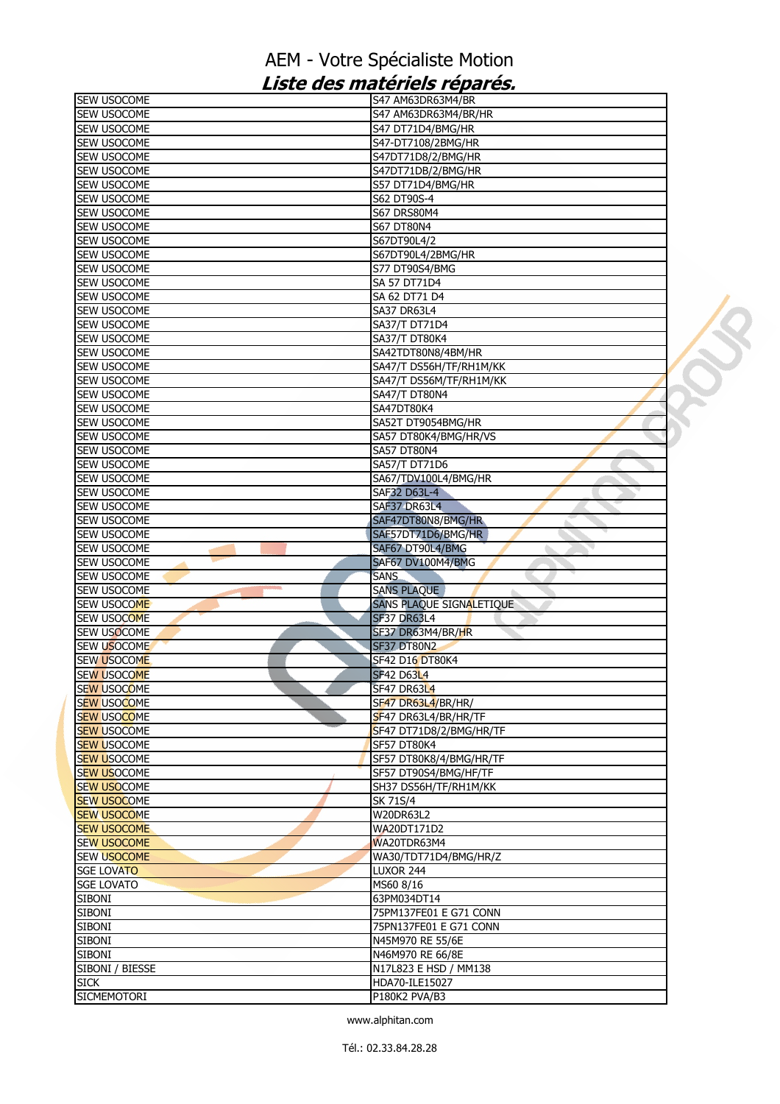| SEW USOCOME                       | S47 AM63DR63M4/BR        |  |
|-----------------------------------|--------------------------|--|
| <b>SEW USOCOME</b>                | S47 AM63DR63M4/BR/HR     |  |
| <b>SEW USOCOME</b>                | S47 DT71D4/BMG/HR        |  |
| SEW USOCOME                       | S47-DT7108/2BMG/HR       |  |
| SEW USOCOME                       | S47DT71D8/2/BMG/HR       |  |
| SEW USOCOME                       | S47DT71DB/2/BMG/HR       |  |
| SEW USOCOME                       | S57 DT71D4/BMG/HR        |  |
| SEW USOCOME                       | S62 DT90S-4              |  |
| SEW USOCOME                       | <b>S67 DRS80M4</b>       |  |
| SEW USOCOME                       | <b>S67 DT80N4</b>        |  |
| SEW USOCOME                       | S67DT90L4/2              |  |
| <b>SEW USOCOME</b>                | S67DT90L4/2BMG/HR        |  |
| <b>SEW USOCOME</b>                | S77 DT90S4/BMG           |  |
| SEW USOCOME                       | <b>SA 57 DT71D4</b>      |  |
| <b>SEW USOCOME</b>                | SA 62 DT71 D4            |  |
| SEW USOCOME                       | <b>SA37 DR63L4</b>       |  |
| SEW USOCOME                       | SA37/T DT71D4            |  |
| SEW USOCOME                       | SA37/T DT80K4            |  |
| SEW USOCOME                       | SA42TDT80N8/4BM/HR       |  |
| SEW USOCOME                       | SA47/T DS56H/TF/RH1M/KK  |  |
| SEW USOCOME                       | SA47/T DS56M/TF/RH1M/KK  |  |
| <b>SEW USOCOME</b>                | SA47/T DT80N4            |  |
| SEW USOCOME                       | SA47DT80K4               |  |
| SEW USOCOME                       | SA52T DT9054BMG/HR       |  |
| SEW USOCOME                       | SA57 DT80K4/BMG/HR/VS    |  |
|                                   |                          |  |
| <b>SEW USOCOME</b><br>SEW USOCOME | SA57 DT80N4              |  |
|                                   | SA57/T DT71D6            |  |
| <b>SEW USOCOME</b>                | SA67/TDV100L4/BMG/HR     |  |
| SEW USOCOME                       | SAF32 D63L-4             |  |
| SEW USOCOME                       | SAF37 DR63L4             |  |
| <b>SEW USOCOME</b>                | SAF47DT80N8/BMG/HR       |  |
| SEW USOCOME                       | SAF57DT71D6/BMG/HR       |  |
| SEW USOCOME                       | SAF67 DT90L4/BMG         |  |
| SEW USOCOME                       | <b>SAF67 DV100M4/BMG</b> |  |
| SEW USOCOME                       | <b>SANS</b>              |  |
| SEW USOCOME                       | <b>SANS PLAQUE</b>       |  |
| SEW USOCOME                       | SANS PLAQUE SIGNALETIQUE |  |
| SEW USOCOME                       | <b>SF37 DR63L4</b>       |  |
| SEW USOCOME                       | SF37 DR63M4/BR/HR        |  |
| <b>SEW USOCOME</b>                | <b>SF37 DT80N2</b>       |  |
| <b>SEW USOCOME</b>                | SF42 D16 DT80K4          |  |
| <b>SEW USOCOME</b>                | <b>SF42 D63L4</b>        |  |
| <b>SEW USOCOME</b>                | SF47 DR63L4              |  |
| <b>SEW USOCOME</b>                | SF47 DR63L4/BR/HR/       |  |
| <b>SEW USOCOME</b>                | SF47 DR63L4/BR/HR/TF     |  |
| <b>SEW USOCOME</b>                | SF47 DT71D8/2/BMG/HR/TF  |  |
| <b>SEW USOCOME</b>                | <b>SF57 DT80K4</b>       |  |
| <b>SEW USOCOME</b>                | SF57 DT80K8/4/BMG/HR/TF  |  |
| <b>SEW USOCOME</b>                | SF57 DT90S4/BMG/HF/TF    |  |
| <b>SEW USOCOME</b>                | SH37 DS56H/TF/RH1M/KK    |  |
| <b>SEW USOCOME</b>                | SK 71S/4                 |  |
| <b>SEW USOCOME</b>                | W20DR63L2                |  |
| <b>SEW USOCOME</b>                | <b>WA20DT171D2</b>       |  |
| <b>SEW USOCOME</b>                | WA20TDR63M4              |  |
| <b>SEW USOCOME</b>                | WA30/TDT71D4/BMG/HR/Z    |  |
| <b>SGE LOVATO</b>                 | LUXOR 244                |  |
| <b>SGE LOVATO</b>                 | MS60 8/16                |  |
| <b>SIBONI</b>                     | 63PM034DT14              |  |
| <b>SIBONI</b>                     | 75PM137FE01 E G71 CONN   |  |
| <b>SIBONI</b>                     | 75PN137FE01 E G71 CONN   |  |
| <b>SIBONI</b>                     | N45M970 RE 55/6E         |  |
| <b>SIBONI</b>                     | N46M970 RE 66/8E         |  |
| SIBONI / BIESSE                   | N17L823 E HSD / MM138    |  |
| <b>SICK</b>                       | HDA70-ILE15027           |  |
| <b>SICMEMOTORI</b>                | P180K2 PVA/B3            |  |
|                                   |                          |  |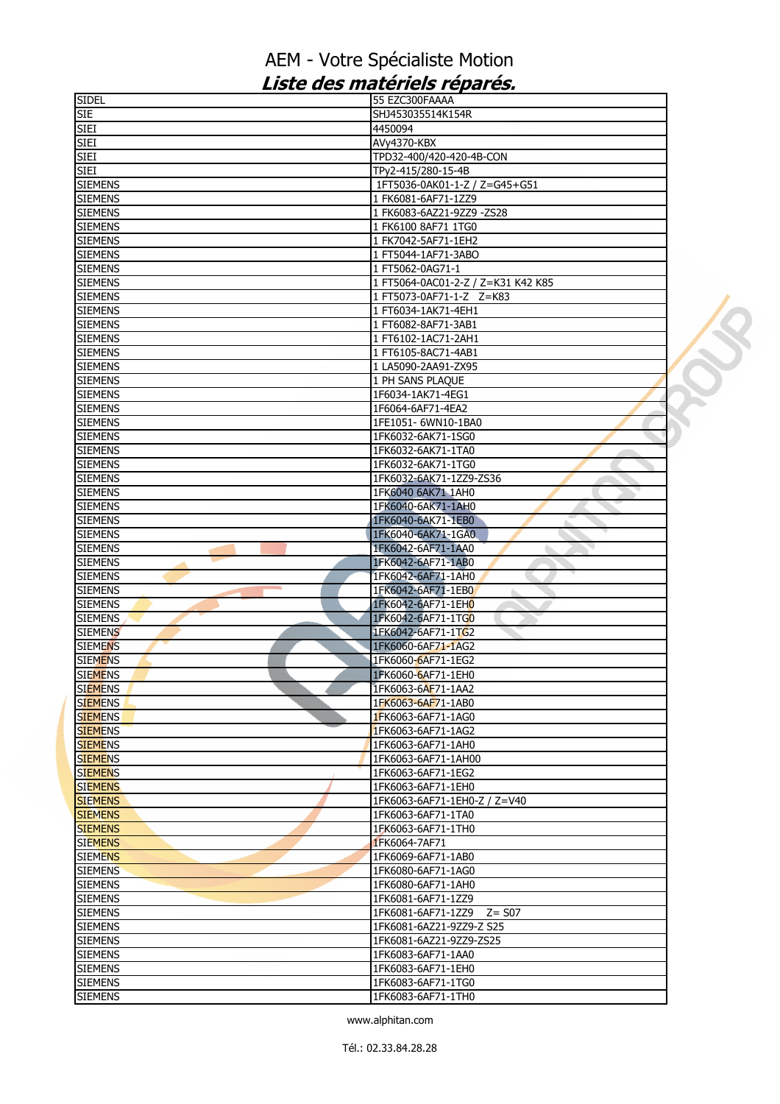| SIDEL          | 55 EZC300FAAAA                     |  |
|----------------|------------------------------------|--|
| <b>SIE</b>     | SHJ453035514K154R                  |  |
| <b>SIEI</b>    | 4450094                            |  |
| <b>SIEI</b>    | AVy4370-KBX                        |  |
| <b>SIEI</b>    | TPD32-400/420-420-4B-CON           |  |
| SIEI           | TPy2-415/280-15-4B                 |  |
| <b>SIEMENS</b> | 1FT5036-0AK01-1-Z / Z=G45+G51      |  |
| <b>SIEMENS</b> | 1 FK6081-6AF71-1ZZ9                |  |
| <b>SIEMENS</b> | 1 FK6083-6AZ21-9ZZ9 -ZS28          |  |
| <b>SIEMENS</b> | 1 FK6100 8AF71 1TG0                |  |
|                |                                    |  |
| <b>SIEMENS</b> | 1 FK7042-5AF71-1EH2                |  |
| <b>SIEMENS</b> | 1 FT5044-1AF71-3ABO                |  |
| <b>SIEMENS</b> | 1 FT5062-0AG71-1                   |  |
| <b>SIEMENS</b> | 1 FT5064-0AC01-2-Z / Z=K31 K42 K85 |  |
| <b>SIEMENS</b> | 1 FT5073-0AF71-1-Z Z=K83           |  |
| <b>SIEMENS</b> | 1 FT6034-1AK71-4EH1                |  |
| <b>SIEMENS</b> | 1 FT6082-8AF71-3AB1                |  |
| <b>SIEMENS</b> | 1 FT6102-1AC71-2AH1                |  |
| <b>SIEMENS</b> | 1 FT6105-8AC71-4AB1                |  |
| <b>SIEMENS</b> | 1 LA5090-2AA91-ZX95                |  |
| <b>SIEMENS</b> | 1 PH SANS PLAQUE                   |  |
| <b>SIEMENS</b> | 1F6034-1AK71-4EG1                  |  |
| <b>SIEMENS</b> | 1F6064-6AF71-4EA2                  |  |
| <b>SIEMENS</b> | 1FE1051-6WN10-1BA0                 |  |
| <b>SIEMENS</b> | 1FK6032-6AK71-1SG0                 |  |
| <b>SIEMENS</b> | 1FK6032-6AK71-1TA0                 |  |
|                |                                    |  |
| <b>SIEMENS</b> | 1FK6032-6AK71-1TG0                 |  |
| <b>SIEMENS</b> | 1FK6032-6AK71-1ZZ9-ZS36            |  |
| <b>SIEMENS</b> | 1FK6040 6AK71 1AH0                 |  |
| <b>SIEMENS</b> | 1FK6040-6AK71-1AH0                 |  |
| <b>SIEMENS</b> | 1FK6040-6AK71-1EB0                 |  |
| <b>SIEMENS</b> | 1FK6040-6AK71-1GA0                 |  |
| <b>SIEMENS</b> | 1FK6042-6AF71-1AA0                 |  |
| <b>SIEMENS</b> | 1FK6042-6AF71-1AB0                 |  |
| <b>SIEMENS</b> | 1FK6042-6AF71-1AH0                 |  |
| <b>SIEMENS</b> | 1FK6042-6AF71-1EB0                 |  |
| <b>SIEMENS</b> | 1FK6042-6AF71-1EH0                 |  |
| <b>SIEMENS</b> | 1FK6042-6AF71-1TG0                 |  |
| <b>SIEMENS</b> | 1FK6042-6AF71-1TG2                 |  |
| <b>SIEMENS</b> | 1FK6060-6AF71-1AG2                 |  |
| <b>SIEMENS</b> | 1FK6060-6AF71-1EG2                 |  |
| <b>SIEMENS</b> | 1FK6060-6AF71-1EH0                 |  |
| siemens        | 1FK6063-6AF71-1AA2                 |  |
| <b>SIEMENS</b> | 1FK6063-6AF71-1AB0                 |  |
| <b>SIEMENS</b> | 1FK6063-6AF71-1AG0                 |  |
| <b>SIEMENS</b> | 1FK6063-6AF71-1AG2                 |  |
| <b>SIEMENS</b> | 1FK6063-6AF71-1AH0                 |  |
| <b>SIEMENS</b> | 1FK6063-6AF71-1AH00                |  |
| <b>SIEMENS</b> | 1FK6063-6AF71-1EG2                 |  |
| <b>SIEMENS</b> | 1FK6063-6AF71-1EH0                 |  |
| <b>SIEMENS</b> | 1FK6063-6AF71-1EH0-Z / Z=V40       |  |
| <b>SIEMENS</b> | 1FK6063-6AF71-1TA0                 |  |
| <b>SIEMENS</b> | 1FK6063-6AF71-1TH0                 |  |
| <b>SIEMENS</b> | 1FK6064-7AF71                      |  |
| <b>SIEMENS</b> | 1FK6069-6AF71-1AB0                 |  |
| <b>SIEMENS</b> | 1FK6080-6AF71-1AG0                 |  |
| <b>SIEMENS</b> | 1FK6080-6AF71-1AH0                 |  |
| <b>SIEMENS</b> | 1FK6081-6AF71-1ZZ9                 |  |
| <b>SIEMENS</b> | 1FK6081-6AF71-1ZZ9 Z= S07          |  |
| <b>SIEMENS</b> | 1FK6081-6AZ21-9ZZ9-Z S25           |  |
| <b>SIEMENS</b> |                                    |  |
|                | 1FK6081-6AZ21-9ZZ9-ZS25            |  |
| <b>SIEMENS</b> | 1FK6083-6AF71-1AA0                 |  |
| <b>SIEMENS</b> | 1FK6083-6AF71-1EH0                 |  |
| <b>SIEMENS</b> | 1FK6083-6AF71-1TG0                 |  |
| <b>SIEMENS</b> | 1FK6083-6AF71-1TH0                 |  |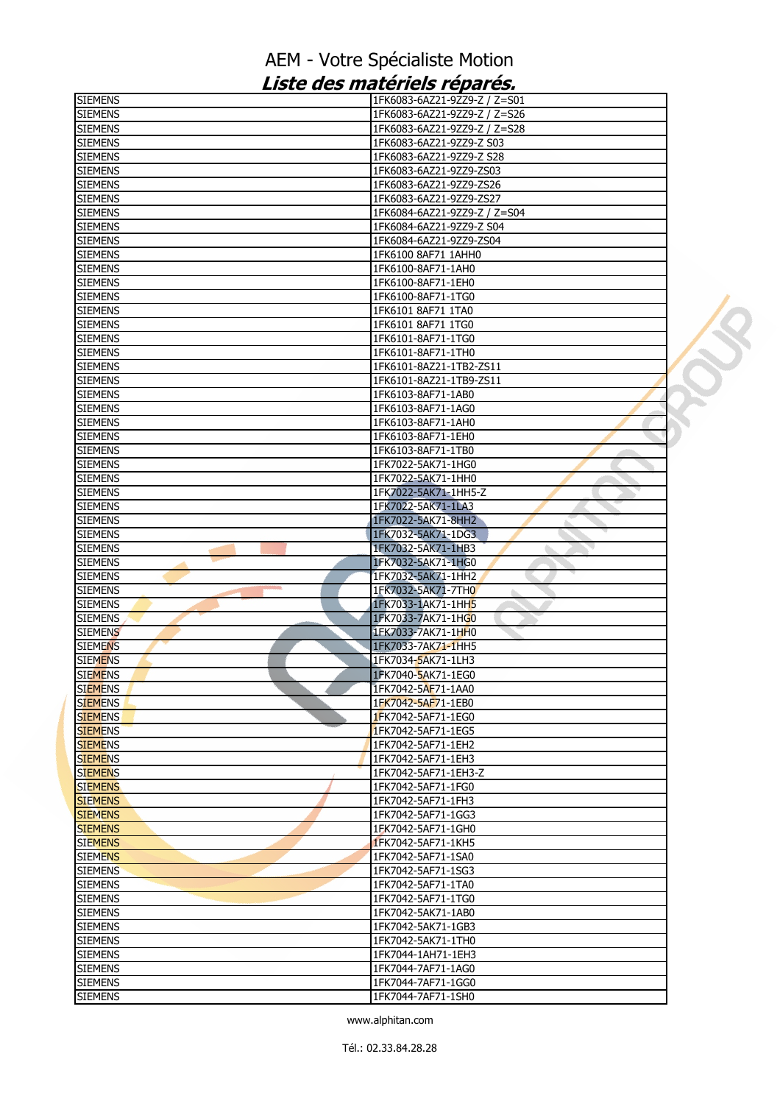| SIEMENS                          | 1FK6083-6AZ21-9ZZ9-Z / Z=S01             |
|----------------------------------|------------------------------------------|
| <b>SIEMENS</b>                   | 1FK6083-6AZ21-9ZZ9-Z / Z=S26             |
| <b>SIEMENS</b>                   | 1FK6083-6AZ21-9ZZ9-Z / Z=S28             |
| SIEMENS                          | 1FK6083-6AZ21-9ZZ9-Z S03                 |
| <b>SIEMENS</b>                   | 1FK6083-6AZ21-9ZZ9-Z S28                 |
| <b>SIEMENS</b>                   | 1FK6083-6AZ21-9ZZ9-ZS03                  |
| <b>SIEMENS</b>                   | 1FK6083-6AZ21-9ZZ9-ZS26                  |
| <b>SIEMENS</b>                   | 1FK6083-6AZ21-9ZZ9-ZS27                  |
| <b>SIEMENS</b>                   | 1FK6084-6AZ21-9ZZ9-Z / Z=S04             |
| <b>SIEMENS</b>                   | 1FK6084-6AZ21-9ZZ9-Z S04                 |
| <b>SIEMENS</b>                   | 1FK6084-6AZ21-9ZZ9-ZS04                  |
| <b>SIEMENS</b>                   | 1FK6100 8AF71 1AHH0                      |
| <b>SIEMENS</b>                   | 1FK6100-8AF71-1AH0                       |
| SIEMENS                          | 1FK6100-8AF71-1EH0                       |
| <b>SIEMENS</b>                   | 1FK6100-8AF71-1TG0                       |
| <b>SIEMENS</b>                   | 1FK6101 8AF71 1TA0                       |
| <b>SIEMENS</b>                   | 1FK6101 8AF71 1TG0                       |
| SIEMENS                          | IFK6101-8AF71-1TG0                       |
| <b>SIEMENS</b>                   | 1FK6101-8AF71-1TH0                       |
| <b>SIEMENS</b>                   | 1FK6101-8AZ21-1TB2-ZS11                  |
| <b>SIEMENS</b>                   | 1FK6101-8AZ21-1TB9-ZS11                  |
| <b>SIEMENS</b>                   | 1FK6103-8AF71-1AB0                       |
| SIEMENS                          | 1FK6103-8AF71-1AG0                       |
| <b>SIEMENS</b><br><b>SIEMENS</b> | 1FK6103-8AF71-1AH0<br>1FK6103-8AF71-1EH0 |
| <b>SIEMENS</b>                   | 1FK6103-8AF71-1TB0                       |
| <b>SIEMENS</b>                   | 1FK7022-5AK71-1HG0                       |
| <b>SIEMENS</b>                   | 1FK7022-5AK71-1HH0                       |
| <b>SIEMENS</b>                   | 1FK7022-5AK71-1HH5-Z                     |
| <b>SIEMENS</b>                   | 1FK7022-5AK71-1LA3                       |
| SIEMENS                          | 1FK7022-5AK71-8HH2                       |
| SIEMENS                          | 1FK7032-5AK71-1DG3                       |
| <b>SIEMENS</b>                   | 1FK7032-5AK71-1HB3                       |
| <b>SIEMENS</b>                   | 1FK7032-5AK71-1HG0                       |
| <b>SIEMENS</b>                   | 1FK7032-5AK71-1HH2                       |
| SIEMENS                          | 1FK7032-5AK71-7TH0<br>ò.                 |
| <b>SIEMENS</b>                   | 1FK7033-1AK71-1HH5                       |
| <b>SIEMENS</b>                   | 1FK7033-7AK71-1HG0                       |
| <b>SIEMENS</b>                   | 1FK7033-7AK71-1HH0                       |
| <b>SIEMENS</b>                   | 1FK7033-7AK71-1HH5                       |
| siemens                          | 1FK7034-5AK71-1LH3                       |
| <b>SIEMENS</b>                   | 1FK7040-5AK71-1EG0                       |
| <b>SIEMENS</b>                   | 1FK7042-5AF71-1AA0                       |
| <b>SIEMENS</b>                   | 1FK7042-5AF71-1EB0                       |
| <b>SIEMENS</b>                   | 1FK7042-5AF71-1EG0                       |
| <b>SIEMENS</b>                   | 1FK7042-5AF71-1EG5                       |
| <b>SIEMENS</b>                   | 1FK7042-5AF71-1EH2                       |
| <b>SIEMENS</b>                   | 1FK7042-5AF71-1EH3                       |
| <b>SIEMENS</b>                   | 1FK7042-5AF71-1EH3-Z                     |
| <b>SIEMENS</b>                   | 1FK7042-5AF71-1FG0                       |
| <b>SIEMENS</b><br><b>SIEMENS</b> | 1FK7042-5AF71-1FH3<br>1FK7042-5AF71-1GG3 |
| <b>SIEMENS</b>                   | 1FK7042-5AF71-1GH0                       |
| <b>SIEMENS</b>                   | 1FK7042-5AF71-1KH5                       |
| siemens                          | 1FK7042-5AF71-1SA0                       |
| <b>SIEMENS</b>                   | 1FK7042-5AF71-1SG3                       |
| <b>SIEMENS</b>                   | 1FK7042-5AF71-1TA0                       |
| <b>SIEMENS</b>                   | 1FK7042-5AF71-1TG0                       |
| SIEMENS                          | 1FK7042-5AK71-1AB0                       |
| siemens                          | 1FK7042-5AK71-1GB3                       |
| <b>SIEMENS</b>                   | 1FK7042-5AK71-1TH0                       |
| <b>SIEMENS</b>                   | 1FK7044-1AH71-1EH3                       |
| <b>SIEMENS</b>                   |                                          |
|                                  | 1FK7044-7AF71-1AG0                       |
| SIEMENS                          | 1FK7044-7AF71-1GG0                       |
| SIEMENS                          | 1FK7044-7AF71-1SH0                       |

U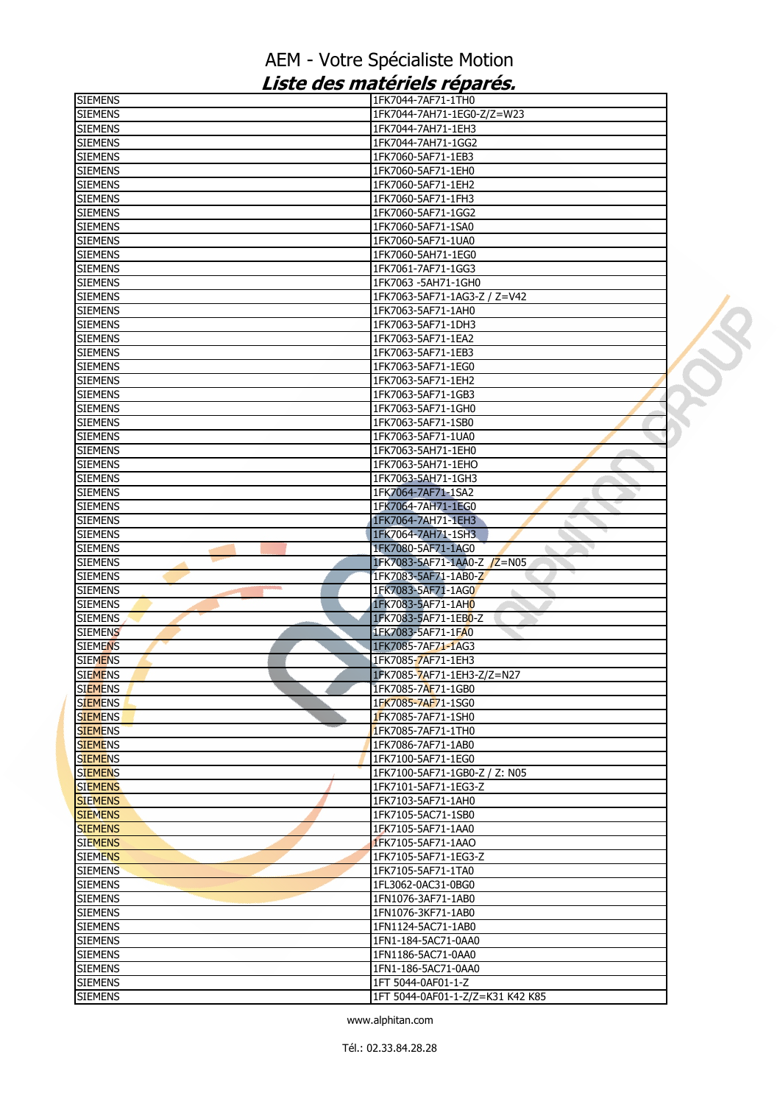| <b>SIEMENS</b>                   | 1FK7044-7AF71-1TH0                       |  |
|----------------------------------|------------------------------------------|--|
| <b>SIEMENS</b>                   | 1FK7044-7AH71-1EG0-Z/Z=W23               |  |
| <b>SIEMENS</b>                   | 1FK7044-7AH71-1EH3                       |  |
| <b>SIEMENS</b>                   | 1FK7044-7AH71-1GG2                       |  |
| <b>SIEMENS</b>                   | 1FK7060-5AF71-1EB3                       |  |
| <b>SIEMENS</b>                   | 1FK7060-5AF71-1EH0                       |  |
| <b>SIEMENS</b>                   | 1FK7060-5AF71-1EH2                       |  |
| <b>SIEMENS</b>                   | 1FK7060-5AF71-1FH3                       |  |
| <b>SIEMENS</b>                   | 1FK7060-5AF71-1GG2                       |  |
| <b>SIEMENS</b>                   | 1FK7060-5AF71-1SA0                       |  |
| <b>SIEMENS</b>                   | 1FK7060-5AF71-1UA0                       |  |
| <b>SIEMENS</b>                   | 1FK7060-5AH71-1EG0                       |  |
| <b>SIEMENS</b>                   | 1FK7061-7AF71-1GG3                       |  |
| <b>SIEMENS</b>                   | 1FK7063 - 5AH71-1GH0                     |  |
| <b>SIEMENS</b>                   | 1FK7063-5AF71-1AG3-Z / Z=V42             |  |
| <b>SIEMENS</b>                   | 1FK7063-5AF71-1AH0                       |  |
| <b>SIEMENS</b>                   | 1FK7063-5AF71-1DH3                       |  |
| <b>SIEMENS</b>                   | 1FK7063-5AF71-1EA2                       |  |
| <b>SIEMENS</b>                   | 1FK7063-5AF71-1EB3                       |  |
| <b>SIEMENS</b>                   | 1FK7063-5AF71-1EG0                       |  |
| <b>SIEMENS</b>                   | 1FK7063-5AF71-1EH2                       |  |
| <b>SIEMENS</b>                   | 1FK7063-5AF71-1GB3                       |  |
|                                  |                                          |  |
| <b>SIEMENS</b><br><b>SIEMENS</b> | 1FK7063-5AF71-1GH0<br>1FK7063-5AF71-1SB0 |  |
|                                  |                                          |  |
| <b>SIEMENS</b>                   | 1FK7063-5AF71-1UA0                       |  |
| <b>SIEMENS</b>                   | 1FK7063-5AH71-1EH0                       |  |
| <b>SIEMENS</b>                   | 1FK7063-5AH71-1EHO                       |  |
| <b>SIEMENS</b>                   | 1FK7063-5AH71-1GH3                       |  |
| <b>SIEMENS</b>                   | 1FK7064-7AF71-1SA2                       |  |
| <b>SIEMENS</b>                   | 1FK7064-7AH71-1EG0                       |  |
| <b>SIEMENS</b>                   | 1FK7064-7AH71-1EH3                       |  |
| <b>SIEMENS</b>                   | 1FK7064-7AH71-1SH3                       |  |
| <b>SIEMENS</b>                   | 1FK7080-5AF71-1AG0                       |  |
| <b>SIEMENS</b>                   | 1FK7083-5AF71-1AA0-Z /Z=N05              |  |
| <b>SIEMENS</b>                   | 1FK7083-5AF71-1AB0-Z                     |  |
| <b>SIEMENS</b>                   | 1FK7083-5AF71-1AG0<br>à.                 |  |
| <b>SIEMENS</b>                   | 1FK7083-5AF71-1AH0                       |  |
| <b>SIEMENS</b>                   | 1FK7083-5AF71-1EB0-Z                     |  |
| <b>SIEMENS</b>                   | 1FK7083-5AF71-1FA0                       |  |
| <b>SIEMENS</b>                   | 1FK7085-7AF71-1AG3                       |  |
| <b>SIEMENS</b>                   | 1FK7085-7AF71-1EH3                       |  |
| <b>SIEMENS</b>                   | 1FK7085-7AF71-1EH3-Z/Z=N27               |  |
| siemens                          | 1FK7085-7AF71-1GB0                       |  |
| <b>SIEMENS</b>                   | 1FK7085-7AF71-1SG0                       |  |
| <b>SIEMENS</b>                   | 1FK7085-7AF71-1SH0                       |  |
| <b>SIEMENS</b>                   | 1FK7085-7AF71-1TH0                       |  |
| <b>SIEMENS</b>                   | 1FK7086-7AF71-1AB0                       |  |
| <b>SIEMENS</b>                   | 1FK7100-5AF71-1EG0                       |  |
| <b>SIEMENS</b>                   | 1FK7100-5AF71-1GB0-Z / Z: N05            |  |
| <b>SIEMENS</b>                   | 1FK7101-5AF71-1EG3-Z                     |  |
| <b>SIEMENS</b>                   | 1FK7103-5AF71-1AH0                       |  |
| <b>SIEMENS</b>                   | 1FK7105-5AC71-1SB0                       |  |
| <b>SIEMENS</b>                   | 1FK7105-5AF71-1AA0                       |  |
| <b>SIEMENS</b>                   | 1FK7105-5AF71-1AAO                       |  |
| <b>SIEMENS</b>                   | 1FK7105-5AF71-1EG3-Z                     |  |
| <b>SIEMENS</b>                   | 1FK7105-5AF71-1TA0                       |  |
| <b>SIEMENS</b>                   | 1FL3062-0AC31-0BG0                       |  |
| <b>SIEMENS</b>                   | 1FN1076-3AF71-1AB0                       |  |
| <b>SIEMENS</b>                   | 1FN1076-3KF71-1AB0                       |  |
| <b>SIEMENS</b>                   | 1FN1124-5AC71-1AB0                       |  |
|                                  | 1FN1-184-5AC71-0AA0                      |  |
| <b>SIEMENS</b>                   | 1FN1186-5AC71-0AA0                       |  |
| <b>SIEMENS</b>                   |                                          |  |
| <b>SIEMENS</b>                   | 1FN1-186-5AC71-0AA0                      |  |
| <b>SIEMENS</b>                   | 1FT 5044-0AF01-1-Z                       |  |
| <b>SIEMENS</b>                   | 1FT 5044-0AF01-1-Z/Z=K31 K42 K85         |  |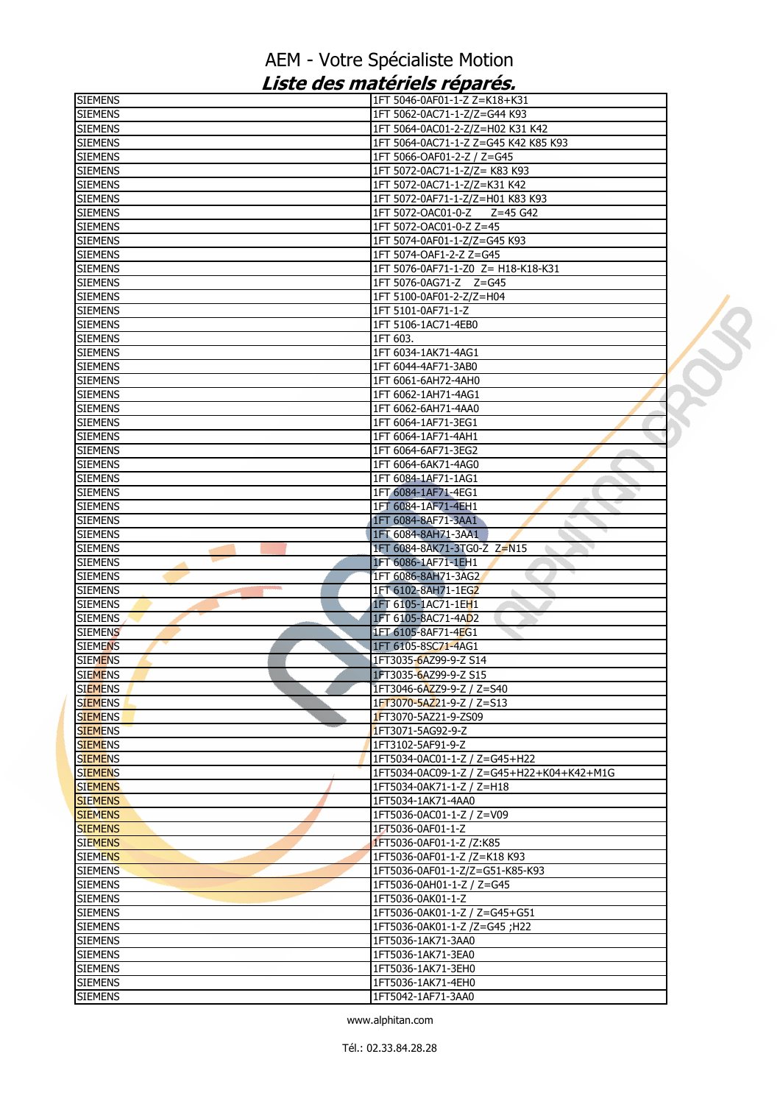| <b>SIEMENS</b>                   | 1FT 5046-0AF01-1-Z Z=K18+K31                                           |  |
|----------------------------------|------------------------------------------------------------------------|--|
| <b>SIEMENS</b>                   | 1FT 5062-0AC71-1-Z/Z=G44 K93                                           |  |
| <b>SIEMENS</b>                   | 1FT 5064-0AC01-2-Z/Z=H02 K31 K42                                       |  |
| <b>SIEMENS</b>                   | 1FT 5064-0AC71-1-Z Z=G45 K42 K85 K93                                   |  |
| <b>SIEMENS</b>                   | 1FT 5066-OAF01-2-Z / Z=G45                                             |  |
| <b>SIEMENS</b>                   | 1FT 5072-0AC71-1-Z/Z= K83 K93                                          |  |
| <b>SIEMENS</b>                   | 1FT 5072-0AC71-1-Z/Z=K31 K42                                           |  |
| <b>SIEMENS</b>                   | 1FT 5072-0AF71-1-Z/Z=H01 K83 K93                                       |  |
| <b>SIEMENS</b>                   | 1FT 5072-OAC01-0-Z<br>Z=45 G42                                         |  |
| <b>SIEMENS</b>                   | 1FT 5072-OAC01-0-Z Z=45                                                |  |
| <b>SIEMENS</b>                   | 1FT 5074-0AF01-1-Z/Z=G45 K93                                           |  |
| <b>SIEMENS</b>                   | 1FT 5074-OAF1-2-Z Z=G45                                                |  |
| <b>SIEMENS</b>                   | 1FT 5076-0AF71-1-Z0 Z= H18-K18-K31                                     |  |
| <b>SIEMENS</b>                   | 1FT 5076-0AG71-Z Z=G45                                                 |  |
| <b>SIEMENS</b>                   | 1FT 5100-0AF01-2-Z/Z=H04                                               |  |
| <b>SIEMENS</b>                   | 1FT 5101-0AF71-1-Z                                                     |  |
| <b>SIEMENS</b>                   | 1FT 5106-1AC71-4EB0                                                    |  |
| <b>SIEMENS</b>                   | 1FT 603.                                                               |  |
| <b>SIEMENS</b>                   | 1FT 6034-1AK71-4AG1                                                    |  |
| <b>SIEMENS</b>                   | 1FT 6044-4AF71-3AB0                                                    |  |
| <b>SIEMENS</b>                   | 1FT 6061-6AH72-4AH0                                                    |  |
| <b>SIEMENS</b>                   | 1FT 6062-1AH71-4AG1                                                    |  |
| <b>SIEMENS</b>                   | 1FT 6062-6AH71-4AA0                                                    |  |
| <b>SIEMENS</b>                   | 1FT 6064-1AF71-3EG1                                                    |  |
| <b>SIEMENS</b>                   | 1FT 6064-1AF71-4AH1                                                    |  |
| <b>SIEMENS</b>                   | 1FT 6064-6AF71-3EG2                                                    |  |
| <b>SIEMENS</b>                   | 1FT 6064-6AK71-4AG0                                                    |  |
| <b>SIEMENS</b>                   | 1FT 6084-1AF71-1AG1                                                    |  |
| <b>SIEMENS</b>                   | 1FT 6084-1AF71-4EG1                                                    |  |
| <b>SIEMENS</b>                   | 1FT 6084-1AF71-4EH1                                                    |  |
| <b>SIEMENS</b>                   | 1FT 6084-8AF71-3AA1                                                    |  |
| <b>SIEMENS</b>                   | 1FT 6084-8AH71-3AA1                                                    |  |
| <b>SIEMENS</b>                   | 1FT 6084-8AK71-3TG0-Z Z=N15                                            |  |
| <b>SIEMENS</b>                   | 1FT 6086-1AF71-1EH1                                                    |  |
| <b>SIEMENS</b>                   | 1FT 6086-8AH71-3AG2                                                    |  |
| <b>SIEMENS</b>                   | 1FT 6102-8AH71-1EG2                                                    |  |
| <b>SIEMENS</b>                   | 1FT 6105-1AC71-1EH1                                                    |  |
| <b>SIEMENS</b>                   | 1FT 6105-8AC71-4AD2                                                    |  |
| <b>SIEMENS</b>                   | 1FT 6105-8AF71-4EG1                                                    |  |
| <b>SIEMENS</b>                   | 1FT 6105-8SC71-4AG1                                                    |  |
| <b>SIEMENS</b>                   | 1FT3035-6AZ99-9-Z S14                                                  |  |
| <b>SIEMENS</b>                   | 1FT3035-6AZ99-9-Z S15                                                  |  |
| <b>SIEMENS</b>                   | 1FT3046-6AZZ9-9-Z / Z=S40                                              |  |
| <b>SIEMENS</b>                   | 1FT3070-5AZ21-9-Z / Z=S13                                              |  |
| <b>SIEMENS</b>                   | 1FT3070-5AZ21-9-ZS09                                                   |  |
| <b>SIEMENS</b>                   | 1FT3071-5AG92-9-Z                                                      |  |
| <b>SIEMENS</b>                   | 1FT3102-5AF91-9-Z                                                      |  |
| <b>SIEMENS</b>                   | 1FT5034-0AC01-1-Z / Z=G45+H22                                          |  |
| <b>SIEMENS</b><br><b>SIEMENS</b> | 1FT5034-0AC09-1-Z / Z=G45+H22+K04+K42+M1G<br>1FT5034-0AK71-1-Z / Z=H18 |  |
|                                  |                                                                        |  |
| <b>SIEMENS</b>                   | 1FT5034-1AK71-4AA0                                                     |  |
| <b>SIEMENS</b><br><b>SIEMENS</b> | 1FT5036-0AC01-1-Z / Z=V09                                              |  |
|                                  | 1FT5036-0AF01-1-Z                                                      |  |
| <b>SIEMENS</b><br><b>SIEMENS</b> | 1FT5036-0AF01-1-Z /Z:K85                                               |  |
| <b>SIEMENS</b>                   | 1FT5036-0AF01-1-Z /Z=K18 K93<br>1FT5036-0AF01-1-Z/Z=G51-K85-K93        |  |
| <b>SIEMENS</b>                   | 1FT5036-0AH01-1-Z / Z=G45                                              |  |
| <b>SIEMENS</b>                   | 1FT5036-0AK01-1-Z                                                      |  |
| <b>SIEMENS</b>                   | 1FT5036-0AK01-1-Z / Z=G45+G51                                          |  |
| <b>SIEMENS</b>                   | 1FT5036-0AK01-1-Z /Z=G45 ;H22                                          |  |
| <b>SIEMENS</b>                   | 1FT5036-1AK71-3AA0                                                     |  |
| <b>SIEMENS</b>                   | 1FT5036-1AK71-3EA0                                                     |  |
| <b>SIEMENS</b>                   | 1FT5036-1AK71-3EH0                                                     |  |
| <b>SIEMENS</b>                   | 1FT5036-1AK71-4EH0                                                     |  |
| <b>SIEMENS</b>                   | 1FT5042-1AF71-3AA0                                                     |  |
|                                  |                                                                        |  |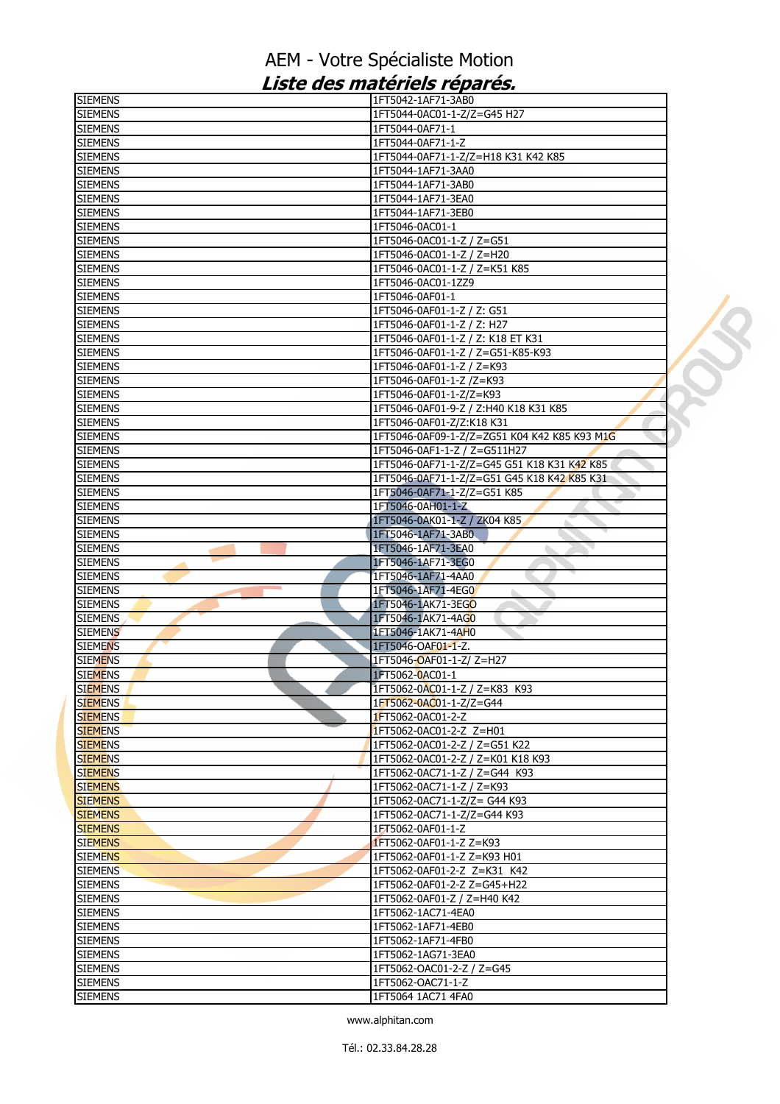| <b>SIEMENS</b>                   | 1FT5042-1AF71-3AB0                                       |  |
|----------------------------------|----------------------------------------------------------|--|
| <b>SIEMENS</b>                   | 1FT5044-0AC01-1-Z/Z=G45 H27                              |  |
| <b>SIEMENS</b>                   | 1FT5044-0AF71-1                                          |  |
| <b>SIEMENS</b>                   | 1FT5044-0AF71-1-Z                                        |  |
| <b>SIEMENS</b>                   | 1FT5044-0AF71-1-Z/Z=H18 K31 K42 K85                      |  |
| <b>SIEMENS</b>                   | 1FT5044-1AF71-3AA0                                       |  |
| <b>SIEMENS</b>                   | 1FT5044-1AF71-3AB0                                       |  |
| <b>SIEMENS</b>                   | 1FT5044-1AF71-3EA0                                       |  |
| <b>SIEMENS</b>                   | 1FT5044-1AF71-3EB0                                       |  |
| <b>SIEMENS</b>                   | 1FT5046-0AC01-1                                          |  |
| <b>SIEMENS</b>                   | 1FT5046-0AC01-1-Z / Z=G51                                |  |
| <b>SIEMENS</b>                   | 1FT5046-0AC01-1-Z / Z=H20                                |  |
| <b>SIEMENS</b>                   | 1FT5046-0AC01-1-Z / Z=K51 K85                            |  |
| <b>SIEMENS</b>                   | 1FT5046-0AC01-1ZZ9                                       |  |
| <b>SIEMENS</b>                   | 1FT5046-0AF01-1                                          |  |
| <b>SIEMENS</b>                   | 1FT5046-0AF01-1-Z / Z: G51                               |  |
| <b>SIEMENS</b>                   | 1FT5046-0AF01-1-Z / Z: H27                               |  |
| <b>SIEMENS</b>                   | 1FT5046-0AF01-1-Z / Z: K18 ET K31                        |  |
| <b>SIEMENS</b>                   | 1FT5046-0AF01-1-Z / Z=G51-K85-K93                        |  |
| <b>SIEMENS</b>                   | 1FT5046-0AF01-1-Z / Z=K93                                |  |
| <b>SIEMENS</b>                   | 1FT5046-0AF01-1-Z /Z=K93                                 |  |
| <b>SIEMENS</b>                   | 1FT5046-0AF01-1-Z/Z=K93                                  |  |
| <b>SIEMENS</b>                   | 1FT5046-0AF01-9-Z / Z:H40 K18 K31 K85                    |  |
| <b>SIEMENS</b>                   | 1FT5046-0AF01-Z/Z:K18 K31                                |  |
| <b>SIEMENS</b>                   | 1FT5046-0AF09-1-Z/Z=ZG51 K04 K42 K85 K93 M1G             |  |
| <b>SIEMENS</b>                   | 1FT5046-0AF1-1-Z / Z=G511H27                             |  |
| <b>SIEMENS</b>                   | 1FT5046-0AF71-1-Z/Z=G45 G51 K18 K31 K42 K85              |  |
| <b>SIEMENS</b>                   | 1FT5046-0AF71-1-Z/Z=G51 G45 K18 K42 K85 K31              |  |
| <b>SIEMENS</b>                   | 1FT5046-0AF71-1-Z/Z=G51 K85                              |  |
| <b>SIEMENS</b>                   | 1FT5046-0AH01-1-Z                                        |  |
| <b>SIEMENS</b>                   | 1FT5046-0AK01-1-Z / ZK04 K85<br>a.                       |  |
| <b>SIEMENS</b>                   | 1FT5046-1AF71-3AB0                                       |  |
| <b>SIEMENS</b>                   | 1FT5046-1AF71-3EA0                                       |  |
| <b>SIEMENS</b>                   | 1FT5046-1AF71-3EG0                                       |  |
| <b>SIEMENS</b>                   | 1FT5046-1AF71-4AA0                                       |  |
| <b>SIEMENS</b>                   | 1FT5046-1AF71-4EG0<br>۵                                  |  |
| <b>SIEMENS</b>                   | 1FT5046-1AK71-3EGO                                       |  |
| <b>SIEMENS</b>                   | 1FT5046-1AK71-4AG0                                       |  |
| <b>SIEMENS</b>                   | 1FT5046-1AK71-4AH0                                       |  |
| <b>SIEMENS</b>                   | 1FT5046-OAF01-1-Z.                                       |  |
| <b>SIEMENS</b>                   | 1FT5046 <del>-</del> OAF01-1-Z/ Z=H27                    |  |
| <b>SIEMENS</b>                   | 1FT5062-0AC01-1                                          |  |
| <b>SIEMENS</b>                   | 1FT5062-0AC01-1-Z / Z=K83 K93<br>1FT5062-0AC01-1-Z/Z=G44 |  |
| <b>SIEMENS</b>                   | 1FT5062-0AC01-2-Z                                        |  |
| <b>SIEMENS</b><br><b>SIEMENS</b> | 1FT5062-0AC01-2-Z Z=H01                                  |  |
| <b>SIEMENS</b>                   | 1FT5062-0AC01-2-Z / Z=G51 K22                            |  |
| <b>SIEMENS</b>                   | 1FT5062-0AC01-2-Z / Z=K01 K18 K93                        |  |
| <b>SIEMENS</b>                   | 1FT5062-0AC71-1-Z / Z=G44 K93                            |  |
| <b>SIEMENS</b>                   | 1FT5062-0AC71-1-Z / Z=K93                                |  |
| <b>SIEMENS</b>                   | 1FT5062-0AC71-1-Z/Z= G44 K93                             |  |
| <b>SIEMENS</b>                   | 1FT5062-0AC71-1-Z/Z=G44 K93                              |  |
| <b>SIEMENS</b>                   | 1FT5062-0AF01-1-Z                                        |  |
| <b>SIEMENS</b>                   | 1FT5062-0AF01-1-Z Z=K93                                  |  |
| <b>SIEMENS</b>                   | 1FT5062-0AF01-1-Z Z=K93 H01                              |  |
| <b>SIEMENS</b>                   | 1FT5062-0AF01-2-Z Z=K31 K42                              |  |
| <b>SIEMENS</b>                   | 1FT5062-0AF01-2-Z Z=G45+H22                              |  |
| <b>SIEMENS</b>                   | 1FT5062-0AF01-Z / Z=H40 K42                              |  |
| <b>SIEMENS</b>                   | 1FT5062-1AC71-4EA0                                       |  |
| <b>SIEMENS</b>                   | 1FT5062-1AF71-4EB0                                       |  |
| <b>SIEMENS</b>                   | 1FT5062-1AF71-4FB0                                       |  |
| <b>SIEMENS</b>                   | 1FT5062-1AG71-3EA0                                       |  |
| <b>SIEMENS</b>                   | 1FT5062-OAC01-2-Z / Z=G45                                |  |
| <b>SIEMENS</b>                   | 1FT5062-OAC71-1-Z                                        |  |
| <b>SIEMENS</b>                   | 1FT5064 1AC71 4FA0                                       |  |
|                                  |                                                          |  |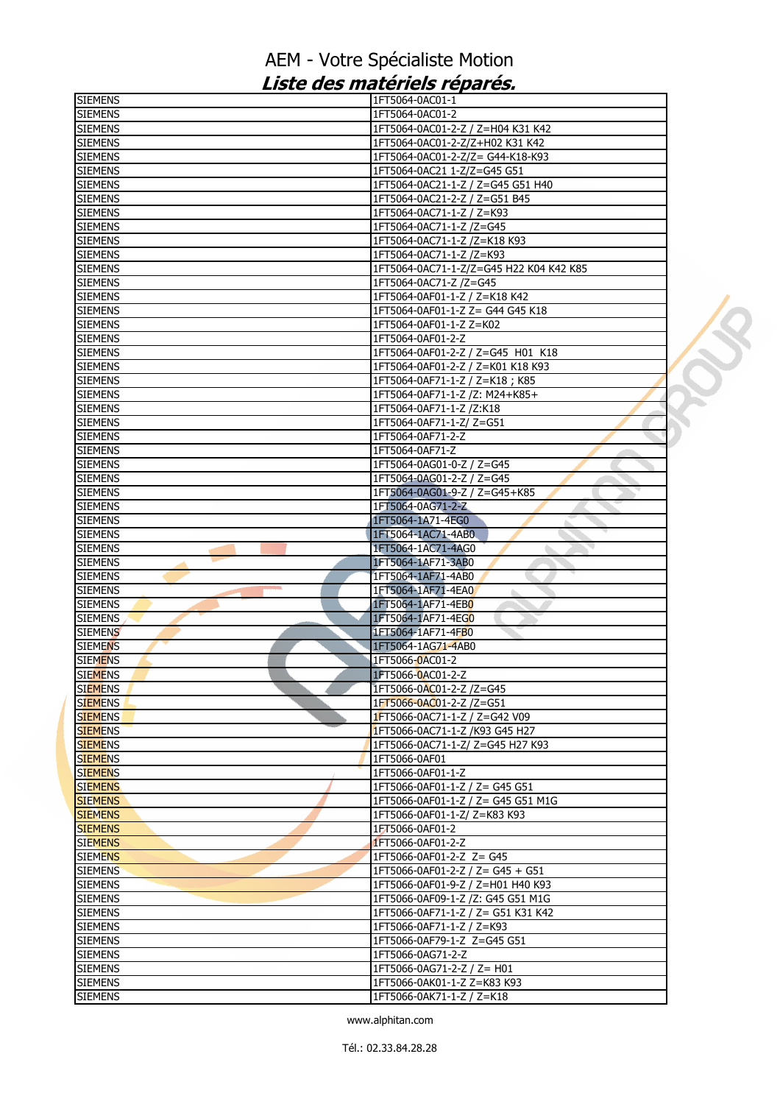| <b>SIEMENS</b> | I1FT5064-0AC01-1                        |  |
|----------------|-----------------------------------------|--|
| <b>SIEMENS</b> | 1FT5064-0AC01-2                         |  |
| <b>SIEMENS</b> | 1FT5064-0AC01-2-Z / Z=H04 K31 K42       |  |
| <b>SIEMENS</b> | 1FT5064-0AC01-2-Z/Z+H02 K31 K42         |  |
| <b>SIEMENS</b> | 1FT5064-0AC01-2-Z/Z= G44-K18-K93        |  |
| <b>SIEMENS</b> | 1FT5064-0AC21 1-Z/Z=G45 G51             |  |
| <b>SIEMENS</b> | 1FT5064-0AC21-1-Z / Z=G45 G51 H40       |  |
| <b>SIEMENS</b> | 1FT5064-0AC21-2-Z / Z=G51 B45           |  |
| <b>SIEMENS</b> | 1FT5064-0AC71-1-Z / Z=K93               |  |
| <b>SIEMENS</b> | 1FT5064-0AC71-1-Z /Z=G45                |  |
| <b>SIEMENS</b> | 1FT5064-0AC71-1-Z /Z=K18 K93            |  |
| <b>SIEMENS</b> | 1FT5064-0AC71-1-Z /Z=K93                |  |
| <b>SIEMENS</b> | 1FT5064-0AC71-1-Z/Z=G45 H22 K04 K42 K85 |  |
| <b>SIEMENS</b> | 1FT5064-0AC71-Z /Z=G45                  |  |
| <b>SIEMENS</b> | 1FT5064-0AF01-1-Z / Z=K18 K42           |  |
| <b>SIEMENS</b> | 1FT5064-0AF01-1-Z Z= G44 G45 K18        |  |
| <b>SIEMENS</b> | 1FT5064-0AF01-1-Z Z=K02                 |  |
|                |                                         |  |
| <b>SIEMENS</b> | 1FT5064-0AF01-2-Z                       |  |
| <b>SIEMENS</b> | 1FT5064-0AF01-2-Z / Z=G45 H01 K18       |  |
| <b>SIEMENS</b> | 1FT5064-0AF01-2-Z / Z=K01 K18 K93       |  |
| <b>SIEMENS</b> | 1FT5064-0AF71-1-Z / Z=K18; K85          |  |
| <b>SIEMENS</b> | 1FT5064-0AF71-1-Z /Z: M24+K85+          |  |
| <b>SIEMENS</b> | 1FT5064-0AF71-1-Z /Z:K18                |  |
| <b>SIEMENS</b> | 1FT5064-0AF71-1-Z/Z=G51                 |  |
| <b>SIEMENS</b> | 1FT5064-0AF71-2-Z                       |  |
| <b>SIEMENS</b> | 1FT5064-0AF71-Z                         |  |
| <b>SIEMENS</b> | 1FT5064-0AG01-0-Z / Z=G45               |  |
| <b>SIEMENS</b> | 1FT5064-0AG01-2-Z / Z=G45               |  |
| <b>SIEMENS</b> | 1FT5064-0AG01-9-Z / Z=G45+K85           |  |
| <b>SIEMENS</b> | 1FT5064-0AG71-2-Z                       |  |
| <b>SIEMENS</b> | 1FT5064-1A71-4EG0                       |  |
| <b>SIEMENS</b> | 1FT5064-1AC71-4AB0                      |  |
| <b>SIEMENS</b> | 1FT5064-1AC71-4AG0<br>◥                 |  |
| <b>SIEMENS</b> | 1FT5064-1AF71-3AB0                      |  |
| <b>SIEMENS</b> | 1FT5064-1AF71-4AB0                      |  |
| <b>SIEMENS</b> | 1FT5064-1AF71-4EA0                      |  |
| <b>SIEMENS</b> | 1FT5064-1AF71-4EB0                      |  |
| <b>SIEMENS</b> | 1FT5064-1AF71-4EG0                      |  |
|                |                                         |  |
| <b>SIEMENS</b> | 1FT5064-1AF71-4FB0                      |  |
| <b>SIEMENS</b> | 1FT5064-1AG71-4AB0                      |  |
| <b>SIEMENS</b> | 1FT5066-0AC01-2                         |  |
| <b>SIEMENS</b> | 1FT5066-0AC01-2-Z                       |  |
| <b>SIEMENS</b> | 1FT5066-0AC01-2-Z /Z=G45                |  |
| <b>SIEMENS</b> | 1FT5066-0AC01-2-Z /Z=G51                |  |
| <b>SIEMENS</b> | <b>1FT5066-0AC71-1-Z / Z=G42 V09</b>    |  |
| <b>SIEMENS</b> | 1FT5066-0AC71-1-Z /K93 G45 H27          |  |
| <b>SIEMENS</b> | 1FT5066-0AC71-1-Z/ Z=G45 H27 K93        |  |
| <b>SIEMENS</b> | 1FT5066-0AF01                           |  |
| <b>SIEMENS</b> | 1FT5066-0AF01-1-Z                       |  |
| <b>SIEMENS</b> | 1FT5066-0AF01-1-Z / Z= G45 G51          |  |
| <b>SIEMENS</b> | 1FT5066-0AF01-1-Z / Z= G45 G51 M1G      |  |
| <b>SIEMENS</b> | 1FT5066-0AF01-1-Z/ Z=K83 K93            |  |
| <b>SIEMENS</b> | 1FT5066-0AF01-2                         |  |
| <b>SIEMENS</b> | 1FT5066-0AF01-2-Z                       |  |
| <b>SIEMENS</b> | 1FT5066-0AF01-2-Z Z= G45                |  |
| <b>SIEMENS</b> | 1FT5066-0AF01-2-Z / Z= G45 + G51        |  |
| <b>SIEMENS</b> | 1FT5066-0AF01-9-Z / Z=H01 H40 K93       |  |
| <b>SIEMENS</b> | 1FT5066-0AF09-1-Z /Z: G45 G51 M1G       |  |
|                |                                         |  |
| <b>SIEMENS</b> | 1FT5066-0AF71-1-Z / Z= G51 K31 K42      |  |
| <b>SIEMENS</b> | 1FT5066-0AF71-1-Z / Z=K93               |  |
| <b>SIEMENS</b> | 1FT5066-0AF79-1-Z Z=G45 G51             |  |
| <b>SIEMENS</b> | 1FT5066-0AG71-2-Z                       |  |
| <b>SIEMENS</b> | 1FT5066-0AG71-2-Z / Z= H01              |  |
| <b>SIEMENS</b> | 1FT5066-0AK01-1-Z Z=K83 K93             |  |
| <b>SIEMENS</b> | 1FT5066-0AK71-1-Z / Z=K18               |  |
|                |                                         |  |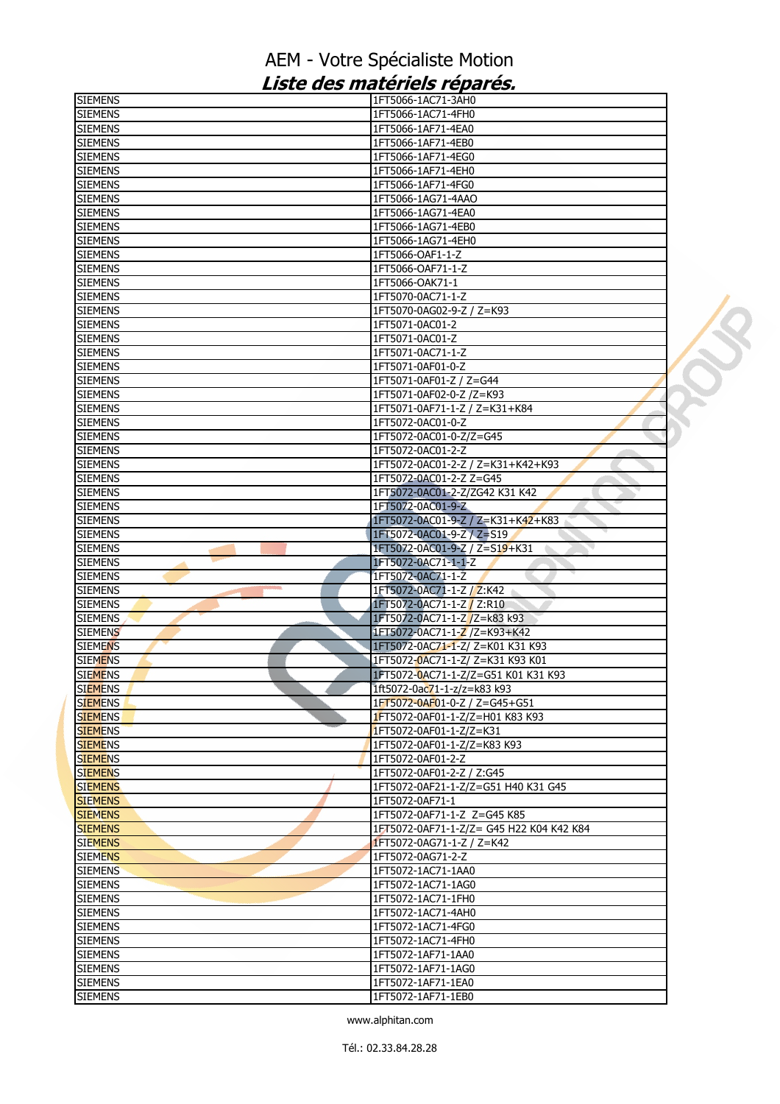| <b>SIEMENS</b> | 1FT5066-1AC71-3AH0                       |  |
|----------------|------------------------------------------|--|
| <b>SIEMENS</b> | 1FT5066-1AC71-4FH0                       |  |
| <b>SIEMENS</b> | 1FT5066-1AF71-4EA0                       |  |
| <b>SIEMENS</b> | 1FT5066-1AF71-4EB0                       |  |
| <b>SIEMENS</b> | 1FT5066-1AF71-4EG0                       |  |
| <b>SIEMENS</b> | 1FT5066-1AF71-4EH0                       |  |
| <b>SIEMENS</b> | 1FT5066-1AF71-4FG0                       |  |
| <b>SIEMENS</b> | 1FT5066-1AG71-4AAO                       |  |
| <b>SIEMENS</b> | 1FT5066-1AG71-4EA0                       |  |
| <b>SIEMENS</b> | 1FT5066-1AG71-4EB0                       |  |
| <b>SIEMENS</b> | 1FT5066-1AG71-4EH0                       |  |
| <b>SIEMENS</b> | 1FT5066-OAF1-1-Z                         |  |
| <b>SIEMENS</b> | 1FT5066-OAF71-1-Z                        |  |
| <b>SIEMENS</b> | 1FT5066-OAK71-1                          |  |
| <b>SIEMENS</b> | 1FT5070-0AC71-1-Z                        |  |
| <b>SIEMENS</b> | 1FT5070-0AG02-9-Z / Z=K93                |  |
| <b>SIEMENS</b> | 1FT5071-0AC01-2                          |  |
| <b>SIEMENS</b> | 1FT5071-0AC01-Z                          |  |
|                |                                          |  |
| <b>SIEMENS</b> | 1FT5071-0AC71-1-Z                        |  |
| <b>SIEMENS</b> | 1FT5071-0AF01-0-Z                        |  |
| <b>SIEMENS</b> | 1FT5071-0AF01-Z / Z=G44                  |  |
| <b>SIEMENS</b> | 1FT5071-0AF02-0-Z /Z=K93                 |  |
| <b>SIEMENS</b> | 1FT5071-0AF71-1-Z / Z=K31+K84            |  |
| <b>SIEMENS</b> | 1FT5072-0AC01-0-Z                        |  |
| <b>SIEMENS</b> | 1FT5072-0AC01-0-Z/Z=G45                  |  |
| <b>SIEMENS</b> | 1FT5072-0AC01-2-Z                        |  |
| <b>SIEMENS</b> | 1FT5072-0AC01-2-Z / Z=K31+K42+K93        |  |
| <b>SIEMENS</b> | 1FT5072-0AC01-2-Z Z=G45                  |  |
| <b>SIEMENS</b> | 1FT5072-0AC01-2-Z/ZG42 K31 K42           |  |
| <b>SIEMENS</b> | 1FT5072-0AC01-9-Z                        |  |
| <b>SIEMENS</b> | 1FT5072-0AC01-9-Z / Z=K31+K42+K83        |  |
| <b>SIEMENS</b> | 1FT5072-0AC01-9-Z / Z=S19                |  |
| <b>SIEMENS</b> | 1FT5072-0AC01-9-Z / Z=S19+K31            |  |
| <b>SIEMENS</b> | 1FT5072-0AC71-1-1-Z                      |  |
| <b>SIEMENS</b> | 1FT5072-0AC71-1-Z                        |  |
| <b>SIEMENS</b> | 1FT5072-0AC71-1-Z / Z:K42                |  |
| <b>SIEMENS</b> | 1FT5072-0AC71-1-Z / Z:R10                |  |
| <b>SIEMENS</b> | 1FT5072-0AC71-1-Z /Z=k83 k93             |  |
| <b>SIEMENS</b> | 1FT5072-0AC71-1-Z /Z=K93+K42             |  |
| <b>SIEMENS</b> | 1FT5072-0AC71-1-Z/ Z=K01 K31 K93         |  |
| <b>SIEMENS</b> | 1FT5072-0AC71-1-Z/ Z=K31 K93 K01         |  |
| <b>SIEMENS</b> | 1FT5072-0AC71-1-Z/Z=G51 K01 K31 K93      |  |
| <b>SIEMENS</b> | 1ft5072-0ac71-1-z/z=k83 k93              |  |
| <b>SIEMENS</b> | 1FT5072-0AF01-0-Z / Z=G45+G51            |  |
| <b>SIEMENS</b> | 1FT5072-0AF01-1-Z/Z=H01 K83 K93          |  |
| <b>SIEMENS</b> | 1FT5072-0AF01-1-Z/Z=K31                  |  |
| <b>SIEMENS</b> | 1FT5072-0AF01-1-Z/Z=K83 K93              |  |
|                |                                          |  |
| <b>SIEMENS</b> | 1FT5072-0AF01-2-Z                        |  |
| <b>SIEMENS</b> | 1FT5072-0AF01-2-Z / Z:G45                |  |
| <b>SIEMENS</b> | 1FT5072-0AF21-1-Z/Z=G51 H40 K31 G45      |  |
| <b>SIEMENS</b> | 1FT5072-0AF71-1                          |  |
| <b>SIEMENS</b> | 1FT5072-0AF71-1-Z Z=G45 K85              |  |
| <b>SIEMENS</b> | 1FT5072-0AF71-1-Z/Z= G45 H22 K04 K42 K84 |  |
| <b>SIEMENS</b> | 1FT5072-0AG71-1-Z / Z=K42                |  |
| <b>SIEMENS</b> | 1FT5072-0AG71-2-Z                        |  |
| <b>SIEMENS</b> | 1FT5072-1AC71-1AA0                       |  |
| <b>SIEMENS</b> | 1FT5072-1AC71-1AG0                       |  |
| <b>SIEMENS</b> | 1FT5072-1AC71-1FH0                       |  |
| <b>SIEMENS</b> | 1FT5072-1AC71-4AH0                       |  |
| <b>SIEMENS</b> | 1FT5072-1AC71-4FG0                       |  |
| <b>SIEMENS</b> | 1FT5072-1AC71-4FH0                       |  |
| <b>SIEMENS</b> | 1FT5072-1AF71-1AA0                       |  |
| <b>SIEMENS</b> | 1FT5072-1AF71-1AG0                       |  |
| <b>SIEMENS</b> | 1FT5072-1AF71-1EA0                       |  |
| <b>SIEMENS</b> | 1FT5072-1AF71-1EB0                       |  |
|                |                                          |  |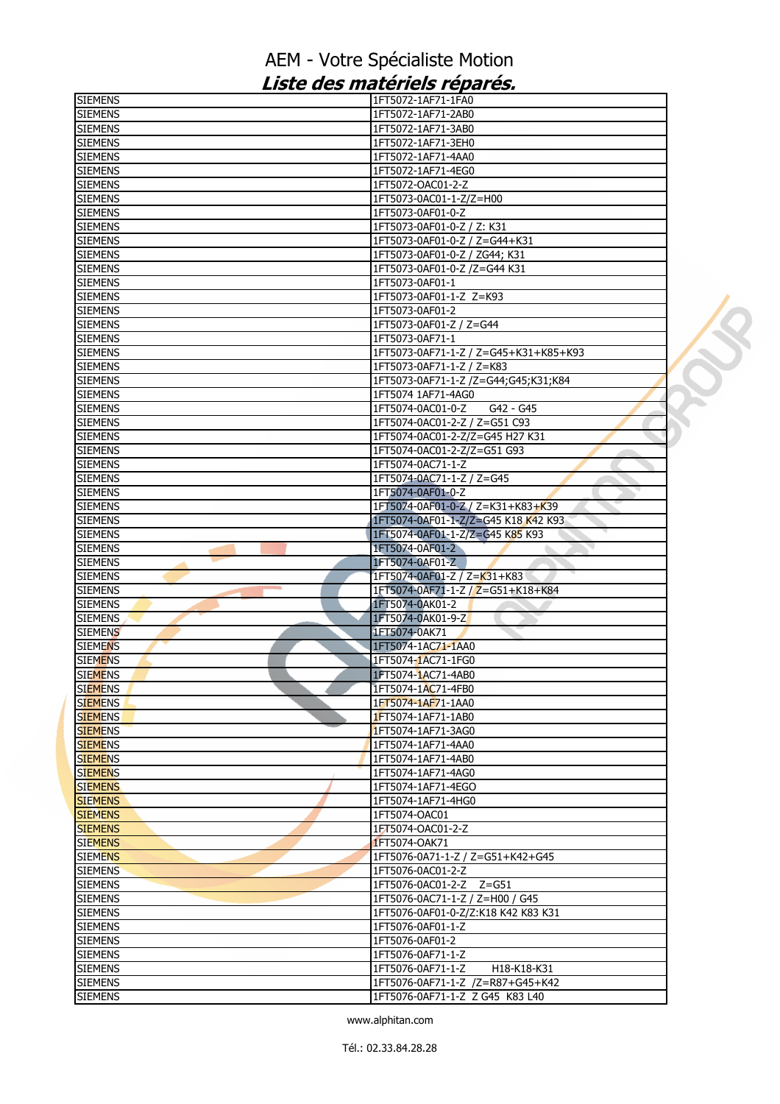| <b>SIEMENS</b> | 1FT5072-1AF71-1FA0                    |  |
|----------------|---------------------------------------|--|
| <b>SIEMENS</b> | 1FT5072-1AF71-2AB0                    |  |
| <b>SIEMENS</b> | 1FT5072-1AF71-3AB0                    |  |
| <b>SIEMENS</b> | 1FT5072-1AF71-3EH0                    |  |
| <b>SIEMENS</b> | 1FT5072-1AF71-4AA0                    |  |
| <b>SIEMENS</b> | 1FT5072-1AF71-4EG0                    |  |
| <b>SIEMENS</b> | 1FT5072-OAC01-2-Z                     |  |
| <b>SIEMENS</b> | 1FT5073-0AC01-1-Z/Z=H00               |  |
| <b>SIEMENS</b> | 1FT5073-0AF01-0-Z                     |  |
| <b>SIEMENS</b> | 1FT5073-0AF01-0-Z / Z: K31            |  |
| <b>SIEMENS</b> | 1FT5073-0AF01-0-Z / Z=G44+K31         |  |
| <b>SIEMENS</b> | 1FT5073-0AF01-0-Z / ZG44; K31         |  |
| <b>SIEMENS</b> | 1FT5073-0AF01-0-Z /Z=G44 K31          |  |
| <b>SIEMENS</b> | 1FT5073-0AF01-1                       |  |
| <b>SIEMENS</b> | 1FT5073-0AF01-1-Z Z=K93               |  |
| <b>SIEMENS</b> | 1FT5073-0AF01-2                       |  |
|                |                                       |  |
| <b>SIEMENS</b> | 1FT5073-0AF01-Z / Z=G44               |  |
| <b>SIEMENS</b> | 1FT5073-0AF71-1                       |  |
| <b>SIEMENS</b> | 1FT5073-0AF71-1-Z / Z=G45+K31+K85+K93 |  |
| <b>SIEMENS</b> | 1FT5073-0AF71-1-Z / Z=K83             |  |
| <b>SIEMENS</b> | 1FT5073-0AF71-1-Z /Z=G44;G45;K31;K84  |  |
| <b>SIEMENS</b> | 1FT5074 1AF71-4AG0                    |  |
| <b>SIEMENS</b> | 1FT5074-0AC01-0-Z<br>G42 - G45        |  |
| <b>SIEMENS</b> | 1FT5074-0AC01-2-Z / Z=G51 C93         |  |
| <b>SIEMENS</b> | 1FT5074-0AC01-2-Z/Z=G45 H27 K31       |  |
| <b>SIEMENS</b> | 1FT5074-0AC01-2-Z/Z=G51 G93           |  |
| <b>SIEMENS</b> | 1FT5074-0AC71-1-Z                     |  |
| <b>SIEMENS</b> | 1FT5074-0AC71-1-Z / Z=G45             |  |
| <b>SIEMENS</b> | 1FT5074-0AF01-0-Z                     |  |
| <b>SIEMENS</b> | 1FT5074-0AF01-0-Z / Z=K31+K83+K39     |  |
| <b>SIEMENS</b> | 1FT5074-0AF01-1-Z/Z=G45 K18 K42 K93   |  |
| <b>SIEMENS</b> | 1FT5074-0AF01-1-Z/Z=G45 K85 K93       |  |
| <b>SIEMENS</b> | 1FT5074-0AF01-2                       |  |
| <b>SIEMENS</b> | 1FT5074-0AF01-Z                       |  |
| <b>SIEMENS</b> | 1FT5074-0AF01-Z / Z=K31+K83           |  |
| <b>SIEMENS</b> | 1FT5074-0AF71-1-Z / Z=G51+K18+K84     |  |
| <b>SIEMENS</b> | 1FT5074-0AK01-2                       |  |
| <b>SIEMENS</b> | 1FT5074-0AK01-9-Z                     |  |
|                |                                       |  |
| <b>SIEMENS</b> | 1FT5074-0AK71                         |  |
| <b>SIEMENS</b> | 1FT5074-1AC71-1AA0                    |  |
| <b>SIEMENS</b> | 1FT5074-1AC71-1FG0                    |  |
| <b>SIEMENS</b> | 1FT5074-1AC71-4AB0                    |  |
| <b>SIEMENS</b> | 1FT5074-1AC71-4FB0                    |  |
| <b>SIEMENS</b> | 1FT5074-1AF71-1AA0                    |  |
| <b>SIEMENS</b> | 1FT5074-1AF71-1AB0                    |  |
| <b>SIEMENS</b> | 1FT5074-1AF71-3AG0                    |  |
| <b>SIEMENS</b> | 1FT5074-1AF71-4AA0                    |  |
| <b>SIEMENS</b> | 1FT5074-1AF71-4AB0                    |  |
| <b>SIEMENS</b> | 1FT5074-1AF71-4AG0                    |  |
| <b>SIEMENS</b> | 1FT5074-1AF71-4EGO                    |  |
| <b>SIEMENS</b> | 1FT5074-1AF71-4HG0                    |  |
| <b>SIEMENS</b> | 1FT5074-OAC01                         |  |
| <b>SIEMENS</b> | 1FT5074-OAC01-2-Z                     |  |
| <b>SIEMENS</b> | 1FT5074-OAK71                         |  |
| <b>SIEMENS</b> | 1FT5076-0A71-1-Z / Z=G51+K42+G45      |  |
| <b>SIEMENS</b> | 1FT5076-0AC01-2-Z                     |  |
| <b>SIEMENS</b> | 1FT5076-0AC01-2-Z Z=G51               |  |
| <b>SIEMENS</b> | 1FT5076-0AC71-1-Z / Z=H00 / G45       |  |
| <b>SIEMENS</b> | 1FT5076-0AF01-0-Z/Z:K18 K42 K83 K31   |  |
| <b>SIEMENS</b> | 1FT5076-0AF01-1-Z                     |  |
| <b>SIEMENS</b> | 1FT5076-0AF01-2                       |  |
| <b>SIEMENS</b> | 1FT5076-0AF71-1-Z                     |  |
|                |                                       |  |
| <b>SIEMENS</b> | 1FT5076-0AF71-1-Z<br>H18-K18-K31      |  |
| <b>SIEMENS</b> | 1FT5076-0AF71-1-Z /Z=R87+G45+K42      |  |
| <b>SIEMENS</b> | 1FT5076-0AF71-1-Z Z G45 K83 L40       |  |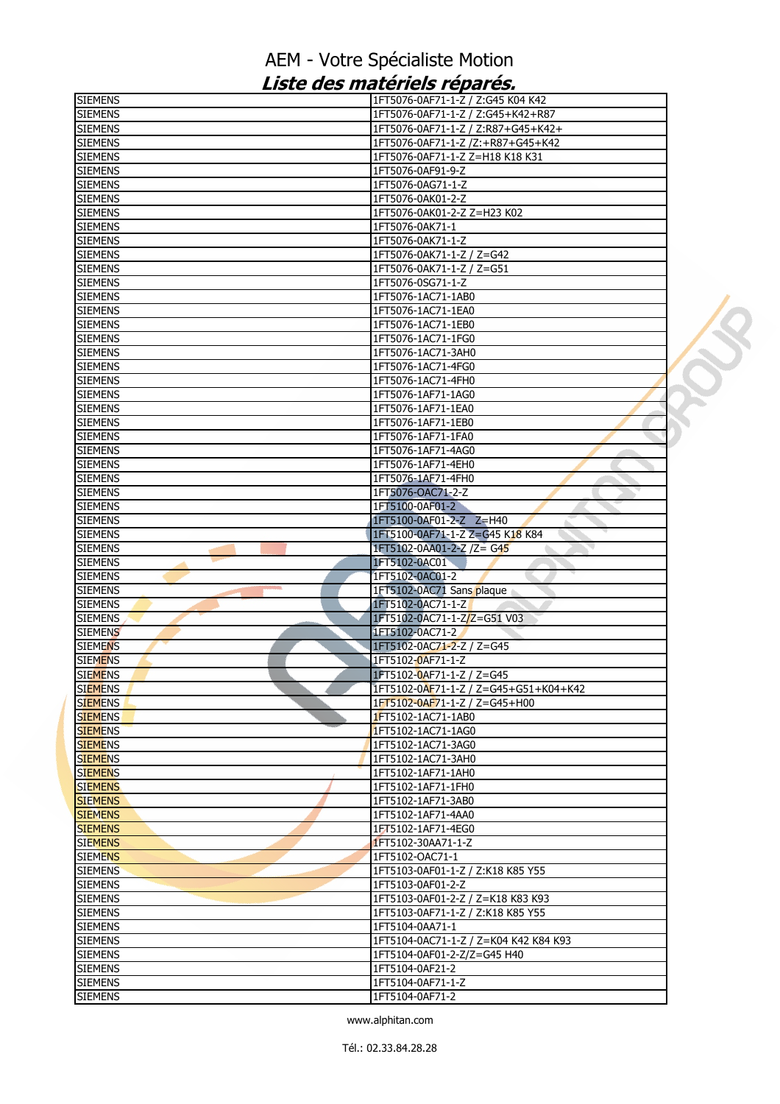| <b>SIEMENS</b>                   | 1FT5076-0AF71-1-Z / Z:G45 K04 K42                            |  |
|----------------------------------|--------------------------------------------------------------|--|
| <b>SIEMENS</b>                   | 1FT5076-0AF71-1-Z / Z:G45+K42+R87                            |  |
| <b>SIEMENS</b>                   | 1FT5076-0AF71-1-Z / Z:R87+G45+K42+                           |  |
| <b>SIEMENS</b>                   | 1FT5076-0AF71-1-Z /Z:+R87+G45+K42                            |  |
| <b>SIEMENS</b>                   | 1FT5076-0AF71-1-Z Z=H18 K18 K31                              |  |
| <b>SIEMENS</b>                   | 1FT5076-0AF91-9-Z                                            |  |
| <b>SIEMENS</b>                   | 1FT5076-0AG71-1-Z                                            |  |
| <b>SIEMENS</b>                   | 1FT5076-0AK01-2-Z                                            |  |
| <b>SIEMENS</b>                   | 1FT5076-0AK01-2-Z Z=H23 K02                                  |  |
| <b>SIEMENS</b>                   | 1FT5076-0AK71-1                                              |  |
| <b>SIEMENS</b>                   | 1FT5076-0AK71-1-Z                                            |  |
| <b>SIEMENS</b>                   | 1FT5076-0AK71-1-Z / Z=G42                                    |  |
| <b>SIEMENS</b>                   | 1FT5076-0AK71-1-Z / Z=G51                                    |  |
| <b>SIEMENS</b>                   | 1FT5076-0SG71-1-Z                                            |  |
| <b>SIEMENS</b>                   | 1FT5076-1AC71-1AB0                                           |  |
| <b>SIEMENS</b>                   | 1FT5076-1AC71-1EA0                                           |  |
| <b>SIEMENS</b>                   | 1FT5076-1AC71-1EB0                                           |  |
| <b>SIEMENS</b>                   | 1FT5076-1AC71-1FG0                                           |  |
| <b>SIEMENS</b>                   | 1FT5076-1AC71-3AH0                                           |  |
| <b>SIEMENS</b>                   | 1FT5076-1AC71-4FG0                                           |  |
| <b>SIEMENS</b>                   | 1FT5076-1AC71-4FH0                                           |  |
| <b>SIEMENS</b>                   | 1FT5076-1AF71-1AG0                                           |  |
| <b>SIEMENS</b>                   | 1FT5076-1AF71-1EA0                                           |  |
| <b>SIEMENS</b>                   | 1FT5076-1AF71-1EB0                                           |  |
| <b>SIEMENS</b>                   | 1FT5076-1AF71-1FA0                                           |  |
| <b>SIEMENS</b>                   | 1FT5076-1AF71-4AG0                                           |  |
| <b>SIEMENS</b>                   | 1FT5076-1AF71-4EH0                                           |  |
| <b>SIEMENS</b>                   | 1FT5076-1AF71-4FH0                                           |  |
| <b>SIEMENS</b>                   | 1FT5076-OAC71-2-Z                                            |  |
| <b>SIEMENS</b>                   | 1FT5100-0AF01-2                                              |  |
| <b>SIEMENS</b>                   | 1FT5100-0AF01-2-Z Z=H40                                      |  |
| <b>SIEMENS</b><br><b>SIEMENS</b> | 1FT5100-0AF71-1-Z Z=G45 K18 K84<br>1FT5102-0AA01-2-Z /Z= G45 |  |
| <b>SIEMENS</b>                   | 1FT5102-0AC01                                                |  |
| <b>SIEMENS</b>                   | 1FT5102-0AC01-2                                              |  |
| <b>SIEMENS</b>                   | 1FT5102-0AC71 Sans plaque                                    |  |
| <b>SIEMENS</b>                   | 1FT5102-0AC71-1-Z                                            |  |
| <b>SIEMENS</b>                   | 1FT5102-0AC71-1-Z/Z=G51 V03                                  |  |
| <b>SIEMENS</b>                   | 1FT5102-0AC71-2                                              |  |
| <b>SIEMENS</b>                   | 1FT5102-0AC71-2-Z / Z=G45                                    |  |
| <b>SIEMENS</b>                   | 1FT5102-0AF71-1-Z                                            |  |
| <b>SIEMENS</b>                   | 1FT5102-0AF71-1-Z / Z=G45                                    |  |
| <b>SIEMENS</b>                   | 1FT5102-0AF71-1-Z / Z=G45+G51+K04+K42                        |  |
| <b>SIEMENS</b>                   | 1FT5102-0AF71-1-Z / Z=G45+H00                                |  |
| <b>SIEMENS</b>                   | 1FT5102-1AC71-1AB0                                           |  |
| <b>SIEMENS</b>                   | 1FT5102-1AC71-1AG0                                           |  |
| <b>SIEMENS</b>                   | 1FT5102-1AC71-3AG0                                           |  |
| <b>SIEMENS</b>                   | 1FT5102-1AC71-3AH0                                           |  |
| <b>SIEMENS</b>                   | 1FT5102-1AF71-1AH0                                           |  |
| <b>SIEMENS</b>                   | 1FT5102-1AF71-1FH0                                           |  |
| <b>SIEMENS</b>                   | 1FT5102-1AF71-3AB0                                           |  |
| <b>SIEMENS</b>                   | 1FT5102-1AF71-4AA0                                           |  |
| <b>SIEMENS</b>                   | 1FT5102-1AF71-4EG0                                           |  |
| <b>SIEMENS</b>                   | 1FT5102-30AA71-1-Z                                           |  |
| <b>SIEMENS</b>                   | 1FT5102-OAC71-1                                              |  |
| <b>SIEMENS</b>                   | 1FT5103-0AF01-1-Z / Z:K18 K85 Y55                            |  |
| <b>SIEMENS</b>                   | 1FT5103-0AF01-2-Z                                            |  |
| <b>SIEMENS</b>                   | 1FT5103-0AF01-2-Z / Z=K18 K83 K93                            |  |
| <b>SIEMENS</b>                   | 1FT5103-0AF71-1-Z / Z:K18 K85 Y55                            |  |
| <b>SIEMENS</b>                   | 1FT5104-0AA71-1                                              |  |
| <b>SIEMENS</b>                   | 1FT5104-0AC71-1-Z / Z=K04 K42 K84 K93                        |  |
| <b>SIEMENS</b>                   | 1FT5104-0AF01-2-Z/Z=G45 H40                                  |  |
| <b>SIEMENS</b>                   | 1FT5104-0AF21-2                                              |  |
| <b>SIEMENS</b>                   | 1FT5104-0AF71-1-Z                                            |  |
| <b>SIEMENS</b>                   | 1FT5104-0AF71-2                                              |  |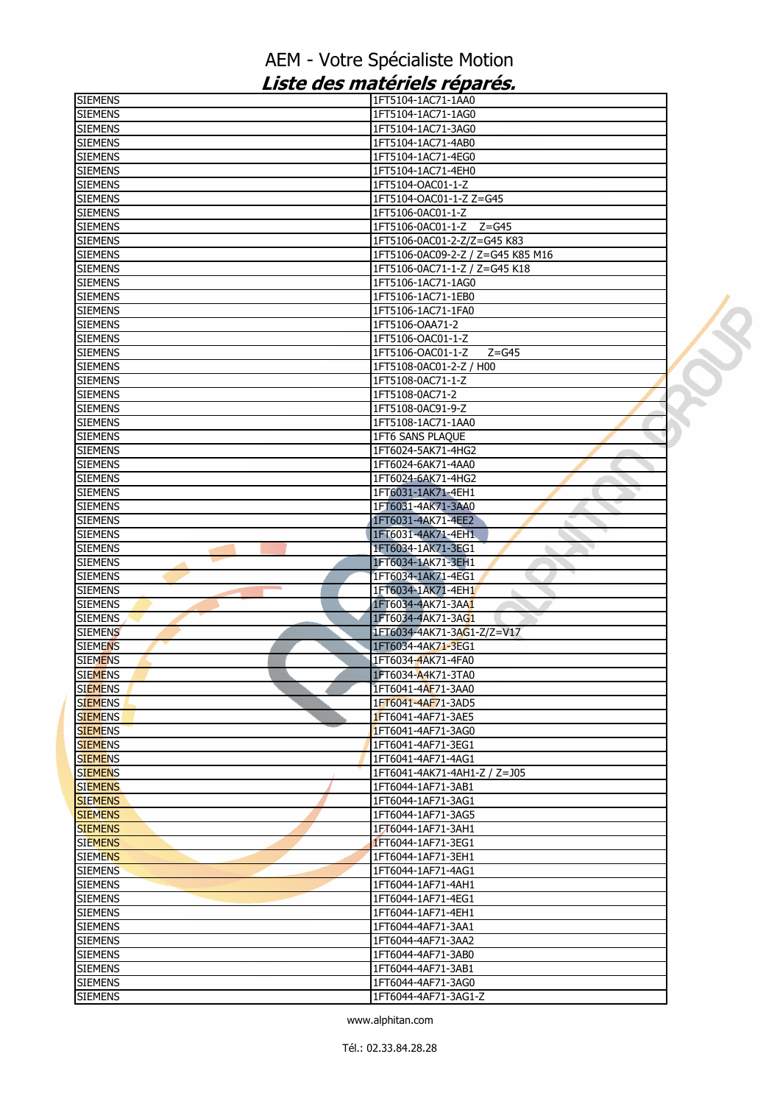| <b>SIEMENS</b> | 1FT5104-1AC71-1AA0                |  |
|----------------|-----------------------------------|--|
| <b>SIEMENS</b> | 1FT5104-1AC71-1AG0                |  |
| <b>SIEMENS</b> | 1FT5104-1AC71-3AG0                |  |
| <b>SIEMENS</b> | 1FT5104-1AC71-4AB0                |  |
| <b>SIEMENS</b> | 1FT5104-1AC71-4EG0                |  |
| <b>SIEMENS</b> | 1FT5104-1AC71-4EH0                |  |
| <b>SIEMENS</b> | 1FT5104-OAC01-1-Z                 |  |
| <b>SIEMENS</b> | 1FT5104-OAC01-1-Z Z=G45           |  |
| <b>SIEMENS</b> | 1FT5106-0AC01-1-Z                 |  |
| <b>SIEMENS</b> | 1FT5106-0AC01-1-Z Z=G45           |  |
| <b>SIEMENS</b> | 1FT5106-0AC01-2-Z/Z=G45 K83       |  |
| <b>SIEMENS</b> | 1FT5106-0AC09-2-Z / Z=G45 K85 M16 |  |
| <b>SIEMENS</b> | 1FT5106-0AC71-1-Z / Z=G45 K18     |  |
| <b>SIEMENS</b> | 1FT5106-1AC71-1AG0                |  |
| <b>SIEMENS</b> | 1FT5106-1AC71-1EB0                |  |
|                |                                   |  |
| <b>SIEMENS</b> | 1FT5106-1AC71-1FA0                |  |
| <b>SIEMENS</b> | 1FT5106-OAA71-2                   |  |
| <b>SIEMENS</b> | 1FT5106-OAC01-1-Z                 |  |
| <b>SIEMENS</b> | 1FT5106-OAC01-1-Z<br>$Z = G45$    |  |
| <b>SIEMENS</b> | 1FT5108-0AC01-2-Z / H00           |  |
| <b>SIEMENS</b> | 1FT5108-0AC71-1-Z                 |  |
| <b>SIEMENS</b> | 1FT5108-0AC71-2                   |  |
| <b>SIEMENS</b> | 1FT5108-0AC91-9-Z                 |  |
| <b>SIEMENS</b> | 1FT5108-1AC71-1AA0                |  |
| <b>SIEMENS</b> | 1FT6 SANS PLAQUE                  |  |
| <b>SIEMENS</b> | 1FT6024-5AK71-4HG2                |  |
| <b>SIEMENS</b> | 1FT6024-6AK71-4AA0                |  |
| <b>SIEMENS</b> | 1FT6024-6AK71-4HG2                |  |
| <b>SIEMENS</b> | 1FT6031-1AK71-4EH1                |  |
| <b>SIEMENS</b> | 1FT6031-4AK71-3AA0                |  |
| <b>SIEMENS</b> | 1FT6031-4AK71-4EE2                |  |
| <b>SIEMENS</b> | 1FT6031-4AK71-4EH1                |  |
| <b>SIEMENS</b> | 1FT6034-1AK71-3EG1                |  |
| <b>SIEMENS</b> | 1FT6034-1AK71-3EH1                |  |
| <b>SIEMENS</b> | 1FT6034-1AK71-4EG1                |  |
| <b>SIEMENS</b> | 1FT6034-1AK71-4EH1                |  |
| <b>SIEMENS</b> | 1FT6034-4AK71-3AA1                |  |
| <b>SIEMENS</b> | 1FT6034-4AK71-3AG1                |  |
| <b>SIEMENS</b> |                                   |  |
|                | 1FT6034-4AK71-3AG1-Z/Z=V17        |  |
| <b>SIEMENS</b> | 1FT6034-4AK71-3EG1                |  |
| <b>SIEMENS</b> | 1FT6034-4AK71-4FA0                |  |
| <b>SIEMENS</b> | 1FT6034-A4K71-3TA0                |  |
| <b>SIEMENS</b> | 1FT6041-4AF71-3AA0                |  |
| <b>SIEMENS</b> | 1FT6041-4AF71-3AD5                |  |
| <b>SIEMENS</b> | 1FT6041-4AF71-3AE5                |  |
| <b>SIEMENS</b> | 1FT6041-4AF71-3AG0                |  |
| <b>SIEMENS</b> | 1FT6041-4AF71-3EG1                |  |
| <b>SIEMENS</b> | 1FT6041-4AF71-4AG1                |  |
| <b>SIEMENS</b> | 1FT6041-4AK71-4AH1-Z / Z=J05      |  |
| <b>SIEMENS</b> | 1FT6044-1AF71-3AB1                |  |
| <b>SIEMENS</b> | 1FT6044-1AF71-3AG1                |  |
| <b>SIEMENS</b> | 1FT6044-1AF71-3AG5                |  |
| <b>SIEMENS</b> | 1FT6044-1AF71-3AH1                |  |
| <b>SIEMENS</b> | 1FT6044-1AF71-3EG1                |  |
| <b>SIEMENS</b> | 1FT6044-1AF71-3EH1                |  |
| <b>SIEMENS</b> | 1FT6044-1AF71-4AG1                |  |
| <b>SIEMENS</b> | 1FT6044-1AF71-4AH1                |  |
| <b>SIEMENS</b> | 1FT6044-1AF71-4EG1                |  |
| <b>SIEMENS</b> | 1FT6044-1AF71-4EH1                |  |
| <b>SIEMENS</b> | 1FT6044-4AF71-3AA1                |  |
| <b>SIEMENS</b> | 1FT6044-4AF71-3AA2                |  |
| <b>SIEMENS</b> | 1FT6044-4AF71-3AB0                |  |
| <b>SIEMENS</b> | 1FT6044-4AF71-3AB1                |  |
|                |                                   |  |
| <b>SIEMENS</b> | 1FT6044-4AF71-3AG0                |  |
| <b>SIEMENS</b> | 1FT6044-4AF71-3AG1-Z              |  |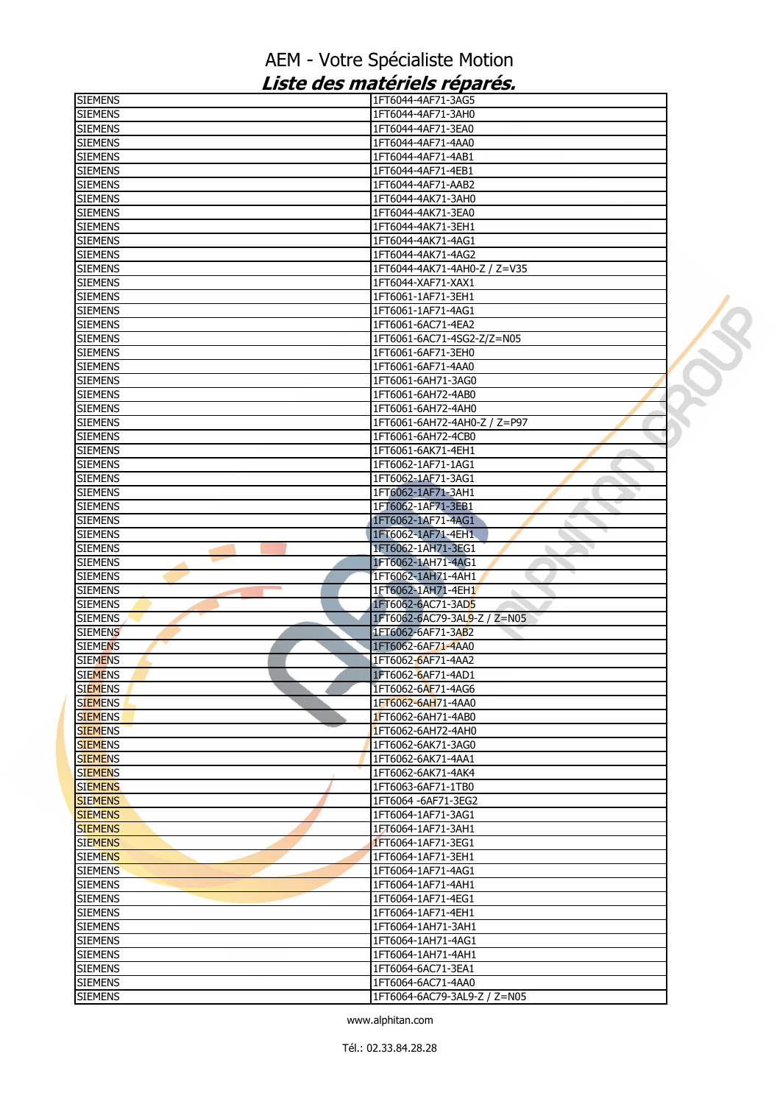| <b>SIEMENS</b>                   | 1FT6044-4AF71-3AG5                                 |
|----------------------------------|----------------------------------------------------|
| <b>SIEMENS</b>                   | 1FT6044-4AF71-3AH0                                 |
| <b>SIEMENS</b>                   | 1FT6044-4AF71-3EA0                                 |
| <b>SIEMENS</b>                   | 1FT6044-4AF71-4AA0                                 |
| <b>SIEMENS</b>                   | 1FT6044-4AF71-4AB1                                 |
| <b>SIEMENS</b>                   | 1FT6044-4AF71-4EB1                                 |
| <b>SIEMENS</b>                   | 1FT6044-4AF71-AAB2                                 |
| <b>SIEMENS</b>                   | 1FT6044-4AK71-3AH0                                 |
| <b>SIEMENS</b>                   | 1FT6044-4AK71-3EA0                                 |
| <b>SIEMENS</b>                   | 1FT6044-4AK71-3EH1                                 |
| <b>SIEMENS</b>                   | 1FT6044-4AK71-4AG1                                 |
| <b>SIEMENS</b>                   | 1FT6044-4AK71-4AG2                                 |
| <b>SIEMENS</b>                   | 1FT6044-4AK71-4AH0-Z / Z=V35                       |
| <b>SIEMENS</b>                   | 1FT6044-XAF71-XAX1                                 |
| <b>SIEMENS</b>                   | 1FT6061-1AF71-3EH1                                 |
| <b>SIEMENS</b>                   | 1FT6061-1AF71-4AG1                                 |
| <b>SIEMENS</b>                   | 1FT6061-6AC71-4EA2                                 |
|                                  |                                                    |
| <b>SIEMENS</b><br><b>SIEMENS</b> | 1FT6061-6AC71-4SG2-Z/Z=N05<br>1FT6061-6AF71-3EH0   |
|                                  | 1FT6061-6AF71-4AA0                                 |
| <b>SIEMENS</b>                   |                                                    |
| <b>SIEMENS</b>                   | 1FT6061-6AH71-3AG0                                 |
| <b>SIEMENS</b>                   | 1FT6061-6AH72-4AB0                                 |
| <b>SIEMENS</b>                   | 1FT6061-6AH72-4AH0                                 |
| <b>SIEMENS</b>                   | 1FT6061-6AH72-4AH0-Z / Z=P97                       |
| <b>SIEMENS</b>                   | 1FT6061-6AH72-4CB0                                 |
| <b>SIEMENS</b>                   | 1FT6061-6AK71-4EH1                                 |
| <b>SIEMENS</b>                   | 1FT6062-1AF71-1AG1                                 |
| <b>SIEMENS</b>                   | 1FT6062-1AF71-3AG1                                 |
| <b>SIEMENS</b>                   | 1FT6062-1AF71-3AH1                                 |
| <b>SIEMENS</b>                   | 1FT6062-1AF71-3EB1                                 |
| <b>SIEMENS</b>                   | 1FT6062-1AF71-4AG1                                 |
| <b>SIEMENS</b>                   | 1FT6062-1AF71-4EH1                                 |
| <b>SIEMENS</b>                   | 1FT6062-1AH71-3EG1                                 |
|                                  |                                                    |
| <b>SIEMENS</b>                   | 1FT6062-1AH71-4AG1                                 |
| <b>SIEMENS</b>                   | 1FT6062-1AH71-4AH1                                 |
| <b>SIEMENS</b>                   | 1FT6062-1AH71-4EH1<br>ò.                           |
| <b>SIEMENS</b>                   | 1FT6062-6AC71-3AD5                                 |
| <b>SIEMENS</b>                   | 1FT6062-6AC79-3AL9-Z / Z=N05                       |
| <b>SIEMENS</b>                   | 1FT6062-6AF71-3AB2                                 |
| <b>SIEMENS</b>                   | 1FT6062-6AF71-4AA0                                 |
| <b>SIEMENS</b>                   | 1FT6062-6AF71-4AA2                                 |
| <b>SIEMENS</b>                   | 1FT6062-6AF71-4AD1                                 |
| <b>SIEMENS</b>                   | 1FT6062-6AF71-4AG6                                 |
| <b>SIEMENS</b>                   | 1FT6062-6AH71-4AA0                                 |
| <b>SIEMENS</b>                   | 1FT6062-6AH71-4AB0                                 |
| <b>SIEMENS</b>                   | 1FT6062-6AH72-4AH0                                 |
| <b>SIEMENS</b>                   | 1FT6062-6AK71-3AG0                                 |
| <b>SIEMENS</b>                   | 1FT6062-6AK71-4AA1                                 |
| <b>SIEMENS</b>                   | 1FT6062-6AK71-4AK4                                 |
| <b>SIEMENS</b>                   | 1FT6063-6AF71-1TB0                                 |
| <b>SIEMENS</b>                   | 1FT6064 -6AF71-3EG2                                |
| <b>SIEMENS</b>                   | 1FT6064-1AF71-3AG1                                 |
| <b>SIEMENS</b>                   | 1FT6064-1AF71-3AH1                                 |
| <b>SIEMENS</b>                   |                                                    |
| <b>SIEMENS</b>                   | 1FT6064-1AF71-3EG1<br>1FT6064-1AF71-3EH1           |
| <b>SIEMENS</b>                   | 1FT6064-1AF71-4AG1                                 |
| <b>SIEMENS</b>                   | 1FT6064-1AF71-4AH1                                 |
|                                  |                                                    |
| <b>SIEMENS</b>                   | 1FT6064-1AF71-4EG1                                 |
| <b>SIEMENS</b>                   | 1FT6064-1AF71-4EH1                                 |
| <b>SIEMENS</b>                   | 1FT6064-1AH71-3AH1                                 |
| <b>SIEMENS</b>                   | 1FT6064-1AH71-4AG1                                 |
| <b>SIEMENS</b>                   | 1FT6064-1AH71-4AH1                                 |
| <b>SIEMENS</b>                   | 1FT6064-6AC71-3EA1                                 |
| <b>SIEMENS</b><br><b>SIEMENS</b> | 1FT6064-6AC71-4AA0<br>1FT6064-6AC79-3AL9-Z / Z=N05 |

 $\mathbf{y}$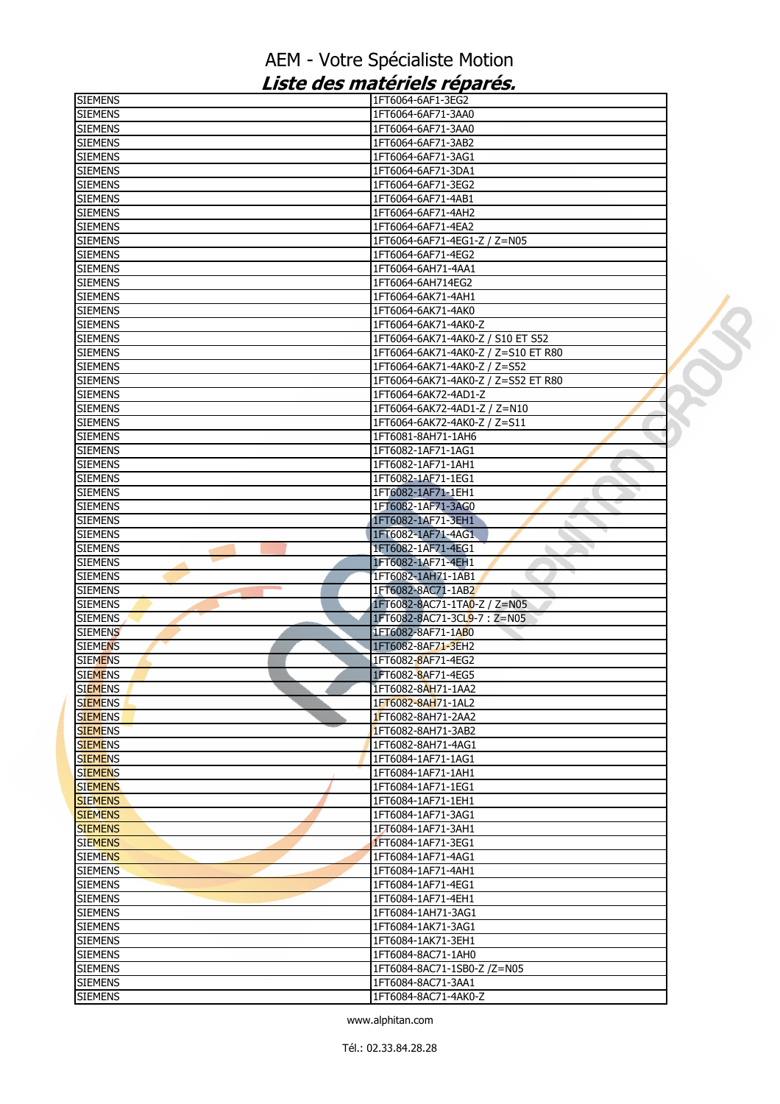| <b>SIEMENS</b>                      | 1FT6064-6AF1-3EG2                          |
|-------------------------------------|--------------------------------------------|
| <b>SIEMENS</b>                      | 1FT6064-6AF71-3AA0                         |
| <b>SIEMENS</b>                      | 1FT6064-6AF71-3AA0                         |
| <b>SIEMENS</b>                      | 1FT6064-6AF71-3AB2                         |
| <b>SIEMENS</b>                      | 1FT6064-6AF71-3AG1                         |
| <b>SIEMENS</b>                      | 1FT6064-6AF71-3DA1                         |
| <b>SIEMENS</b>                      | 1FT6064-6AF71-3EG2                         |
|                                     |                                            |
| <b>SIEMENS</b>                      | 1FT6064-6AF71-4AB1                         |
| <b>SIEMENS</b>                      | 1FT6064-6AF71-4AH2                         |
| <b>SIEMENS</b>                      | 1FT6064-6AF71-4EA2                         |
| <b>SIEMENS</b>                      | 1FT6064-6AF71-4EG1-Z / Z=N05               |
| <b>SIEMENS</b>                      | 1FT6064-6AF71-4EG2                         |
| <b>SIEMENS</b>                      | 1FT6064-6AH71-4AA1                         |
| <b>SIEMENS</b>                      | 1FT6064-6AH714EG2                          |
| <b>SIEMENS</b>                      | 1FT6064-6AK71-4AH1                         |
| <b>SIEMENS</b>                      | 1FT6064-6AK71-4AK0                         |
| <b>SIEMENS</b>                      | 1FT6064-6AK71-4AK0-Z                       |
| <b>SIEMENS</b>                      | 1FT6064-6AK71-4AK0-Z / S10 ET S52          |
| <b>SIEMENS</b>                      | 1FT6064-6AK71-4AK0-Z / Z=S10 ET R80        |
|                                     |                                            |
| <b>SIEMENS</b>                      | 1FT6064-6AK71-4AK0-Z / Z=S52               |
| <b>SIEMENS</b>                      | 1FT6064-6AK71-4AK0-Z / Z=S52 ET R80        |
| <b>SIEMENS</b>                      | 1FT6064-6AK72-4AD1-Z                       |
| <b>SIEMENS</b>                      | 1FT6064-6AK72-4AD1-Z / Z=N10               |
| <b>SIEMENS</b>                      | 1FT6064-6AK72-4AK0-Z / Z=S11               |
| <b>SIEMENS</b>                      | 1FT6081-8AH71-1AH6                         |
| <b>SIEMENS</b>                      | 1FT6082-1AF71-1AG1                         |
| <b>SIEMENS</b>                      | 1FT6082-1AF71-1AH1                         |
| <b>SIEMENS</b>                      | 1FT6082-1AF71-1EG1                         |
| <b>SIEMENS</b>                      | 1FT6082-1AF71-1EH1                         |
| <b>SIEMENS</b>                      | 1FT6082-1AF71-3AG0                         |
| <b>SIEMENS</b>                      | 1FT6082-1AF71-3EH1                         |
| <b>SIEMENS</b>                      | 1FT6082-1AF71-4AG1                         |
| <b>SIEMENS</b>                      | 1FT6082-1AF71-4EG1                         |
|                                     | 1FT6082-1AF71-4EH1                         |
| <b>SIEMENS</b>                      |                                            |
| <b>SIEMENS</b><br><b>CONTRACTOR</b> | 1FT6082-1AH71-1AB1                         |
| <b>SIEMENS</b>                      | 1FT6082-8AC71-1AB2                         |
| <b>SIEMENS</b>                      | 1FT6082-8AC71-1TA0-Z / Z=N05               |
| <b>SIEMENS</b>                      | 1FT6082-8AC71-3CL9-7: Z=N05                |
| <b>SIEMENS</b>                      | 1FT6082-8AF71-1AB0                         |
| <b>SIEMENS</b>                      | 1FT6082-8AF71-3EH2                         |
| <b>SIEMENS</b>                      | 1FT6082-8AF71-4EG2                         |
| <b>SIEMENS</b>                      | 1FT6082-8AF71-4EG5                         |
| <b>SIEMENS</b>                      | 1FT6082-8AH71-1AA2                         |
| <b>SIEMENS</b>                      | 1FT6082-8AH71-1AL2                         |
| <b>SIEMENS</b>                      | 1FT6082-8AH71-2AA2                         |
| <b>SIEMENS</b>                      | 1FT6082-8AH71-3AB2                         |
| <b>SIEMENS</b>                      | 1FT6082-8AH71-4AG1                         |
| <b>SIEMENS</b>                      |                                            |
|                                     |                                            |
|                                     | 1FT6084-1AF71-1AG1                         |
| <b>SIEMENS</b>                      | 1FT6084-1AF71-1AH1                         |
| <b>SIEMENS</b>                      | 1FT6084-1AF71-1EG1                         |
| <b>SIEMENS</b>                      | 1FT6084-1AF71-1EH1                         |
| <b>SIEMENS</b>                      | 1FT6084-1AF71-3AG1                         |
| <b>SIEMENS</b>                      | 1FT6084-1AF71-3AH1                         |
| <b>SIEMENS</b>                      | 1FT6084-1AF71-3EG1                         |
| <b>SIEMENS</b>                      | 1FT6084-1AF71-4AG1                         |
| <b>SIEMENS</b>                      | 1FT6084-1AF71-4AH1                         |
| <b>SIEMENS</b>                      | 1FT6084-1AF71-4EG1                         |
| <b>SIEMENS</b>                      | 1FT6084-1AF71-4EH1                         |
| <b>SIEMENS</b>                      | 1FT6084-1AH71-3AG1                         |
| <b>SIEMENS</b>                      | 1FT6084-1AK71-3AG1                         |
| <b>SIEMENS</b>                      | 1FT6084-1AK71-3EH1                         |
| <b>SIEMENS</b>                      | 1FT6084-8AC71-1AH0                         |
|                                     |                                            |
| <b>SIEMENS</b>                      | 1FT6084-8AC71-1SB0-Z /Z=N05                |
| <b>SIEMENS</b><br><b>SIEMENS</b>    | 1FT6084-8AC71-3AA1<br>1FT6084-8AC71-4AK0-Z |

 $\mathcal{S}$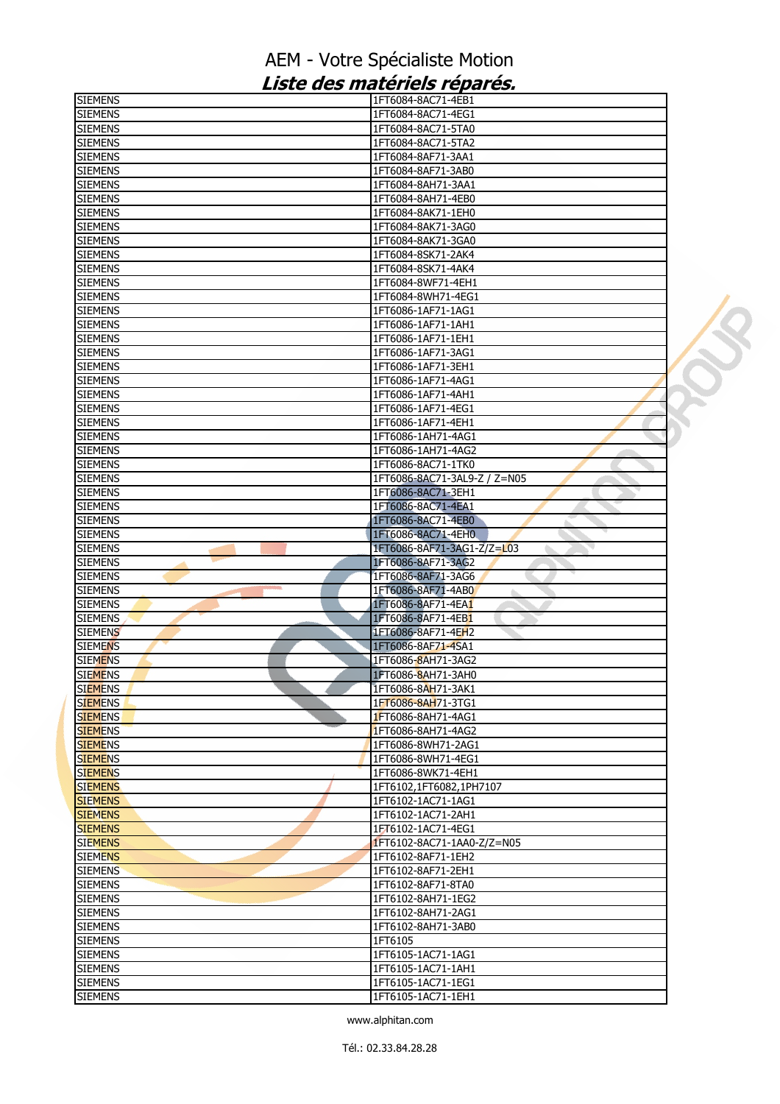| <b>SIEMENS</b> | 1FT6084-8AC71-4EB1           |  |
|----------------|------------------------------|--|
| <b>SIEMENS</b> | 1FT6084-8AC71-4EG1           |  |
| <b>SIEMENS</b> | 1FT6084-8AC71-5TA0           |  |
| <b>SIEMENS</b> | 1FT6084-8AC71-5TA2           |  |
| <b>SIEMENS</b> | 1FT6084-8AF71-3AA1           |  |
| <b>SIEMENS</b> | 1FT6084-8AF71-3AB0           |  |
| <b>SIEMENS</b> | 1FT6084-8AH71-3AA1           |  |
| <b>SIEMENS</b> | 1FT6084-8AH71-4EB0           |  |
| <b>SIEMENS</b> | 1FT6084-8AK71-1EH0           |  |
| <b>SIEMENS</b> | 1FT6084-8AK71-3AG0           |  |
| <b>SIEMENS</b> | 1FT6084-8AK71-3GA0           |  |
| <b>SIEMENS</b> | 1FT6084-8SK71-2AK4           |  |
| <b>SIEMENS</b> | 1FT6084-8SK71-4AK4           |  |
| <b>SIEMENS</b> | 1FT6084-8WF71-4EH1           |  |
| <b>SIEMENS</b> | 1FT6084-8WH71-4EG1           |  |
| <b>SIEMENS</b> | 1FT6086-1AF71-1AG1           |  |
| <b>SIEMENS</b> | 1FT6086-1AF71-1AH1           |  |
| <b>SIEMENS</b> | 1FT6086-1AF71-1EH1           |  |
| <b>SIEMENS</b> | 1FT6086-1AF71-3AG1           |  |
| <b>SIEMENS</b> | 1FT6086-1AF71-3EH1           |  |
| <b>SIEMENS</b> | 1FT6086-1AF71-4AG1           |  |
| <b>SIEMENS</b> | 1FT6086-1AF71-4AH1           |  |
| <b>SIEMENS</b> | 1FT6086-1AF71-4EG1           |  |
| <b>SIEMENS</b> | 1FT6086-1AF71-4EH1           |  |
| <b>SIEMENS</b> | 1FT6086-1AH71-4AG1           |  |
| <b>SIEMENS</b> | 1FT6086-1AH71-4AG2           |  |
| <b>SIEMENS</b> | 1FT6086-8AC71-1TK0           |  |
| <b>SIEMENS</b> | 1FT6086-8AC71-3AL9-Z / Z=N05 |  |
| <b>SIEMENS</b> | 1FT6086-8AC71-3EH1           |  |
| <b>SIEMENS</b> | 1FT6086-8AC71-4EA1           |  |
| <b>SIEMENS</b> | 1FT6086-8AC71-4EB0           |  |
| <b>SIEMENS</b> | 1FT6086-8AC71-4EH0           |  |
| <b>SIEMENS</b> | 1FT6086-8AF71-3AG1-Z/Z=L03   |  |
| <b>SIEMENS</b> | 1FT6086-8AF71-3AG2           |  |
| <b>SIEMENS</b> | 1FT6086-8AF71-3AG6           |  |
| <b>SIEMENS</b> | 1FT6086-8AF71-4AB0           |  |
| <b>SIEMENS</b> | 1FT6086-8AF71-4EA1           |  |
| <b>SIEMENS</b> | 1FT6086-8AF71-4EB1           |  |
| <b>SIEMENS</b> | 1FT6086-8AF71-4EH2           |  |
| <b>SIEMENS</b> | 1FT6086-8AF71-4SA1           |  |
| <b>SIEMENS</b> | 1FT6086-8AH71-3AG2           |  |
| <b>SIEMENS</b> | 1FT6086-8AH71-3AH0           |  |
| <b>SIEMENS</b> | 1FT6086-8AH71-3AK1           |  |
| <b>SIEMENS</b> | 1FT6086-8AH71-3TG1           |  |
| <b>SIEMENS</b> | 1FT6086-8AH71-4AG1           |  |
| <b>SIEMENS</b> | 1FT6086-8AH71-4AG2           |  |
| <b>SIEMENS</b> | 1FT6086-8WH71-2AG1           |  |
| <b>SIEMENS</b> | 1FT6086-8WH71-4EG1           |  |
| <b>SIEMENS</b> | 1FT6086-8WK71-4EH1           |  |
| <b>SIEMENS</b> | 1FT6102,1FT6082,1PH7107      |  |
| <b>SIEMENS</b> | 1FT6102-1AC71-1AG1           |  |
| <b>SIEMENS</b> | 1FT6102-1AC71-2AH1           |  |
| <b>SIEMENS</b> | 1FT6102-1AC71-4EG1           |  |
| <b>SIEMENS</b> | 1FT6102-8AC71-1AA0-Z/Z=N05   |  |
| <b>SIEMENS</b> | 1FT6102-8AF71-1EH2           |  |
| <b>SIEMENS</b> | 1FT6102-8AF71-2EH1           |  |
| <b>SIEMENS</b> | 1FT6102-8AF71-8TA0           |  |
| <b>SIEMENS</b> | 1FT6102-8AH71-1EG2           |  |
| <b>SIEMENS</b> | 1FT6102-8AH71-2AG1           |  |
| <b>SIEMENS</b> | 1FT6102-8AH71-3AB0           |  |
| <b>SIEMENS</b> | 1FT6105                      |  |
| <b>SIEMENS</b> | 1FT6105-1AC71-1AG1           |  |
| <b>SIEMENS</b> | 1FT6105-1AC71-1AH1           |  |
| <b>SIEMENS</b> |                              |  |
|                | 1FT6105-1AC71-1EG1           |  |
| <b>SIEMENS</b> | 1FT6105-1AC71-1EH1           |  |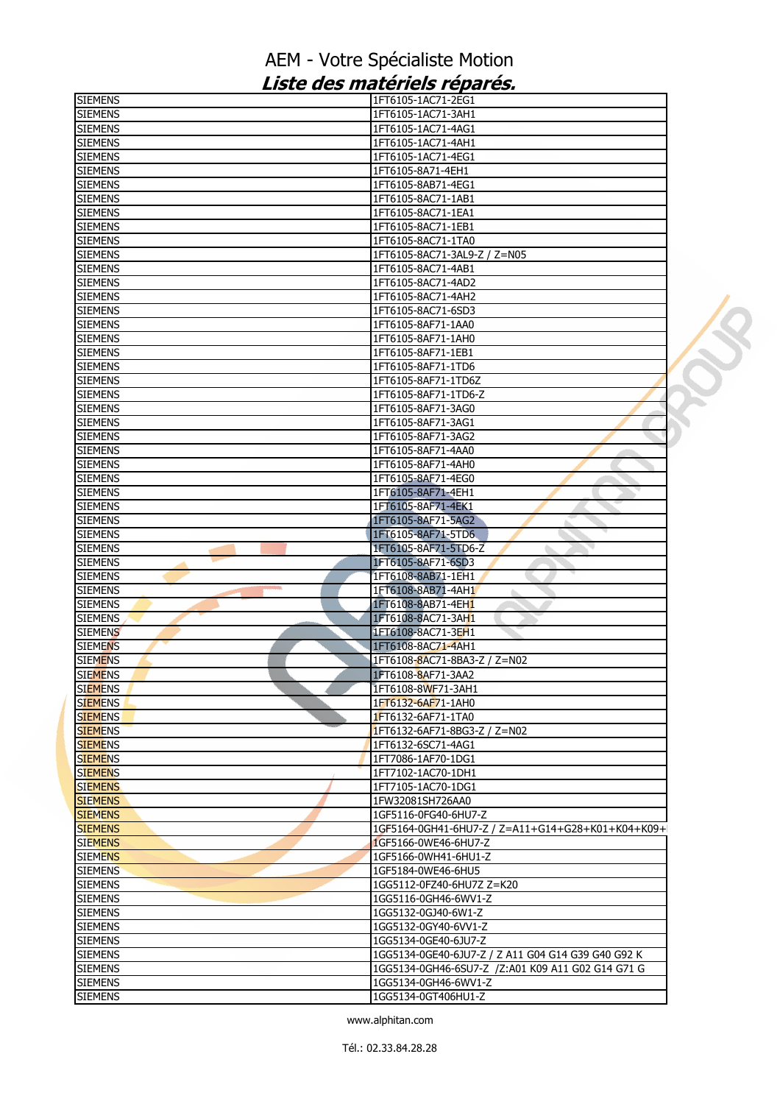| <b>SIEMENS</b>                   | 1FT6105-1AC71-2EG1                                 |  |
|----------------------------------|----------------------------------------------------|--|
| <b>SIEMENS</b>                   | 1FT6105-1AC71-3AH1                                 |  |
| <b>SIEMENS</b>                   | 1FT6105-1AC71-4AG1                                 |  |
| <b>SIEMENS</b>                   | 1FT6105-1AC71-4AH1                                 |  |
| <b>SIEMENS</b>                   | 1FT6105-1AC71-4EG1                                 |  |
| <b>SIEMENS</b>                   | 1FT6105-8A71-4EH1                                  |  |
| <b>SIEMENS</b>                   | 1FT6105-8AB71-4EG1                                 |  |
| <b>SIEMENS</b>                   | 1FT6105-8AC71-1AB1                                 |  |
| <b>SIEMENS</b>                   | 1FT6105-8AC71-1EA1                                 |  |
| <b>SIEMENS</b>                   | 1FT6105-8AC71-1EB1                                 |  |
| <b>SIEMENS</b>                   | 1FT6105-8AC71-1TA0                                 |  |
| <b>SIEMENS</b>                   | 1FT6105-8AC71-3AL9-Z / Z=N05                       |  |
| <b>SIEMENS</b>                   | 1FT6105-8AC71-4AB1                                 |  |
| <b>SIEMENS</b>                   | 1FT6105-8AC71-4AD2                                 |  |
| <b>SIEMENS</b>                   | 1FT6105-8AC71-4AH2                                 |  |
| <b>SIEMENS</b>                   | 1FT6105-8AC71-6SD3                                 |  |
| <b>SIEMENS</b>                   | 1FT6105-8AF71-1AA0                                 |  |
| <b>SIEMENS</b>                   | 1FT6105-8AF71-1AH0                                 |  |
| <b>SIEMENS</b>                   | 1FT6105-8AF71-1EB1                                 |  |
|                                  |                                                    |  |
| <b>SIEMENS</b>                   | 1FT6105-8AF71-1TD6                                 |  |
| <b>SIEMENS</b>                   | 1FT6105-8AF71-1TD6Z                                |  |
| <b>SIEMENS</b>                   | 1FT6105-8AF71-1TD6-Z                               |  |
| <b>SIEMENS</b>                   | 1FT6105-8AF71-3AG0                                 |  |
| <b>SIEMENS</b>                   | 1FT6105-8AF71-3AG1                                 |  |
| <b>SIEMENS</b>                   | 1FT6105-8AF71-3AG2                                 |  |
| <b>SIEMENS</b>                   | 1FT6105-8AF71-4AA0                                 |  |
| <b>SIEMENS</b>                   | 1FT6105-8AF71-4AH0                                 |  |
| <b>SIEMENS</b>                   | 1FT6105-8AF71-4EG0                                 |  |
| <b>SIEMENS</b>                   | 1FT6105-8AF71-4EH1                                 |  |
| <b>SIEMENS</b>                   | 1FT6105-8AF71-4EK1                                 |  |
| <b>SIEMENS</b>                   | 1FT6105-8AF71-5AG2                                 |  |
| <b>SIEMENS</b>                   | 1FT6105-8AF71-5TD6                                 |  |
| <b>SIEMENS</b>                   | 1FT6105-8AF71-5TD6-Z                               |  |
| <b>SIEMENS</b>                   | 1FT6105-8AF71-6SD3                                 |  |
| <b>SIEMENS</b>                   | 1FT6108-8AB71-1EH1                                 |  |
| <b>SIEMENS</b>                   | 1FT6108-8AB71-4AH1                                 |  |
| <b>SIEMENS</b>                   | 1FT6108-8AB71-4EH1                                 |  |
| <b>SIEMENS</b>                   | 1FT6108-8AC71-3AH1                                 |  |
| <b>SIEMENS</b>                   | 1FT6108-8AC71-3EH1                                 |  |
| <b>SIEMENS</b>                   | 1FT6108-8AC71-4AH1                                 |  |
| <b>SIEMENS</b>                   | 1FT6108-8AC71-8BA3-Z / Z=N02                       |  |
| <b>SIEMENS</b>                   | 1FT6108-8AF71-3AA2                                 |  |
|                                  |                                                    |  |
| <b>SIEMENS</b><br><b>SIEMENS</b> | 1FT6108-8WF71-3AH1<br>1FT6132-6AF71-1AH0           |  |
|                                  |                                                    |  |
| <b>SIEMENS</b>                   | 1FT6132-6AF71-1TA0                                 |  |
| <b>SIEMENS</b>                   | 1FT6132-6AF71-8BG3-Z / Z=N02                       |  |
| <b>SIEMENS</b>                   | 1FT6132-6SC71-4AG1                                 |  |
| <b>SIEMENS</b>                   | 1FT7086-1AF70-1DG1                                 |  |
| <b>SIEMENS</b>                   | 1FT7102-1AC70-1DH1                                 |  |
| <b>SIEMENS</b>                   | 1FT7105-1AC70-1DG1                                 |  |
| <b>SIEMENS</b>                   | 1FW32081SH726AA0                                   |  |
| <b>SIEMENS</b>                   | 1GF5116-0FG40-6HU7-Z                               |  |
| <b>SIEMENS</b>                   | 1GF5164-0GH41-6HU7-Z / Z=A11+G14+G28+K01+K04+K09+  |  |
| <b>SIEMENS</b>                   | 1GF5166-0WE46-6HU7-Z                               |  |
| <b>SIEMENS</b>                   | 1GF5166-0WH41-6HU1-Z                               |  |
| <b>SIEMENS</b>                   | 1GF5184-0WE46-6HU5                                 |  |
| <b>SIEMENS</b>                   | 1GG5112-0FZ40-6HU7Z Z=K20                          |  |
| <b>SIEMENS</b>                   | 1GG5116-0GH46-6WV1-Z                               |  |
| <b>SIEMENS</b>                   | 1GG5132-0GJ40-6W1-Z                                |  |
| <b>SIEMENS</b>                   | 1GG5132-0GY40-6VV1-Z                               |  |
| <b>SIEMENS</b>                   | 1GG5134-0GE40-6JU7-Z                               |  |
| <b>SIEMENS</b>                   | 1GG5134-0GE40-6JU7-Z / Z A11 G04 G14 G39 G40 G92 K |  |
| <b>SIEMENS</b>                   | 1GG5134-0GH46-6SU7-Z /Z:A01 K09 A11 G02 G14 G71 G  |  |
| <b>SIEMENS</b>                   | 1GG5134-0GH46-6WV1-Z                               |  |
| <b>SIEMENS</b>                   | 1GG5134-0GT406HU1-Z                                |  |
|                                  |                                                    |  |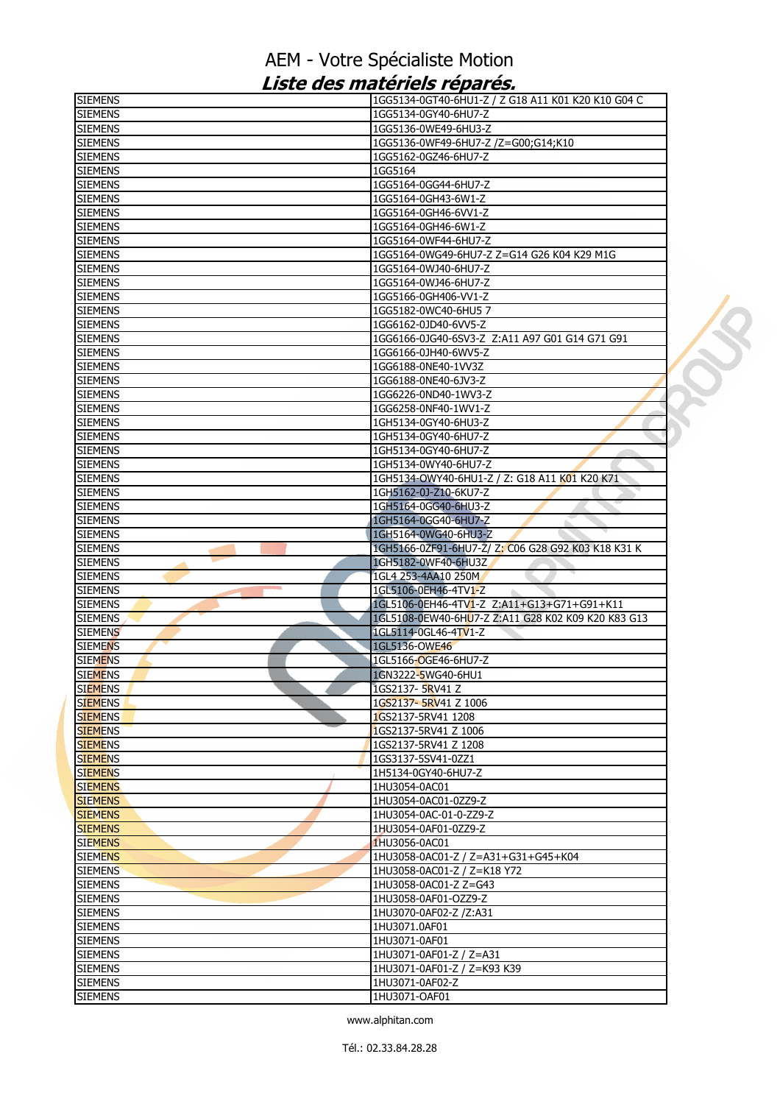| <b>SIEMENS</b>                   | 1GG5134-0GT40-6HU1-Z / Z G18 A11 K01 K20 K10 G04 C                 |  |
|----------------------------------|--------------------------------------------------------------------|--|
| <b>SIEMENS</b>                   | 1GG5134-0GY40-6HU7-Z                                               |  |
| <b>SIEMENS</b>                   | 1GG5136-0WE49-6HU3-Z                                               |  |
| <b>SIEMENS</b>                   | 1GG5136-0WF49-6HU7-Z /Z=G00;G14;K10                                |  |
| <b>SIEMENS</b>                   | 1GG5162-0GZ46-6HU7-Z                                               |  |
| <b>SIEMENS</b>                   | 1GG5164                                                            |  |
| <b>SIEMENS</b>                   | 1GG5164-0GG44-6HU7-Z                                               |  |
| <b>SIEMENS</b>                   | 1GG5164-0GH43-6W1-Z                                                |  |
| <b>SIEMENS</b>                   | 1GG5164-0GH46-6VV1-Z                                               |  |
| <b>SIEMENS</b>                   | 1GG5164-0GH46-6W1-Z                                                |  |
| <b>SIEMENS</b>                   | 1GG5164-0WF44-6HU7-Z                                               |  |
| <b>SIEMENS</b>                   | 1GG5164-0WG49-6HU7-Z Z=G14 G26 K04 K29 M1G                         |  |
| <b>SIEMENS</b>                   | 1GG5164-0WJ40-6HU7-Z                                               |  |
| <b>SIEMENS</b>                   | 1GG5164-0WJ46-6HU7-Z                                               |  |
| <b>SIEMENS</b>                   | 1GG5166-0GH406-W1-Z                                                |  |
| <b>SIEMENS</b>                   | 1GG5182-0WC40-6HU57                                                |  |
| <b>SIEMENS</b>                   | 1GG6162-0JD40-6VV5-Z                                               |  |
| <b>SIEMENS</b>                   | 1GG6166-0JG40-6SV3-Z Z:A11 A97 G01 G14 G71 G91                     |  |
| <b>SIEMENS</b>                   | 1GG6166-0JH40-6WV5-Z                                               |  |
| <b>SIEMENS</b>                   | 1GG6188-0NE40-1VV3Z                                                |  |
| <b>SIEMENS</b>                   | 1GG6188-0NE40-6JV3-Z                                               |  |
| <b>SIEMENS</b>                   | 1GG6226-0ND40-1WV3-Z                                               |  |
| <b>SIEMENS</b>                   | 1GG6258-0NF40-1WV1-Z                                               |  |
| <b>SIEMENS</b>                   | 1GH5134-0GY40-6HU3-Z                                               |  |
| <b>SIEMENS</b>                   | 1GH5134-0GY40-6HU7-Z                                               |  |
| <b>SIEMENS</b>                   | 1GH5134-0GY40-6HU7-Z                                               |  |
| <b>SIEMENS</b>                   | 1GH5134-0WY40-6HU7-Z                                               |  |
| <b>SIEMENS</b>                   | 1GH5134-OWY40-6HU1-Z / Z: G18 A11 K01 K20 K71                      |  |
| <b>SIEMENS</b>                   | 1GH5162-0J-Z10-6KU7-Z                                              |  |
| <b>SIEMENS</b>                   | 1GH5164-0GG40-6HU3-Z                                               |  |
| <b>SIEMENS</b>                   | 1GH5164-0GG40-6HU7-Z                                               |  |
| <b>SIEMENS</b>                   | 1GH5164-0WG40-6HU3-Z                                               |  |
| <b>SIEMENS</b>                   | 1GH5166-0ZF91-6HU7-Z/ Z: C06 G28 G92 K03 K18 K31 K                 |  |
| <b>SIEMENS</b>                   | 1GH5182-0WF40-6HU3Z                                                |  |
| <b>SIEMENS</b>                   | 1GL4 253-4AA10 250M                                                |  |
| <b>SIEMENS</b><br><b>SIEMENS</b> | 1GL5106-0EH46-4TV1-Z<br>1GL5106-0EH46-4TV1-Z Z:A11+G13+G71+G91+K11 |  |
| <b>SIEMENS</b>                   | 1GL5108-0EW40-6HU7-Z Z:A11 G28 K02 K09 K20 K83 G13                 |  |
| <b>SIEMENS</b>                   | 1GL5114-0GL46-4TV1-Z                                               |  |
|                                  | 1GL5136-OWE46                                                      |  |
| <b>SIEMENS</b><br><b>SIEMENS</b> | 1GL5166-OGE46-6HU7-Z                                               |  |
| <b>SIEMENS</b>                   | 1GN3222-5WG40-6HU1                                                 |  |
| <b>SIEMENS</b>                   | 1GS2137- 5RV41 Z                                                   |  |
| <b>SIEMENS</b>                   | 1GS2137-5RV41 Z 1006                                               |  |
| <b>SIEMENS</b>                   | 1GS2137-5RV41 1208                                                 |  |
| <b>SIEMENS</b>                   | 1GS2137-5RV41 Z 1006                                               |  |
| <b>SIEMENS</b>                   | 1GS2137-5RV41 Z 1208                                               |  |
| <b>SIEMENS</b>                   | 1GS3137-5SV41-0ZZ1                                                 |  |
| <b>SIEMENS</b>                   | 1H5134-0GY40-6HU7-Z                                                |  |
| <b>SIEMENS</b>                   | 1HU3054-0AC01                                                      |  |
| <b>SIEMENS</b>                   | 1HU3054-0AC01-0ZZ9-Z                                               |  |
| <b>SIEMENS</b>                   | 1HU3054-0AC-01-0-ZZ9-Z                                             |  |
| <b>SIEMENS</b>                   | 1HU3054-0AF01-0ZZ9-Z                                               |  |
| <b>SIEMENS</b>                   | 1HU3056-0AC01                                                      |  |
| <b>SIEMENS</b>                   | 1HU3058-0AC01-Z / Z=A31+G31+G45+K04                                |  |
| <b>SIEMENS</b>                   | 1HU3058-0AC01-Z / Z=K18 Y72                                        |  |
| <b>SIEMENS</b>                   | 1HU3058-0AC01-Z Z=G43                                              |  |
| <b>SIEMENS</b>                   | 1HU3058-0AF01-OZZ9-Z                                               |  |
| <b>SIEMENS</b>                   | 1HU3070-0AF02-Z /Z:A31                                             |  |
| <b>SIEMENS</b>                   | 1HU3071.0AF01                                                      |  |
| <b>SIEMENS</b>                   | 1HU3071-0AF01                                                      |  |
| <b>SIEMENS</b>                   | 1HU3071-0AF01-Z / Z=A31                                            |  |
| <b>SIEMENS</b>                   | 1HU3071-0AF01-Z / Z=K93 K39                                        |  |
| <b>SIEMENS</b>                   |                                                                    |  |
|                                  | 1HU3071-0AF02-Z                                                    |  |
| <b>SIEMENS</b>                   | 1HU3071-OAF01                                                      |  |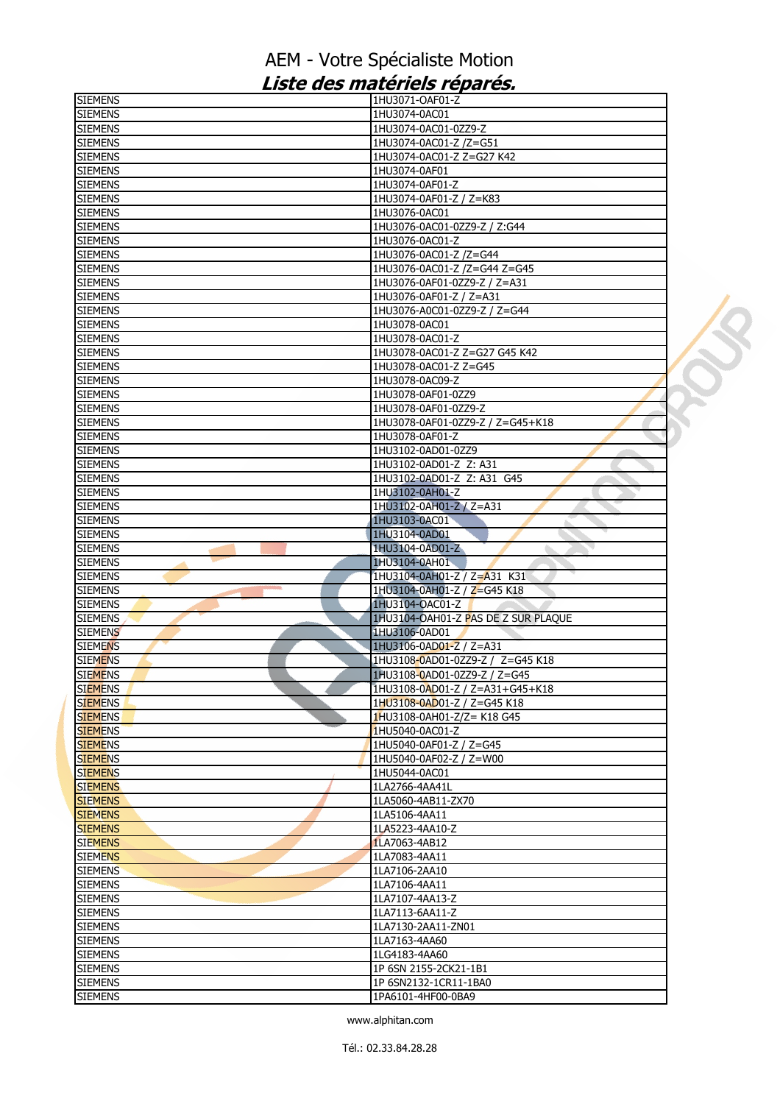| <b>SIEMENS</b> | 1HU3071-OAF01-Z                     |  |
|----------------|-------------------------------------|--|
| <b>SIEMENS</b> | 1HU3074-0AC01                       |  |
| <b>SIEMENS</b> | 1HU3074-0AC01-0ZZ9-Z                |  |
| <b>SIEMENS</b> | 1HU3074-0AC01-Z /Z=G51              |  |
| <b>SIEMENS</b> | 1HU3074-0AC01-Z Z=G27 K42           |  |
| <b>SIEMENS</b> | 1HU3074-0AF01                       |  |
| <b>SIEMENS</b> | 1HU3074-0AF01-Z                     |  |
| <b>SIEMENS</b> | 1HU3074-0AF01-Z / Z=K83             |  |
| <b>SIEMENS</b> | 1HU3076-0AC01                       |  |
|                |                                     |  |
| <b>SIEMENS</b> | 1HU3076-0AC01-0ZZ9-Z / Z:G44        |  |
| <b>SIEMENS</b> | 1HU3076-0AC01-Z                     |  |
| <b>SIEMENS</b> | 1HU3076-0AC01-Z /Z=G44              |  |
| <b>SIEMENS</b> | 1HU3076-0AC01-Z /Z=G44 Z=G45        |  |
| <b>SIEMENS</b> | 1HU3076-0AF01-0ZZ9-Z / Z=A31        |  |
| <b>SIEMENS</b> | 1HU3076-0AF01-Z / Z=A31             |  |
| <b>SIEMENS</b> | 1HU3076-A0C01-0ZZ9-Z / Z=G44        |  |
| <b>SIEMENS</b> | 1HU3078-0AC01                       |  |
| <b>SIEMENS</b> | 1HU3078-0AC01-Z                     |  |
| <b>SIEMENS</b> | 1HU3078-0AC01-Z Z=G27 G45 K42       |  |
| <b>SIEMENS</b> | 1HU3078-0AC01-Z Z=G45               |  |
| <b>SIEMENS</b> | 1HU3078-0AC09-Z                     |  |
| <b>SIEMENS</b> | 1HU3078-0AF01-0ZZ9                  |  |
|                | 1HU3078-0AF01-0ZZ9-Z                |  |
| <b>SIEMENS</b> |                                     |  |
| <b>SIEMENS</b> | 1HU3078-0AF01-0ZZ9-Z / Z=G45+K18    |  |
| <b>SIEMENS</b> | 1HU3078-0AF01-Z                     |  |
| <b>SIEMENS</b> | 1HU3102-0AD01-0ZZ9                  |  |
| <b>SIEMENS</b> | 1HU3102-0AD01-Z Z: A31              |  |
| <b>SIEMENS</b> | 1HU3102-0AD01-Z Z: A31 G45          |  |
| <b>SIEMENS</b> | 1HU3102-0AH01-Z                     |  |
| <b>SIEMENS</b> | 1HU3102-0AH01-Z / Z=A31             |  |
| <b>SIEMENS</b> | 1HU3103-0AC01                       |  |
| <b>SIEMENS</b> | 1HU3104-0AD01                       |  |
| <b>SIEMENS</b> | 1HU3104-0AD01-Z                     |  |
| <b>SIEMENS</b> | 1HU3104-0AH01                       |  |
| <b>SIEMENS</b> | 1HU3104-0AH01-Z / Z=A31 K31         |  |
| <b>SIEMENS</b> | 1HU3104-0AH01-Z / Z=G45 K18         |  |
| <b>SIEMENS</b> | 1HU3104-OAC01-Z                     |  |
| <b>SIEMENS</b> | 1HU3104-OAH01-Z PAS DE Z SUR PLAQUE |  |
|                |                                     |  |
| <b>SIEMENS</b> | 1HU3106-0AD01                       |  |
| <b>SIEMENS</b> | 1HU3106-0AD01-Z / Z=A31             |  |
| <b>SIEMENS</b> | 1HU3108-0AD01-0ZZ9-Z / Z=G45 K18    |  |
| <b>SIEMENS</b> | 1HU3108-0AD01-0ZZ9-Z / Z=G45        |  |
| <b>SIEMENS</b> | 1HU3108-0AD01-Z / Z=A31+G45+K18     |  |
| <b>SIEMENS</b> | 1HU3108-0AD01-Z / Z=G45 K18         |  |
| <b>SIEMENS</b> | 1HU3108-0AH01-Z/Z= K18 G45          |  |
| <b>SIEMENS</b> | 1HU5040-0AC01-Z                     |  |
| <b>SIEMENS</b> | 1HU5040-0AF01-Z / Z=G45             |  |
| <b>SIEMENS</b> | 1HU5040-0AF02-Z / Z=W00             |  |
| <b>SIEMENS</b> | 1HU5044-0AC01                       |  |
| <b>SIEMENS</b> | 1LA2766-4AA41L                      |  |
| <b>SIEMENS</b> | 1LA5060-4AB11-ZX70                  |  |
| <b>SIEMENS</b> | 1LA5106-4AA11                       |  |
| <b>SIEMENS</b> | 1LA5223-4AA10-Z                     |  |
| <b>SIEMENS</b> | 1LA7063-4AB12                       |  |
| <b>SIEMENS</b> | 1LA7083-4AA11                       |  |
| <b>SIEMENS</b> | 1LA7106-2AA10                       |  |
|                | 1LA7106-4AA11                       |  |
| <b>SIEMENS</b> |                                     |  |
| <b>SIEMENS</b> | 1LA7107-4AA13-Z                     |  |
| <b>SIEMENS</b> | 1LA7113-6AA11-Z                     |  |
| <b>SIEMENS</b> | 1LA7130-2AA11-ZN01                  |  |
| <b>SIEMENS</b> | 1LA7163-4AA60                       |  |
| <b>SIEMENS</b> | 1LG4183-4AA60                       |  |
| <b>SIEMENS</b> | 1P 6SN 2155-2CK21-1B1               |  |
| <b>SIEMENS</b> | 1P 6SN2132-1CR11-1BA0               |  |
| <b>SIEMENS</b> | 1PA6101-4HF00-0BA9                  |  |
|                |                                     |  |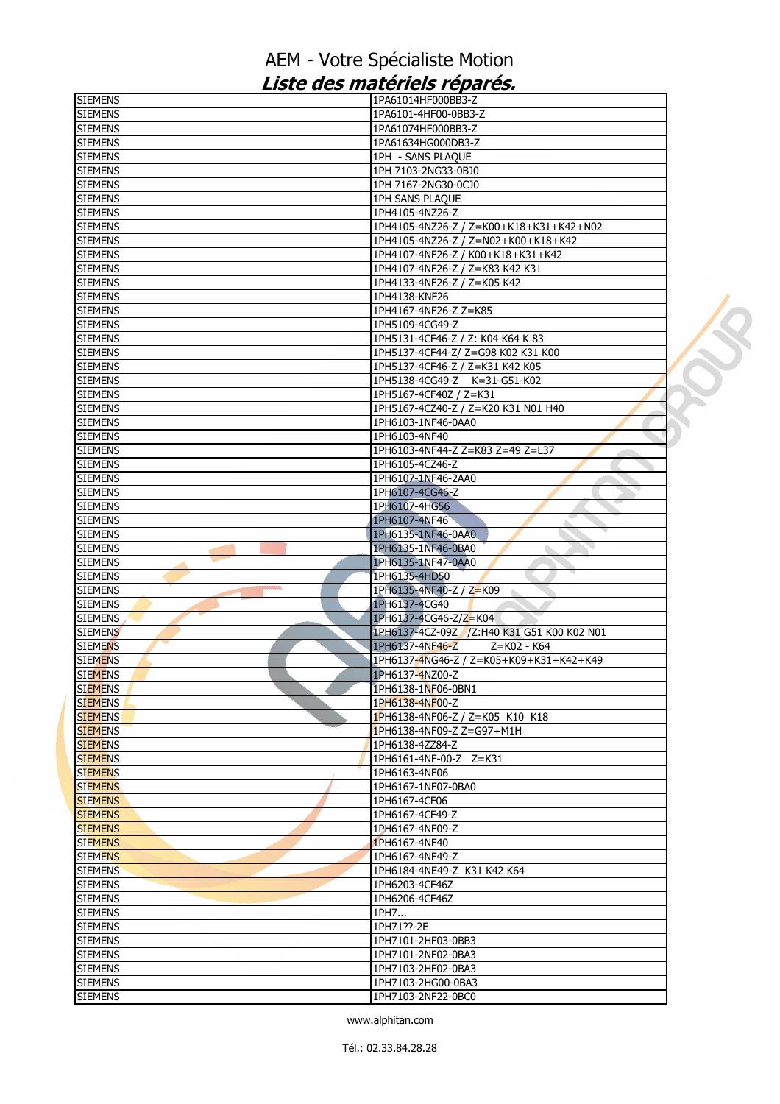| <b>SIEMENS</b>                   | 1PA61014HF000BB3-Z                                                        |  |
|----------------------------------|---------------------------------------------------------------------------|--|
| <b>SIEMENS</b>                   | 1PA6101-4HF00-0BB3-Z                                                      |  |
| <b>SIEMENS</b>                   | 1PA61074HF000BB3-Z                                                        |  |
| <b>SIEMENS</b>                   | 1PA61634HG000DB3-Z                                                        |  |
| <b>SIEMENS</b>                   | 1PH - SANS PLAQUE                                                         |  |
| <b>SIEMENS</b>                   | 1PH 7103-2NG33-0BJ0                                                       |  |
| <b>SIEMENS</b>                   | 1PH 7167-2NG30-0CJ0                                                       |  |
| <b>SIEMENS</b>                   | 1PH SANS PLAQUE                                                           |  |
| <b>SIEMENS</b>                   | 1PH4105-4NZ26-Z                                                           |  |
| <b>SIEMENS</b>                   | 1PH4105-4NZ26-Z / Z=K00+K18+K31+K42+N02                                   |  |
| <b>SIEMENS</b>                   | 1PH4105-4NZ26-Z / Z=N02+K00+K18+K42                                       |  |
| <b>SIEMENS</b>                   | 1PH4107-4NF26-Z / K00+K18+K31+K42                                         |  |
| <b>SIEMENS</b>                   | 1PH4107-4NF26-Z / Z=K83 K42 K31                                           |  |
| <b>SIEMENS</b>                   | 1PH4133-4NF26-Z / Z=K05 K42                                               |  |
| <b>SIEMENS</b>                   | 1PH4138-KNF26                                                             |  |
| <b>SIEMENS</b>                   | 1PH4167-4NF26-Z Z=K85                                                     |  |
| <b>SIEMENS</b>                   | 1PH5109-4CG49-Z                                                           |  |
| <b>SIEMENS</b>                   | 1PH5131-4CF46-Z / Z: K04 K64 K83                                          |  |
| <b>SIEMENS</b>                   | 1PH5137-4CF44-Z/ Z=G98 K02 K31 K00                                        |  |
| <b>SIEMENS</b>                   | 1PH5137-4CF46-Z / Z=K31 K42 K05                                           |  |
| <b>SIEMENS</b>                   | 1PH5138-4CG49-Z K=31-G51-K02                                              |  |
| <b>SIEMENS</b>                   | 1PH5167-4CF40Z / Z=K31                                                    |  |
| <b>SIEMENS</b>                   | 1PH5167-4CZ40-Z / Z=K20 K31 N01 H40                                       |  |
| <b>SIEMENS</b>                   | 1PH6103-1NF46-0AA0                                                        |  |
| <b>SIEMENS</b>                   | 1PH6103-4NF40                                                             |  |
| <b>SIEMENS</b>                   | 1PH6103-4NF44-Z Z=K83 Z=49 Z=L37                                          |  |
| <b>SIEMENS</b>                   | 1PH6105-4CZ46-Z                                                           |  |
| <b>SIEMENS</b>                   | 1PH6107-1NF46-2AA0                                                        |  |
| <b>SIEMENS</b>                   | 1PH6107-4CG46-Z                                                           |  |
| <b>SIEMENS</b>                   | 1PH6107-4HG56                                                             |  |
| <b>SIEMENS</b>                   | 1PH6107-4NF46                                                             |  |
| <b>SIEMENS</b>                   | 1PH6135-1NF46-0AA0                                                        |  |
| <b>SIEMENS</b>                   | 1PH6135-1NF46-0BA0                                                        |  |
| <b>SIEMENS</b>                   | 1PH6135-1NF47-0AA0                                                        |  |
| <b>SIEMENS</b>                   | 1PH6135-4HD50                                                             |  |
| <b>SIEMENS</b>                   | 1PH6135-4NF40-Z / Z=K09                                                   |  |
| <b>SIEMENS</b>                   | 1PH6137-4CG40                                                             |  |
| <b>SIEMENS</b>                   | 1PH6137-4CG46-Z/Z=K04                                                     |  |
| <b>SIEMENS</b>                   | 1PH6137-4CZ-09Z /Z:H40 K31 G51 K00 K02 N01                                |  |
| <b>SIEMENS</b><br><b>SIEMENS</b> | 1PH6137-4NF46-Z<br>Z=K02 - K64<br>1PH6137-4NG46-Z / Z=K05+K09+K31+K42+K49 |  |
| <b>SIEMENS</b>                   | 1PH6137-4NZ00-Z                                                           |  |
| <b>SIEMENS</b>                   | 1PH6138-1NF06-0BN1                                                        |  |
| <b>SIEMENS</b>                   | 1PH6138-4NF00-Z                                                           |  |
| <b>SIEMENS</b>                   | 1PH6138-4NF06-Z / Z=K05 K10 K18                                           |  |
| <b>SIEMENS</b>                   | 1PH6138-4NF09-Z Z=G97+M1H                                                 |  |
| <b>SIEMENS</b>                   | 1PH6138-4ZZ84-Z                                                           |  |
| <b>SIEMENS</b>                   | 1PH6161-4NF-00-Z Z=K31                                                    |  |
| <b>SIEMENS</b>                   | 1PH6163-4NF06                                                             |  |
| <b>SIEMENS</b>                   | 1PH6167-1NF07-0BA0                                                        |  |
| <b>SIEMENS</b>                   | 1PH6167-4CF06                                                             |  |
| <b>SIEMENS</b>                   | 1PH6167-4CF49-Z                                                           |  |
| <b>SIEMENS</b>                   | 1PH6167-4NF09-Z                                                           |  |
| <b>SIEMENS</b>                   | 1PH6167-4NF40                                                             |  |
| <b>SIEMENS</b>                   | 1PH6167-4NF49-Z                                                           |  |
| <b>SIEMENS</b>                   | 1PH6184-4NE49-Z K31 K42 K64                                               |  |
| <b>SIEMENS</b>                   | 1PH6203-4CF46Z                                                            |  |
| <b>SIEMENS</b>                   | 1PH6206-4CF46Z                                                            |  |
| <b>SIEMENS</b>                   | 1PH7                                                                      |  |
| <b>SIEMENS</b>                   | 1PH71??-2E                                                                |  |
| <b>SIEMENS</b>                   | 1PH7101-2HF03-0BB3                                                        |  |
| <b>SIEMENS</b>                   | 1PH7101-2NF02-0BA3                                                        |  |
| <b>SIEMENS</b>                   | 1PH7103-2HF02-0BA3                                                        |  |
| <b>SIEMENS</b>                   | 1PH7103-2HG00-0BA3                                                        |  |
| <b>SIEMENS</b>                   | 1PH7103-2NF22-0BC0                                                        |  |
|                                  |                                                                           |  |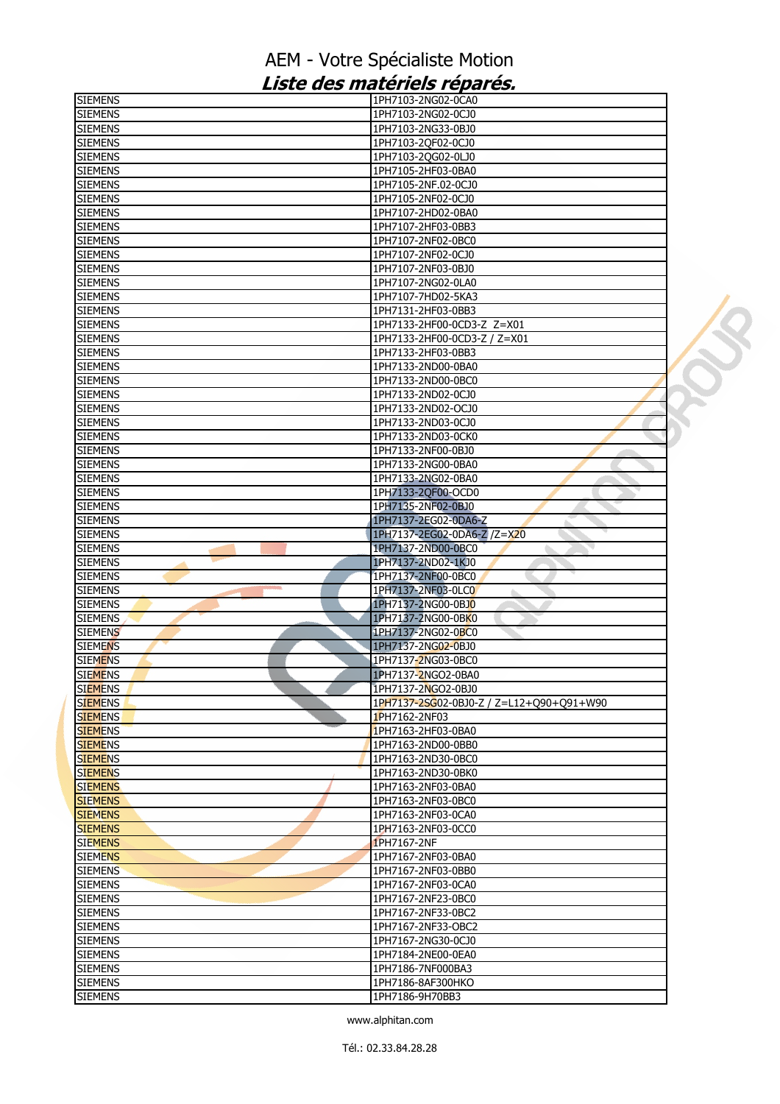| <b>SIEMENS</b> | 1PH7103-2NG02-0CA0                       |  |
|----------------|------------------------------------------|--|
| <b>SIEMENS</b> | 1PH7103-2NG02-0CJ0                       |  |
| <b>SIEMENS</b> | 1PH7103-2NG33-0BJ0                       |  |
| <b>SIEMENS</b> | 1PH7103-2QF02-0CJ0                       |  |
| <b>SIEMENS</b> | 1PH7103-2QG02-0LJ0                       |  |
| <b>SIEMENS</b> | 1PH7105-2HF03-0BA0                       |  |
| <b>SIEMENS</b> | 1PH7105-2NF.02-0CJ0                      |  |
| <b>SIEMENS</b> | 1PH7105-2NF02-0CJ0                       |  |
| <b>SIEMENS</b> | 1PH7107-2HD02-0BA0                       |  |
| <b>SIEMENS</b> | 1PH7107-2HF03-0BB3                       |  |
| <b>SIEMENS</b> | 1PH7107-2NF02-0BC0                       |  |
| <b>SIEMENS</b> | 1PH7107-2NF02-0CJ0                       |  |
| <b>SIEMENS</b> | 1PH7107-2NF03-0BJ0                       |  |
| <b>SIEMENS</b> | 1PH7107-2NG02-0LA0                       |  |
| <b>SIEMENS</b> | 1PH7107-7HD02-5KA3                       |  |
| <b>SIEMENS</b> |                                          |  |
|                | 1PH7131-2HF03-0BB3                       |  |
| <b>SIEMENS</b> | 1PH7133-2HF00-0CD3-Z Z=X01               |  |
| <b>SIEMENS</b> | 1PH7133-2HF00-0CD3-Z / Z=X01             |  |
| <b>SIEMENS</b> | 1PH7133-2HF03-0BB3                       |  |
| <b>SIEMENS</b> | 1PH7133-2ND00-0BA0                       |  |
| <b>SIEMENS</b> | 1PH7133-2ND00-0BC0                       |  |
| <b>SIEMENS</b> | 1PH7133-2ND02-0CJ0                       |  |
| <b>SIEMENS</b> | 1PH7133-2ND02-OCJ0                       |  |
| <b>SIEMENS</b> | 1PH7133-2ND03-0CJ0                       |  |
| <b>SIEMENS</b> | 1PH7133-2ND03-0CK0                       |  |
| <b>SIEMENS</b> | 1PH7133-2NF00-0BJ0                       |  |
| <b>SIEMENS</b> | 1PH7133-2NG00-0BA0                       |  |
| <b>SIEMENS</b> | 1PH7133-2NG02-0BA0                       |  |
| <b>SIEMENS</b> | 1PH7133-2QF00-OCD0                       |  |
| <b>SIEMENS</b> | 1PH7135-2NF02-0BJ0                       |  |
| <b>SIEMENS</b> | 1PH7137-2EG02-0DA6-Z                     |  |
| <b>SIEMENS</b> | 1PH7137-2EG02-0DA6-Z /Z=X20              |  |
| <b>SIEMENS</b> | 1PH7137-2ND00-0BC0                       |  |
| <b>SIEMENS</b> | 1PH7137-2ND02-1KJ0                       |  |
| <b>SIEMENS</b> | 1PH7137-2NF00-0BC0                       |  |
| <b>SIEMENS</b> | 1PH7137-2NF03-0LC0                       |  |
| <b>SIEMENS</b> | 1PH7137-2NG00-0BJ0                       |  |
|                | 1PH7137-2NG00-0BK0                       |  |
| <b>SIEMENS</b> |                                          |  |
| <b>SIEMENS</b> | 1PH7137-2NG02-0BC0                       |  |
| <b>SIEMENS</b> | 1PH7137-2NG02-0BJ0                       |  |
| <b>SIEMENS</b> | 1PH7137-2NG03-0BC0                       |  |
| <b>SIEMENS</b> | 1PH7137-2NGO2-0BA0                       |  |
| <b>SIEMENS</b> | 1PH7137-2NGO2-0BJ0                       |  |
| <b>SIEMENS</b> | 1PH7137-2SG02-0BJ0-Z / Z=L12+Q90+Q91+W90 |  |
| <b>SIEMENS</b> | 1PH7162-2NF03                            |  |
| <b>SIEMENS</b> | 1PH7163-2HF03-0BA0                       |  |
| <b>SIEMENS</b> | 1PH7163-2ND00-0BB0                       |  |
| <b>SIEMENS</b> | 1PH7163-2ND30-0BC0                       |  |
| <b>SIEMENS</b> | 1PH7163-2ND30-0BK0                       |  |
| <b>SIEMENS</b> | 1PH7163-2NF03-0BA0                       |  |
| <b>SIEMENS</b> | 1PH7163-2NF03-0BC0                       |  |
| <b>SIEMENS</b> | 1PH7163-2NF03-0CA0                       |  |
| <b>SIEMENS</b> | 1PH7163-2NF03-0CC0                       |  |
| <b>SIEMENS</b> | 1PH7167-2NF                              |  |
| <b>SIEMENS</b> | 1PH7167-2NF03-0BA0                       |  |
| <b>SIEMENS</b> | 1PH7167-2NF03-0BB0                       |  |
| <b>SIEMENS</b> | 1PH7167-2NF03-0CA0                       |  |
| <b>SIEMENS</b> | 1PH7167-2NF23-0BC0                       |  |
| <b>SIEMENS</b> | 1PH7167-2NF33-0BC2                       |  |
|                |                                          |  |
| <b>SIEMENS</b> | 1PH7167-2NF33-OBC2                       |  |
| <b>SIEMENS</b> | 1PH7167-2NG30-0CJ0                       |  |
| <b>SIEMENS</b> | 1PH7184-2NE00-0EA0                       |  |
| <b>SIEMENS</b> | 1PH7186-7NF000BA3                        |  |
| <b>SIEMENS</b> | 1PH7186-8AF300HKO                        |  |
| <b>SIEMENS</b> | 1PH7186-9H70BB3                          |  |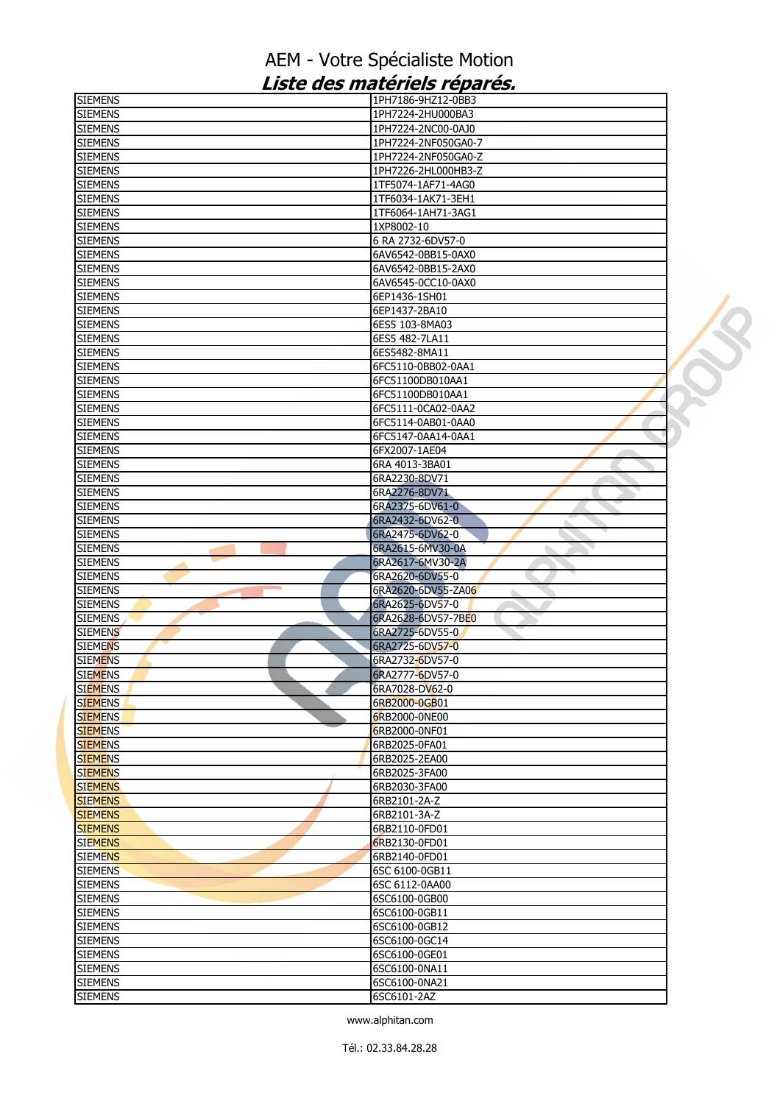| <b>SIEMENS</b> | 1PH7186-9HZ12-0BB3    |  |
|----------------|-----------------------|--|
| <b>SIEMENS</b> | 1PH7224-2HU000BA3     |  |
| <b>SIEMENS</b> | 1PH7224-2NC00-0AJ0    |  |
| <b>SIEMENS</b> | 1PH7224-2NF050GA0-7   |  |
| <b>SIEMENS</b> | 1PH7224-2NF050GA0-Z   |  |
| <b>SIEMENS</b> | 1PH7226-2HL000HB3-Z   |  |
| <b>SIEMENS</b> | 1TF5074-1AF71-4AG0    |  |
| <b>SIEMENS</b> | 1TF6034-1AK71-3EH1    |  |
| <b>SIEMENS</b> | 1TF6064-1AH71-3AG1    |  |
| <b>SIEMENS</b> | 1XP8002-10            |  |
| <b>SIEMENS</b> | 6 RA 2732-6DV57-0     |  |
| <b>SIEMENS</b> | 6AV6542-0BB15-0AX0    |  |
| <b>SIEMENS</b> | 6AV6542-0BB15-2AX0    |  |
| <b>SIEMENS</b> | 6AV6545-0CC10-0AX0    |  |
| <b>SIEMENS</b> | 6EP1436-1SH01         |  |
|                |                       |  |
| <b>SIEMENS</b> | 6EP1437-2BA10         |  |
| <b>SIEMENS</b> | 6ES5 103-8MA03        |  |
| <b>SIEMENS</b> | 6ES5 482-7LA11        |  |
| <b>SIEMENS</b> | 6ES5482-8MA11         |  |
| <b>SIEMENS</b> | 6FC5110-0BB02-0AA1    |  |
| <b>SIEMENS</b> | 6FC51100DB010AA1      |  |
| <b>SIEMENS</b> | 6FC51100DB010AA1      |  |
| <b>SIEMENS</b> | 6FC5111-0CA02-0AA2    |  |
| <b>SIEMENS</b> | 6FC5114-0AB01-0AA0    |  |
| <b>SIEMENS</b> | 6FC5147-0AA14-0AA1    |  |
| <b>SIEMENS</b> | 6FX2007-1AE04         |  |
| <b>SIEMENS</b> | 6RA 4013-3BA01        |  |
| <b>SIEMENS</b> | 6RA2230-8DV71         |  |
| <b>SIEMENS</b> | 6RA2276-8DV71         |  |
| <b>SIEMENS</b> | 6RA2375-6DV61-0       |  |
| <b>SIEMENS</b> | 6RA2432-6DV62-0       |  |
| <b>SIEMENS</b> | 6RA2475-6DV62-0       |  |
| <b>SIEMENS</b> | 6RA2615-6MV30-0A      |  |
| <b>SIEMENS</b> | 6RA2617-6MV30-2A      |  |
| <b>SIEMENS</b> | 6RA2620-6DV55-0       |  |
| <b>SIEMENS</b> | 6RA2620-6DV55-ZA06    |  |
| <b>SIEMENS</b> | a.<br>6RA2625-6DV57-0 |  |
| <b>SIEMENS</b> | 6RA2628-6DV57-7BE0    |  |
|                |                       |  |
| <b>SIEMENS</b> | 6RA2725-6DV55-0       |  |
| <b>SIEMENS</b> | 6RA2725-6DV57-0       |  |
| <b>SIEMENS</b> | 6RA2732-6DV57-0       |  |
| <b>SIEMENS</b> | 6RA2777-6DV57-0       |  |
| <b>SIEMENS</b> | 6RA7028-DV62-0        |  |
| <b>SIEMENS</b> | 6RB2000-0GB01         |  |
| <b>SIEMENS</b> | 6RB2000-0NE00         |  |
| <b>SIEMENS</b> | 6RB2000-0NF01         |  |
| <b>SIEMENS</b> | 6RB2025-0FA01         |  |
| <b>SIEMENS</b> | 6RB2025-2EA00         |  |
| <b>SIEMENS</b> | 6RB2025-3FA00         |  |
| <b>SIEMENS</b> | 6RB2030-3FA00         |  |
| <b>SIEMENS</b> | 6RB2101-2A-Z          |  |
| <b>SIEMENS</b> | 6RB2101-3A-Z          |  |
| <b>SIEMENS</b> | 6RB2110-0FD01         |  |
| <b>SIEMENS</b> | 6RB2130-0FD01         |  |
| <b>SIEMENS</b> | 6RB2140-0FD01         |  |
| <b>SIEMENS</b> | 6SC 6100-0GB11        |  |
| <b>SIEMENS</b> | 6SC 6112-0AA00        |  |
| <b>SIEMENS</b> | 6SC6100-0GB00         |  |
| <b>SIEMENS</b> | 6SC6100-0GB11         |  |
| <b>SIEMENS</b> | 6SC6100-0GB12         |  |
| <b>SIEMENS</b> | 6SC6100-0GC14         |  |
|                |                       |  |
| <b>SIEMENS</b> | 6SC6100-0GE01         |  |
| <b>SIEMENS</b> | 6SC6100-0NA11         |  |
| <b>SIEMENS</b> | 6SC6100-0NA21         |  |
| <b>SIEMENS</b> | 6SC6101-2AZ           |  |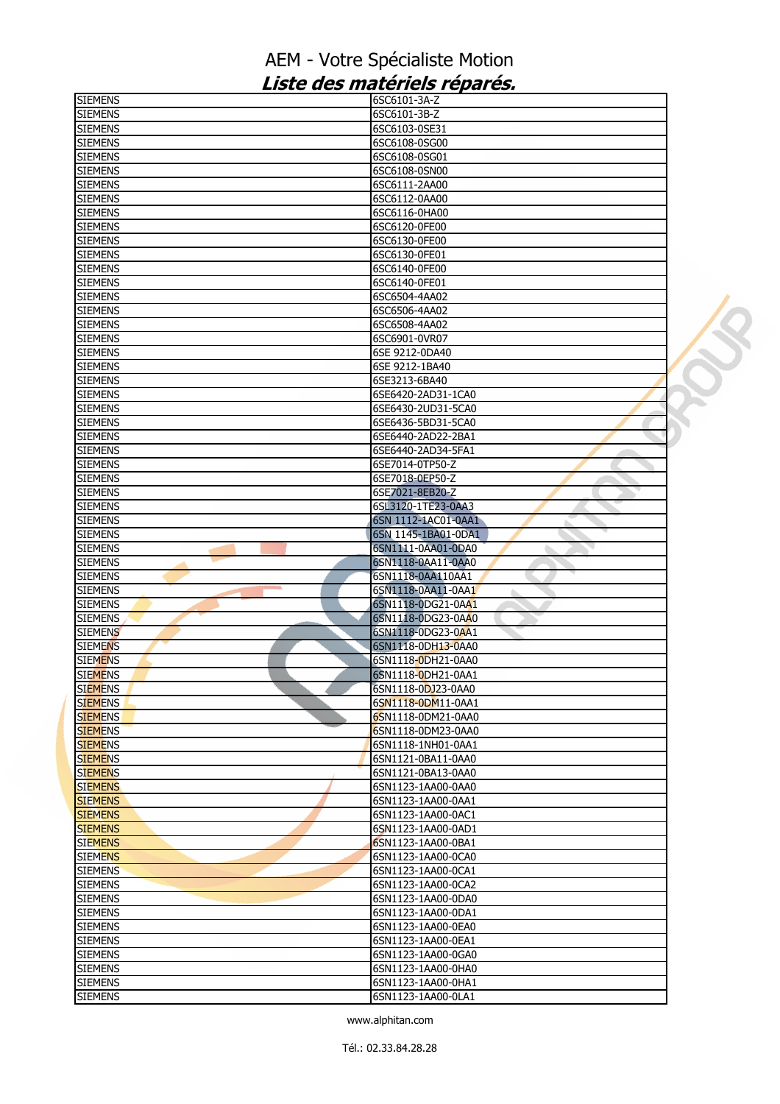| <b>SIEMENS</b>                   | 6SC6101-3A-Z                             |  |
|----------------------------------|------------------------------------------|--|
| <b>SIEMENS</b>                   | 6SC6101-3B-Z                             |  |
| <b>SIEMENS</b>                   | 6SC6103-0SE31                            |  |
| <b>SIEMENS</b>                   | 6SC6108-0SG00                            |  |
| <b>SIEMENS</b>                   | 6SC6108-0SG01                            |  |
| <b>SIEMENS</b>                   | 6SC6108-0SN00                            |  |
| <b>SIEMENS</b>                   | 6SC6111-2AA00                            |  |
| <b>SIEMENS</b>                   | 6SC6112-0AA00                            |  |
| <b>SIEMENS</b>                   | 6SC6116-0HA00                            |  |
| <b>SIEMENS</b>                   | 6SC6120-0FE00                            |  |
| <b>SIEMENS</b>                   | 6SC6130-0FE00                            |  |
| <b>SIEMENS</b>                   | 6SC6130-0FE01                            |  |
| <b>SIEMENS</b>                   | 6SC6140-0FE00                            |  |
| <b>SIEMENS</b>                   | 6SC6140-0FE01                            |  |
| <b>SIEMENS</b>                   | 6SC6504-4AA02                            |  |
|                                  |                                          |  |
| <b>SIEMENS</b>                   | 6SC6506-4AA02                            |  |
| <b>SIEMENS</b>                   | 6SC6508-4AA02                            |  |
| <b>SIEMENS</b>                   | 6SC6901-0VR07                            |  |
| <b>SIEMENS</b>                   | 6SE 9212-0DA40                           |  |
| <b>SIEMENS</b>                   | 6SE 9212-1BA40                           |  |
| <b>SIEMENS</b>                   | 6SE3213-6BA40                            |  |
| <b>SIEMENS</b>                   | 6SE6420-2AD31-1CA0                       |  |
| <b>SIEMENS</b>                   | 6SE6430-2UD31-5CA0                       |  |
| <b>SIEMENS</b>                   | 6SE6436-5BD31-5CA0                       |  |
| <b>SIEMENS</b>                   | 6SE6440-2AD22-2BA1                       |  |
| <b>SIEMENS</b>                   | 6SE6440-2AD34-5FA1                       |  |
| <b>SIEMENS</b>                   | 6SE7014-0TP50-Z                          |  |
| <b>SIEMENS</b>                   | 6SE7018-0EP50-Z                          |  |
| <b>SIEMENS</b>                   | 6SE7021-8EB20-Z                          |  |
| <b>SIEMENS</b>                   | 6SL3120-1TE23-0AA3                       |  |
| <b>SIEMENS</b>                   | 6SN 1112-1AC01-0AA1                      |  |
| <b>SIEMENS</b>                   | 6SN 1145-1BA01-0DA1                      |  |
| <b>SIEMENS</b>                   | 6SN1111-0AA01-0DA0                       |  |
| <b>SIEMENS</b>                   | 6SN1118-0AA11-0AA0                       |  |
| <b>SIEMENS</b>                   | 6SN1118-0AA110AA1                        |  |
| <b>SIEMENS</b><br><b>College</b> | 6SN1118-0AA11-0AA1                       |  |
|                                  |                                          |  |
| <b>SIEMENS</b>                   | 6SN1118-0DG21-0AA1                       |  |
| <b>SIEMENS</b>                   | 6SN1118-0DG23-0AA0                       |  |
| <b>SIEMENS</b>                   | 6SN1118-0DG23-0AA1                       |  |
| <b>SIEMENS</b>                   | 6SN1118-0DH13-0AA0                       |  |
| <b>SIEMENS</b>                   | 6SN1118-0DH21-0AA0                       |  |
| <b>SIEMENS</b>                   | 6SN1118-0DH21-0AA1                       |  |
| <b>SIEMENS</b>                   | 6SN1118-0DJ23-0AA0                       |  |
| <b>SIEMENS</b>                   | 6SN1118-0DM11-0AA1                       |  |
| <b>SIEMENS</b>                   | 6SN1118-0DM21-0AA0                       |  |
| <b>SIEMENS</b>                   | 6SN1118-0DM23-0AA0                       |  |
| <b>SIEMENS</b>                   | 6SN1118-1NH01-0AA1                       |  |
| <b>SIEMENS</b>                   | 6SN1121-0BA11-0AA0                       |  |
| <b>SIEMENS</b>                   | 6SN1121-0BA13-0AA0                       |  |
| <b>SIEMENS</b>                   | 6SN1123-1AA00-0AA0                       |  |
| <b>SIEMENS</b>                   |                                          |  |
| <b>SIEMENS</b>                   | 6SN1123-1AA00-0AA1                       |  |
|                                  |                                          |  |
|                                  | 6SN1123-1AA00-0AC1<br>6SN1123-1AA00-0AD1 |  |
| <b>SIEMENS</b>                   |                                          |  |
| <b>SIEMENS</b>                   | 6SN1123-1AA00-0BA1                       |  |
| <b>SIEMENS</b>                   | 6SN1123-1AA00-0CA0                       |  |
| <b>SIEMENS</b>                   | 6SN1123-1AA00-0CA1                       |  |
| <b>SIEMENS</b>                   | 6SN1123-1AA00-0CA2                       |  |
| <b>SIEMENS</b>                   | 6SN1123-1AA00-0DA0                       |  |
| <b>SIEMENS</b>                   | 6SN1123-1AA00-0DA1                       |  |
| <b>SIEMENS</b>                   | 6SN1123-1AA00-0EA0                       |  |
| <b>SIEMENS</b>                   | 6SN1123-1AA00-0EA1                       |  |
| <b>SIEMENS</b>                   | 6SN1123-1AA00-0GA0                       |  |
| <b>SIEMENS</b>                   | 6SN1123-1AA00-0HA0                       |  |
| <b>SIEMENS</b><br><b>SIEMENS</b> | 6SN1123-1AA00-0HA1<br>6SN1123-1AA00-0LA1 |  |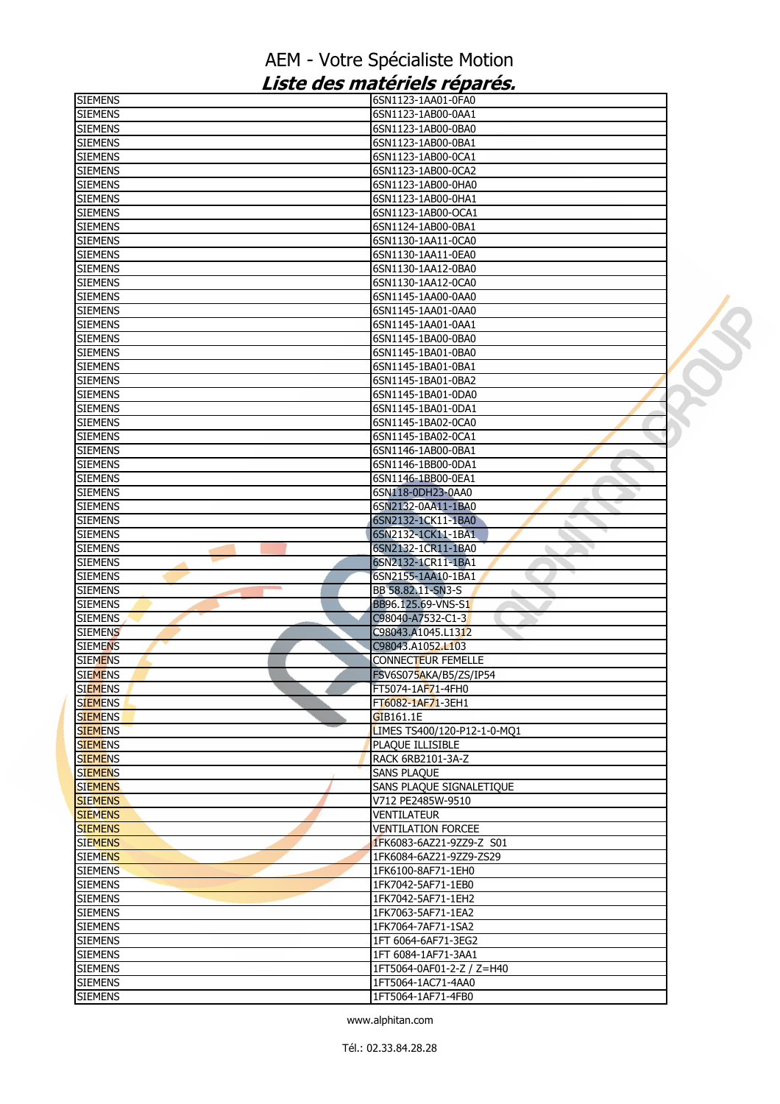| <b>SIEMENS</b>                   | 6SN1123-1AA01-0FA0                             |
|----------------------------------|------------------------------------------------|
| <b>SIEMENS</b>                   | 6SN1123-1AB00-0AA1                             |
| <b>SIEMENS</b>                   | 6SN1123-1AB00-0BA0                             |
| <b>SIEMENS</b>                   | 6SN1123-1AB00-0BA1                             |
| <b>SIEMENS</b>                   | 6SN1123-1AB00-0CA1                             |
| <b>SIEMENS</b>                   | 6SN1123-1AB00-0CA2                             |
| <b>SIEMENS</b>                   | 6SN1123-1AB00-0HA0                             |
| <b>SIEMENS</b>                   | 6SN1123-1AB00-0HA1                             |
| <b>SIEMENS</b>                   | 6SN1123-1AB00-OCA1                             |
| <b>SIEMENS</b>                   | 6SN1124-1AB00-0BA1                             |
| <b>SIEMENS</b>                   | 6SN1130-1AA11-0CA0                             |
| <b>SIEMENS</b>                   | 6SN1130-1AA11-0EA0                             |
| <b>SIEMENS</b>                   | 6SN1130-1AA12-0BA0                             |
| <b>SIEMENS</b>                   | 6SN1130-1AA12-0CA0                             |
| <b>SIEMENS</b>                   | 6SN1145-1AA00-0AA0                             |
| <b>SIEMENS</b>                   | 6SN1145-1AA01-0AA0                             |
| <b>SIEMENS</b>                   | 6SN1145-1AA01-0AA1                             |
| <b>SIEMENS</b>                   | 6SN1145-1BA00-0BA0                             |
| <b>SIEMENS</b>                   | 6SN1145-1BA01-0BA0                             |
| <b>SIEMENS</b>                   | 6SN1145-1BA01-0BA1                             |
| <b>SIEMENS</b>                   | 6SN1145-1BA01-0BA2                             |
| <b>SIEMENS</b>                   | 6SN1145-1BA01-0DA0                             |
| <b>SIEMENS</b>                   | 6SN1145-1BA01-0DA1                             |
| <b>SIEMENS</b><br><b>SIEMENS</b> | 6SN1145-1BA02-0CA0<br>6SN1145-1BA02-0CA1       |
| <b>SIEMENS</b>                   | 6SN1146-1AB00-0BA1                             |
| <b>SIEMENS</b>                   | 6SN1146-1BB00-0DA1                             |
|                                  |                                                |
| <b>SIEMENS</b><br><b>SIEMENS</b> | 6SN1146-1BB00-0EA1<br>6SN118-0DH23-0AA0        |
| <b>SIEMENS</b>                   | 6SN2132-0AA11-1BA0                             |
| <b>SIEMENS</b>                   | 6SN2132-1CK11-1BA0                             |
| <b>SIEMENS</b>                   | 6SN2132-1CK11-1BA1                             |
| <b>SIEMENS</b>                   | 6SN2132-1CR11-1BA0                             |
| <b>SIEMENS</b>                   | 6SN2132-1CR11-1BA1                             |
| <b>SIEMENS</b>                   | 6SN2155-1AA10-1BA1                             |
| <b>SIEMENS</b>                   | BB 58.82.11-SN3-S<br>٠                         |
| <b>SIEMENS</b>                   | BB96.125.69-VNS-S1                             |
| <b>SIEMENS</b>                   | C98040-A7532-C1-3                              |
| <b>SIEMENS</b>                   | C98043.A1045.L1312                             |
| <b>SIEMENS</b>                   | C98043.A1052.L103                              |
| <b>SIEMENS</b>                   | CONNECTEUR FEMELLE                             |
| <b>SIEMENS</b>                   | FSV6S075AKA/B5/ZS/IP54                         |
| <b>SIEMENS</b>                   | FT5074-1AF71-4FH0                              |
| <b>SIEMENS</b>                   | FT6082-1AF71-3EH1                              |
| <b>SIEMENS</b>                   | GIB161.1E                                      |
| <b>SIEMENS</b>                   | LIMES TS400/120-P12-1-0-MQ1                    |
| <b>SIEMENS</b>                   | PLAQUE ILLISIBLE                               |
| <b>SIEMENS</b>                   | RACK 6RB2101-3A-Z                              |
| <b>SIEMENS</b><br><b>SIEMENS</b> | <b>SANS PLAQUE</b><br>SANS PLAQUE SIGNALETIQUE |
| <b>SIEMENS</b>                   | V712 PE2485W-9510                              |
| <b>SIEMENS</b>                   | <b>VENTILATEUR</b>                             |
| <b>SIEMENS</b>                   | <b>VENTILATION FORCEE</b>                      |
| <b>SIEMENS</b>                   | 1FK6083-6AZ21-9ZZ9-Z S01                       |
| <b>SIEMENS</b>                   | 1FK6084-6AZ21-9ZZ9-ZS29                        |
| <b>SIEMENS</b>                   | 1FK6100-8AF71-1EH0                             |
| <b>SIEMENS</b>                   | 1FK7042-5AF71-1EB0                             |
| <b>SIEMENS</b>                   | 1FK7042-5AF71-1EH2                             |
| <b>SIEMENS</b>                   | 1FK7063-5AF71-1EA2                             |
| <b>SIEMENS</b>                   | 1FK7064-7AF71-1SA2                             |
| <b>SIEMENS</b>                   | 1FT 6064-6AF71-3EG2                            |
| <b>SIEMENS</b>                   | 1FT 6084-1AF71-3AA1                            |
|                                  |                                                |
| <b>SIEMENS</b>                   | 1FT5064-0AF01-2-Z / Z=H40                      |
| <b>SIEMENS</b>                   | 1FT5064-1AC71-4AA0                             |

 $\sum_{i=1}^{n}$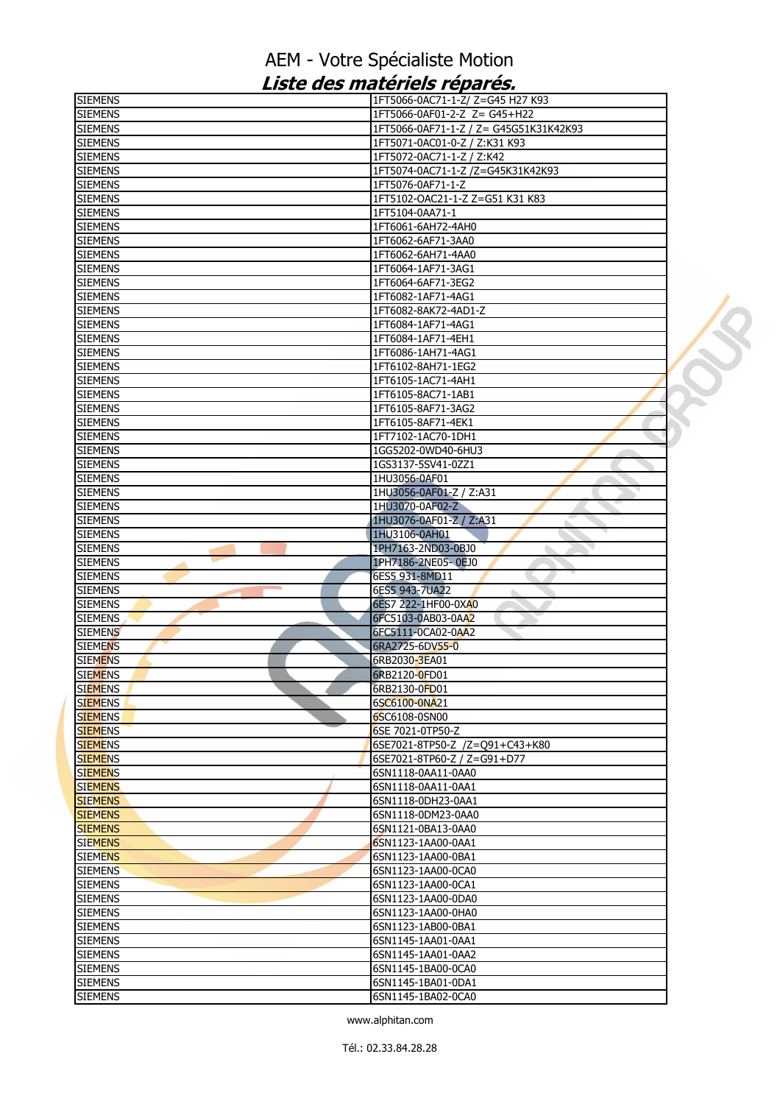| <b>SIEMENS</b>                   | 1FT5066-0AC71-1-Z/ Z=G45 H27 K93       |  |
|----------------------------------|----------------------------------------|--|
| <b>SIEMENS</b>                   | 1FT5066-0AF01-2-Z Z= G45+H22           |  |
| <b>SIEMENS</b>                   | 1FT5066-0AF71-1-Z / Z= G45G51K31K42K93 |  |
| <b>SIEMENS</b>                   | 1FT5071-0AC01-0-Z / Z:K31 K93          |  |
| <b>SIEMENS</b>                   | 1FT5072-0AC71-1-Z / Z:K42              |  |
| <b>SIEMENS</b>                   | 1FT5074-0AC71-1-Z /Z=G45K31K42K93      |  |
| <b>SIEMENS</b>                   | 1FT5076-0AF71-1-Z                      |  |
| <b>SIEMENS</b>                   | 1FT5102-OAC21-1-Z Z=G51 K31 K83        |  |
| <b>SIEMENS</b>                   | 1FT5104-0AA71-1                        |  |
| <b>SIEMENS</b>                   | 1FT6061-6AH72-4AH0                     |  |
| <b>SIEMENS</b>                   | 1FT6062-6AF71-3AA0                     |  |
| <b>SIEMENS</b>                   | 1FT6062-6AH71-4AA0                     |  |
| <b>SIEMENS</b>                   | 1FT6064-1AF71-3AG1                     |  |
| <b>SIEMENS</b>                   | 1FT6064-6AF71-3EG2                     |  |
| <b>SIEMENS</b>                   | 1FT6082-1AF71-4AG1                     |  |
| <b>SIEMENS</b>                   | 1FT6082-8AK72-4AD1-Z                   |  |
| <b>SIEMENS</b>                   | 1FT6084-1AF71-4AG1                     |  |
| <b>SIEMENS</b>                   | 1FT6084-1AF71-4EH1                     |  |
| <b>SIEMENS</b>                   | 1FT6086-1AH71-4AG1                     |  |
| <b>SIEMENS</b>                   | 1FT6102-8AH71-1EG2                     |  |
| <b>SIEMENS</b>                   | 1FT6105-1AC71-4AH1                     |  |
| <b>SIEMENS</b>                   | 1FT6105-8AC71-1AB1                     |  |
| <b>SIEMENS</b>                   | 1FT6105-8AF71-3AG2                     |  |
| <b>SIEMENS</b>                   | 1FT6105-8AF71-4EK1                     |  |
| <b>SIEMENS</b>                   | 1FT7102-1AC70-1DH1                     |  |
| <b>SIEMENS</b>                   | 1GG5202-0WD40-6HU3                     |  |
| <b>SIEMENS</b>                   | 1GS3137-5SV41-0ZZ1                     |  |
| <b>SIEMENS</b>                   | 1HU3056-0AF01                          |  |
| <b>SIEMENS</b>                   | 1HU3056-0AF01-Z / Z:A31                |  |
| <b>SIEMENS</b>                   | 1HU3070-0AF02-Z                        |  |
| <b>SIEMENS</b>                   | 1HU3076-0AF01-Z / Z:A31                |  |
| <b>SIEMENS</b><br><b>SIEMENS</b> | 1HU3106-0AH01<br>1PH7163-2ND03-0BJ0    |  |
| <b>SIEMENS</b>                   | 1PH7186-2NE05-0EJ0                     |  |
| <b>SIEMENS</b>                   | 6ES5 931-8MD11                         |  |
| <b>SIEMENS</b>                   | 6ES5 943-7UA22                         |  |
| <b>SIEMENS</b>                   | 6ES7 222-1HF00-0XA0                    |  |
| <b>SIEMENS</b>                   | 6FC5103-0AB03-0AA2                     |  |
| <b>SIEMENS</b>                   | 6FC5111-0CA02-0AA2                     |  |
| <b>SIEMENS</b>                   | 6RA2725-6DV55-0                        |  |
| <b>SIEMENS</b>                   | 6RB2030-3EA01                          |  |
| <b>SIEMENS</b>                   | 6RB2120-0FD01                          |  |
| <b>SIEMENS</b>                   | 6RB2130-0FD01                          |  |
| <b>SIEMENS</b>                   | 6SC6100-0NA21                          |  |
| <b>SIEMENS</b>                   | 6SC6108-0SN00                          |  |
| <b>SIEMENS</b>                   | 6SE 7021-0TP50-Z                       |  |
| <b>SIEMENS</b>                   | 6SE7021-8TP50-Z /Z=Q91+C43+K80         |  |
| <b>SIEMENS</b>                   | 6SE7021-8TP60-Z / Z=G91+D77            |  |
| <b>SIEMENS</b>                   | 6SN1118-0AA11-0AA0                     |  |
| <b>SIEMENS</b>                   | 6SN1118-0AA11-0AA1                     |  |
| <b>SIEMENS</b>                   | 6SN1118-0DH23-0AA1                     |  |
| <b>SIEMENS</b>                   | 6SN1118-0DM23-0AA0                     |  |
| <b>SIEMENS</b>                   | 6SN1121-0BA13-0AA0                     |  |
| <b>SIEMENS</b>                   | 6SN1123-1AA00-0AA1                     |  |
| <b>SIEMENS</b>                   | 6SN1123-1AA00-0BA1                     |  |
| <b>SIEMENS</b>                   | 6SN1123-1AA00-0CA0                     |  |
| <b>SIEMENS</b>                   | 6SN1123-1AA00-0CA1                     |  |
| <b>SIEMENS</b>                   | 6SN1123-1AA00-0DA0                     |  |
| <b>SIEMENS</b>                   | 6SN1123-1AA00-0HA0                     |  |
| <b>SIEMENS</b>                   | 6SN1123-1AB00-0BA1                     |  |
| <b>SIEMENS</b>                   | 6SN1145-1AA01-0AA1                     |  |
| <b>SIEMENS</b>                   | 6SN1145-1AA01-0AA2                     |  |
| <b>SIEMENS</b>                   | 6SN1145-1BA00-0CA0                     |  |
| <b>SIEMENS</b>                   | 6SN1145-1BA01-0DA1                     |  |
| <b>SIEMENS</b>                   | 6SN1145-1BA02-0CA0                     |  |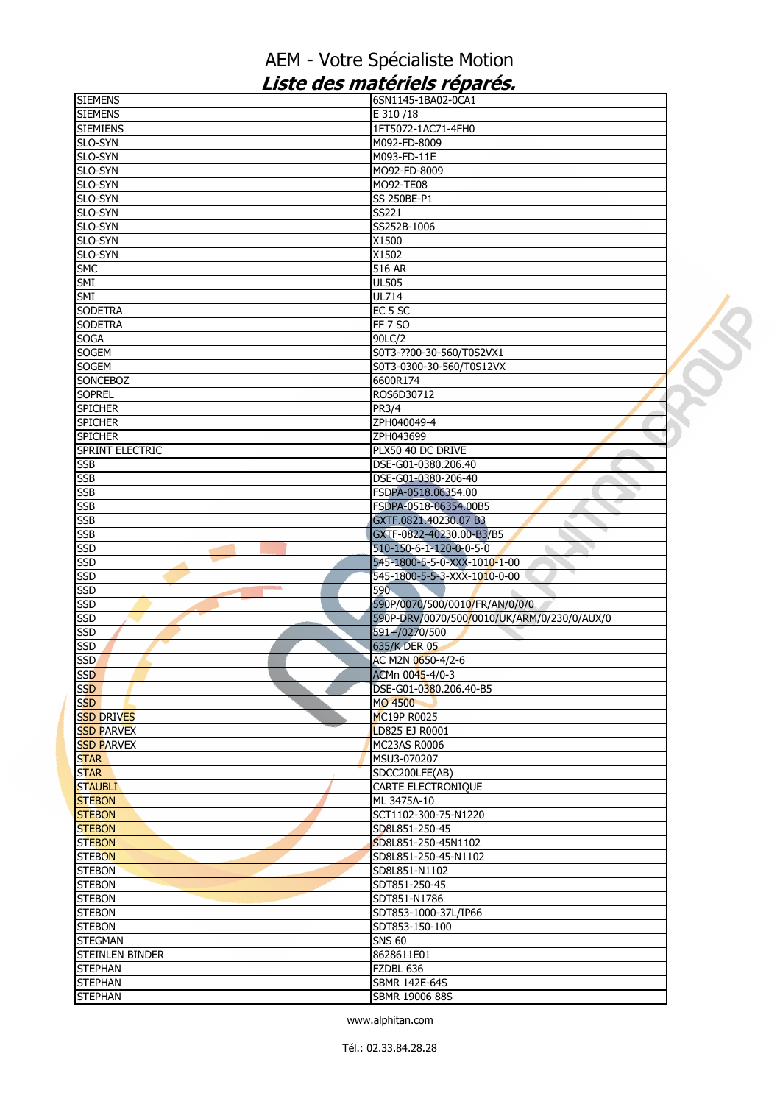| <b>SIEMENS</b>                   | 6SN1145-1BA02-0CA1                          |  |
|----------------------------------|---------------------------------------------|--|
| <b>SIEMENS</b>                   | E 310/18                                    |  |
| <b>SIEMIENS</b>                  | 1FT5072-1AC71-4FH0                          |  |
| SLO-SYN                          | M092-FD-8009                                |  |
| SLO-SYN                          | M093-FD-11E                                 |  |
| SLO-SYN                          | MO92-FD-8009                                |  |
| SLO-SYN                          | MO92-TE08                                   |  |
| SLO-SYN                          | SS 250BE-P1                                 |  |
| SLO-SYN                          | SS221                                       |  |
| SLO-SYN                          | SS252B-1006                                 |  |
| SLO-SYN                          | X1500                                       |  |
| SLO-SYN                          | X1502                                       |  |
| <b>SMC</b>                       | 516 AR                                      |  |
| SMI                              | <b>UL505</b>                                |  |
| <b>SMI</b>                       | UL714                                       |  |
| <b>SODETRA</b>                   | EC <sub>5</sub> SC                          |  |
| <b>SODETRA</b>                   | <b>FF 7 SO</b>                              |  |
| <b>SOGA</b>                      | 90LC/2                                      |  |
| <b>SOGEM</b>                     | S0T3-??00-30-560/T0S2VX1                    |  |
| <b>SOGEM</b>                     | S0T3-0300-30-560/T0S12VX                    |  |
| <b>SONCEBOZ</b>                  | 6600R174                                    |  |
| <b>SOPREL</b><br><b>SPICHER</b>  | ROS6D30712<br>PR3/4                         |  |
| <b>SPICHER</b>                   | ZPH040049-4                                 |  |
| <b>SPICHER</b>                   | ZPH043699                                   |  |
| SPRINT ELECTRIC                  | PLX50 40 DC DRIVE                           |  |
| <b>SSB</b>                       | DSE-G01-0380.206.40                         |  |
| <b>SSB</b>                       | DSE-G01-0380-206-40                         |  |
| <b>SSB</b>                       | FSDPA-0518.06354.00                         |  |
| <b>SSB</b>                       | FSDPA-0518-06354.00B5                       |  |
| <b>SSB</b>                       | GXTF.0821.40230.07 B3                       |  |
| <b>SSB</b>                       | GXTF-0822-40230.00-B3/B5                    |  |
| <b>SSD</b>                       | 510-150-6-1-120-0-0-5-0                     |  |
| <b>SSD</b>                       | 545-1800-5-5-0-XXX-1010-1-00                |  |
| <b>SSD</b>                       | 545-1800-5-5-3-XXX-1010-0-00                |  |
| <b>SSD</b>                       | 590                                         |  |
| <b>SSD</b>                       | 590P/0070/500/0010/FR/AN/0/0/0              |  |
| <b>SSD</b>                       | 590P-DRV/0070/500/0010/UK/ARM/0/230/0/AUX/0 |  |
| <b>SSD</b>                       | 591+/0270/500                               |  |
| <b>SSD</b>                       | 635/K DER 05                                |  |
| <b>SSD</b>                       | AC M2N 0650-4/2-6                           |  |
| <b>SSD</b>                       | ACMn 0045-4/0-3                             |  |
| <b>SSD</b>                       |                                             |  |
| <b>SSD</b>                       | DSE-G01-0380.206.40-B5                      |  |
|                                  | MO 4500                                     |  |
| <b>SSD DRIVES</b>                | MC19P R0025                                 |  |
| <b>SSD PARVEX</b>                | LD825 EJ R0001                              |  |
| <b>SSD PARVEX</b>                | <b>MC23AS R0006</b>                         |  |
|                                  | MSU3-070207                                 |  |
| <b>STAR</b>                      | SDCC200LFE(AB)                              |  |
| <b>STAUBLI</b>                   | CARTE ELECTRONIQUE                          |  |
| <b>STEBON</b>                    | ML 3475A-10                                 |  |
| <b>STAR</b><br><b>STEBON</b>     | SCT1102-300-75-N1220                        |  |
| <b>STEBON</b>                    | SD8L851-250-45                              |  |
| <b>STEBON</b>                    | SD8L851-250-45N1102                         |  |
| <b>STEBON</b>                    | SD8L851-250-45-N1102                        |  |
| <b>STEBON</b>                    | SD8L851-N1102                               |  |
| <b>STEBON</b>                    | SDT851-250-45                               |  |
|                                  | SDT851-N1786                                |  |
| <b>STEBON</b>                    | SDT853-1000-37L/IP66                        |  |
| <b>STEBON</b>                    | SDT853-150-100                              |  |
| <b>STEBON</b><br><b>STEGMAN</b>  | <b>SNS 60</b>                               |  |
| STEINLEN BINDER                  | 8628611E01                                  |  |
| <b>STEPHAN</b>                   | FZDBL 636                                   |  |
| <b>STEPHAN</b><br><b>STEPHAN</b> | SBMR 142E-64S<br>SBMR 19006 88S             |  |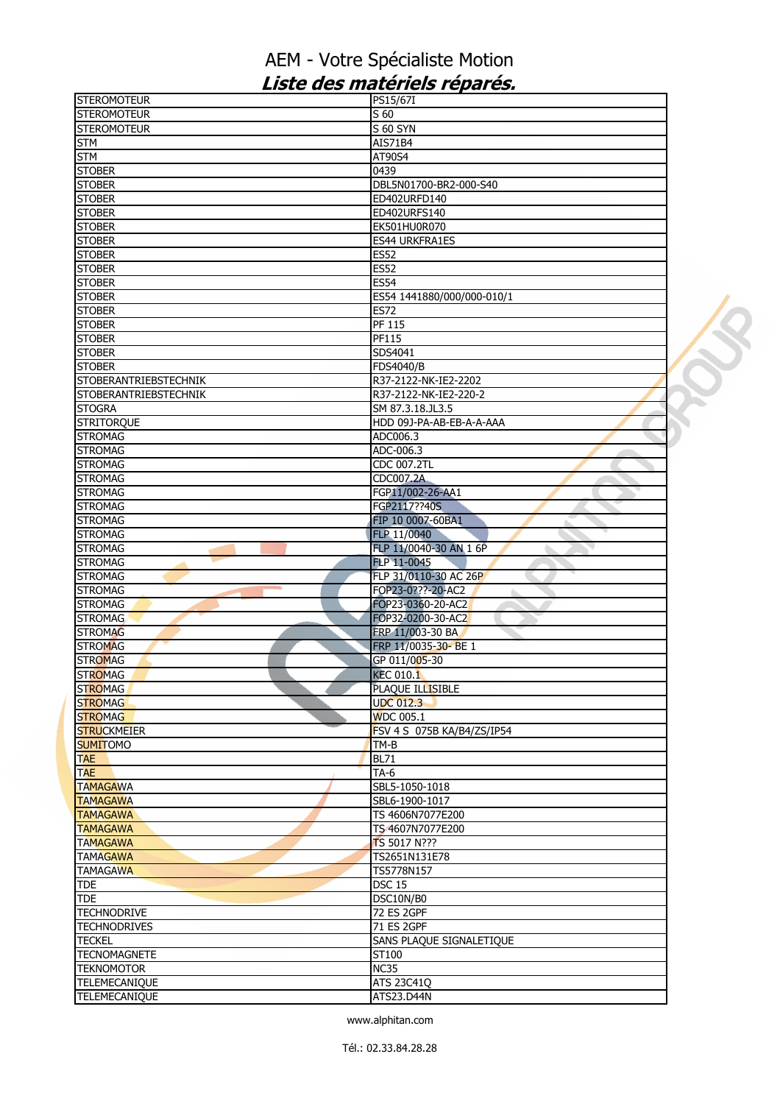| <b>STEROMOTEUR</b>               | PS15/67I                   |  |
|----------------------------------|----------------------------|--|
| <b>STEROMOTEUR</b>               | S 60                       |  |
| <b>STEROMOTEUR</b>               | <b>S 60 SYN</b>            |  |
| <b>STM</b>                       | AIS71B4                    |  |
| <b>STM</b>                       | AT90S4                     |  |
| <b>STOBER</b>                    | 0439                       |  |
| <b>STOBER</b>                    | DBL5N01700-BR2-000-S40     |  |
| <b>STOBER</b>                    | ED402URFD140               |  |
| <b>STOBER</b>                    | ED402URFS140               |  |
| <b>STOBER</b>                    | EK501HU0R070               |  |
| <b>STOBER</b>                    | <b>ES44 URKFRA1ES</b>      |  |
| <b>STOBER</b>                    | <b>ES52</b>                |  |
| <b>STOBER</b>                    | <b>ES52</b>                |  |
| <b>STOBER</b>                    | <b>ES54</b>                |  |
| <b>STOBER</b>                    | ES54 1441880/000/000-010/1 |  |
|                                  |                            |  |
| <b>STOBER</b>                    | <b>ES72</b>                |  |
| <b>STOBER</b>                    | PF 115                     |  |
| <b>STOBER</b>                    | PF115                      |  |
| <b>STOBER</b>                    | SDS4041                    |  |
| <b>STOBER</b>                    | <b>FDS4040/B</b>           |  |
| <b>STOBERANTRIEBSTECHNIK</b>     | R37-2122-NK-IE2-2202       |  |
| <b>STOBERANTRIEBSTECHNIK</b>     | R37-2122-NK-IE2-220-2      |  |
| <b>STOGRA</b>                    | SM 87.3.18.JL3.5           |  |
| <b>STRITORQUE</b>                | HDD 09J-PA-AB-EB-A-A-AAA   |  |
| <b>STROMAG</b>                   | ADC006.3                   |  |
| <b>STROMAG</b>                   | ADC-006.3                  |  |
| <b>STROMAG</b>                   | CDC 007.2TL                |  |
| <b>STROMAG</b>                   | <b>CDC007.2A</b>           |  |
| <b>STROMAG</b>                   | FGP11/002-26-AA1           |  |
| <b>STROMAG</b>                   | FGP2117??40S               |  |
| <b>STROMAG</b>                   | FIP 10 0007-60BA1          |  |
| <b>STROMAG</b>                   | FLP 11/0040                |  |
| <b>STROMAG</b>                   | FLP 11/0040-30 AN 1 6P     |  |
| <b>STROMAG</b>                   | FLP 11-0045                |  |
| <b>STROMAG</b>                   | FLP 31/0110-30 AC 26P      |  |
| <b>STROMAG</b><br><b>College</b> | FOP23-0???-20-AC2          |  |
| <b>STROMAG</b>                   | FOP23-0360-20-AC2          |  |
| <b>STROMAG</b>                   |                            |  |
|                                  | FOP32-0200-30-AC2          |  |
| <b>STROMAG</b>                   | FRP 11/003-30 BA           |  |
| <b>STROMAG</b>                   | FRP 11/0035-30-BE 1        |  |
| <b>STROMAG</b>                   | GP 011/005-30              |  |
| <b>STROMAG</b>                   | <b>KEC 010.1</b>           |  |
| <b>STROMAG</b>                   | PLAQUE ILLISIBLE           |  |
| <b>STROMAG</b>                   | <b>UDC 012.3</b>           |  |
| <b>STROMAG</b>                   | <b>WDC 005.1</b>           |  |
| <b>STRUCKMEIER</b>               | FSV 4 S 075B KA/B4/ZS/IP54 |  |
| <b>SUMITOMO</b>                  | TM-B                       |  |
| <b>TAE</b>                       | <b>BL71</b>                |  |
| <b>TAE</b>                       | $TA-6$                     |  |
| <b>TAMAGAWA</b>                  | SBL5-1050-1018             |  |
| <b>TAMAGAWA</b>                  | SBL6-1900-1017             |  |
| <b>TAMAGAWA</b>                  | TS 4606N7077E200           |  |
| <b>TAMAGAWA</b>                  | TS 4607N7077E200           |  |
| <b>TAMAGAWA</b>                  | <b>TS 5017 N???</b>        |  |
| <b>TAMAGAWA</b>                  | TS2651N131E78              |  |
| <b>TAMAGAWA</b>                  | TS5778N157                 |  |
| <b>TDE</b>                       | <b>DSC 15</b>              |  |
| <b>TDE</b>                       | DSC10N/B0                  |  |
| <b>TECHNODRIVE</b>               | <b>72 ES 2GPF</b>          |  |
| <b>TECHNODRIVES</b>              | 71 ES 2GPF                 |  |
| <b>TECKEL</b>                    |                            |  |
|                                  | SANS PLAQUE SIGNALETIQUE   |  |
| <b>TECNOMAGNETE</b>              | ST100                      |  |
| <b>TEKNOMOTOR</b>                | NC35                       |  |
| <b>TELEMECANIQUE</b>             | <b>ATS 23C41Q</b>          |  |
| TELEMECANIQUE                    | ATS23.D44N                 |  |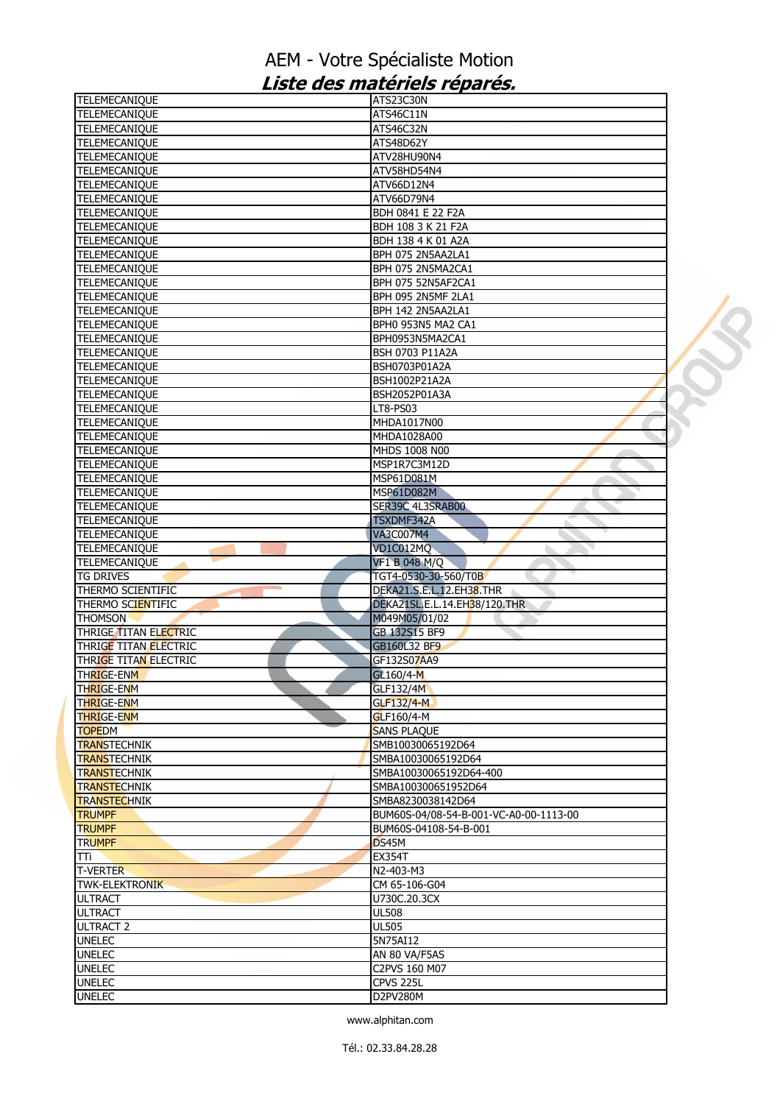| <b>TELEMECANIQUE</b>             | ATS23C30N                              |  |
|----------------------------------|----------------------------------------|--|
| <b>TELEMECANIQUE</b>             | ATS46C11N                              |  |
| <b>TELEMECANIQUE</b>             | ATS46C32N                              |  |
| <b>TELEMECANIQUE</b>             | ATS48D62Y                              |  |
| <b>TELEMECANIQUE</b>             | ATV28HU90N4                            |  |
| TELEMECANIQUE                    | ATV58HD54N4                            |  |
| <b>TELEMECANIQUE</b>             | ATV66D12N4                             |  |
| <b>TELEMECANIQUE</b>             | ATV66D79N4                             |  |
| <b>TELEMECANIQUE</b>             | BDH 0841 E 22 F2A                      |  |
| <b>TELEMECANIQUE</b>             | BDH 108 3 K 21 F2A                     |  |
| <b>TELEMECANIQUE</b>             | BDH 138 4 K 01 A2A                     |  |
| <b>TELEMECANIQUE</b>             | BPH 075 2N5AA2LA1                      |  |
| <b>TELEMECANIQUE</b>             | BPH 075 2N5MA2CA1                      |  |
| <b>TELEMECANIQUE</b>             | BPH 075 52N5AF2CA1                     |  |
| <b>TELEMECANIQUE</b>             | BPH 095 2N5MF 2LA1                     |  |
|                                  |                                        |  |
| <b>TELEMECANIQUE</b>             | BPH 142 2N5AA2LA1                      |  |
| TELEMECANIQUE                    | BPH0 953N5 MA2 CA1                     |  |
| <b>TELEMECANIQUE</b>             | BPH0953N5MA2CA1                        |  |
| TELEMECANIQUE                    | BSH 0703 P11A2A                        |  |
| TELEMECANIQUE                    | BSH0703P01A2A                          |  |
| TELEMECANIQUE                    | BSH1002P21A2A                          |  |
| <b>TELEMECANIQUE</b>             | BSH2052P01A3A                          |  |
| <b>TELEMECANIQUE</b>             | LT8-PS03                               |  |
| TELEMECANIQUE                    | MHDA1017N00                            |  |
| <b>TELEMECANIQUE</b>             | MHDA1028A00                            |  |
| <b>TELEMECANIQUE</b>             | MHDS 1008 N00                          |  |
| <b>TELEMECANIQUE</b>             | MSP1R7C3M12D                           |  |
| TELEMECANIQUE                    | MSP61D081M                             |  |
| <b>TELEMECANIQUE</b>             | <b>MSP61D082M</b>                      |  |
| TELEMECANIQUE                    | SER39C 4L3SRAB00                       |  |
| <b>TELEMECANIQUE</b>             | TSXDMF342A                             |  |
| <b>TELEMECANIQUE</b>             | <b>VA3C007M4</b>                       |  |
| TELEMECANIQUE                    | VD1C012MQ                              |  |
| <b>TELEMECANIQUE</b>             | <b>VF1 B 048 M/Q</b>                   |  |
| <b>TG DRIVES</b>                 | TGT4-0530-30-560/T0B                   |  |
| THERMO SCIENTIFIC                | DEKA21.S.E.L.12.EH38.THR               |  |
| THERMO SCIENTIFIC                | DEKA21SL.E.L.14.EH38/120.THR           |  |
|                                  |                                        |  |
| <b>THOMSON</b>                   | M049M05/01/02                          |  |
| THRIGE TITAN ELECTRIC            | GB 132S15 BF9                          |  |
| THRIGE TITAN ELECTRIC            | GB160L32 BF9                           |  |
| THRIGE TITAN ELECTRIC            | GF132S07AA9                            |  |
| <b>THRIGE-ENM</b>                | GL160/4-M                              |  |
| <b>THRIGE-ENM</b>                | GLF132/4M                              |  |
| <b>THRIGE-ENM</b>                | <b>GLF132/4-M</b>                      |  |
| <b>THRIGE-ENM</b>                | GLF160/4-M                             |  |
| <b>TOPEDM</b>                    | <b>SANS PLAQUE</b>                     |  |
| <b>TRANSTECHNIK</b>              | SMB10030065192D64                      |  |
| <b>TRANSTECHNIK</b>              | SMBA10030065192D64                     |  |
| <b>TRANSTECHNIK</b>              | SMBA10030065192D64-400                 |  |
| <b>TRANSTECHNIK</b>              | SMBA100300651952D64                    |  |
| <b>TRANSTECHNIK</b>              | SMBA8230038142D64                      |  |
| <b>TRUMPF</b>                    |                                        |  |
| <b>TRUMPF</b>                    |                                        |  |
| <b>TRUMPF</b>                    | BUM60S-04/08-54-B-001-VC-A0-00-1113-00 |  |
|                                  | BUM60S-04108-54-B-001                  |  |
|                                  | DS45M                                  |  |
| TTi                              | <b>EX354T</b>                          |  |
|                                  | N2-403-M3                              |  |
| <b>TWK-ELEKTRONIK</b>            | CM 65-106-G04                          |  |
| <b>ULTRACT</b>                   | U730C.20.3CX                           |  |
| <b>ULTRACT</b>                   | <b>UL508</b>                           |  |
| <b>ULTRACT 2</b>                 | <b>UL505</b>                           |  |
| <b>UNELEC</b>                    | 5N75AI12                               |  |
| <b>T-VERTER</b><br><b>UNELEC</b> | AN 80 VA/F5AS                          |  |
| <b>UNELEC</b>                    | C2PVS 160 M07                          |  |
| <b>UNELEC</b>                    | CPVS 225L                              |  |
| <b>UNELEC</b>                    | D2PV280M                               |  |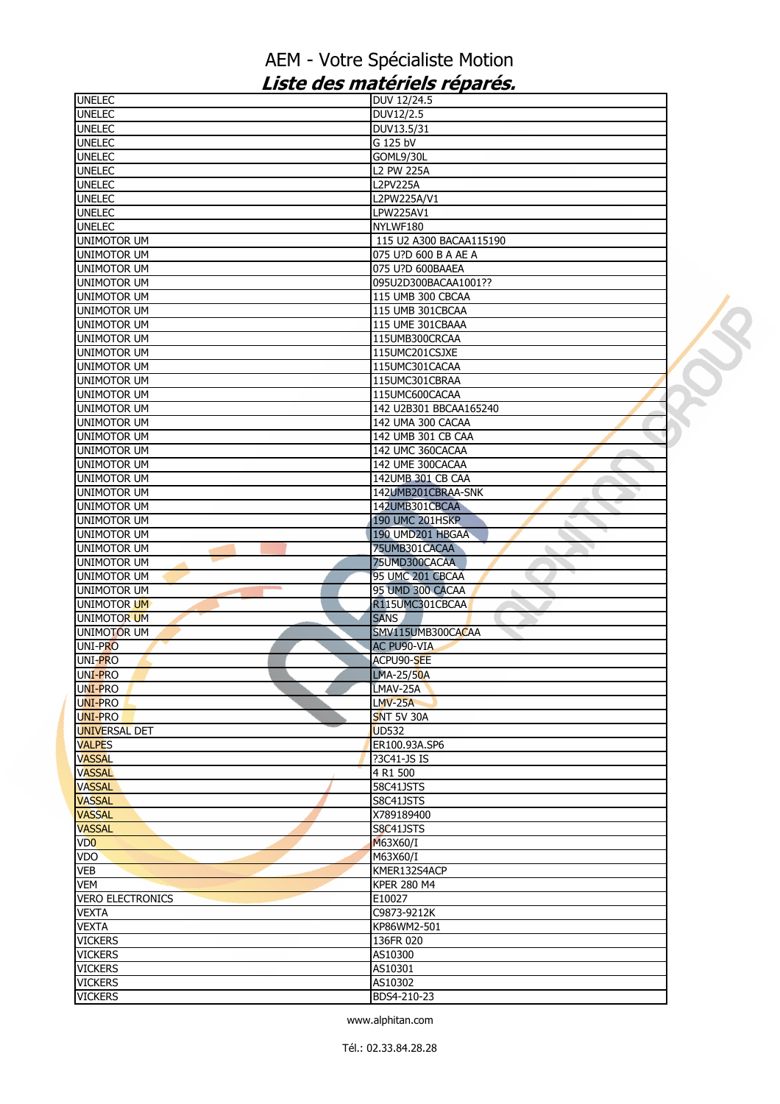| <b>UNELEC</b>           | DUV 12/24.5             |  |
|-------------------------|-------------------------|--|
| <b>UNELEC</b>           | DUV12/2.5               |  |
| <b>UNELEC</b>           | DUV13.5/31              |  |
| <b>UNELEC</b>           | G 125 bV                |  |
| <b>UNELEC</b>           | GOML9/30L               |  |
| <b>UNELEC</b>           | <b>L2 PW 225A</b>       |  |
| <b>UNELEC</b>           | <b>L2PV225A</b>         |  |
| <b>UNELEC</b>           | L2PW225A/V1             |  |
| <b>UNELEC</b>           | LPW225AV1               |  |
| <b>UNELEC</b>           | NYLWF180                |  |
| <b>UNIMOTOR UM</b>      | 115 U2 A300 BACAA115190 |  |
| UNIMOTOR UM             | 075 U?D 600 B A AE A    |  |
| <b>UNIMOTOR UM</b>      | 075 U?D 600BAAEA        |  |
| <b>UNIMOTOR UM</b>      | 095U2D300BACAA1001??    |  |
| <b>UNIMOTOR UM</b>      |                         |  |
|                         | 115 UMB 300 CBCAA       |  |
| <b>UNIMOTOR UM</b>      | 115 UMB 301CBCAA        |  |
| <b>UNIMOTOR UM</b>      | 115 UME 301CBAAA        |  |
| <b>UNIMOTOR UM</b>      | 115UMB300CRCAA          |  |
| <b>UNIMOTOR UM</b>      | 115UMC201CSJXE          |  |
| <b>UNIMOTOR UM</b>      | 115UMC301CACAA          |  |
| <b>UNIMOTOR UM</b>      | 115UMC301CBRAA          |  |
| <b>UNIMOTOR UM</b>      | 115UMC600CACAA          |  |
| <b>UNIMOTOR UM</b>      | 142 U2B301 BBCAA165240  |  |
| <b>UNIMOTOR UM</b>      | 142 UMA 300 CACAA       |  |
| <b>UNIMOTOR UM</b>      | 142 UMB 301 CB CAA      |  |
| <b>UNIMOTOR UM</b>      | 142 UMC 360CACAA        |  |
| <b>UNIMOTOR UM</b>      | 142 UME 300CACAA        |  |
| <b>UNIMOTOR UM</b>      | 142UMB 301 CB CAA       |  |
| <b>UNIMOTOR UM</b>      | 142UMB201CBRAA-SNK      |  |
| <b>UNIMOTOR UM</b>      | 142UMB301CBCAA          |  |
| <b>UNIMOTOR UM</b>      | <b>190 UMC 201HSKP</b>  |  |
| <b>UNIMOTOR UM</b>      | 190 UMD201 HBGAA        |  |
| <b>UNIMOTOR UM</b>      | 75UMB301CACAA           |  |
| <b>UNIMOTOR UM</b>      | 75UMD300CACAA           |  |
| <b>UNIMOTOR UM</b>      | 95 UMC 201 CBCAA        |  |
| <b>UNIMOTOR UM</b>      | 95 UMD 300 CACAA        |  |
| <b>UNIMOTOR UM</b>      | R115UMC301CBCAA         |  |
|                         | SANS.                   |  |
| <b>UNIMOTOR UM</b>      |                         |  |
| <b>UNIMOTOR UM</b>      | SMV115UMB300CACAA       |  |
| UNI-PRO                 | <b>AC PU90-VIA</b>      |  |
| UNI-PRO                 | ACPU90-SEE              |  |
| UNI-PRO                 | LMA-25/50A              |  |
| UNI-PRO                 | LMAV-25A                |  |
| UNI-PRO                 | $LMV-25A$               |  |
| <b>UNI-PRO</b>          | <b>SNT 5V 30A</b>       |  |
| <b>UNIVERSAL DET</b>    | <b>UD532</b>            |  |
| <b>VALPES</b>           | ER100.93A.SP6           |  |
| <b>VASSAL</b>           | ?3C41-JS IS             |  |
| <b>VASSAL</b>           | 4 R1 500                |  |
| <b>VASSAL</b>           | 58C41JSTS               |  |
| <b>VASSAL</b>           | S8C41JSTS               |  |
| <b>VASSAL</b>           | X789189400              |  |
| <b>VASSAL</b>           | S8C41JSTS               |  |
| VD <sub>0</sub>         | M63X60/I                |  |
| VDO <sup>1</sup>        | M63X60/I                |  |
| <b>VEB</b>              | KMER132S4ACP            |  |
| <b>VEM</b>              | <b>KPER 280 M4</b>      |  |
| <b>VERO ELECTRONICS</b> | E10027                  |  |
|                         |                         |  |
| <b>VEXTA</b>            | C9873-9212K             |  |
| <b>VEXTA</b>            | KP86WM2-501             |  |
| <b>VICKERS</b>          | 136FR 020               |  |
| <b>VICKERS</b>          | AS10300                 |  |
| <b>VICKERS</b>          | AS10301                 |  |
| <b>VICKERS</b>          | AS10302                 |  |
| <b>VICKERS</b>          | BDS4-210-23             |  |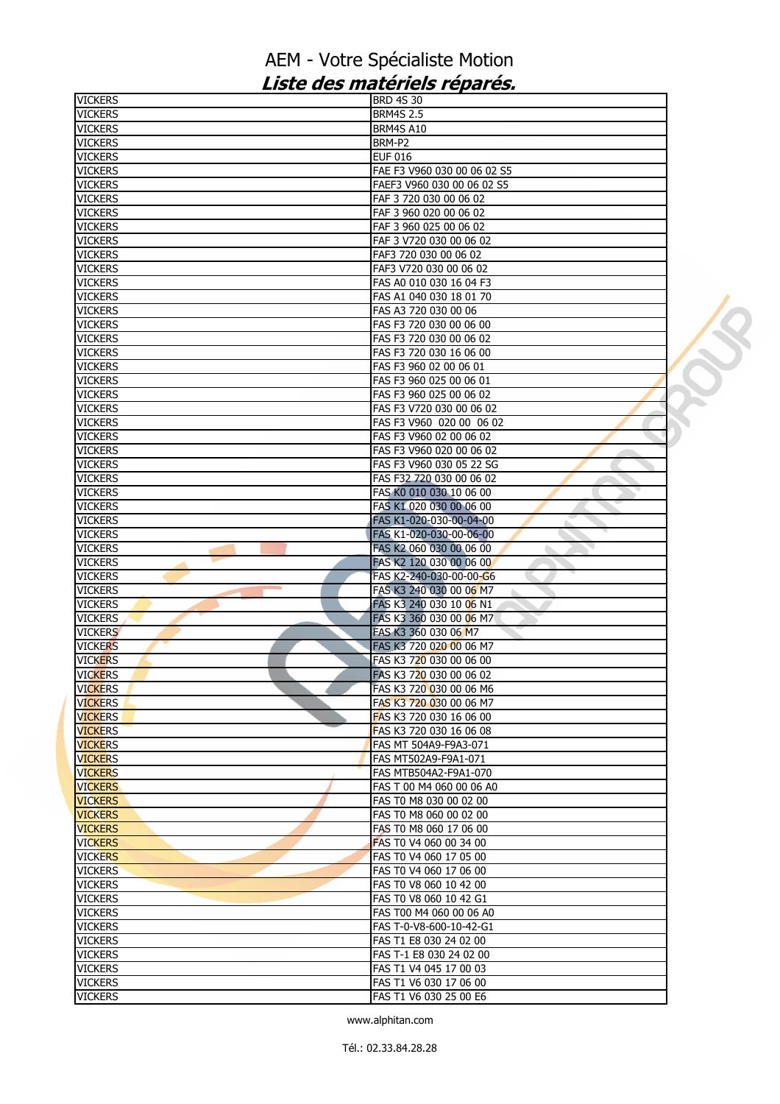| <b>VICKERS</b>                   | <b>BRD 4S 30</b>            |  |
|----------------------------------|-----------------------------|--|
| <b>VICKERS</b>                   | <b>BRM4S 2.5</b>            |  |
| <b>VICKERS</b>                   | BRM4S A10                   |  |
| <b>VICKERS</b>                   | BRM-P2                      |  |
| <b>VICKERS</b>                   | <b>EUF 016</b>              |  |
| <b>VICKERS</b>                   | FAE F3 V960 030 00 06 02 S5 |  |
| <b>VICKERS</b>                   | FAEF3 V960 030 00 06 02 S5  |  |
| <b>VICKERS</b>                   | FAF 3 720 030 00 06 02      |  |
| <b>VICKERS</b>                   | FAF 3 960 020 00 06 02      |  |
| <b>VICKERS</b>                   | FAF 3 960 025 00 06 02      |  |
| <b>VICKERS</b>                   | FAF 3 V720 030 00 06 02     |  |
|                                  | FAF3 720 030 00 06 02       |  |
| <b>VICKERS</b><br><b>VICKERS</b> | FAF3 V720 030 00 06 02      |  |
|                                  |                             |  |
| <b>VICKERS</b>                   | FAS A0 010 030 16 04 F3     |  |
| <b>VICKERS</b>                   | FAS A1 040 030 18 01 70     |  |
| <b>VICKERS</b>                   | FAS A3 720 030 00 06        |  |
| <b>VICKERS</b>                   | FAS F3 720 030 00 06 00     |  |
| <b>VICKERS</b>                   | FAS F3 720 030 00 06 02     |  |
| <b>VICKERS</b>                   | FAS F3 720 030 16 06 00     |  |
| <b>VICKERS</b>                   | FAS F3 960 02 00 06 01      |  |
| <b>VICKERS</b>                   | FAS F3 960 025 00 06 01     |  |
| <b>VICKERS</b>                   | FAS F3 960 025 00 06 02     |  |
| <b>VICKERS</b>                   | FAS F3 V720 030 00 06 02    |  |
| <b>VICKERS</b>                   | FAS F3 V960 020 00 06 02    |  |
| <b>VICKERS</b>                   | FAS F3 V960 02 00 06 02     |  |
| <b>VICKERS</b>                   | FAS F3 V960 020 00 06 02    |  |
| <b>VICKERS</b>                   | FAS F3 V960 030 05 22 SG    |  |
| <b>VICKERS</b>                   | FAS F32 720 030 00 06 02    |  |
| <b>VICKERS</b>                   | FAS K0 010 030 10 06 00     |  |
| <b>VICKERS</b>                   | FAS K1 020 030 00 06 00     |  |
| <b>VICKERS</b>                   | FAS K1-020-030-00-04-00     |  |
| <b>VICKERS</b>                   | FAS K1-020-030-00-06-00     |  |
| <b>VICKERS</b>                   | FAS K2 060 030 00 06 00     |  |
| <b>VICKERS</b>                   | FAS K2 120 030 00 06 00     |  |
| <b>VICKERS</b>                   | FAS K2-240-030-00-00-G6     |  |
| <b>VICKERS</b>                   | FAS K3 240 030 00 06 M7     |  |
| <b>VICKERS</b>                   | FAS K3 240 030 10 06 N1     |  |
| <b>VICKERS</b>                   | FAS K3 360 030 00 06 M7     |  |
| <b>VICKERS</b>                   | FAS K3 360 030 06 M7        |  |
| <b>VICKERS</b>                   | FAS K3 720 020 00 06 M7     |  |
| <b>VICKERS</b>                   | FAS K3 720 030 00 06 00     |  |
| <b>VICKERS</b>                   | FAS K3 720 030 00 06 02     |  |
| <b>VICKERS</b>                   | FAS K3 720 030 00 06 M6     |  |
| <b>VICKERS</b>                   | FAS K3 720 030 00 06 M7     |  |
| <b>VICKERS</b>                   | FAS K3 720 030 16 06 00     |  |
| <b>VICKERS</b>                   | FAS K3 720 030 16 06 08     |  |
| <b>VICKERS</b>                   | FAS MT 504A9-F9A3-071       |  |
| <b>VICKERS</b>                   | FAS MT502A9-F9A1-071        |  |
| <b>VICKERS</b>                   | FAS MTB504A2-F9A1-070       |  |
| <b>VICKERS</b>                   | FAS T 00 M4 060 00 06 A0    |  |
| <b>VICKERS</b>                   | FAS T0 M8 030 00 02 00      |  |
| <b>VICKERS</b>                   | FAS T0 M8 060 00 02 00      |  |
| <b>VICKERS</b>                   | FAS T0 M8 060 17 06 00      |  |
| <b>VICKERS</b>                   | FAS T0 V4 060 00 34 00      |  |
| <b>VICKERS</b>                   | FAS T0 V4 060 17 05 00      |  |
| <b>VICKERS</b>                   | FAS T0 V4 060 17 06 00      |  |
| <b>VICKERS</b>                   | FAS T0 V8 060 10 42 00      |  |
| <b>VICKERS</b>                   | FAS T0 V8 060 10 42 G1      |  |
| <b>VICKERS</b>                   | FAS T00 M4 060 00 06 A0     |  |
| <b>VICKERS</b>                   | FAS T-0-V8-600-10-42-G1     |  |
| <b>VICKERS</b>                   | FAS T1 E8 030 24 02 00      |  |
| <b>VICKERS</b>                   | FAS T-1 E8 030 24 02 00     |  |
| <b>VICKERS</b>                   | FAS T1 V4 045 17 00 03      |  |
| <b>VICKERS</b>                   | FAS T1 V6 030 17 06 00      |  |
| <b>VICKERS</b>                   | FAS T1 V6 030 25 00 E6      |  |
|                                  |                             |  |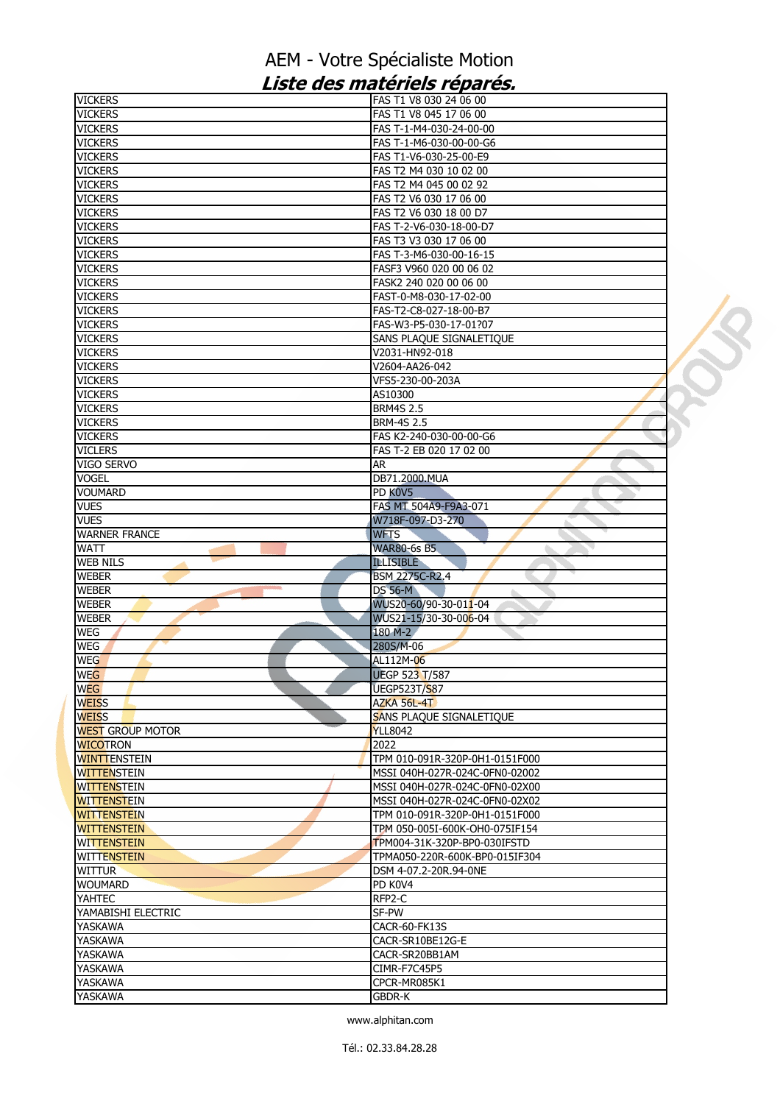| <b>VICKERS</b>                   | FAS T1 V8 030 24 06 00                                |  |
|----------------------------------|-------------------------------------------------------|--|
| <b>VICKERS</b>                   | FAS T1 V8 045 17 06 00                                |  |
| <b>VICKERS</b>                   | FAS T-1-M4-030-24-00-00                               |  |
| <b>VICKERS</b>                   | FAS T-1-M6-030-00-00-G6                               |  |
| <b>VICKERS</b>                   | FAS T1-V6-030-25-00-E9                                |  |
| <b>VICKERS</b>                   | FAS T2 M4 030 10 02 00                                |  |
| <b>VICKERS</b>                   | FAS T2 M4 045 00 02 92                                |  |
| <b>VICKERS</b>                   | FAS T2 V6 030 17 06 00                                |  |
| <b>VICKERS</b>                   | FAS T2 V6 030 18 00 D7                                |  |
| <b>VICKERS</b>                   | FAS T-2-V6-030-18-00-D7                               |  |
| <b>VICKERS</b>                   | FAS T3 V3 030 17 06 00                                |  |
| <b>VICKERS</b>                   | FAS T-3-M6-030-00-16-15                               |  |
| <b>VICKERS</b>                   | FASF3 V960 020 00 06 02                               |  |
| <b>VICKERS</b>                   | FASK2 240 020 00 06 00                                |  |
| <b>VICKERS</b>                   | FAST-0-M8-030-17-02-00                                |  |
| <b>VICKERS</b>                   | FAS-T2-C8-027-18-00-B7                                |  |
| <b>VICKERS</b>                   | FAS-W3-P5-030-17-01?07                                |  |
| <b>VICKERS</b>                   | SANS PLAQUE SIGNALETIQUE                              |  |
| <b>VICKERS</b>                   | V2031-HN92-018                                        |  |
| <b>VICKERS</b>                   | V2604-AA26-042                                        |  |
| <b>VICKERS</b>                   | VFS5-230-00-203A                                      |  |
| <b>VICKERS</b>                   | AS10300                                               |  |
| <b>VICKERS</b>                   | <b>BRM4S 2.5</b>                                      |  |
| <b>VICKERS</b><br><b>VICKERS</b> | <b>BRM-4S 2.5</b><br>FAS K2-240-030-00-00-G6          |  |
| <b>VICLERS</b>                   | FAS T-2 EB 020 17 02 00                               |  |
| VIGO SERVO                       | <b>AR</b>                                             |  |
| <b>VOGEL</b>                     | DB71.2000.MUA                                         |  |
| <b>VOUMARD</b>                   | PD K0V5                                               |  |
| <b>VUES</b>                      | FAS MT 504A9-F9A3-071                                 |  |
| <b>VUES</b>                      | W718F-097-D3-270                                      |  |
| <b>WARNER FRANCE</b>             | <b>WFTS</b>                                           |  |
|                                  |                                                       |  |
|                                  |                                                       |  |
| <b>WATT</b>                      | <b>WAR80-6s B5</b>                                    |  |
| <b>WEB NILS</b>                  | <b>ILLISIBLE</b>                                      |  |
| <b>WEBER</b><br><b>WEBER</b>     | <b>BSM 2275C-R2.4</b><br><b>DS 56-M</b><br><b>Co.</b> |  |
| <b>WEBER</b>                     | WUS20-60/90-30-011-04                                 |  |
| <b>WEBER</b>                     | WUS21-15/30-30-006-04                                 |  |
| WEG                              | 180 M-2                                               |  |
| WEG                              | 280S/M-06                                             |  |
| <b>WEG</b>                       | AL112M-06                                             |  |
| <b>WEG</b>                       | <b>UEGP 523 T/587</b>                                 |  |
| <b>WEG</b>                       | <b>UEGP523T/S87</b>                                   |  |
| <b>WEISS</b>                     | AZKA 56L-4T                                           |  |
| <b>WEISS</b>                     | SANS PLAQUE SIGNALETIQUE                              |  |
| <b>WEST GROUP MOTOR</b>          | <b>YLL8042</b>                                        |  |
| <b>WICOTRON</b>                  | 2022                                                  |  |
| <b>WINTTENSTEIN</b>              | TPM 010-091R-320P-0H1-0151F000                        |  |
| <b>WITTENSTEIN</b>               | MSSI 040H-027R-024C-0FN0-02002                        |  |
| <b>WITTENSTEIN</b>               | MSSI 040H-027R-024C-0FN0-02X00                        |  |
| <b>WITTENSTEIN</b>               | MSSI 040H-027R-024C-0FN0-02X02                        |  |
| <b>WITTENSTEIN</b>               | TPM 010-091R-320P-0H1-0151F000                        |  |
| <b>WITTENSTEIN</b>               | TPM 050-005I-600K-OH0-075IF154                        |  |
| <b>WITTENSTEIN</b>               | TPM004-31K-320P-BP0-030IFSTD                          |  |
| <b>WITTENSTEIN</b>               | TPMA050-220R-600K-BP0-015IF304                        |  |
| <b>WITTUR</b>                    | DSM 4-07.2-20R.94-0NE                                 |  |
| <b>WOUMARD</b>                   | PD K0V4                                               |  |
| <b>YAHTEC</b>                    | RFP2-C                                                |  |
| YAMABISHI ELECTRIC               | SF-PW                                                 |  |
| YASKAWA                          | CACR-60-FK13S                                         |  |
| YASKAWA                          | CACR-SR10BE12G-E                                      |  |
| YASKAWA                          | CACR-SR20BB1AM                                        |  |
| YASKAWA                          | CIMR-F7C45P5                                          |  |
| YASKAWA<br>YASKAWA               | CPCR-MR085K1<br><b>GBDR-K</b>                         |  |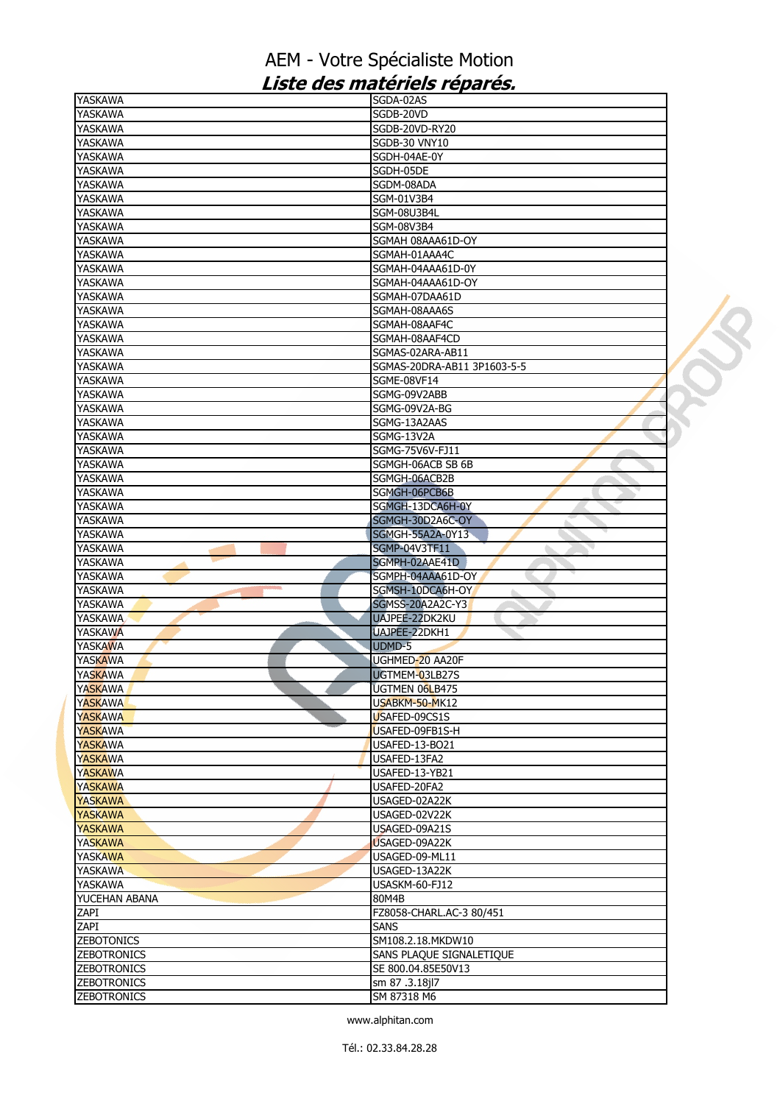## AEM - Votre Spécialiste Motion Liste des matériels réparés.

| <b>YASKAWA</b>     | SGDA-02AS                   |  |
|--------------------|-----------------------------|--|
| <b>YASKAWA</b>     | SGDB-20VD                   |  |
| <b>YASKAWA</b>     | SGDB-20VD-RY20              |  |
| <b>YASKAWA</b>     | <b>SGDB-30 VNY10</b>        |  |
| <b>YASKAWA</b>     | SGDH-04AE-0Y                |  |
| YASKAWA            | SGDH-05DE                   |  |
| <b>YASKAWA</b>     | SGDM-08ADA                  |  |
| <b>YASKAWA</b>     | SGM-01V3B4                  |  |
|                    |                             |  |
| <b>YASKAWA</b>     | SGM-08U3B4L                 |  |
| YASKAWA            | <b>SGM-08V3B4</b>           |  |
| YASKAWA            | SGMAH 08AAA61D-OY           |  |
| <b>YASKAWA</b>     | SGMAH-01AAA4C               |  |
| <b>YASKAWA</b>     | SGMAH-04AAA61D-0Y           |  |
| <b>YASKAWA</b>     | SGMAH-04AAA61D-OY           |  |
| YASKAWA            | SGMAH-07DAA61D              |  |
| YASKAWA            | SGMAH-08AAA6S               |  |
| <b>YASKAWA</b>     | SGMAH-08AAF4C               |  |
| <b>YASKAWA</b>     | SGMAH-08AAF4CD              |  |
| YASKAWA            | SGMAS-02ARA-AB11            |  |
| YASKAWA            | SGMAS-20DRA-AB11 3P1603-5-5 |  |
|                    |                             |  |
| <b>YASKAWA</b>     | SGME-08VF14                 |  |
| <b>YASKAWA</b>     | SGMG-09V2ABB                |  |
| <b>YASKAWA</b>     | SGMG-09V2A-BG               |  |
| <b>YASKAWA</b>     | SGMG-13A2AAS                |  |
| YASKAWA            | SGMG-13V2A                  |  |
| <b>YASKAWA</b>     | SGMG-75V6V-FJ11             |  |
| <b>YASKAWA</b>     | SGMGH-06ACB SB 6B           |  |
| <b>YASKAWA</b>     | SGMGH-06ACB2B               |  |
| YASKAWA            | SGMGH-06PCB6B               |  |
| <b>YASKAWA</b>     | SGMGH-13DCA6H-0Y            |  |
| <b>YASKAWA</b>     | SGMGH-30D2A6C-OY            |  |
|                    |                             |  |
| YASKAWA            | <b>SGMGH-55A2A-0Y13</b>     |  |
| YASKAWA            | <b>SGMP-04V3TF11</b>        |  |
| YASKAWA            | SGMPH-02AAE41D              |  |
| YASKAWA            | SGMPH-04AAA61D-OY           |  |
| YASKAWA            | SGMSH-10DCA6H-OY            |  |
| <b>YASKAWA</b>     | SGMSS-20A2A2C-Y3            |  |
| <b>YASKAWA</b>     | UAJPEE-22DK2KU              |  |
| <b>YASKAWA</b>     | UAJPEE-22DKH1               |  |
| <b>YASKAWA</b>     | UDMD-5                      |  |
| <b>YASKAWA</b>     | UGHMED-20 AA20F             |  |
| <b>YASKAWA</b>     | UGTMEM-03LB27S              |  |
| <b>YASKAWA</b>     | UGTMEN 06LB475              |  |
| <b>YASKAWA</b>     | USABKM-50-MK12              |  |
|                    |                             |  |
| <b>YASKAWA</b>     | USAFED-09CS1S               |  |
| <b>YASKAWA</b>     | USAFED-09FB1S-H             |  |
| <b>YASKAWA</b>     | USAFED-13-BO21              |  |
| <b>YASKAWA</b>     | USAFED-13FA2                |  |
| <b>YASKAWA</b>     | USAFED-13-YB21              |  |
| <b>YASKAWA</b>     | USAFED-20FA2                |  |
| <b>YASKAWA</b>     | USAGED-02A22K               |  |
| <b>YASKAWA</b>     | USAGED-02V22K               |  |
| <b>YASKAWA</b>     | USAGED-09A21S               |  |
| <b>YASKAWA</b>     | USAGED-09A22K               |  |
| <b>YASKAWA</b>     | USAGED-09-ML11              |  |
| <b>YASKAWA</b>     | USAGED-13A22K               |  |
| <b>YASKAWA</b>     | USASKM-60-FJ12              |  |
|                    |                             |  |
| YUCEHAN ABANA      | 80M4B                       |  |
| ZAPI               | FZ8058-CHARL.AC-3 80/451    |  |
| ZAPI               | <b>SANS</b>                 |  |
| <b>ZEBOTONICS</b>  | SM108.2.18.MKDW10           |  |
| <b>ZEBOTRONICS</b> | SANS PLAQUE SIGNALETIQUE    |  |
| <b>ZEBOTRONICS</b> | SE 800.04.85E50V13          |  |
| <b>ZEBOTRONICS</b> | sm 87 .3.18jl7              |  |
| <b>ZEBOTRONICS</b> | SM 87318 M6                 |  |
|                    |                             |  |

www.alphitan.com